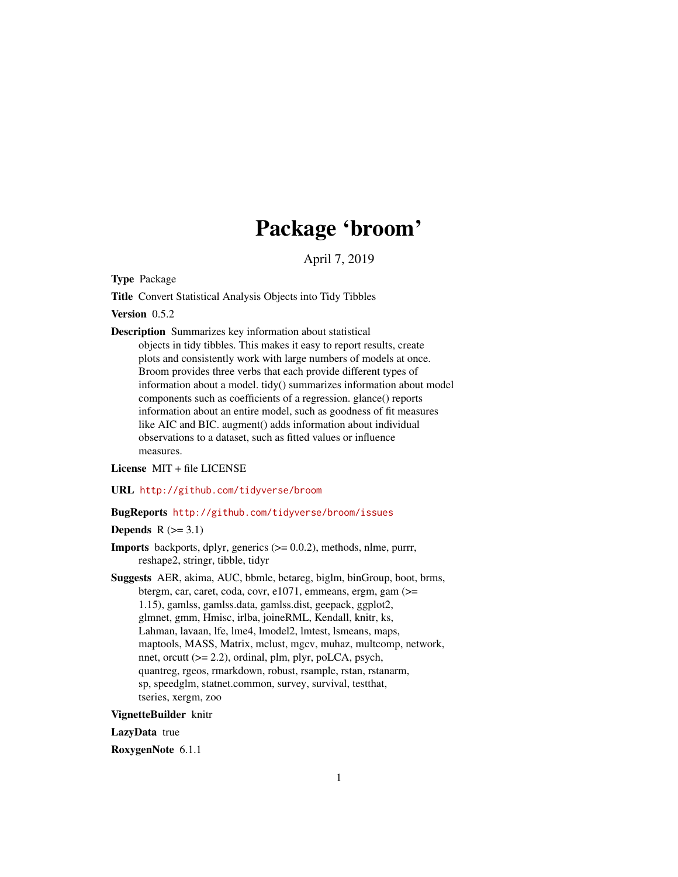# Package 'broom'

April 7, 2019

<span id="page-0-0"></span>Type Package

Title Convert Statistical Analysis Objects into Tidy Tibbles

Version 0.5.2

Description Summarizes key information about statistical objects in tidy tibbles. This makes it easy to report results, create plots and consistently work with large numbers of models at once. Broom provides three verbs that each provide different types of information about a model. tidy() summarizes information about model components such as coefficients of a regression. glance() reports information about an entire model, such as goodness of fit measures like AIC and BIC. augment() adds information about individual observations to a dataset, such as fitted values or influence measures.

License MIT + file LICENSE

URL <http://github.com/tidyverse/broom>

## BugReports <http://github.com/tidyverse/broom/issues>

## Depends  $R$  ( $>= 3.1$ )

**Imports** backports, dplyr, generics  $(>= 0.0.2)$ , methods, nlme, purrr, reshape2, stringr, tibble, tidyr

Suggests AER, akima, AUC, bbmle, betareg, biglm, binGroup, boot, brms, btergm, car, caret, coda, covr, e1071, emmeans, ergm, gam (>= 1.15), gamlss, gamlss.data, gamlss.dist, geepack, ggplot2, glmnet, gmm, Hmisc, irlba, joineRML, Kendall, knitr, ks, Lahman, lavaan, lfe, lme4, lmodel2, lmtest, lsmeans, maps, maptools, MASS, Matrix, mclust, mgcv, muhaz, multcomp, network, nnet, orcutt (>= 2.2), ordinal, plm, plyr, poLCA, psych, quantreg, rgeos, rmarkdown, robust, rsample, rstan, rstanarm, sp, speedglm, statnet.common, survey, survival, testthat, tseries, xergm, zoo

VignetteBuilder knitr

#### LazyData true

RoxygenNote 6.1.1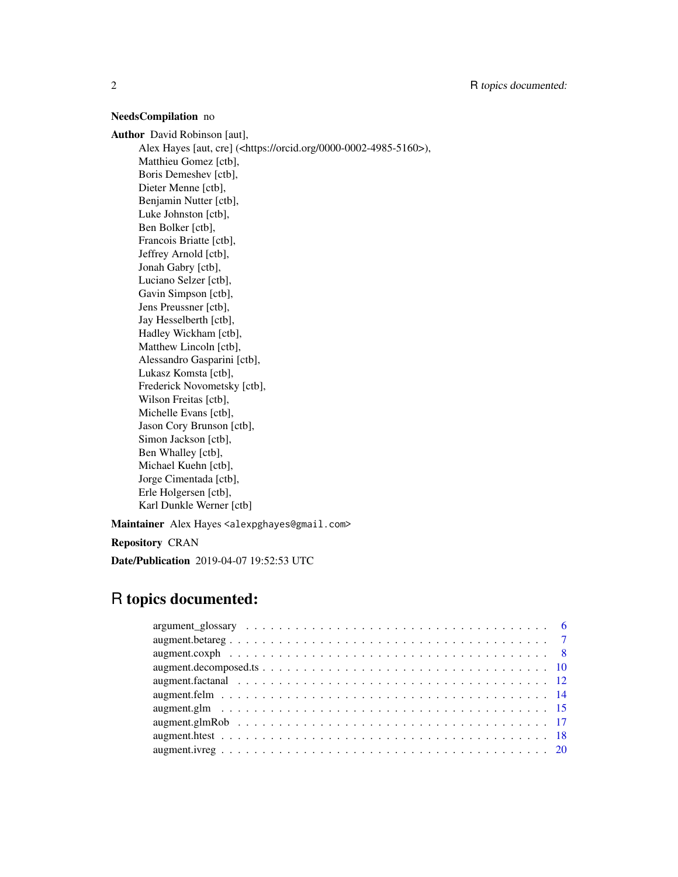## NeedsCompilation no

Author David Robinson [aut],

Alex Hayes [aut, cre] (<https://orcid.org/0000-0002-4985-5160>), Matthieu Gomez [ctb], Boris Demeshev [ctb], Dieter Menne [ctb], Benjamin Nutter [ctb], Luke Johnston [ctb], Ben Bolker [ctb], Francois Briatte [ctb], Jeffrey Arnold [ctb], Jonah Gabry [ctb], Luciano Selzer [ctb], Gavin Simpson [ctb], Jens Preussner [ctb], Jay Hesselberth [ctb], Hadley Wickham [ctb], Matthew Lincoln [ctb], Alessandro Gasparini [ctb], Lukasz Komsta [ctb], Frederick Novometsky [ctb], Wilson Freitas [ctb], Michelle Evans [ctb], Jason Cory Brunson [ctb], Simon Jackson [ctb], Ben Whalley [ctb], Michael Kuehn [ctb], Jorge Cimentada [ctb], Erle Holgersen [ctb], Karl Dunkle Werner [ctb]

Maintainer Alex Hayes <alexpghayes@gmail.com>

Repository CRAN

Date/Publication 2019-04-07 19:52:53 UTC

## R topics documented: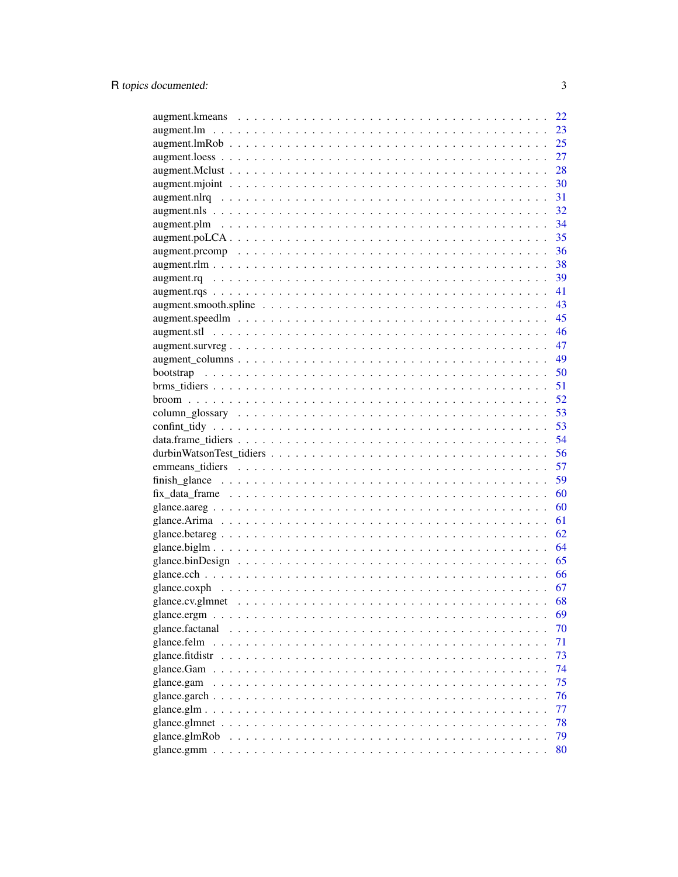|                 |  | 22 |
|-----------------|--|----|
|                 |  | 23 |
|                 |  | 25 |
|                 |  | 27 |
|                 |  | 28 |
|                 |  | 30 |
|                 |  | 31 |
|                 |  | 32 |
|                 |  | 34 |
|                 |  | 35 |
|                 |  | 36 |
|                 |  | 38 |
|                 |  | 39 |
|                 |  | 41 |
|                 |  | 43 |
|                 |  | 45 |
|                 |  | 46 |
|                 |  | 47 |
|                 |  |    |
|                 |  | 49 |
|                 |  | 50 |
|                 |  | 51 |
|                 |  | 52 |
|                 |  | 53 |
|                 |  | 53 |
|                 |  | 54 |
|                 |  | 56 |
|                 |  | 57 |
|                 |  | 59 |
|                 |  | 60 |
|                 |  | 60 |
|                 |  | 61 |
|                 |  | 62 |
|                 |  | 64 |
|                 |  | 65 |
|                 |  | 66 |
|                 |  | 67 |
|                 |  | 68 |
|                 |  | 69 |
| glance.factanal |  | 70 |
|                 |  | 71 |
| glance.fitdistr |  | 73 |
|                 |  | 74 |
| glance.gam      |  | 75 |
|                 |  | 76 |
|                 |  | 77 |
|                 |  | 78 |
| glance.glmRob   |  | 79 |
|                 |  | 80 |
|                 |  |    |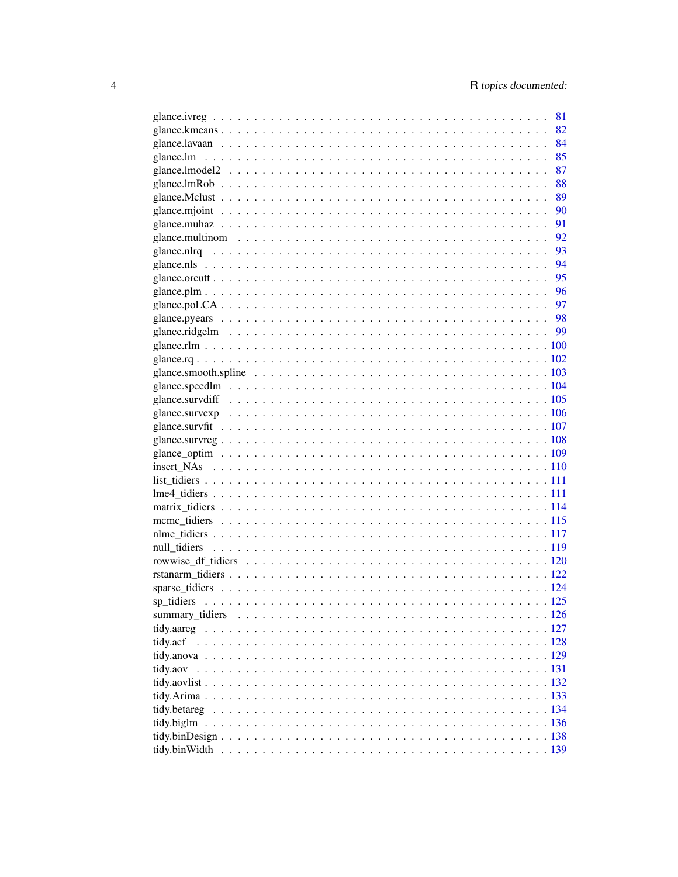|          | 81   |
|----------|------|
|          | 82   |
|          | 84   |
|          | 85   |
|          | 87   |
|          | 88   |
|          | 89   |
|          | 90   |
|          | 91   |
|          | 92   |
|          | 93   |
|          | 94   |
|          | - 95 |
|          |      |
|          |      |
|          |      |
|          |      |
|          |      |
|          |      |
|          |      |
|          |      |
|          |      |
|          |      |
|          |      |
|          |      |
|          |      |
|          |      |
|          |      |
|          |      |
|          |      |
|          |      |
|          |      |
|          |      |
|          |      |
|          |      |
|          |      |
|          |      |
|          |      |
|          |      |
|          |      |
|          |      |
| tidy.aov |      |
|          |      |
|          |      |
|          |      |
|          |      |
|          |      |
|          |      |
|          |      |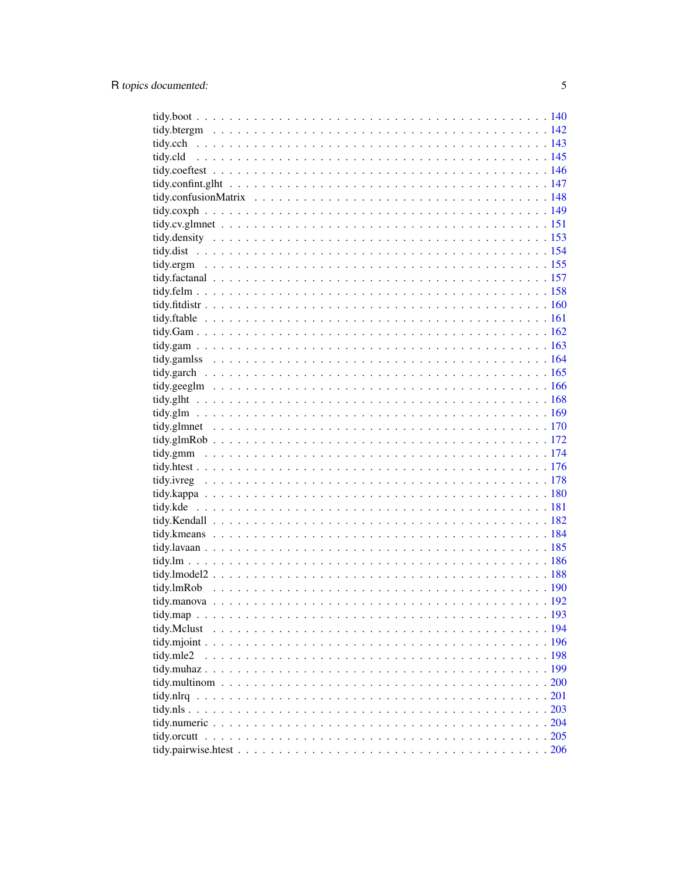| tidy.mle2 |  |
|-----------|--|
|           |  |
|           |  |
|           |  |
|           |  |
|           |  |
|           |  |
|           |  |
|           |  |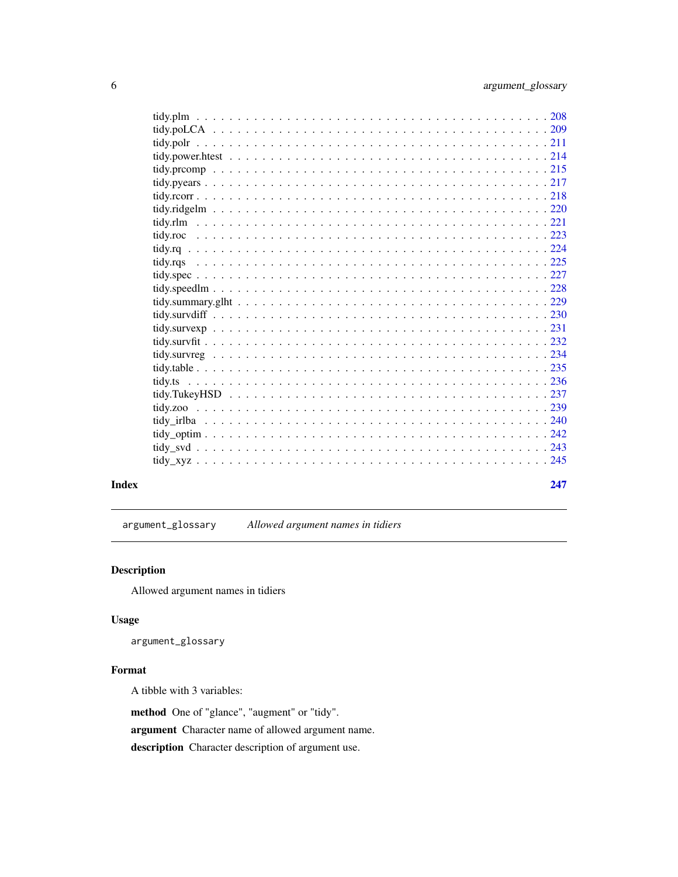<span id="page-5-0"></span>

| tidy.ts |
|---------|
|         |
|         |
|         |
|         |
|         |
|         |
|         |

#### **Index** [247](#page-246-0)

argument\_glossary *Allowed argument names in tidiers*

## Description

Allowed argument names in tidiers

## Usage

argument\_glossary

## Format

A tibble with 3 variables:

method One of "glance", "augment" or "tidy".

argument Character name of allowed argument name.

description Character description of argument use.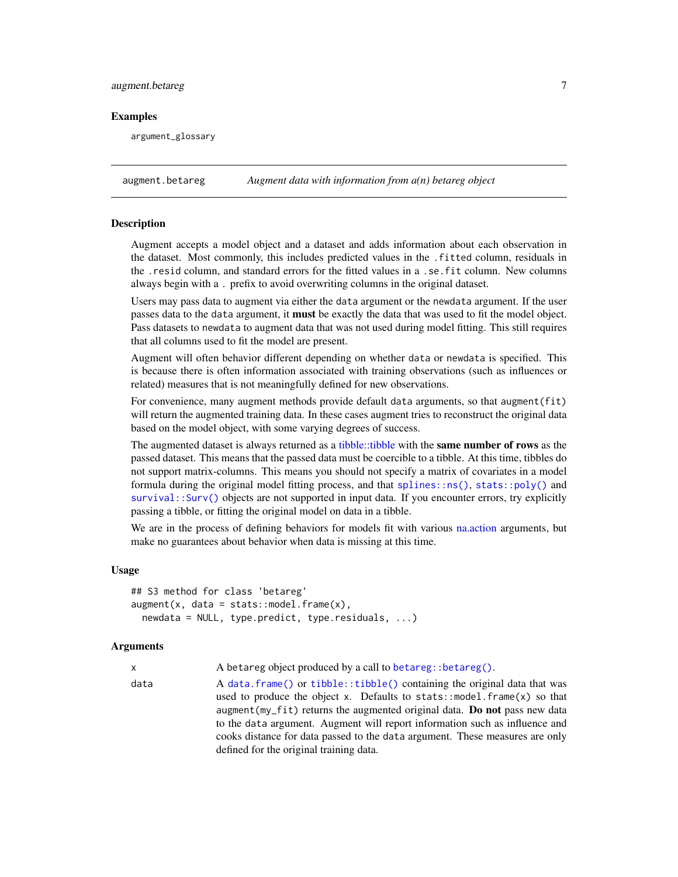## <span id="page-6-0"></span>augment.betareg 7

#### Examples

argument\_glossary

augment.betareg *Augment data with information from a(n) betareg object*

## Description

Augment accepts a model object and a dataset and adds information about each observation in the dataset. Most commonly, this includes predicted values in the .fitted column, residuals in the .resid column, and standard errors for the fitted values in a .se.fit column. New columns always begin with a . prefix to avoid overwriting columns in the original dataset.

Users may pass data to augment via either the data argument or the newdata argument. If the user passes data to the data argument, it **must** be exactly the data that was used to fit the model object. Pass datasets to newdata to augment data that was not used during model fitting. This still requires that all columns used to fit the model are present.

Augment will often behavior different depending on whether data or newdata is specified. This is because there is often information associated with training observations (such as influences or related) measures that is not meaningfully defined for new observations.

For convenience, many augment methods provide default data arguments, so that augment (fit) will return the augmented training data. In these cases augment tries to reconstruct the original data based on the model object, with some varying degrees of success.

The augmented dataset is always returned as a [tibble::tibble](#page-0-0) with the same number of rows as the passed dataset. This means that the passed data must be coercible to a tibble. At this time, tibbles do not support matrix-columns. This means you should not specify a matrix of covariates in a model formula during the original model fitting process, and that [splines::ns\(\)](#page-0-0), [stats::poly\(\)](#page-0-0) and [survival::Surv\(\)](#page-0-0) objects are not supported in input data. If you encounter errors, try explicitly passing a tibble, or fitting the original model on data in a tibble.

We are in the process of defining behaviors for models fit with various [na.action](#page-0-0) arguments, but make no guarantees about behavior when data is missing at this time.

#### Usage

```
## S3 method for class 'betareg'
augment(x, data = stats::model-frame(x),newdata = NULL, type.predict, type.residuals, ...)
```
#### Arguments

x A betareg object produced by a call to [betareg::betareg\(\)](#page-0-0).

data A [data.frame\(\)](#page-0-0) or [tibble::tibble\(\)](#page-0-0) containing the original data that was used to produce the object x. Defaults to stats::model.frame $(x)$  so that augment ( $my$ -fit) returns the augmented original data. Do not pass new data to the data argument. Augment will report information such as influence and cooks distance for data passed to the data argument. These measures are only defined for the original training data.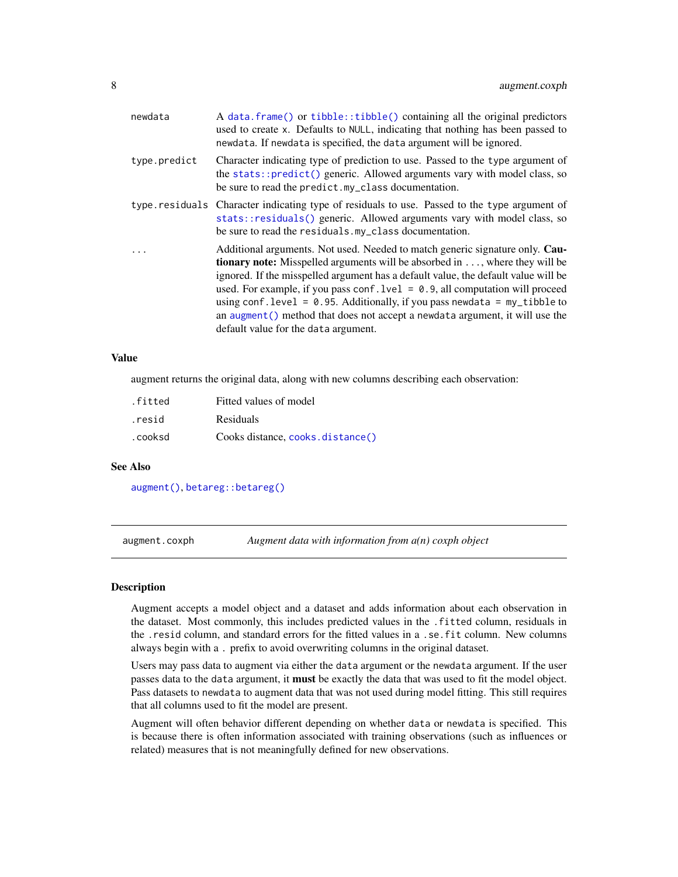<span id="page-7-0"></span>

| newdata      | A data. frame() or tibble::tibble() containing all the original predictors<br>used to create x. Defaults to NULL, indicating that nothing has been passed to<br>newdata. If newdata is specified, the data argument will be ignored.                                                                                                                                                                                                                                                                                                                          |
|--------------|---------------------------------------------------------------------------------------------------------------------------------------------------------------------------------------------------------------------------------------------------------------------------------------------------------------------------------------------------------------------------------------------------------------------------------------------------------------------------------------------------------------------------------------------------------------|
| type.predict | Character indicating type of prediction to use. Passed to the type argument of<br>the stats::predict() generic. Allowed arguments vary with model class, so<br>be sure to read the predict.my_class documentation.                                                                                                                                                                                                                                                                                                                                            |
|              | type residuals Character indicating type of residuals to use. Passed to the type argument of<br>stats::residuals() generic. Allowed arguments vary with model class, so<br>be sure to read the residuals.my_class documentation.                                                                                                                                                                                                                                                                                                                              |
|              | Additional arguments. Not used. Needed to match generic signature only. Cau-<br><b>tionary note:</b> Misspelled arguments will be absorbed in , where they will be<br>ignored. If the misspelled argument has a default value, the default value will be<br>used. For example, if you pass conf. $1$ ve $1 = 0.9$ , all computation will proceed<br>using conf.level = $0.95$ . Additionally, if you pass newdata = $my_t$ tibble to<br>an augment () method that does not accept a newdata argument, it will use the<br>default value for the data argument. |

#### Value

augment returns the original data, along with new columns describing each observation:

| .fitted | Fitted values of model           |
|---------|----------------------------------|
| .resid  | Residuals                        |
| .cooksd | Cooks distance, cooks.distance() |

## See Also

[augment\(\)](#page-0-0), [betareg::betareg\(\)](#page-0-0)

augment.coxph *Augment data with information from a(n) coxph object*

## Description

Augment accepts a model object and a dataset and adds information about each observation in the dataset. Most commonly, this includes predicted values in the .fitted column, residuals in the .resid column, and standard errors for the fitted values in a .se.fit column. New columns always begin with a . prefix to avoid overwriting columns in the original dataset.

Users may pass data to augment via either the data argument or the newdata argument. If the user passes data to the data argument, it must be exactly the data that was used to fit the model object. Pass datasets to newdata to augment data that was not used during model fitting. This still requires that all columns used to fit the model are present.

Augment will often behavior different depending on whether data or newdata is specified. This is because there is often information associated with training observations (such as influences or related) measures that is not meaningfully defined for new observations.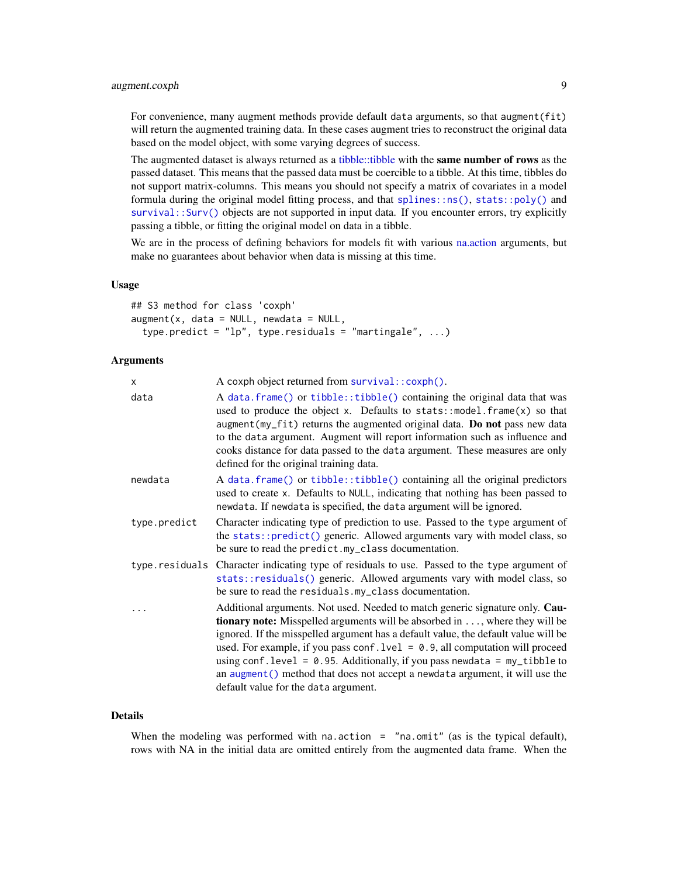## augment.coxph 9

For convenience, many augment methods provide default data arguments, so that augment (fit) will return the augmented training data. In these cases augment tries to reconstruct the original data based on the model object, with some varying degrees of success.

The augmented dataset is always returned as a [tibble::tibble](#page-0-0) with the same number of rows as the passed dataset. This means that the passed data must be coercible to a tibble. At this time, tibbles do not support matrix-columns. This means you should not specify a matrix of covariates in a model formula during the original model fitting process, and that [splines::ns\(\)](#page-0-0), [stats::poly\(\)](#page-0-0) and [survival::Surv\(\)](#page-0-0) objects are not supported in input data. If you encounter errors, try explicitly passing a tibble, or fitting the original model on data in a tibble.

We are in the process of defining behaviors for models fit with various [na.action](#page-0-0) arguments, but make no guarantees about behavior when data is missing at this time.

#### Usage

```
## S3 method for class 'coxph'
augment(x, data = NULL, newdata = NULL,type.predict = "lp", type.residuals = "martingale", ...)
```
#### Arguments

| X              | A coxph object returned from survival:: coxph().                                                                                                                                                                                                                                                                                                                                                                                                                                                                                                               |
|----------------|----------------------------------------------------------------------------------------------------------------------------------------------------------------------------------------------------------------------------------------------------------------------------------------------------------------------------------------------------------------------------------------------------------------------------------------------------------------------------------------------------------------------------------------------------------------|
| data           | A data.frame() or tibble::tibble() containing the original data that was<br>used to produce the object x. Defaults to stats:: model. $frame(x)$ so that<br>augment (my_fit) returns the augmented original data. Do not pass new data<br>to the data argument. Augment will report information such as influence and<br>cooks distance for data passed to the data argument. These measures are only<br>defined for the original training data.                                                                                                                |
| newdata        | A data.frame() or tibble::tibble() containing all the original predictors<br>used to create x. Defaults to NULL, indicating that nothing has been passed to<br>newdata. If newdata is specified, the data argument will be ignored.                                                                                                                                                                                                                                                                                                                            |
| type.predict   | Character indicating type of prediction to use. Passed to the type argument of<br>the stats::predict() generic. Allowed arguments vary with model class, so<br>be sure to read the predict.my_class documentation.                                                                                                                                                                                                                                                                                                                                             |
| type.residuals | Character indicating type of residuals to use. Passed to the type argument of<br>stats::residuals() generic. Allowed arguments vary with model class, so<br>be sure to read the residuals. my_class documentation.                                                                                                                                                                                                                                                                                                                                             |
|                | Additional arguments. Not used. Needed to match generic signature only. Cau-<br><b>tionary note:</b> Misspelled arguments will be absorbed in , where they will be<br>ignored. If the misspelled argument has a default value, the default value will be<br>used. For example, if you pass conf. $1$ ve $1 = 0.9$ , all computation will proceed<br>using conf. level = $0.95$ . Additionally, if you pass newdata = $my_t$ tibble to<br>an augment () method that does not accept a newdata argument, it will use the<br>default value for the data argument. |

#### Details

When the modeling was performed with na.action =  $"$ na.omit" (as is the typical default), rows with NA in the initial data are omitted entirely from the augmented data frame. When the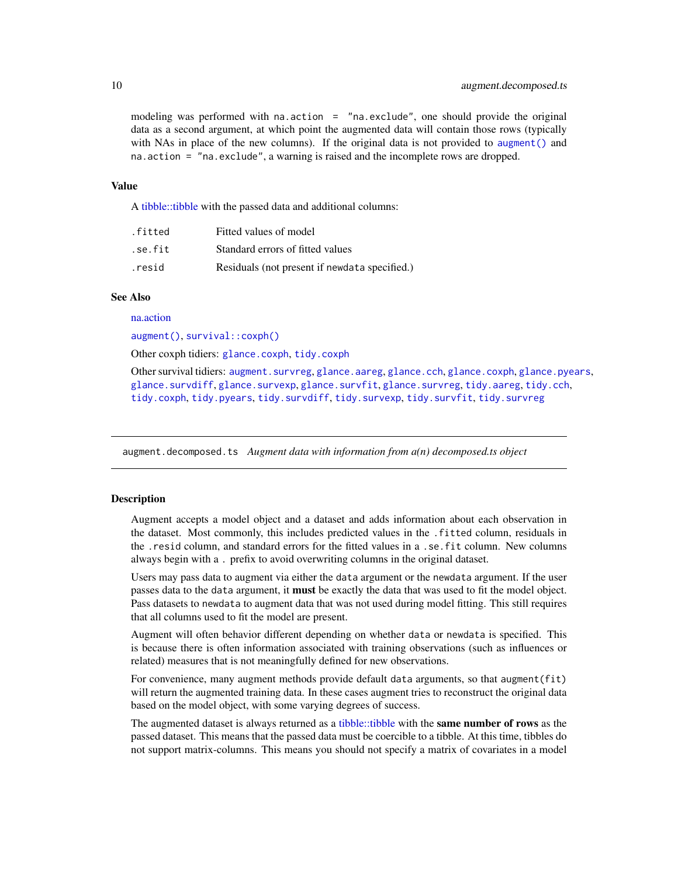<span id="page-9-0"></span>modeling was performed with na.action = "na.exclude", one should provide the original data as a second argument, at which point the augmented data will contain those rows (typically with NAs in place of the new columns). If the original data is not provided to [augment\(\)](#page-0-0) and na.action = "na.exclude", a warning is raised and the incomplete rows are dropped.

#### Value

A [tibble::tibble](#page-0-0) with the passed data and additional columns:

| .fitted | Fitted values of model                        |
|---------|-----------------------------------------------|
| .se.fit | Standard errors of fitted values              |
| .resid  | Residuals (not present if newdata specified.) |

#### See Also

#### [na.action](#page-0-0)

[augment\(\)](#page-0-0), [survival::coxph\(\)](#page-0-0)

Other coxph tidiers: [glance.coxph](#page-66-1), [tidy.coxph](#page-148-1)

Other survival tidiers: [augment.survreg](#page-46-1), [glance.aareg](#page-59-1), [glance.cch](#page-65-1), [glance.coxph](#page-66-1), [glance.pyears](#page-97-1), [glance.survdiff](#page-104-1), [glance.survexp](#page-105-1), [glance.survfit](#page-106-1), [glance.survreg](#page-107-1), [tidy.aareg](#page-126-1), [tidy.cch](#page-142-1), [tidy.coxph](#page-148-1), [tidy.pyears](#page-216-1), [tidy.survdiff](#page-229-1), [tidy.survexp](#page-230-1), [tidy.survfit](#page-231-1), [tidy.survreg](#page-233-1)

augment.decomposed.ts *Augment data with information from a(n) decomposed.ts object*

#### Description

Augment accepts a model object and a dataset and adds information about each observation in the dataset. Most commonly, this includes predicted values in the .fitted column, residuals in the .resid column, and standard errors for the fitted values in a .se.fit column. New columns always begin with a . prefix to avoid overwriting columns in the original dataset.

Users may pass data to augment via either the data argument or the newdata argument. If the user passes data to the data argument, it **must** be exactly the data that was used to fit the model object. Pass datasets to newdata to augment data that was not used during model fitting. This still requires that all columns used to fit the model are present.

Augment will often behavior different depending on whether data or newdata is specified. This is because there is often information associated with training observations (such as influences or related) measures that is not meaningfully defined for new observations.

For convenience, many augment methods provide default data arguments, so that augment (fit) will return the augmented training data. In these cases augment tries to reconstruct the original data based on the model object, with some varying degrees of success.

The augmented dataset is always returned as a [tibble::tibble](#page-0-0) with the same number of rows as the passed dataset. This means that the passed data must be coercible to a tibble. At this time, tibbles do not support matrix-columns. This means you should not specify a matrix of covariates in a model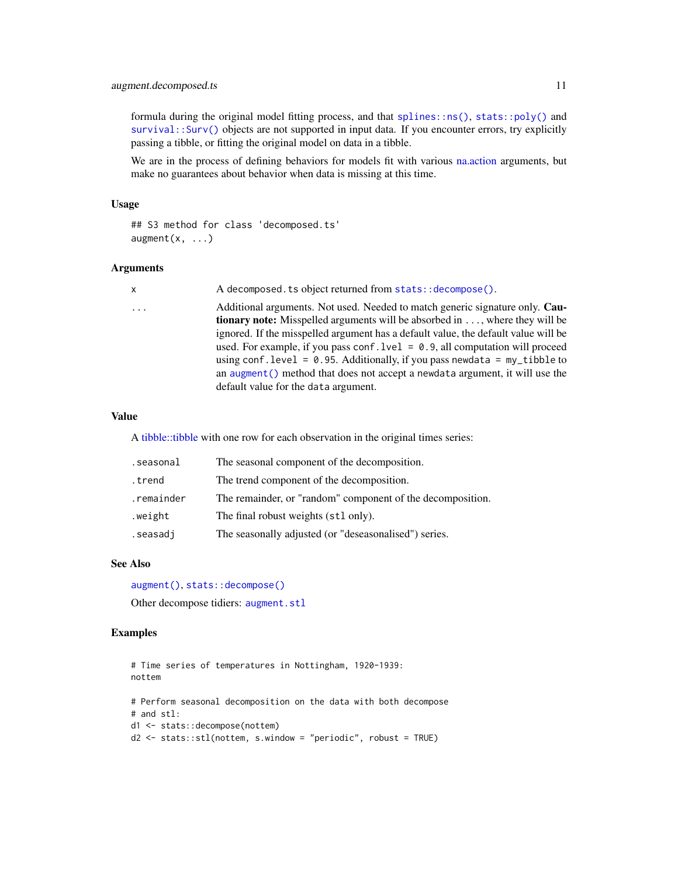formula during the original model fitting process, and that [splines::ns\(\)](#page-0-0), [stats::poly\(\)](#page-0-0) and [survival::Surv\(\)](#page-0-0) objects are not supported in input data. If you encounter errors, try explicitly passing a tibble, or fitting the original model on data in a tibble.

We are in the process of defining behaviors for models fit with various [na.action](#page-0-0) arguments, but make no guarantees about behavior when data is missing at this time.

#### Usage

```
## S3 method for class 'decomposed.ts'
augment(x, \ldots)
```
#### Arguments

```
x A decomposed.ts object returned from stats::decompose().
```
... Additional arguments. Not used. Needed to match generic signature only. Cautionary note: Misspelled arguments will be absorbed in ..., where they will be ignored. If the misspelled argument has a default value, the default value will be used. For example, if you pass conf.  $level = 0.9$ , all computation will proceed using conf.level = 0.95. Additionally, if you pass newdata = my\_tibble to an [augment\(\)](#page-0-0) method that does not accept a newdata argument, it will use the default value for the data argument.

#### Value

A [tibble::tibble](#page-0-0) with one row for each observation in the original times series:

| .seasonal  | The seasonal component of the decomposition.               |
|------------|------------------------------------------------------------|
| .trend     | The trend component of the decomposition.                  |
| .remainder | The remainder, or "random" component of the decomposition. |
| .weight    | The final robust weights (st1 only).                       |
| .seasadj   | The seasonally adjusted (or "deseasonalised") series.      |

#### See Also

[augment\(\)](#page-0-0), [stats::decompose\(\)](#page-0-0) Other decompose tidiers: [augment.stl](#page-45-1)

## Examples

```
# Time series of temperatures in Nottingham, 1920-1939:
nottem
# Perform seasonal decomposition on the data with both decompose
# and stl:
d1 <- stats::decompose(nottem)
d2 \le - stats::stl(nottem, s.window = "periodic", robust = TRUE)
```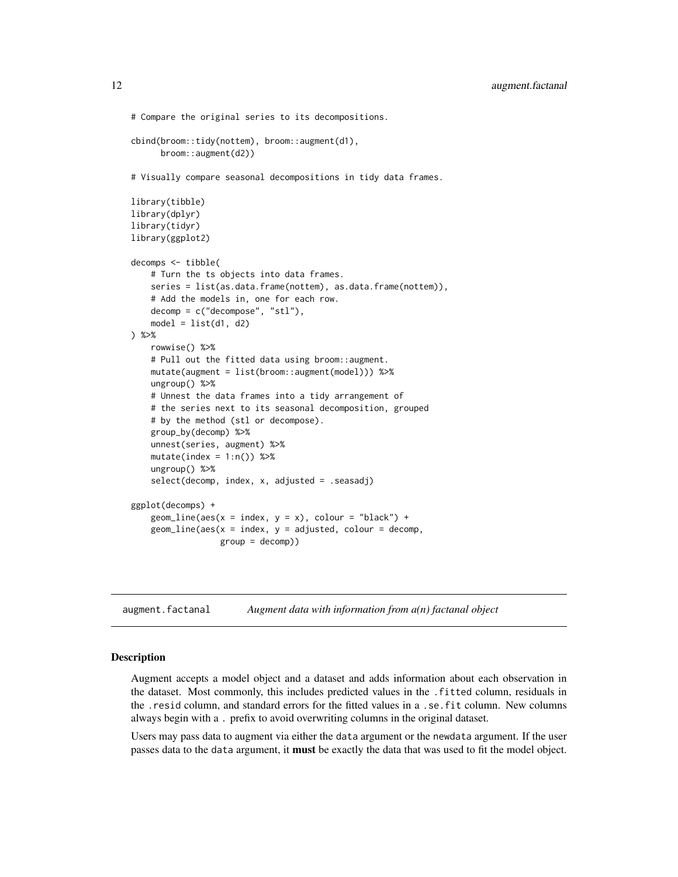```
# Compare the original series to its decompositions.
cbind(broom::tidy(nottem), broom::augment(d1),
     broom::augment(d2))
# Visually compare seasonal decompositions in tidy data frames.
library(tibble)
library(dplyr)
library(tidyr)
library(ggplot2)
decomps <- tibble(
    # Turn the ts objects into data frames.
    series = list(as.data.frame(nottem), as.data.frame(nottem)),
    # Add the models in, one for each row.
    decomp = c("decompose", "stl"),
    model = list(d1, d2)) %>%
    rowwise() %>%
    # Pull out the fitted data using broom::augment.
   mutate(augment = list(broom::augment(model))) %>%
   ungroup() %>%
    # Unnest the data frames into a tidy arrangement of
    # the series next to its seasonal decomposition, grouped
    # by the method (stl or decompose).
    group_by(decomp) %>%
   unnest(series, augment) %>%
    mutate/index = 1:n()) %>%
   ungroup() %>%
    select(decomp, index, x, adjusted = .seasadj)
ggplot(decomps) +
    geom\_line(aes(x = index, y = x), colour = "black") +geom\_line(aes(x = index, y = adjusted, colour = decomp,group = decomp))
```
augment.factanal *Augment data with information from a(n) factanal object*

#### **Description**

Augment accepts a model object and a dataset and adds information about each observation in the dataset. Most commonly, this includes predicted values in the .fitted column, residuals in the .resid column, and standard errors for the fitted values in a .se.fit column. New columns always begin with a . prefix to avoid overwriting columns in the original dataset.

Users may pass data to augment via either the data argument or the newdata argument. If the user passes data to the data argument, it **must** be exactly the data that was used to fit the model object.

<span id="page-11-0"></span>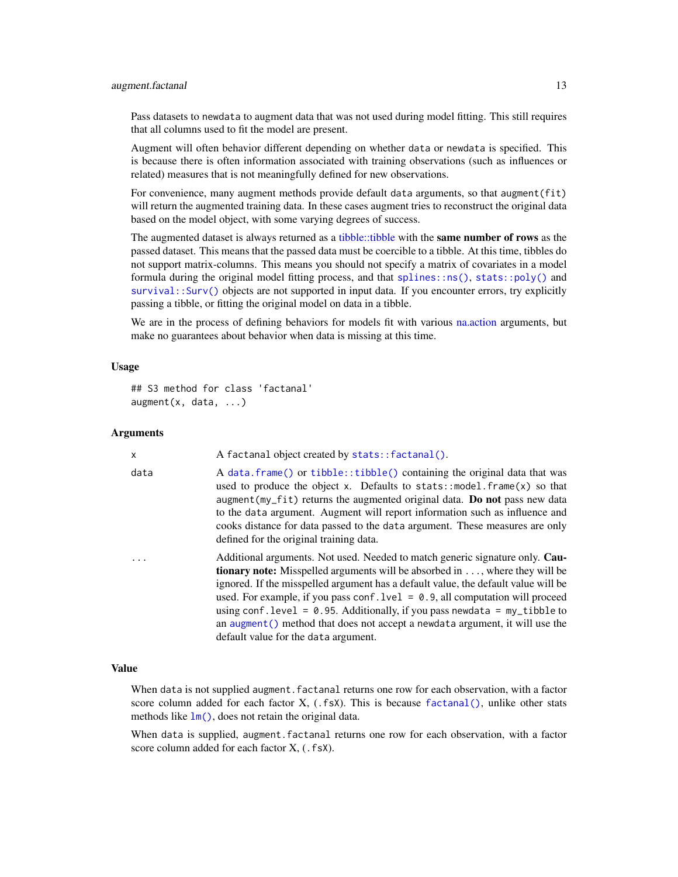#### augment.factanal 13

Pass datasets to newdata to augment data that was not used during model fitting. This still requires that all columns used to fit the model are present.

Augment will often behavior different depending on whether data or newdata is specified. This is because there is often information associated with training observations (such as influences or related) measures that is not meaningfully defined for new observations.

For convenience, many augment methods provide default data arguments, so that augment (fit) will return the augmented training data. In these cases augment tries to reconstruct the original data based on the model object, with some varying degrees of success.

The augmented dataset is always returned as a [tibble::tibble](#page-0-0) with the same number of rows as the passed dataset. This means that the passed data must be coercible to a tibble. At this time, tibbles do not support matrix-columns. This means you should not specify a matrix of covariates in a model formula during the original model fitting process, and that [splines::ns\(\)](#page-0-0), [stats::poly\(\)](#page-0-0) and [survival::Surv\(\)](#page-0-0) objects are not supported in input data. If you encounter errors, try explicitly passing a tibble, or fitting the original model on data in a tibble.

We are in the process of defining behaviors for models fit with various [na.action](#page-0-0) arguments, but make no guarantees about behavior when data is missing at this time.

#### Usage

```
## S3 method for class 'factanal'
augment(x, data, ...)
```
#### Arguments

| X          | A factanal object created by stats:: factanal().                                                                                                                                                                                                                                                                                                                                                                                                |
|------------|-------------------------------------------------------------------------------------------------------------------------------------------------------------------------------------------------------------------------------------------------------------------------------------------------------------------------------------------------------------------------------------------------------------------------------------------------|
| data       | A data.frame() or tibble::tibble() containing the original data that was<br>used to produce the object x. Defaults to stats::model.frame $(x)$ so that<br>$augment(my_fit)$ returns the augmented original data. Do not pass new data<br>to the data argument. Augment will report information such as influence and<br>cooks distance for data passed to the data argument. These measures are only<br>defined for the original training data. |
| $\ddots$ . | Additional arguments. Not used. Needed to match generic signature only. Cau-<br><b>tionary note:</b> Misspelled arguments will be absorbed in , where they will be                                                                                                                                                                                                                                                                              |

tionary note: Misspelled arguments will be absorbed in . . . , where they will be ignored. If the misspelled argument has a default value, the default value will be used. For example, if you pass conf.  $level = 0.9$ , all computation will proceed using conf.level =  $0.95$ . Additionally, if you pass newdata =  $my$ \_tibble to an [augment\(\)](#page-0-0) method that does not accept a newdata argument, it will use the default value for the data argument.

## Value

When data is not supplied augment. factanal returns one row for each observation, with a factor score column added for each factor  $X$ ,  $(.fsX)$ . This is because factanal $()$ , unlike other stats methods like  $lm()$ , does not retain the original data.

When data is supplied, augment.factanal returns one row for each observation, with a factor score column added for each factor X,  $($ .fsX $)$ .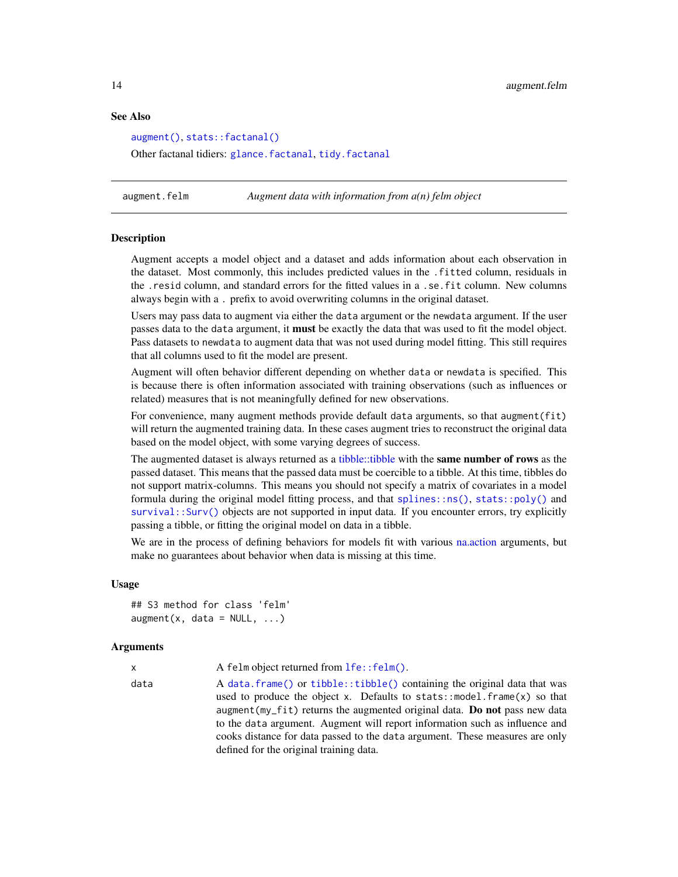#### See Also

[augment\(\)](#page-0-0), [stats::factanal\(\)](#page-0-0) Other factanal tidiers: [glance.factanal](#page-69-1), [tidy.factanal](#page-156-1)

augment.felm *Augment data with information from a(n) felm object*

#### Description

Augment accepts a model object and a dataset and adds information about each observation in the dataset. Most commonly, this includes predicted values in the .fitted column, residuals in the .resid column, and standard errors for the fitted values in a .se.fit column. New columns always begin with a . prefix to avoid overwriting columns in the original dataset.

Users may pass data to augment via either the data argument or the newdata argument. If the user passes data to the data argument, it must be exactly the data that was used to fit the model object. Pass datasets to newdata to augment data that was not used during model fitting. This still requires that all columns used to fit the model are present.

Augment will often behavior different depending on whether data or newdata is specified. This is because there is often information associated with training observations (such as influences or related) measures that is not meaningfully defined for new observations.

For convenience, many augment methods provide default data arguments, so that augment (fit) will return the augmented training data. In these cases augment tries to reconstruct the original data based on the model object, with some varying degrees of success.

The augmented dataset is always returned as a [tibble::tibble](#page-0-0) with the **same number of rows** as the passed dataset. This means that the passed data must be coercible to a tibble. At this time, tibbles do not support matrix-columns. This means you should not specify a matrix of covariates in a model formula during the original model fitting process, and that [splines::ns\(\)](#page-0-0), [stats::poly\(\)](#page-0-0) and survival:: Surv() objects are not supported in input data. If you encounter errors, try explicitly passing a tibble, or fitting the original model on data in a tibble.

We are in the process of defining behaviors for models fit with various [na.action](#page-0-0) arguments, but make no guarantees about behavior when data is missing at this time.

#### Usage

```
## S3 method for class 'felm'
augment(x, data = NULL, ...)
```

| $\times$ | A felm object returned from $lfe::felm()$ .                                                                                                                                                                                                                                                                                                                                                                                                    |
|----------|------------------------------------------------------------------------------------------------------------------------------------------------------------------------------------------------------------------------------------------------------------------------------------------------------------------------------------------------------------------------------------------------------------------------------------------------|
| data     | A data.frame() or tibble::tibble() containing the original data that was<br>used to produce the object x. Defaults to stats::model.frame $(x)$ so that<br>augment (my_fit) returns the augmented original data. Do not pass new data<br>to the data argument. Augment will report information such as influence and<br>cooks distance for data passed to the data argument. These measures are only<br>defined for the original training data. |

<span id="page-13-0"></span>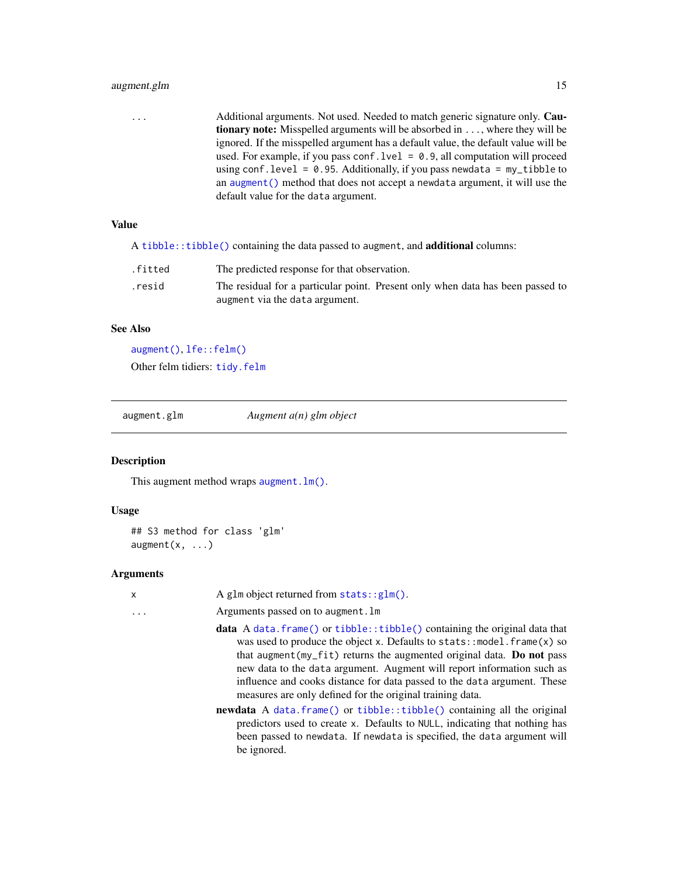## <span id="page-14-0"></span>augment.glm 15

... Additional arguments. Not used. Needed to match generic signature only. Cautionary note: Misspelled arguments will be absorbed in ..., where they will be ignored. If the misspelled argument has a default value, the default value will be used. For example, if you pass conf.lvel = 0.9, all computation will proceed using conf.level =  $0.95$ . Additionally, if you pass newdata = my\_tibble to an [augment\(\)](#page-0-0) method that does not accept a newdata argument, it will use the default value for the data argument.

## Value

|  | A tibble::tibble() containing the data passed to augment, and <b>additional</b> columns: |  |  |  |  |  |
|--|------------------------------------------------------------------------------------------|--|--|--|--|--|
|--|------------------------------------------------------------------------------------------|--|--|--|--|--|

| .fitted | The predicted response for that observation.                                   |
|---------|--------------------------------------------------------------------------------|
| .resid  | The residual for a particular point. Present only when data has been passed to |
|         | augment via the data argument.                                                 |

## See Also

[augment\(\)](#page-0-0), [lfe::felm\(\)](#page-0-0)

Other felm tidiers: [tidy.felm](#page-157-1)

<span id="page-14-1"></span>augment.glm *Augment a(n) glm object*

## Description

This augment method wraps [augment.lm\(\)](#page-22-1).

## Usage

```
## S3 method for class 'glm'
augment(x, \ldots)
```

| x        | A glm object returned from $stats::glm()$ .                                                                                                                                                                                                                                                                                                                                                                                                        |
|----------|----------------------------------------------------------------------------------------------------------------------------------------------------------------------------------------------------------------------------------------------------------------------------------------------------------------------------------------------------------------------------------------------------------------------------------------------------|
| $\ddots$ | Arguments passed on to augment. Im                                                                                                                                                                                                                                                                                                                                                                                                                 |
|          | data A data. frame() or tibble:: tibble() containing the original data that<br>was used to produce the object x. Defaults to stats::model.frame(x) so<br>that augment (my_fit) returns the augmented original data. Do not pass<br>new data to the data argument. Augment will report information such as<br>influence and cooks distance for data passed to the data argument. These<br>measures are only defined for the original training data. |
|          | newdata A data.frame() or tibble::tibble() containing all the original<br>predictors used to create x. Defaults to NULL, indicating that nothing has<br>been passed to newdata. If newdata is specified, the data argument will<br>be ignored.                                                                                                                                                                                                     |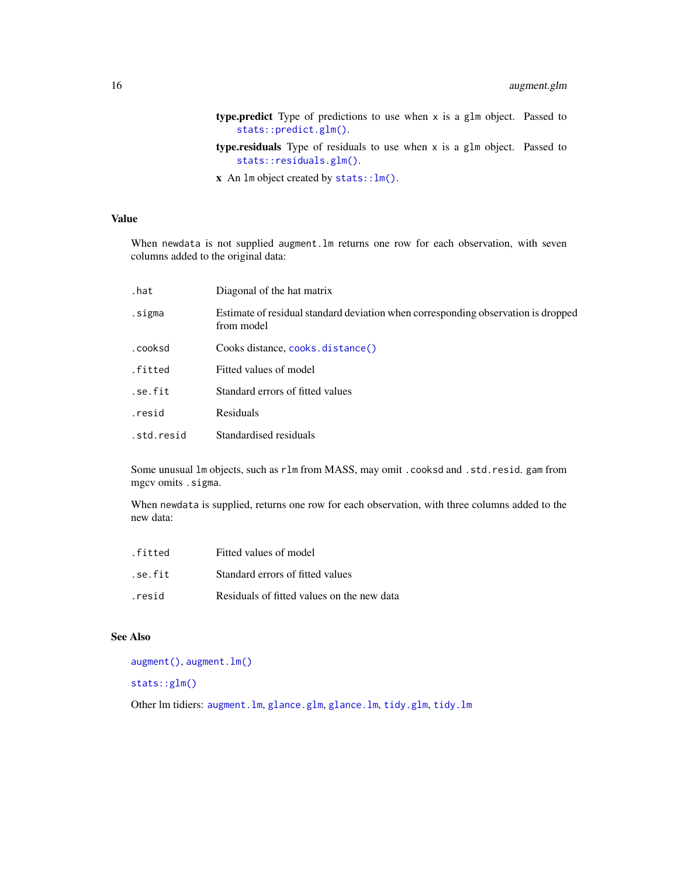- type.predict Type of predictions to use when x is a glm object. Passed to [stats::predict.glm\(\)](#page-0-0).
- type.residuals Type of residuals to use when x is a glm object. Passed to [stats::residuals.glm\(\)](#page-0-0).
- x An lm object created by [stats::lm\(\)](#page-0-0).

#### Value

When newdata is not supplied augment.lm returns one row for each observation, with seven columns added to the original data:

| .hat       | Diagonal of the hat matrix                                                                      |
|------------|-------------------------------------------------------------------------------------------------|
| .sigma     | Estimate of residual standard deviation when corresponding observation is dropped<br>from model |
| .cooksd    | Cooks distance, cooks.distance()                                                                |
| .fitted    | Fitted values of model                                                                          |
| .se.fit    | Standard errors of fitted values                                                                |
| .resid     | Residuals                                                                                       |
| .std.resid | Standardised residuals                                                                          |

Some unusual lm objects, such as rlm from MASS, may omit .cooksd and .std.resid. gam from mgcv omits .sigma.

When newdata is supplied, returns one row for each observation, with three columns added to the new data:

| .fitted | Fitted values of model                     |
|---------|--------------------------------------------|
| .se.fit | Standard errors of fitted values           |
| .resid  | Residuals of fitted values on the new data |

## See Also

[augment\(\)](#page-0-0), [augment.lm\(\)](#page-22-1)

[stats::glm\(\)](#page-0-0)

Other lm tidiers: [augment.lm](#page-22-1), [glance.glm](#page-76-1), [glance.lm](#page-84-1), [tidy.glm](#page-168-1), [tidy.lm](#page-185-1)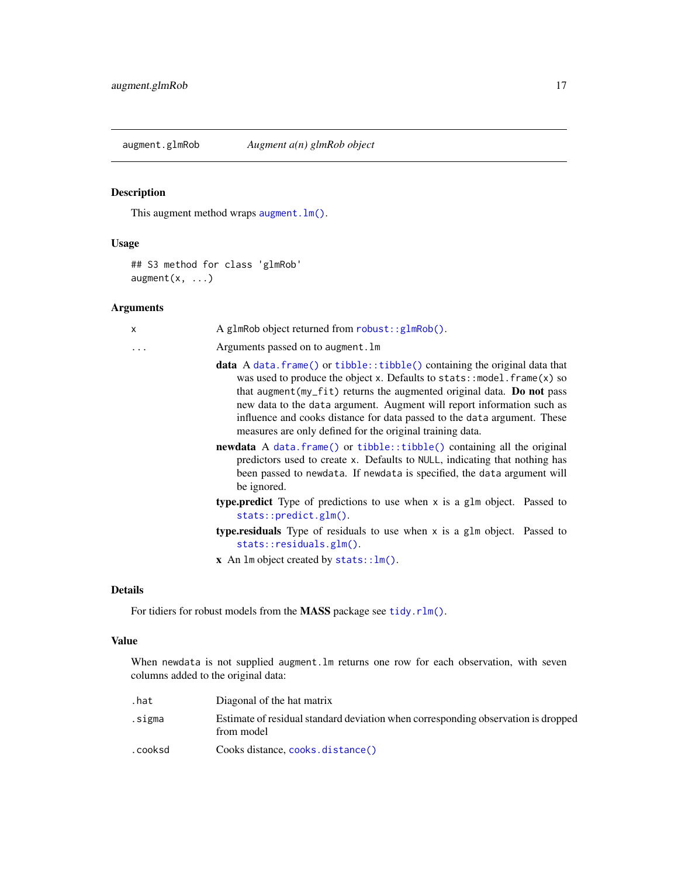<span id="page-16-1"></span><span id="page-16-0"></span>augment.glmRob *Augment a(n) glmRob object*

## Description

This augment method wraps [augment.lm\(\)](#page-22-1).

## Usage

```
## S3 method for class 'glmRob'
augment(x, ...)
```
## Arguments

| A glmRob object returned from robust::glmRob().                                                                                                                                                                                                                                                                                                                                                                                                                  |
|------------------------------------------------------------------------------------------------------------------------------------------------------------------------------------------------------------------------------------------------------------------------------------------------------------------------------------------------------------------------------------------------------------------------------------------------------------------|
| Arguments passed on to augment. Im                                                                                                                                                                                                                                                                                                                                                                                                                               |
| <b>data</b> A data. frame() or tibble::tibble() containing the original data that<br>was used to produce the object x. Defaults to $stats::modelੂ$ . frame $(x)$ so<br>that augment (my_fit) returns the augmented original data. Do not pass<br>new data to the data argument. Augment will report information such as<br>influence and cooks distance for data passed to the data argument. These<br>measures are only defined for the original training data. |
| newdata A data.frame() or tibble::tibble() containing all the original<br>predictors used to create x. Defaults to NULL, indicating that nothing has<br>been passed to newdata. If newdata is specified, the data argument will<br>be ignored.                                                                                                                                                                                                                   |
| <b>type.predict</b> Type of predictions to use when x is a glm object. Passed to<br>$stats::predict.glm()$ .                                                                                                                                                                                                                                                                                                                                                     |
| <b>type.residuals</b> Type of residuals to use when x is a glm object. Passed to<br>stats::residuals.glm().                                                                                                                                                                                                                                                                                                                                                      |
| $x$ An $lm$ object created by stats:: $lm()$ .                                                                                                                                                                                                                                                                                                                                                                                                                   |
|                                                                                                                                                                                                                                                                                                                                                                                                                                                                  |

## Details

For tidiers for robust models from the MASS package see [tidy.rlm\(\)](#page-220-1).

## Value

When newdata is not supplied augment.lm returns one row for each observation, with seven columns added to the original data:

| .hat    | Diagonal of the hat matrix                                                                      |
|---------|-------------------------------------------------------------------------------------------------|
| .sigma  | Estimate of residual standard deviation when corresponding observation is dropped<br>from model |
| .cooksd | Cooks distance, cooks.distance()                                                                |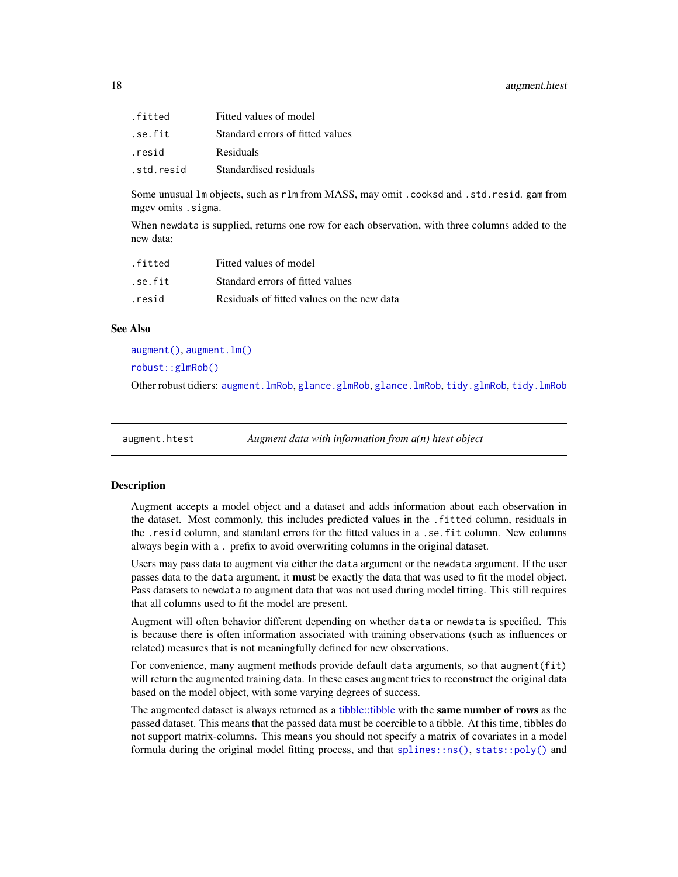<span id="page-17-0"></span>

| .fitted    | Fitted values of model           |
|------------|----------------------------------|
| .se.fit    | Standard errors of fitted values |
| .resid     | Residuals                        |
| .std.resid | Standardised residuals           |

Some unusual lm objects, such as rlm from MASS, may omit .cooksd and .std.resid. gam from mgcv omits .sigma.

When newdata is supplied, returns one row for each observation, with three columns added to the new data:

| .fitted | Fitted values of model                     |
|---------|--------------------------------------------|
| .se.fit | Standard errors of fitted values           |
| .resid  | Residuals of fitted values on the new data |

#### See Also

[augment\(\)](#page-0-0), [augment.lm\(\)](#page-22-1)

[robust::glmRob\(\)](#page-0-0)

Other robust tidiers: [augment.lmRob](#page-24-1), [glance.glmRob](#page-78-1), [glance.lmRob](#page-87-1), [tidy.glmRob](#page-171-1), [tidy.lmRob](#page-189-1)

augment.htest *Augment data with information from a(n) htest object*

#### **Description**

Augment accepts a model object and a dataset and adds information about each observation in the dataset. Most commonly, this includes predicted values in the .fitted column, residuals in the .resid column, and standard errors for the fitted values in a .se.fit column. New columns always begin with a . prefix to avoid overwriting columns in the original dataset.

Users may pass data to augment via either the data argument or the newdata argument. If the user passes data to the data argument, it **must** be exactly the data that was used to fit the model object. Pass datasets to newdata to augment data that was not used during model fitting. This still requires that all columns used to fit the model are present.

Augment will often behavior different depending on whether data or newdata is specified. This is because there is often information associated with training observations (such as influences or related) measures that is not meaningfully defined for new observations.

For convenience, many augment methods provide default data arguments, so that augment (fit) will return the augmented training data. In these cases augment tries to reconstruct the original data based on the model object, with some varying degrees of success.

The augmented dataset is always returned as a [tibble::tibble](#page-0-0) with the **same number of rows** as the passed dataset. This means that the passed data must be coercible to a tibble. At this time, tibbles do not support matrix-columns. This means you should not specify a matrix of covariates in a model formula during the original model fitting process, and that [splines::ns\(\)](#page-0-0), [stats::poly\(\)](#page-0-0) and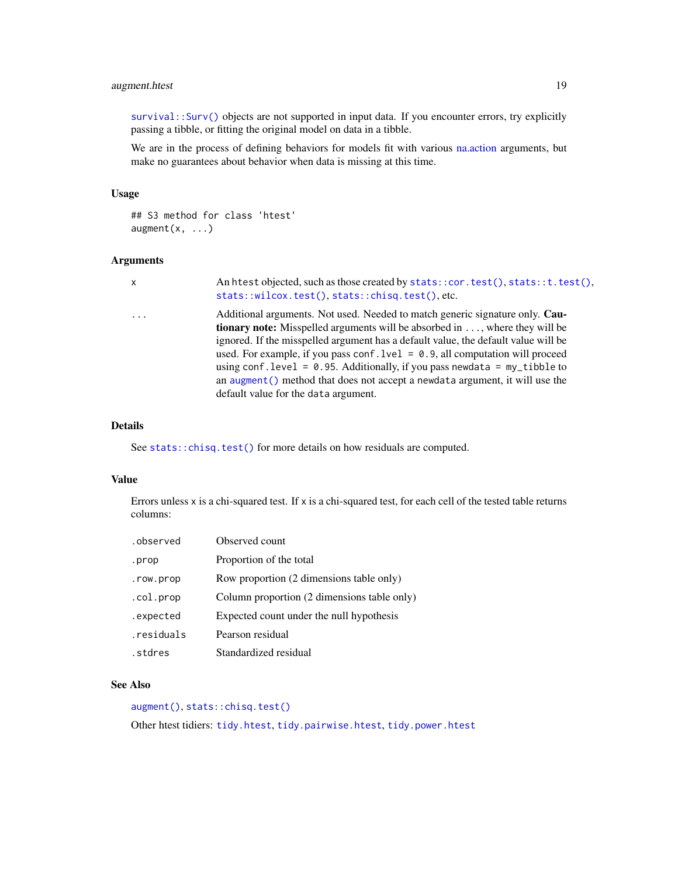## augment.htest 19

[survival::Surv\(\)](#page-0-0) objects are not supported in input data. If you encounter errors, try explicitly passing a tibble, or fitting the original model on data in a tibble.

We are in the process of defining behaviors for models fit with various [na.action](#page-0-0) arguments, but make no guarantees about behavior when data is missing at this time.

#### Usage

```
## S3 method for class 'htest'
augment(x, \ldots)
```
#### Arguments

|  | 1 |   | ٢ |
|--|---|---|---|
|  |   |   |   |
|  |   |   |   |
|  |   |   |   |
|  |   |   |   |
|  |   |   |   |
|  |   | ٠ |   |

An htest objected, such as those created by [stats::cor.test\(\)](#page-0-0), [stats::t.test\(\)](#page-0-0), [stats::wilcox.test\(\)](#page-0-0), [stats::chisq.test\(\)](#page-0-0), etc.

... Additional arguments. Not used. Needed to match generic signature only. Cautionary note: Misspelled arguments will be absorbed in ..., where they will be ignored. If the misspelled argument has a default value, the default value will be used. For example, if you pass conf.  $level = 0.9$ , all computation will proceed using conf.level =  $0.95$ . Additionally, if you pass newdata = my\_tibble to an [augment\(\)](#page-0-0) method that does not accept a newdata argument, it will use the default value for the data argument.

#### Details

See [stats::chisq.test\(\)](#page-0-0) for more details on how residuals are computed.

#### Value

Errors unless  $x$  is a chi-squared test. If  $x$  is a chi-squared test, for each cell of the tested table returns columns:

| .observed  | Observed count                              |
|------------|---------------------------------------------|
| .prop      | Proportion of the total                     |
| .row.prop  | Row proportion (2 dimensions table only)    |
| .col.prop  | Column proportion (2 dimensions table only) |
| .expected  | Expected count under the null hypothesis    |
| .residuals | Pearson residual                            |
| .stdres    | Standardized residual                       |

## See Also

[augment\(\)](#page-0-0), [stats::chisq.test\(\)](#page-0-0)

Other htest tidiers: [tidy.htest](#page-175-1), [tidy.pairwise.htest](#page-205-1), [tidy.power.htest](#page-213-1)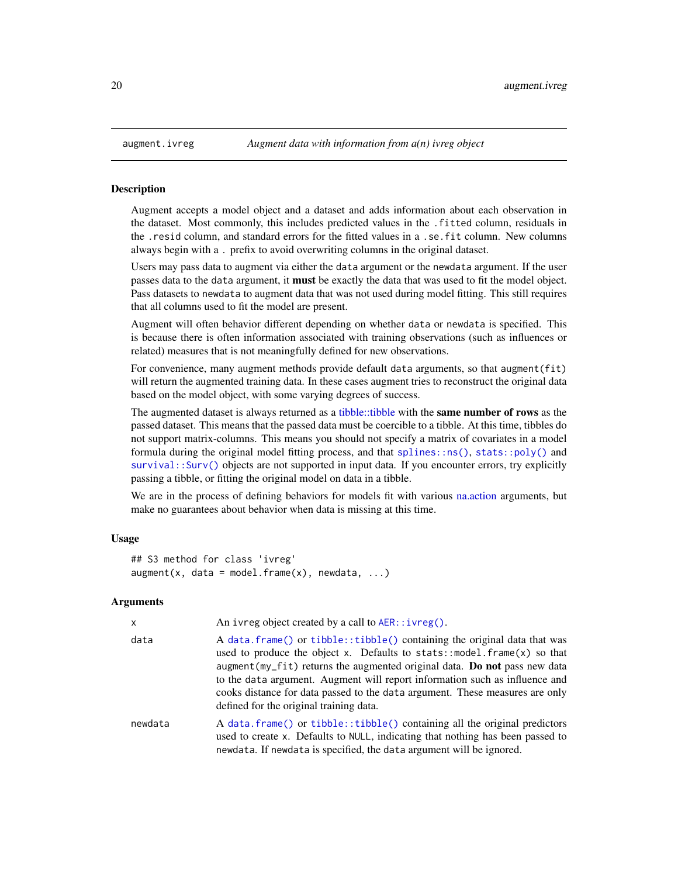#### Description

Augment accepts a model object and a dataset and adds information about each observation in the dataset. Most commonly, this includes predicted values in the .fitted column, residuals in the .resid column, and standard errors for the fitted values in a .se.fit column. New columns always begin with a . prefix to avoid overwriting columns in the original dataset.

Users may pass data to augment via either the data argument or the newdata argument. If the user passes data to the data argument, it **must** be exactly the data that was used to fit the model object. Pass datasets to newdata to augment data that was not used during model fitting. This still requires that all columns used to fit the model are present.

Augment will often behavior different depending on whether data or newdata is specified. This is because there is often information associated with training observations (such as influences or related) measures that is not meaningfully defined for new observations.

For convenience, many augment methods provide default data arguments, so that augment (fit) will return the augmented training data. In these cases augment tries to reconstruct the original data based on the model object, with some varying degrees of success.

The augmented dataset is always returned as a [tibble::tibble](#page-0-0) with the **same number of rows** as the passed dataset. This means that the passed data must be coercible to a tibble. At this time, tibbles do not support matrix-columns. This means you should not specify a matrix of covariates in a model formula during the original model fitting process, and that [splines::ns\(\)](#page-0-0), [stats::poly\(\)](#page-0-0) and [survival::Surv\(\)](#page-0-0) objects are not supported in input data. If you encounter errors, try explicitly passing a tibble, or fitting the original model on data in a tibble.

We are in the process of defining behaviors for models fit with various [na.action](#page-0-0) arguments, but make no guarantees about behavior when data is missing at this time.

#### Usage

```
## S3 method for class 'ivreg'
augment(x, data = model-frame(x), newdata, ...)
```

| x       | An ivreg object created by a call to $AER$ : : ivreg().                                                                                                                                                                                                                                                                                                                                                                                                 |
|---------|---------------------------------------------------------------------------------------------------------------------------------------------------------------------------------------------------------------------------------------------------------------------------------------------------------------------------------------------------------------------------------------------------------------------------------------------------------|
| data    | A data.frame() or tibble::tibble() containing the original data that was<br>used to produce the object x. Defaults to stats:: model. $frame(x)$ so that<br>$augment(my_fit)$ returns the augmented original data. <b>Do not</b> pass new data<br>to the data argument. Augment will report information such as influence and<br>cooks distance for data passed to the data argument. These measures are only<br>defined for the original training data. |
| newdata | A data. frame() or tibble::tibble() containing all the original predictors<br>used to create x. Defaults to NULL, indicating that nothing has been passed to<br>newdata. If newdata is specified, the data argument will be ignored.                                                                                                                                                                                                                    |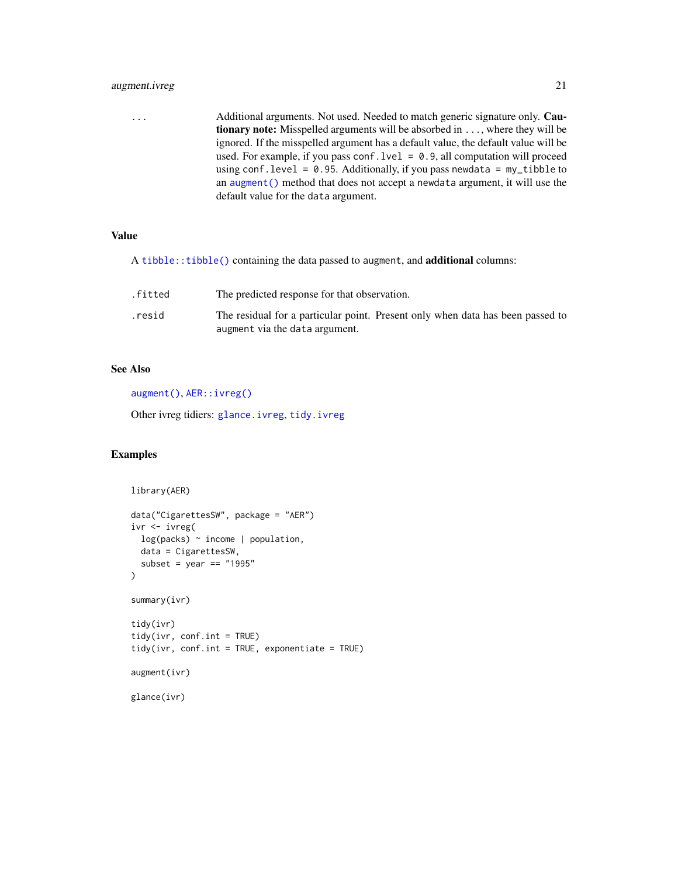## augment.ivreg 21

... Additional arguments. Not used. Needed to match generic signature only. **Cau**tionary note: Misspelled arguments will be absorbed in ..., where they will be ignored. If the misspelled argument has a default value, the default value will be used. For example, if you pass conf.  $level = 0.9$ , all computation will proceed using conf.level =  $0.95$ . Additionally, if you pass newdata = my\_tibble to an [augment\(\)](#page-0-0) method that does not accept a newdata argument, it will use the default value for the data argument.

## Value

|         | A tibble::tibble() containing the data passed to augment, and <b>additional</b> columns: |
|---------|------------------------------------------------------------------------------------------|
| .fitted | The predicted response for that observation.                                             |

| .resid | The residual for a particular point. Present only when data has been passed to |
|--------|--------------------------------------------------------------------------------|
|        | augment via the data argument.                                                 |

#### See Also

[augment\(\)](#page-0-0), [AER::ivreg\(\)](#page-0-0)

Other ivreg tidiers: [glance.ivreg](#page-80-1), [tidy.ivreg](#page-177-1)

## Examples

```
library(AER)
data("CigarettesSW", package = "AER")
ivr <- ivreg(
 log(packs) ~ income | population,
  data = CigarettesSW,
  subset = year == "1995"
\lambdasummary(ivr)
tidy(ivr)
tidy(ivr, conf.int = TRUE)
tidy(ivr, conf.int = TRUE, exponentiate = TRUE)
augment(ivr)
glance(ivr)
```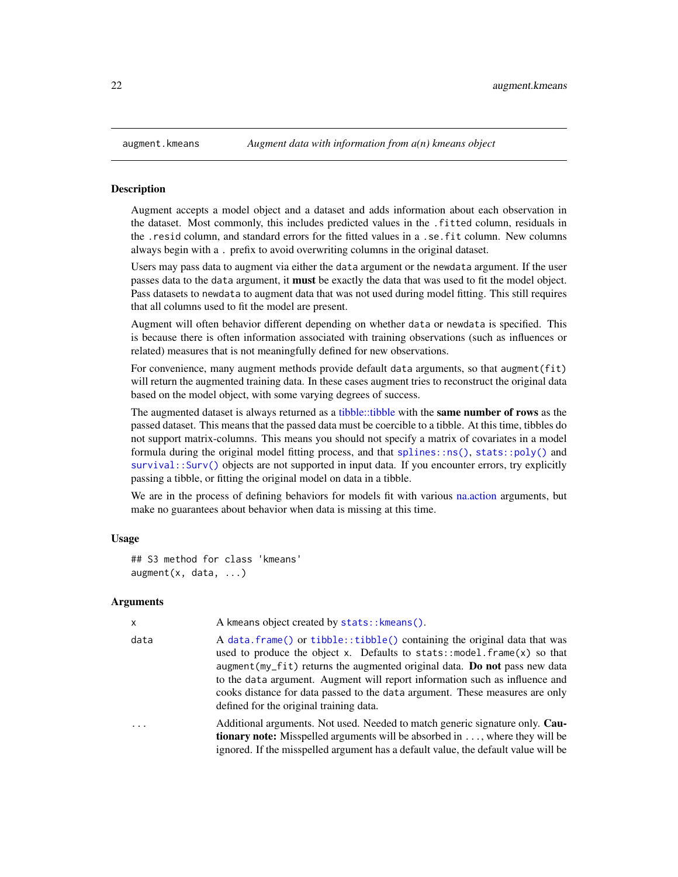#### Description

Augment accepts a model object and a dataset and adds information about each observation in the dataset. Most commonly, this includes predicted values in the .fitted column, residuals in the .resid column, and standard errors for the fitted values in a .se.fit column. New columns always begin with a . prefix to avoid overwriting columns in the original dataset.

Users may pass data to augment via either the data argument or the newdata argument. If the user passes data to the data argument, it **must** be exactly the data that was used to fit the model object. Pass datasets to newdata to augment data that was not used during model fitting. This still requires that all columns used to fit the model are present.

Augment will often behavior different depending on whether data or newdata is specified. This is because there is often information associated with training observations (such as influences or related) measures that is not meaningfully defined for new observations.

For convenience, many augment methods provide default data arguments, so that augment (fit) will return the augmented training data. In these cases augment tries to reconstruct the original data based on the model object, with some varying degrees of success.

The augmented dataset is always returned as a [tibble::tibble](#page-0-0) with the **same number of rows** as the passed dataset. This means that the passed data must be coercible to a tibble. At this time, tibbles do not support matrix-columns. This means you should not specify a matrix of covariates in a model formula during the original model fitting process, and that [splines::ns\(\)](#page-0-0), [stats::poly\(\)](#page-0-0) and [survival::Surv\(\)](#page-0-0) objects are not supported in input data. If you encounter errors, try explicitly passing a tibble, or fitting the original model on data in a tibble.

We are in the process of defining behaviors for models fit with various nature arguments, but make no guarantees about behavior when data is missing at this time.

#### Usage

```
## S3 method for class 'kmeans'
augment(x, data, ...)
```

| X    | A kmeans object created by stats:: kmeans().                                                                                                                                                                                                                                                                                                                                                                                                   |
|------|------------------------------------------------------------------------------------------------------------------------------------------------------------------------------------------------------------------------------------------------------------------------------------------------------------------------------------------------------------------------------------------------------------------------------------------------|
| data | A data.frame() or tibble::tibble() containing the original data that was<br>used to produce the object x. Defaults to stats::model.frame $(x)$ so that<br>augment (my_fit) returns the augmented original data. Do not pass new data<br>to the data argument. Augment will report information such as influence and<br>cooks distance for data passed to the data argument. These measures are only<br>defined for the original training data. |
| .    | Additional arguments. Not used. Needed to match generic signature only. Cau-<br><b>tionary note:</b> Misspelled arguments will be absorbed in , where they will be<br>ignored. If the misspelled argument has a default value, the default value will be                                                                                                                                                                                       |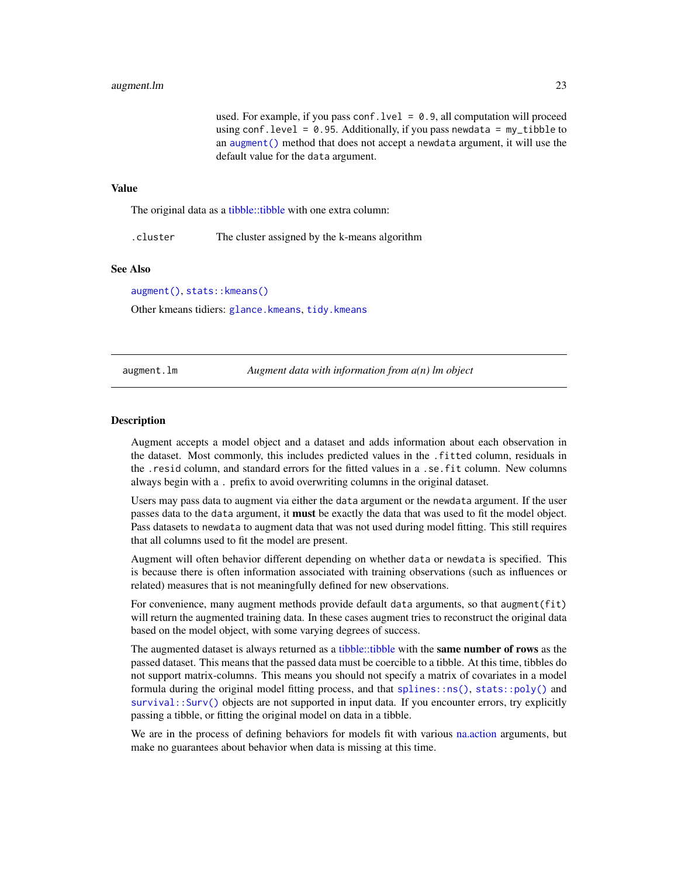#### <span id="page-22-0"></span>augment.lm 23

used. For example, if you pass conf.  $level = 0.9$ , all computation will proceed using conf.level =  $0.95$ . Additionally, if you pass newdata =  $my$ \_tibble to an [augment\(\)](#page-0-0) method that does not accept a newdata argument, it will use the default value for the data argument.

## Value

The original data as a [tibble::tibble](#page-0-0) with one extra column:

.cluster The cluster assigned by the k-means algorithm

#### See Also

[augment\(\)](#page-0-0), [stats::kmeans\(\)](#page-0-0)

Other kmeans tidiers: [glance.kmeans](#page-81-1), [tidy.kmeans](#page-183-1)

<span id="page-22-1"></span>augment.lm *Augment data with information from a(n) lm object*

#### Description

Augment accepts a model object and a dataset and adds information about each observation in the dataset. Most commonly, this includes predicted values in the .fitted column, residuals in the .resid column, and standard errors for the fitted values in a .se.fit column. New columns always begin with a . prefix to avoid overwriting columns in the original dataset.

Users may pass data to augment via either the data argument or the newdata argument. If the user passes data to the data argument, it **must** be exactly the data that was used to fit the model object. Pass datasets to newdata to augment data that was not used during model fitting. This still requires that all columns used to fit the model are present.

Augment will often behavior different depending on whether data or newdata is specified. This is because there is often information associated with training observations (such as influences or related) measures that is not meaningfully defined for new observations.

For convenience, many augment methods provide default data arguments, so that augment (fit) will return the augmented training data. In these cases augment tries to reconstruct the original data based on the model object, with some varying degrees of success.

The augmented dataset is always returned as a [tibble::tibble](#page-0-0) with the **same number of rows** as the passed dataset. This means that the passed data must be coercible to a tibble. At this time, tibbles do not support matrix-columns. This means you should not specify a matrix of covariates in a model formula during the original model fitting process, and that [splines::ns\(\)](#page-0-0), [stats::poly\(\)](#page-0-0) and [survival::Surv\(\)](#page-0-0) objects are not supported in input data. If you encounter errors, try explicitly passing a tibble, or fitting the original model on data in a tibble.

We are in the process of defining behaviors for models fit with various natural arguments, but make no guarantees about behavior when data is missing at this time.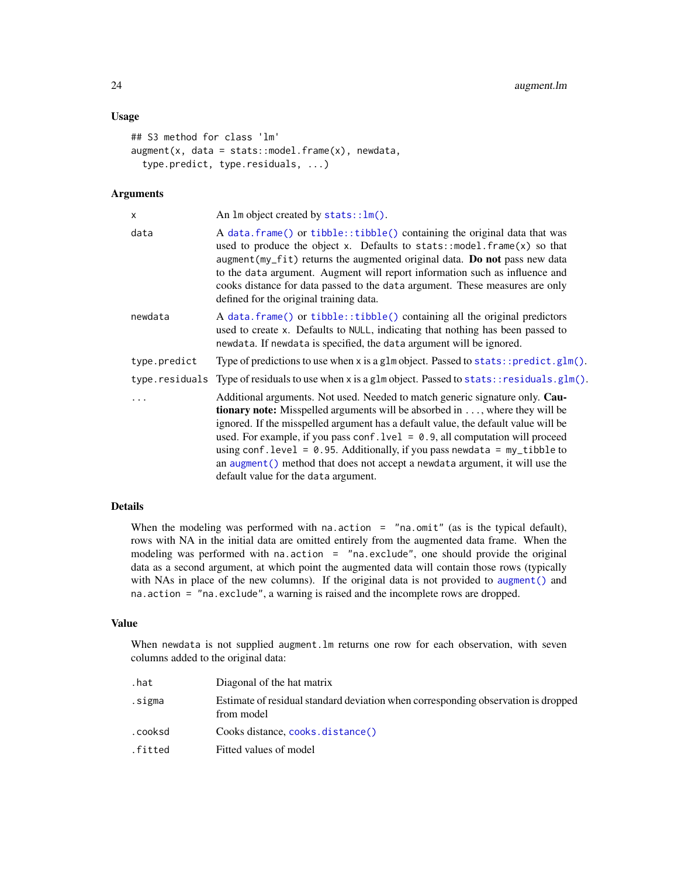## Usage

```
## S3 method for class 'lm'
augment(x, data = stats::model-frame(x), newdata,type.predict, type.residuals, ...)
```
## Arguments

| X            | An $lm$ object created by $stats::lm()$ .                                                                                                                                                                                                                                                                                                                                                                                                                                                                                                                  |  |
|--------------|------------------------------------------------------------------------------------------------------------------------------------------------------------------------------------------------------------------------------------------------------------------------------------------------------------------------------------------------------------------------------------------------------------------------------------------------------------------------------------------------------------------------------------------------------------|--|
| data         | A data.frame() or tibble::tibble() containing the original data that was<br>used to produce the object x. Defaults to stats:: model.frame $(x)$ so that<br>augment (my_fit) returns the augmented original data. Do not pass new data<br>to the data argument. Augment will report information such as influence and<br>cooks distance for data passed to the data argument. These measures are only<br>defined for the original training data.                                                                                                            |  |
| newdata      | A data. frame() or tibble::tibble() containing all the original predictors<br>used to create x. Defaults to NULL, indicating that nothing has been passed to<br>newdata. If newdata is specified, the data argument will be ignored.                                                                                                                                                                                                                                                                                                                       |  |
| type.predict | Type of predictions to use when x is a glm object. Passed to stats:: predict.glm().                                                                                                                                                                                                                                                                                                                                                                                                                                                                        |  |
|              | type. residuals Type of residuals to use when x is a glm object. Passed to stats: : residuals.glm().                                                                                                                                                                                                                                                                                                                                                                                                                                                       |  |
|              | Additional arguments. Not used. Needed to match generic signature only. Cau-<br><b>tionary note:</b> Misspelled arguments will be absorbed in , where they will be<br>ignored. If the misspelled argument has a default value, the default value will be<br>used. For example, if you pass conf. $1$ ve $1 = 0.9$ , all computation will proceed<br>using conf. level = $0.95$ . Additionally, if you pass newdata = my_tibble to<br>an augment () method that does not accept a newdata argument, it will use the<br>default value for the data argument. |  |

## Details

When the modeling was performed with na.action =  $"$ na.omit" (as is the typical default), rows with NA in the initial data are omitted entirely from the augmented data frame. When the modeling was performed with na.action = "na.exclude", one should provide the original data as a second argument, at which point the augmented data will contain those rows (typically with NAs in place of the new columns). If the original data is not provided to [augment\(\)](#page-0-0) and na.action = "na.exclude", a warning is raised and the incomplete rows are dropped.

## Value

When newdata is not supplied augment.lm returns one row for each observation, with seven columns added to the original data:

| .hat    | Diagonal of the hat matrix                                                                      |
|---------|-------------------------------------------------------------------------------------------------|
| .sigma  | Estimate of residual standard deviation when corresponding observation is dropped<br>from model |
| .cooksd | Cooks distance, cooks.distance()                                                                |
| .fitted | Fitted values of model                                                                          |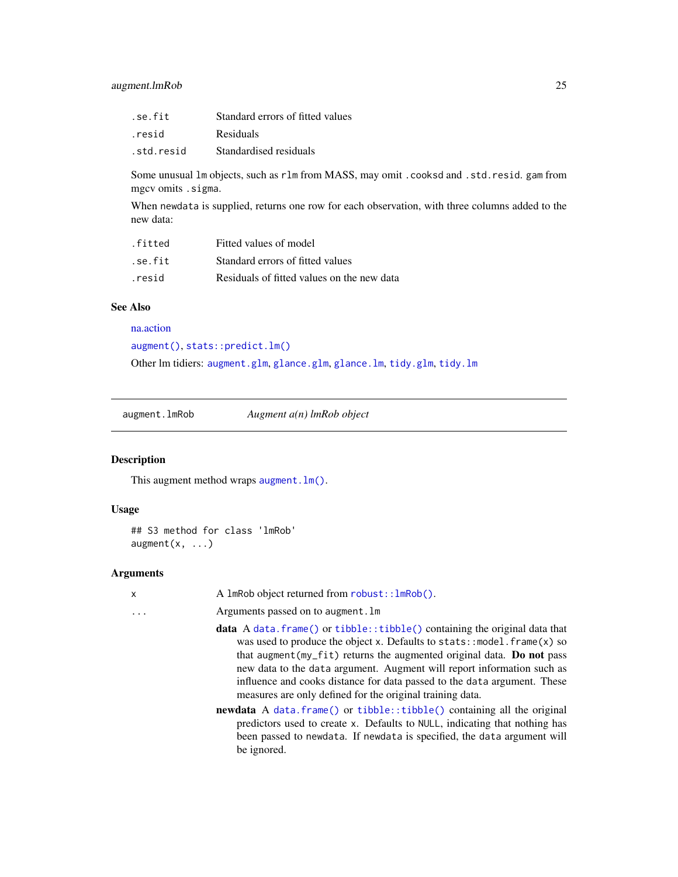## <span id="page-24-0"></span>augment.lmRob 25

| .se.fit    | Standard errors of fitted values |
|------------|----------------------------------|
| .resid     | Residuals                        |
| .std.resid | Standardised residuals           |

Some unusual lm objects, such as rlm from MASS, may omit .cooksd and .std.resid. gam from mgcv omits .sigma.

When newdata is supplied, returns one row for each observation, with three columns added to the new data:

| .fitted | Fitted values of model                     |
|---------|--------------------------------------------|
| .se.fit | Standard errors of fitted values           |
| .resid  | Residuals of fitted values on the new data |

## See Also

[na.action](#page-0-0)

```
augment(), stats::predict.lm()
```
Other lm tidiers: [augment.glm](#page-14-1), [glance.glm](#page-76-1), [glance.lm](#page-84-1), [tidy.glm](#page-168-1), [tidy.lm](#page-185-1)

<span id="page-24-1"></span>augment.lmRob *Augment a(n) lmRob object*

be ignored.

## Description

This augment method wraps [augment.lm\(\)](#page-22-1).

#### Usage

## S3 method for class 'lmRob'  $augment(x, ...)$ 

| x        | A lmRob object returned from robust:: lmRob().                                                                                                                                                                                                                                                                                                                                                                                                                 |
|----------|----------------------------------------------------------------------------------------------------------------------------------------------------------------------------------------------------------------------------------------------------------------------------------------------------------------------------------------------------------------------------------------------------------------------------------------------------------------|
| $\ddots$ | Arguments passed on to augment. 1m                                                                                                                                                                                                                                                                                                                                                                                                                             |
|          | <b>data</b> A data. frame() or tibble::tibble() containing the original data that<br>was used to produce the object x. Defaults to stats: : model $frame(x)$ so<br>that augment $(my_fit)$ returns the augmented original data. Do not pass<br>new data to the data argument. Augment will report information such as<br>influence and cooks distance for data passed to the data argument. These<br>measures are only defined for the original training data. |
|          | <b>newdata</b> A data. frame() or tibble::tibble() containing all the original<br>predictors used to create x. Defaults to NULL, indicating that nothing has<br>been passed to newdata. If newdata is specified, the data argument will                                                                                                                                                                                                                        |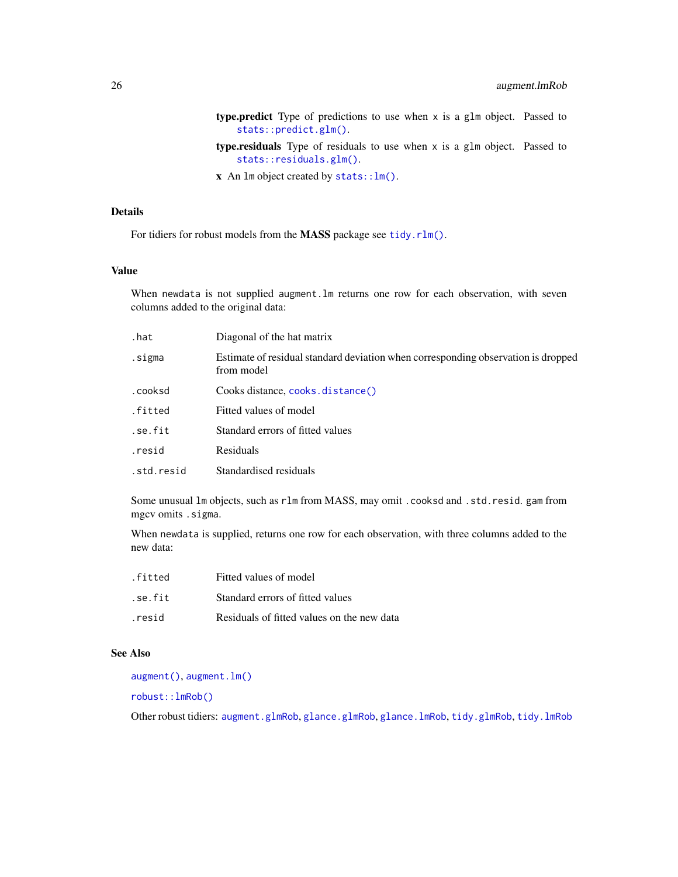- type.predict Type of predictions to use when x is a glm object. Passed to [stats::predict.glm\(\)](#page-0-0).
- type.residuals Type of residuals to use when  $x$  is a glm object. Passed to [stats::residuals.glm\(\)](#page-0-0).
- x An lm object created by [stats::lm\(\)](#page-0-0).

## Details

For tidiers for robust models from the MASS package see [tidy.rlm\(\)](#page-220-1).

#### Value

When newdata is not supplied augment.lm returns one row for each observation, with seven columns added to the original data:

| .hat       | Diagonal of the hat matrix                                                                      |  |
|------------|-------------------------------------------------------------------------------------------------|--|
| .sigma     | Estimate of residual standard deviation when corresponding observation is dropped<br>from model |  |
| .cooksd    | Cooks distance, cooks.distance()                                                                |  |
| .fitted    | Fitted values of model                                                                          |  |
| .se.fit    | Standard errors of fitted values                                                                |  |
| .resid     | Residuals                                                                                       |  |
| .std.resid | Standardised residuals                                                                          |  |

Some unusual lm objects, such as rlm from MASS, may omit .cooksd and .std.resid. gam from mgcv omits .sigma.

When newdata is supplied, returns one row for each observation, with three columns added to the new data:

| .fitted | Fitted values of model                     |
|---------|--------------------------------------------|
| .se.fit | Standard errors of fitted values           |
| .resid  | Residuals of fitted values on the new data |

## See Also

[augment\(\)](#page-0-0), [augment.lm\(\)](#page-22-1)

[robust::lmRob\(\)](#page-0-0)

Other robust tidiers: [augment.glmRob](#page-16-1), [glance.glmRob](#page-78-1), [glance.lmRob](#page-87-1), [tidy.glmRob](#page-171-1), [tidy.lmRob](#page-189-1)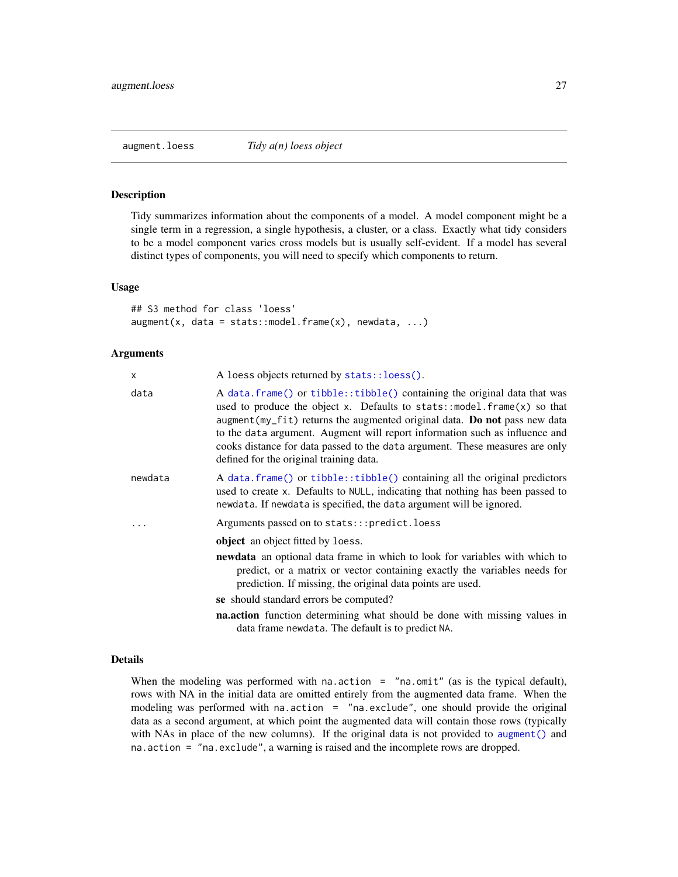## <span id="page-26-0"></span>Description

Tidy summarizes information about the components of a model. A model component might be a single term in a regression, a single hypothesis, a cluster, or a class. Exactly what tidy considers to be a model component varies cross models but is usually self-evident. If a model has several distinct types of components, you will need to specify which components to return.

#### Usage

```
## S3 method for class 'loess'
augment(x, data = stats::model-frame(x), newdata, ...)
```
#### Arguments

| x       | A loess objects returned by stats::loess().                                                                                                                                                                                                                                                                                                                                                                                                       |  |
|---------|---------------------------------------------------------------------------------------------------------------------------------------------------------------------------------------------------------------------------------------------------------------------------------------------------------------------------------------------------------------------------------------------------------------------------------------------------|--|
| data    | A data.frame() or tibble::tibble() containing the original data that was<br>used to produce the object x. Defaults to stats:: model. $frame(x)$ so that<br>augment $(my_fit)$ returns the augmented original data. Do not pass new data<br>to the data argument. Augment will report information such as influence and<br>cooks distance for data passed to the data argument. These measures are only<br>defined for the original training data. |  |
| newdata | A data.frame() or tibble::tibble() containing all the original predictors<br>used to create x. Defaults to NULL, indicating that nothing has been passed to<br>newdata. If newdata is specified, the data argument will be ignored.                                                                                                                                                                                                               |  |
| .       | Arguments passed on to stats:::predict.loess                                                                                                                                                                                                                                                                                                                                                                                                      |  |
|         | <b>object</b> an object fitted by loess.                                                                                                                                                                                                                                                                                                                                                                                                          |  |
|         | newdata an optional data frame in which to look for variables with which to<br>predict, or a matrix or vector containing exactly the variables needs for<br>prediction. If missing, the original data points are used.                                                                                                                                                                                                                            |  |
|         | se should standard errors be computed?                                                                                                                                                                                                                                                                                                                                                                                                            |  |
|         | <b>na.action</b> function determining what should be done with missing values in<br>data frame newdata. The default is to predict NA.                                                                                                                                                                                                                                                                                                             |  |

## Details

When the modeling was performed with na.action =  $"$ na.omit" (as is the typical default), rows with NA in the initial data are omitted entirely from the augmented data frame. When the modeling was performed with na.action = "na.exclude", one should provide the original data as a second argument, at which point the augmented data will contain those rows (typically with NAs in place of the new columns). If the original data is not provided to [augment\(\)](#page-0-0) and na.action = "na.exclude", a warning is raised and the incomplete rows are dropped.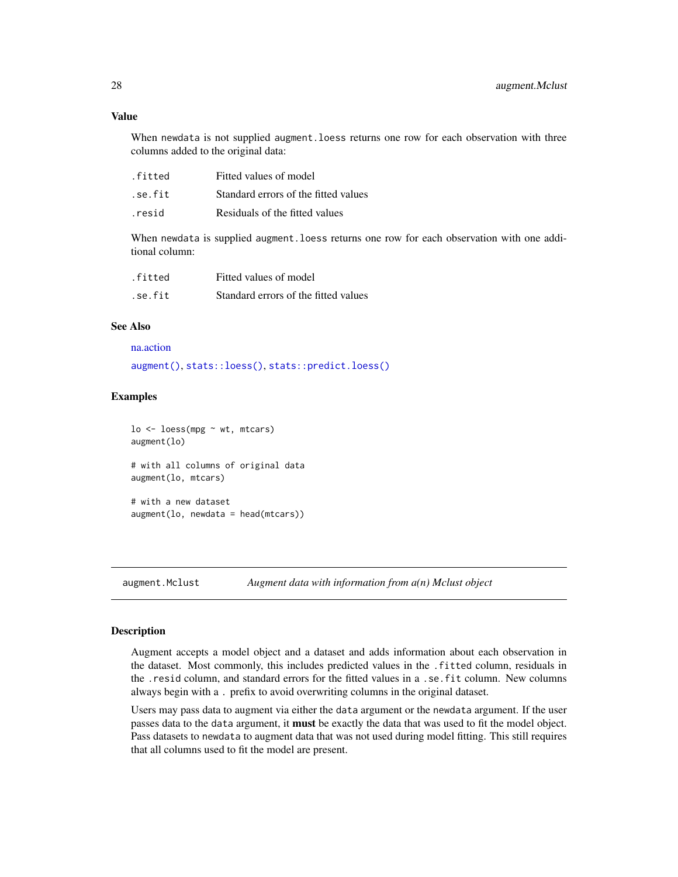## Value

When newdata is not supplied augment.loess returns one row for each observation with three columns added to the original data:

| .fitted | Fitted values of model               |
|---------|--------------------------------------|
| .se.fit | Standard errors of the fitted values |
| .resid  | Residuals of the fitted values       |

When newdata is supplied augment.loess returns one row for each observation with one additional column:

| .fitted | Fitted values of model               |
|---------|--------------------------------------|
| .se.fit | Standard errors of the fitted values |

## See Also

```
na.action
```
[augment\(\)](#page-0-0), [stats::loess\(\)](#page-0-0), [stats::predict.loess\(\)](#page-0-0)

## Examples

```
\log <- loess(mpg \sim wt, mtcars)
augment(lo)
# with all columns of original data
augment(lo, mtcars)
# with a new dataset
augment(lo, newdata = head(mtcars))
```
augment.Mclust *Augment data with information from a(n) Mclust object*

## Description

Augment accepts a model object and a dataset and adds information about each observation in the dataset. Most commonly, this includes predicted values in the .fitted column, residuals in the .resid column, and standard errors for the fitted values in a .se.fit column. New columns always begin with a . prefix to avoid overwriting columns in the original dataset.

Users may pass data to augment via either the data argument or the newdata argument. If the user passes data to the data argument, it must be exactly the data that was used to fit the model object. Pass datasets to newdata to augment data that was not used during model fitting. This still requires that all columns used to fit the model are present.

<span id="page-27-0"></span>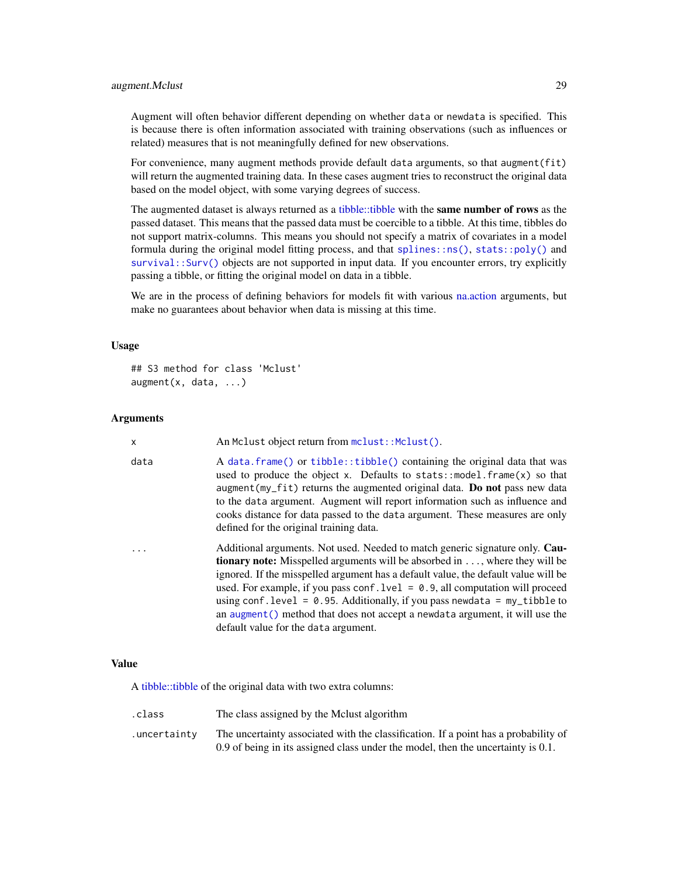Augment will often behavior different depending on whether data or newdata is specified. This is because there is often information associated with training observations (such as influences or related) measures that is not meaningfully defined for new observations.

For convenience, many augment methods provide default data arguments, so that augment (fit) will return the augmented training data. In these cases augment tries to reconstruct the original data based on the model object, with some varying degrees of success.

The augmented dataset is always returned as a [tibble::tibble](#page-0-0) with the **same number of rows** as the passed dataset. This means that the passed data must be coercible to a tibble. At this time, tibbles do not support matrix-columns. This means you should not specify a matrix of covariates in a model formula during the original model fitting process, and that [splines::ns\(\)](#page-0-0), [stats::poly\(\)](#page-0-0) and [survival::Surv\(\)](#page-0-0) objects are not supported in input data. If you encounter errors, try explicitly passing a tibble, or fitting the original model on data in a tibble.

We are in the process of defining behaviors for models fit with various [na.action](#page-0-0) arguments, but make no guarantees about behavior when data is missing at this time.

#### Usage

```
## S3 method for class 'Mclust'
augment(x, data, ...)
```
#### Arguments

| X    | An Mclust object return from mclust:: Mclust().                                                                                                                                                                                                                                                                                                                                                                                                                                                                                                              |
|------|--------------------------------------------------------------------------------------------------------------------------------------------------------------------------------------------------------------------------------------------------------------------------------------------------------------------------------------------------------------------------------------------------------------------------------------------------------------------------------------------------------------------------------------------------------------|
| data | A data.frame() or tibble::tibble() containing the original data that was<br>used to produce the object x. Defaults to stats::model.frame(x) so that<br>augment (my_fit) returns the augmented original data. Do not pass new data<br>to the data argument. Augment will report information such as influence and<br>cooks distance for data passed to the data argument. These measures are only<br>defined for the original training data.                                                                                                                  |
|      | Additional arguments. Not used. Needed to match generic signature only. Cau-<br><b>tionary note:</b> Misspelled arguments will be absorbed in , where they will be<br>ignored. If the misspelled argument has a default value, the default value will be<br>used. For example, if you pass conf. $1$ ve $1 = 0.9$ , all computation will proceed<br>using conf.level = $0.95$ . Additionally, if you pass newdata = $my$ _tibble to<br>an augment () method that does not accept a newdata argument, it will use the<br>default value for the data argument. |

## Value

A [tibble::tibble](#page-0-0) of the original data with two extra columns:

| .class       | The class assigned by the Mclust algorithm                                                                                                                                   |
|--------------|------------------------------------------------------------------------------------------------------------------------------------------------------------------------------|
| uncertainty. | The uncertainty associated with the classification. If a point has a probability of<br>$0.9$ of being in its assigned class under the model, then the uncertainty is $0.1$ . |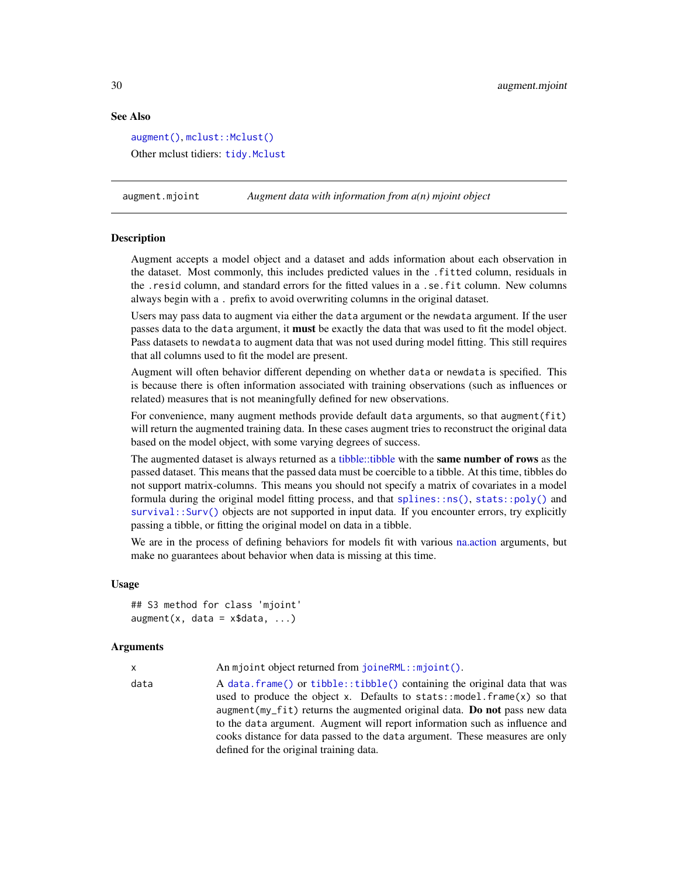#### See Also

[augment\(\)](#page-0-0), mclust:: Mclust() Other mclust tidiers: [tidy.Mclust](#page-193-1)

augment.mjoint *Augment data with information from a(n) mjoint object*

#### Description

Augment accepts a model object and a dataset and adds information about each observation in the dataset. Most commonly, this includes predicted values in the .fitted column, residuals in the .resid column, and standard errors for the fitted values in a .se.fit column. New columns always begin with a . prefix to avoid overwriting columns in the original dataset.

Users may pass data to augment via either the data argument or the newdata argument. If the user passes data to the data argument, it **must** be exactly the data that was used to fit the model object. Pass datasets to newdata to augment data that was not used during model fitting. This still requires that all columns used to fit the model are present.

Augment will often behavior different depending on whether data or newdata is specified. This is because there is often information associated with training observations (such as influences or related) measures that is not meaningfully defined for new observations.

For convenience, many augment methods provide default data arguments, so that augment (fit) will return the augmented training data. In these cases augment tries to reconstruct the original data based on the model object, with some varying degrees of success.

The augmented dataset is always returned as a [tibble::tibble](#page-0-0) with the **same number of rows** as the passed dataset. This means that the passed data must be coercible to a tibble. At this time, tibbles do not support matrix-columns. This means you should not specify a matrix of covariates in a model formula during the original model fitting process, and that [splines::ns\(\)](#page-0-0), [stats::poly\(\)](#page-0-0) and [survival::Surv\(\)](#page-0-0) objects are not supported in input data. If you encounter errors, try explicitly passing a tibble, or fitting the original model on data in a tibble.

We are in the process of defining behaviors for models fit with various [na.action](#page-0-0) arguments, but make no guarantees about behavior when data is missing at this time.

#### Usage

```
## S3 method for class 'mjoint'
augment(x, data = x$data, ...)
```

| $\times$ | An miorint object returned from joineRML:: $m$ ioint().                                                                                                                                                                                                                                                                                                                                                                                                         |
|----------|-----------------------------------------------------------------------------------------------------------------------------------------------------------------------------------------------------------------------------------------------------------------------------------------------------------------------------------------------------------------------------------------------------------------------------------------------------------------|
| data     | A data frame() or tibble::tibble() containing the original data that was<br>used to produce the object x. Defaults to stats::model.frame $(x)$ so that<br>$augment(my_{\text{int}})$ returns the augmented original data. <b>Do not</b> pass new data<br>to the data argument. Augment will report information such as influence and<br>cooks distance for data passed to the data argument. These measures are only<br>defined for the original training data. |

<span id="page-29-0"></span>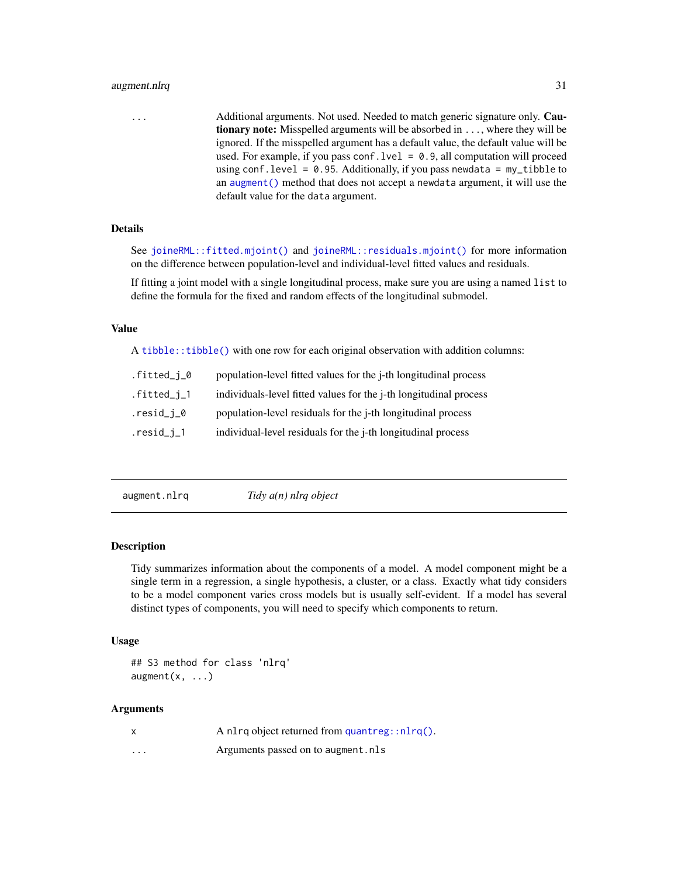## <span id="page-30-0"></span>augment.nlrq 31

... Additional arguments. Not used. Needed to match generic signature only. **Cau**tionary note: Misspelled arguments will be absorbed in . . . , where they will be ignored. If the misspelled argument has a default value, the default value will be used. For example, if you pass conf.  $level = 0.9$ , all computation will proceed using conf.level =  $0.95$ . Additionally, if you pass newdata =  $my\_tibble$  to an [augment\(\)](#page-0-0) method that does not accept a newdata argument, it will use the default value for the data argument.

## Details

See [joineRML::fitted.mjoint\(\)](#page-0-0) and [joineRML::residuals.mjoint\(\)](#page-0-0) for more information on the difference between population-level and individual-level fitted values and residuals.

If fitting a joint model with a single longitudinal process, make sure you are using a named list to define the formula for the fixed and random effects of the longitudinal submodel.

## Value

A [tibble::tibble\(\)](#page-0-0) with one row for each original observation with addition columns:

| .fitted_j_0 | population-level fitted values for the j-th longitudinal process     |
|-------------|----------------------------------------------------------------------|
| .fitted_j_1 | individuals-level fitted values for the j-th longitudinal process    |
| .resid_j_0  | population-level residuals for the <i>j</i> -th longitudinal process |
| $resid_i_1$ | individual-level residuals for the <i>j</i> -th longitudinal process |

|  | augment.nlrq | Tidy a(n) nlrq object |
|--|--------------|-----------------------|
|--|--------------|-----------------------|

#### Description

Tidy summarizes information about the components of a model. A model component might be a single term in a regression, a single hypothesis, a cluster, or a class. Exactly what tidy considers to be a model component varies cross models but is usually self-evident. If a model has several distinct types of components, you will need to specify which components to return.

#### Usage

```
## S3 method for class 'nlrq'
augment(x, \ldots)
```

|          | A nl rq object returned from quantreg: : $nlrq()$ . |
|----------|-----------------------------------------------------|
| $\cdots$ | Arguments passed on to augment.nls                  |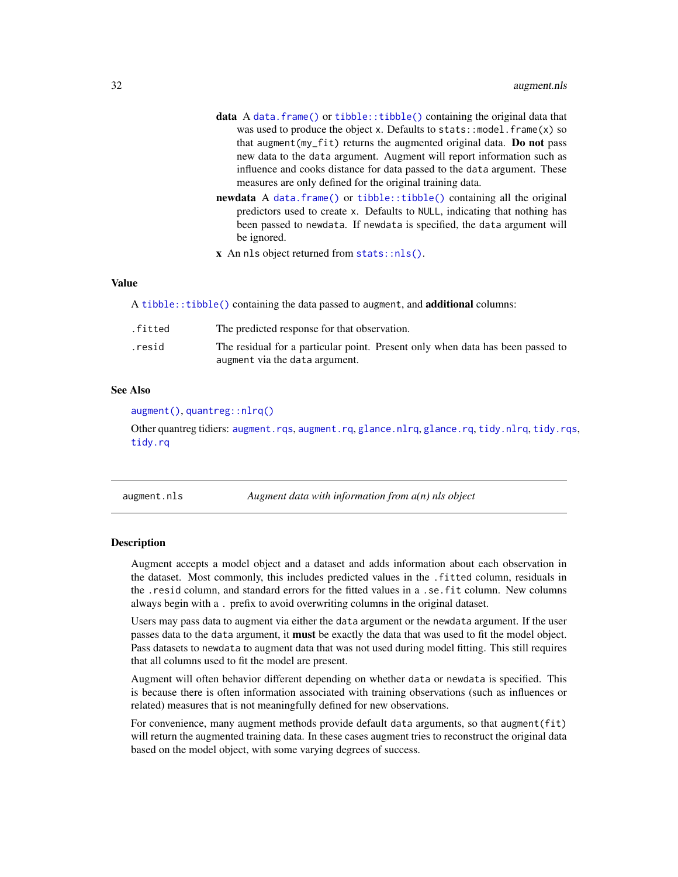- <span id="page-31-0"></span>data A [data.frame\(\)](#page-0-0) or [tibble::tibble\(\)](#page-0-0) containing the original data that was used to produce the object x. Defaults to stats:: model.frame(x) so that augment( $my_f$ it) returns the augmented original data. Do not pass new data to the data argument. Augment will report information such as influence and cooks distance for data passed to the data argument. These measures are only defined for the original training data.
- newdata A [data.frame\(\)](#page-0-0) or [tibble::tibble\(\)](#page-0-0) containing all the original predictors used to create x. Defaults to NULL, indicating that nothing has been passed to newdata. If newdata is specified, the data argument will be ignored.
- x An nls object returned from [stats::nls\(\)](#page-0-0).

#### Value

A [tibble::tibble\(\)](#page-0-0) containing the data passed to augment, and **additional** columns:

| .fitted | The predicted response for that observation.                                                                     |
|---------|------------------------------------------------------------------------------------------------------------------|
| .resid  | The residual for a particular point. Present only when data has been passed to<br>augment via the data argument. |

## See Also

[augment\(\)](#page-0-0), [quantreg::nlrq\(\)](#page-0-0)

Other quantreg tidiers: [augment.rqs](#page-40-1), [augment.rq](#page-38-1), [glance.nlrq](#page-92-1), [glance.rq](#page-101-1), [tidy.nlrq](#page-200-1), [tidy.rqs](#page-224-1), [tidy.rq](#page-223-1)

augment.nls *Augment data with information from a(n) nls object*

#### Description

Augment accepts a model object and a dataset and adds information about each observation in the dataset. Most commonly, this includes predicted values in the .fitted column, residuals in the .resid column, and standard errors for the fitted values in a .se.fit column. New columns always begin with a . prefix to avoid overwriting columns in the original dataset.

Users may pass data to augment via either the data argument or the newdata argument. If the user passes data to the data argument, it **must** be exactly the data that was used to fit the model object. Pass datasets to newdata to augment data that was not used during model fitting. This still requires that all columns used to fit the model are present.

Augment will often behavior different depending on whether data or newdata is specified. This is because there is often information associated with training observations (such as influences or related) measures that is not meaningfully defined for new observations.

For convenience, many augment methods provide default data arguments, so that augment (fit) will return the augmented training data. In these cases augment tries to reconstruct the original data based on the model object, with some varying degrees of success.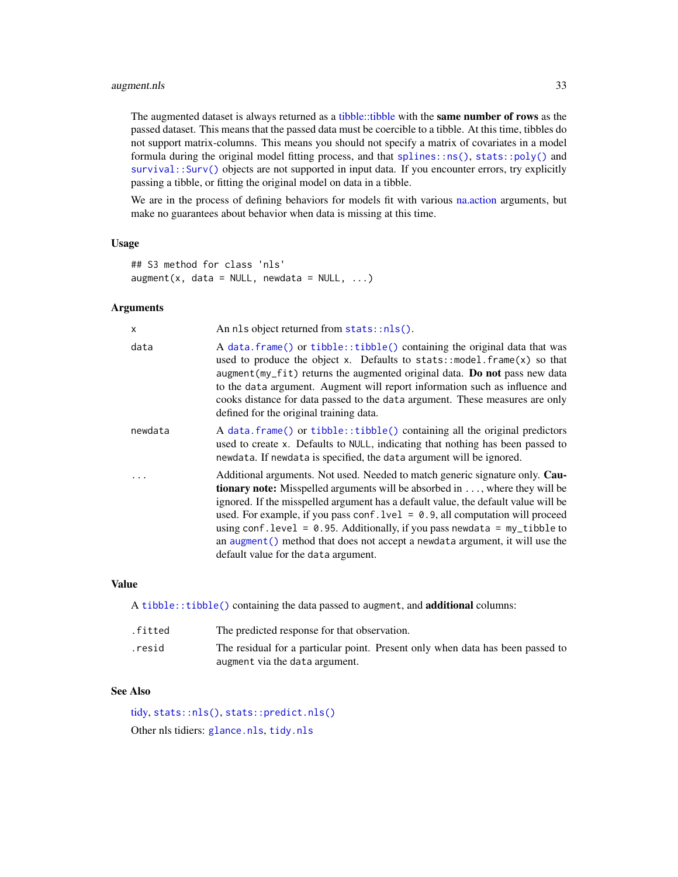## augment.nls 33

The augmented dataset is always returned as a [tibble::tibble](#page-0-0) with the same number of rows as the passed dataset. This means that the passed data must be coercible to a tibble. At this time, tibbles do not support matrix-columns. This means you should not specify a matrix of covariates in a model formula during the original model fitting process, and that [splines::ns\(\)](#page-0-0), [stats::poly\(\)](#page-0-0) and [survival::Surv\(\)](#page-0-0) objects are not supported in input data. If you encounter errors, try explicitly passing a tibble, or fitting the original model on data in a tibble.

We are in the process of defining behaviors for models fit with various [na.action](#page-0-0) arguments, but make no guarantees about behavior when data is missing at this time.

## Usage

```
## S3 method for class 'nls'
augment(x, data = NULL, newdata = NULL, ...)
```
## Arguments

| $\mathsf{x}$ | An nls object returned from stats::nls().                                                                                                                                                                                                                                                                                                                                                                                                                                                                                                                      |
|--------------|----------------------------------------------------------------------------------------------------------------------------------------------------------------------------------------------------------------------------------------------------------------------------------------------------------------------------------------------------------------------------------------------------------------------------------------------------------------------------------------------------------------------------------------------------------------|
| data         | A data.frame() or tibble::tibble() containing the original data that was<br>used to produce the object x. Defaults to stats:: model. $frame(x)$ so that<br>augment (my_fit) returns the augmented original data. Do not pass new data<br>to the data argument. Augment will report information such as influence and<br>cooks distance for data passed to the data argument. These measures are only<br>defined for the original training data.                                                                                                                |
| newdata      | A data.frame() or tibble::tibble() containing all the original predictors<br>used to create x. Defaults to NULL, indicating that nothing has been passed to<br>newdata. If newdata is specified, the data argument will be ignored.                                                                                                                                                                                                                                                                                                                            |
|              | Additional arguments. Not used. Needed to match generic signature only. Cau-<br><b>tionary note:</b> Misspelled arguments will be absorbed in , where they will be<br>ignored. If the misspelled argument has a default value, the default value will be<br>used. For example, if you pass conf. $1$ ve $1 = 0.9$ , all computation will proceed<br>using conf. level = $0.95$ . Additionally, if you pass newdata = $my_t$ tibble to<br>an augment () method that does not accept a newdata argument, it will use the<br>default value for the data argument. |

## Value

A [tibble::tibble\(\)](#page-0-0) containing the data passed to augment, and **additional** columns:

| .fitted | The predicted response for that observation.                                   |
|---------|--------------------------------------------------------------------------------|
| .resid  | The residual for a particular point. Present only when data has been passed to |
|         | augment via the data argument.                                                 |

#### See Also

[tidy,](#page-0-0) [stats::nls\(\)](#page-0-0), [stats::predict.nls\(\)](#page-0-0) Other nls tidiers: [glance.nls](#page-93-1), [tidy.nls](#page-202-1)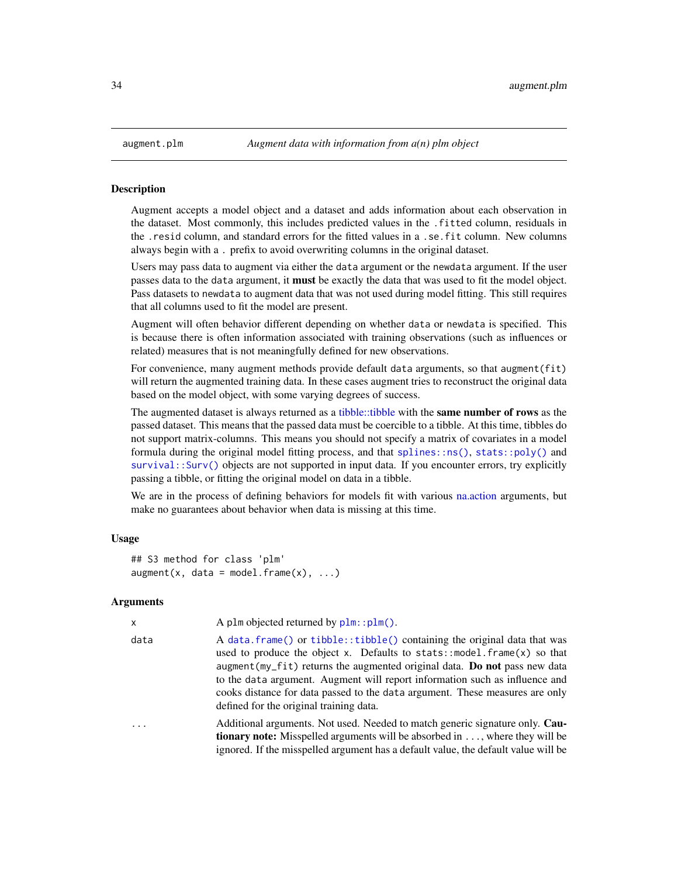<span id="page-33-0"></span>

#### Description

Augment accepts a model object and a dataset and adds information about each observation in the dataset. Most commonly, this includes predicted values in the .fitted column, residuals in the .resid column, and standard errors for the fitted values in a .se.fit column. New columns always begin with a . prefix to avoid overwriting columns in the original dataset.

Users may pass data to augment via either the data argument or the newdata argument. If the user passes data to the data argument, it **must** be exactly the data that was used to fit the model object. Pass datasets to newdata to augment data that was not used during model fitting. This still requires that all columns used to fit the model are present.

Augment will often behavior different depending on whether data or newdata is specified. This is because there is often information associated with training observations (such as influences or related) measures that is not meaningfully defined for new observations.

For convenience, many augment methods provide default data arguments, so that augment (fit) will return the augmented training data. In these cases augment tries to reconstruct the original data based on the model object, with some varying degrees of success.

The augmented dataset is always returned as a [tibble::tibble](#page-0-0) with the **same number of rows** as the passed dataset. This means that the passed data must be coercible to a tibble. At this time, tibbles do not support matrix-columns. This means you should not specify a matrix of covariates in a model formula during the original model fitting process, and that [splines::ns\(\)](#page-0-0), [stats::poly\(\)](#page-0-0) and [survival::Surv\(\)](#page-0-0) objects are not supported in input data. If you encounter errors, try explicitly passing a tibble, or fitting the original model on data in a tibble.

We are in the process of defining behaviors for models fit with various [na.action](#page-0-0) arguments, but make no guarantees about behavior when data is missing at this time.

#### Usage

```
## S3 method for class 'plm'
augment(x, data = model-frame(x), ...)
```

| x    | A plm objected returned by $plm::plm()$ .                                                                                                                                                                                                                                                                                                                                                                                                       |
|------|-------------------------------------------------------------------------------------------------------------------------------------------------------------------------------------------------------------------------------------------------------------------------------------------------------------------------------------------------------------------------------------------------------------------------------------------------|
| data | A data.frame() or tibble::tibble() containing the original data that was<br>used to produce the object x. Defaults to stats:: model. $frame(x)$ so that<br>augment (my_fit) returns the augmented original data. Do not pass new data<br>to the data argument. Augment will report information such as influence and<br>cooks distance for data passed to the data argument. These measures are only<br>defined for the original training data. |
| .    | Additional arguments. Not used. Needed to match generic signature only. Cau-<br><b>tionary note:</b> Misspelled arguments will be absorbed in , where they will be<br>ignored. If the misspelled argument has a default value, the default value will be                                                                                                                                                                                        |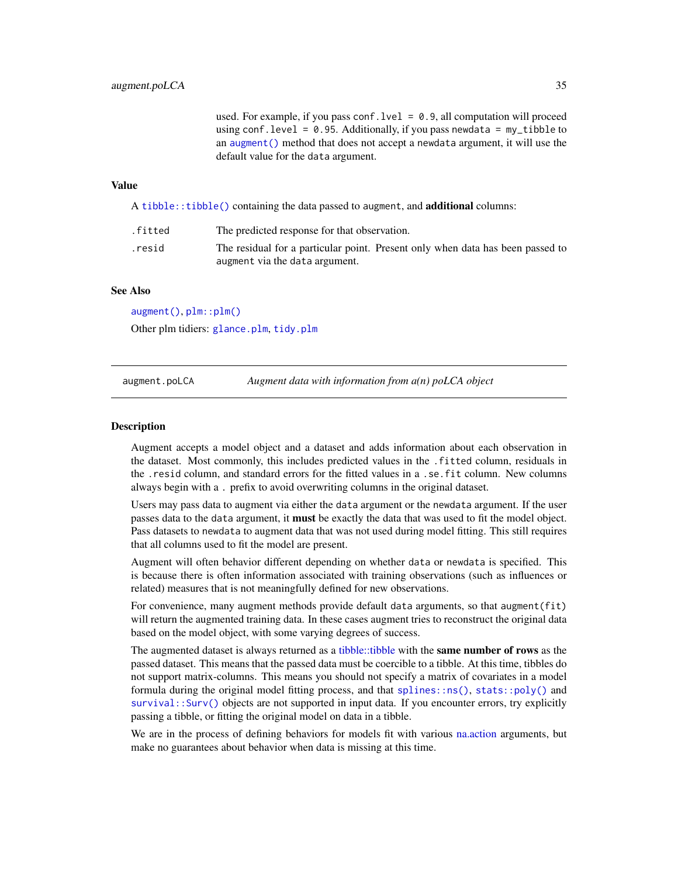used. For example, if you pass conf.  $level = 0.9$ , all computation will proceed using conf.level =  $0.95$ . Additionally, if you pass newdata =  $my$ \_tibble to an [augment\(\)](#page-0-0) method that does not accept a newdata argument, it will use the default value for the data argument.

#### <span id="page-34-0"></span>Value

A [tibble::tibble\(\)](#page-0-0) containing the data passed to augment, and **additional** columns:

| .fitted | The predicted response for that observation.                                                                     |
|---------|------------------------------------------------------------------------------------------------------------------|
| .resid  | The residual for a particular point. Present only when data has been passed to<br>augment via the data argument. |

## See Also

[augment\(\)](#page-0-0), [plm::plm\(\)](#page-0-0)

Other plm tidiers: [glance.plm](#page-95-1), [tidy.plm](#page-207-1)

augment.poLCA *Augment data with information from a(n) poLCA object*

#### Description

Augment accepts a model object and a dataset and adds information about each observation in the dataset. Most commonly, this includes predicted values in the .fitted column, residuals in the .resid column, and standard errors for the fitted values in a .se.fit column. New columns always begin with a . prefix to avoid overwriting columns in the original dataset.

Users may pass data to augment via either the data argument or the newdata argument. If the user passes data to the data argument, it **must** be exactly the data that was used to fit the model object. Pass datasets to newdata to augment data that was not used during model fitting. This still requires that all columns used to fit the model are present.

Augment will often behavior different depending on whether data or newdata is specified. This is because there is often information associated with training observations (such as influences or related) measures that is not meaningfully defined for new observations.

For convenience, many augment methods provide default data arguments, so that augment (fit) will return the augmented training data. In these cases augment tries to reconstruct the original data based on the model object, with some varying degrees of success.

The augmented dataset is always returned as a [tibble::tibble](#page-0-0) with the **same number of rows** as the passed dataset. This means that the passed data must be coercible to a tibble. At this time, tibbles do not support matrix-columns. This means you should not specify a matrix of covariates in a model formula during the original model fitting process, and that [splines::ns\(\)](#page-0-0), [stats::poly\(\)](#page-0-0) and [survival::Surv\(\)](#page-0-0) objects are not supported in input data. If you encounter errors, try explicitly passing a tibble, or fitting the original model on data in a tibble.

We are in the process of defining behaviors for models fit with various natural arguments, but make no guarantees about behavior when data is missing at this time.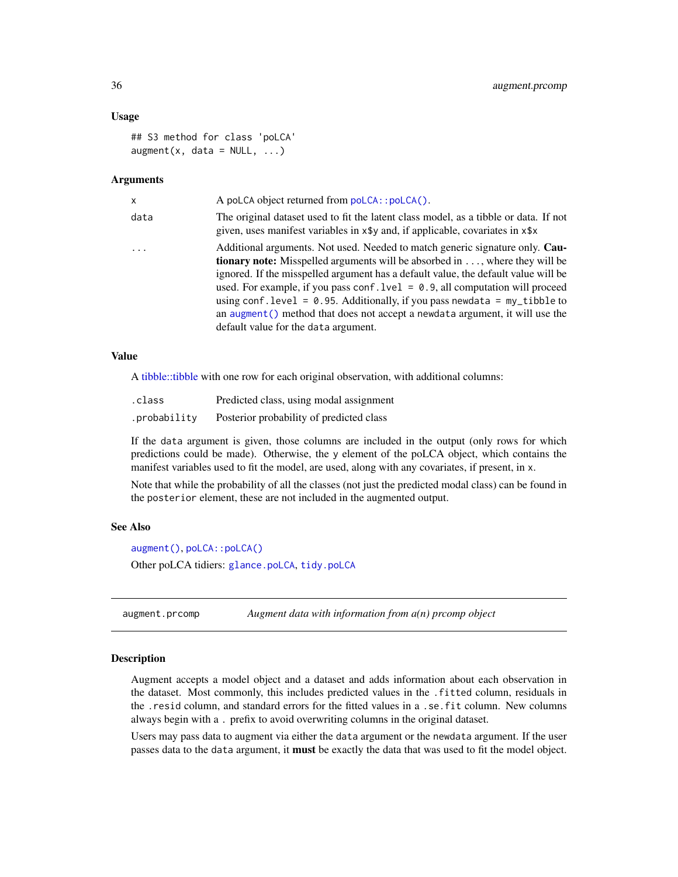#### <span id="page-35-0"></span>Usage

```
## S3 method for class 'poLCA'
augment(x, data = NULL, ...)
```
#### **Arguments**

| x    | A poLCA object returned from poLCA::poLCA().                                                                                                                                                                                                                                                                                                                                                                                                                                                                                                                  |
|------|---------------------------------------------------------------------------------------------------------------------------------------------------------------------------------------------------------------------------------------------------------------------------------------------------------------------------------------------------------------------------------------------------------------------------------------------------------------------------------------------------------------------------------------------------------------|
| data | The original dataset used to fit the latent class model, as a tibble or data. If not<br>given, uses manifest variables in x\$y and, if applicable, covariates in x\$x                                                                                                                                                                                                                                                                                                                                                                                         |
| .    | Additional arguments. Not used. Needed to match generic signature only. Cau-<br><b>tionary note:</b> Misspelled arguments will be absorbed in , where they will be<br>ignored. If the misspelled argument has a default value, the default value will be<br>used. For example, if you pass conf. $1$ ve $1 = 0.9$ , all computation will proceed<br>using conf.level = $0.95$ . Additionally, if you pass newdata = $my_t$ tibble to<br>an augment () method that does not accept a newdata argument, it will use the<br>default value for the data argument. |

#### Value

A [tibble::tibble](#page-0-0) with one row for each original observation, with additional columns:

| .class       | Predicted class, using modal assignment  |
|--------------|------------------------------------------|
| .probability | Posterior probability of predicted class |

If the data argument is given, those columns are included in the output (only rows for which predictions could be made). Otherwise, the y element of the poLCA object, which contains the manifest variables used to fit the model, are used, along with any covariates, if present, in x.

Note that while the probability of all the classes (not just the predicted modal class) can be found in the posterior element, these are not included in the augmented output.

#### See Also

[augment\(\)](#page-0-0), [poLCA::poLCA\(\)](#page-0-0)

Other poLCA tidiers: [glance.poLCA](#page-96-1), [tidy.poLCA](#page-208-1)

augment.prcomp *Augment data with information from a(n) prcomp object*

## Description

Augment accepts a model object and a dataset and adds information about each observation in the dataset. Most commonly, this includes predicted values in the .fitted column, residuals in the .resid column, and standard errors for the fitted values in a .se.fit column. New columns always begin with a . prefix to avoid overwriting columns in the original dataset.

Users may pass data to augment via either the data argument or the newdata argument. If the user passes data to the data argument, it must be exactly the data that was used to fit the model object.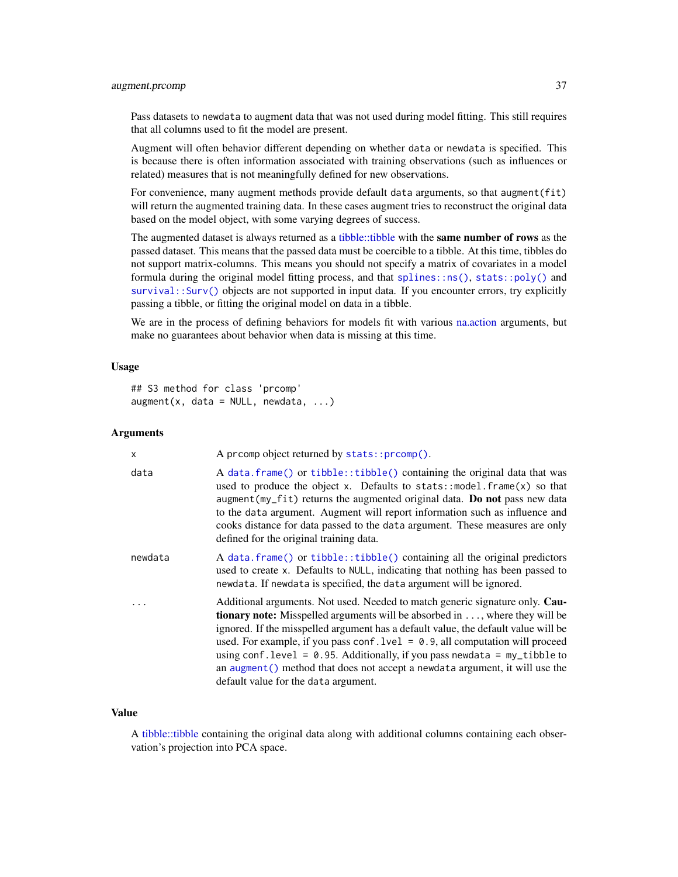# augment.promp 37

Pass datasets to newdata to augment data that was not used during model fitting. This still requires that all columns used to fit the model are present.

Augment will often behavior different depending on whether data or newdata is specified. This is because there is often information associated with training observations (such as influences or related) measures that is not meaningfully defined for new observations.

For convenience, many augment methods provide default data arguments, so that augment (fit) will return the augmented training data. In these cases augment tries to reconstruct the original data based on the model object, with some varying degrees of success.

The augmented dataset is always returned as a [tibble::tibble](#page-0-0) with the same number of rows as the passed dataset. This means that the passed data must be coercible to a tibble. At this time, tibbles do not support matrix-columns. This means you should not specify a matrix of covariates in a model formula during the original model fitting process, and that [splines::ns\(\)](#page-0-0), [stats::poly\(\)](#page-0-0) and [survival::Surv\(\)](#page-0-0) objects are not supported in input data. If you encounter errors, try explicitly passing a tibble, or fitting the original model on data in a tibble.

We are in the process of defining behaviors for models fit with various [na.action](#page-0-0) arguments, but make no guarantees about behavior when data is missing at this time.

## Usage

```
## S3 method for class 'prcomp'
augment(x, data = NULL, newdata, ...)
```
#### Arguments

| X       | A prcomp object returned by stats:: prcomp().                                                                                                                                                                                                                                                                                                                                                                                                                                                                                                                  |
|---------|----------------------------------------------------------------------------------------------------------------------------------------------------------------------------------------------------------------------------------------------------------------------------------------------------------------------------------------------------------------------------------------------------------------------------------------------------------------------------------------------------------------------------------------------------------------|
| data    | A data.frame() or tibble::tibble() containing the original data that was<br>used to produce the object x. Defaults to stats::model.frame(x) so that<br>augment (my_fit) returns the augmented original data. Do not pass new data<br>to the data argument. Augment will report information such as influence and<br>cooks distance for data passed to the data argument. These measures are only<br>defined for the original training data.                                                                                                                    |
| newdata | A data. frame() or tibble::tibble() containing all the original predictors<br>used to create x. Defaults to NULL, indicating that nothing has been passed to<br>newdata. If newdata is specified, the data argument will be ignored.                                                                                                                                                                                                                                                                                                                           |
|         | Additional arguments. Not used. Needed to match generic signature only. Cau-<br><b>tionary note:</b> Misspelled arguments will be absorbed in , where they will be<br>ignored. If the misspelled argument has a default value, the default value will be<br>used. For example, if you pass conf. $1$ ve $1 = 0.9$ , all computation will proceed<br>using conf. level = $0.95$ . Additionally, if you pass newdata = $my_t$ tibble to<br>an augment () method that does not accept a newdata argument, it will use the<br>default value for the data argument. |

#### Value

A [tibble::tibble](#page-0-0) containing the original data along with additional columns containing each observation's projection into PCA space.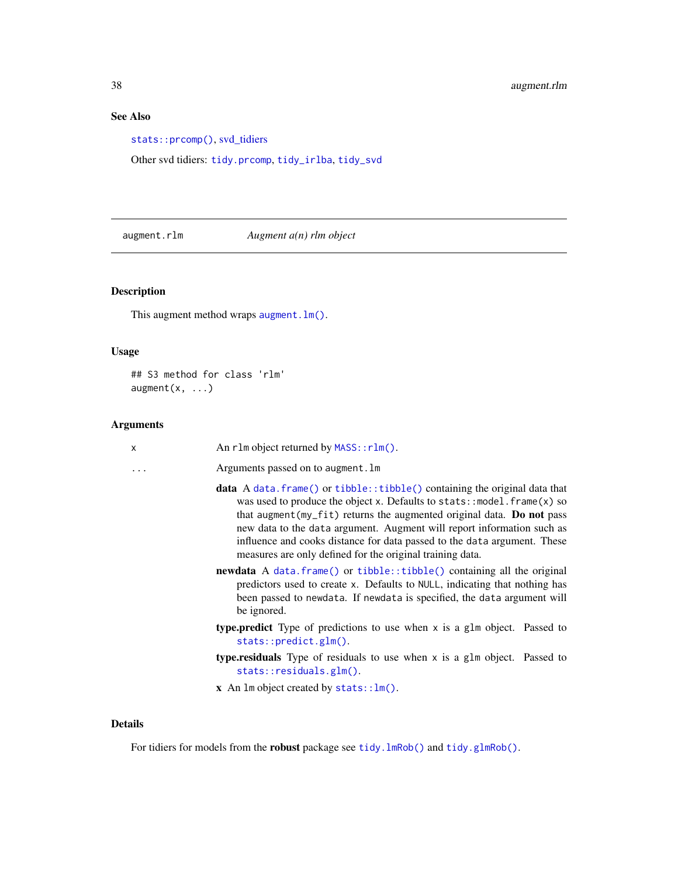# See Also

[stats::prcomp\(\)](#page-0-0), [svd\\_tidiers](#page-242-0)

Other svd tidiers: [tidy.prcomp](#page-214-0), [tidy\\_irlba](#page-239-0), [tidy\\_svd](#page-242-1)

# augment.rlm *Augment a(n) rlm object*

# Description

This augment method wraps [augment.lm\(\)](#page-22-0).

# Usage

```
## S3 method for class 'rlm'
augment(x, ...)
```
# Arguments

| X         | An r1m object returned by MASS::r1m().                                                                                                                                                                                                                                                                                                                                                                                                            |  |
|-----------|---------------------------------------------------------------------------------------------------------------------------------------------------------------------------------------------------------------------------------------------------------------------------------------------------------------------------------------------------------------------------------------------------------------------------------------------------|--|
| $\ddotsc$ | Arguments passed on to augment. 1m                                                                                                                                                                                                                                                                                                                                                                                                                |  |
|           | data A data. frame() or tibble::tibble() containing the original data that<br>was used to produce the object x. Defaults to stats::model.frame(x) so<br>that augment (my_fit) returns the augmented original data. Do not pass<br>new data to the data argument. Augment will report information such as<br>influence and cooks distance for data passed to the data argument. These<br>measures are only defined for the original training data. |  |
|           | newdata A data.frame() or tibble::tibble() containing all the original<br>predictors used to create x. Defaults to NULL, indicating that nothing has<br>been passed to newdata. If newdata is specified, the data argument will<br>be ignored.                                                                                                                                                                                                    |  |
|           | <b>type.predict</b> Type of predictions to use when x is a glm object. Passed to<br>$stats::predict.glm()$ .                                                                                                                                                                                                                                                                                                                                      |  |
|           | <b>type.residuals</b> Type of residuals to use when x is a glm object. Passed to<br>$stats::residuals.glm()$ .                                                                                                                                                                                                                                                                                                                                    |  |
|           | $x$ An lm object created by stats:: $lm()$ .                                                                                                                                                                                                                                                                                                                                                                                                      |  |

# Details

For tidiers for models from the **robust** package see tidy.  $lmRob()$  and tidy.  $glmRob()$ .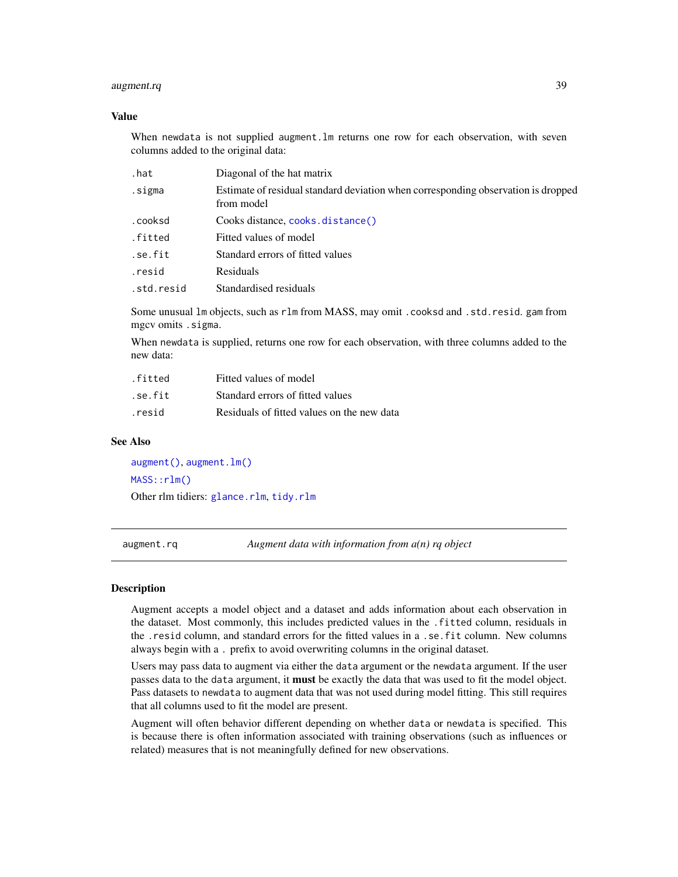# augment.rq 39

## Value

When newdata is not supplied augment.lm returns one row for each observation, with seven columns added to the original data:

| .hat       | Diagonal of the hat matrix                                                                      |
|------------|-------------------------------------------------------------------------------------------------|
| .sigma     | Estimate of residual standard deviation when corresponding observation is dropped<br>from model |
| .cooksd    | Cooks distance, cooks.distance()                                                                |
| .fitted    | Fitted values of model                                                                          |
| .se.fit    | Standard errors of fitted values                                                                |
| .resid     | Residuals                                                                                       |
| .std.resid | Standardised residuals                                                                          |
|            |                                                                                                 |

Some unusual lm objects, such as rlm from MASS, may omit .cooksd and .std.resid. gam from mgcv omits .sigma.

When newdata is supplied, returns one row for each observation, with three columns added to the new data:

| .fitted | Fitted values of model                     |
|---------|--------------------------------------------|
| .se.fit | Standard errors of fitted values           |
| .resid  | Residuals of fitted values on the new data |

#### See Also

[augment\(\)](#page-0-0), [augment.lm\(\)](#page-22-0) [MASS::rlm\(\)](#page-0-0) Other rlm tidiers: [glance.rlm](#page-99-0), [tidy.rlm](#page-220-0)

<span id="page-38-0"></span>augment.rq *Augment data with information from a(n) rq object*

## Description

Augment accepts a model object and a dataset and adds information about each observation in the dataset. Most commonly, this includes predicted values in the .fitted column, residuals in the .resid column, and standard errors for the fitted values in a .se.fit column. New columns always begin with a . prefix to avoid overwriting columns in the original dataset.

Users may pass data to augment via either the data argument or the newdata argument. If the user passes data to the data argument, it must be exactly the data that was used to fit the model object. Pass datasets to newdata to augment data that was not used during model fitting. This still requires that all columns used to fit the model are present.

Augment will often behavior different depending on whether data or newdata is specified. This is because there is often information associated with training observations (such as influences or related) measures that is not meaningfully defined for new observations.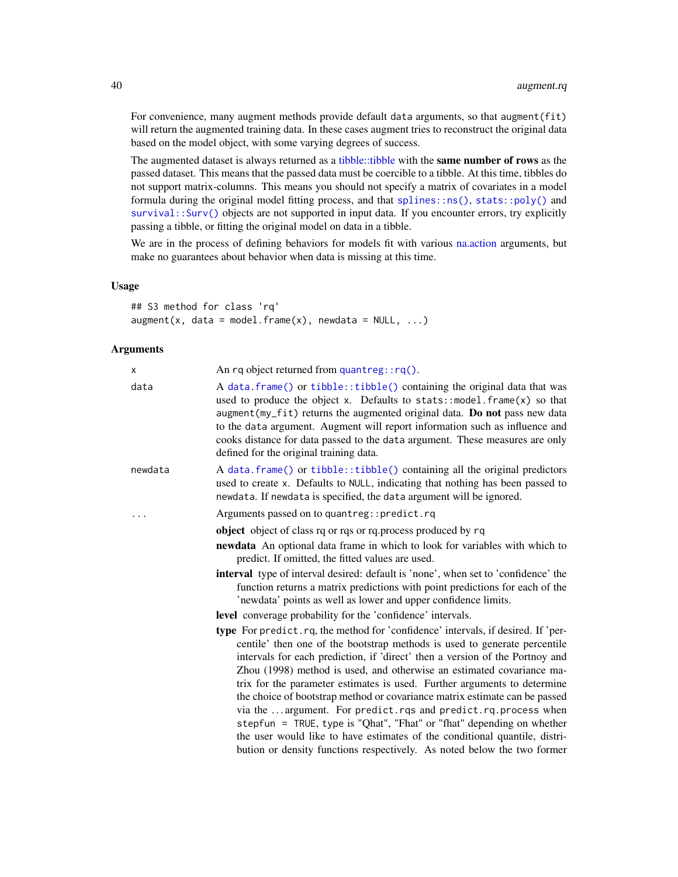For convenience, many augment methods provide default data arguments, so that augment (fit) will return the augmented training data. In these cases augment tries to reconstruct the original data based on the model object, with some varying degrees of success.

The augmented dataset is always returned as a [tibble::tibble](#page-0-0) with the same number of rows as the passed dataset. This means that the passed data must be coercible to a tibble. At this time, tibbles do not support matrix-columns. This means you should not specify a matrix of covariates in a model formula during the original model fitting process, and that [splines::ns\(\)](#page-0-0), [stats::poly\(\)](#page-0-0) and [survival::Surv\(\)](#page-0-0) objects are not supported in input data. If you encounter errors, try explicitly passing a tibble, or fitting the original model on data in a tibble.

We are in the process of defining behaviors for models fit with various [na.action](#page-0-0) arguments, but make no guarantees about behavior when data is missing at this time.

#### Usage

```
## S3 method for class 'rq'
augment(x, data = model-frame(x), newdata = NULL, ...)
```
## Arguments

| x       | An rq object returned from quantreg: $rq()$ .                                                                                                                                                                                                                                                                                                                                                                                                                                                                                                                                                                                                                                                                                                                                        |
|---------|--------------------------------------------------------------------------------------------------------------------------------------------------------------------------------------------------------------------------------------------------------------------------------------------------------------------------------------------------------------------------------------------------------------------------------------------------------------------------------------------------------------------------------------------------------------------------------------------------------------------------------------------------------------------------------------------------------------------------------------------------------------------------------------|
| data    | A data.frame() or tibble::tibble() containing the original data that was<br>used to produce the object x. Defaults to stats:: model.frame(x) so that<br>augment (my_fit) returns the augmented original data. Do not pass new data<br>to the data argument. Augment will report information such as influence and<br>cooks distance for data passed to the data argument. These measures are only<br>defined for the original training data.                                                                                                                                                                                                                                                                                                                                         |
| newdata | A data. frame() or tibble::tibble() containing all the original predictors<br>used to create x. Defaults to NULL, indicating that nothing has been passed to<br>newdata. If newdata is specified, the data argument will be ignored.                                                                                                                                                                                                                                                                                                                                                                                                                                                                                                                                                 |
|         | Arguments passed on to quantreg:: predict.rq                                                                                                                                                                                                                                                                                                                                                                                                                                                                                                                                                                                                                                                                                                                                         |
|         | object object of class rq or rqs or rq. process produced by rq                                                                                                                                                                                                                                                                                                                                                                                                                                                                                                                                                                                                                                                                                                                       |
|         | newdata An optional data frame in which to look for variables with which to<br>predict. If omitted, the fitted values are used.                                                                                                                                                                                                                                                                                                                                                                                                                                                                                                                                                                                                                                                      |
|         | <b>interval</b> type of interval desired: default is 'none', when set to 'confidence' the<br>function returns a matrix predictions with point predictions for each of the<br>'newdata' points as well as lower and upper confidence limits.                                                                                                                                                                                                                                                                                                                                                                                                                                                                                                                                          |
|         | level converage probability for the 'confidence' intervals.                                                                                                                                                                                                                                                                                                                                                                                                                                                                                                                                                                                                                                                                                                                          |
|         | type For predict.rq, the method for 'confidence' intervals, if desired. If 'per-<br>centile' then one of the bootstrap methods is used to generate percentile<br>intervals for each prediction, if 'direct' then a version of the Portnoy and<br>Zhou (1998) method is used, and otherwise an estimated covariance ma-<br>trix for the parameter estimates is used. Further arguments to determine<br>the choice of bootstrap method or covariance matrix estimate can be passed<br>via the  argument. For predict.rqs and predict.rq.process when<br>stepfun = TRUE, type is "Qhat", "Fhat" or "fhat" depending on whether<br>the user would like to have estimates of the conditional quantile, distri-<br>bution or density functions respectively. As noted below the two former |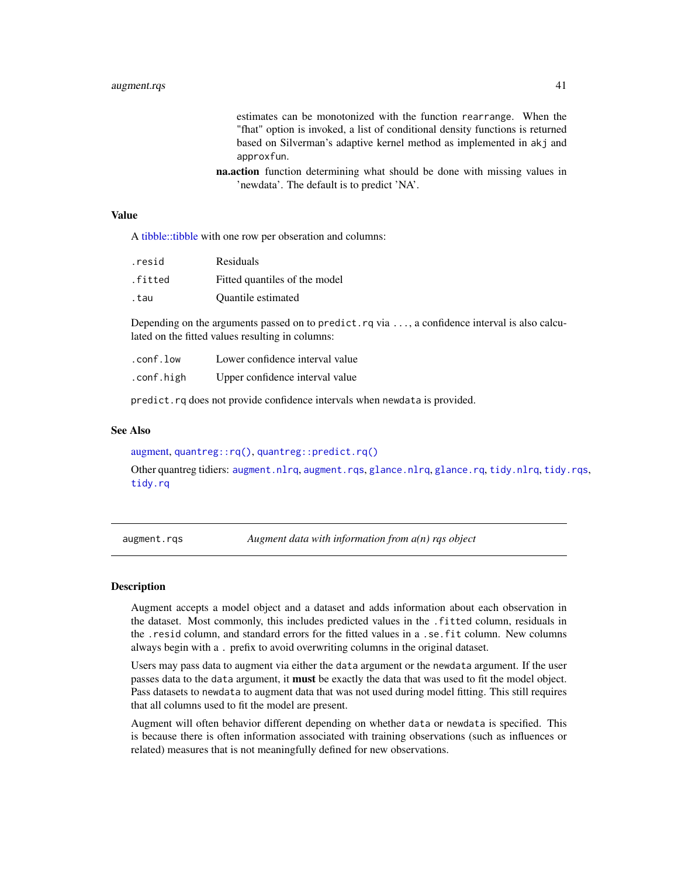estimates can be monotonized with the function rearrange. When the "fhat" option is invoked, a list of conditional density functions is returned based on Silverman's adaptive kernel method as implemented in akj and approxfun.

na.action function determining what should be done with missing values in 'newdata'. The default is to predict 'NA'.

#### Value

A [tibble::tibble](#page-0-0) with one row per obseration and columns:

| .resid  | Residuals                     |
|---------|-------------------------------|
| .fitted | Fitted quantiles of the model |
| .tau    | <b>Ouantile estimated</b>     |

Depending on the arguments passed on to predict.  $rq$  via  $\dots$ , a confidence interval is also calculated on the fitted values resulting in columns:

| .conf.low  | Lower confidence interval value |
|------------|---------------------------------|
| .conf.high | Upper confidence interval value |

predict.rq does not provide confidence intervals when newdata is provided.

#### See Also

[augment,](#page-0-0) [quantreg::rq\(\)](#page-0-0), [quantreg::predict.rq\(\)](#page-0-0)

Other quantreg tidiers: [augment.nlrq](#page-30-0), [augment.rqs](#page-40-0), [glance.nlrq](#page-92-0), [glance.rq](#page-101-0), [tidy.nlrq](#page-200-0), [tidy.rqs](#page-224-0), [tidy.rq](#page-223-0)

<span id="page-40-0"></span>augment.rqs *Augment data with information from a(n) rqs object*

#### **Description**

Augment accepts a model object and a dataset and adds information about each observation in the dataset. Most commonly, this includes predicted values in the .fitted column, residuals in the .resid column, and standard errors for the fitted values in a .se.fit column. New columns always begin with a . prefix to avoid overwriting columns in the original dataset.

Users may pass data to augment via either the data argument or the newdata argument. If the user passes data to the data argument, it must be exactly the data that was used to fit the model object. Pass datasets to newdata to augment data that was not used during model fitting. This still requires that all columns used to fit the model are present.

Augment will often behavior different depending on whether data or newdata is specified. This is because there is often information associated with training observations (such as influences or related) measures that is not meaningfully defined for new observations.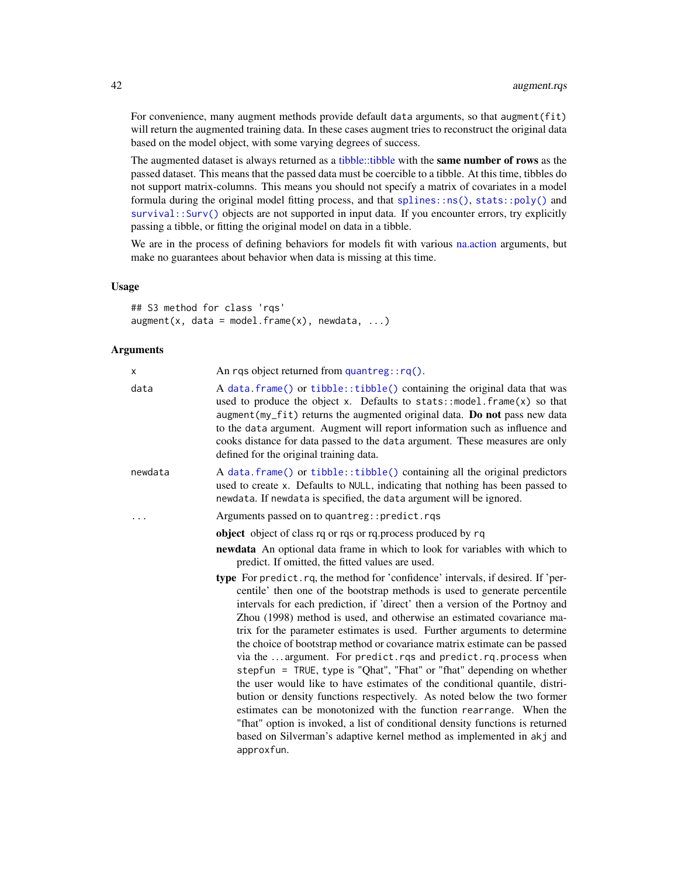For convenience, many augment methods provide default data arguments, so that augment (fit) will return the augmented training data. In these cases augment tries to reconstruct the original data based on the model object, with some varying degrees of success.

The augmented dataset is always returned as a [tibble::tibble](#page-0-0) with the **same number of rows** as the passed dataset. This means that the passed data must be coercible to a tibble. At this time, tibbles do not support matrix-columns. This means you should not specify a matrix of covariates in a model formula during the original model fitting process, and that [splines::ns\(\)](#page-0-0), [stats::poly\(\)](#page-0-0) and survival:: Surv() objects are not supported in input data. If you encounter errors, try explicitly passing a tibble, or fitting the original model on data in a tibble.

We are in the process of defining behaviors for models fit with various [na.action](#page-0-0) arguments, but make no guarantees about behavior when data is missing at this time.

## Usage

## S3 method for class 'rqs'  $augment(x, data = model-frame(x), newdata, ...)$ 

#### Arguments

| X       | An rqs object returned from quantreg: $rq()$ .                                                                                                                                                                                                                                                                                                                                                                                                                                                                                                                                                                                                                                                                                                                                                                                                                                                                                                                                                                                     |
|---------|------------------------------------------------------------------------------------------------------------------------------------------------------------------------------------------------------------------------------------------------------------------------------------------------------------------------------------------------------------------------------------------------------------------------------------------------------------------------------------------------------------------------------------------------------------------------------------------------------------------------------------------------------------------------------------------------------------------------------------------------------------------------------------------------------------------------------------------------------------------------------------------------------------------------------------------------------------------------------------------------------------------------------------|
| data    | A data.frame() or tibble::tibble() containing the original data that was<br>used to produce the object x. Defaults to stats:: model.frame(x) so that<br>augment (my_fit) returns the augmented original data. Do not pass new data<br>to the data argument. Augment will report information such as influence and<br>cooks distance for data passed to the data argument. These measures are only<br>defined for the original training data.                                                                                                                                                                                                                                                                                                                                                                                                                                                                                                                                                                                       |
| newdata | A data. frame() or tibble::tibble() containing all the original predictors<br>used to create x. Defaults to NULL, indicating that nothing has been passed to<br>newdata. If newdata is specified, the data argument will be ignored.                                                                                                                                                                                                                                                                                                                                                                                                                                                                                                                                                                                                                                                                                                                                                                                               |
|         | Arguments passed on to quantreg::predict.rqs                                                                                                                                                                                                                                                                                                                                                                                                                                                                                                                                                                                                                                                                                                                                                                                                                                                                                                                                                                                       |
|         | object object of class rq or rqs or rq. process produced by rq                                                                                                                                                                                                                                                                                                                                                                                                                                                                                                                                                                                                                                                                                                                                                                                                                                                                                                                                                                     |
|         | newdata An optional data frame in which to look for variables with which to<br>predict. If omitted, the fitted values are used.                                                                                                                                                                                                                                                                                                                                                                                                                                                                                                                                                                                                                                                                                                                                                                                                                                                                                                    |
|         | type For predict.rq, the method for 'confidence' intervals, if desired. If 'per-<br>centile' then one of the bootstrap methods is used to generate percentile<br>intervals for each prediction, if 'direct' then a version of the Portnoy and<br>Zhou (1998) method is used, and otherwise an estimated covariance ma-<br>trix for the parameter estimates is used. Further arguments to determine<br>the choice of bootstrap method or covariance matrix estimate can be passed<br>via the  argument. For predict.rqs and predict.rq.process when<br>stepfun = TRUE, type is "Qhat", "Fhat" or "fhat" depending on whether<br>the user would like to have estimates of the conditional quantile, distri-<br>bution or density functions respectively. As noted below the two former<br>estimates can be monotonized with the function rearrange. When the<br>"fhat" option is invoked, a list of conditional density functions is returned<br>based on Silverman's adaptive kernel method as implemented in akj and<br>approxfun. |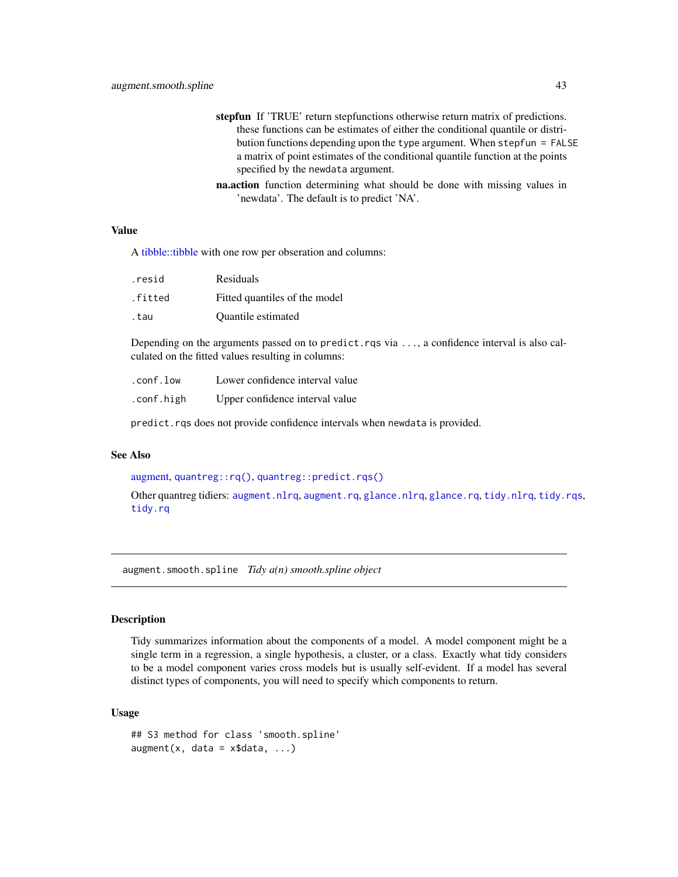- stepfun If 'TRUE' return stepfunctions otherwise return matrix of predictions. these functions can be estimates of either the conditional quantile or distribution functions depending upon the type argument. When stepfun  $=$  FALSE a matrix of point estimates of the conditional quantile function at the points specified by the newdata argument.
- na.action function determining what should be done with missing values in 'newdata'. The default is to predict 'NA'.

#### Value

A [tibble::tibble](#page-0-0) with one row per obseration and columns:

| .resid  | Residuals                     |
|---------|-------------------------------|
| .fitted | Fitted quantiles of the model |
| .tau    | <b>Ouantile estimated</b>     |

Depending on the arguments passed on to predict.rqs via ..., a confidence interval is also calculated on the fitted values resulting in columns:

| .conf.low  | Lower confidence interval value |
|------------|---------------------------------|
| .conf.high | Upper confidence interval value |

predict.rqs does not provide confidence intervals when newdata is provided.

# See Also

[augment,](#page-0-0) [quantreg::rq\(\)](#page-0-0), [quantreg::predict.rqs\(\)](#page-0-0)

Other quantreg tidiers: [augment.nlrq](#page-30-0), [augment.rq](#page-38-0), [glance.nlrq](#page-92-0), [glance.rq](#page-101-0), [tidy.nlrq](#page-200-0), [tidy.rqs](#page-224-0), [tidy.rq](#page-223-0)

augment.smooth.spline *Tidy a(n) smooth.spline object*

#### **Description**

Tidy summarizes information about the components of a model. A model component might be a single term in a regression, a single hypothesis, a cluster, or a class. Exactly what tidy considers to be a model component varies cross models but is usually self-evident. If a model has several distinct types of components, you will need to specify which components to return.

```
## S3 method for class 'smooth.spline'
augment(x, data = x$data, ...)
```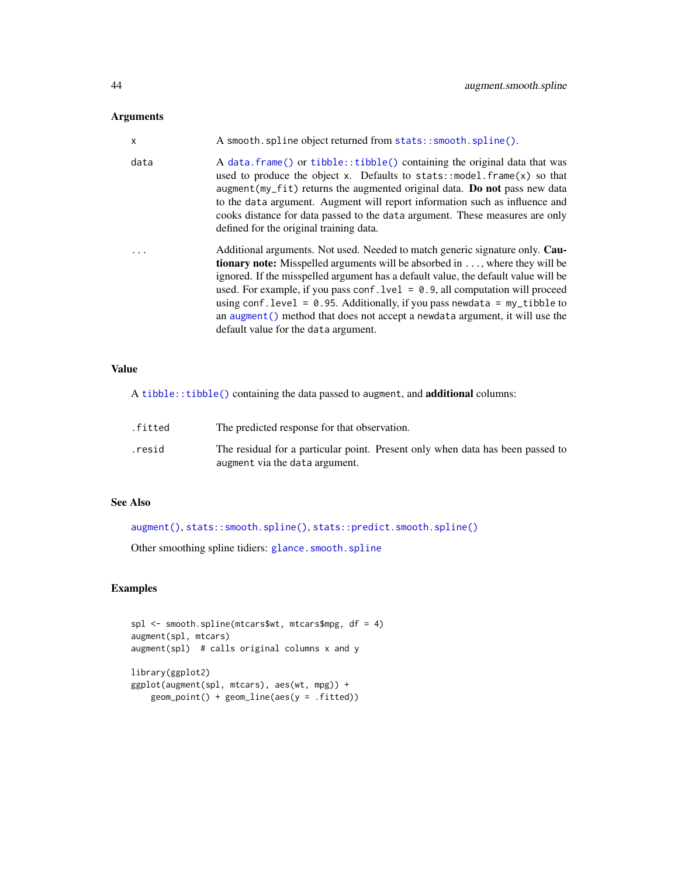# Arguments

| x    | A smooth. spline object returned from stats:: smooth. spline().                                                                                                                                                                                                                                                                                                                                                                                                                                                                                              |
|------|--------------------------------------------------------------------------------------------------------------------------------------------------------------------------------------------------------------------------------------------------------------------------------------------------------------------------------------------------------------------------------------------------------------------------------------------------------------------------------------------------------------------------------------------------------------|
| data | A data.frame() or tibble::tibble() containing the original data that was<br>used to produce the object x. Defaults to stats::model.frame $(x)$ so that<br>augment (my_fit) returns the augmented original data. Do not pass new data<br>to the data argument. Augment will report information such as influence and<br>cooks distance for data passed to the data argument. These measures are only<br>defined for the original training data.                                                                                                               |
|      | Additional arguments. Not used. Needed to match generic signature only. Cau-<br><b>tionary note:</b> Misspelled arguments will be absorbed in , where they will be<br>ignored. If the misspelled argument has a default value, the default value will be<br>used. For example, if you pass conf. $1$ ve $1 = 0.9$ , all computation will proceed<br>using conf.level = $0.95$ . Additionally, if you pass newdata = $my$ _tibble to<br>an augment () method that does not accept a newdata argument, it will use the<br>default value for the data argument. |

# Value

A [tibble::tibble\(\)](#page-0-0) containing the data passed to augment, and additional columns:

| .fitted | The predicted response for that observation.                                                                     |
|---------|------------------------------------------------------------------------------------------------------------------|
| .resid  | The residual for a particular point. Present only when data has been passed to<br>augment via the data argument. |

# See Also

[augment\(\)](#page-0-0), [stats::smooth.spline\(\)](#page-0-0), [stats::predict.smooth.spline\(\)](#page-0-0)

Other smoothing spline tidiers: [glance.smooth.spline](#page-102-0)

# Examples

```
spl <- smooth.spline(mtcars$wt, mtcars$mpg, df = 4)
augment(spl, mtcars)
augment(spl) # calls original columns x and y
library(ggplot2)
ggplot(augment(spl, mtcars), aes(wt, mpg)) +
   geom_point() + geom_line(aes(y = .fitted))
```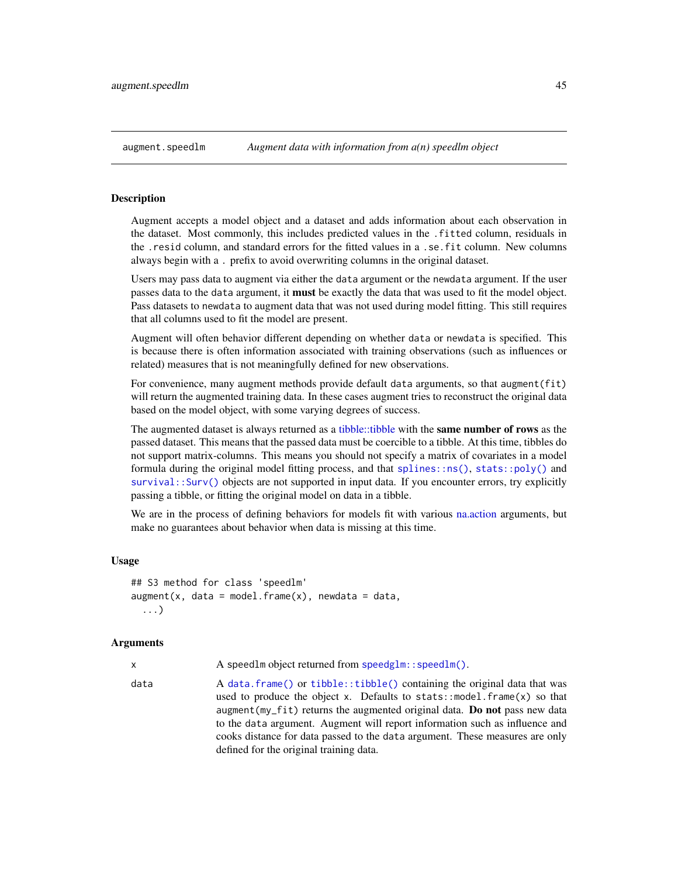#### **Description**

Augment accepts a model object and a dataset and adds information about each observation in the dataset. Most commonly, this includes predicted values in the .fitted column, residuals in the .resid column, and standard errors for the fitted values in a .se.fit column. New columns always begin with a . prefix to avoid overwriting columns in the original dataset.

Users may pass data to augment via either the data argument or the newdata argument. If the user passes data to the data argument, it must be exactly the data that was used to fit the model object. Pass datasets to newdata to augment data that was not used during model fitting. This still requires that all columns used to fit the model are present.

Augment will often behavior different depending on whether data or newdata is specified. This is because there is often information associated with training observations (such as influences or related) measures that is not meaningfully defined for new observations.

For convenience, many augment methods provide default data arguments, so that augment (fit) will return the augmented training data. In these cases augment tries to reconstruct the original data based on the model object, with some varying degrees of success.

The augmented dataset is always returned as a [tibble::tibble](#page-0-0) with the **same number of rows** as the passed dataset. This means that the passed data must be coercible to a tibble. At this time, tibbles do not support matrix-columns. This means you should not specify a matrix of covariates in a model formula during the original model fitting process, and that [splines::ns\(\)](#page-0-0), [stats::poly\(\)](#page-0-0) and [survival::Surv\(\)](#page-0-0) objects are not supported in input data. If you encounter errors, try explicitly passing a tibble, or fitting the original model on data in a tibble.

We are in the process of defining behaviors for models fit with various [na.action](#page-0-0) arguments, but make no guarantees about behavior when data is missing at this time.

#### Usage

```
## S3 method for class 'speedlm'
augment(x, data = model-frame(x), newdata = data,...)
```
#### Arguments

|  |  | A speedlm object returned from speedglm: : speedlm(). |
|--|--|-------------------------------------------------------|
|--|--|-------------------------------------------------------|

data A [data.frame\(\)](#page-0-0) or [tibble::tibble\(\)](#page-0-0) containing the original data that was used to produce the object x. Defaults to stats::model.frame $(x)$  so that augment ( $my$ -fit) returns the augmented original data. Do not pass new data to the data argument. Augment will report information such as influence and cooks distance for data passed to the data argument. These measures are only defined for the original training data.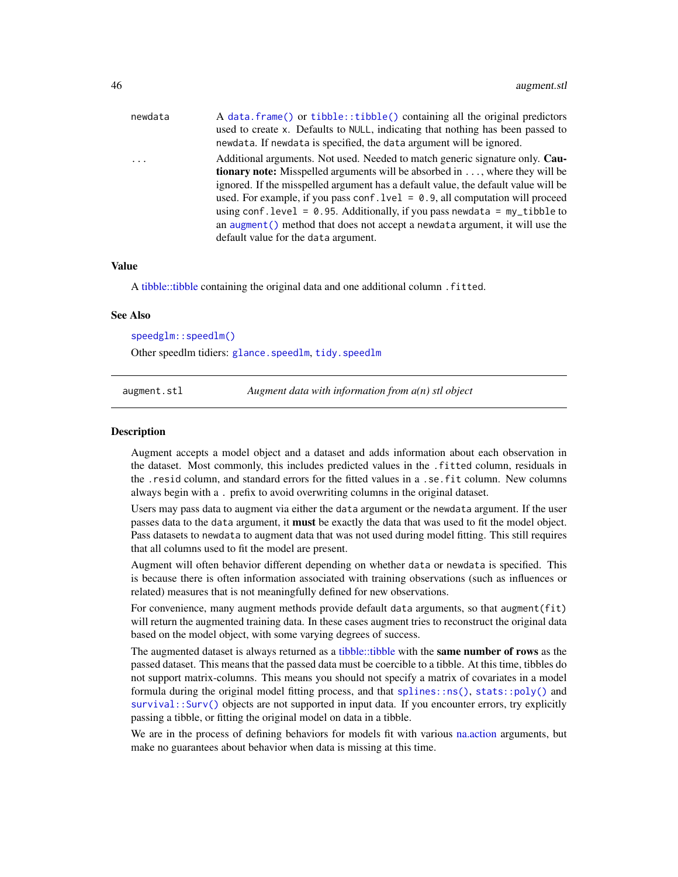| newdata  | A data.frame() or tibble::tibble() containing all the original predictors          |
|----------|------------------------------------------------------------------------------------|
|          | used to create x. Defaults to NULL, indicating that nothing has been passed to     |
|          | newdata. If newdata is specified, the data argument will be ignored.               |
| $\cdots$ | Additional arguments. Not used. Needed to match generic signature only. Cau-       |
|          | <b>tionary note:</b> Misspelled arguments will be absorbed in , where they will be |
|          | ignored. If the misspelled argument has a default value, the default value will be |
|          | used. For example, if you pass conf. $1$ vel = 0.9, all computation will proceed   |
|          | using conf. level = $0.95$ . Additionally, if you pass newdata = $my$ _tibble to   |
|          | an augment () method that does not accept a newdata argument, it will use the      |
|          | default value for the data argument.                                               |

#### Value

A [tibble::tibble](#page-0-0) containing the original data and one additional column .fitted.

#### See Also

[speedglm::speedlm\(\)](#page-0-0)

Other speedlm tidiers: [glance.speedlm](#page-103-0), [tidy.speedlm](#page-227-0)

augment.stl *Augment data with information from a(n) stl object*

#### Description

Augment accepts a model object and a dataset and adds information about each observation in the dataset. Most commonly, this includes predicted values in the .fitted column, residuals in the .resid column, and standard errors for the fitted values in a .se.fit column. New columns always begin with a . prefix to avoid overwriting columns in the original dataset.

Users may pass data to augment via either the data argument or the newdata argument. If the user passes data to the data argument, it **must** be exactly the data that was used to fit the model object. Pass datasets to newdata to augment data that was not used during model fitting. This still requires that all columns used to fit the model are present.

Augment will often behavior different depending on whether data or newdata is specified. This is because there is often information associated with training observations (such as influences or related) measures that is not meaningfully defined for new observations.

For convenience, many augment methods provide default data arguments, so that augment (fit) will return the augmented training data. In these cases augment tries to reconstruct the original data based on the model object, with some varying degrees of success.

The augmented dataset is always returned as a [tibble::tibble](#page-0-0) with the **same number of rows** as the passed dataset. This means that the passed data must be coercible to a tibble. At this time, tibbles do not support matrix-columns. This means you should not specify a matrix of covariates in a model formula during the original model fitting process, and that [splines::ns\(\)](#page-0-0), [stats::poly\(\)](#page-0-0) and [survival::Surv\(\)](#page-0-0) objects are not supported in input data. If you encounter errors, try explicitly passing a tibble, or fitting the original model on data in a tibble.

We are in the process of defining behaviors for models fit with various [na.action](#page-0-0) arguments, but make no guarantees about behavior when data is missing at this time.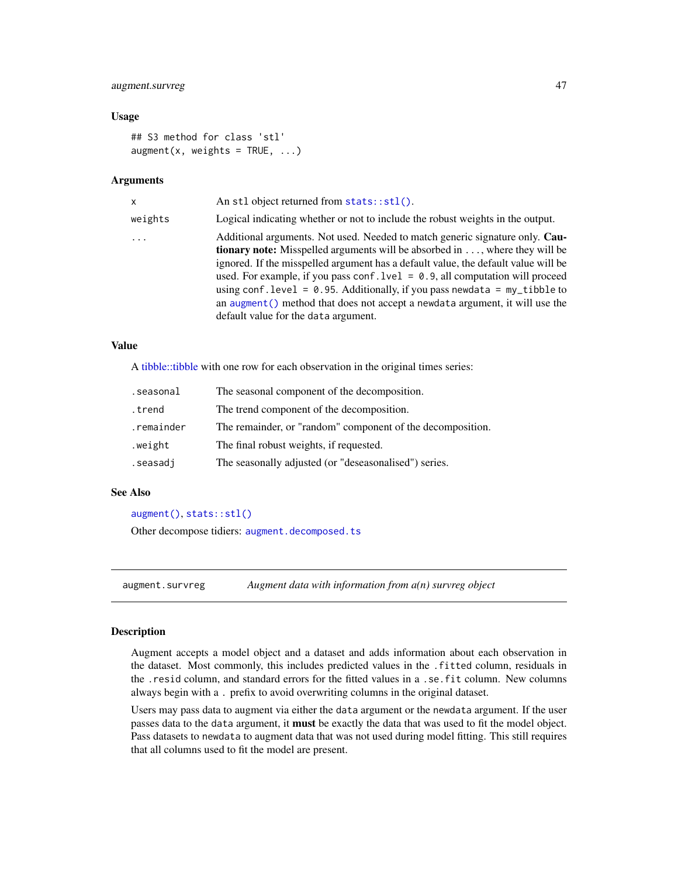# augment.survreg 47

# Usage

```
## S3 method for class 'stl'
augment(x, weights = TRUE, ...)
```
#### **Arguments**

| x       | An st1 object returned from stats::st1().                                                                                                                                                                                                                                                                                                                                                                                                                                                                                                                           |
|---------|---------------------------------------------------------------------------------------------------------------------------------------------------------------------------------------------------------------------------------------------------------------------------------------------------------------------------------------------------------------------------------------------------------------------------------------------------------------------------------------------------------------------------------------------------------------------|
| weights | Logical indicating whether or not to include the robust weights in the output.                                                                                                                                                                                                                                                                                                                                                                                                                                                                                      |
| .       | Additional arguments. Not used. Needed to match generic signature only. Cau-<br><b>tionary note:</b> Misspelled arguments will be absorbed in , where they will be<br>ignored. If the misspelled argument has a default value, the default value will be<br>used. For example, if you pass conf. $1$ ve $1 = 0.9$ , all computation will proceed<br>using conf. level = $\theta$ . 95. Additionally, if you pass newdata = $my$ _tibble to<br>an augment () method that does not accept a newdata argument, it will use the<br>default value for the data argument. |

# Value

A [tibble::tibble](#page-0-0) with one row for each observation in the original times series:

| .seasonal  | The seasonal component of the decomposition.               |
|------------|------------------------------------------------------------|
| .trend     | The trend component of the decomposition.                  |
| .remainder | The remainder, or "random" component of the decomposition. |
| .weight    | The final robust weights, if requested.                    |
| .seasadj   | The seasonally adjusted (or "deseasonalised") series.      |

# See Also

```
augment(), stats::stl()
```
Other decompose tidiers: [augment.decomposed.ts](#page-9-0)

<span id="page-46-0"></span>augment.survreg *Augment data with information from a(n) survreg object*

#### Description

Augment accepts a model object and a dataset and adds information about each observation in the dataset. Most commonly, this includes predicted values in the .fitted column, residuals in the .resid column, and standard errors for the fitted values in a .se.fit column. New columns always begin with a . prefix to avoid overwriting columns in the original dataset.

Users may pass data to augment via either the data argument or the newdata argument. If the user passes data to the data argument, it must be exactly the data that was used to fit the model object. Pass datasets to newdata to augment data that was not used during model fitting. This still requires that all columns used to fit the model are present.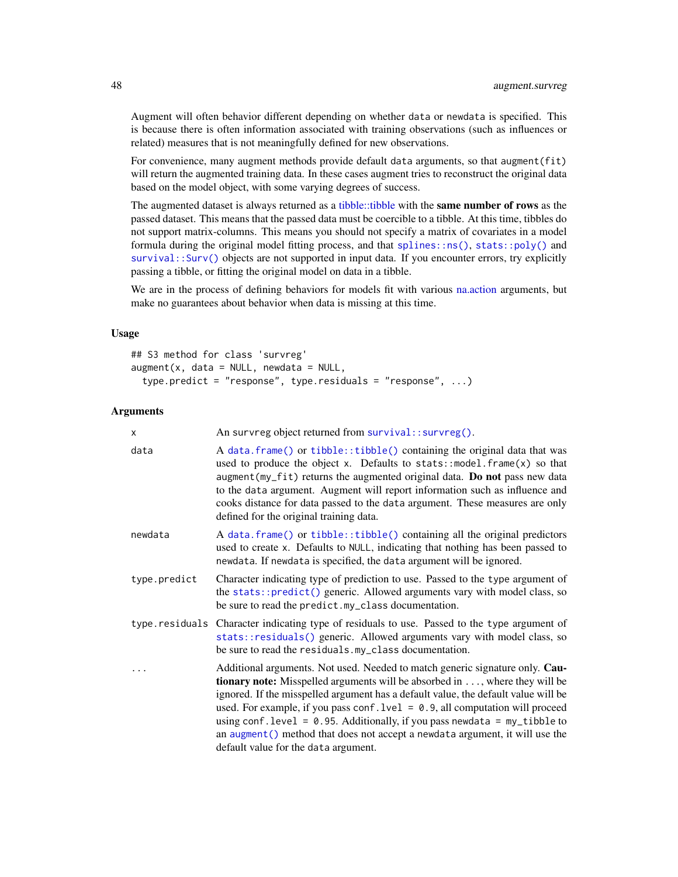Augment will often behavior different depending on whether data or newdata is specified. This is because there is often information associated with training observations (such as influences or related) measures that is not meaningfully defined for new observations.

For convenience, many augment methods provide default data arguments, so that augment (fit) will return the augmented training data. In these cases augment tries to reconstruct the original data based on the model object, with some varying degrees of success.

The augmented dataset is always returned as a [tibble::tibble](#page-0-0) with the same number of rows as the passed dataset. This means that the passed data must be coercible to a tibble. At this time, tibbles do not support matrix-columns. This means you should not specify a matrix of covariates in a model formula during the original model fitting process, and that [splines::ns\(\)](#page-0-0), [stats::poly\(\)](#page-0-0) and [survival::Surv\(\)](#page-0-0) objects are not supported in input data. If you encounter errors, try explicitly passing a tibble, or fitting the original model on data in a tibble.

We are in the process of defining behaviors for models fit with various [na.action](#page-0-0) arguments, but make no guarantees about behavior when data is missing at this time.

## Usage

```
## S3 method for class 'survreg'
augment(x, data = NULL, newdata = NULL,type.predict = "response", type.residuals = "response", ...)
```
#### **Arguments**

| x            | An survreg object returned from survival:: survreg().                                                                                                                                                                                                                                                                                                                                                                                                                                                                                                   |
|--------------|---------------------------------------------------------------------------------------------------------------------------------------------------------------------------------------------------------------------------------------------------------------------------------------------------------------------------------------------------------------------------------------------------------------------------------------------------------------------------------------------------------------------------------------------------------|
| data         | A data.frame() or tibble::tibble() containing the original data that was<br>used to produce the object x. Defaults to stats:: model.frame(x) so that<br>augment (my_fit) returns the augmented original data. Do not pass new data<br>to the data argument. Augment will report information such as influence and<br>cooks distance for data passed to the data argument. These measures are only<br>defined for the original training data.                                                                                                            |
| newdata      | A data. frame() or tibble::tibble() containing all the original predictors<br>used to create x. Defaults to NULL, indicating that nothing has been passed to<br>newdata. If newdata is specified, the data argument will be ignored.                                                                                                                                                                                                                                                                                                                    |
| type.predict | Character indicating type of prediction to use. Passed to the type argument of<br>the stats::predict() generic. Allowed arguments vary with model class, so<br>be sure to read the predict.my_class documentation.                                                                                                                                                                                                                                                                                                                                      |
|              | type.residuals Character indicating type of residuals to use. Passed to the type argument of<br>stats::residuals() generic. Allowed arguments vary with model class, so<br>be sure to read the residuals.my_class documentation.                                                                                                                                                                                                                                                                                                                        |
|              | Additional arguments. Not used. Needed to match generic signature only. Cau-<br><b>tionary note:</b> Misspelled arguments will be absorbed in , where they will be<br>ignored. If the misspelled argument has a default value, the default value will be<br>used. For example, if you pass conf. $level = 0.9$ , all computation will proceed<br>using conf. level = $0.95$ . Additionally, if you pass newdata = my_tibble to<br>an augment () method that does not accept a newdata argument, it will use the<br>default value for the data argument. |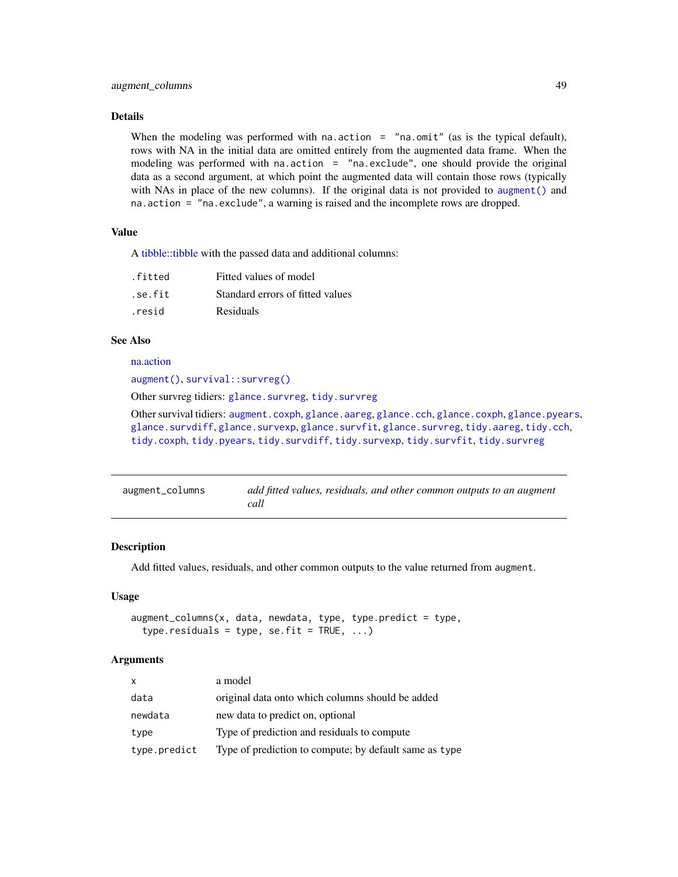# Details

When the modeling was performed with na.action =  $"$ na.omit" (as is the typical default), rows with NA in the initial data are omitted entirely from the augmented data frame. When the modeling was performed with na.action = "na.exclude", one should provide the original data as a second argument, at which point the augmented data will contain those rows (typically with NAs in place of the new columns). If the original data is not provided to [augment\(\)](#page-0-0) and na.action = "na.exclude", a warning is raised and the incomplete rows are dropped.

# Value

A [tibble::tibble](#page-0-0) with the passed data and additional columns:

| .fitted | Fitted values of model           |
|---------|----------------------------------|
| .se.fit | Standard errors of fitted values |
| .resid  | Residuals                        |

# See Also

[na.action](#page-0-0)

[augment\(\)](#page-0-0), [survival::survreg\(\)](#page-0-0)

Other survreg tidiers: [glance.survreg](#page-107-0), [tidy.survreg](#page-233-0)

Other survival tidiers: [augment.coxph](#page-7-0), [glance.aareg](#page-59-0), [glance.cch](#page-65-0), [glance.coxph](#page-66-0), [glance.pyears](#page-97-0), [glance.survdiff](#page-104-0), [glance.survexp](#page-105-0), [glance.survfit](#page-106-0), [glance.survreg](#page-107-0), [tidy.aareg](#page-126-0), [tidy.cch](#page-142-0), [tidy.coxph](#page-148-0), [tidy.pyears](#page-216-0), [tidy.survdiff](#page-229-0), [tidy.survexp](#page-230-0), [tidy.survfit](#page-231-0), [tidy.survreg](#page-233-0)

| augment_columns | add fitted values, residuals, and other common outputs to an augment |
|-----------------|----------------------------------------------------------------------|
|                 | call                                                                 |

# Description

Add fitted values, residuals, and other common outputs to the value returned from augment.

## Usage

```
augment_{collums}(x, data, new data, type, type. predict = type,type.residuals = type, se.fit = TRUE, \ldots)
```
#### Arguments

| $\mathsf{x}$ | a model                                                |
|--------------|--------------------------------------------------------|
| data         | original data onto which columns should be added       |
| newdata      | new data to predict on, optional                       |
| type         | Type of prediction and residuals to compute.           |
| type.predict | Type of prediction to compute; by default same as type |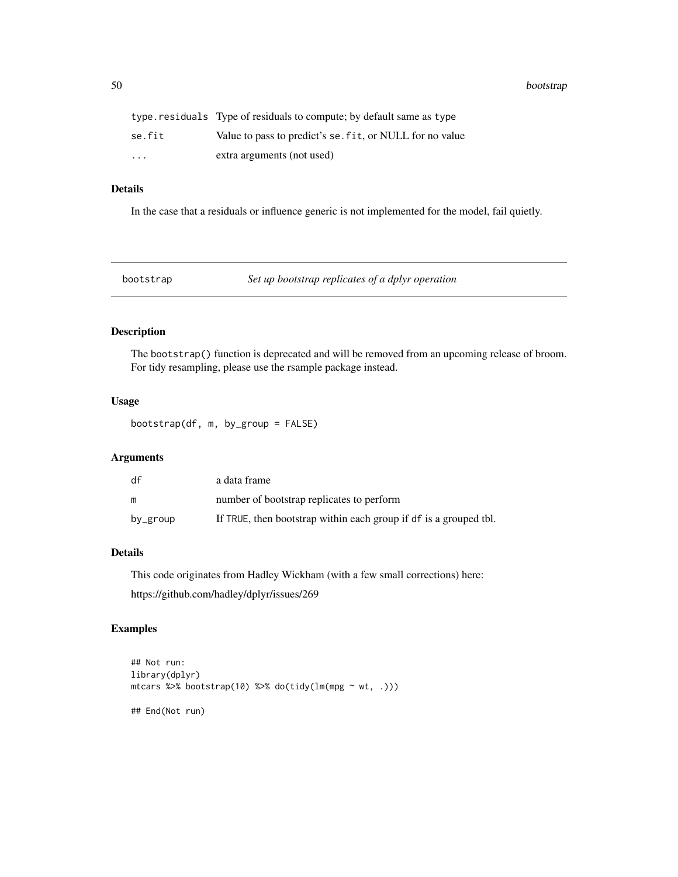50 bootstrap

|                         | type. residuals Type of residuals to compute; by default same as type |
|-------------------------|-----------------------------------------------------------------------|
| se.fit                  | Value to pass to predict's se, fit, or NULL for no value              |
| $\cdot$ $\cdot$ $\cdot$ | extra arguments (not used)                                            |

# Details

In the case that a residuals or influence generic is not implemented for the model, fail quietly.

| bootstrap | Set up bootstrap replicates of a dplyr operation |
|-----------|--------------------------------------------------|
|           |                                                  |

# Description

The bootstrap() function is deprecated and will be removed from an upcoming release of broom. For tidy resampling, please use the rsample package instead.

# Usage

bootstrap(df, m, by\_group = FALSE)

# Arguments

| df       | a data frame                                                      |
|----------|-------------------------------------------------------------------|
| m        | number of bootstrap replicates to perform                         |
| by_group | If TRUE, then bootstrap within each group if df is a grouped tbl. |

### Details

This code originates from Hadley Wickham (with a few small corrections) here: https://github.com/hadley/dplyr/issues/269

# Examples

```
## Not run:
library(dplyr)
mtcars %>% bootstrap(10) %>% do(tidy(lm(mpg ~ wt, .)))
## End(Not run)
```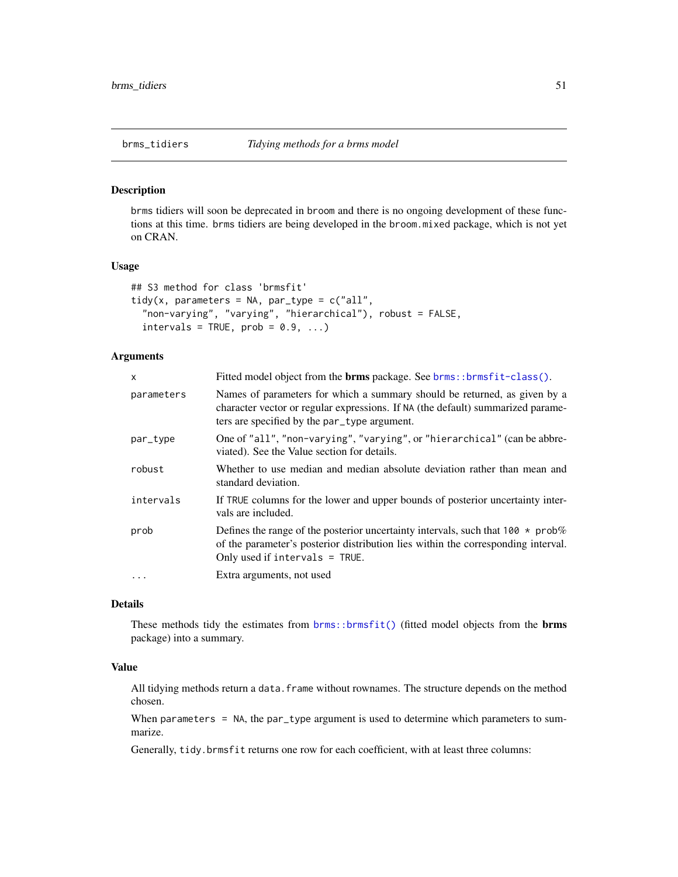#### Description

brms tidiers will soon be deprecated in broom and there is no ongoing development of these functions at this time. brms tidiers are being developed in the broom.mixed package, which is not yet on CRAN.

#### Usage

```
## S3 method for class 'brmsfit'
tidy(x, parameters = NA, par_type = c("all","non-varying", "varying", "hierarchical"), robust = FALSE,
  intervals = TRUE, prob = 0.9, ...)
```
## Arguments

| $\mathsf{x}$ | Fitted model object from the <b>brms</b> package. See brms::brmsfit-class().                                                                                                                                     |
|--------------|------------------------------------------------------------------------------------------------------------------------------------------------------------------------------------------------------------------|
| parameters   | Names of parameters for which a summary should be returned, as given by a<br>character vector or regular expressions. If NA (the default) summarized parame-<br>ters are specified by the par_type argument.     |
| par_type     | One of "all", "non-varying", "varying", or "hierarchical" (can be abbre-<br>viated). See the Value section for details.                                                                                          |
| robust       | Whether to use median and median absolute deviation rather than mean and<br>standard deviation.                                                                                                                  |
| intervals    | If TRUE columns for the lower and upper bounds of posterior uncertainty inter-<br>vals are included.                                                                                                             |
| prob         | Defines the range of the posterior uncertainty intervals, such that $100 \times prob\%$<br>of the parameter's posterior distribution lies within the corresponding interval.<br>Only used if intervals $=$ TRUE. |
| .            | Extra arguments, not used                                                                                                                                                                                        |

## Details

These methods tidy the estimates from [brms::brmsfit\(\)](#page-0-0) (fitted model objects from the brms package) into a summary.

## Value

All tidying methods return a data. frame without rownames. The structure depends on the method chosen.

When parameters = NA, the par\_type argument is used to determine which parameters to summarize.

Generally, tidy.brmsfit returns one row for each coefficient, with at least three columns: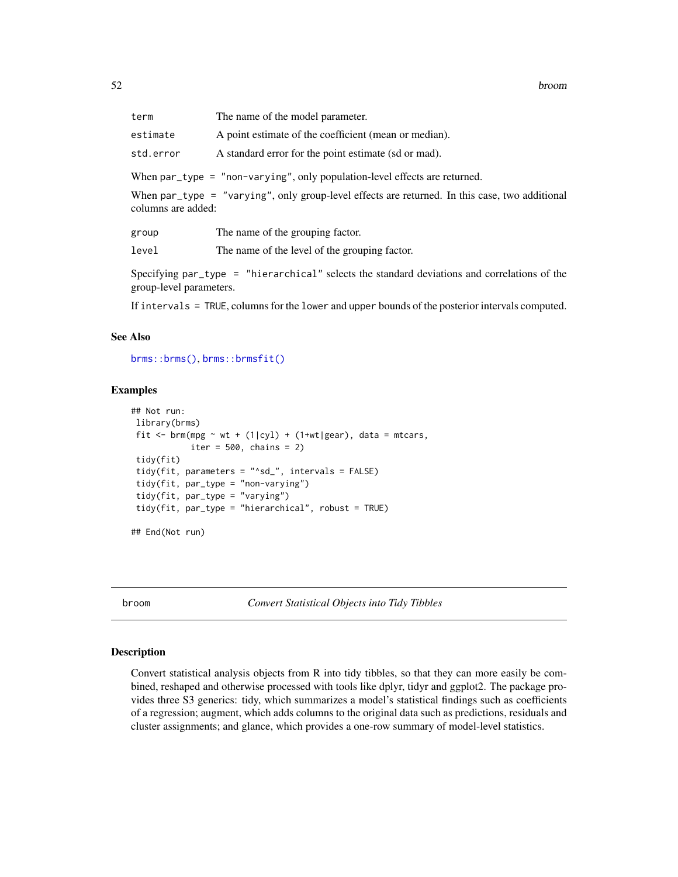| term               | The name of the model parameter.                                                                         |
|--------------------|----------------------------------------------------------------------------------------------------------|
| estimate           | A point estimate of the coefficient (mean or median).                                                    |
| std.error          | A standard error for the point estimate (sd or mad).                                                     |
|                    | When $par_type = "non-varying", only population-level effects are returned.$                             |
| columns are added: | When $par_{\perp}$ type = "varying", only group-level effects are returned. In this case, two additional |

| group |  | The name of the grouping factor. |  |
|-------|--|----------------------------------|--|
|       |  |                                  |  |

level The name of the level of the grouping factor.

Specifying par\_type = "hierarchical" selects the standard deviations and correlations of the group-level parameters.

If intervals = TRUE, columns for the lower and upper bounds of the posterior intervals computed.

# See Also

[brms::brms\(\)](#page-0-0), [brms::brmsfit\(\)](#page-0-0)

# Examples

```
## Not run:
library(brms)
 fit \le brm(mpg \sim wt + (1|cyl) + (1+wt|gear), data = mtcars,
            iter = 500, chains = 2)tidy(fit)
tidy(fit, parameters = "^sd_", intervals = FALSE)
tidy(fit, par_type = "non-varying")
 tidy(fit, par_type = "varying")
 tidy(fit, par_type = "hierarchical", robust = TRUE)
## End(Not run)
```
broom *Convert Statistical Objects into Tidy Tibbles*

#### Description

Convert statistical analysis objects from R into tidy tibbles, so that they can more easily be combined, reshaped and otherwise processed with tools like dplyr, tidyr and ggplot2. The package provides three S3 generics: tidy, which summarizes a model's statistical findings such as coefficients of a regression; augment, which adds columns to the original data such as predictions, residuals and cluster assignments; and glance, which provides a one-row summary of model-level statistics.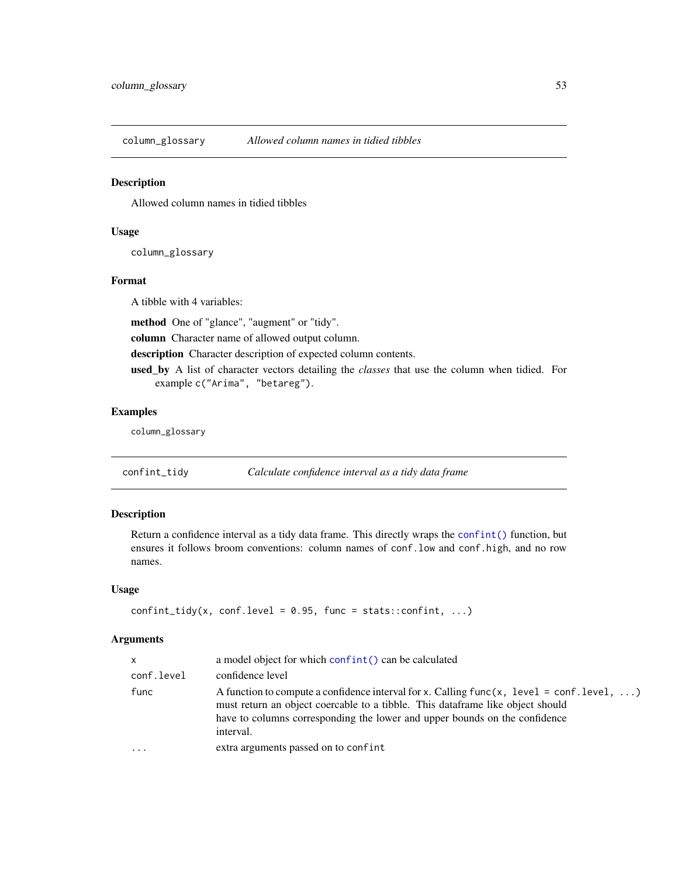column\_glossary *Allowed column names in tidied tibbles*

# Description

Allowed column names in tidied tibbles

# Usage

column\_glossary

# Format

A tibble with 4 variables:

method One of "glance", "augment" or "tidy".

column Character name of allowed output column.

description Character description of expected column contents.

used\_by A list of character vectors detailing the *classes* that use the column when tidied. For example c("Arima", "betareg").

#### Examples

column\_glossary

confint\_tidy *Calculate confidence interval as a tidy data frame*

## Description

Return a confidence interval as a tidy data frame. This directly wraps the [confint\(\)](#page-0-0) function, but ensures it follows broom conventions: column names of conf.low and conf.high, and no row names.

## Usage

```
confint\_tidy(x, conf.level = 0.95, func = stats::confint, ...)
```
# Arguments

| x.         | a model object for which confint () can be calculated                                                                                                                                                                                                                     |
|------------|---------------------------------------------------------------------------------------------------------------------------------------------------------------------------------------------------------------------------------------------------------------------------|
| conf.level | confidence level                                                                                                                                                                                                                                                          |
| func       | A function to compute a confidence interval for x. Calling $func(x, level = conf. level, )$<br>must return an object coercable to a tibble. This data frame like object should<br>have to columns corresponding the lower and upper bounds on the confidence<br>interval. |
| .          | extra arguments passed on to confint                                                                                                                                                                                                                                      |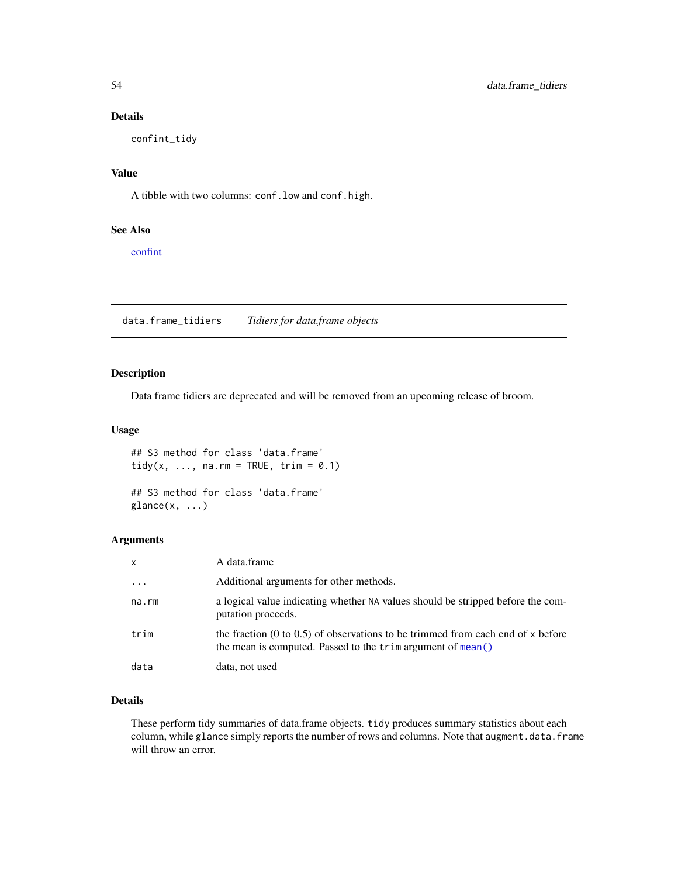# Details

confint\_tidy

# Value

A tibble with two columns: conf.low and conf.high.

# See Also

[confint](#page-0-0)

data.frame\_tidiers *Tidiers for data.frame objects*

## Description

Data frame tidiers are deprecated and will be removed from an upcoming release of broom.

#### Usage

## S3 method for class 'data.frame' tidy(x, ..., na.rm = TRUE, trim =  $0.1$ )

## S3 method for class 'data.frame'  $glance(x, \ldots)$ 

# Arguments

| $\mathsf{x}$ | A data.frame                                                                                                                                     |
|--------------|--------------------------------------------------------------------------------------------------------------------------------------------------|
| $\ddotsc$    | Additional arguments for other methods.                                                                                                          |
| na.rm        | a logical value indicating whether NA values should be stripped before the com-<br>putation proceeds.                                            |
| trim         | the fraction (0 to 0.5) of observations to be trimmed from each end of $x$ before<br>the mean is computed. Passed to the trim argument of mean() |
| data         | data, not used                                                                                                                                   |

# Details

These perform tidy summaries of data.frame objects. tidy produces summary statistics about each column, while glance simply reports the number of rows and columns. Note that augment.data.frame will throw an error.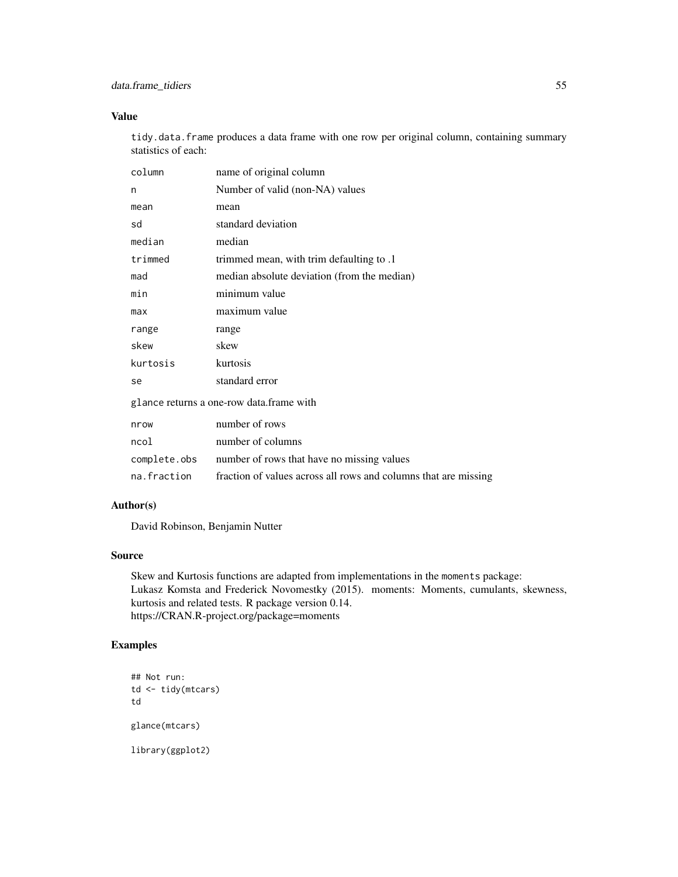# Value

tidy.data.frame produces a data frame with one row per original column, containing summary statistics of each:

| column                                   | name of original column                                         |  |
|------------------------------------------|-----------------------------------------------------------------|--|
| n                                        | Number of valid (non-NA) values                                 |  |
| mean                                     | mean                                                            |  |
| sd                                       | standard deviation                                              |  |
| median                                   | median                                                          |  |
| trimmed                                  | trimmed mean, with trim defaulting to .1                        |  |
| mad                                      | median absolute deviation (from the median)                     |  |
| min                                      | minimum value                                                   |  |
| max                                      | maximum value                                                   |  |
| range                                    | range                                                           |  |
| skew                                     | skew                                                            |  |
| kurtosis                                 | kurtosis                                                        |  |
| se                                       | standard error                                                  |  |
| glance returns a one-row data.frame with |                                                                 |  |
| nrow                                     | number of rows                                                  |  |
| ncol                                     | number of columns                                               |  |
| complete.obs                             | number of rows that have no missing values                      |  |
| na.fraction                              | fraction of values across all rows and columns that are missing |  |

#### Author(s)

David Robinson, Benjamin Nutter

## Source

Skew and Kurtosis functions are adapted from implementations in the moments package: Lukasz Komsta and Frederick Novomestky (2015). moments: Moments, cumulants, skewness, kurtosis and related tests. R package version 0.14. https://CRAN.R-project.org/package=moments

# Examples

```
## Not run:
td <- tidy(mtcars)
td
glance(mtcars)
library(ggplot2)
```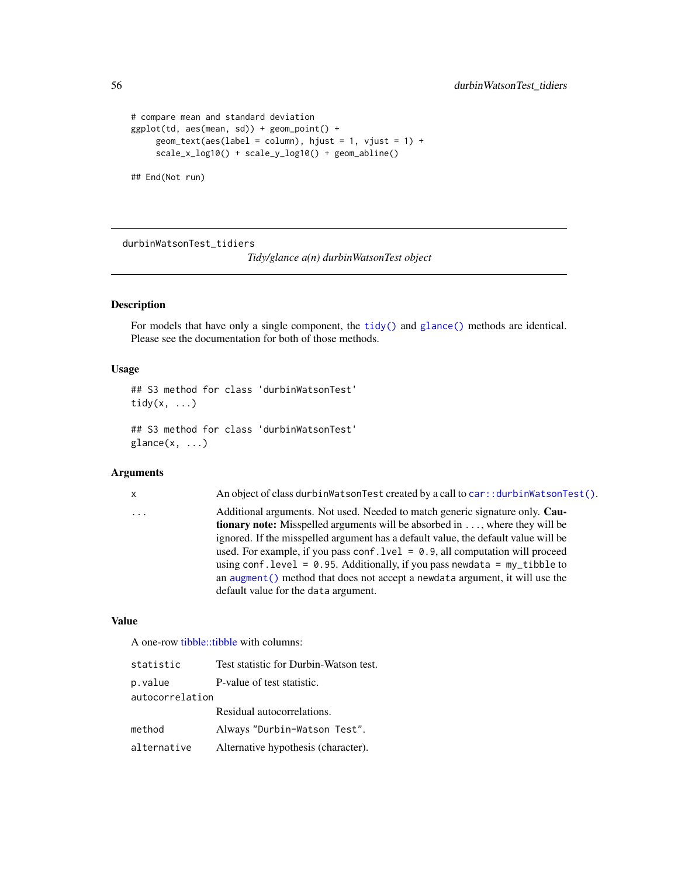```
# compare mean and standard deviation
ggplot(td, aes(mean, sd)) + geom_point() +
     geom\_text(aes(label = column), hjust = 1, vjust = 1) +scale_x_log10() + scale_y_log10() + geom_abline()
## End(Not run)
```
durbinWatsonTest\_tidiers

*Tidy/glance a(n) durbinWatsonTest object*

# Description

For models that have only a single component, the [tidy\(\)](#page-0-0) and [glance\(\)](#page-0-0) methods are identical. Please see the documentation for both of those methods.

## Usage

## S3 method for class 'durbinWatsonTest' tidy $(x, \ldots)$ ## S3 method for class 'durbinWatsonTest'

 $glance(x, \ldots)$ 

#### Arguments

# x An object of class durbinWatsonTest created by a call to [car::durbinWatsonTest\(\)](#page-0-0).

... Additional arguments. Not used. Needed to match generic signature only. **Cau**tionary note: Misspelled arguments will be absorbed in ..., where they will be ignored. If the misspelled argument has a default value, the default value will be used. For example, if you pass conf.  $level = 0.9$ , all computation will proceed using conf.level =  $0.95$ . Additionally, if you pass newdata = my\_tibble to an [augment\(\)](#page-0-0) method that does not accept a newdata argument, it will use the default value for the data argument.

## Value

A one-row [tibble::tibble](#page-0-0) with columns:

| statistic       | Test statistic for Durbin-Watson test. |
|-----------------|----------------------------------------|
| p.value         | P-value of test statistic.             |
| autocorrelation |                                        |
|                 | Residual autocorrelations.             |
| method          | Always "Durbin-Watson Test".           |
| alternative     | Alternative hypothesis (character).    |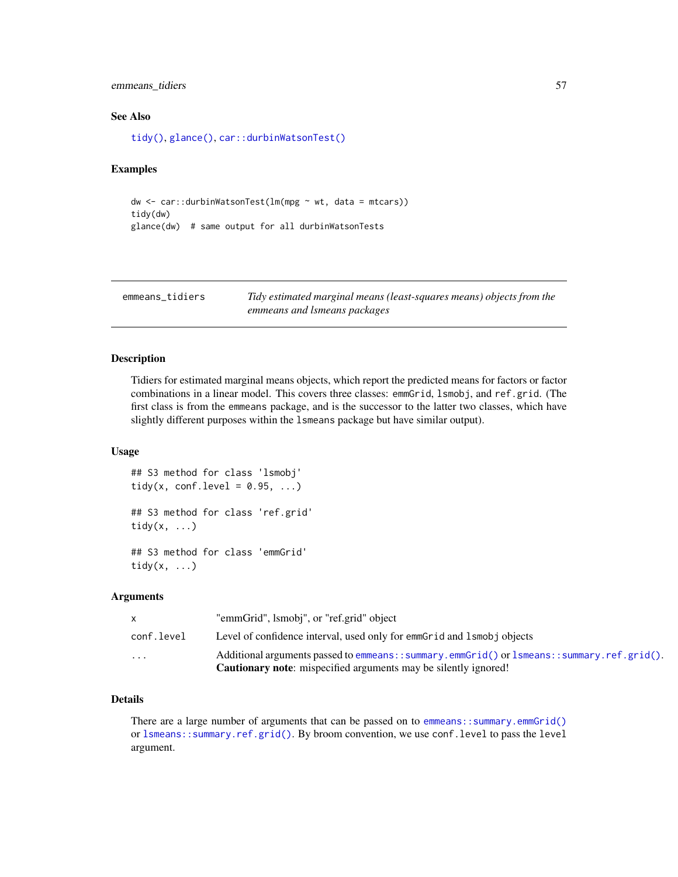emmeans\_tidiers 57

#### See Also

[tidy\(\)](#page-0-0), [glance\(\)](#page-0-0), [car::durbinWatsonTest\(\)](#page-0-0)

#### Examples

```
dw <- car::durbinWatsonTest(lm(mpg ~ wt, data = mtcars))
tidy(dw)
glance(dw) # same output for all durbinWatsonTests
```
emmeans\_tidiers *Tidy estimated marginal means (least-squares means) objects from the emmeans and lsmeans packages*

# Description

Tidiers for estimated marginal means objects, which report the predicted means for factors or factor combinations in a linear model. This covers three classes: emmGrid, lsmobj, and ref.grid. (The first class is from the emmeans package, and is the successor to the latter two classes, which have slightly different purposes within the lsmeans package but have similar output).

# Usage

```
## S3 method for class 'lsmobj'
tidy(x, conf.level = 0.95, ...)
## S3 method for class 'ref.grid'
\text{tidy}(x, \ldots)## S3 method for class 'emmGrid'
tidy(x, \ldots)
```
## Arguments

| .          | Additional arguments passed to emmeans::summary.emmGrid() or lsmeans::summary.ref.grid().<br><b>Cautionary note:</b> mispecified arguments may be silently ignored! |
|------------|---------------------------------------------------------------------------------------------------------------------------------------------------------------------|
|            |                                                                                                                                                                     |
| conf.level | Level of confidence interval, used only for emmorted and 1 smober objects                                                                                           |
| X.         | "emmGrid", Ismobi", or "ref.grid" object                                                                                                                            |

# Details

There are a large number of arguments that can be passed on to [emmeans::summary.emmGrid\(\)](#page-0-0) or [lsmeans::summary.ref.grid\(\)](#page-0-0). By broom convention, we use conf.level to pass the level argument.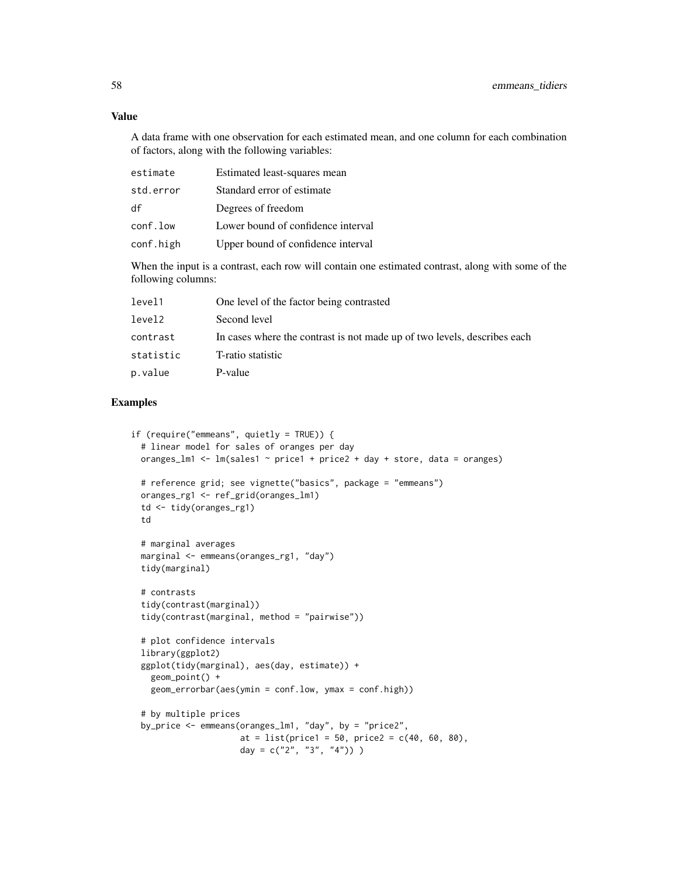A data frame with one observation for each estimated mean, and one column for each combination of factors, along with the following variables:

| estimate  | Estimated least-squares mean       |
|-----------|------------------------------------|
| std.error | Standard error of estimate         |
| df        | Degrees of freedom                 |
| conf.low  | Lower bound of confidence interval |
| conf.high | Upper bound of confidence interval |

When the input is a contrast, each row will contain one estimated contrast, along with some of the following columns:

| level1    | One level of the factor being contrasted                                 |
|-----------|--------------------------------------------------------------------------|
| level2    | Second level                                                             |
| contrast  | In cases where the contrast is not made up of two levels, describes each |
| statistic | T-ratio statistic                                                        |
| p.value   | P-value                                                                  |

## Examples

```
if (require("emmeans", quietly = TRUE)) {
 # linear model for sales of oranges per day
 oranges_lm1 <- lm(sales1 \sim price1 + price2 + day + store, data = oranges)# reference grid; see vignette("basics", package = "emmeans")
 oranges_rg1 <- ref_grid(oranges_lm1)
 td <- tidy(oranges_rg1)
 td
 # marginal averages
 marginal <- emmeans(oranges_rg1, "day")
 tidy(marginal)
 # contrasts
 tidy(contrast(marginal))
 tidy(contrast(marginal, method = "pairwise"))
 # plot confidence intervals
 library(ggplot2)
 ggplot(tidy(marginal), aes(day, estimate)) +
   geom_point() +
   geom_errorbar(aes(ymin = conf.low, ymax = conf.high))
 # by multiple prices
 by_price <- emmeans(oranges_lm1, "day", by = "price2",
                      at = list(price1 = 50, price2 = c(40, 60, 80),
                      day = c("2", "3", "4")) )
```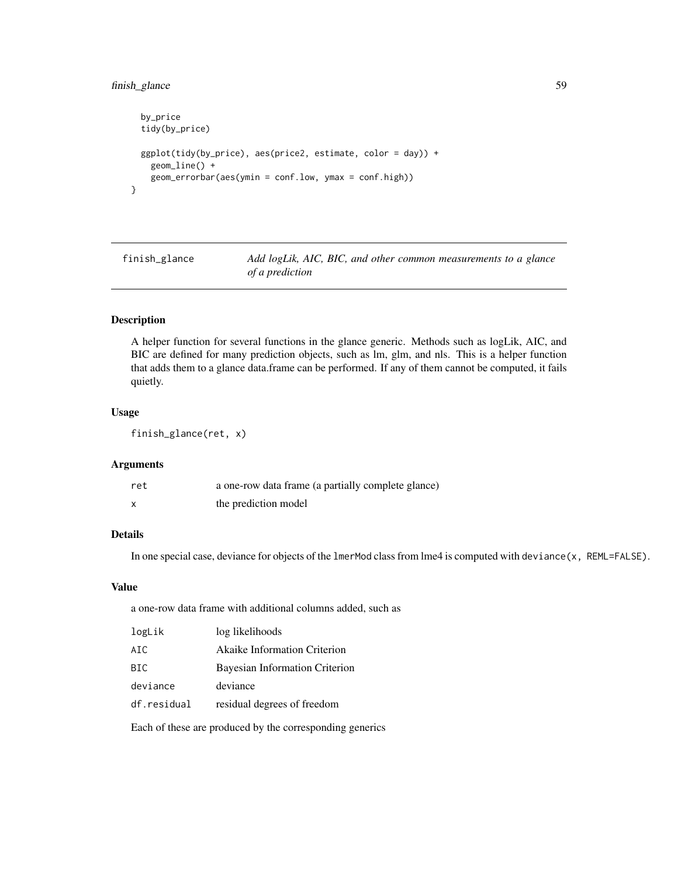# finish\_glance 59

```
by_price
 tidy(by_price)
 ggplot(tidy(by_price), aes(price2, estimate, color = day)) +geom_line() +
   geom_errorbar(aes(ymin = conf.low, ymax = conf.high))
}
```
finish\_glance *Add logLik, AIC, BIC, and other common measurements to a glance of a prediction*

## Description

A helper function for several functions in the glance generic. Methods such as logLik, AIC, and BIC are defined for many prediction objects, such as lm, glm, and nls. This is a helper function that adds them to a glance data.frame can be performed. If any of them cannot be computed, it fails quietly.

#### Usage

finish\_glance(ret, x)

#### Arguments

| ret                       | a one-row data frame (a partially complete glance) |
|---------------------------|----------------------------------------------------|
| $\boldsymbol{\mathsf{x}}$ | the prediction model                               |

#### Details

In one special case, deviance for objects of the lmerMod class from lme4 is computed with deviance(x, REML=FALSE).

#### Value

a one-row data frame with additional columns added, such as

| log likelihoods                     |
|-------------------------------------|
| <b>Akaike Information Criterion</b> |
| Bayesian Information Criterion      |
| deviance                            |
| residual degrees of freedom         |
|                                     |

Each of these are produced by the corresponding generics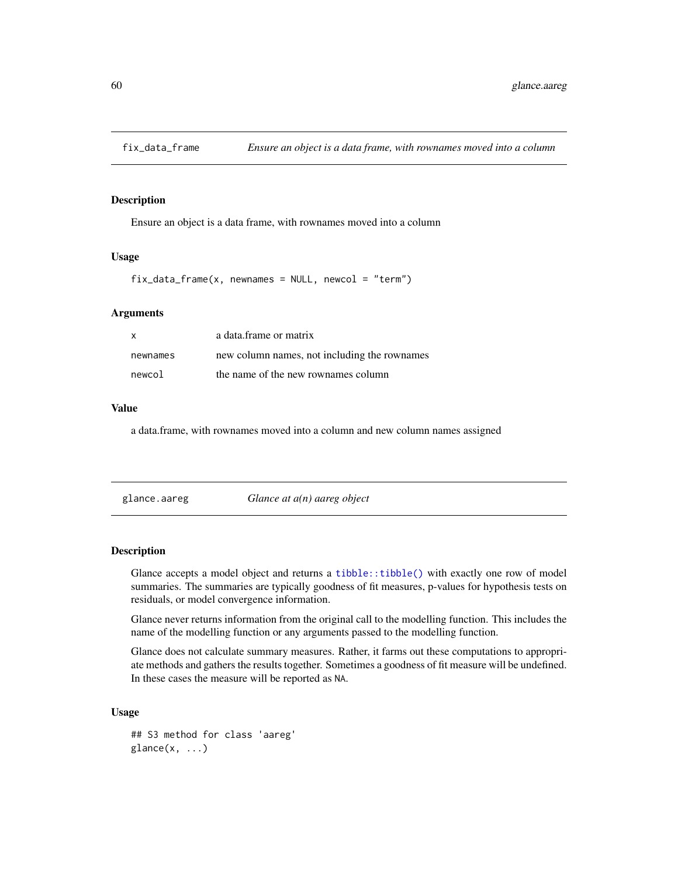# Description

Ensure an object is a data frame, with rownames moved into a column

#### Usage

 $fix\_data\_frame(x,$  newnames = NULL, newcol = "term")

#### Arguments

| $\mathsf{x}$ | a data frame or matrix                       |
|--------------|----------------------------------------------|
| newnames     | new column names, not including the rownames |
| newcol       | the name of the new rownames column          |

## Value

a data.frame, with rownames moved into a column and new column names assigned

<span id="page-59-0"></span>

| glance.aareg |  |
|--------------|--|
|--------------|--|

Glance at  $a(n)$  aareg object

## Description

Glance accepts a model object and returns a [tibble::tibble\(\)](#page-0-0) with exactly one row of model summaries. The summaries are typically goodness of fit measures, p-values for hypothesis tests on residuals, or model convergence information.

Glance never returns information from the original call to the modelling function. This includes the name of the modelling function or any arguments passed to the modelling function.

Glance does not calculate summary measures. Rather, it farms out these computations to appropriate methods and gathers the results together. Sometimes a goodness of fit measure will be undefined. In these cases the measure will be reported as NA.

```
## S3 method for class 'aareg'
\text{glance}(x, \ldots)
```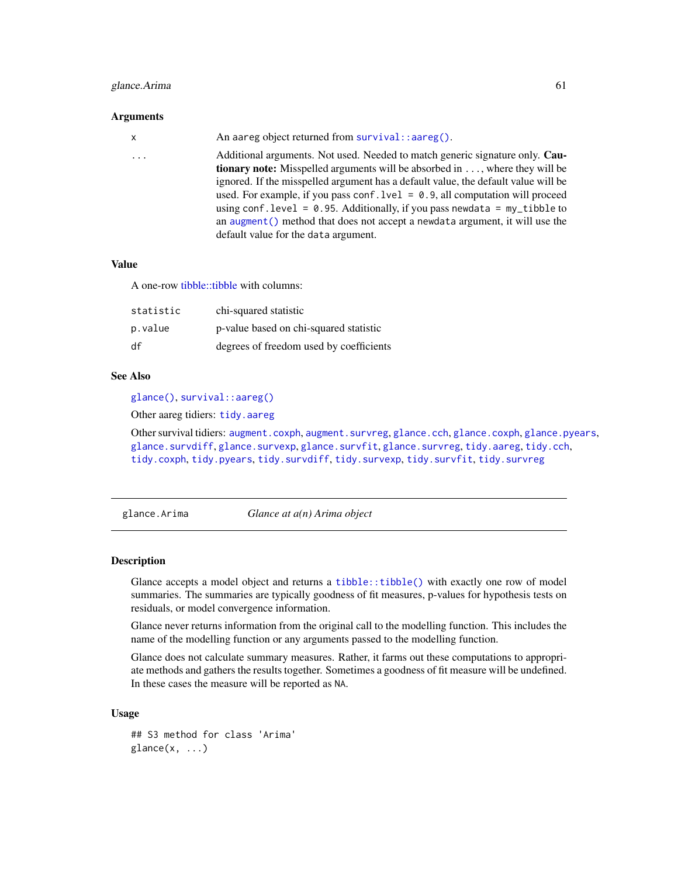## glance.Arima 61

#### **Arguments**

| x | An aareg object returned from $survival$ : aareg().                                  |
|---|--------------------------------------------------------------------------------------|
| . | Additional arguments. Not used. Needed to match generic signature only. Cau-         |
|   | <b>tionary note:</b> Misspelled arguments will be absorbed in , where they will be   |
|   | ignored. If the misspelled argument has a default value, the default value will be   |
|   | used. For example, if you pass conf. $1$ ve $1 = 0.9$ , all computation will proceed |
|   | using conf. level = $0.95$ . Additionally, if you pass newdata = $my$ _tibble to     |
|   | an augment () method that does not accept a newdata argument, it will use the        |
|   | default value for the data argument.                                                 |

## Value

A one-row [tibble::tibble](#page-0-0) with columns:

| statistic | chi-squared statistic                   |
|-----------|-----------------------------------------|
| p.value   | p-value based on chi-squared statistic  |
| df        | degrees of freedom used by coefficients |

## See Also

[glance\(\)](#page-0-0), [survival::aareg\(\)](#page-0-0)

Other aareg tidiers: [tidy.aareg](#page-126-0)

Other survival tidiers: [augment.coxph](#page-7-0), [augment.survreg](#page-46-0), [glance.cch](#page-65-0), [glance.coxph](#page-66-0), [glance.pyears](#page-97-0), [glance.survdiff](#page-104-0), [glance.survexp](#page-105-0), [glance.survfit](#page-106-0), [glance.survreg](#page-107-0), [tidy.aareg](#page-126-0), [tidy.cch](#page-142-0), [tidy.coxph](#page-148-0), [tidy.pyears](#page-216-0), [tidy.survdiff](#page-229-0), [tidy.survexp](#page-230-0), [tidy.survfit](#page-231-0), [tidy.survreg](#page-233-0)

glance.Arima *Glance at a(n) Arima object*

#### Description

Glance accepts a model object and returns a [tibble::tibble\(\)](#page-0-0) with exactly one row of model summaries. The summaries are typically goodness of fit measures, p-values for hypothesis tests on residuals, or model convergence information.

Glance never returns information from the original call to the modelling function. This includes the name of the modelling function or any arguments passed to the modelling function.

Glance does not calculate summary measures. Rather, it farms out these computations to appropriate methods and gathers the results together. Sometimes a goodness of fit measure will be undefined. In these cases the measure will be reported as NA.

```
## S3 method for class 'Arima'
\text{glance}(x, \ldots)
```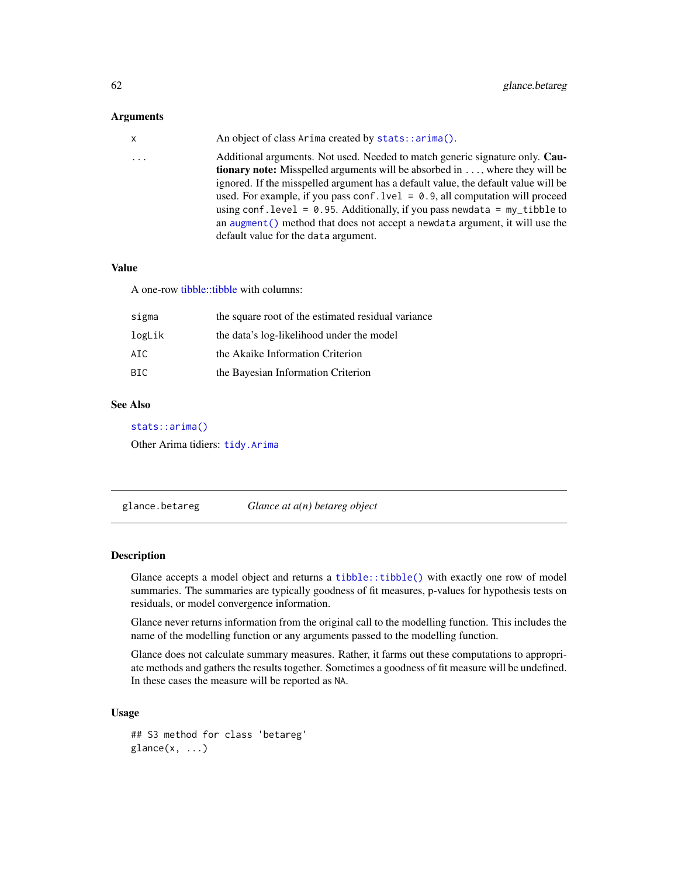## Arguments

| x | An object of class Arima created by stats::arima().                                                                                                                                                                                                                                                                                                                                           |
|---|-----------------------------------------------------------------------------------------------------------------------------------------------------------------------------------------------------------------------------------------------------------------------------------------------------------------------------------------------------------------------------------------------|
| . | Additional arguments. Not used. Needed to match generic signature only. Cau-<br><b>tionary note:</b> Misspelled arguments will be absorbed in , where they will be                                                                                                                                                                                                                            |
|   | ignored. If the misspelled argument has a default value, the default value will be<br>used. For example, if you pass conf. $1$ ve $1 = 0.9$ , all computation will proceed<br>using conf. level = $\theta$ . 95. Additionally, if you pass newdata = $my$ _tibble to<br>an augment () method that does not accept a newdata argument, it will use the<br>default value for the data argument. |

# Value

A one-row [tibble::tibble](#page-0-0) with columns:

| sigma  | the square root of the estimated residual variance |
|--------|----------------------------------------------------|
| logLik | the data's log-likelihood under the model          |
| AIC.   | the Akaike Information Criterion                   |
| BIC.   | the Bayesian Information Criterion                 |

# See Also

[stats::arima\(\)](#page-0-0)

Other Arima tidiers: [tidy.Arima](#page-132-0)

glance.betareg *Glance at a(n) betareg object*

# Description

Glance accepts a model object and returns a [tibble::tibble\(\)](#page-0-0) with exactly one row of model summaries. The summaries are typically goodness of fit measures, p-values for hypothesis tests on residuals, or model convergence information.

Glance never returns information from the original call to the modelling function. This includes the name of the modelling function or any arguments passed to the modelling function.

Glance does not calculate summary measures. Rather, it farms out these computations to appropriate methods and gathers the results together. Sometimes a goodness of fit measure will be undefined. In these cases the measure will be reported as NA.

```
## S3 method for class 'betareg'
\text{glance}(x, \ldots)
```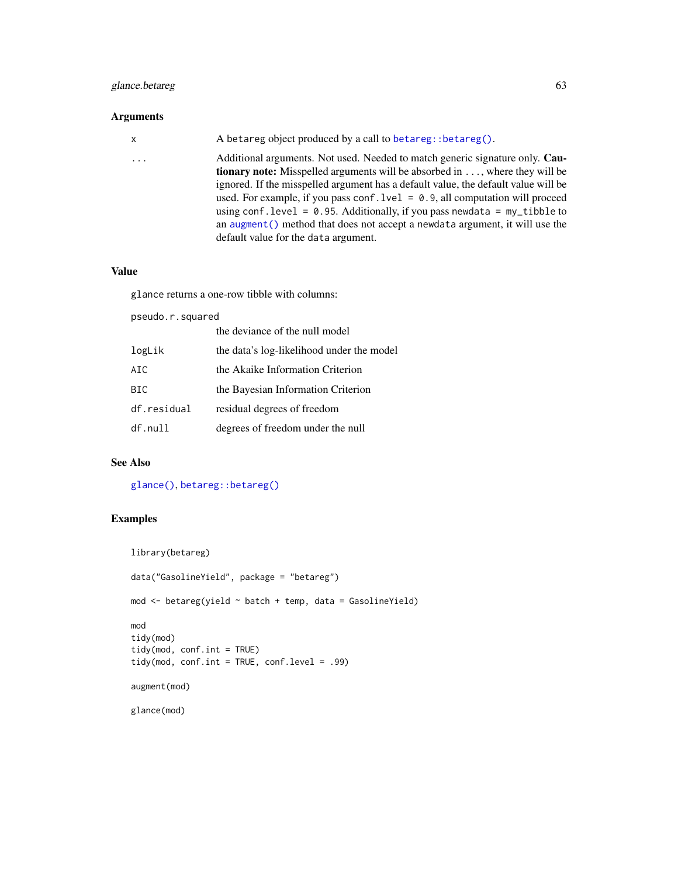# glance.betareg 63

# Arguments

| x        | A betareg object produced by a call to betareg:: betareg().                                                                                                                |
|----------|----------------------------------------------------------------------------------------------------------------------------------------------------------------------------|
| $\cdots$ | Additional arguments. Not used. Needed to match generic signature only. Cau-<br><b>tionary note:</b> Misspelled arguments will be absorbed in , where they will be         |
|          | ignored. If the misspelled argument has a default value, the default value will be<br>used. For example, if you pass conf. $1$ ve $1 = 0.9$ , all computation will proceed |
|          | using conf. level = $0.95$ . Additionally, if you pass newdata = $my$ _tibble to<br>an augment () method that does not accept a newdata argument, it will use the          |
|          | default value for the data argument.                                                                                                                                       |

## Value

glance returns a one-row tibble with columns:

pseudo.r.squared

| posaat: : sqaa: sa |                                           |  |
|--------------------|-------------------------------------------|--|
|                    | the deviance of the null model            |  |
| logLik             | the data's log-likelihood under the model |  |
| AIC                | the Akaike Information Criterion          |  |
| BIC                | the Bayesian Information Criterion        |  |
| df.residual        | residual degrees of freedom               |  |
| df.null            | degrees of freedom under the null         |  |

# See Also

[glance\(\)](#page-0-0), [betareg::betareg\(\)](#page-0-0)

# Examples

```
library(betareg)
data("GasolineYield", package = "betareg")
mod <- betareg(yield ~ batch + temp, data = GasolineYield)
mod
tidy(mod)
tidy(mod, conf.int = TRUE)
tidy(mod, conf.int = TRUE, conf.level = .99)
augment(mod)
glance(mod)
```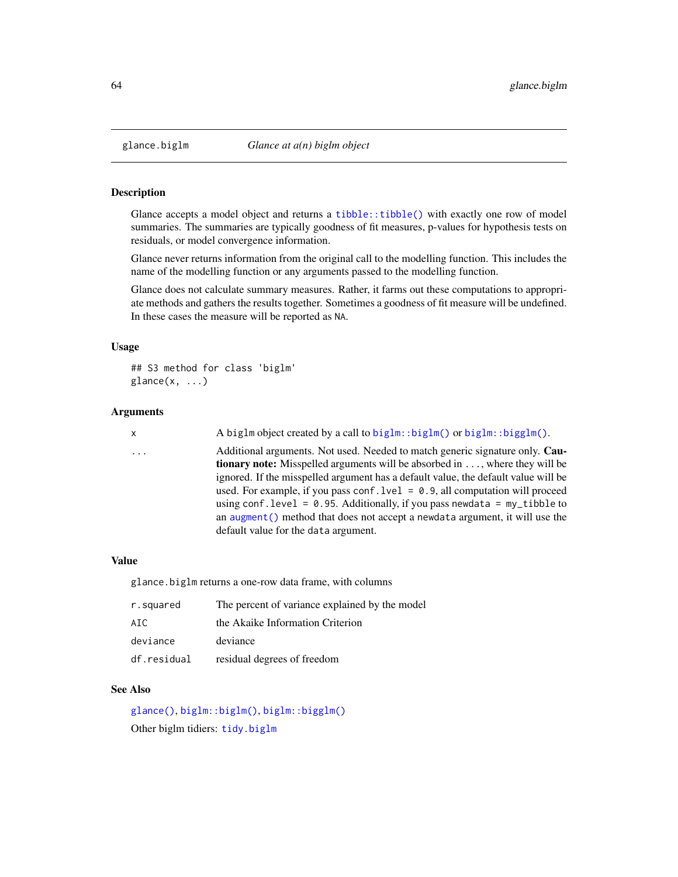#### Description

Glance accepts a model object and returns a [tibble::tibble\(\)](#page-0-0) with exactly one row of model summaries. The summaries are typically goodness of fit measures, p-values for hypothesis tests on residuals, or model convergence information.

Glance never returns information from the original call to the modelling function. This includes the name of the modelling function or any arguments passed to the modelling function.

Glance does not calculate summary measures. Rather, it farms out these computations to appropriate methods and gathers the results together. Sometimes a goodness of fit measure will be undefined. In these cases the measure will be reported as NA.

### Usage

```
## S3 method for class 'biglm'
\text{glance}(x, \ldots)
```
#### Arguments

```
x A biglm object created by a call to biglm::biglm() or biglm::bigglm().
```
... Additional arguments. Not used. Needed to match generic signature only. Cautionary note: Misspelled arguments will be absorbed in ..., where they will be ignored. If the misspelled argument has a default value, the default value will be used. For example, if you pass conf.  $level = 0.9$ , all computation will proceed using conf.level =  $0.95$ . Additionally, if you pass newdata = my\_tibble to an [augment\(\)](#page-0-0) method that does not accept a newdata argument, it will use the default value for the data argument.

#### Value

glance.biglm returns a one-row data frame, with columns

| r.squared   | The percent of variance explained by the model |
|-------------|------------------------------------------------|
| AIC.        | the Akaike Information Criterion               |
| deviance    | deviance                                       |
| df.residual | residual degrees of freedom                    |

### See Also

[glance\(\)](#page-0-0), [biglm::biglm\(\)](#page-0-0), [biglm::bigglm\(\)](#page-0-0)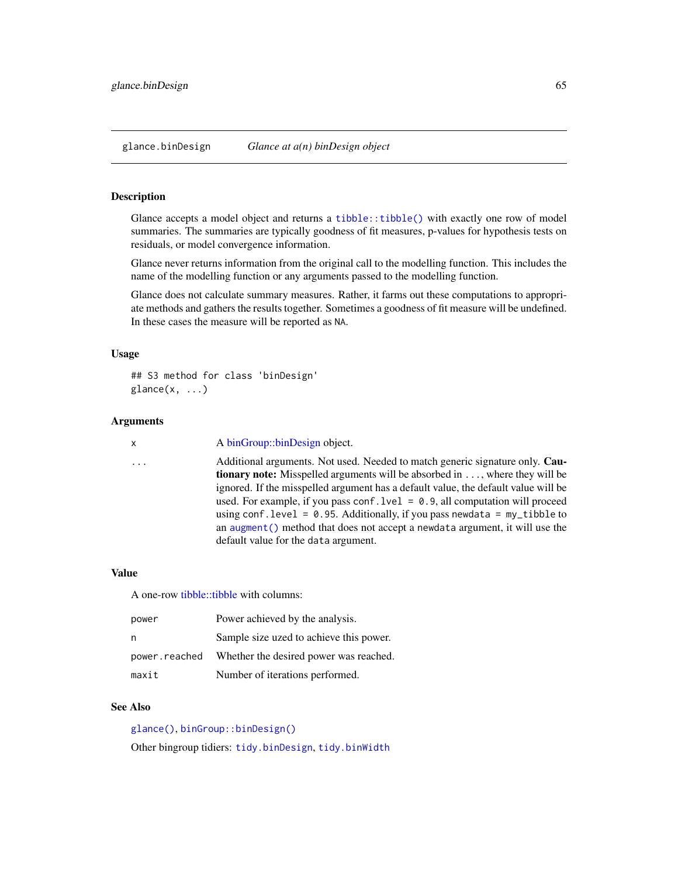#### Description

Glance accepts a model object and returns a [tibble::tibble\(\)](#page-0-0) with exactly one row of model summaries. The summaries are typically goodness of fit measures, p-values for hypothesis tests on residuals, or model convergence information.

Glance never returns information from the original call to the modelling function. This includes the name of the modelling function or any arguments passed to the modelling function.

Glance does not calculate summary measures. Rather, it farms out these computations to appropriate methods and gathers the results together. Sometimes a goodness of fit measure will be undefined. In these cases the measure will be reported as NA.

### Usage

```
## S3 method for class 'binDesign'
\text{glance}(x, \ldots)
```
#### Arguments

x A [binGroup::binDesign](#page-0-0) object.

... Additional arguments. Not used. Needed to match generic signature only. Cautionary note: Misspelled arguments will be absorbed in ..., where they will be ignored. If the misspelled argument has a default value, the default value will be used. For example, if you pass conf.  $level = 0.9$ , all computation will proceed using conf.level =  $0.95$ . Additionally, if you pass newdata =  $my_t$  tibble to an [augment\(\)](#page-0-0) method that does not accept a newdata argument, it will use the default value for the data argument.

#### Value

A one-row [tibble::tibble](#page-0-0) with columns:

| power         | Power achieved by the analysis.         |
|---------------|-----------------------------------------|
| n             | Sample size uzed to achieve this power. |
| power.reached | Whether the desired power was reached.  |
| maxit         | Number of iterations performed.         |

#### See Also

[glance\(\)](#page-0-0), [binGroup::binDesign\(\)](#page-0-0) Other bingroup tidiers: [tidy.binDesign](#page-137-0), [tidy.binWidth](#page-138-0)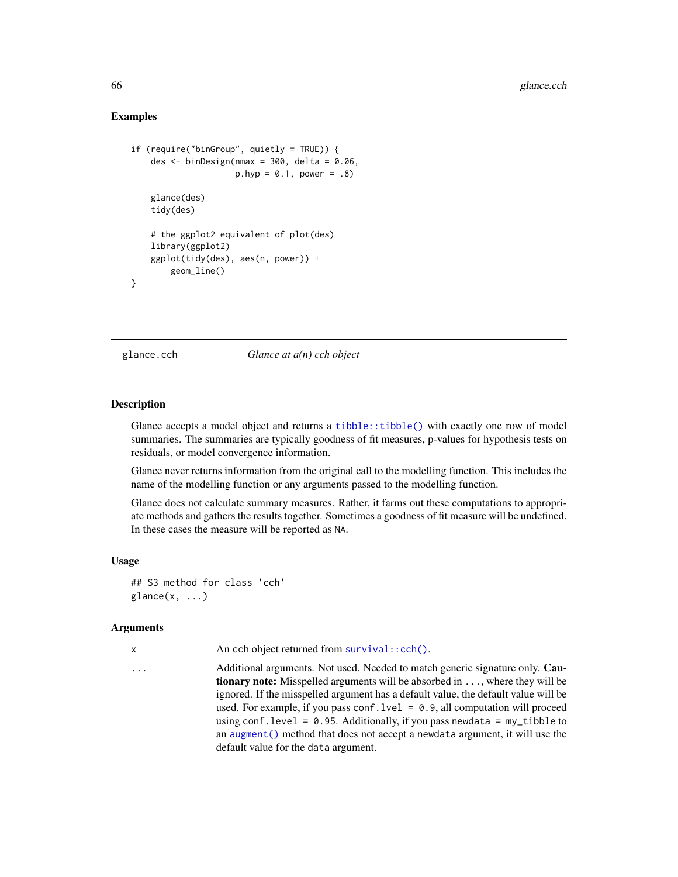# Examples

```
if (require("binGroup", quietly = TRUE)) {
    des \le- binDesign(nmax = 300, delta = 0.06,
                     p. hyp = 0.1, power = .8)
    glance(des)
    tidy(des)
    # the ggplot2 equivalent of plot(des)
    library(ggplot2)
    ggplot(tidy(des), aes(n, power)) +
        geom_line()
}
```
<span id="page-65-0"></span>glance.cch *Glance at a(n) cch object*

#### Description

Glance accepts a model object and returns a [tibble::tibble\(\)](#page-0-0) with exactly one row of model summaries. The summaries are typically goodness of fit measures, p-values for hypothesis tests on residuals, or model convergence information.

Glance never returns information from the original call to the modelling function. This includes the name of the modelling function or any arguments passed to the modelling function.

Glance does not calculate summary measures. Rather, it farms out these computations to appropriate methods and gathers the results together. Sometimes a goodness of fit measure will be undefined. In these cases the measure will be reported as NA.

#### Usage

```
## S3 method for class 'cch'
\text{glance}(x, \ldots)
```
#### Arguments

x An cch object returned from [survival::cch\(\)](#page-0-0).

... Additional arguments. Not used. Needed to match generic signature only. Cautionary note: Misspelled arguments will be absorbed in ..., where they will be ignored. If the misspelled argument has a default value, the default value will be used. For example, if you pass conf.  $level = 0.9$ , all computation will proceed using conf.level = 0.95. Additionally, if you pass newdata = my\_tibble to an [augment\(\)](#page-0-0) method that does not accept a newdata argument, it will use the default value for the data argument.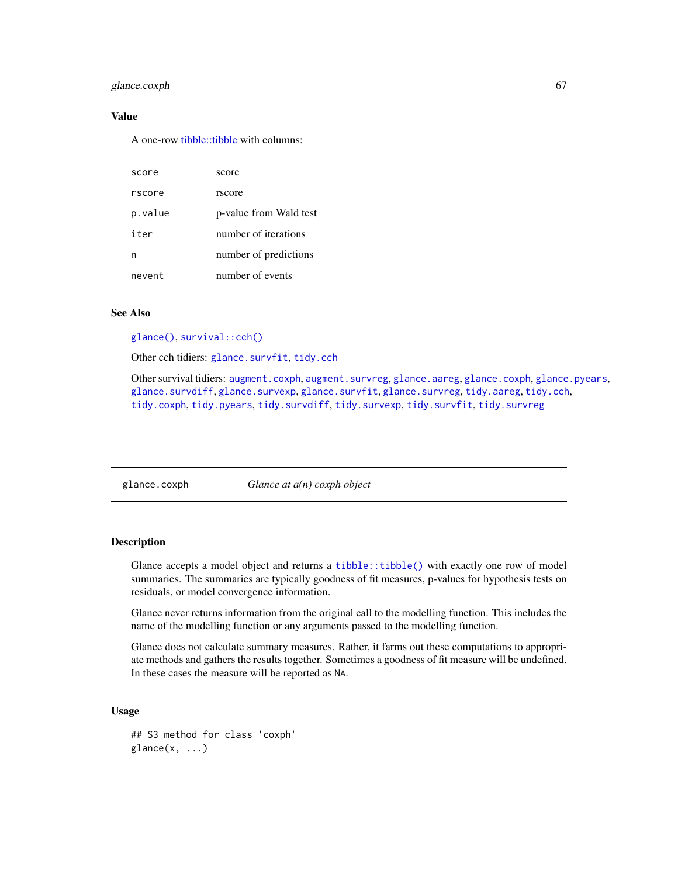# glance.coxph 67

# Value

A one-row [tibble::tibble](#page-0-0) with columns:

| score   | score                  |
|---------|------------------------|
| rscore  | rscore                 |
| p.value | p-value from Wald test |
| iter    | number of iterations   |
| n       | number of predictions  |
| nevent  | number of events       |

### See Also

[glance\(\)](#page-0-0), [survival::cch\(\)](#page-0-0)

Other cch tidiers: [glance.survfit](#page-106-0), [tidy.cch](#page-142-0)

Other survival tidiers: [augment.coxph](#page-7-0), [augment.survreg](#page-46-0), [glance.aareg](#page-59-0), [glance.coxph](#page-66-0), [glance.pyears](#page-97-0), [glance.survdiff](#page-104-0), [glance.survexp](#page-105-0), [glance.survfit](#page-106-0), [glance.survreg](#page-107-0), [tidy.aareg](#page-126-0), [tidy.cch](#page-142-0), [tidy.coxph](#page-148-0), [tidy.pyears](#page-216-0), [tidy.survdiff](#page-229-0), [tidy.survexp](#page-230-0), [tidy.survfit](#page-231-0), [tidy.survreg](#page-233-0)

<span id="page-66-0"></span>glance.coxph *Glance at a(n) coxph object*

# Description

Glance accepts a model object and returns a [tibble::tibble\(\)](#page-0-0) with exactly one row of model summaries. The summaries are typically goodness of fit measures, p-values for hypothesis tests on residuals, or model convergence information.

Glance never returns information from the original call to the modelling function. This includes the name of the modelling function or any arguments passed to the modelling function.

Glance does not calculate summary measures. Rather, it farms out these computations to appropriate methods and gathers the results together. Sometimes a goodness of fit measure will be undefined. In these cases the measure will be reported as NA.

```
## S3 method for class 'coxph'
\text{glance}(x, \ldots)
```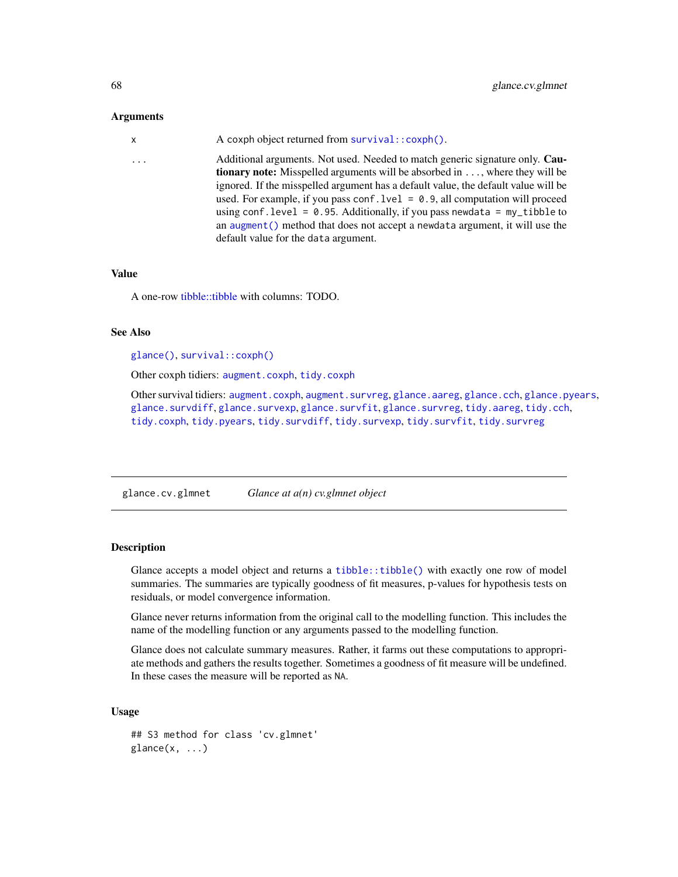## **Arguments**

| $\mathsf{x}$ | A coxph object returned from $survival$ : $coxph()$ .                                                                                                                      |
|--------------|----------------------------------------------------------------------------------------------------------------------------------------------------------------------------|
| $\cdots$     | Additional arguments. Not used. Needed to match generic signature only. Cau-<br><b>tionary note:</b> Misspelled arguments will be absorbed in , where they will be         |
|              | ignored. If the misspelled argument has a default value, the default value will be<br>used. For example, if you pass conf. $1$ ve $1 = 0.9$ , all computation will proceed |
|              | using conf. level = $\theta$ . 95. Additionally, if you pass newdata = $my$ -tibble to<br>an augment () method that does not accept a newdata argument, it will use the    |
|              | default value for the data argument.                                                                                                                                       |

# Value

A one-row [tibble::tibble](#page-0-0) with columns: TODO.

## See Also

[glance\(\)](#page-0-0), [survival::coxph\(\)](#page-0-0)

Other coxph tidiers: [augment.coxph](#page-7-0), [tidy.coxph](#page-148-0)

Other survival tidiers: [augment.coxph](#page-7-0), [augment.survreg](#page-46-0), [glance.aareg](#page-59-0), [glance.cch](#page-65-0), [glance.pyears](#page-97-0), [glance.survdiff](#page-104-0), [glance.survexp](#page-105-0), [glance.survfit](#page-106-0), [glance.survreg](#page-107-0), [tidy.aareg](#page-126-0), [tidy.cch](#page-142-0), [tidy.coxph](#page-148-0), [tidy.pyears](#page-216-0), [tidy.survdiff](#page-229-0), [tidy.survexp](#page-230-0), [tidy.survfit](#page-231-0), [tidy.survreg](#page-233-0)

glance.cv.glmnet *Glance at a(n) cv.glmnet object*

# Description

Glance accepts a model object and returns a [tibble::tibble\(\)](#page-0-0) with exactly one row of model summaries. The summaries are typically goodness of fit measures, p-values for hypothesis tests on residuals, or model convergence information.

Glance never returns information from the original call to the modelling function. This includes the name of the modelling function or any arguments passed to the modelling function.

Glance does not calculate summary measures. Rather, it farms out these computations to appropriate methods and gathers the results together. Sometimes a goodness of fit measure will be undefined. In these cases the measure will be reported as NA.

```
## S3 method for class 'cv.glmnet'
\text{glance}(x, \ldots)
```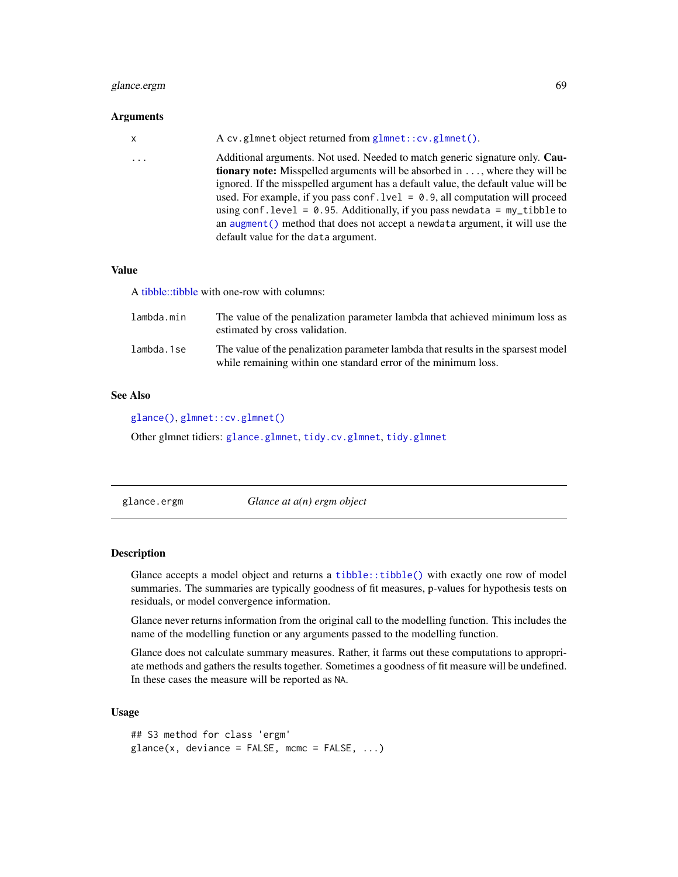# glance.ergm 69

## Arguments

| x | A cv.glmnet object returned from glmnet::cv.glmnet().                                |
|---|--------------------------------------------------------------------------------------|
| . | Additional arguments. Not used. Needed to match generic signature only. Cau-         |
|   | <b>tionary note:</b> Misspelled arguments will be absorbed in , where they will be   |
|   | ignored. If the misspelled argument has a default value, the default value will be   |
|   | used. For example, if you pass conf. $1$ ve $1 = 0.9$ , all computation will proceed |
|   | using conf. level = $0.95$ . Additionally, if you pass newdata = $my$ _tibble to     |
|   | an augment () method that does not accept a newdata argument, it will use the        |
|   | default value for the data argument.                                                 |

#### Value

A [tibble::tibble](#page-0-0) with one-row with columns:

| lambda.min | The value of the penalization parameter lambda that achieved minimum loss as<br>estimated by cross validation.                                      |
|------------|-----------------------------------------------------------------------------------------------------------------------------------------------------|
| lambda.1se | The value of the penalization parameter lambda that results in the sparsest model<br>while remaining within one standard error of the minimum loss. |

# See Also

[glance\(\)](#page-0-0), [glmnet::cv.glmnet\(\)](#page-0-0)

Other glmnet tidiers: [glance.glmnet](#page-77-0), [tidy.cv.glmnet](#page-150-0), [tidy.glmnet](#page-169-0)

glance.ergm *Glance at a(n) ergm object*

#### Description

Glance accepts a model object and returns a [tibble::tibble\(\)](#page-0-0) with exactly one row of model summaries. The summaries are typically goodness of fit measures, p-values for hypothesis tests on residuals, or model convergence information.

Glance never returns information from the original call to the modelling function. This includes the name of the modelling function or any arguments passed to the modelling function.

Glance does not calculate summary measures. Rather, it farms out these computations to appropriate methods and gathers the results together. Sometimes a goodness of fit measure will be undefined. In these cases the measure will be reported as NA.

```
## S3 method for class 'ergm'
glance(x, deviance = FALSE, mcmc = FALSE, ...)
```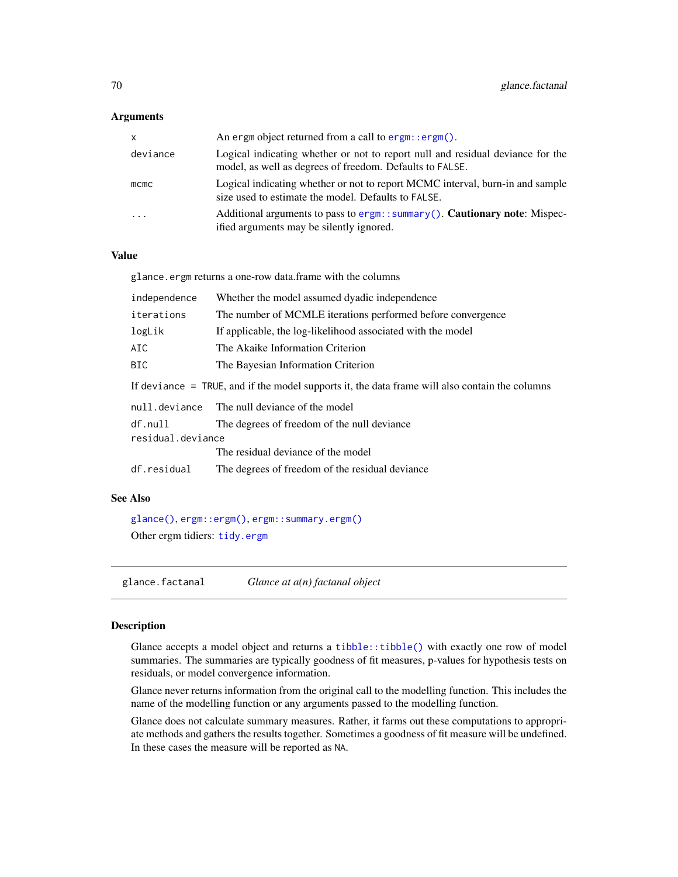## Arguments

| X                       | An ergm object returned from a call to $\epsilon$ rgm: : $\epsilon$ rgm().                                                                 |
|-------------------------|--------------------------------------------------------------------------------------------------------------------------------------------|
| deviance                | Logical indicating whether or not to report null and residual deviance for the<br>model, as well as degrees of freedom. Defaults to FALSE. |
| $m$ cmc                 | Logical indicating whether or not to report MCMC interval, burn-in and sample<br>size used to estimate the model. Defaults to FALSE.       |
| $\cdot$ $\cdot$ $\cdot$ | Additional arguments to pass to $\epsilon$ rgm: : summary(). <b>Cautionary note</b> : Mispec-<br>ified arguments may be silently ignored.  |

# Value

glance.ergm returns a one-row data.frame with the columns

| independence                                                                                   | Whether the model assumed dyadic independence               |  |
|------------------------------------------------------------------------------------------------|-------------------------------------------------------------|--|
| iterations                                                                                     | The number of MCMLE iterations performed before convergence |  |
| logLik                                                                                         | If applicable, the log-likelihood associated with the model |  |
| AIC                                                                                            | The Akaike Information Criterion                            |  |
| BIC                                                                                            | The Bayesian Information Criterion                          |  |
| If deviance = TRUE, and if the model supports it, the data frame will also contain the columns |                                                             |  |
| null.deviance                                                                                  | The null deviance of the model                              |  |
| df.null                                                                                        | The degrees of freedom of the null deviance                 |  |
| residual.deviance                                                                              |                                                             |  |
|                                                                                                | The residual deviance of the model                          |  |
| df.residual                                                                                    | The degrees of freedom of the residual deviance             |  |
|                                                                                                |                                                             |  |

# See Also

[glance\(\)](#page-0-0), [ergm::ergm\(\)](#page-0-0), [ergm::summary.ergm\(\)](#page-0-0) Other ergm tidiers: [tidy.ergm](#page-154-0)

glance.factanal *Glance at a(n) factanal object*

#### Description

Glance accepts a model object and returns a [tibble::tibble\(\)](#page-0-0) with exactly one row of model summaries. The summaries are typically goodness of fit measures, p-values for hypothesis tests on residuals, or model convergence information.

Glance never returns information from the original call to the modelling function. This includes the name of the modelling function or any arguments passed to the modelling function.

Glance does not calculate summary measures. Rather, it farms out these computations to appropriate methods and gathers the results together. Sometimes a goodness of fit measure will be undefined. In these cases the measure will be reported as NA.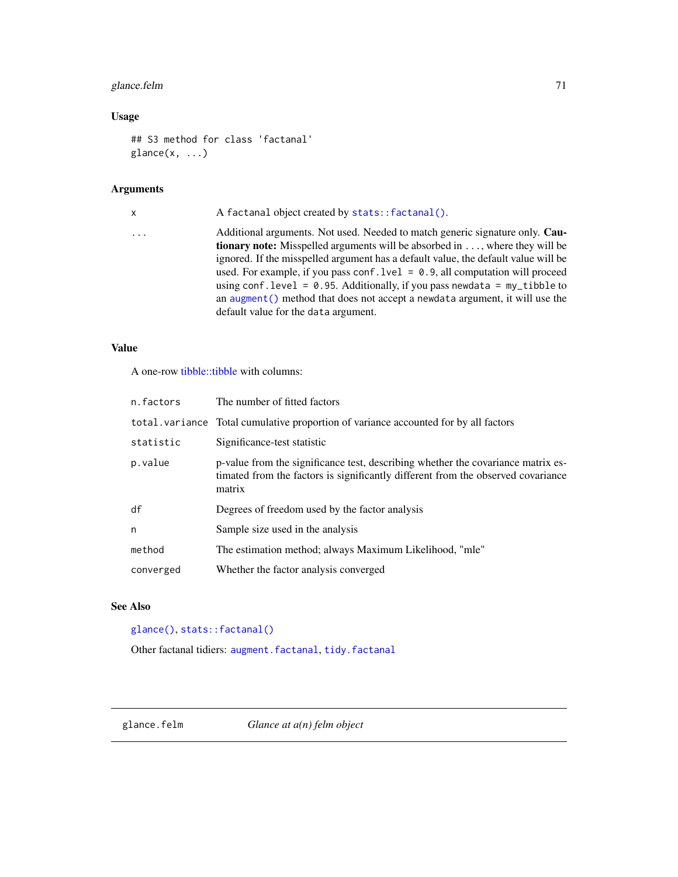# glance.felm 71

# Usage

```
## S3 method for class 'factanal'
\text{glance}(x, \ldots)
```
# Arguments

| x        | A factanal object created by stats:: factanal().                                                                                                                                                                                                                                                                                                                                                                                                                                                                                                                    |
|----------|---------------------------------------------------------------------------------------------------------------------------------------------------------------------------------------------------------------------------------------------------------------------------------------------------------------------------------------------------------------------------------------------------------------------------------------------------------------------------------------------------------------------------------------------------------------------|
| $\cdots$ | Additional arguments. Not used. Needed to match generic signature only. Cau-<br><b>tionary note:</b> Misspelled arguments will be absorbed in , where they will be<br>ignored. If the misspelled argument has a default value, the default value will be<br>used. For example, if you pass conf. $1$ ve $1 = 0.9$ , all computation will proceed<br>using conf. level = $\theta$ . 95. Additionally, if you pass newdata = $my$ _tibble to<br>an augment () method that does not accept a newdata argument, it will use the<br>default value for the data argument. |
|          |                                                                                                                                                                                                                                                                                                                                                                                                                                                                                                                                                                     |

# Value

A one-row [tibble::tibble](#page-0-0) with columns:

| n.factors | The number of fitted factors                                                                                                                                                   |
|-----------|--------------------------------------------------------------------------------------------------------------------------------------------------------------------------------|
|           | total. variance Total cumulative proportion of variance accounted for by all factors                                                                                           |
| statistic | Significance-test statistic                                                                                                                                                    |
| p.value   | p-value from the significance test, describing whether the covariance matrix es-<br>timated from the factors is significantly different from the observed covariance<br>matrix |
| df        | Degrees of freedom used by the factor analysis                                                                                                                                 |
| n         | Sample size used in the analysis                                                                                                                                               |
| method    | The estimation method; always Maximum Likelihood, "mle"                                                                                                                        |
| converged | Whether the factor analysis converged                                                                                                                                          |

# See Also

[glance\(\)](#page-0-0), [stats::factanal\(\)](#page-0-0)

Other factanal tidiers: [augment.factanal](#page-11-0), [tidy.factanal](#page-156-0)

glance.felm *Glance at a(n) felm object*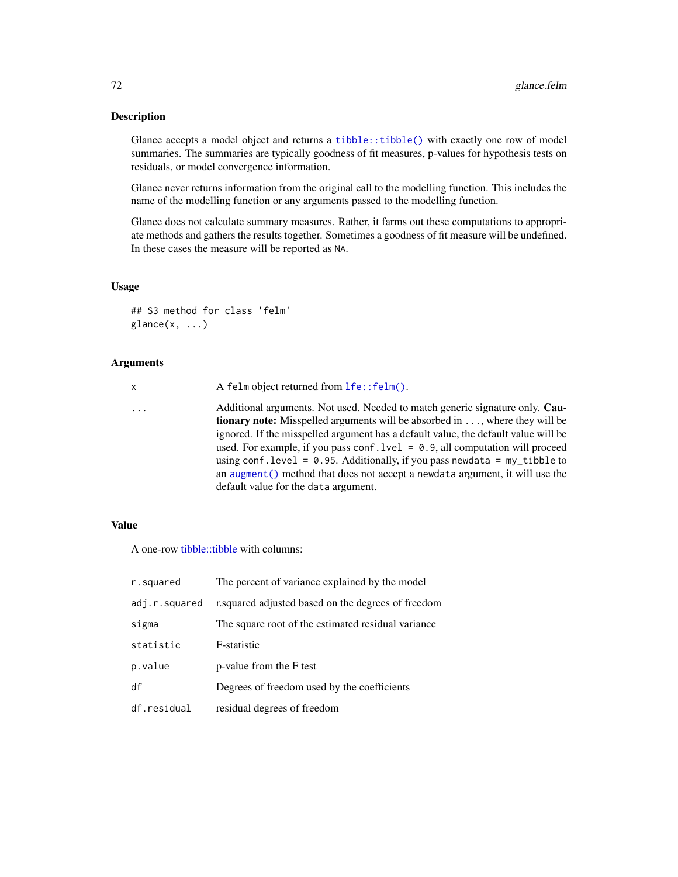#### Description

Glance accepts a model object and returns a [tibble::tibble\(\)](#page-0-0) with exactly one row of model summaries. The summaries are typically goodness of fit measures, p-values for hypothesis tests on residuals, or model convergence information.

Glance never returns information from the original call to the modelling function. This includes the name of the modelling function or any arguments passed to the modelling function.

Glance does not calculate summary measures. Rather, it farms out these computations to appropriate methods and gathers the results together. Sometimes a goodness of fit measure will be undefined. In these cases the measure will be reported as NA.

# Usage

```
## S3 method for class 'felm'
\text{glance}(x, \ldots)
```
## Arguments

x A felm object returned from [lfe::felm\(\)](#page-0-0).

... Additional arguments. Not used. Needed to match generic signature only. Cautionary note: Misspelled arguments will be absorbed in ..., where they will be ignored. If the misspelled argument has a default value, the default value will be used. For example, if you pass conf.  $level = 0.9$ , all computation will proceed using conf.level =  $0.95$ . Additionally, if you pass newdata = my\_tibble to an [augment\(\)](#page-0-0) method that does not accept a newdata argument, it will use the default value for the data argument.

## Value

A one-row [tibble::tibble](#page-0-0) with columns:

| r.squared     | The percent of variance explained by the model      |
|---------------|-----------------------------------------------------|
| adj.r.squared | r. squared adjusted based on the degrees of freedom |
| sigma         | The square root of the estimated residual variance  |
| statistic     | F-statistic                                         |
| p.value       | p-value from the F test                             |
| df            | Degrees of freedom used by the coefficients         |
| df.residual   | residual degrees of freedom                         |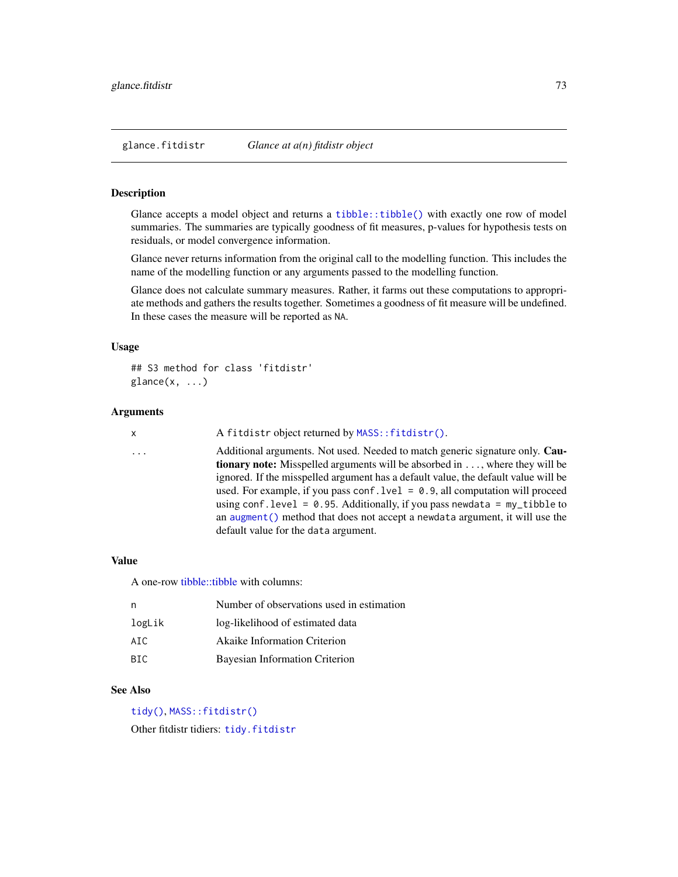Glance accepts a model object and returns a [tibble::tibble\(\)](#page-0-0) with exactly one row of model summaries. The summaries are typically goodness of fit measures, p-values for hypothesis tests on residuals, or model convergence information.

Glance never returns information from the original call to the modelling function. This includes the name of the modelling function or any arguments passed to the modelling function.

Glance does not calculate summary measures. Rather, it farms out these computations to appropriate methods and gathers the results together. Sometimes a goodness of fit measure will be undefined. In these cases the measure will be reported as NA.

# Usage

```
## S3 method for class 'fitdistr'
\text{glance}(x, \ldots)
```
#### Arguments

```
x A fitdistr object returned by MASS::fitdistr().
```
... Additional arguments. Not used. Needed to match generic signature only. Cautionary note: Misspelled arguments will be absorbed in ..., where they will be ignored. If the misspelled argument has a default value, the default value will be used. For example, if you pass conf.lvel = 0.9, all computation will proceed using conf.level =  $0.95$ . Additionally, if you pass newdata = my\_tibble to an [augment\(\)](#page-0-0) method that does not accept a newdata argument, it will use the default value for the data argument.

#### Value

A one-row [tibble::tibble](#page-0-0) with columns:

| n      | Number of observations used in estimation |
|--------|-------------------------------------------|
| logLik | log-likelihood of estimated data          |
| AIC.   | <b>Akaike Information Criterion</b>       |
| BTC.   | Bayesian Information Criterion            |

#### See Also

[tidy\(\)](#page-0-0), [MASS::fitdistr\(\)](#page-0-0)

Other fitdistr tidiers: [tidy.fitdistr](#page-159-0)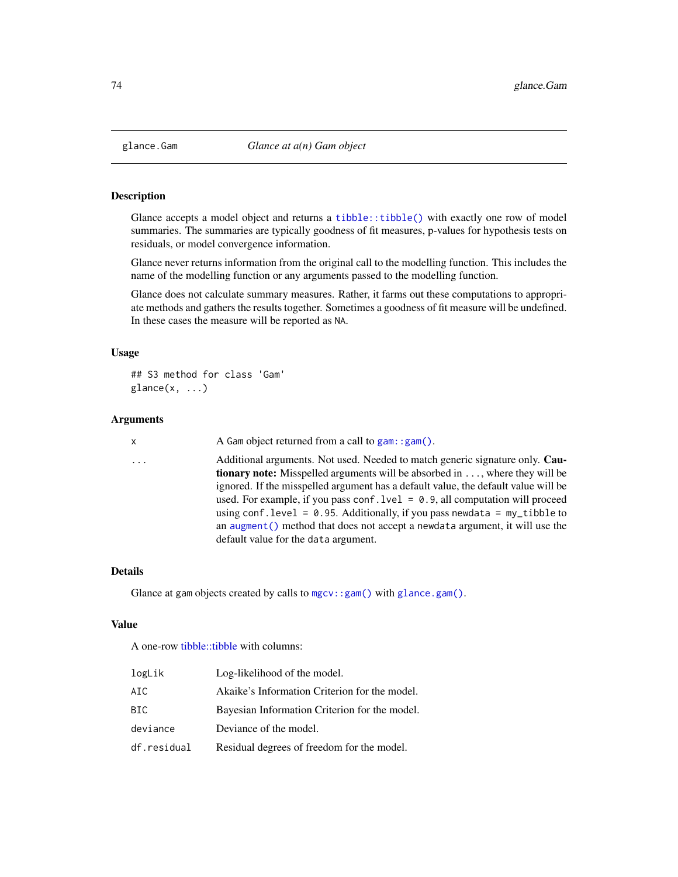<span id="page-73-0"></span>

Glance accepts a model object and returns a [tibble::tibble\(\)](#page-0-0) with exactly one row of model summaries. The summaries are typically goodness of fit measures, p-values for hypothesis tests on residuals, or model convergence information.

Glance never returns information from the original call to the modelling function. This includes the name of the modelling function or any arguments passed to the modelling function.

Glance does not calculate summary measures. Rather, it farms out these computations to appropriate methods and gathers the results together. Sometimes a goodness of fit measure will be undefined. In these cases the measure will be reported as NA.

# Usage

```
## S3 method for class 'Gam'
\text{glance}(x, \ldots)
```
## Arguments

|  | I |
|--|---|
|  |   |
|  |   |
|  |   |
|  |   |
|  |   |

x A Gam object returned from a call to gam: : gam().

... Additional arguments. Not used. Needed to match generic signature only. Cautionary note: Misspelled arguments will be absorbed in ..., where they will be ignored. If the misspelled argument has a default value, the default value will be used. For example, if you pass conf.  $level = 0.9$ , all computation will proceed using conf.level =  $0.95$ . Additionally, if you pass newdata = my\_tibble to an [augment\(\)](#page-0-0) method that does not accept a newdata argument, it will use the default value for the data argument.

# Details

Glance at gam objects created by calls to  $mgcv$ : :  $gam()$  with [glance.gam\(\)](#page-74-0).

### Value

| logLik      | Log-likelihood of the model.                  |
|-------------|-----------------------------------------------|
| AIC.        | Akaike's Information Criterion for the model. |
| BIC         | Bayesian Information Criterion for the model. |
| deviance    | Deviance of the model.                        |
| df.residual | Residual degrees of freedom for the model.    |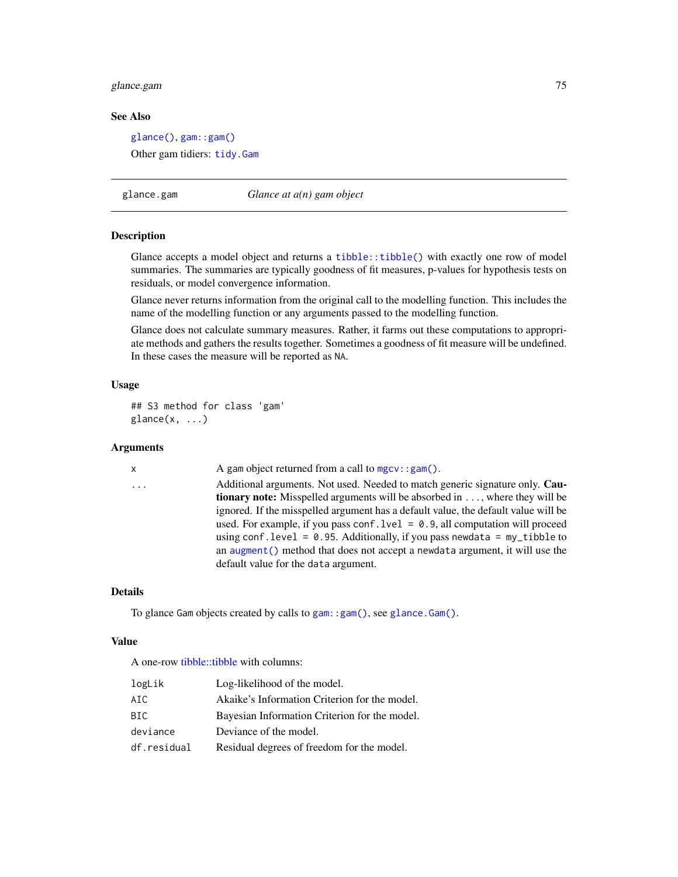# glance.gam 75

# See Also

[glance\(\)](#page-0-0), [gam::gam\(\)](#page-0-0)

Other gam tidiers: [tidy.Gam](#page-161-0)

<span id="page-74-0"></span>glance.gam *Glance at a(n) gam object*

# Description

Glance accepts a model object and returns a [tibble::tibble\(\)](#page-0-0) with exactly one row of model summaries. The summaries are typically goodness of fit measures, p-values for hypothesis tests on residuals, or model convergence information.

Glance never returns information from the original call to the modelling function. This includes the name of the modelling function or any arguments passed to the modelling function.

Glance does not calculate summary measures. Rather, it farms out these computations to appropriate methods and gathers the results together. Sometimes a goodness of fit measure will be undefined. In these cases the measure will be reported as NA.

# Usage

```
## S3 method for class 'gam'
glance(x, \ldots)
```
# Arguments

| x | A gam object returned from a call to $mgcv$ : : $gam()$ .                            |
|---|--------------------------------------------------------------------------------------|
| . | Additional arguments. Not used. Needed to match generic signature only. Cau-         |
|   | <b>tionary note:</b> Misspelled arguments will be absorbed in , where they will be   |
|   | ignored. If the misspelled argument has a default value, the default value will be   |
|   | used. For example, if you pass conf. $1$ ve $1 = 0.9$ , all computation will proceed |
|   | using conf. level = $0.95$ . Additionally, if you pass newdata = $my$ _tibble to     |
|   | an augment () method that does not accept a newdata argument, it will use the        |
|   | default value for the data argument.                                                 |
|   |                                                                                      |

# Details

To glance Gam objects created by calls to [gam::gam\(\)](#page-0-0), see [glance.Gam\(\)](#page-73-0).

# Value

| logLik      | Log-likelihood of the model.                  |
|-------------|-----------------------------------------------|
| AIC         | Akaike's Information Criterion for the model. |
| BTC.        | Bayesian Information Criterion for the model. |
| deviance    | Deviance of the model.                        |
| df.residual | Residual degrees of freedom for the model.    |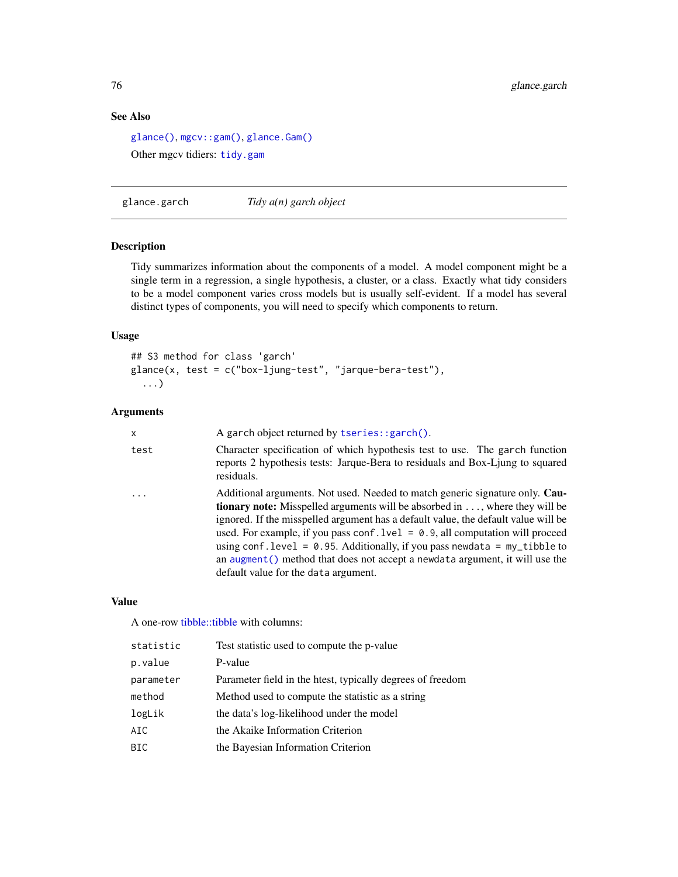# See Also

[glance\(\)](#page-0-0), [mgcv::gam\(\)](#page-0-0), [glance.Gam\(\)](#page-73-0) Other mgcv tidiers: [tidy.gam](#page-162-0)

glance.garch *Tidy a(n) garch object*

# Description

Tidy summarizes information about the components of a model. A model component might be a single term in a regression, a single hypothesis, a cluster, or a class. Exactly what tidy considers to be a model component varies cross models but is usually self-evident. If a model has several distinct types of components, you will need to specify which components to return.

# Usage

## S3 method for class 'garch' glance(x, test = c("box-ljung-test", "jarque-bera-test"), ...)

## Arguments

| x       | A garch object returned by tseries::garch().                                                                                                                                                                                                                                                                                                                                                                                                                                                                                                                 |
|---------|--------------------------------------------------------------------------------------------------------------------------------------------------------------------------------------------------------------------------------------------------------------------------------------------------------------------------------------------------------------------------------------------------------------------------------------------------------------------------------------------------------------------------------------------------------------|
| test    | Character specification of which hypothesis test to use. The garch function<br>reports 2 hypothesis tests: Jarque-Bera to residuals and Box-Ljung to squared<br>residuals.                                                                                                                                                                                                                                                                                                                                                                                   |
| $\cdot$ | Additional arguments. Not used. Needed to match generic signature only. Cau-<br><b>tionary note:</b> Misspelled arguments will be absorbed in , where they will be<br>ignored. If the misspelled argument has a default value, the default value will be<br>used. For example, if you pass conf. $1$ ve $1 = 0.9$ , all computation will proceed<br>using conf.level = $0.95$ . Additionally, if you pass newdata = $my$ _tibble to<br>an augment () method that does not accept a newdata argument, it will use the<br>default value for the data argument. |

# Value

| statistic | Test statistic used to compute the p-value                 |
|-----------|------------------------------------------------------------|
| p.value   | P-value                                                    |
| parameter | Parameter field in the htest, typically degrees of freedom |
| method    | Method used to compute the statistic as a string           |
| logLik    | the data's log-likelihood under the model                  |
| AIC       | the Akaike Information Criterion                           |
| BIC       | the Bayesian Information Criterion                         |
|           |                                                            |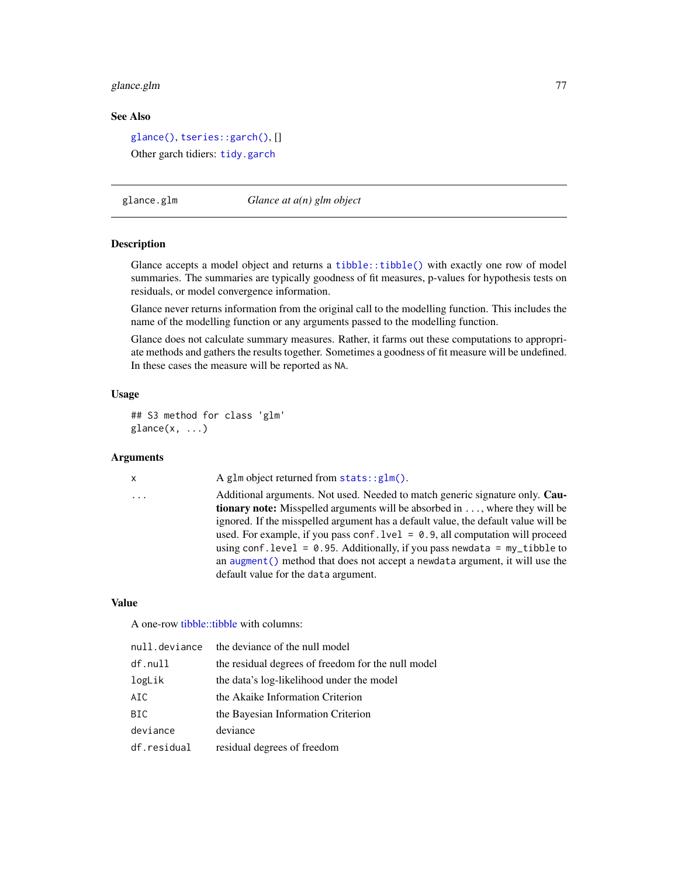# glance.glm 77

# See Also

[glance\(\)](#page-0-0), [tseries::garch\(\)](#page-0-0), [] Other garch tidiers: [tidy.garch](#page-164-0)

<span id="page-76-0"></span>glance.glm *Glance at a(n) glm object*

# Description

Glance accepts a model object and returns a [tibble::tibble\(\)](#page-0-0) with exactly one row of model summaries. The summaries are typically goodness of fit measures, p-values for hypothesis tests on residuals, or model convergence information.

Glance never returns information from the original call to the modelling function. This includes the name of the modelling function or any arguments passed to the modelling function.

Glance does not calculate summary measures. Rather, it farms out these computations to appropriate methods and gathers the results together. Sometimes a goodness of fit measure will be undefined. In these cases the measure will be reported as NA.

## Usage

```
## S3 method for class 'glm'
\text{glance}(x, \ldots)
```
# Arguments

| x | A glm object returned from $stats::glm()$ .                                            |
|---|----------------------------------------------------------------------------------------|
| . | Additional arguments. Not used. Needed to match generic signature only. Cau-           |
|   | <b>tionary note:</b> Misspelled arguments will be absorbed in , where they will be     |
|   | ignored. If the misspelled argument has a default value, the default value will be     |
|   | used. For example, if you pass conf. $1$ ve $1 = 0.9$ , all computation will proceed   |
|   | using conf. level = $\theta$ . 95. Additionally, if you pass newdata = $my$ _tibble to |
|   | an augment () method that does not accept a newdata argument, it will use the          |
|   | default value for the data argument.                                                   |

# Value

| null.deviance | the deviance of the null model                     |
|---------------|----------------------------------------------------|
| df.null       | the residual degrees of freedom for the null model |
| logLik        | the data's log-likelihood under the model          |
| AIC           | the Akaike Information Criterion                   |
| BIC           | the Bayesian Information Criterion                 |
| deviance      | deviance                                           |
| df.residual   | residual degrees of freedom                        |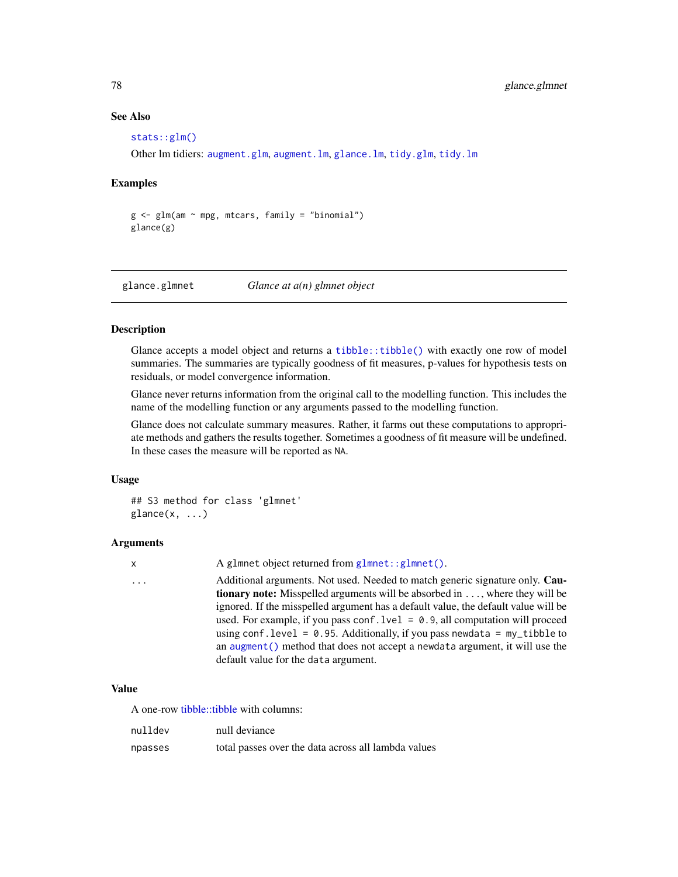# See Also

## [stats::glm\(\)](#page-0-0)

Other lm tidiers: [augment.glm](#page-14-0), [augment.lm](#page-22-0), [glance.lm](#page-84-0), [tidy.glm](#page-168-0), [tidy.lm](#page-185-0)

# Examples

```
g \leftarrow gIm(am \sim mpg, mtcars, family = "binomial")glance(g)
```
glance.glmnet *Glance at a(n) glmnet object*

## Description

Glance accepts a model object and returns a [tibble::tibble\(\)](#page-0-0) with exactly one row of model summaries. The summaries are typically goodness of fit measures, p-values for hypothesis tests on residuals, or model convergence information.

Glance never returns information from the original call to the modelling function. This includes the name of the modelling function or any arguments passed to the modelling function.

Glance does not calculate summary measures. Rather, it farms out these computations to appropriate methods and gathers the results together. Sometimes a goodness of fit measure will be undefined. In these cases the measure will be reported as NA.

## Usage

```
## S3 method for class 'glmnet'
\text{glance}(x, \ldots)
```
### Arguments

x A glmnet object returned from [glmnet::glmnet\(\)](#page-0-0).

... Additional arguments. Not used. Needed to match generic signature only. Cautionary note: Misspelled arguments will be absorbed in ..., where they will be ignored. If the misspelled argument has a default value, the default value will be used. For example, if you pass conf.  $level = 0.9$ , all computation will proceed using conf.level =  $0.95$ . Additionally, if you pass newdata = my\_tibble to an [augment\(\)](#page-0-0) method that does not accept a newdata argument, it will use the default value for the data argument.

## Value

| nulldev | null deviance                                       |
|---------|-----------------------------------------------------|
| npasses | total passes over the data across all lambda values |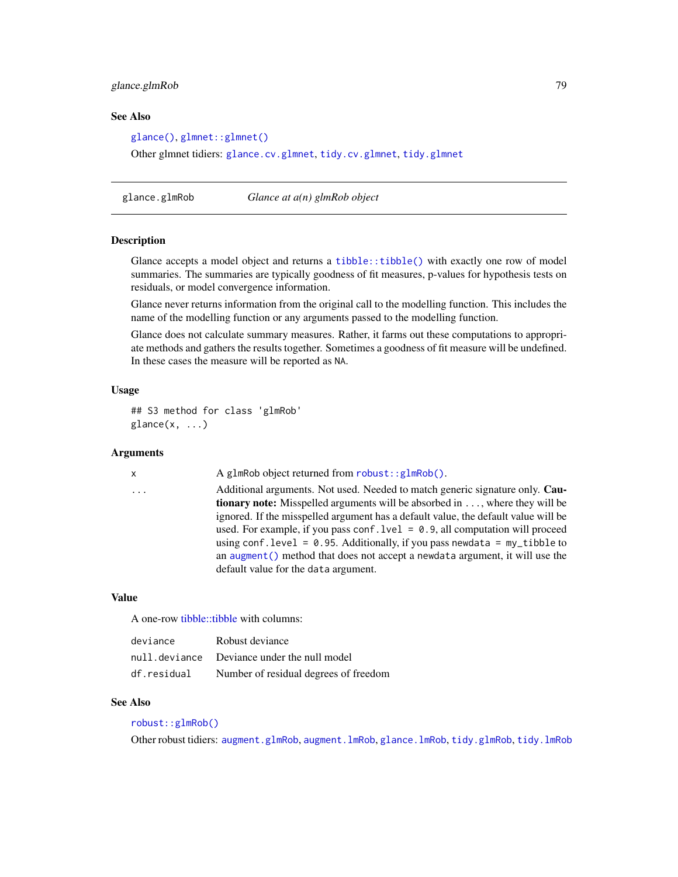# glance.glmRob 79

# See Also

[glance\(\)](#page-0-0), [glmnet::glmnet\(\)](#page-0-0)

Other glmnet tidiers: [glance.cv.glmnet](#page-67-0), [tidy.cv.glmnet](#page-150-0), [tidy.glmnet](#page-169-0)

<span id="page-78-0"></span>glance.glmRob *Glance at a(n) glmRob object*

# Description

Glance accepts a model object and returns a [tibble::tibble\(\)](#page-0-0) with exactly one row of model summaries. The summaries are typically goodness of fit measures, p-values for hypothesis tests on residuals, or model convergence information.

Glance never returns information from the original call to the modelling function. This includes the name of the modelling function or any arguments passed to the modelling function.

Glance does not calculate summary measures. Rather, it farms out these computations to appropriate methods and gathers the results together. Sometimes a goodness of fit measure will be undefined. In these cases the measure will be reported as NA.

# Usage

```
## S3 method for class 'glmRob'
\text{glance}(x, \ldots)
```
## Arguments

x A glmRob object returned from [robust::glmRob\(\)](#page-0-0).

... Additional arguments. Not used. Needed to match generic signature only. **Cau**tionary note: Misspelled arguments will be absorbed in ..., where they will be ignored. If the misspelled argument has a default value, the default value will be used. For example, if you pass conf.lvel = 0.9, all computation will proceed using conf.level =  $0.95$ . Additionally, if you pass newdata = my\_tibble to an [augment\(\)](#page-0-0) method that does not accept a newdata argument, it will use the default value for the data argument.

# Value

A one-row [tibble::tibble](#page-0-0) with columns:

| deviance    | Robust deviance                             |
|-------------|---------------------------------------------|
|             | null deviance Deviance under the null model |
| df.residual | Number of residual degrees of freedom       |

## See Also

## [robust::glmRob\(\)](#page-0-0)

Other robust tidiers: [augment.glmRob](#page-16-0), [augment.lmRob](#page-24-0), [glance.lmRob](#page-87-0), [tidy.glmRob](#page-171-0), [tidy.lmRob](#page-189-0)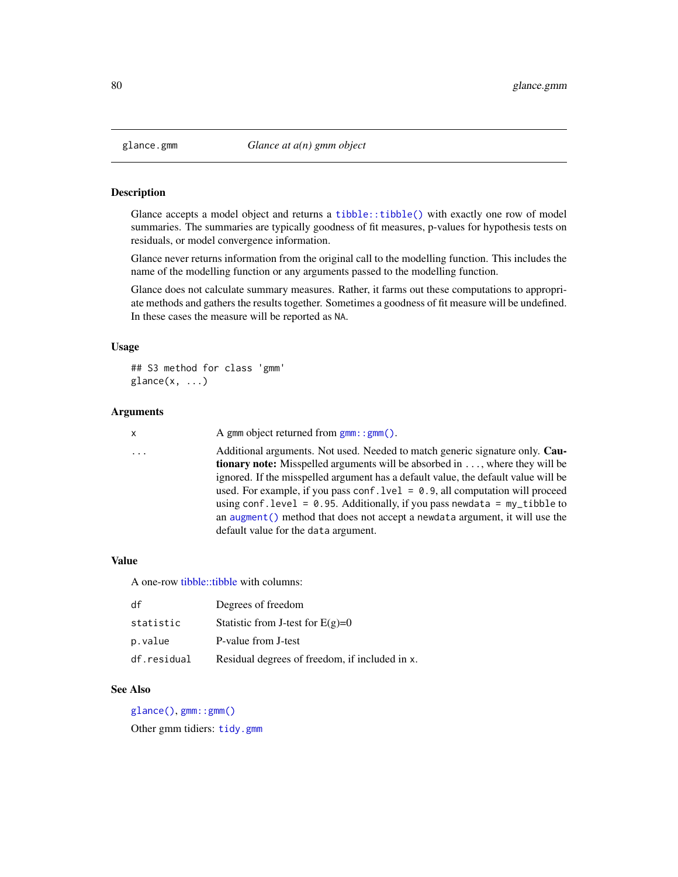Glance accepts a model object and returns a [tibble::tibble\(\)](#page-0-0) with exactly one row of model summaries. The summaries are typically goodness of fit measures, p-values for hypothesis tests on residuals, or model convergence information.

Glance never returns information from the original call to the modelling function. This includes the name of the modelling function or any arguments passed to the modelling function.

Glance does not calculate summary measures. Rather, it farms out these computations to appropriate methods and gathers the results together. Sometimes a goodness of fit measure will be undefined. In these cases the measure will be reported as NA.

# Usage

```
## S3 method for class 'gmm'
\text{glance}(x, \ldots)
```
#### Arguments

```
x A gmm object returned from gmm: : gmm().
```
... Additional arguments. Not used. Needed to match generic signature only. Cautionary note: Misspelled arguments will be absorbed in ..., where they will be ignored. If the misspelled argument has a default value, the default value will be used. For example, if you pass conf.lvel = 0.9, all computation will proceed using conf.level =  $0.95$ . Additionally, if you pass newdata = my\_tibble to an [augment\(\)](#page-0-0) method that does not accept a newdata argument, it will use the default value for the data argument.

#### Value

A one-row [tibble::tibble](#page-0-0) with columns:

| df          | Degrees of freedom                             |
|-------------|------------------------------------------------|
| statistic   | Statistic from J-test for $E(g)=0$             |
| p.value     | P-value from J-test                            |
| df.residual | Residual degrees of freedom, if included in x. |

# See Also

[glance\(\)](#page-0-0), [gmm::gmm\(\)](#page-0-0)

Other gmm tidiers: [tidy.gmm](#page-173-0)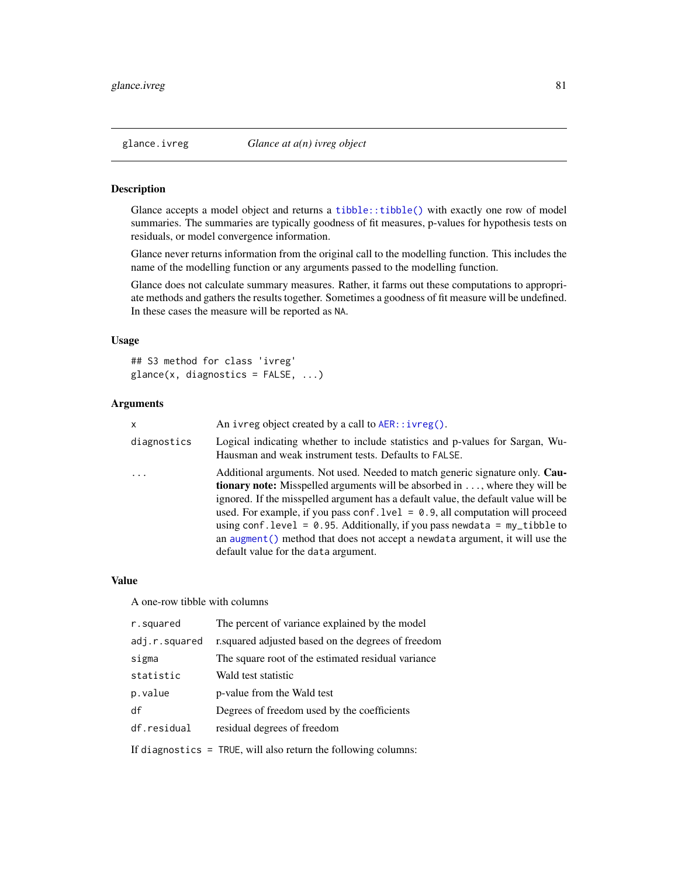Glance accepts a model object and returns a [tibble::tibble\(\)](#page-0-0) with exactly one row of model summaries. The summaries are typically goodness of fit measures, p-values for hypothesis tests on residuals, or model convergence information.

Glance never returns information from the original call to the modelling function. This includes the name of the modelling function or any arguments passed to the modelling function.

Glance does not calculate summary measures. Rather, it farms out these computations to appropriate methods and gathers the results together. Sometimes a goodness of fit measure will be undefined. In these cases the measure will be reported as NA.

# Usage

```
## S3 method for class 'ivreg'
glance(x, diagnostics = FALSE, ...)
```
#### Arguments

| $\mathsf{x}$            | An ivreg object created by a call to $AER$ : : ivreg().                                                                                                                                                                                                                                                                                                                                                                                                                                                                                                             |
|-------------------------|---------------------------------------------------------------------------------------------------------------------------------------------------------------------------------------------------------------------------------------------------------------------------------------------------------------------------------------------------------------------------------------------------------------------------------------------------------------------------------------------------------------------------------------------------------------------|
| diagnostics             | Logical indicating whether to include statistics and p-values for Sargan, Wu-<br>Hausman and weak instrument tests. Defaults to FALSE.                                                                                                                                                                                                                                                                                                                                                                                                                              |
| $\cdot$ $\cdot$ $\cdot$ | Additional arguments. Not used. Needed to match generic signature only. Cau-<br><b>tionary note:</b> Misspelled arguments will be absorbed in , where they will be<br>ignored. If the misspelled argument has a default value, the default value will be<br>used. For example, if you pass conf. $1$ ve $1 = 0.9$ , all computation will proceed<br>using conf. level = $\theta$ . 95. Additionally, if you pass newdata = $my$ _tibble to<br>an augment () method that does not accept a newdata argument, it will use the<br>default value for the data argument. |

#### Value

A one-row tibble with columns

| r.squared     | The percent of variance explained by the model      |
|---------------|-----------------------------------------------------|
| adj.r.squared | r. squared adjusted based on the degrees of freedom |
| sigma         | The square root of the estimated residual variance  |
| statistic     | Wald test statistic                                 |
| p.value       | p-value from the Wald test                          |
| df            | Degrees of freedom used by the coefficients         |
| df.residual   | residual degrees of freedom                         |
|               |                                                     |

If diagnostics = TRUE, will also return the following columns: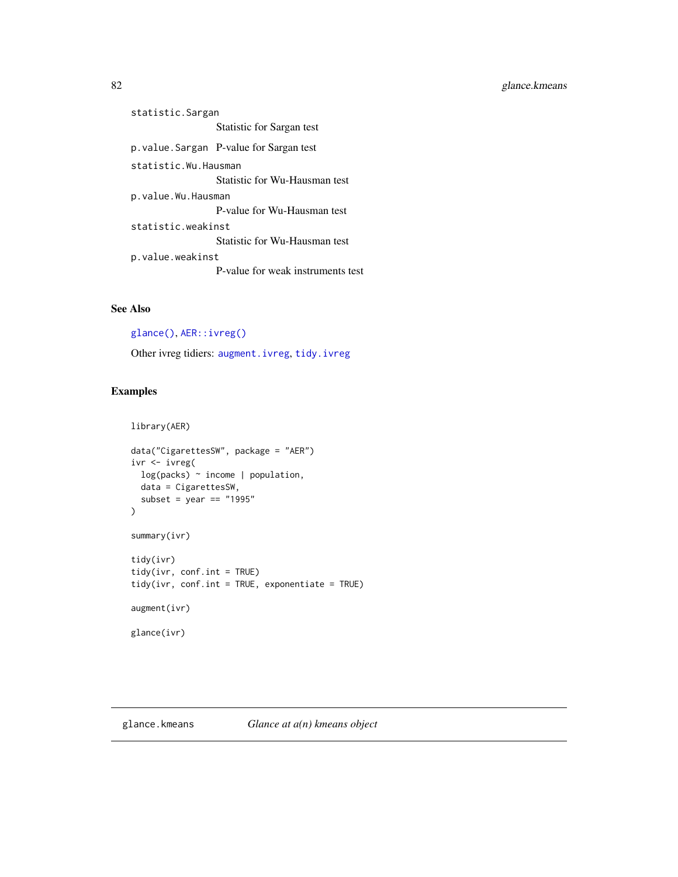# 82 glance.kmeans

statistic.Sargan Statistic for Sargan test p.value.Sargan P-value for Sargan test statistic.Wu.Hausman Statistic for Wu-Hausman test p.value.Wu.Hausman P-value for Wu-Hausman test statistic.weakinst Statistic for Wu-Hausman test p.value.weakinst P-value for weak instruments test

# See Also

[glance\(\)](#page-0-0), [AER::ivreg\(\)](#page-0-0)

Other ivreg tidiers: [augment.ivreg](#page-19-0), [tidy.ivreg](#page-177-0)

# Examples

```
library(AER)
data("CigarettesSW", package = "AER")
ivr <- ivreg(
 log(packs) ~ income | population,
 data = CigarettesSW,
 subset = year == "1995")
summary(ivr)
tidy(ivr)
tidy(ivr, conf.int = TRUE)
tidy(ivr, conf.int = TRUE, exponentiate = TRUE)
augment(ivr)
glance(ivr)
```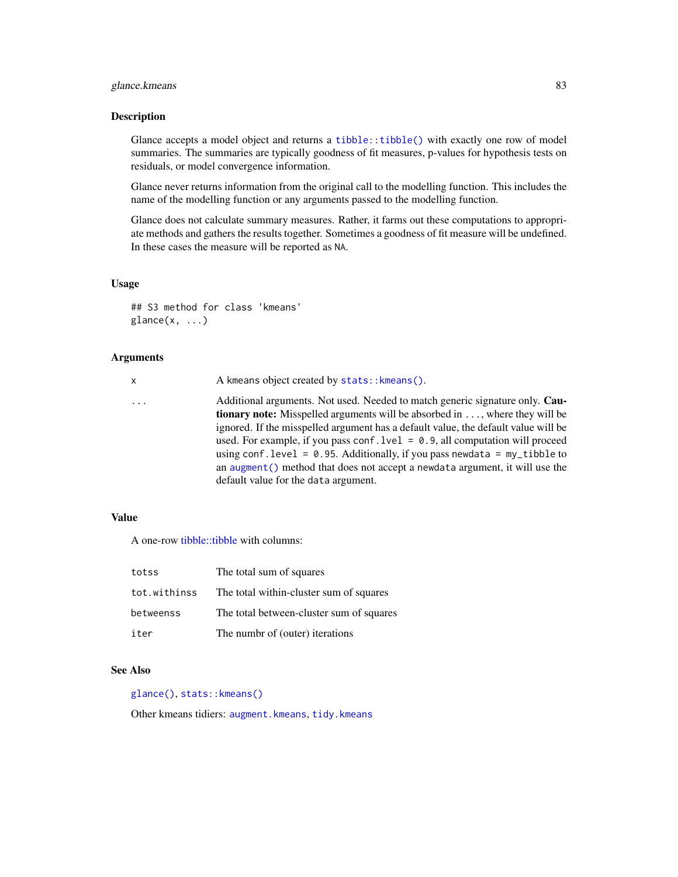# glance.kmeans 83

#### Description

Glance accepts a model object and returns a [tibble::tibble\(\)](#page-0-0) with exactly one row of model summaries. The summaries are typically goodness of fit measures, p-values for hypothesis tests on residuals, or model convergence information.

Glance never returns information from the original call to the modelling function. This includes the name of the modelling function or any arguments passed to the modelling function.

Glance does not calculate summary measures. Rather, it farms out these computations to appropriate methods and gathers the results together. Sometimes a goodness of fit measure will be undefined. In these cases the measure will be reported as NA.

## Usage

## S3 method for class 'kmeans'  $\text{glance}(x, \ldots)$ 

# Arguments

| x        | A kmeans object created by stats:: kmeans().                                                                                                                                                                                                                                                                                                                                                                                                                                                                                                                        |
|----------|---------------------------------------------------------------------------------------------------------------------------------------------------------------------------------------------------------------------------------------------------------------------------------------------------------------------------------------------------------------------------------------------------------------------------------------------------------------------------------------------------------------------------------------------------------------------|
| $\cdots$ | Additional arguments. Not used. Needed to match generic signature only. Cau-<br><b>tionary note:</b> Misspelled arguments will be absorbed in , where they will be<br>ignored. If the misspelled argument has a default value, the default value will be<br>used. For example, if you pass conf. $1$ ve $1 = 0.9$ , all computation will proceed<br>using conf. level = $\theta$ . 95. Additionally, if you pass newdata = $my$ _tibble to<br>an augment () method that does not accept a newdata argument, it will use the<br>default value for the data argument. |
|          |                                                                                                                                                                                                                                                                                                                                                                                                                                                                                                                                                                     |

# Value

A one-row [tibble::tibble](#page-0-0) with columns:

| totss        | The total sum of squares                 |
|--------------|------------------------------------------|
| tot.withinss | The total within-cluster sum of squares  |
| betweenss    | The total between-cluster sum of squares |
| iter         | The numbr of (outer) iterations          |

## See Also

[glance\(\)](#page-0-0), [stats::kmeans\(\)](#page-0-0)

Other kmeans tidiers: [augment.kmeans](#page-21-0), [tidy.kmeans](#page-183-0)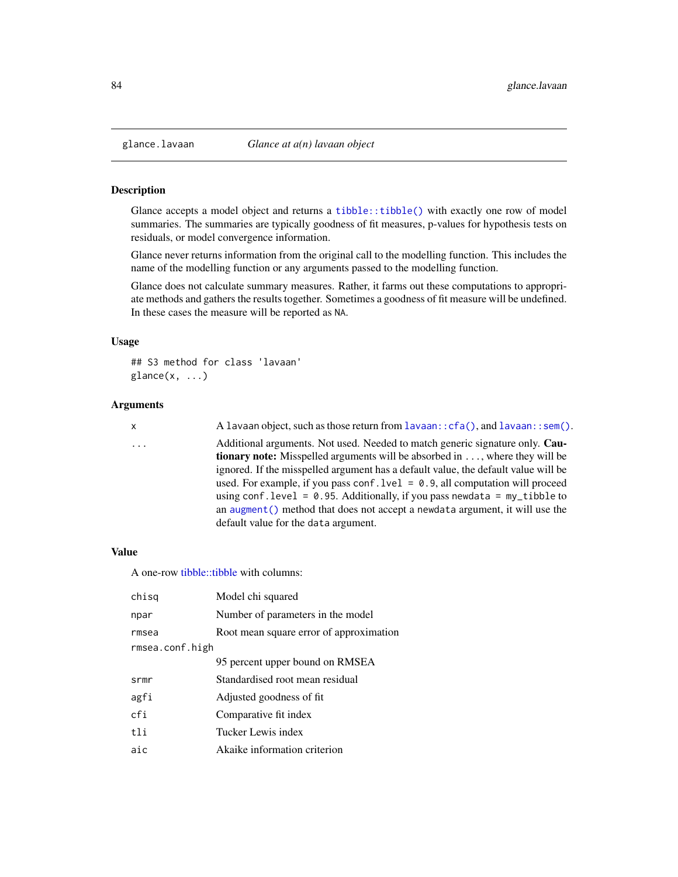Glance accepts a model object and returns a [tibble::tibble\(\)](#page-0-0) with exactly one row of model summaries. The summaries are typically goodness of fit measures, p-values for hypothesis tests on residuals, or model convergence information.

Glance never returns information from the original call to the modelling function. This includes the name of the modelling function or any arguments passed to the modelling function.

Glance does not calculate summary measures. Rather, it farms out these computations to appropriate methods and gathers the results together. Sometimes a goodness of fit measure will be undefined. In these cases the measure will be reported as NA.

## Usage

```
## S3 method for class 'lavaan'
\text{glance}(x, \ldots)
```
#### **Arguments**

x A lavaan object, such as those return from [lavaan::cfa\(\)](#page-0-0), and [lavaan::sem\(\)](#page-0-0).

... Additional arguments. Not used. Needed to match generic signature only. Cautionary note: Misspelled arguments will be absorbed in . . . , where they will be ignored. If the misspelled argument has a default value, the default value will be used. For example, if you pass conf.  $level = 0.9$ , all computation will proceed using conf.level =  $0.95$ . Additionally, if you pass newdata = my\_tibble to an [augment\(\)](#page-0-0) method that does not accept a newdata argument, it will use the default value for the data argument.

#### Value

| chisq           | Model chi squared                       |
|-----------------|-----------------------------------------|
| npar            | Number of parameters in the model       |
| rmsea           | Root mean square error of approximation |
| rmsea.conf.high |                                         |
|                 | 95 percent upper bound on RMSEA         |
| srmr            | Standardised root mean residual         |
| agfi            | Adjusted goodness of fit                |
| cfi             | Comparative fit index                   |
| tli             | Tucker Lewis index                      |
| aic             | Akaike information criterion            |
|                 |                                         |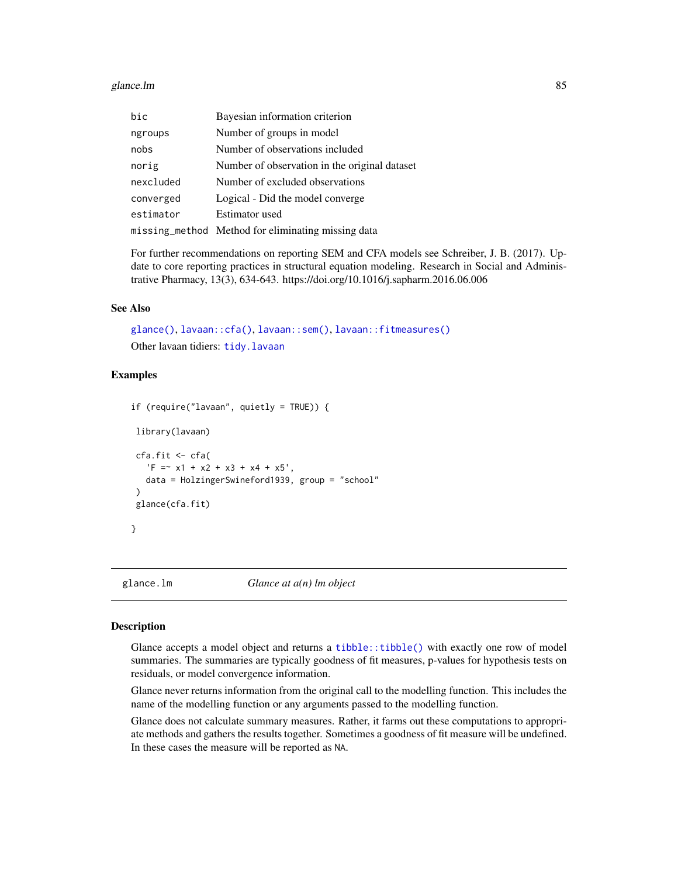#### glance.lm 85

| bic       | Bayesian information criterion                     |
|-----------|----------------------------------------------------|
| ngroups   | Number of groups in model                          |
| nobs      | Number of observations included                    |
| norig     | Number of observation in the original dataset      |
| nexcluded | Number of excluded observations                    |
| converged | Logical - Did the model converge                   |
| estimator | <b>Estimator</b> used                              |
|           | missing_method Method for eliminating missing data |

For further recommendations on reporting SEM and CFA models see Schreiber, J. B. (2017). Update to core reporting practices in structural equation modeling. Research in Social and Administrative Pharmacy, 13(3), 634-643. https://doi.org/10.1016/j.sapharm.2016.06.006

# See Also

[glance\(\)](#page-0-0), [lavaan::cfa\(\)](#page-0-0), [lavaan::sem\(\)](#page-0-0), [lavaan::fitmeasures\(\)](#page-0-0) Other lavaan tidiers: [tidy.lavaan](#page-184-0)

# Examples

```
if (require("lavaan", quietly = TRUE)) {
library(lavaan)
 cfa.fit <- cfa(
   'F = x1 + x2 + x3 + x4 + x5',
  data = HolzingerSwineford1939, group = "school"
 \mathcal{L}glance(cfa.fit)
}
```
<span id="page-84-0"></span>glance.lm *Glance at a(n) lm object*

# Description

Glance accepts a model object and returns a [tibble::tibble\(\)](#page-0-0) with exactly one row of model summaries. The summaries are typically goodness of fit measures, p-values for hypothesis tests on residuals, or model convergence information.

Glance never returns information from the original call to the modelling function. This includes the name of the modelling function or any arguments passed to the modelling function.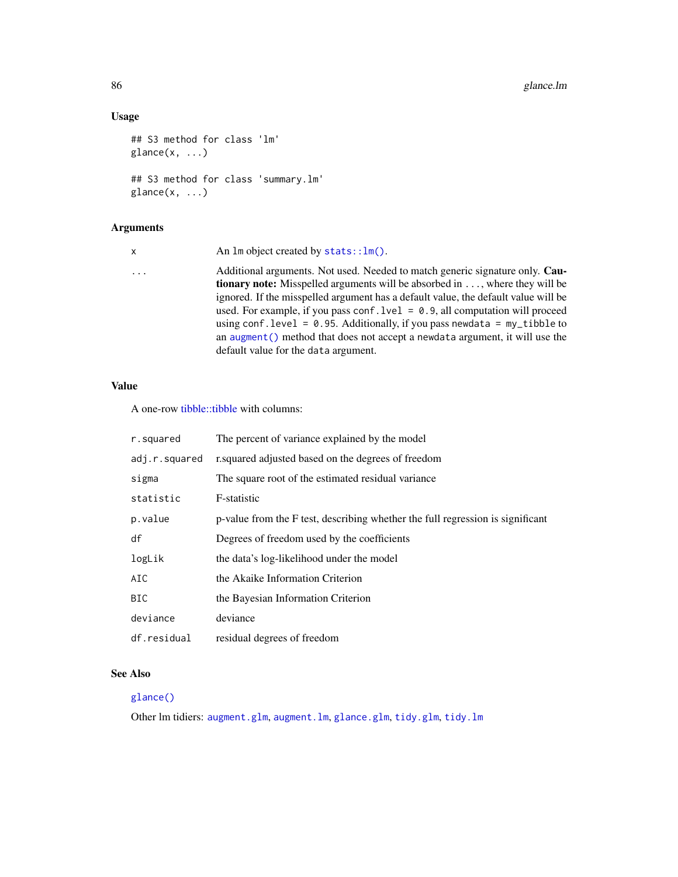# Usage

```
## S3 method for class 'lm'
\text{glance}(x, \ldots)## S3 method for class 'summary.lm'
glance(x, ...)
```
# Arguments

| x        | An $lm$ object created by stats:: $lm()$ .                                                                                                                                                                                                                                                                                                                                                                                                                                                                                                                          |
|----------|---------------------------------------------------------------------------------------------------------------------------------------------------------------------------------------------------------------------------------------------------------------------------------------------------------------------------------------------------------------------------------------------------------------------------------------------------------------------------------------------------------------------------------------------------------------------|
| $\cdots$ | Additional arguments. Not used. Needed to match generic signature only. Cau-<br><b>tionary note:</b> Misspelled arguments will be absorbed in , where they will be<br>ignored. If the misspelled argument has a default value, the default value will be<br>used. For example, if you pass conf. $1$ ve $1 = 0.9$ , all computation will proceed<br>using conf. level = $\theta$ . 95. Additionally, if you pass newdata = $my$ -tibble to<br>an augment () method that does not accept a newdata argument, it will use the<br>default value for the data argument. |
|          |                                                                                                                                                                                                                                                                                                                                                                                                                                                                                                                                                                     |

# Value

A one-row [tibble::tibble](#page-0-0) with columns:

| r.squared     | The percent of variance explained by the model                                 |
|---------------|--------------------------------------------------------------------------------|
| adj.r.squared | r squared adjusted based on the degrees of freedom                             |
| sigma         | The square root of the estimated residual variance                             |
| statistic     | F-statistic                                                                    |
| p.value       | p-value from the F test, describing whether the full regression is significant |
| df            | Degrees of freedom used by the coefficients                                    |
| logLik        | the data's log-likelihood under the model                                      |
| AIC           | the Akaike Information Criterion                                               |
| BIC.          | the Bayesian Information Criterion                                             |
| deviance      | deviance                                                                       |
| df.residual   | residual degrees of freedom                                                    |

# See Also

# [glance\(\)](#page-0-0)

Other lm tidiers: [augment.glm](#page-14-0), [augment.lm](#page-22-0), [glance.glm](#page-76-0), [tidy.glm](#page-168-0), [tidy.lm](#page-185-0)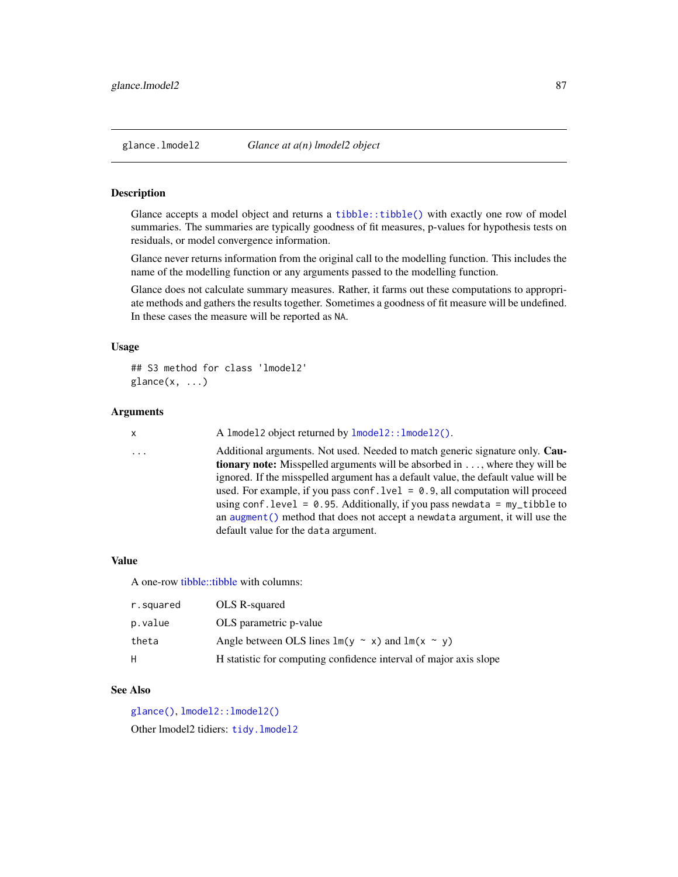Glance accepts a model object and returns a [tibble::tibble\(\)](#page-0-0) with exactly one row of model summaries. The summaries are typically goodness of fit measures, p-values for hypothesis tests on residuals, or model convergence information.

Glance never returns information from the original call to the modelling function. This includes the name of the modelling function or any arguments passed to the modelling function.

Glance does not calculate summary measures. Rather, it farms out these computations to appropriate methods and gathers the results together. Sometimes a goodness of fit measure will be undefined. In these cases the measure will be reported as NA.

# Usage

```
## S3 method for class 'lmodel2'
\text{glance}(x, \ldots)
```
#### Arguments

|  | A lmodel2 object returned by lmodel2:: lmodel2(). |
|--|---------------------------------------------------|
|--|---------------------------------------------------|

... Additional arguments. Not used. Needed to match generic signature only. Cautionary note: Misspelled arguments will be absorbed in ..., where they will be ignored. If the misspelled argument has a default value, the default value will be used. For example, if you pass conf.  $level = 0.9$ , all computation will proceed using conf.level =  $0.95$ . Additionally, if you pass newdata = my\_tibble to an [augment\(\)](#page-0-0) method that does not accept a newdata argument, it will use the default value for the data argument.

#### Value

A one-row [tibble::tibble](#page-0-0) with columns:

| r.squared | OLS R-squared                                                     |
|-----------|-------------------------------------------------------------------|
| p.value   | OLS parametric p-value                                            |
| theta     | Angle between OLS lines $lm(y \sim x)$ and $lm(x \sim y)$         |
| H         | H statistic for computing confidence interval of major axis slope |

# See Also

[glance\(\)](#page-0-0), [lmodel2::lmodel2\(\)](#page-0-0)

Other lmodel2 tidiers: [tidy.lmodel2](#page-187-0)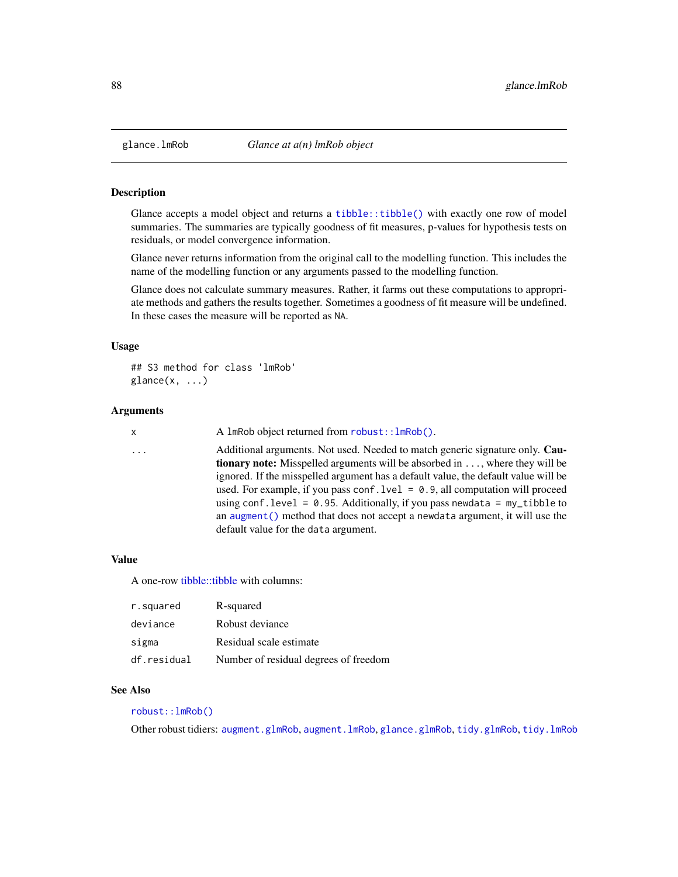<span id="page-87-0"></span>

Glance accepts a model object and returns a [tibble::tibble\(\)](#page-0-0) with exactly one row of model summaries. The summaries are typically goodness of fit measures, p-values for hypothesis tests on residuals, or model convergence information.

Glance never returns information from the original call to the modelling function. This includes the name of the modelling function or any arguments passed to the modelling function.

Glance does not calculate summary measures. Rather, it farms out these computations to appropriate methods and gathers the results together. Sometimes a goodness of fit measure will be undefined. In these cases the measure will be reported as NA.

## Usage

```
## S3 method for class 'lmRob'
glance(x, ...)
```
# Arguments

```
x A lmRob object returned from robust:: lmRob().
```
... Additional arguments. Not used. Needed to match generic signature only. Cautionary note: Misspelled arguments will be absorbed in ..., where they will be ignored. If the misspelled argument has a default value, the default value will be used. For example, if you pass conf.  $level = 0.9$ , all computation will proceed using conf.level =  $0.95$ . Additionally, if you pass newdata = my\_tibble to an [augment\(\)](#page-0-0) method that does not accept a newdata argument, it will use the default value for the data argument.

# Value

A one-row [tibble::tibble](#page-0-0) with columns:

| r.squared   | R-squared                             |
|-------------|---------------------------------------|
| deviance    | Robust deviance                       |
| sigma       | Residual scale estimate               |
| df.residual | Number of residual degrees of freedom |

#### See Also

## [robust::lmRob\(\)](#page-0-0)

Other robust tidiers: [augment.glmRob](#page-16-0), [augment.lmRob](#page-24-0), [glance.glmRob](#page-78-0), [tidy.glmRob](#page-171-0), [tidy.lmRob](#page-189-0)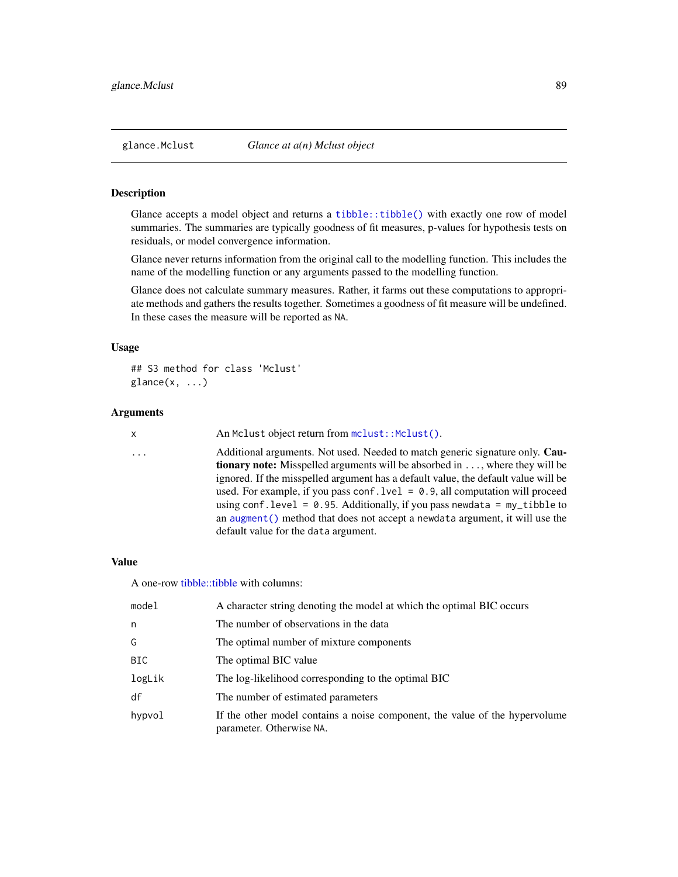Glance accepts a model object and returns a [tibble::tibble\(\)](#page-0-0) with exactly one row of model summaries. The summaries are typically goodness of fit measures, p-values for hypothesis tests on residuals, or model convergence information.

Glance never returns information from the original call to the modelling function. This includes the name of the modelling function or any arguments passed to the modelling function.

Glance does not calculate summary measures. Rather, it farms out these computations to appropriate methods and gathers the results together. Sometimes a goodness of fit measure will be undefined. In these cases the measure will be reported as NA.

# Usage

```
## S3 method for class 'Mclust'
\text{glance}(x, \ldots)
```
## Arguments

```
x An Mclust object return from mclust:: Mclust().
```
... Additional arguments. Not used. Needed to match generic signature only. **Cau**tionary note: Misspelled arguments will be absorbed in ..., where they will be ignored. If the misspelled argument has a default value, the default value will be used. For example, if you pass conf.  $level = 0.9$ , all computation will proceed using conf.level =  $0.95$ . Additionally, if you pass newdata = my\_tibble to an [augment\(\)](#page-0-0) method that does not accept a newdata argument, it will use the default value for the data argument.

## Value

| model  | A character string denoting the model at which the optimal BIC occurs                                   |
|--------|---------------------------------------------------------------------------------------------------------|
| n      | The number of observations in the data                                                                  |
| G      | The optimal number of mixture components                                                                |
| BIC.   | The optimal BIC value                                                                                   |
| logLik | The log-likelihood corresponding to the optimal BIC                                                     |
| df     | The number of estimated parameters                                                                      |
| hypvol | If the other model contains a noise component, the value of the hypervolume<br>parameter. Otherwise NA. |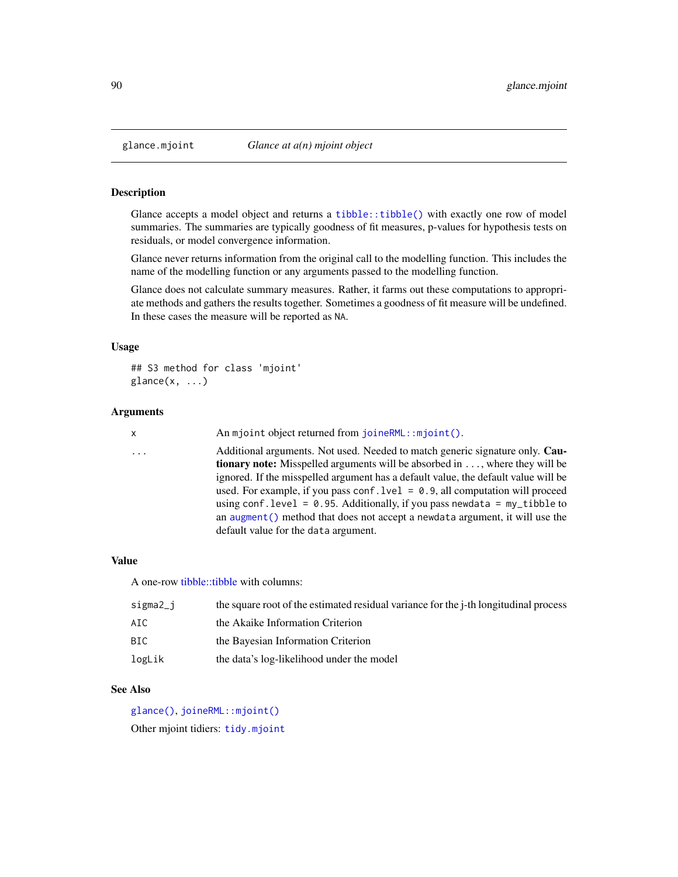Glance accepts a model object and returns a [tibble::tibble\(\)](#page-0-0) with exactly one row of model summaries. The summaries are typically goodness of fit measures, p-values for hypothesis tests on residuals, or model convergence information.

Glance never returns information from the original call to the modelling function. This includes the name of the modelling function or any arguments passed to the modelling function.

Glance does not calculate summary measures. Rather, it farms out these computations to appropriate methods and gathers the results together. Sometimes a goodness of fit measure will be undefined. In these cases the measure will be reported as NA.

# Usage

```
## S3 method for class 'mjoint'
\text{glance}(x, \ldots)
```
#### Arguments

|  | An mjoint object returned from joineRML:: mjoint(). |  |  |  |  |
|--|-----------------------------------------------------|--|--|--|--|
|--|-----------------------------------------------------|--|--|--|--|

... Additional arguments. Not used. Needed to match generic signature only. Cautionary note: Misspelled arguments will be absorbed in ..., where they will be ignored. If the misspelled argument has a default value, the default value will be used. For example, if you pass conf.lvel = 0.9, all computation will proceed using conf.level =  $0.95$ . Additionally, if you pass newdata = my\_tibble to an [augment\(\)](#page-0-0) method that does not accept a newdata argument, it will use the default value for the data argument.

#### Value

A one-row [tibble::tibble](#page-0-0) with columns:

| sigma2_i | the square root of the estimated residual variance for the j-th longitudinal process |
|----------|--------------------------------------------------------------------------------------|
| AIC.     | the Akaike Information Criterion                                                     |
| BIC      | the Bayesian Information Criterion                                                   |
| logLik   | the data's log-likelihood under the model                                            |

#### See Also

[glance\(\)](#page-0-0), [joineRML::mjoint\(\)](#page-0-0)

Other mjoint tidiers: [tidy.mjoint](#page-195-0)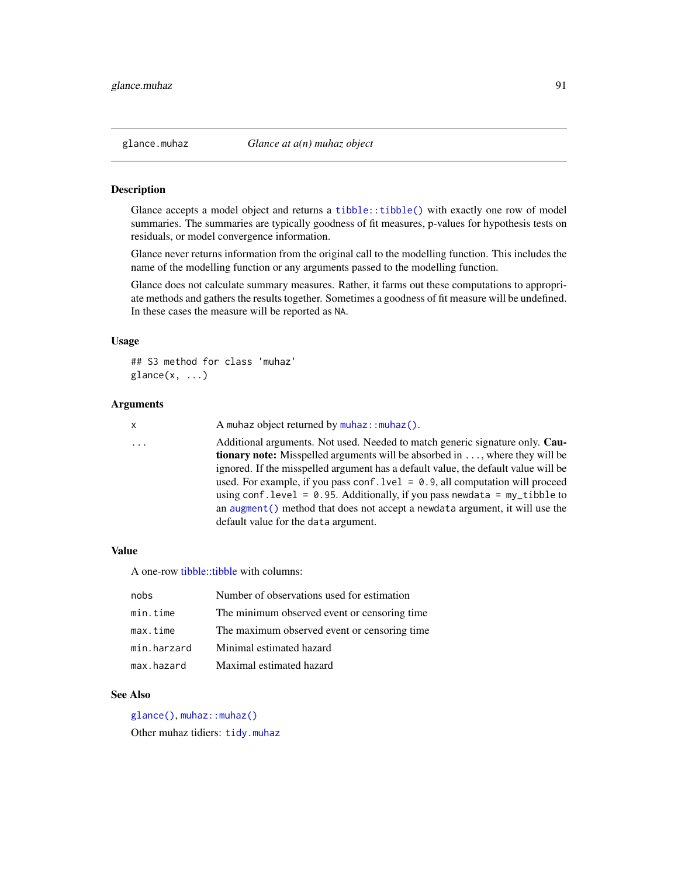Glance accepts a model object and returns a [tibble::tibble\(\)](#page-0-0) with exactly one row of model summaries. The summaries are typically goodness of fit measures, p-values for hypothesis tests on residuals, or model convergence information.

Glance never returns information from the original call to the modelling function. This includes the name of the modelling function or any arguments passed to the modelling function.

Glance does not calculate summary measures. Rather, it farms out these computations to appropriate methods and gathers the results together. Sometimes a goodness of fit measure will be undefined. In these cases the measure will be reported as NA.

## Usage

```
## S3 method for class 'muhaz'
\text{glance}(x, \ldots)
```
#### Arguments

x A muhaz object returned by muhaz:: muhaz().

... Additional arguments. Not used. Needed to match generic signature only. Cautionary note: Misspelled arguments will be absorbed in ..., where they will be ignored. If the misspelled argument has a default value, the default value will be used. For example, if you pass conf.  $level = 0.9$ , all computation will proceed using conf.level =  $0.95$ . Additionally, if you pass newdata = my\_tibble to an [augment\(\)](#page-0-0) method that does not accept a newdata argument, it will use the default value for the data argument.

## Value

A one-row [tibble::tibble](#page-0-0) with columns:

| nobs        | Number of observations used for estimation   |
|-------------|----------------------------------------------|
| min.time    | The minimum observed event or censoring time |
| max.time    | The maximum observed event or censoring time |
| min.harzard | Minimal estimated hazard                     |
| max.hazard  | Maximal estimated hazard                     |

# See Also

[glance\(\)](#page-0-0), [muhaz::muhaz\(\)](#page-0-0) Other muhaz tidiers: [tidy.muhaz](#page-198-0)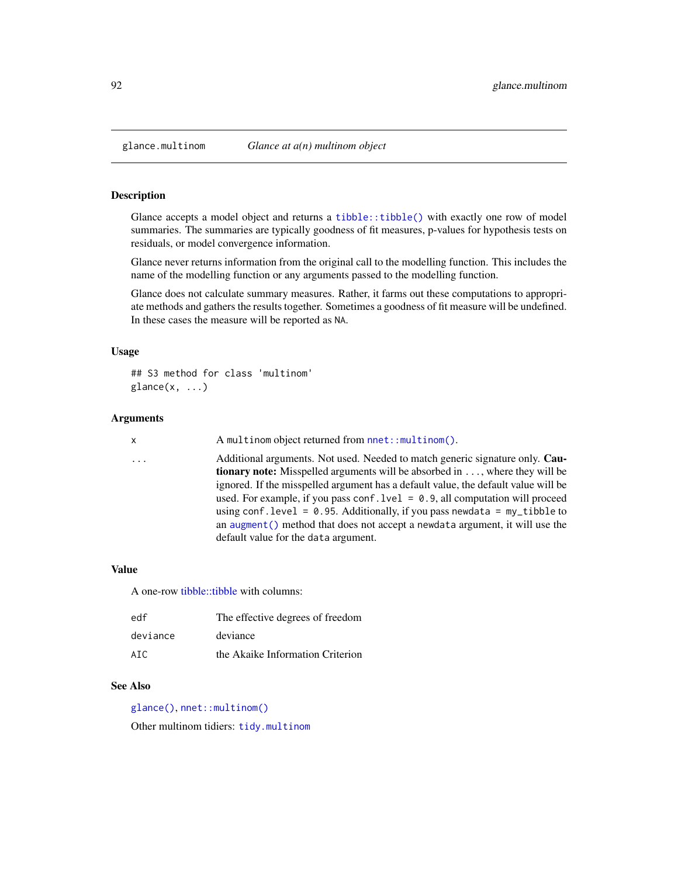Glance accepts a model object and returns a [tibble::tibble\(\)](#page-0-0) with exactly one row of model summaries. The summaries are typically goodness of fit measures, p-values for hypothesis tests on residuals, or model convergence information.

Glance never returns information from the original call to the modelling function. This includes the name of the modelling function or any arguments passed to the modelling function.

Glance does not calculate summary measures. Rather, it farms out these computations to appropriate methods and gathers the results together. Sometimes a goodness of fit measure will be undefined. In these cases the measure will be reported as NA.

# Usage

```
## S3 method for class 'multinom'
\text{glance}(x, \ldots)
```
# Arguments

x A multinom object returned from [nnet::multinom\(\)](#page-0-0).

... Additional arguments. Not used. Needed to match generic signature only. **Cau**tionary note: Misspelled arguments will be absorbed in ..., where they will be ignored. If the misspelled argument has a default value, the default value will be used. For example, if you pass conf.  $level = 0.9$ , all computation will proceed using conf.level =  $0.95$ . Additionally, if you pass newdata = my\_tibble to an [augment\(\)](#page-0-0) method that does not accept a newdata argument, it will use the default value for the data argument.

#### Value

A one-row [tibble::tibble](#page-0-0) with columns:

| edf      | The effective degrees of freedom |
|----------|----------------------------------|
| deviance | deviance                         |
| ATC.     | the Akaike Information Criterion |

#### See Also

[glance\(\)](#page-0-0), [nnet::multinom\(\)](#page-0-0)

Other multinom tidiers: [tidy.multinom](#page-199-0)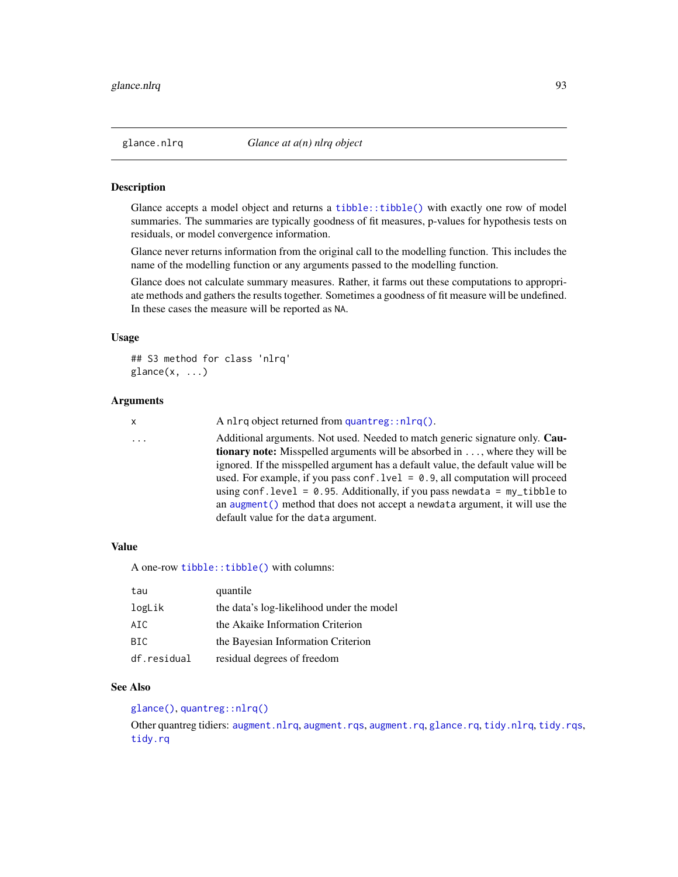<span id="page-92-0"></span>Glance accepts a model object and returns a [tibble::tibble\(\)](#page-0-0) with exactly one row of model summaries. The summaries are typically goodness of fit measures, p-values for hypothesis tests on residuals, or model convergence information.

Glance never returns information from the original call to the modelling function. This includes the name of the modelling function or any arguments passed to the modelling function.

Glance does not calculate summary measures. Rather, it farms out these computations to appropriate methods and gathers the results together. Sometimes a goodness of fit measure will be undefined. In these cases the measure will be reported as NA.

# Usage

```
## S3 method for class 'nlrq'
\text{glance}(x, \ldots)
```
# Arguments

x A nlrq object returned from [quantreg::nlrq\(\)](#page-0-0).

... Additional arguments. Not used. Needed to match generic signature only. Cautionary note: Misspelled arguments will be absorbed in ..., where they will be ignored. If the misspelled argument has a default value, the default value will be used. For example, if you pass conf.  $level = 0.9$ , all computation will proceed using conf.level =  $0.95$ . Additionally, if you pass newdata = my\_tibble to an [augment\(\)](#page-0-0) method that does not accept a newdata argument, it will use the default value for the data argument.

# Value

A one-row [tibble::tibble\(\)](#page-0-0) with columns:

| tau         | quantile                                  |
|-------------|-------------------------------------------|
| logLik      | the data's log-likelihood under the model |
| ATC.        | the Akaike Information Criterion          |
| <b>BIC</b>  | the Bayesian Information Criterion        |
| df.residual | residual degrees of freedom               |

# See Also

# [glance\(\)](#page-0-0), [quantreg::nlrq\(\)](#page-0-0)

Other quantreg tidiers: [augment.nlrq](#page-30-0), [augment.rqs](#page-40-0), [augment.rq](#page-38-0), [glance.rq](#page-101-0), [tidy.nlrq](#page-200-0), [tidy.rqs](#page-224-0), [tidy.rq](#page-223-0)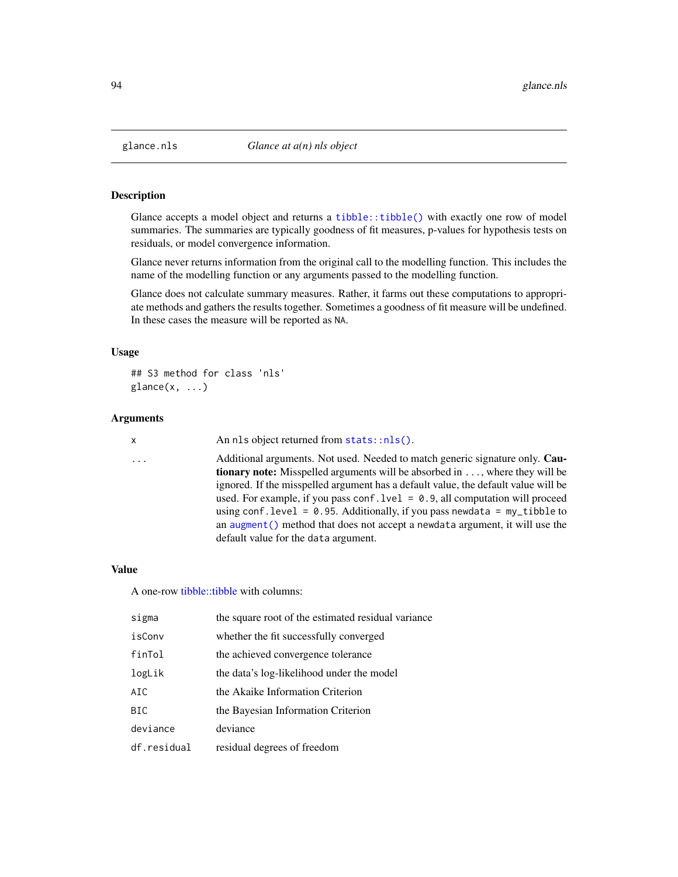Glance accepts a model object and returns a [tibble::tibble\(\)](#page-0-0) with exactly one row of model summaries. The summaries are typically goodness of fit measures, p-values for hypothesis tests on residuals, or model convergence information.

Glance never returns information from the original call to the modelling function. This includes the name of the modelling function or any arguments passed to the modelling function.

Glance does not calculate summary measures. Rather, it farms out these computations to appropriate methods and gathers the results together. Sometimes a goodness of fit measure will be undefined. In these cases the measure will be reported as NA.

## Usage

```
## S3 method for class 'nls'
\text{glance}(x, \ldots)
```
# Arguments

x An nls object returned from [stats::nls\(\)](#page-0-0).

... Additional arguments. Not used. Needed to match generic signature only. Cautionary note: Misspelled arguments will be absorbed in ..., where they will be ignored. If the misspelled argument has a default value, the default value will be used. For example, if you pass conf.  $level = 0.9$ , all computation will proceed using conf.level =  $0.95$ . Additionally, if you pass newdata = my\_tibble to an [augment\(\)](#page-0-0) method that does not accept a newdata argument, it will use the default value for the data argument.

#### Value

| sigma       | the square root of the estimated residual variance |
|-------------|----------------------------------------------------|
| isConv      | whether the fit successfully converged             |
| finTol      | the achieved convergence tolerance                 |
| logLik      | the data's log-likelihood under the model          |
| AIC         | the Akaike Information Criterion                   |
| <b>BIC</b>  | the Bayesian Information Criterion                 |
| deviance    | deviance                                           |
| df.residual | residual degrees of freedom                        |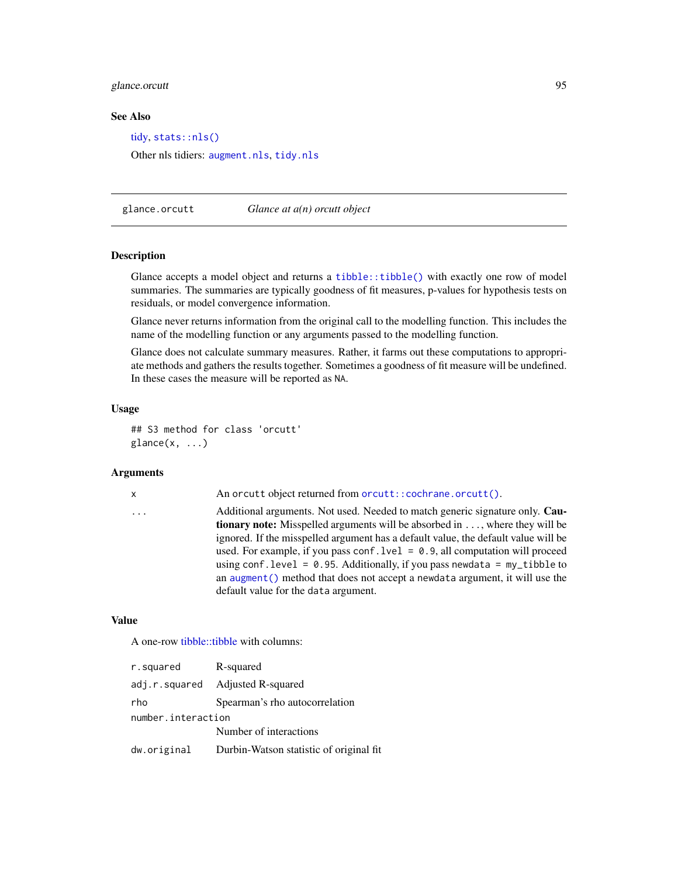# glance.orcutt 95

#### See Also

[tidy,](#page-0-0) [stats::nls\(\)](#page-0-0) Other nls tidiers: [augment.nls](#page-31-0), [tidy.nls](#page-202-0)

glance.orcutt *Glance at a(n) orcutt object*

#### Description

Glance accepts a model object and returns a [tibble::tibble\(\)](#page-0-0) with exactly one row of model summaries. The summaries are typically goodness of fit measures, p-values for hypothesis tests on residuals, or model convergence information.

Glance never returns information from the original call to the modelling function. This includes the name of the modelling function or any arguments passed to the modelling function.

Glance does not calculate summary measures. Rather, it farms out these computations to appropriate methods and gathers the results together. Sometimes a goodness of fit measure will be undefined. In these cases the measure will be reported as NA.

# Usage

```
## S3 method for class 'orcutt'
glance(x, \ldots)
```
#### Arguments

#### x An orcutt object returned from [orcutt::cochrane.orcutt\(\)](#page-0-0).

... Additional arguments. Not used. Needed to match generic signature only. Cautionary note: Misspelled arguments will be absorbed in ..., where they will be ignored. If the misspelled argument has a default value, the default value will be used. For example, if you pass conf.  $level = 0.9$ , all computation will proceed using conf.level =  $0.95$ . Additionally, if you pass newdata = my\_tibble to an [augment\(\)](#page-0-0) method that does not accept a newdata argument, it will use the default value for the data argument.

# Value

| r.squared          | R-squared                               |  |
|--------------------|-----------------------------------------|--|
|                    | adj.r.squared Adjusted R-squared        |  |
| rho                | Spearman's rho autocorrelation          |  |
| number.interaction |                                         |  |
|                    | Number of interactions                  |  |
| dw.original        | Durbin-Watson statistic of original fit |  |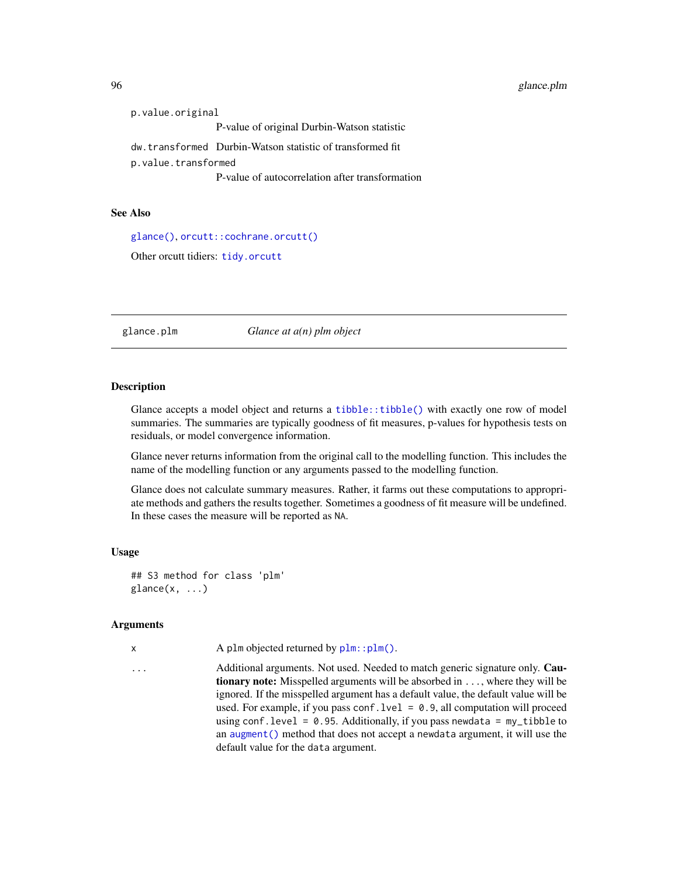p.value.original P-value of original Durbin-Watson statistic dw.transformed Durbin-Watson statistic of transformed fit p.value.transformed P-value of autocorrelation after transformation

# See Also

[glance\(\)](#page-0-0), [orcutt::cochrane.orcutt\(\)](#page-0-0) Other orcutt tidiers: [tidy.orcutt](#page-204-0)

glance.plm *Glance at a(n) plm object*

## Description

Glance accepts a model object and returns a [tibble::tibble\(\)](#page-0-0) with exactly one row of model summaries. The summaries are typically goodness of fit measures, p-values for hypothesis tests on residuals, or model convergence information.

Glance never returns information from the original call to the modelling function. This includes the name of the modelling function or any arguments passed to the modelling function.

Glance does not calculate summary measures. Rather, it farms out these computations to appropriate methods and gathers the results together. Sometimes a goodness of fit measure will be undefined. In these cases the measure will be reported as NA.

#### Usage

## S3 method for class 'plm'  $\text{glance}(x, \ldots)$ 

#### Arguments

 $x \rightarrow A$  plm objected returned by  $plm::plm()$ .

... Additional arguments. Not used. Needed to match generic signature only. Cautionary note: Misspelled arguments will be absorbed in ..., where they will be ignored. If the misspelled argument has a default value, the default value will be used. For example, if you pass conf.  $level = 0.9$ , all computation will proceed using conf.level =  $0.95$ . Additionally, if you pass newdata = my\_tibble to an [augment\(\)](#page-0-0) method that does not accept a newdata argument, it will use the default value for the data argument.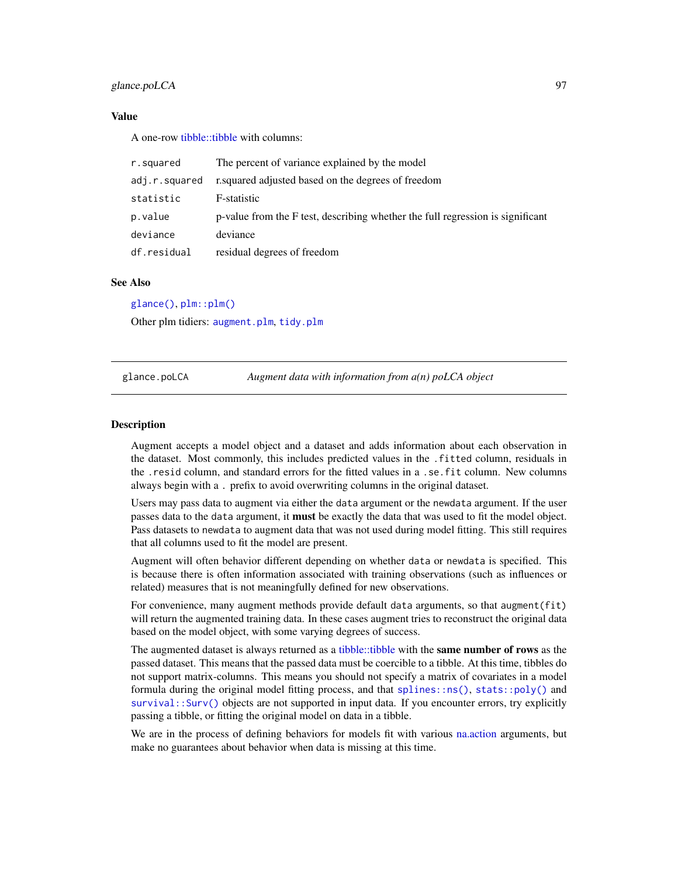# glance.poLCA 97

## Value

A one-row [tibble::tibble](#page-0-0) with columns:

| r.squared     | The percent of variance explained by the model                                 |
|---------------|--------------------------------------------------------------------------------|
| adj.r.squared | r squared adjusted based on the degrees of freedom                             |
| statistic     | F-statistic                                                                    |
| p.value       | p-value from the F test, describing whether the full regression is significant |
| deviance      | deviance                                                                       |
| df.residual   | residual degrees of freedom                                                    |

#### See Also

[glance\(\)](#page-0-0), [plm::plm\(\)](#page-0-0)

Other plm tidiers: [augment.plm](#page-33-0), [tidy.plm](#page-207-0)

glance.poLCA *Augment data with information from a(n) poLCA object*

#### Description

Augment accepts a model object and a dataset and adds information about each observation in the dataset. Most commonly, this includes predicted values in the .fitted column, residuals in the .resid column, and standard errors for the fitted values in a .se.fit column. New columns always begin with a . prefix to avoid overwriting columns in the original dataset.

Users may pass data to augment via either the data argument or the newdata argument. If the user passes data to the data argument, it **must** be exactly the data that was used to fit the model object. Pass datasets to newdata to augment data that was not used during model fitting. This still requires that all columns used to fit the model are present.

Augment will often behavior different depending on whether data or newdata is specified. This is because there is often information associated with training observations (such as influences or related) measures that is not meaningfully defined for new observations.

For convenience, many augment methods provide default data arguments, so that augment (fit) will return the augmented training data. In these cases augment tries to reconstruct the original data based on the model object, with some varying degrees of success.

The augmented dataset is always returned as a [tibble::tibble](#page-0-0) with the same number of rows as the passed dataset. This means that the passed data must be coercible to a tibble. At this time, tibbles do not support matrix-columns. This means you should not specify a matrix of covariates in a model formula during the original model fitting process, and that [splines::ns\(\)](#page-0-0), [stats::poly\(\)](#page-0-0) and [survival::Surv\(\)](#page-0-0) objects are not supported in input data. If you encounter errors, try explicitly passing a tibble, or fitting the original model on data in a tibble.

We are in the process of defining behaviors for models fit with various natural arguments, but make no guarantees about behavior when data is missing at this time.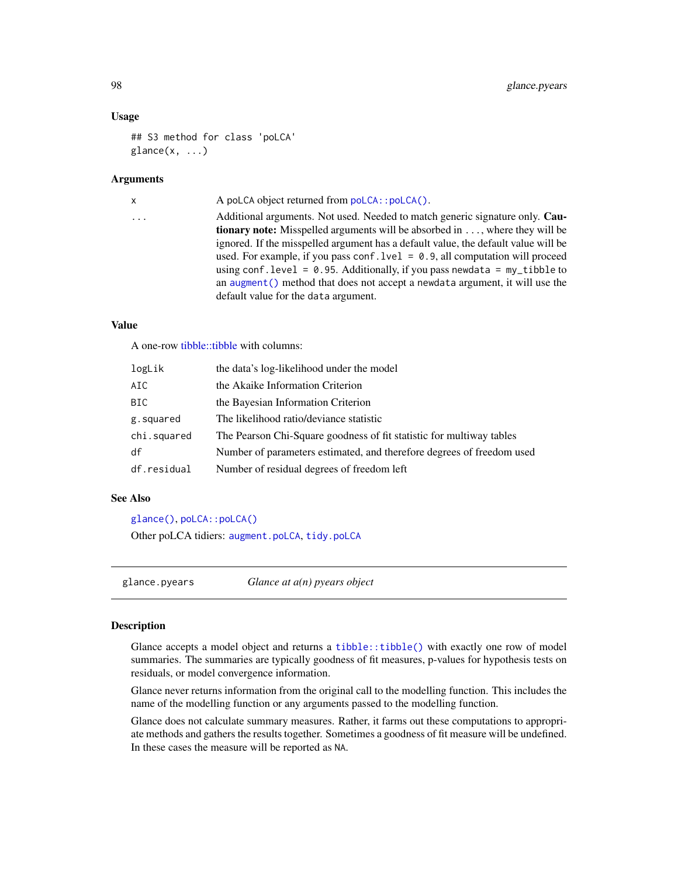# Usage

```
## S3 method for class 'poLCA'
\text{glance}(x, \ldots)
```
# Arguments

| X       | A poLCA object returned from poLCA::poLCA().                                         |
|---------|--------------------------------------------------------------------------------------|
| $\cdot$ | Additional arguments. Not used. Needed to match generic signature only. Cau-         |
|         | <b>tionary note:</b> Misspelled arguments will be absorbed in , where they will be   |
|         | ignored. If the misspelled argument has a default value, the default value will be   |
|         | used. For example, if you pass conf. $1$ ve $1 = 0.9$ , all computation will proceed |
|         | using conf. level = $0.95$ . Additionally, if you pass newdata = $my$ _tibble to     |
|         | an augment () method that does not accept a newdata argument, it will use the        |
|         | default value for the data argument.                                                 |

# Value

A one-row [tibble::tibble](#page-0-0) with columns:

| logLik      | the data's log-likelihood under the model                             |
|-------------|-----------------------------------------------------------------------|
| AIC         | the Akaike Information Criterion                                      |
| BIC.        | the Bayesian Information Criterion                                    |
| g.squared   | The likelihood ratio/deviance statistic                               |
| chi.squared | The Pearson Chi-Square goodness of fit statistic for multiway tables  |
| df          | Number of parameters estimated, and therefore degrees of freedom used |
| df.residual | Number of residual degrees of freedom left                            |

# See Also

[glance\(\)](#page-0-0), [poLCA::poLCA\(\)](#page-0-0) Other poLCA tidiers: [augment.poLCA](#page-34-0), [tidy.poLCA](#page-208-0)

<span id="page-97-0"></span>glance.pyears *Glance at a(n) pyears object*

# Description

Glance accepts a model object and returns a [tibble::tibble\(\)](#page-0-0) with exactly one row of model summaries. The summaries are typically goodness of fit measures, p-values for hypothesis tests on residuals, or model convergence information.

Glance never returns information from the original call to the modelling function. This includes the name of the modelling function or any arguments passed to the modelling function.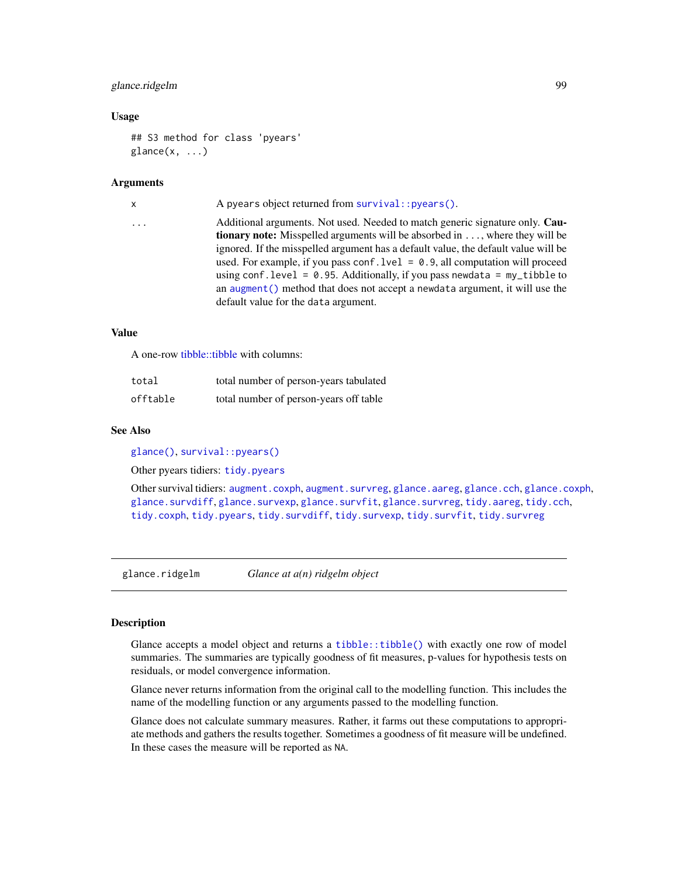# glance.ridgelm 99

## Usage

```
## S3 method for class 'pyears'
\text{glance}(x, \ldots)
```
# Arguments

| x | A pyears object returned from survival:: pyears().                                                                                                                                                                                                                                                                                                                                                                                                                                                                                                                  |
|---|---------------------------------------------------------------------------------------------------------------------------------------------------------------------------------------------------------------------------------------------------------------------------------------------------------------------------------------------------------------------------------------------------------------------------------------------------------------------------------------------------------------------------------------------------------------------|
| . | Additional arguments. Not used. Needed to match generic signature only. Cau-<br><b>tionary note:</b> Misspelled arguments will be absorbed in , where they will be<br>ignored. If the misspelled argument has a default value, the default value will be<br>used. For example, if you pass conf. $1$ ve $1 = 0.9$ , all computation will proceed<br>using conf. level = $\theta$ . 95. Additionally, if you pass newdata = $my$ -tibble to<br>an augment () method that does not accept a newdata argument, it will use the<br>default value for the data argument. |
|   |                                                                                                                                                                                                                                                                                                                                                                                                                                                                                                                                                                     |

## Value

A one-row [tibble::tibble](#page-0-0) with columns:

| total    | total number of person-years tabulated |
|----------|----------------------------------------|
| offtable | total number of person-years off table |

# See Also

[glance\(\)](#page-0-0), [survival::pyears\(\)](#page-0-0)

Other pyears tidiers: [tidy.pyears](#page-216-0)

Other survival tidiers: [augment.coxph](#page-7-0), [augment.survreg](#page-46-0), [glance.aareg](#page-59-0), [glance.cch](#page-65-0), [glance.coxph](#page-66-0), [glance.survdiff](#page-104-0), [glance.survexp](#page-105-0), [glance.survfit](#page-106-0), [glance.survreg](#page-107-0), [tidy.aareg](#page-126-0), [tidy.cch](#page-142-0), [tidy.coxph](#page-148-0), [tidy.pyears](#page-216-0), [tidy.survdiff](#page-229-0), [tidy.survexp](#page-230-0), [tidy.survfit](#page-231-0), [tidy.survreg](#page-233-0)

glance.ridgelm *Glance at a(n) ridgelm object*

#### **Description**

Glance accepts a model object and returns a [tibble::tibble\(\)](#page-0-0) with exactly one row of model summaries. The summaries are typically goodness of fit measures, p-values for hypothesis tests on residuals, or model convergence information.

Glance never returns information from the original call to the modelling function. This includes the name of the modelling function or any arguments passed to the modelling function.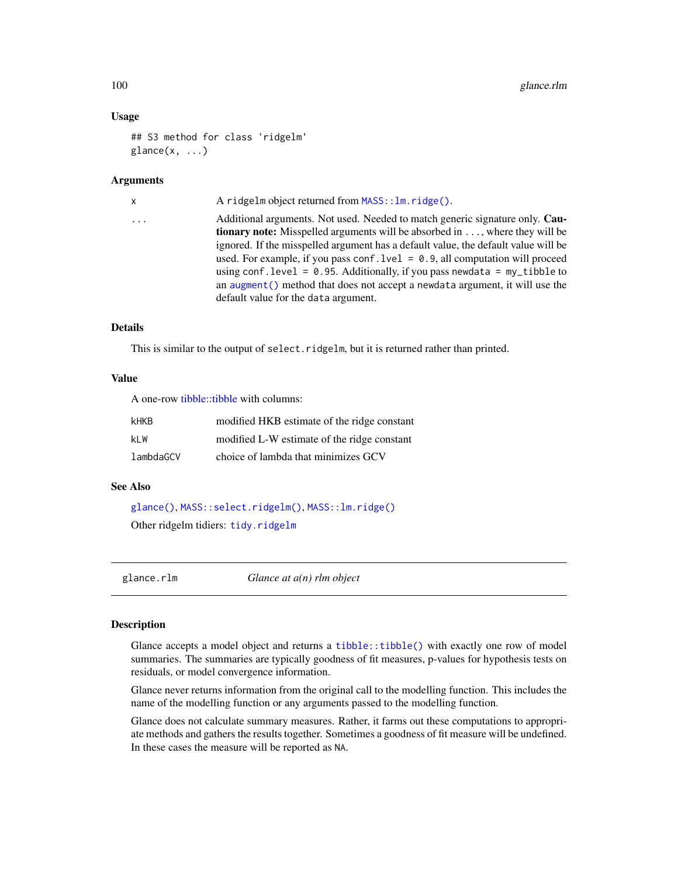## Usage

```
## S3 method for class 'ridgelm'
\text{glance}(x, \ldots)
```
# Arguments

| X        | A ridgelm object returned from MASS:: lm.ridge().                                                                                                                                                                                                                                                                                                                                                                                                                                                                                                         |
|----------|-----------------------------------------------------------------------------------------------------------------------------------------------------------------------------------------------------------------------------------------------------------------------------------------------------------------------------------------------------------------------------------------------------------------------------------------------------------------------------------------------------------------------------------------------------------|
| $\ddots$ | Additional arguments. Not used. Needed to match generic signature only. Cau-<br><b>tionary note:</b> Misspelled arguments will be absorbed in , where they will be<br>ignored. If the misspelled argument has a default value, the default value will be<br>used. For example, if you pass conf. $1$ ve $1 = 0.9$ , all computation will proceed<br>using conf.level = $0.95$ . Additionally, if you pass newdata = my_tibble to<br>an augment () method that does not accept a newdata argument, it will use the<br>default value for the data argument. |
|          |                                                                                                                                                                                                                                                                                                                                                                                                                                                                                                                                                           |

# Details

This is similar to the output of select.ridgelm, but it is returned rather than printed.

# Value

A one-row [tibble::tibble](#page-0-0) with columns:

| kHKB      | modified HKB estimate of the ridge constant |
|-----------|---------------------------------------------|
| kLW       | modified L-W estimate of the ridge constant |
| lambdaGCV | choice of lambda that minimizes GCV         |

# See Also

```
glance(), MASS::select.ridgelm(), MASS::lm.ridge()
Other ridgelm tidiers: tidy.ridgelm
```
glance.rlm *Glance at a(n) rlm object*

# Description

Glance accepts a model object and returns a [tibble::tibble\(\)](#page-0-0) with exactly one row of model summaries. The summaries are typically goodness of fit measures, p-values for hypothesis tests on residuals, or model convergence information.

Glance never returns information from the original call to the modelling function. This includes the name of the modelling function or any arguments passed to the modelling function.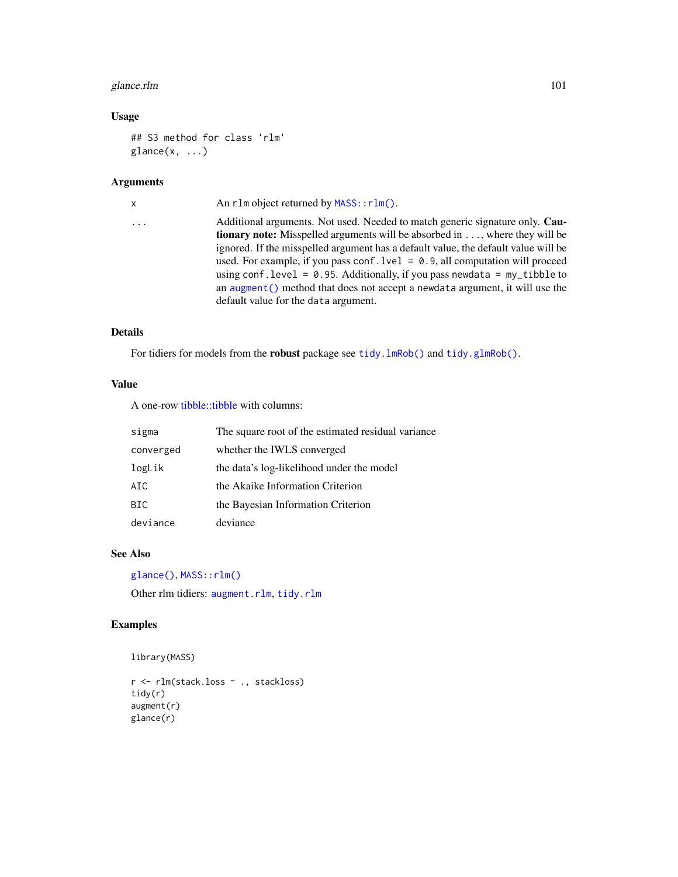# glance.rlm 101

# Usage

```
## S3 method for class 'rlm'
glance(x, \ldots)
```
# Arguments

| x        | An r1m object returned by MASS::r1m().                                                                                                                                                                                                                                                                                                                                                        |
|----------|-----------------------------------------------------------------------------------------------------------------------------------------------------------------------------------------------------------------------------------------------------------------------------------------------------------------------------------------------------------------------------------------------|
| $\cdots$ | Additional arguments. Not used. Needed to match generic signature only. Cau-<br><b>tionary note:</b> Misspelled arguments will be absorbed in , where they will be                                                                                                                                                                                                                            |
|          | ignored. If the misspelled argument has a default value, the default value will be<br>used. For example, if you pass conf. $1$ ve $1 = 0.9$ , all computation will proceed<br>using conf. level = $\theta$ . 95. Additionally, if you pass newdata = $my$ -tibble to<br>an augment () method that does not accept a newdata argument, it will use the<br>default value for the data argument. |

# Details

For tidiers for models from the **robust** package see tidy.  $lmRob()$  and tidy.  $glmRob()$ .

# Value

A one-row [tibble::tibble](#page-0-0) with columns:

| sigma      | The square root of the estimated residual variance |
|------------|----------------------------------------------------|
| converged  | whether the IWLS converged                         |
| logLik     | the data's log-likelihood under the model          |
| AIC        | the Akaike Information Criterion                   |
| <b>BIC</b> | the Bayesian Information Criterion                 |
| deviance   | deviance                                           |

# See Also

[glance\(\)](#page-0-0), [MASS::rlm\(\)](#page-0-0)

Other rlm tidiers: [augment.rlm](#page-37-0), [tidy.rlm](#page-220-0)

# Examples

library(MASS)

```
r <- rlm(stack.loss ~ ., stackloss)
tidy(r)
augment(r)
glance(r)
```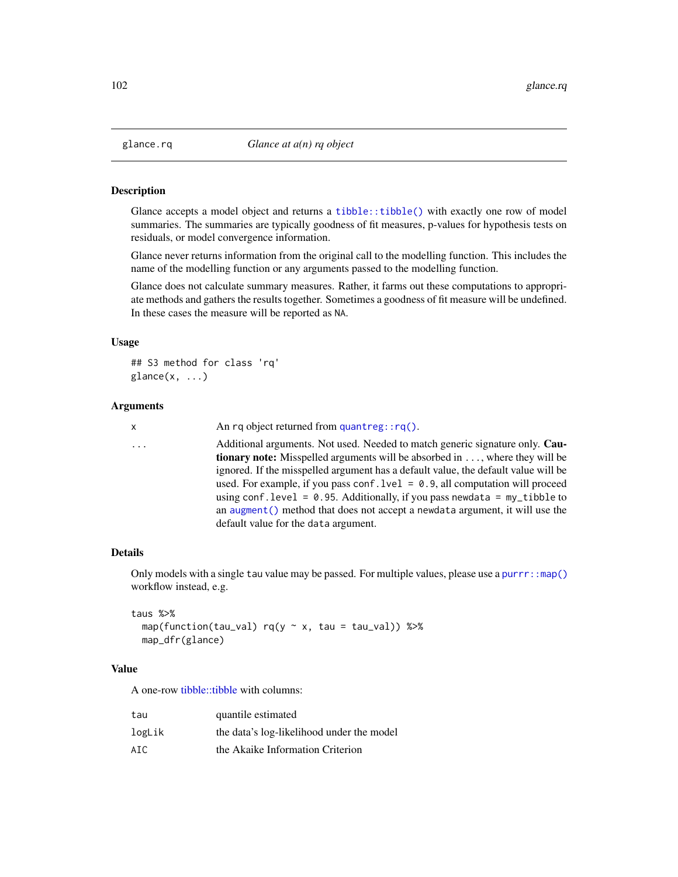<span id="page-101-0"></span>

Glance accepts a model object and returns a [tibble::tibble\(\)](#page-0-0) with exactly one row of model summaries. The summaries are typically goodness of fit measures, p-values for hypothesis tests on residuals, or model convergence information.

Glance never returns information from the original call to the modelling function. This includes the name of the modelling function or any arguments passed to the modelling function.

Glance does not calculate summary measures. Rather, it farms out these computations to appropriate methods and gathers the results together. Sometimes a goodness of fit measure will be undefined. In these cases the measure will be reported as NA.

# Usage

```
## S3 method for class 'rq'
\text{glance}(x, \ldots)
```
#### Arguments

x An rq object returned from [quantreg::rq\(\)](#page-0-0).

... Additional arguments. Not used. Needed to match generic signature only. Cautionary note: Misspelled arguments will be absorbed in ..., where they will be ignored. If the misspelled argument has a default value, the default value will be used. For example, if you pass conf.  $level = 0.9$ , all computation will proceed using conf.level =  $0.95$ . Additionally, if you pass newdata = my\_tibble to an [augment\(\)](#page-0-0) method that does not accept a newdata argument, it will use the default value for the data argument.

# Details

Only models with a single tau value may be passed. For multiple values, please use a purrr:: map() workflow instead, e.g.

```
taus %>%
  map(function(tau_val) rq(y \sim x, tau = tau_val)) %>%
 map_dfr(glance)
```
## Value

| tau    | quantile estimated                        |
|--------|-------------------------------------------|
| logLik | the data's log-likelihood under the model |
| AIC    | the Akaike Information Criterion          |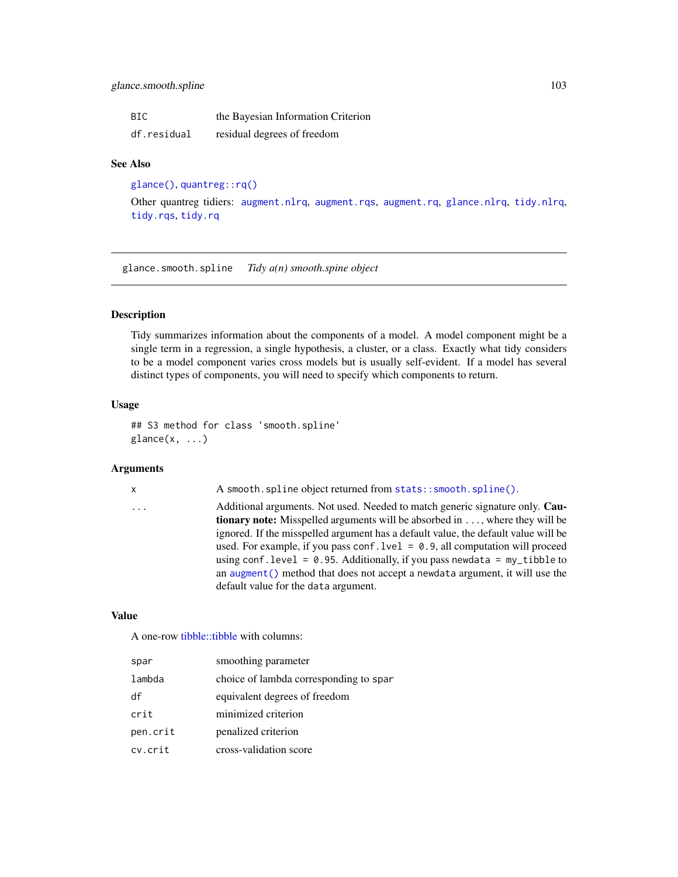| BIC         | the Bayesian Information Criterion |
|-------------|------------------------------------|
| df.residual | residual degrees of freedom        |

# See Also

[glance\(\)](#page-0-0), [quantreg::rq\(\)](#page-0-0)

Other quantreg tidiers: [augment.nlrq](#page-30-0), [augment.rqs](#page-40-0), [augment.rq](#page-38-0), [glance.nlrq](#page-92-0), [tidy.nlrq](#page-200-0), [tidy.rqs](#page-224-0), [tidy.rq](#page-223-0)

glance.smooth.spline *Tidy a(n) smooth.spine object*

# Description

Tidy summarizes information about the components of a model. A model component might be a single term in a regression, a single hypothesis, a cluster, or a class. Exactly what tidy considers to be a model component varies cross models but is usually self-evident. If a model has several distinct types of components, you will need to specify which components to return.

## Usage

## S3 method for class 'smooth.spline'  $glance(x, \ldots)$ 

# Arguments

x A smooth.spline object returned from [stats::smooth.spline\(\)](#page-0-0).

... Additional arguments. Not used. Needed to match generic signature only. Cautionary note: Misspelled arguments will be absorbed in ..., where they will be ignored. If the misspelled argument has a default value, the default value will be used. For example, if you pass conf.  $level = 0.9$ , all computation will proceed using conf.level = 0.95. Additionally, if you pass newdata = my\_tibble to an [augment\(\)](#page-0-0) method that does not accept a newdata argument, it will use the default value for the data argument.

# Value

| spar     | smoothing parameter                    |
|----------|----------------------------------------|
| lambda   | choice of lambda corresponding to spar |
| df       | equivalent degrees of freedom          |
| crit     | minimized criterion                    |
| pen.crit | penalized criterion                    |
| cv.crit  | cross-validation score                 |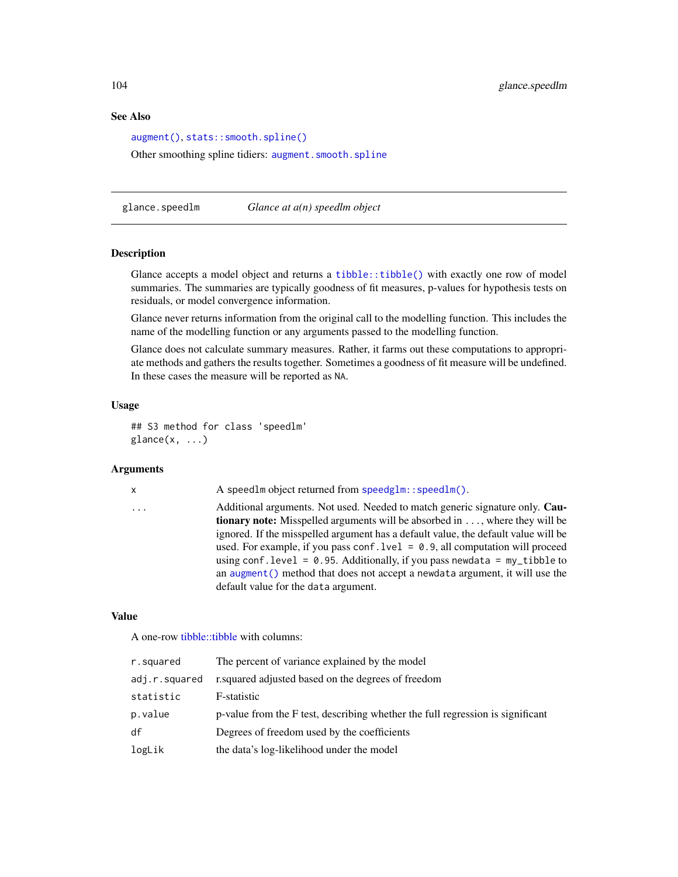## See Also

[augment\(\)](#page-0-0), [stats::smooth.spline\(\)](#page-0-0)

Other smoothing spline tidiers: [augment.smooth.spline](#page-42-0)

glance.speedlm *Glance at a(n) speedlm object*

# Description

Glance accepts a model object and returns a [tibble::tibble\(\)](#page-0-0) with exactly one row of model summaries. The summaries are typically goodness of fit measures, p-values for hypothesis tests on residuals, or model convergence information.

Glance never returns information from the original call to the modelling function. This includes the name of the modelling function or any arguments passed to the modelling function.

Glance does not calculate summary measures. Rather, it farms out these computations to appropriate methods and gathers the results together. Sometimes a goodness of fit measure will be undefined. In these cases the measure will be reported as NA.

#### Usage

```
## S3 method for class 'speedlm'
\text{glance}(x, \ldots)
```
## Arguments

x A speedlm object returned from speedglm: : speedlm().

... Additional arguments. Not used. Needed to match generic signature only. Cautionary note: Misspelled arguments will be absorbed in ..., where they will be ignored. If the misspelled argument has a default value, the default value will be used. For example, if you pass conf.  $level = 0.9$ , all computation will proceed using conf.level =  $0.95$ . Additionally, if you pass newdata = my\_tibble to an [augment\(\)](#page-0-0) method that does not accept a newdata argument, it will use the default value for the data argument.

# Value

| r.squared     | The percent of variance explained by the model                                 |
|---------------|--------------------------------------------------------------------------------|
| adj.r.squared | r. squared adjusted based on the degrees of freedom                            |
| statistic     | F-statistic                                                                    |
| p.value       | p-value from the F test, describing whether the full regression is significant |
| df            | Degrees of freedom used by the coefficients                                    |
| logLik        | the data's log-likelihood under the model                                      |
|               |                                                                                |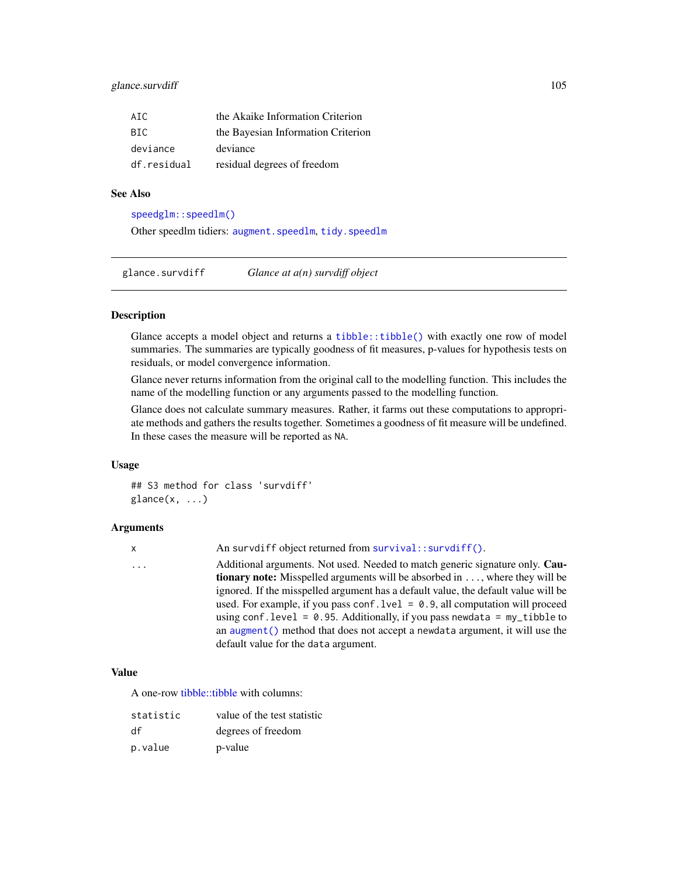# glance.survdiff 105

| ATC.        | the Akaike Information Criterion   |
|-------------|------------------------------------|
| BTC.        | the Bayesian Information Criterion |
| deviance    | deviance                           |
| df.residual | residual degrees of freedom        |

## See Also

[speedglm::speedlm\(\)](#page-0-0)

Other speedlm tidiers: [augment.speedlm](#page-44-0), [tidy.speedlm](#page-227-0)

<span id="page-104-0"></span>glance.survdiff *Glance at a(n) survdiff object*

# Description

Glance accepts a model object and returns a [tibble::tibble\(\)](#page-0-0) with exactly one row of model summaries. The summaries are typically goodness of fit measures, p-values for hypothesis tests on residuals, or model convergence information.

Glance never returns information from the original call to the modelling function. This includes the name of the modelling function or any arguments passed to the modelling function.

Glance does not calculate summary measures. Rather, it farms out these computations to appropriate methods and gathers the results together. Sometimes a goodness of fit measure will be undefined. In these cases the measure will be reported as NA.

## Usage

## S3 method for class 'survdiff'  $\text{glance}(x, \ldots)$ 

# **Arguments**

x An survdiff object returned from [survival::survdiff\(\)](#page-0-0).

... Additional arguments. Not used. Needed to match generic signature only. Cautionary note: Misspelled arguments will be absorbed in ..., where they will be ignored. If the misspelled argument has a default value, the default value will be used. For example, if you pass conf.  $level = 0.9$ , all computation will proceed using conf.level = 0.95. Additionally, if you pass newdata = my\_tibble to an [augment\(\)](#page-0-0) method that does not accept a newdata argument, it will use the default value for the data argument.

## Value

| statistic | value of the test statistic |
|-----------|-----------------------------|
| df        | degrees of freedom          |
| p.value   | p-value                     |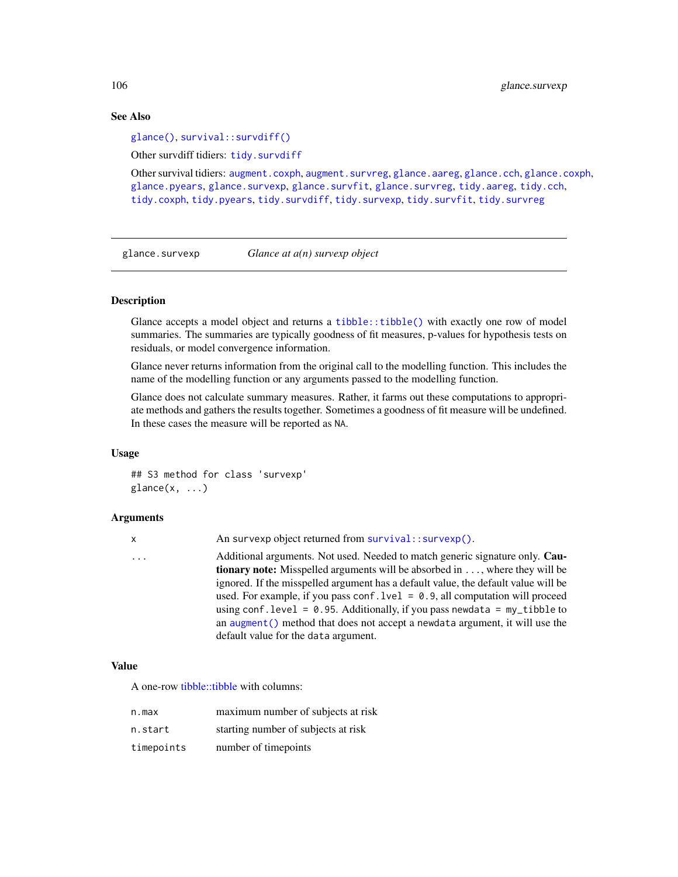# See Also

[glance\(\)](#page-0-0), [survival::survdiff\(\)](#page-0-0)

Other survdiff tidiers: [tidy.survdiff](#page-229-0)

Other survival tidiers: [augment.coxph](#page-7-0), [augment.survreg](#page-46-0), [glance.aareg](#page-59-0), [glance.cch](#page-65-0), [glance.coxph](#page-66-0), [glance.pyears](#page-97-0), [glance.survexp](#page-105-0), [glance.survfit](#page-106-0), [glance.survreg](#page-107-0), [tidy.aareg](#page-126-0), [tidy.cch](#page-142-0), [tidy.coxph](#page-148-0), [tidy.pyears](#page-216-0), [tidy.survdiff](#page-229-0), [tidy.survexp](#page-230-0), [tidy.survfit](#page-231-0), [tidy.survreg](#page-233-0)

<span id="page-105-0"></span>glance.survexp *Glance at a(n) survexp object*

# **Description**

Glance accepts a model object and returns a [tibble::tibble\(\)](#page-0-0) with exactly one row of model summaries. The summaries are typically goodness of fit measures, p-values for hypothesis tests on residuals, or model convergence information.

Glance never returns information from the original call to the modelling function. This includes the name of the modelling function or any arguments passed to the modelling function.

Glance does not calculate summary measures. Rather, it farms out these computations to appropriate methods and gathers the results together. Sometimes a goodness of fit measure will be undefined. In these cases the measure will be reported as NA.

## Usage

## S3 method for class 'survexp'  $glance(x, \ldots)$ 

## Arguments

x An survexp object returned from [survival::survexp\(\)](#page-0-0).

... Additional arguments. Not used. Needed to match generic signature only. **Cau**tionary note: Misspelled arguments will be absorbed in ..., where they will be ignored. If the misspelled argument has a default value, the default value will be used. For example, if you pass conf.  $level = 0.9$ , all computation will proceed using conf.level = 0.95. Additionally, if you pass newdata = my\_tibble to an [augment\(\)](#page-0-0) method that does not accept a newdata argument, it will use the default value for the data argument.

# Value

| n.max      | maximum number of subjects at risk  |
|------------|-------------------------------------|
| n.start    | starting number of subjects at risk |
| timepoints | number of timepoints                |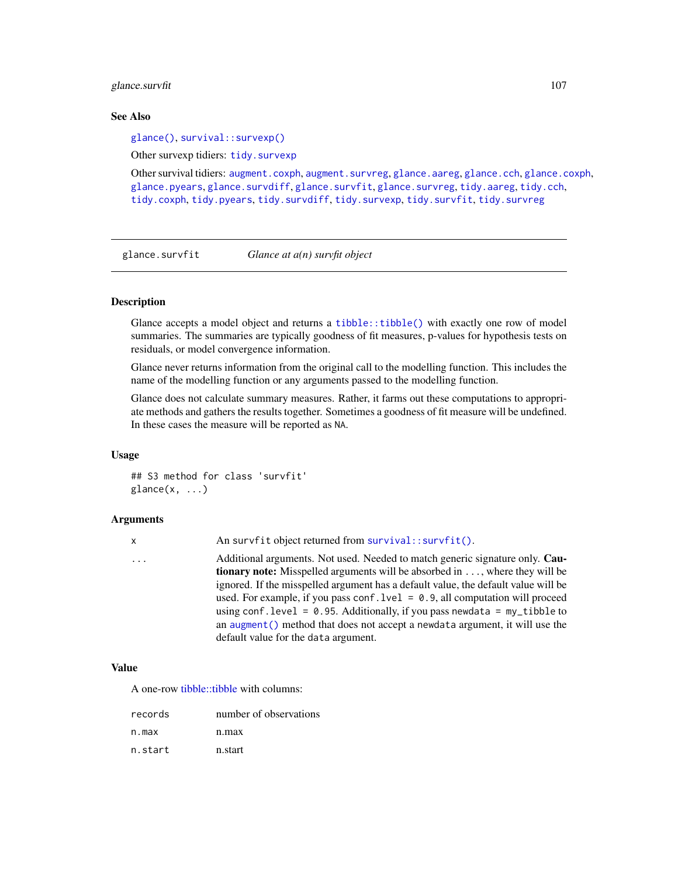# glance.survfit 107

## See Also

[glance\(\)](#page-0-0), [survival::survexp\(\)](#page-0-0)

Other survexp tidiers: [tidy.survexp](#page-230-0)

Other survival tidiers: [augment.coxph](#page-7-0), [augment.survreg](#page-46-0), [glance.aareg](#page-59-0), [glance.cch](#page-65-0), [glance.coxph](#page-66-0), [glance.pyears](#page-97-0), [glance.survdiff](#page-104-0), [glance.survfit](#page-106-0), [glance.survreg](#page-107-0), [tidy.aareg](#page-126-0), [tidy.cch](#page-142-0), [tidy.coxph](#page-148-0), [tidy.pyears](#page-216-0), [tidy.survdiff](#page-229-0), [tidy.survexp](#page-230-0), [tidy.survfit](#page-231-0), [tidy.survreg](#page-233-0)

<span id="page-106-0"></span>glance.survfit *Glance at a(n) survfit object*

# Description

Glance accepts a model object and returns a [tibble::tibble\(\)](#page-0-0) with exactly one row of model summaries. The summaries are typically goodness of fit measures, p-values for hypothesis tests on residuals, or model convergence information.

Glance never returns information from the original call to the modelling function. This includes the name of the modelling function or any arguments passed to the modelling function.

Glance does not calculate summary measures. Rather, it farms out these computations to appropriate methods and gathers the results together. Sometimes a goodness of fit measure will be undefined. In these cases the measure will be reported as NA.

## Usage

```
## S3 method for class 'survfit'
\text{glance}(x, \ldots)
```
#### Arguments

x An survfit object returned from [survival::survfit\(\)](#page-0-0).

... Additional arguments. Not used. Needed to match generic signature only. Cautionary note: Misspelled arguments will be absorbed in ..., where they will be ignored. If the misspelled argument has a default value, the default value will be used. For example, if you pass conf.  $level = 0.9$ , all computation will proceed using conf.level =  $0.95$ . Additionally, if you pass newdata = my\_tibble to an [augment\(\)](#page-0-0) method that does not accept a newdata argument, it will use the default value for the data argument.

## Value

| records | number of observations |
|---------|------------------------|
| n.max   | n.max                  |
| n.start | n.start                |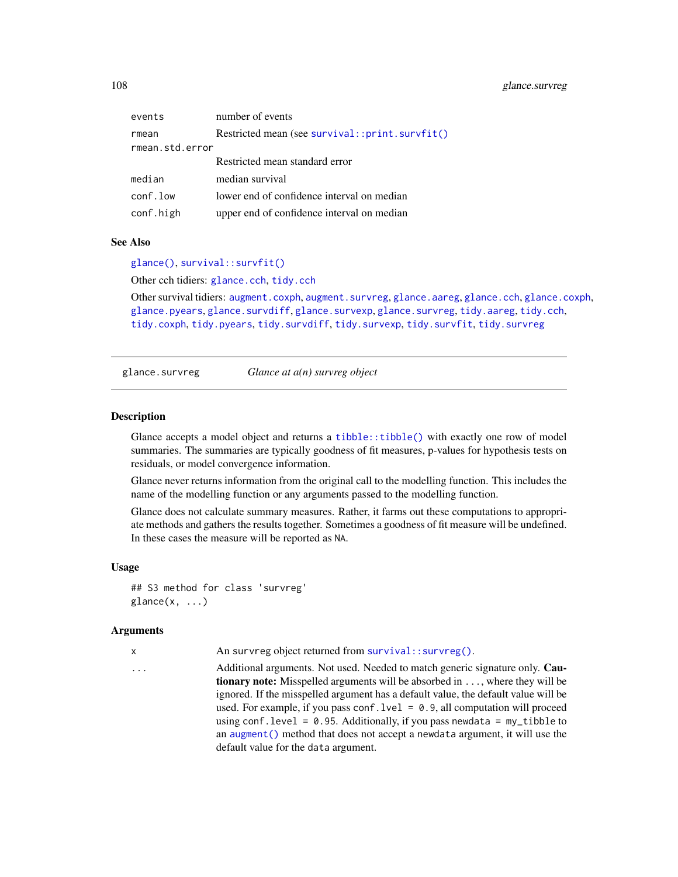# 108 glance.survreg

| events          | number of events                               |
|-----------------|------------------------------------------------|
| rmean           | Restricted mean (see survival::print.survfit() |
| rmean.std.error |                                                |
|                 | Restricted mean standard error                 |
| median          | median survival                                |
| conf.low        | lower end of confidence interval on median     |
| conf.high       | upper end of confidence interval on median     |
|                 |                                                |

## See Also

[glance\(\)](#page-0-0), [survival::survfit\(\)](#page-0-0)

Other cch tidiers: [glance.cch](#page-65-0), [tidy.cch](#page-142-0)

Other survival tidiers: [augment.coxph](#page-7-0), [augment.survreg](#page-46-0), [glance.aareg](#page-59-0), [glance.cch](#page-65-0), [glance.coxph](#page-66-0), [glance.pyears](#page-97-0), [glance.survdiff](#page-104-0), [glance.survexp](#page-105-0), [glance.survreg](#page-107-0), [tidy.aareg](#page-126-0), [tidy.cch](#page-142-0), [tidy.coxph](#page-148-0), [tidy.pyears](#page-216-0), [tidy.survdiff](#page-229-0), [tidy.survexp](#page-230-0), [tidy.survfit](#page-231-0), [tidy.survreg](#page-233-0)

<span id="page-107-0"></span>glance.survreg *Glance at a(n) survreg object*

#### Description

Glance accepts a model object and returns a [tibble::tibble\(\)](#page-0-0) with exactly one row of model summaries. The summaries are typically goodness of fit measures, p-values for hypothesis tests on residuals, or model convergence information.

Glance never returns information from the original call to the modelling function. This includes the name of the modelling function or any arguments passed to the modelling function.

Glance does not calculate summary measures. Rather, it farms out these computations to appropriate methods and gathers the results together. Sometimes a goodness of fit measure will be undefined. In these cases the measure will be reported as NA.

# Usage

```
## S3 method for class 'survreg'
\text{glance}(x, \ldots)
```
#### Arguments

x An survreg object returned from [survival::survreg\(\)](#page-0-0).

... Additional arguments. Not used. Needed to match generic signature only. Cautionary note: Misspelled arguments will be absorbed in ..., where they will be ignored. If the misspelled argument has a default value, the default value will be used. For example, if you pass conf.  $level = 0.9$ , all computation will proceed using conf.level =  $0.95$ . Additionally, if you pass newdata = my\_tibble to an [augment\(\)](#page-0-0) method that does not accept a newdata argument, it will use the default value for the data argument.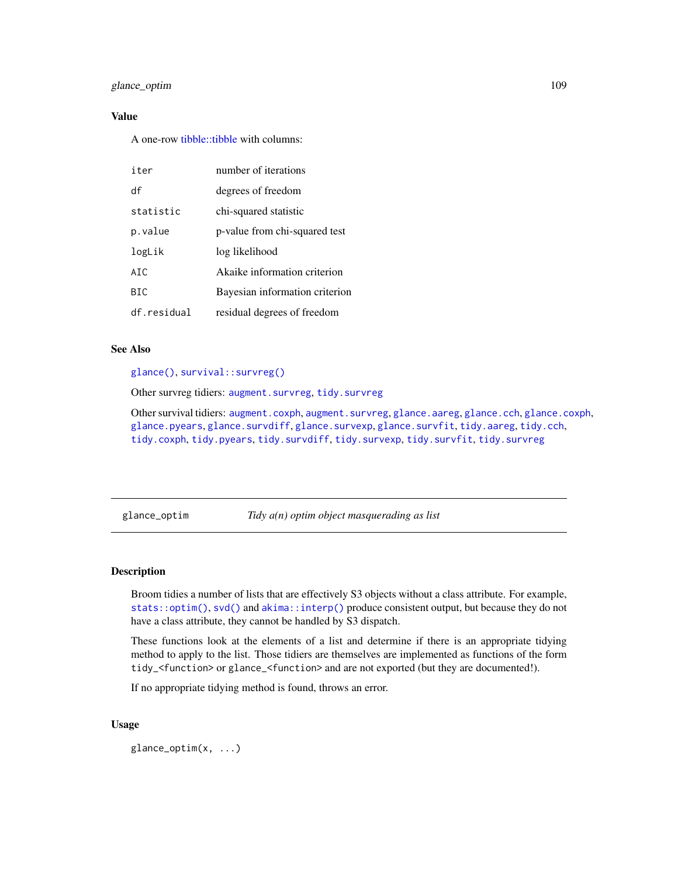# glance\_optim 109

## Value

A one-row [tibble::tibble](#page-0-0) with columns:

| iter        | number of iterations           |
|-------------|--------------------------------|
| df          | degrees of freedom             |
| statistic   | chi-squared statistic          |
| p.value     | p-value from chi-squared test  |
| logLik      | log likelihood                 |
| ATC         | Akaike information criterion   |
| <b>BIC</b>  | Bayesian information criterion |
| df.residual | residual degrees of freedom    |

# See Also

#### [glance\(\)](#page-0-0), [survival::survreg\(\)](#page-0-0)

Other survreg tidiers: [augment.survreg](#page-46-0), [tidy.survreg](#page-233-0)

Other survival tidiers: [augment.coxph](#page-7-0), [augment.survreg](#page-46-0), [glance.aareg](#page-59-0), [glance.cch](#page-65-0), [glance.coxph](#page-66-0), [glance.pyears](#page-97-0), [glance.survdiff](#page-104-0), [glance.survexp](#page-105-0), [glance.survfit](#page-106-0), [tidy.aareg](#page-126-0), [tidy.cch](#page-142-0), [tidy.coxph](#page-148-0), [tidy.pyears](#page-216-0), [tidy.survdiff](#page-229-0), [tidy.survexp](#page-230-0), [tidy.survfit](#page-231-0), [tidy.survreg](#page-233-0)

<span id="page-108-0"></span>glance\_optim *Tidy a(n) optim object masquerading as list*

#### Description

Broom tidies a number of lists that are effectively S3 objects without a class attribute. For example, [stats::optim\(\)](#page-0-0), [svd\(\)](#page-0-0) and [akima::interp\(\)](#page-0-0) produce consistent output, but because they do not have a class attribute, they cannot be handled by S3 dispatch.

These functions look at the elements of a list and determine if there is an appropriate tidying method to apply to the list. Those tidiers are themselves are implemented as functions of the form tidy\_<function> or glance\_<function> and are not exported (but they are documented!).

If no appropriate tidying method is found, throws an error.

## Usage

glance\_optim(x, ...)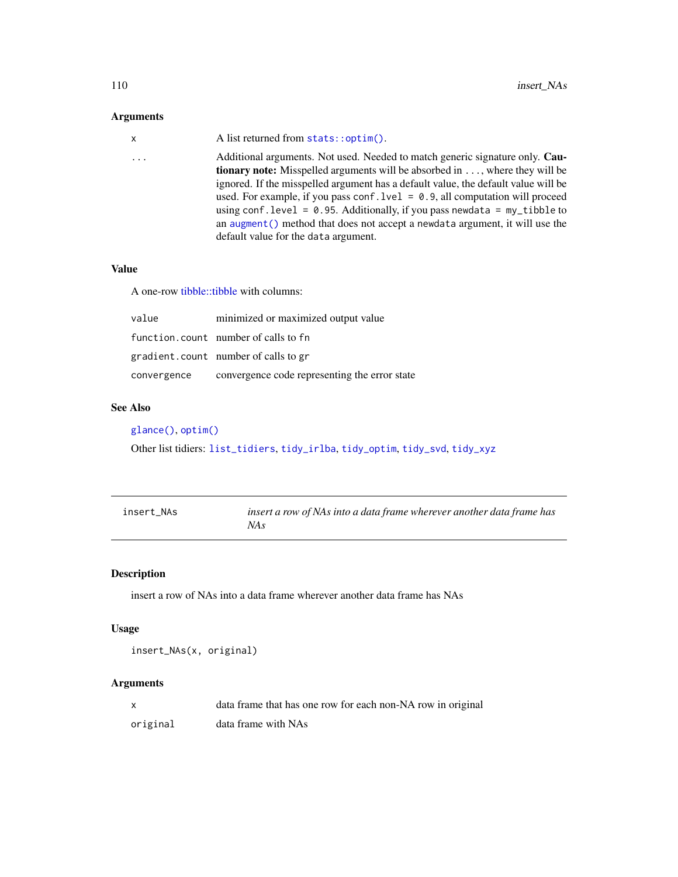# Arguments

| X        | A list returned from $stats::optim()$ .                                                                                                                                                                                                                  |
|----------|----------------------------------------------------------------------------------------------------------------------------------------------------------------------------------------------------------------------------------------------------------|
| $\ddots$ | Additional arguments. Not used. Needed to match generic signature only. Cau-<br><b>tionary note:</b> Misspelled arguments will be absorbed in , where they will be<br>ignored. If the misspelled argument has a default value, the default value will be |
|          | used. For example, if you pass conf. $1$ ve $1 = 0.9$ , all computation will proceed<br>using conf.level = $0.95$ . Additionally, if you pass newdata = my_tibble to<br>an augment () method that does not accept a newdata argument, it will use the    |
|          | default value for the data argument.                                                                                                                                                                                                                     |

# Value

A one-row [tibble::tibble](#page-0-0) with columns:

| value       | minimized or maximized output value           |
|-------------|-----------------------------------------------|
|             | function.count number of calls to fn          |
|             | gradient.count number of calls to gr          |
| convergence | convergence code representing the error state |

# See Also

# [glance\(\)](#page-0-0), [optim\(\)](#page-0-0)

Other list tidiers: [list\\_tidiers](#page-110-0), [tidy\\_irlba](#page-239-0), [tidy\\_optim](#page-241-0), [tidy\\_svd](#page-242-0), [tidy\\_xyz](#page-244-0)

| insert NAs | insert a row of NAs into a data frame wherever another data frame has |
|------------|-----------------------------------------------------------------------|
|            | NA s                                                                  |

# Description

insert a row of NAs into a data frame wherever another data frame has NAs

# Usage

insert\_NAs(x, original)

# Arguments

|          | data frame that has one row for each non-NA row in original |
|----------|-------------------------------------------------------------|
| original | data frame with NAs                                         |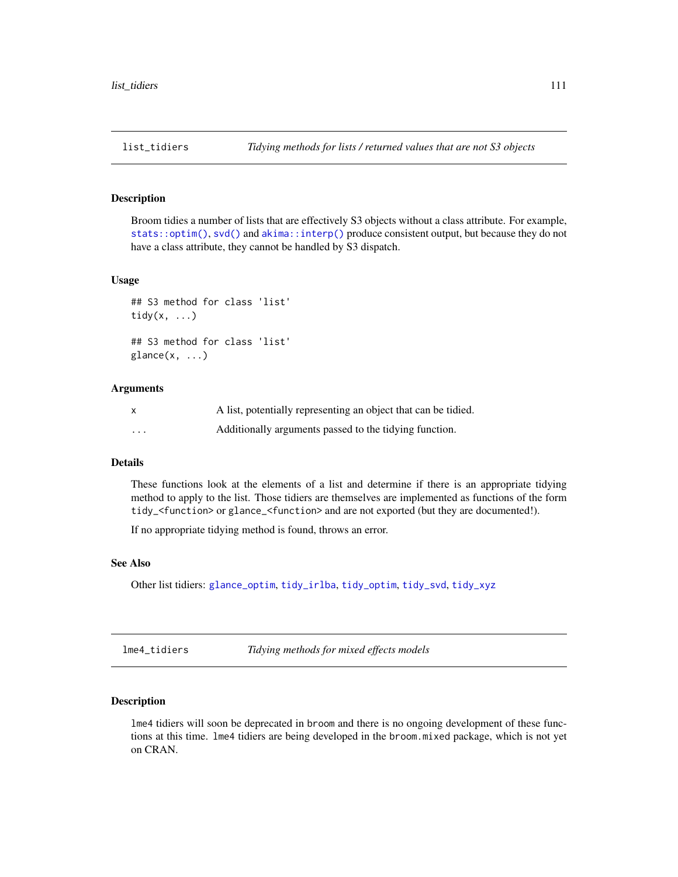<span id="page-110-0"></span>

#### Description

Broom tidies a number of lists that are effectively S3 objects without a class attribute. For example, [stats::optim\(\)](#page-0-0), [svd\(\)](#page-0-0) and [akima::interp\(\)](#page-0-0) produce consistent output, but because they do not have a class attribute, they cannot be handled by S3 dispatch.

#### Usage

```
## S3 method for class 'list'
tidy(x, \ldots)## S3 method for class 'list'
\text{glance}(x, \ldots)
```
#### Arguments

| $\mathsf{x}$ | A list, potentially representing an object that can be tidied. |
|--------------|----------------------------------------------------------------|
| $\cdots$     | Additionally arguments passed to the tidying function.         |

## Details

These functions look at the elements of a list and determine if there is an appropriate tidying method to apply to the list. Those tidiers are themselves are implemented as functions of the form tidy\_<function> or glance\_<function> and are not exported (but they are documented!).

If no appropriate tidying method is found, throws an error.

#### See Also

Other list tidiers: [glance\\_optim](#page-108-0), [tidy\\_irlba](#page-239-0), [tidy\\_optim](#page-241-0), [tidy\\_svd](#page-242-0), [tidy\\_xyz](#page-244-0)

lme4\_tidiers *Tidying methods for mixed effects models*

#### Description

lme4 tidiers will soon be deprecated in broom and there is no ongoing development of these functions at this time. lme4 tidiers are being developed in the broom.mixed package, which is not yet on CRAN.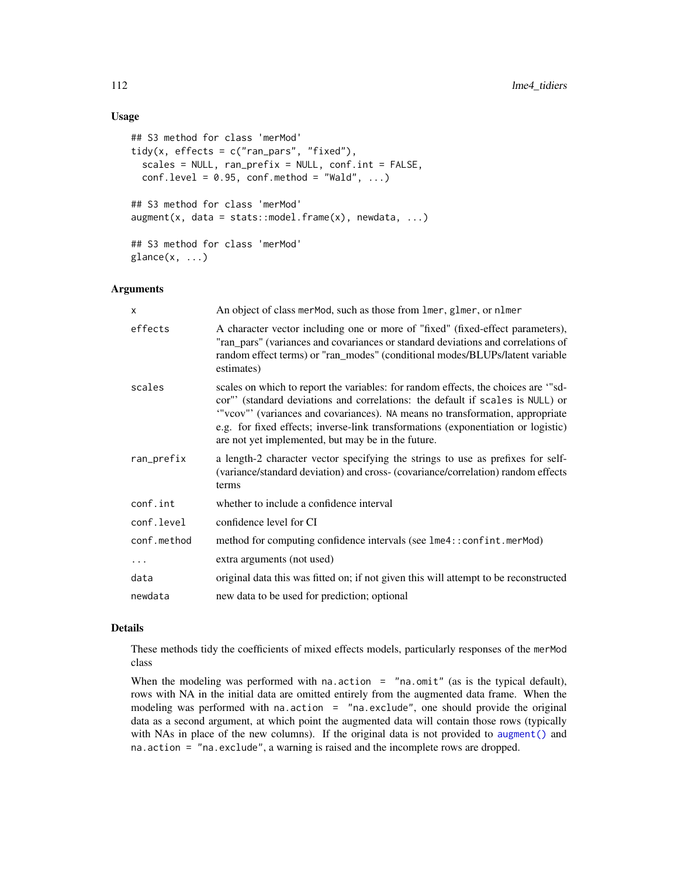## Usage

```
## S3 method for class 'merMod'
tidy(x, effects = c("ran_pars", "fixed"),
  scales = NULL, ran_prefix = NULL, conf.int = FALSE,
  conf. level = 0.95, conf. method = "Wald", ...)## S3 method for class 'merMod'
augment(x, data = stats::model-frame(x), newdata, ...)## S3 method for class 'merMod'
\text{glance}(x, \ldots)
```
# Arguments

| X           | An object of class merMod, such as those from lmer, glmer, or nlmer                                                                                                                                                                                                                                                                                                                            |
|-------------|------------------------------------------------------------------------------------------------------------------------------------------------------------------------------------------------------------------------------------------------------------------------------------------------------------------------------------------------------------------------------------------------|
| effects     | A character vector including one or more of "fixed" (fixed-effect parameters),<br>"ran_pars" (variances and covariances or standard deviations and correlations of<br>random effect terms) or "ran_modes" (conditional modes/BLUPs/latent variable<br>estimates)                                                                                                                               |
| scales      | scales on which to report the variables: for random effects, the choices are "sd-<br>cor"' (standard deviations and correlations: the default if scales is NULL) or<br>"vcov"' (variances and covariances). NA means no transformation, appropriate<br>e.g. for fixed effects; inverse-link transformations (exponentiation or logistic)<br>are not yet implemented, but may be in the future. |
| ran_prefix  | a length-2 character vector specifying the strings to use as prefixes for self-<br>(variance/standard deviation) and cross- (covariance/correlation) random effects<br>terms                                                                                                                                                                                                                   |
| conf.int    | whether to include a confidence interval                                                                                                                                                                                                                                                                                                                                                       |
| conf.level  | confidence level for CI                                                                                                                                                                                                                                                                                                                                                                        |
| conf.method | method for computing confidence intervals (see lme4:: confint.merMod)                                                                                                                                                                                                                                                                                                                          |
| $\cdots$    | extra arguments (not used)                                                                                                                                                                                                                                                                                                                                                                     |
| data        | original data this was fitted on; if not given this will attempt to be reconstructed                                                                                                                                                                                                                                                                                                           |
| newdata     | new data to be used for prediction; optional                                                                                                                                                                                                                                                                                                                                                   |
|             |                                                                                                                                                                                                                                                                                                                                                                                                |

## Details

These methods tidy the coefficients of mixed effects models, particularly responses of the merMod class

When the modeling was performed with na.action =  $"$ na.omit" (as is the typical default), rows with NA in the initial data are omitted entirely from the augmented data frame. When the modeling was performed with na.action = "na.exclude", one should provide the original data as a second argument, at which point the augmented data will contain those rows (typically with NAs in place of the new columns). If the original data is not provided to [augment\(\)](#page-0-0) and na.action = "na.exclude", a warning is raised and the incomplete rows are dropped.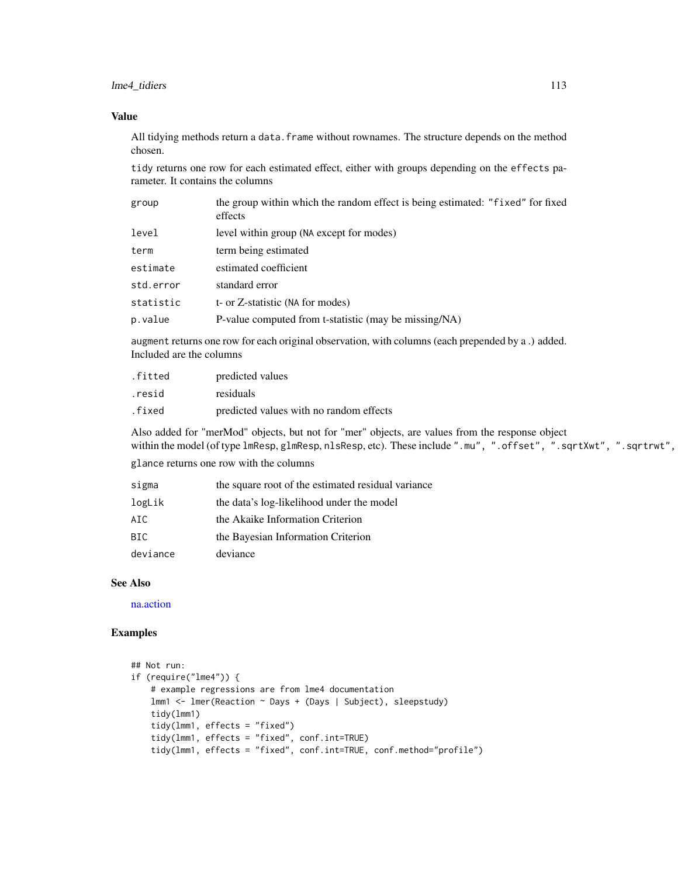# lme4\_tidiers 113

## Value

All tidying methods return a data. frame without rownames. The structure depends on the method chosen.

tidy returns one row for each estimated effect, either with groups depending on the effects parameter. It contains the columns

| group     | the group within which the random effect is being estimated: "fixed" for fixed<br>effects |
|-----------|-------------------------------------------------------------------------------------------|
| level     | level within group (NA except for modes)                                                  |
| term      | term being estimated                                                                      |
| estimate  | estimated coefficient                                                                     |
| std.error | standard error                                                                            |
| statistic | t- or Z-statistic (NA for modes)                                                          |
| p.value   | P-value computed from t-statistic (may be missing/NA)                                     |
|           |                                                                                           |

augment returns one row for each original observation, with columns (each prepended by a .) added. Included are the columns

| .fitted | predicted values                        |
|---------|-----------------------------------------|
| .resid  | residuals                               |
| .fixed  | predicted values with no random effects |

Also added for "merMod" objects, but not for "mer" objects, are values from the response object within the model (of type lmResp, glmResp, nlsResp, etc). These include ".mu", ".offset", ".sqrtXwt", ".sqrtrwt",

glance returns one row with the columns

| sigma    | the square root of the estimated residual variance |
|----------|----------------------------------------------------|
| logLik   | the data's log-likelihood under the model          |
| AIC.     | the Akaike Information Criterion                   |
| BIC.     | the Bayesian Information Criterion                 |
| deviance | deviance                                           |

## See Also

[na.action](#page-0-0)

#### Examples

```
## Not run:
if (require("lme4")) {
    # example regressions are from lme4 documentation
   lmm1 <- lmer(Reaction ~ Days + (Days | Subject), sleepstudy)
    tidy(lmm1)
    tidy(lmm1, effects = "fixed")
    tidy(lmm1, effects = "fixed", conf.int=TRUE)
    tidy(lmm1, effects = "fixed", conf.int=TRUE, conf.method="profile")
```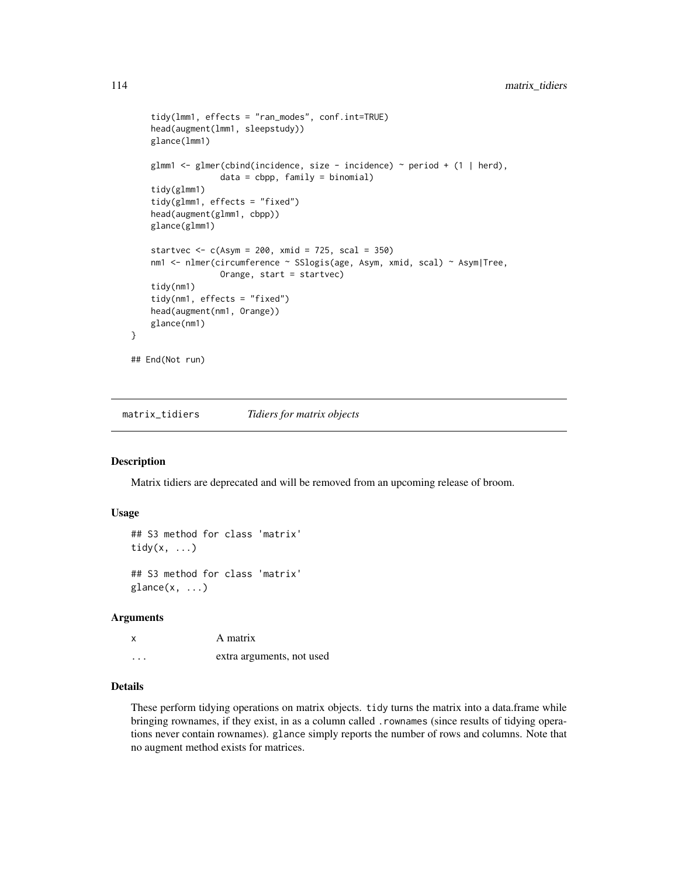```
tidy(lmm1, effects = "ran_modes", conf.int=TRUE)
    head(augment(lmm1, sleepstudy))
   glance(lmm1)
    glmm1 <- glmer(cbind(incidence, size - incidence) \sim period + (1 | herd),
                  data = cbpp, family = binomial)
    tidy(glmm1)
    tidy(glmm1, effects = "fixed")
    head(augment(glmm1, cbpp))
   glance(glmm1)
    startvec <-c(Asym = 200, xmid = 725, scal = 350)nm1 <- nlmer(circumference ~ SSlogis(age, Asym, xmid, scal) ~ Asym|Tree,
                  Orange, start = startvec)
    tidy(nm1)
    tidy(nm1, effects = "fixed")
   head(augment(nm1, Orange))
    glance(nm1)
## End(Not run)
```
matrix\_tidiers *Tidiers for matrix objects*

## Description

}

Matrix tidiers are deprecated and will be removed from an upcoming release of broom.

#### Usage

```
## S3 method for class 'matrix'
tidy(x, \ldots)## S3 method for class 'matrix'
\text{glance}(x, \ldots)
```
#### Arguments

x A matrix ... extra arguments, not used

#### Details

These perform tidying operations on matrix objects. tidy turns the matrix into a data.frame while bringing rownames, if they exist, in as a column called . rownames (since results of tidying operations never contain rownames). glance simply reports the number of rows and columns. Note that no augment method exists for matrices.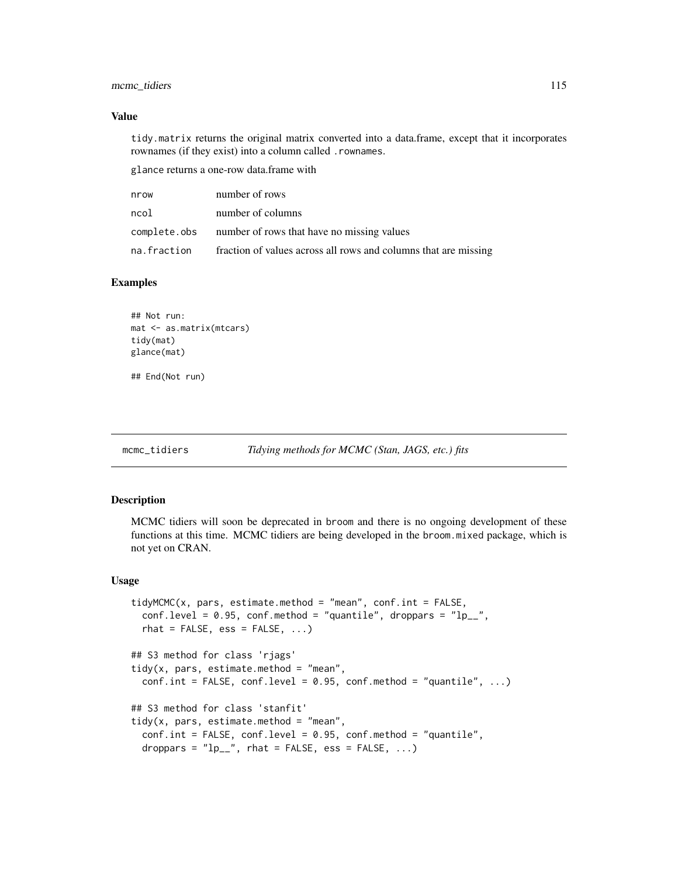# mcmc\_tidiers 115

## Value

tidy.matrix returns the original matrix converted into a data.frame, except that it incorporates rownames (if they exist) into a column called .rownames.

glance returns a one-row data.frame with

| nrow         | number of rows                                                  |
|--------------|-----------------------------------------------------------------|
| ncol         | number of columns                                               |
| complete.obs | number of rows that have no missing values                      |
| na.fraction  | fraction of values across all rows and columns that are missing |

#### Examples

```
## Not run:
mat <- as.matrix(mtcars)
tidy(mat)
glance(mat)
## End(Not run)
```
## **Description**

MCMC tidiers will soon be deprecated in broom and there is no ongoing development of these functions at this time. MCMC tidiers are being developed in the broom.mixed package, which is not yet on CRAN.

#### Usage

```
tidyMCMC(x, pars, estimate.method = "mean", conf.int = FALSE,
  conf. level = 0.95, conf. method = "quantile", dropparse = "lp__",rhat = FALSE, ess = FALSE, ...## S3 method for class 'rjags'
tidy(x, pars, estimate.method = "mean",
 conf.int = FALSE, conf.level = 0.95, conf.method = "quantile", ...)## S3 method for class 'stanfit'
tidy(x, pars, estimate.method = "mean",
 conf.int = FALSE, conf.level = 0.95, conf.method = "quantile",
 droppars = "lp_{--}", rhat = FALSE, ess = FALSE, ...)
```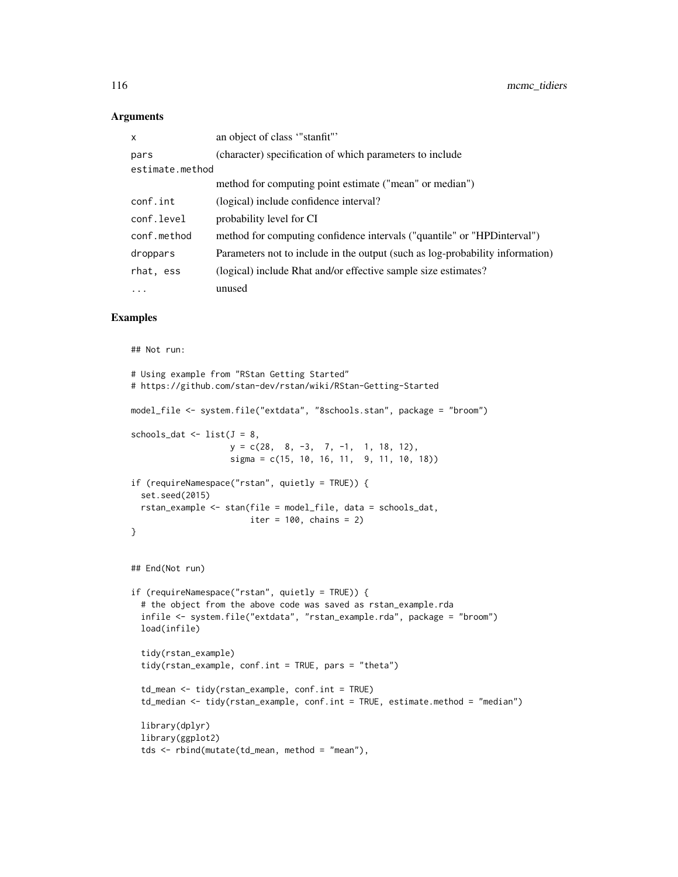## **Arguments**

| X               | an object of class "stanfit"                                                  |
|-----------------|-------------------------------------------------------------------------------|
| pars            | (character) specification of which parameters to include                      |
| estimate.method |                                                                               |
|                 | method for computing point estimate ("mean" or median")                       |
| conf.int        | (logical) include confidence interval?                                        |
| conf.level      | probability level for CI                                                      |
| conf.method     | method for computing confidence intervals ("quantile" or "HPD interval")      |
| droppars        | Parameters not to include in the output (such as log-probability information) |
| rhat, ess       | (logical) include Rhat and/or effective sample size estimates?                |
| $\cdot$         | unused                                                                        |

## Examples

## Not run:

```
# Using example from "RStan Getting Started"
# https://github.com/stan-dev/rstan/wiki/RStan-Getting-Started
model_file <- system.file("extdata", "8schools.stan", package = "broom")
schools_dat <- list(J = 8,
                   y = c(28, 8, -3, 7, -1, 1, 18, 12),signa = c(15, 10, 16, 11, 9, 11, 10, 18))if (requireNamespace("rstan", quietly = TRUE)) {
  set.seed(2015)
  rstan_example <- stan(file = model_file, data = schools_dat,
                       iter = 100, chains = 2)
}
## End(Not run)
if (requireNamespace("rstan", quietly = TRUE)) {
  # the object from the above code was saved as rstan_example.rda
  infile <- system.file("extdata", "rstan_example.rda", package = "broom")
  load(infile)
  tidy(rstan_example)
  tidy(rstan_example, conf.int = TRUE, pars = "theta")
  td_mean <- tidy(rstan_example, conf.int = TRUE)
  td_median <- tidy(rstan_example, conf.int = TRUE, estimate.method = "median")
  library(dplyr)
  library(ggplot2)
  tds <- rbind(mutate(td_mean, method = "mean"),
```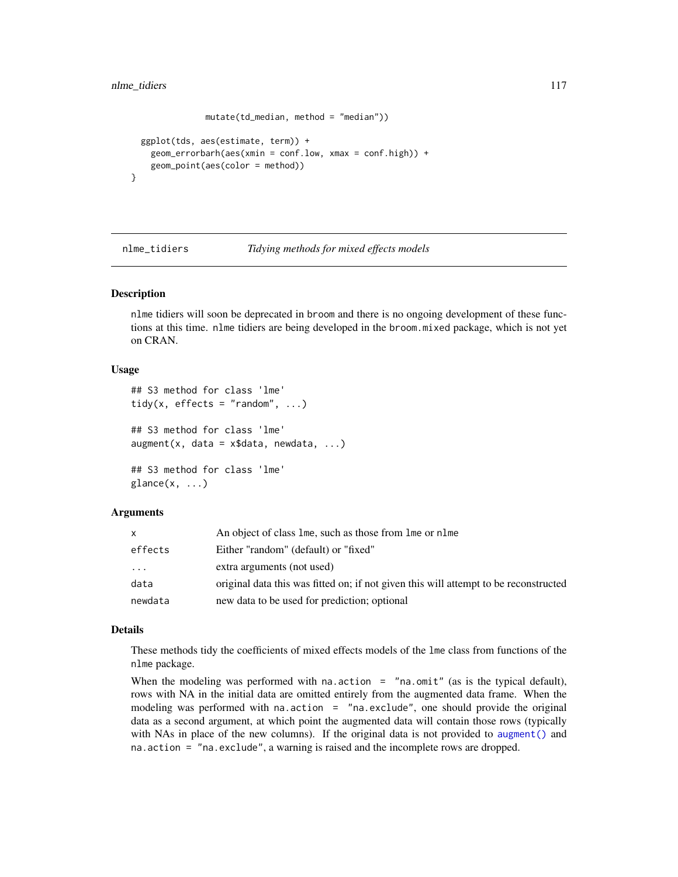```
mutate(td_median, method = "median"))
 ggplot(tds, aes(estimate, term)) +
   geom\_errorbarh(aes(xmin = conf.low, xmax = conf.high)) +geom_point(aes(color = method))
}
```
nlme\_tidiers *Tidying methods for mixed effects models*

#### Description

nlme tidiers will soon be deprecated in broom and there is no ongoing development of these functions at this time. nlme tidiers are being developed in the broom.mixed package, which is not yet on CRAN.

## Usage

```
## S3 method for class 'lme'
tidy(x, effects = "random", \ldots)
## S3 method for class 'lme'
augment(x, data = x$data, newdata, ...)## S3 method for class 'lme'
\text{glance}(x, \ldots)
```
## Arguments

| x.      | An object of class lme, such as those from lme or nlme                               |
|---------|--------------------------------------------------------------------------------------|
| effects | Either "random" (default) or "fixed"                                                 |
| .       | extra arguments (not used)                                                           |
| data    | original data this was fitted on; if not given this will attempt to be reconstructed |
| newdata | new data to be used for prediction; optional                                         |

#### Details

These methods tidy the coefficients of mixed effects models of the lme class from functions of the nlme package.

When the modeling was performed with na.action =  $"$ na.omit" (as is the typical default), rows with NA in the initial data are omitted entirely from the augmented data frame. When the modeling was performed with na.action = "na.exclude", one should provide the original data as a second argument, at which point the augmented data will contain those rows (typically with NAs in place of the new columns). If the original data is not provided to [augment\(\)](#page-0-0) and na.action = "na.exclude", a warning is raised and the incomplete rows are dropped.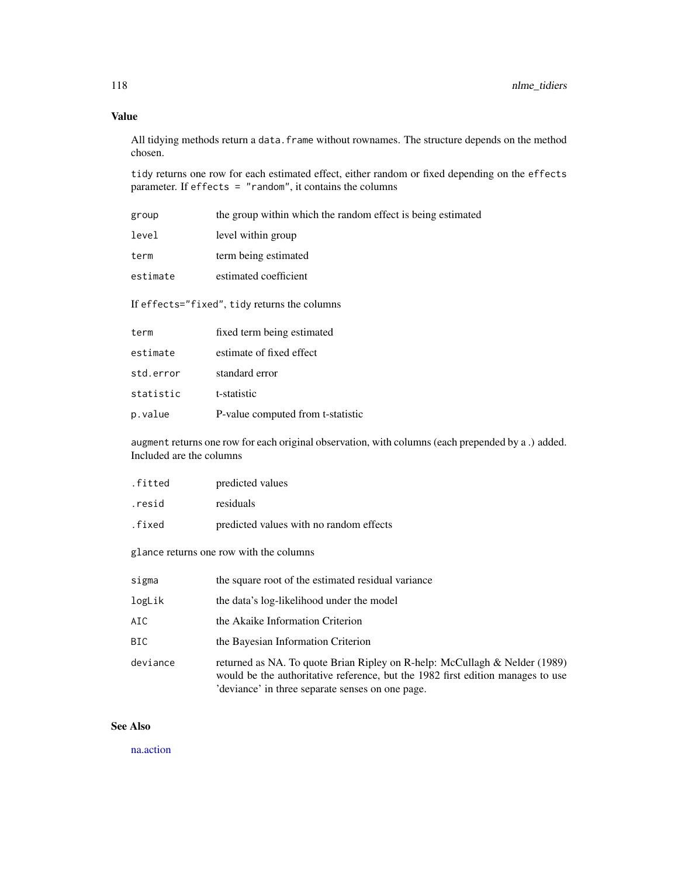# Value

All tidying methods return a data. frame without rownames. The structure depends on the method chosen.

tidy returns one row for each estimated effect, either random or fixed depending on the effects parameter. If effects = "random", it contains the columns

| group    | the group within which the random effect is being estimated |
|----------|-------------------------------------------------------------|
| level    | level within group                                          |
| term     | term being estimated                                        |
| estimate | estimated coefficient                                       |

If effects="fixed", tidy returns the columns

| term      | fixed term being estimated        |
|-----------|-----------------------------------|
| estimate  | estimate of fixed effect          |
| std.error | standard error                    |
| statistic | t-statistic                       |
| p.value   | P-value computed from t-statistic |

augment returns one row for each original observation, with columns (each prepended by a .) added. Included are the columns

| .fitted | predicted values                        |
|---------|-----------------------------------------|
| .resid  | residuals                               |
| .fixed  | predicted values with no random effects |

glance returns one row with the columns

| sigma    | the square root of the estimated residual variance                                                                                                                                                                |
|----------|-------------------------------------------------------------------------------------------------------------------------------------------------------------------------------------------------------------------|
| logLik   | the data's log-likelihood under the model                                                                                                                                                                         |
| AIC      | the Akaike Information Criterion                                                                                                                                                                                  |
| BIC      | the Bayesian Information Criterion                                                                                                                                                                                |
| deviance | returned as NA. To quote Brian Ripley on R-help: McCullagh & Nelder (1989)<br>would be the authoritative reference, but the 1982 first edition manages to use<br>'deviance' in three separate senses on one page. |

# See Also

[na.action](#page-0-0)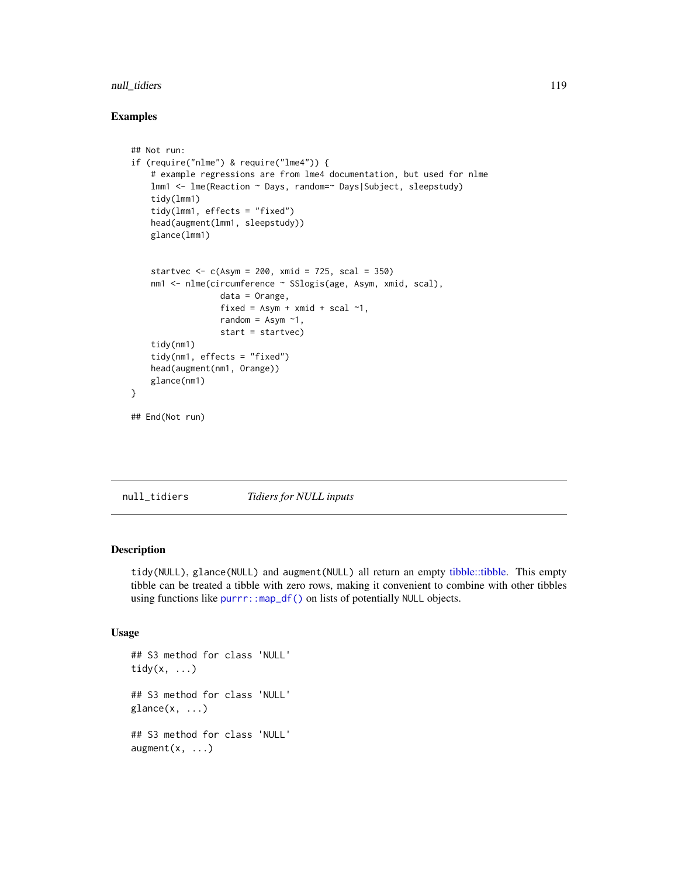# null\_tidiers 119

# Examples

```
## Not run:
if (require("nlme") & require("lme4")) {
    # example regressions are from lme4 documentation, but used for nlme
   lmm1 <- lme(Reaction ~ Days, random=~ Days|Subject, sleepstudy)
    tidy(lmm1)
    tidy(lmm1, effects = "fixed")
   head(augment(lmm1, sleepstudy))
   glance(lmm1)
   startvec <-c(Asym = 200, xmid = 725, scal = 350)nm1 <- nlme(circumference ~ SSlogis(age, Asym, xmid, scal),
                  data = Orange,
                  fixed = Asym + xmid + scal ~ 1,
                  random = Asym \sim 1,
                  start = startvec)
    tidy(nm1)
    tidy(nm1, effects = "fixed")
    head(augment(nm1, Orange))
   glance(nm1)
}
## End(Not run)
```
null\_tidiers *Tidiers for NULL inputs*

# Description

tidy(NULL), glance(NULL) and augment(NULL) all return an empty [tibble::tibble.](#page-0-0) This empty tibble can be treated a tibble with zero rows, making it convenient to combine with other tibbles using functions like [purrr::map\\_df\(\)](#page-0-0) on lists of potentially NULL objects.

# Usage

```
## S3 method for class 'NULL'
tidy(x, \ldots)## S3 method for class 'NULL'
\text{glance}(x, \ldots)## S3 method for class 'NULL'
augment(x, \ldots)
```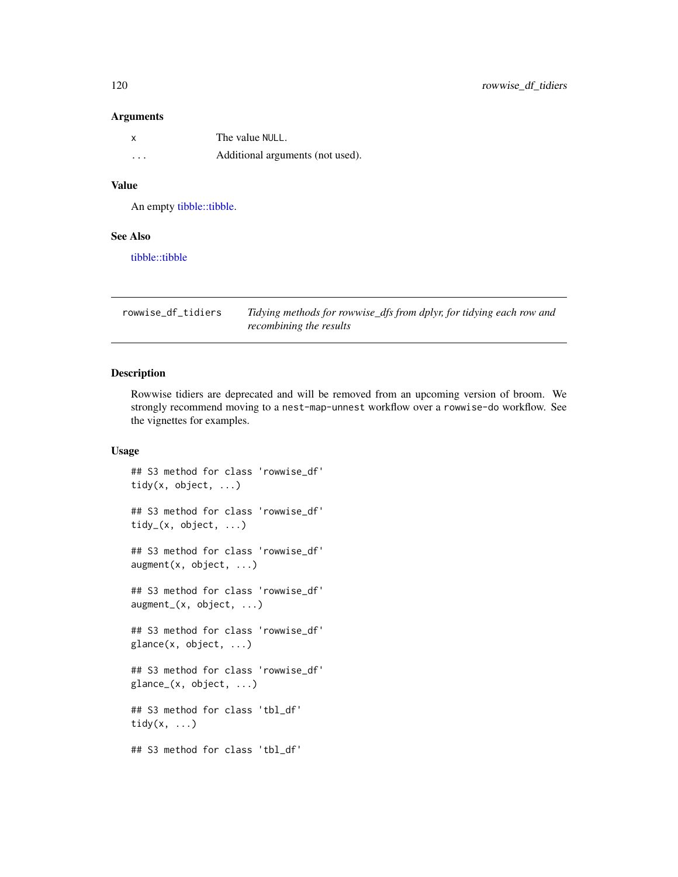#### Arguments

|          | The value NULL.                  |
|----------|----------------------------------|
| $\cdots$ | Additional arguments (not used). |

# Value

An empty [tibble::tibble.](#page-0-0)

#### See Also

[tibble::tibble](#page-0-0)

rowwise\_df\_tidiers *Tidying methods for rowwise\_dfs from dplyr, for tidying each row and recombining the results*

### Description

Rowwise tidiers are deprecated and will be removed from an upcoming version of broom. We strongly recommend moving to a nest-map-unnest workflow over a rowwise-do workflow. See the vignettes for examples.

# Usage

```
## S3 method for class 'rowwise_df'
tidy(x, object, ...)
## S3 method for class 'rowwise_df'
tidy_(x, object, ...)
## S3 method for class 'rowwise_df'
augment(x, object, ...)
## S3 method for class 'rowwise_df'
augment_(x, object, ...)
## S3 method for class 'rowwise_df'
glance(x, object, ...)
## S3 method for class 'rowwise_df'
glance_(x, object, ...)
## S3 method for class 'tbl_df'
tidy(x, ...)
## S3 method for class 'tbl_df'
```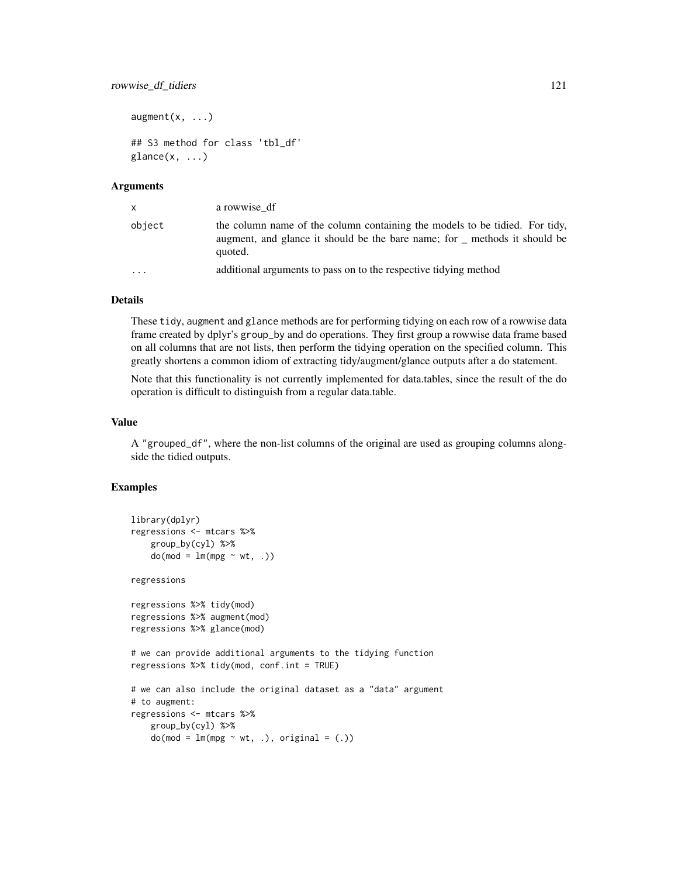# rowwise\_df\_tidiers 121

```
augment(x, \ldots)## S3 method for class 'tbl_df'
```

```
\text{glance}(x, \ldots)
```
#### **Arguments**

| x.        | a rowwise df                                                                                                                                                         |
|-----------|----------------------------------------------------------------------------------------------------------------------------------------------------------------------|
| object    | the column name of the column containing the models to be tidied. For tidy,<br>augment, and glance it should be the bare name; for _ methods it should be<br>quoted. |
| $\ddotsc$ | additional arguments to pass on to the respective tidying method                                                                                                     |

## Details

These tidy, augment and glance methods are for performing tidying on each row of a rowwise data frame created by dplyr's group\_by and do operations. They first group a rowwise data frame based on all columns that are not lists, then perform the tidying operation on the specified column. This greatly shortens a common idiom of extracting tidy/augment/glance outputs after a do statement.

Note that this functionality is not currently implemented for data.tables, since the result of the do operation is difficult to distinguish from a regular data.table.

## Value

A "grouped\_df", where the non-list columns of the original are used as grouping columns alongside the tidied outputs.

## Examples

```
library(dplyr)
regressions <- mtcars %>%
    group_by(cyl) %>%
    do(mod = lm(mpg \sim wt, .))regressions
regressions %>% tidy(mod)
regressions %>% augment(mod)
regressions %>% glance(mod)
# we can provide additional arguments to the tidying function
regressions %>% tidy(mod, conf.int = TRUE)
# we can also include the original dataset as a "data" argument
# to augment:
regressions <- mtcars %>%
    group_by(cyl) %>%
    do(\text{mod} = \text{lm}(\text{mpg} \sim \text{wt}, .), \text{original} = (.))
```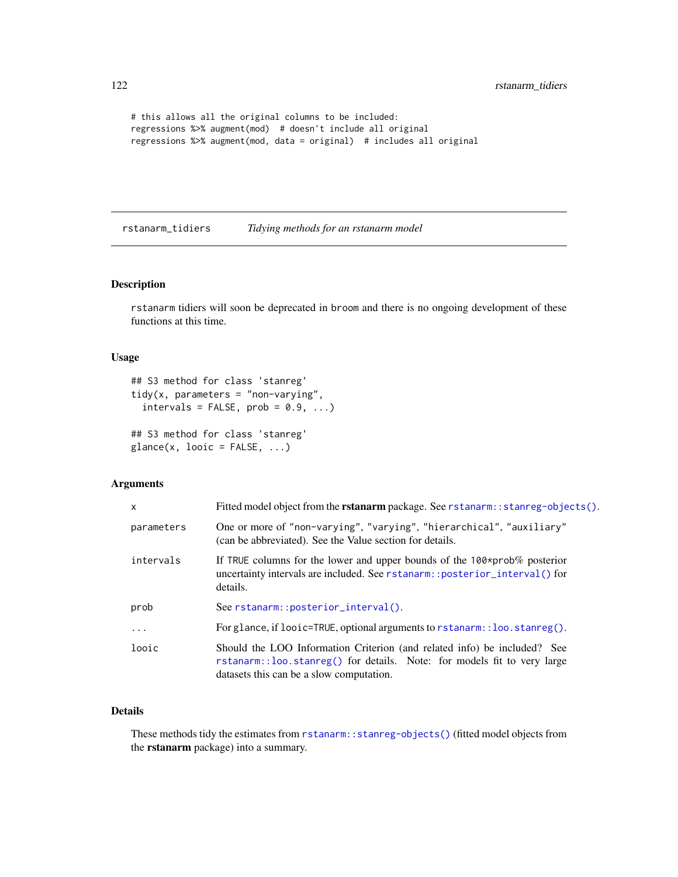```
# this allows all the original columns to be included:
regressions %>% augment(mod) # doesn't include all original
regressions %>% augment(mod, data = original) # includes all original
```
rstanarm\_tidiers *Tidying methods for an rstanarm model*

# Description

rstanarm tidiers will soon be deprecated in broom and there is no ongoing development of these functions at this time.

## Usage

```
## S3 method for class 'stanreg'
tidy(x, parameter s = "non-varying",intervals = FALSE, prob = 0.9, ...)## S3 method for class 'stanreg'
glance(x, looic = FALSE, ...)
```
# Arguments

| $\times$   | Fitted model object from the <b>rstanarm</b> package. See rstanarm: : stanreg-objects().                                                                                                        |
|------------|-------------------------------------------------------------------------------------------------------------------------------------------------------------------------------------------------|
| parameters | One or more of "non-varying", "varying", "hierarchical", "auxiliary"<br>(can be abbreviated). See the Value section for details.                                                                |
| intervals  | If TRUE columns for the lower and upper bounds of the $100 \times prob\%$ posterior<br>uncertainty intervals are included. See rstanarm::posterior_interval() for<br>details.                   |
| prob       | See rstanarm::posterior_interval().                                                                                                                                                             |
| $\ddots$ . | For glance, if looic=TRUE, optional arguments to $rstanarm$ : : loo. stanreg().                                                                                                                 |
| looic      | Should the LOO Information Criterion (and related info) be included? See<br>rstanarm::loo.stanreg() for details. Note: for models fit to very large<br>datasets this can be a slow computation. |

# Details

These methods tidy the estimates from [rstanarm::stanreg-objects\(\)](#page-0-0) (fitted model objects from the rstanarm package) into a summary.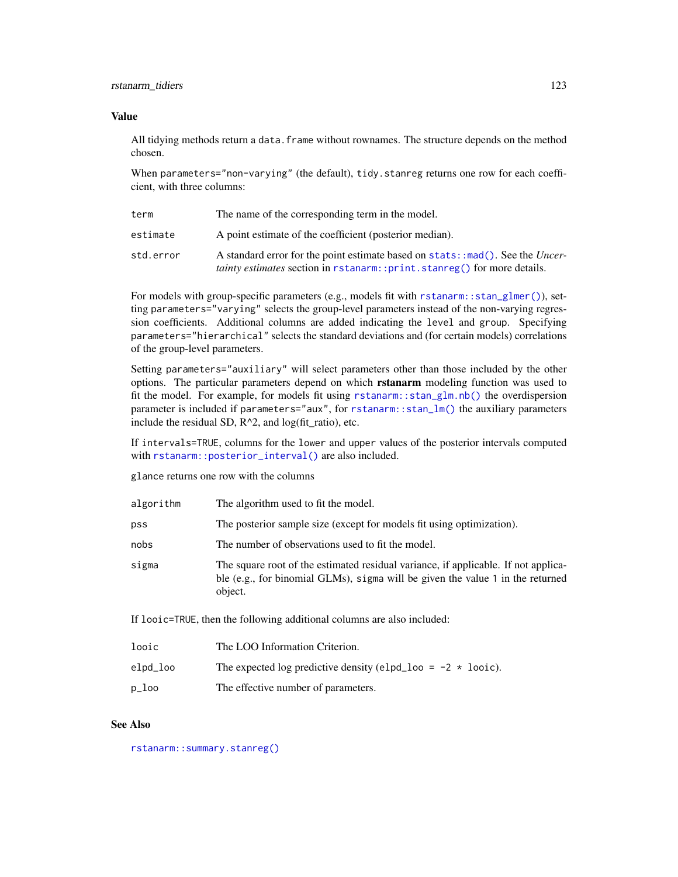## rstanarm\_tidiers 123

## Value

All tidying methods return a data.frame without rownames. The structure depends on the method chosen.

When parameters="non-varying" (the default), tidy.stanreg returns one row for each coefficient, with three columns:

| term      | The name of the corresponding term in the model.                                                                                                                 |
|-----------|------------------------------------------------------------------------------------------------------------------------------------------------------------------|
| estimate  | A point estimate of the coefficient (posterior median).                                                                                                          |
| std.error | A standard error for the point estimate based on stats::mad(). See the Uncer-<br><i>tainty estimates section in rstanarm:: print.stanreg() for more details.</i> |

For models with group-specific parameters (e.g., models fit with [rstanarm::stan\\_glmer\(\)](#page-0-0)), setting parameters="varying" selects the group-level parameters instead of the non-varying regression coefficients. Additional columns are added indicating the level and group. Specifying parameters="hierarchical" selects the standard deviations and (for certain models) correlations of the group-level parameters.

Setting parameters="auxiliary" will select parameters other than those included by the other options. The particular parameters depend on which rstanarm modeling function was used to fit the model. For example, for models fit using [rstanarm::stan\\_glm.nb\(\)](#page-0-0) the overdispersion parameter is included if parameters="aux", for [rstanarm::stan\\_lm\(\)](#page-0-0) the auxiliary parameters include the residual SD,  $R^2$ , and log(fit\_ratio), etc.

If intervals=TRUE, columns for the lower and upper values of the posterior intervals computed with [rstanarm::posterior\\_interval\(\)](#page-0-0) are also included.

glance returns one row with the columns

| algorithm | The algorithm used to fit the model.                                                                                                                                            |
|-----------|---------------------------------------------------------------------------------------------------------------------------------------------------------------------------------|
| pss       | The posterior sample size (except for models fit using optimization).                                                                                                           |
| nobs      | The number of observations used to fit the model.                                                                                                                               |
| sigma     | The square root of the estimated residual variance, if applicable. If not applica-<br>ble (e.g., for binomial GLMs), sigma will be given the value 1 in the returned<br>object. |

If looic=TRUE, then the following additional columns are also included:

| looic    | The LOO Information Criterion.                                      |
|----------|---------------------------------------------------------------------|
| elpd_loo | The expected log predictive density (elpd_loo = $-2 \times$ looic). |
| $p\_loo$ | The effective number of parameters.                                 |

#### See Also

[rstanarm::summary.stanreg\(\)](#page-0-0)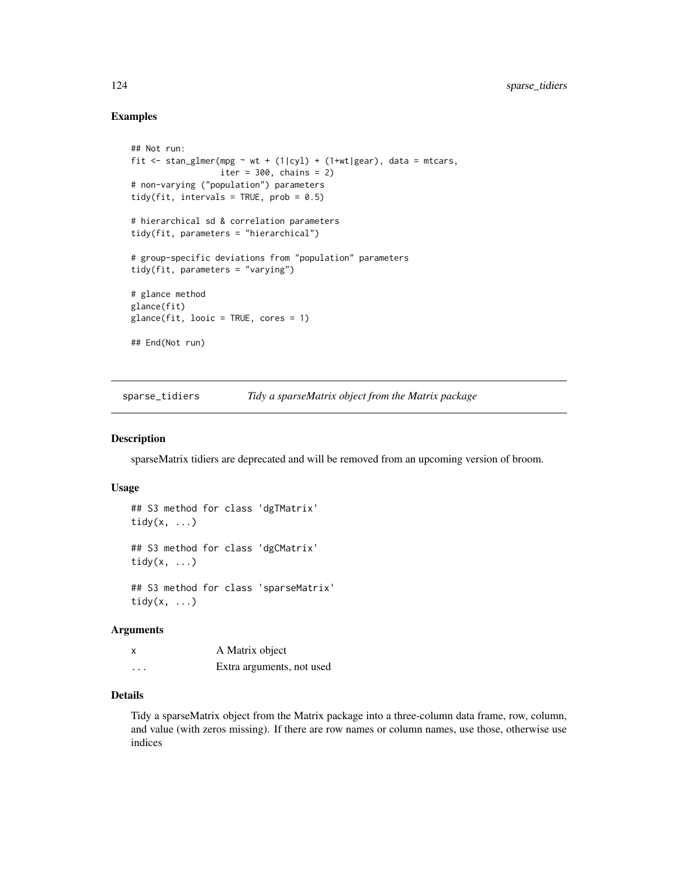## Examples

```
## Not run:
fit \le stan_glmer(mpg \sim wt + (1|cyl) + (1+wt|gear), data = mtcars,
                 iter = 300, chains = 2)
# non-varying ("population") parameters
tidy(fit, intervals = TRUE, prob = 0.5)
# hierarchical sd & correlation parameters
tidy(fit, parameters = "hierarchical")
# group-specific deviations from "population" parameters
tidy(fit, parameters = "varying")
# glance method
glance(fit)
glance(fit, looic = TRUE, cores = 1)
## End(Not run)
```
sparse\_tidiers *Tidy a sparseMatrix object from the Matrix package*

# Description

sparseMatrix tidiers are deprecated and will be removed from an upcoming version of broom.

#### Usage

```
## S3 method for class 'dgTMatrix'
tidy(x, \ldots)## S3 method for class 'dgCMatrix'
tidy(x, \ldots)## S3 method for class 'sparseMatrix'
tidy(x, \ldots)
```
#### Arguments

|         | A Matrix object           |
|---------|---------------------------|
| $\cdot$ | Extra arguments, not used |

#### Details

Tidy a sparseMatrix object from the Matrix package into a three-column data frame, row, column, and value (with zeros missing). If there are row names or column names, use those, otherwise use indices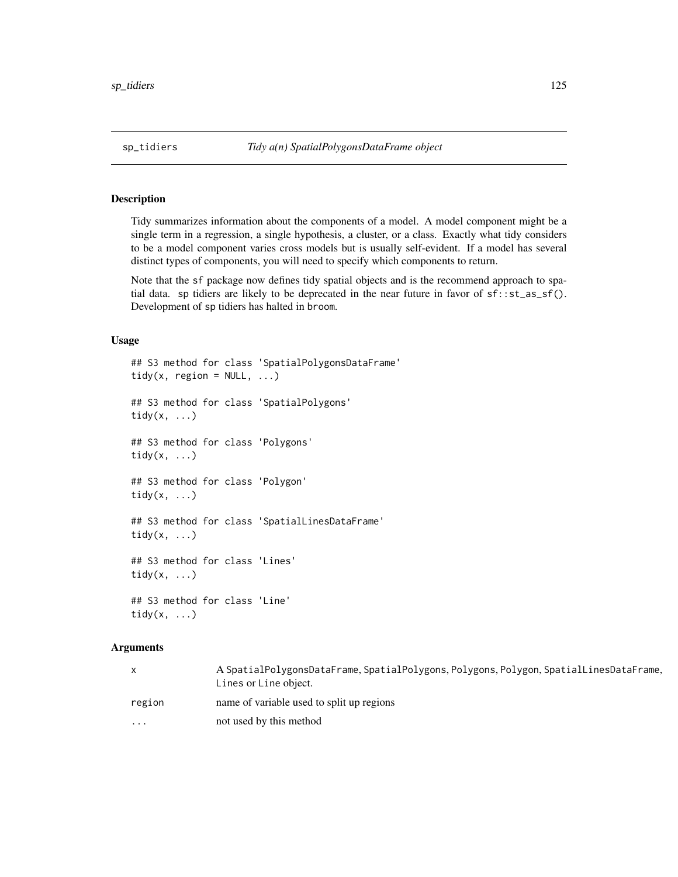#### Description

Tidy summarizes information about the components of a model. A model component might be a single term in a regression, a single hypothesis, a cluster, or a class. Exactly what tidy considers to be a model component varies cross models but is usually self-evident. If a model has several distinct types of components, you will need to specify which components to return.

Note that the sf package now defines tidy spatial objects and is the recommend approach to spatial data. sp tidiers are likely to be deprecated in the near future in favor of  $sf::st_as_sf()$ . Development of sp tidiers has halted in broom.

## Usage

```
## S3 method for class 'SpatialPolygonsDataFrame'
tidy(x, region = NULL, ...)## S3 method for class 'SpatialPolygons'
tidy(x, \ldots)## S3 method for class 'Polygons'
tidy(x, \ldots)## S3 method for class 'Polygon'
tidy(x, \ldots)## S3 method for class 'SpatialLinesDataFrame'
tidy(x, \ldots)## S3 method for class 'Lines'
tidy(x, \ldots)## S3 method for class 'Line'
tidy(x, \ldots)
```
#### **Arguments**

|          | A SpatialPolygonsDataFrame, SpatialPolygons, Polygons, Polygon, SpatialLinesDataFrame,<br>Lines or Line object. |
|----------|-----------------------------------------------------------------------------------------------------------------|
| region   | name of variable used to split up regions                                                                       |
| $\cdots$ | not used by this method                                                                                         |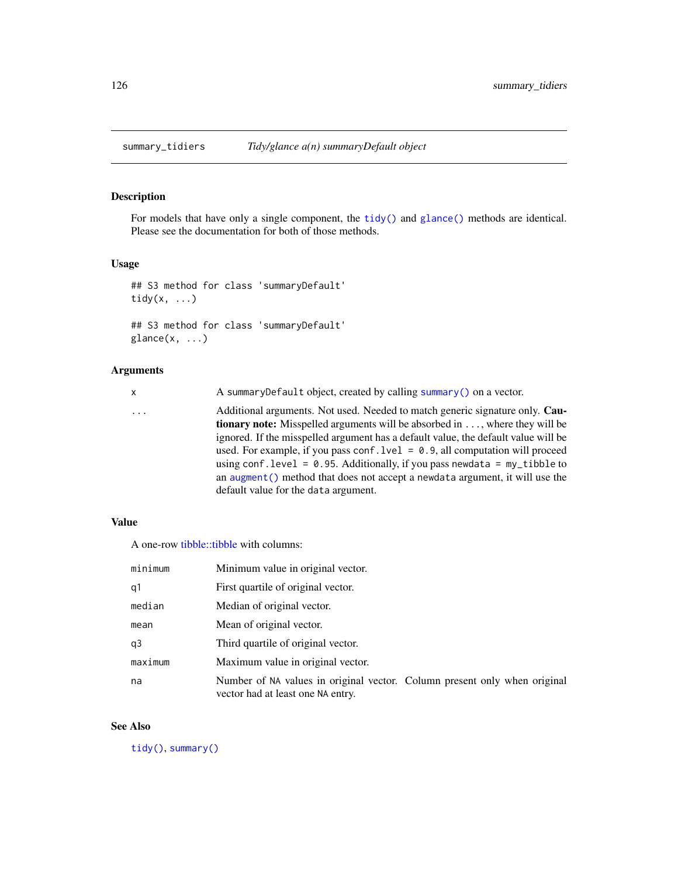## Description

For models that have only a single component, the [tidy\(\)](#page-0-0) and [glance\(\)](#page-0-0) methods are identical. Please see the documentation for both of those methods.

#### Usage

```
## S3 method for class 'summaryDefault'
tidy(x, \ldots)## S3 method for class 'summaryDefault'
```
 $\text{glance}(x, \ldots)$ 

#### **Arguments**

x A summaryDefault object, created by calling [summary\(\)](#page-0-0) on a vector.

... Additional arguments. Not used. Needed to match generic signature only. Cautionary note: Misspelled arguments will be absorbed in ..., where they will be ignored. If the misspelled argument has a default value, the default value will be used. For example, if you pass conf.  $level = 0.9$ , all computation will proceed using conf.level =  $0.95$ . Additionally, if you pass newdata = my\_tibble to an [augment\(\)](#page-0-0) method that does not accept a newdata argument, it will use the default value for the data argument.

# Value

A one-row [tibble::tibble](#page-0-0) with columns:

| minimum | Minimum value in original vector.                                                                              |
|---------|----------------------------------------------------------------------------------------------------------------|
| q1      | First quartile of original vector.                                                                             |
| median  | Median of original vector.                                                                                     |
| mean    | Mean of original vector.                                                                                       |
| q3      | Third quartile of original vector.                                                                             |
| maximum | Maximum value in original vector.                                                                              |
| na      | Number of NA values in original vector. Column present only when original<br>vector had at least one NA entry. |

# See Also

[tidy\(\)](#page-0-0), [summary\(\)](#page-0-0)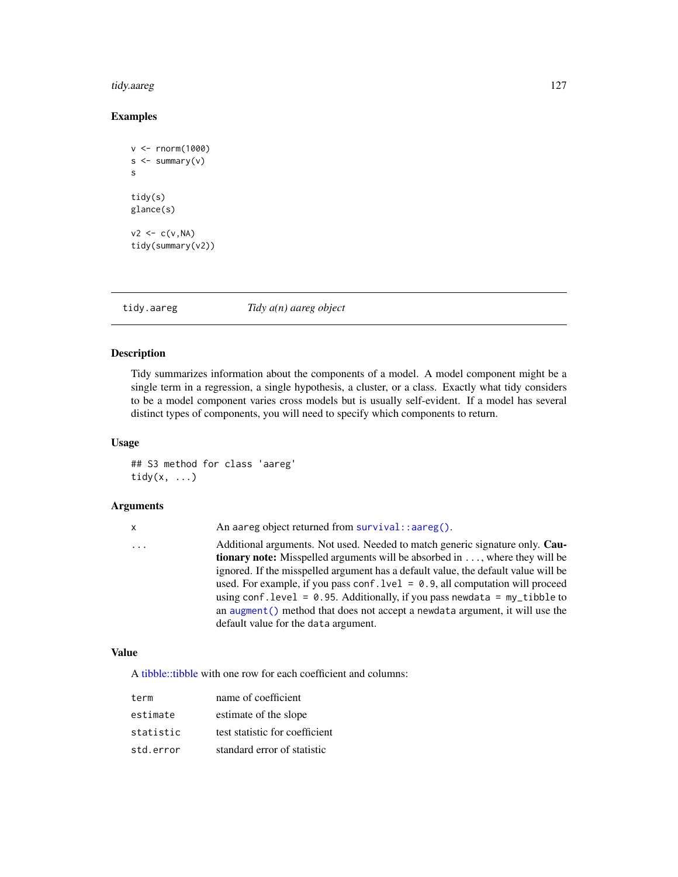#### tidy.aareg 127

# Examples

```
v <- rnorm(1000)
s < - summary(v)
s
tidy(s)
glance(s)
v2 \leq c(v, NA)tidy(summary(v2))
```
<span id="page-126-0"></span>

tidy.aareg *Tidy a(n) aareg object*

# Description

Tidy summarizes information about the components of a model. A model component might be a single term in a regression, a single hypothesis, a cluster, or a class. Exactly what tidy considers to be a model component varies cross models but is usually self-evident. If a model has several distinct types of components, you will need to specify which components to return.

## Usage

## S3 method for class 'aareg' tidy(x, ...)

# Arguments

| x | An aareg object returned from $survival$ : aareg().                                  |
|---|--------------------------------------------------------------------------------------|
| . | Additional arguments. Not used. Needed to match generic signature only. Cau-         |
|   | <b>tionary note:</b> Misspelled arguments will be absorbed in , where they will be   |
|   | ignored. If the misspelled argument has a default value, the default value will be   |
|   | used. For example, if you pass conf. $1$ ve $1 = 0.9$ , all computation will proceed |
|   | using conf. level = $0.95$ . Additionally, if you pass newdata = $my$ _tibble to     |
|   | an augment () method that does not accept a newdata argument, it will use the        |
|   | default value for the data argument.                                                 |

# Value

A [tibble::tibble](#page-0-0) with one row for each coefficient and columns:

| term      | name of coefficient            |
|-----------|--------------------------------|
| estimate  | estimate of the slope          |
| statistic | test statistic for coefficient |
| std.error | standard error of statistic    |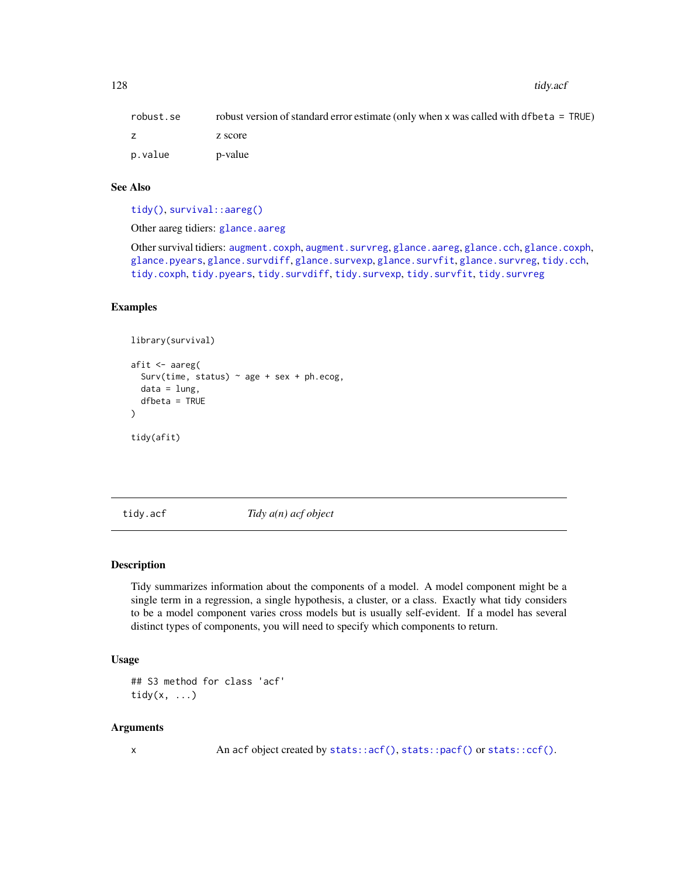128 tidy.acf

| robust.se | robust version of standard error estimate (only when x was called with dfbeta $=$ TRUE) |
|-----------|-----------------------------------------------------------------------------------------|
| Z.        | z score                                                                                 |
| p.value   | p-value                                                                                 |

## See Also

[tidy\(\)](#page-0-0), [survival::aareg\(\)](#page-0-0)

Other aareg tidiers: [glance.aareg](#page-59-0)

Other survival tidiers: [augment.coxph](#page-7-0), [augment.survreg](#page-46-0), [glance.aareg](#page-59-0), [glance.cch](#page-65-0), [glance.coxph](#page-66-0), [glance.pyears](#page-97-0), [glance.survdiff](#page-104-0), [glance.survexp](#page-105-0), [glance.survfit](#page-106-0), [glance.survreg](#page-107-0), [tidy.cch](#page-142-0), [tidy.coxph](#page-148-0), [tidy.pyears](#page-216-0), [tidy.survdiff](#page-229-0), [tidy.survexp](#page-230-0), [tidy.survfit](#page-231-0), [tidy.survreg](#page-233-0)

#### Examples

```
library(survival)
afit <- aareg(
  Surv(time, status) \sim age + sex + ph.ecog,
  data = lung,dfbeta = TRUE
\lambdatidy(afit)
```
tidy.acf *Tidy a(n) acf object*

#### Description

Tidy summarizes information about the components of a model. A model component might be a single term in a regression, a single hypothesis, a cluster, or a class. Exactly what tidy considers to be a model component varies cross models but is usually self-evident. If a model has several distinct types of components, you will need to specify which components to return.

# Usage

```
## S3 method for class 'acf'
tidy(x, \ldots)
```
#### Arguments

x An acf object created by [stats::acf\(\)](#page-0-0), [stats::pacf\(\)](#page-0-0) or [stats::ccf\(\)](#page-0-0).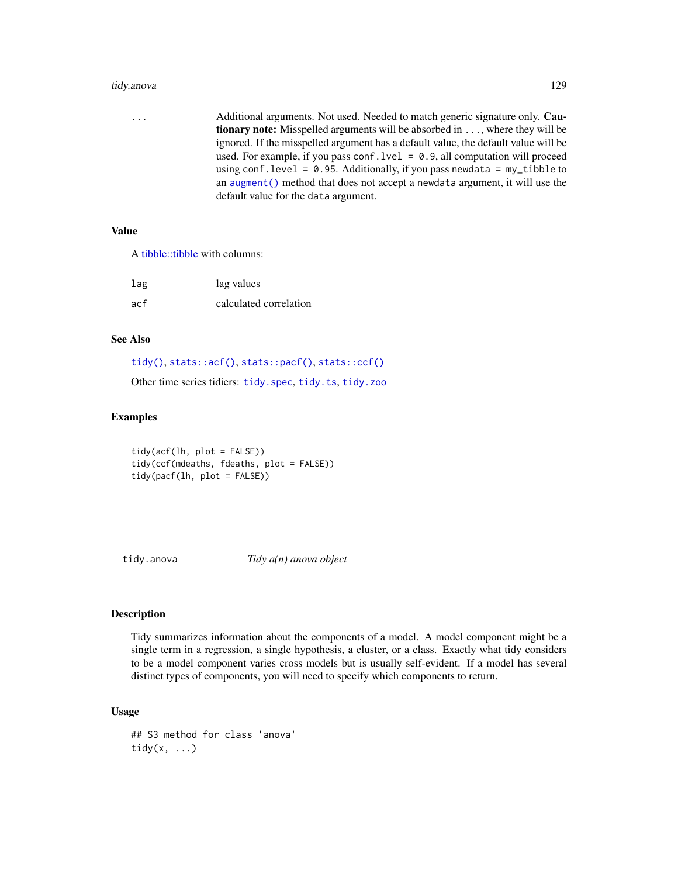#### tidy.anova 129

... Additional arguments. Not used. Needed to match generic signature only. **Cau**tionary note: Misspelled arguments will be absorbed in . . . , where they will be ignored. If the misspelled argument has a default value, the default value will be used. For example, if you pass conf.  $level = 0.9$ , all computation will proceed using conf.level = 0.95. Additionally, if you pass newdata = my\_tibble to an [augment\(\)](#page-0-0) method that does not accept a newdata argument, it will use the default value for the data argument.

# Value

A [tibble::tibble](#page-0-0) with columns:

| lag | lag values             |
|-----|------------------------|
| acf | calculated correlation |

## See Also

[tidy\(\)](#page-0-0), [stats::acf\(\)](#page-0-0), [stats::pacf\(\)](#page-0-0), [stats::ccf\(\)](#page-0-0)

Other time series tidiers: [tidy.spec](#page-226-0), [tidy.ts](#page-235-0), [tidy.zoo](#page-238-0)

## Examples

```
tidy(acf(lh, plot = FALSE))
tidy(ccf(mdeaths, fdeaths, plot = FALSE))
tidy(pacf(lh, plot = FALSE))
```
<span id="page-128-0"></span>tidy.anova *Tidy a(n) anova object*

#### **Description**

Tidy summarizes information about the components of a model. A model component might be a single term in a regression, a single hypothesis, a cluster, or a class. Exactly what tidy considers to be a model component varies cross models but is usually self-evident. If a model has several distinct types of components, you will need to specify which components to return.

# Usage

```
## S3 method for class 'anova'
tidy(x, \ldots)
```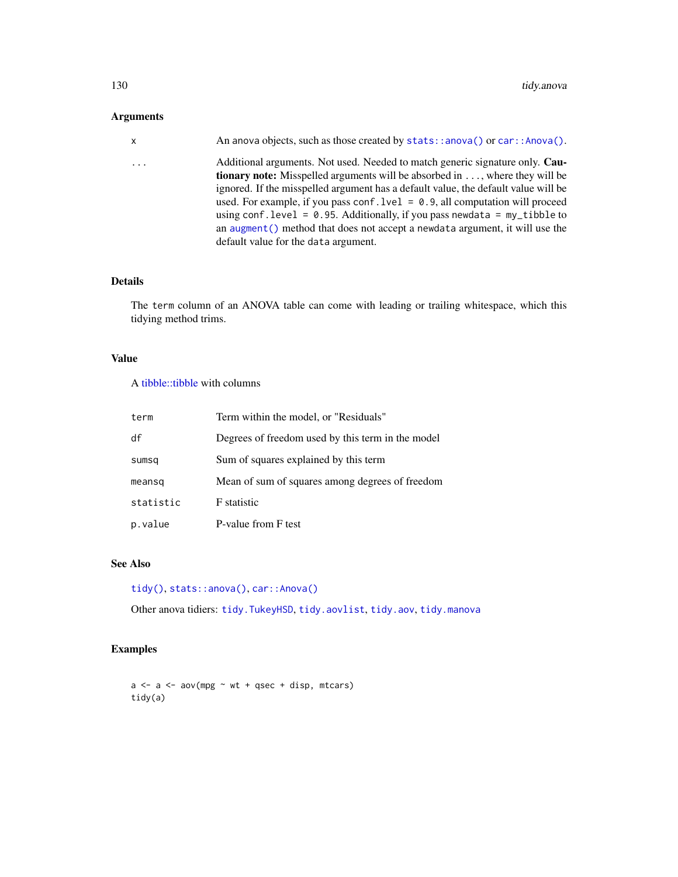# Arguments

| x        | An anova objects, such as those created by stats::anova() or car::Anova().           |
|----------|--------------------------------------------------------------------------------------|
| $\cdots$ | Additional arguments. Not used. Needed to match generic signature only. Cau-         |
|          | <b>tionary note:</b> Misspelled arguments will be absorbed in , where they will be   |
|          | ignored. If the misspelled argument has a default value, the default value will be   |
|          | used. For example, if you pass conf. $1$ ve $1 = 0.9$ , all computation will proceed |
|          | using conf. level = $0.95$ . Additionally, if you pass newdata = $my$ _tibble to     |
|          | an augment () method that does not accept a newdata argument, it will use the        |
|          | default value for the data argument.                                                 |
|          |                                                                                      |

# Details

The term column of an ANOVA table can come with leading or trailing whitespace, which this tidying method trims.

# Value

A [tibble::tibble](#page-0-0) with columns

| term      | Term within the model, or "Residuals"             |
|-----------|---------------------------------------------------|
| df        | Degrees of freedom used by this term in the model |
| sumsq     | Sum of squares explained by this term             |
| meansq    | Mean of sum of squares among degrees of freedom   |
| statistic | F statistic                                       |
| p.value   | P-value from F test                               |

# See Also

[tidy\(\)](#page-0-0), [stats::anova\(\)](#page-0-0), [car::Anova\(\)](#page-0-0)

Other anova tidiers: [tidy.TukeyHSD](#page-236-0), [tidy.aovlist](#page-131-0), [tidy.aov](#page-130-0), [tidy.manova](#page-191-0)

# Examples

```
a \leq a \leq a aov(mpg \sim wt + qsec + disp, mtcars)
tidy(a)
```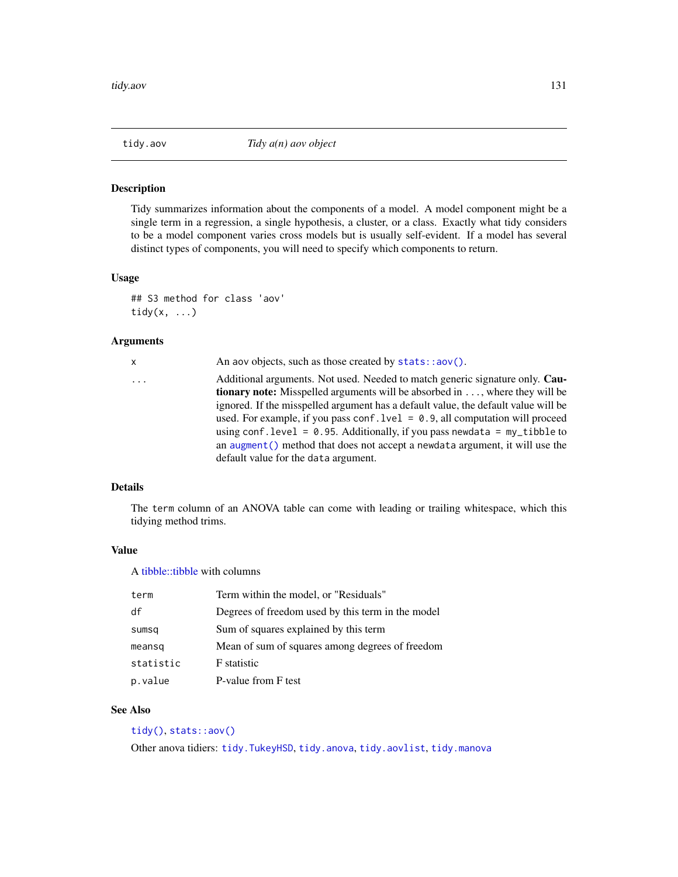<span id="page-130-0"></span>

## Description

Tidy summarizes information about the components of a model. A model component might be a single term in a regression, a single hypothesis, a cluster, or a class. Exactly what tidy considers to be a model component varies cross models but is usually self-evident. If a model has several distinct types of components, you will need to specify which components to return.

#### Usage

```
## S3 method for class 'aov'
tidy(x, \ldots)
```
## Arguments

x An aov objects, such as those created by [stats::aov\(\)](#page-0-0).

... Additional arguments. Not used. Needed to match generic signature only. Cautionary note: Misspelled arguments will be absorbed in ..., where they will be ignored. If the misspelled argument has a default value, the default value will be used. For example, if you pass conf.  $level = 0.9$ , all computation will proceed using conf.level = 0.95. Additionally, if you pass newdata = my\_tibble to an [augment\(\)](#page-0-0) method that does not accept a newdata argument, it will use the default value for the data argument.

# Details

The term column of an ANOVA table can come with leading or trailing whitespace, which this tidying method trims.

## Value

A [tibble::tibble](#page-0-0) with columns

| term      | Term within the model, or "Residuals"             |
|-----------|---------------------------------------------------|
| df        | Degrees of freedom used by this term in the model |
| sumsq     | Sum of squares explained by this term             |
| meansq    | Mean of sum of squares among degrees of freedom   |
| statistic | <b>F</b> statistic                                |
| p.value   | P-value from F test                               |

## See Also

## [tidy\(\)](#page-0-0), [stats::aov\(\)](#page-0-0)

Other anova tidiers: [tidy.TukeyHSD](#page-236-0), [tidy.anova](#page-128-0), [tidy.aovlist](#page-131-0), [tidy.manova](#page-191-0)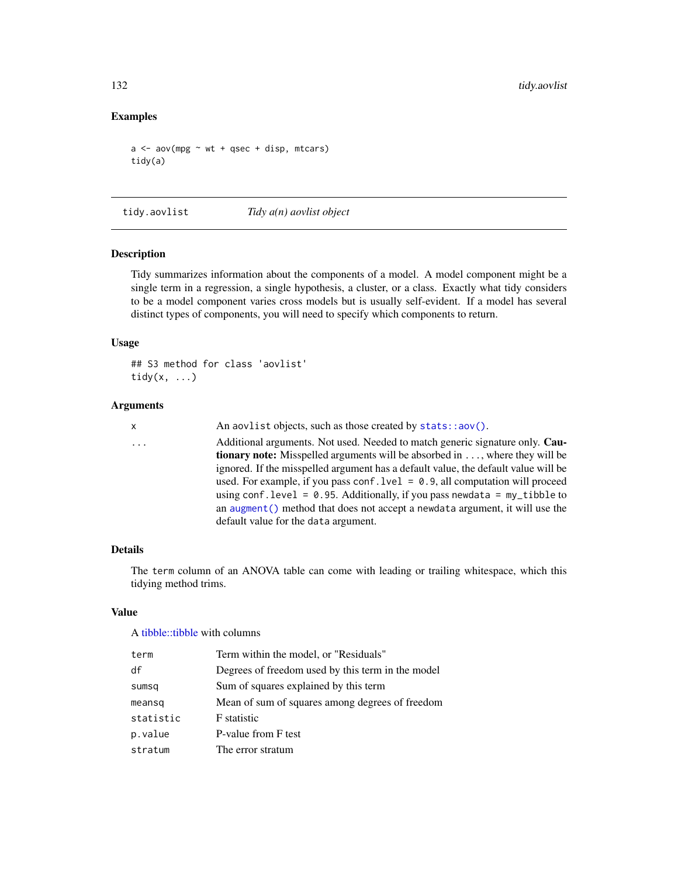# Examples

```
a \leq -\text{av(mpg} \sim \text{wt} + \text{qsec} + \text{disp}, \text{mtcars})tidy(a)
```
<span id="page-131-0"></span>tidy.aovlist *Tidy a(n) aovlist object*

#### Description

Tidy summarizes information about the components of a model. A model component might be a single term in a regression, a single hypothesis, a cluster, or a class. Exactly what tidy considers to be a model component varies cross models but is usually self-evident. If a model has several distinct types of components, you will need to specify which components to return.

# Usage

```
## S3 method for class 'aovlist'
tidy(x, \ldots)
```
## Arguments

| X.       | An aovlist objects, such as those created by $stats::aov()$ .                          |
|----------|----------------------------------------------------------------------------------------|
| $\cdots$ | Additional arguments. Not used. Needed to match generic signature only. Cau-           |
|          | <b>tionary note:</b> Misspelled arguments will be absorbed in , where they will be     |
|          | ignored. If the misspelled argument has a default value, the default value will be     |
|          | used. For example, if you pass conf. $1$ ve $1 = 0.9$ , all computation will proceed   |
|          | using conf. level = $\theta$ . 95. Additionally, if you pass newdata = $my$ _tibble to |
|          | an augment () method that does not accept a newdata argument, it will use the          |
|          | default value for the data argument.                                                   |

## Details

The term column of an ANOVA table can come with leading or trailing whitespace, which this tidying method trims.

## Value

A [tibble::tibble](#page-0-0) with columns

| term      | Term within the model, or "Residuals"             |
|-----------|---------------------------------------------------|
| df        | Degrees of freedom used by this term in the model |
| sumsq     | Sum of squares explained by this term             |
| meansq    | Mean of sum of squares among degrees of freedom   |
| statistic | F statistic                                       |
| p.value   | P-value from F test                               |
| stratum   | The error stratum                                 |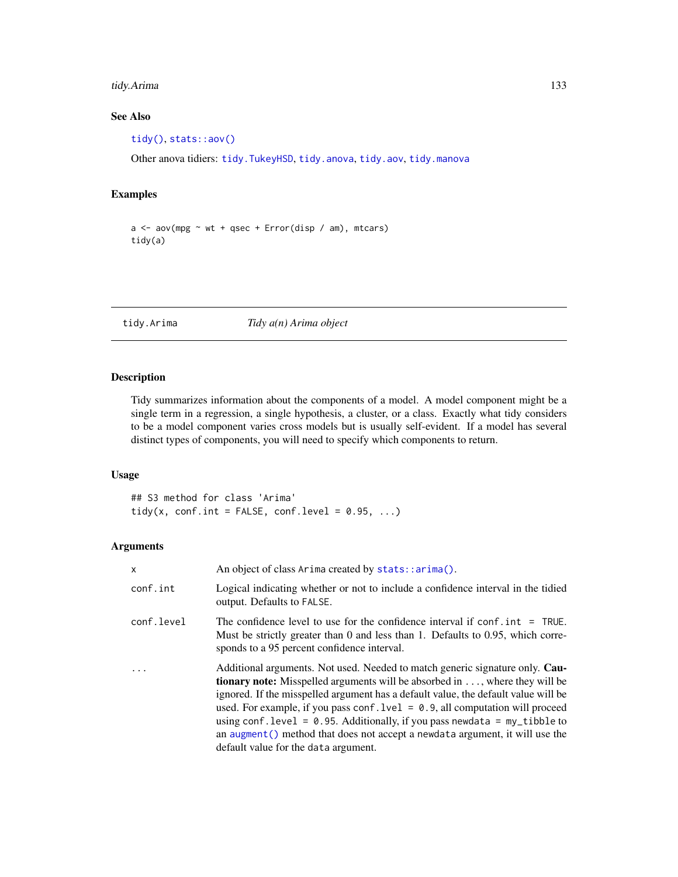# tidy.Arima 133

# See Also

[tidy\(\)](#page-0-0), [stats::aov\(\)](#page-0-0)

Other anova tidiers: [tidy.TukeyHSD](#page-236-0), [tidy.anova](#page-128-0), [tidy.aov](#page-130-0), [tidy.manova](#page-191-0)

# Examples

```
a \leq a aov(mpg \sim wt + qsec + Error(disp / am), mtcars)
tidy(a)
```
# tidy.Arima *Tidy a(n) Arima object*

# Description

Tidy summarizes information about the components of a model. A model component might be a single term in a regression, a single hypothesis, a cluster, or a class. Exactly what tidy considers to be a model component varies cross models but is usually self-evident. If a model has several distinct types of components, you will need to specify which components to return.

# Usage

## S3 method for class 'Arima' tidy(x, conf.int = FALSE, conf.level =  $0.95, ...$ )

## Arguments

| $\times$   | An object of class Arima created by stats::arima().                                                                                                                                                                                                                                                                                                                                                                                                                                                                                                        |
|------------|------------------------------------------------------------------------------------------------------------------------------------------------------------------------------------------------------------------------------------------------------------------------------------------------------------------------------------------------------------------------------------------------------------------------------------------------------------------------------------------------------------------------------------------------------------|
| conf.int   | Logical indicating whether or not to include a confidence interval in the tidied<br>output. Defaults to FALSE.                                                                                                                                                                                                                                                                                                                                                                                                                                             |
| conf.level | The confidence level to use for the confidence interval if $\text{conf.int} = \text{TRUE}$ .<br>Must be strictly greater than 0 and less than 1. Defaults to 0.95, which corre-<br>sponds to a 95 percent confidence interval.                                                                                                                                                                                                                                                                                                                             |
|            | Additional arguments. Not used. Needed to match generic signature only. Cau-<br><b>tionary note:</b> Misspelled arguments will be absorbed in , where they will be<br>ignored. If the misspelled argument has a default value, the default value will be<br>used. For example, if you pass conf. $1$ vel = 0.9, all computation will proceed<br>using conf. level = $0.95$ . Additionally, if you pass newdata = $my_t$ tibble to<br>an augment () method that does not accept a newdata argument, it will use the<br>default value for the data argument. |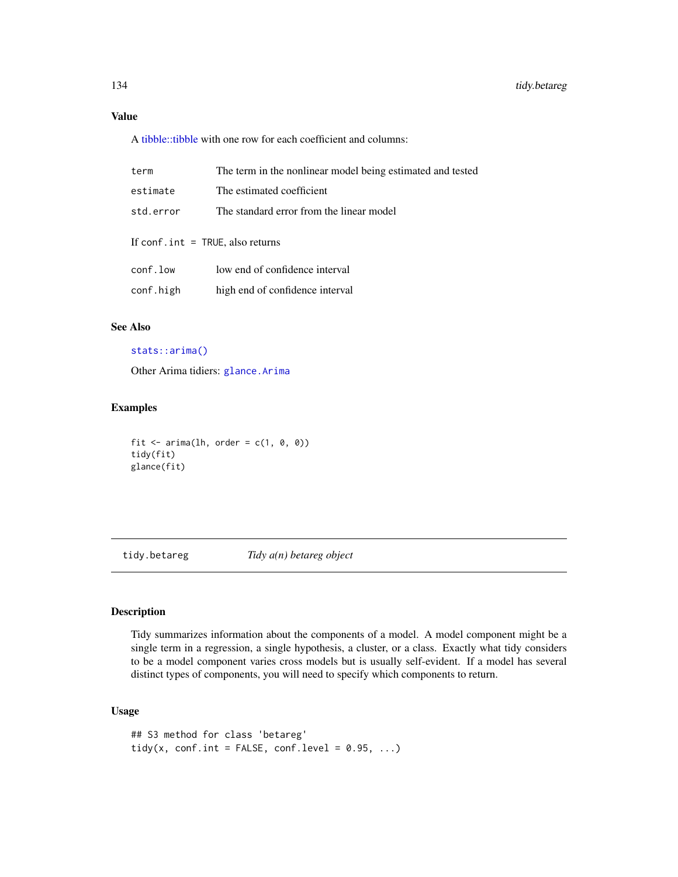## Value

A [tibble::tibble](#page-0-0) with one row for each coefficient and columns:

| term                               | The term in the nonlinear model being estimated and tested |  |
|------------------------------------|------------------------------------------------------------|--|
| estimate                           | The estimated coefficient                                  |  |
| std.error                          | The standard error from the linear model                   |  |
| If conf.int $=$ TRUE, also returns |                                                            |  |
| conf.low                           | low end of confidence interval                             |  |
| conf.high                          | high end of confidence interval                            |  |
|                                    |                                                            |  |

## See Also

#### [stats::arima\(\)](#page-0-0)

Other Arima tidiers: [glance.Arima](#page-60-0)

# Examples

```
fit \leftarrow arima(lh, order = c(1, 0, 0))
tidy(fit)
glance(fit)
```
tidy.betareg *Tidy a(n) betareg object*

# Description

Tidy summarizes information about the components of a model. A model component might be a single term in a regression, a single hypothesis, a cluster, or a class. Exactly what tidy considers to be a model component varies cross models but is usually self-evident. If a model has several distinct types of components, you will need to specify which components to return.

# Usage

```
## S3 method for class 'betareg'
tidy(x, conf.int = FALSE, conf.level = 0.95, ...)
```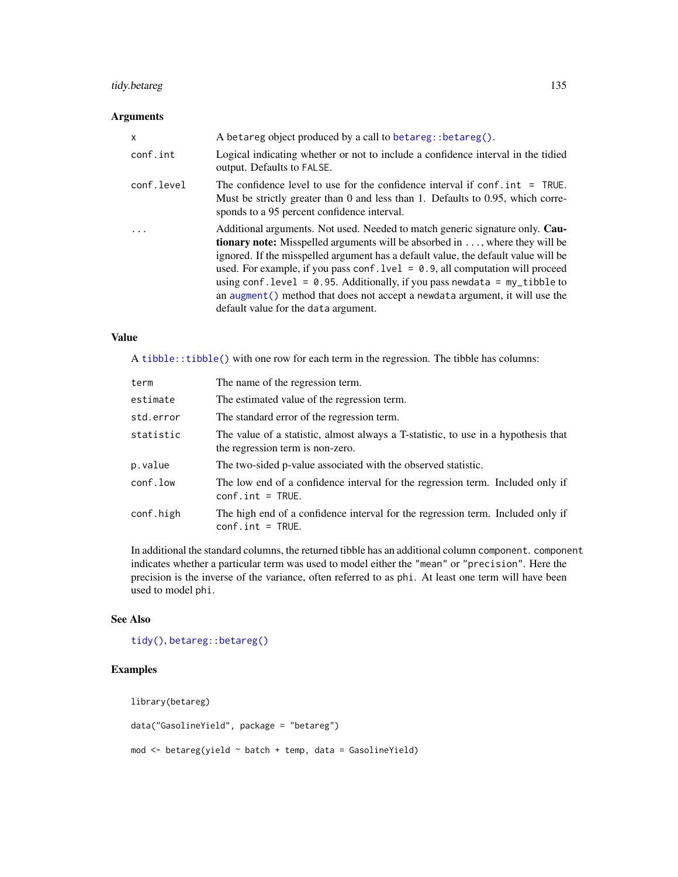# tidy.betareg 135

# Arguments

| $\mathsf{x}$ | A betareg object produced by a call to betareg:: betareg().                                                                                                                                                                                                                                                                                                                                                                                                                                                                                               |
|--------------|-----------------------------------------------------------------------------------------------------------------------------------------------------------------------------------------------------------------------------------------------------------------------------------------------------------------------------------------------------------------------------------------------------------------------------------------------------------------------------------------------------------------------------------------------------------|
| conf.int     | Logical indicating whether or not to include a confidence interval in the tidied<br>output. Defaults to FALSE.                                                                                                                                                                                                                                                                                                                                                                                                                                            |
| conf.level   | The confidence level to use for the confidence interval if $\text{conf.int} = \text{TRUE}$ .<br>Must be strictly greater than 0 and less than 1. Defaults to 0.95, which corre-<br>sponds to a 95 percent confidence interval.                                                                                                                                                                                                                                                                                                                            |
|              | Additional arguments. Not used. Needed to match generic signature only. Cau-<br><b>tionary note:</b> Misspelled arguments will be absorbed in , where they will be<br>ignored. If the misspelled argument has a default value, the default value will be<br>used. For example, if you pass conf. $1$ vel = 0.9, all computation will proceed<br>using conf.level = $0.95$ . Additionally, if you pass newdata = $my_t$ tibble to<br>an augment () method that does not accept a newdata argument, it will use the<br>default value for the data argument. |

# Value

A [tibble::tibble\(\)](#page-0-0) with one row for each term in the regression. The tibble has columns:

| term      | The name of the regression term.                                                                                       |
|-----------|------------------------------------------------------------------------------------------------------------------------|
| estimate  | The estimated value of the regression term.                                                                            |
| std.error | The standard error of the regression term.                                                                             |
| statistic | The value of a statistic, almost always a T-statistic, to use in a hypothesis that<br>the regression term is non-zero. |
| p.value   | The two-sided p-value associated with the observed statistic.                                                          |
| conf.low  | The low end of a confidence interval for the regression term. Included only if<br>$conf.int = TRUE.$                   |
| conf.high | The high end of a confidence interval for the regression term. Included only if<br>$conf.int = TRUE.$                  |

In additional the standard columns, the returned tibble has an additional column component. component indicates whether a particular term was used to model either the "mean" or "precision". Here the precision is the inverse of the variance, often referred to as phi. At least one term will have been used to model phi.

#### See Also

[tidy\(\)](#page-0-0), [betareg::betareg\(\)](#page-0-0)

# Examples

```
library(betareg)
data("GasolineYield", package = "betareg")
mod <- betareg(yield ~ batch + temp, data = GasolineYield)
```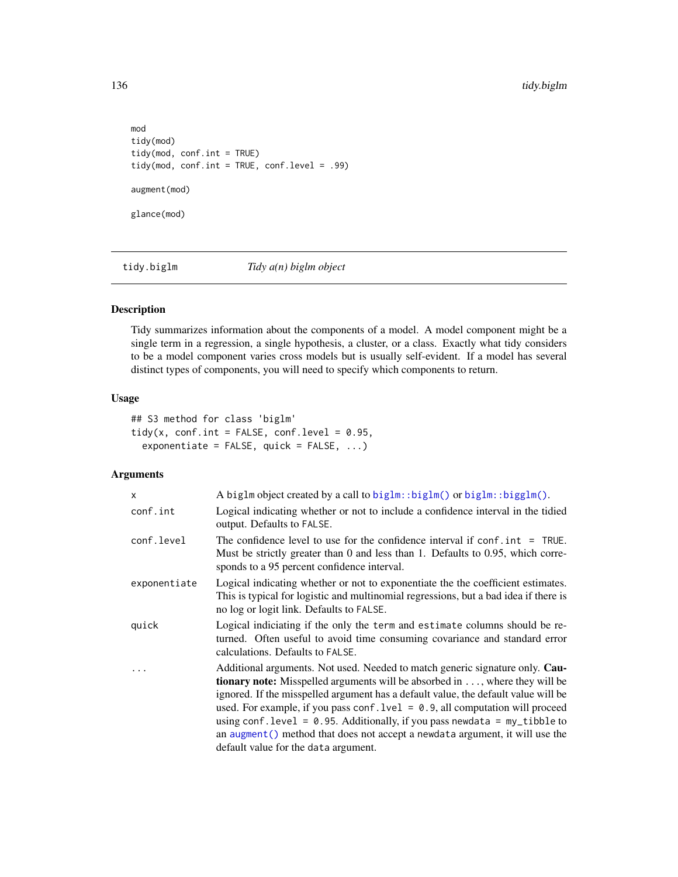```
mod
tidy(mod)
tidy(mod, conf.int = TRUE)
tidy(mod, conf.int = TRUE, conf.level = .99)
augment(mod)
glance(mod)
```
tidy.biglm *Tidy a(n) biglm object*

## Description

Tidy summarizes information about the components of a model. A model component might be a single term in a regression, a single hypothesis, a cluster, or a class. Exactly what tidy considers to be a model component varies cross models but is usually self-evident. If a model has several distinct types of components, you will need to specify which components to return.

## Usage

```
## S3 method for class 'biglm'
tidy(x, conf.int = FALSE, conf.level = 0.95,
 exponentiate = FALSE, quick = FALSE, ...)
```
# Arguments

| x            | A biglm object created by a call to $biglm::biglm()$ or $biglm::biglm()$ .                                                                                                                                                                                                                                                                                                                                                                                                                                                                                     |
|--------------|----------------------------------------------------------------------------------------------------------------------------------------------------------------------------------------------------------------------------------------------------------------------------------------------------------------------------------------------------------------------------------------------------------------------------------------------------------------------------------------------------------------------------------------------------------------|
| conf.int     | Logical indicating whether or not to include a confidence interval in the tidied<br>output. Defaults to FALSE.                                                                                                                                                                                                                                                                                                                                                                                                                                                 |
| conf.level   | The confidence level to use for the confidence interval if $\text{conf. int} = \text{TRUE}$ .<br>Must be strictly greater than 0 and less than 1. Defaults to 0.95, which corre-<br>sponds to a 95 percent confidence interval.                                                                                                                                                                                                                                                                                                                                |
| exponentiate | Logical indicating whether or not to exponentiate the the coefficient estimates.<br>This is typical for logistic and multinomial regressions, but a bad idea if there is<br>no log or logit link. Defaults to FALSE.                                                                                                                                                                                                                                                                                                                                           |
| quick        | Logical indiciating if the only the term and estimate columns should be re-<br>turned. Often useful to avoid time consuming covariance and standard error<br>calculations. Defaults to FALSE.                                                                                                                                                                                                                                                                                                                                                                  |
| $\cdot$      | Additional arguments. Not used. Needed to match generic signature only. Cau-<br><b>tionary note:</b> Misspelled arguments will be absorbed in , where they will be<br>ignored. If the misspelled argument has a default value, the default value will be<br>used. For example, if you pass conf. $1$ ve $1 = 0.9$ , all computation will proceed<br>using conf. level = $0.95$ . Additionally, if you pass newdata = $my_t$ tibble to<br>an augment () method that does not accept a newdata argument, it will use the<br>default value for the data argument. |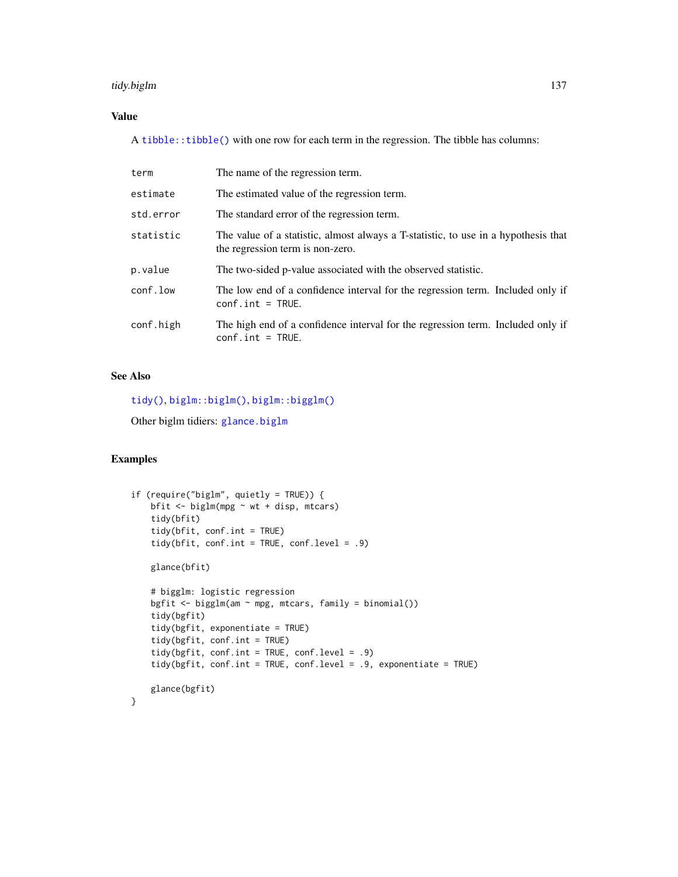#### tidy.biglm 137

# Value

A [tibble::tibble\(\)](#page-0-0) with one row for each term in the regression. The tibble has columns:

| term      | The name of the regression term.                                                                                       |
|-----------|------------------------------------------------------------------------------------------------------------------------|
| estimate  | The estimated value of the regression term.                                                                            |
| std.error | The standard error of the regression term.                                                                             |
| statistic | The value of a statistic, almost always a T-statistic, to use in a hypothesis that<br>the regression term is non-zero. |
| p.value   | The two-sided p-value associated with the observed statistic.                                                          |
| conf.low  | The low end of a confidence interval for the regression term. Included only if<br>$conf.int = TRUE.$                   |
| conf.high | The high end of a confidence interval for the regression term. Included only if<br>$conf.int = TRUE.$                  |

## See Also

[tidy\(\)](#page-0-0), [biglm::biglm\(\)](#page-0-0), [biglm::bigglm\(\)](#page-0-0)

Other biglm tidiers: [glance.biglm](#page-63-0)

## Examples

```
if (require("biglm", quietly = TRUE)) {
   bfit \le biglm(mpg \sim wt + disp, mtcars)
   tidy(bfit)
   tidy(bfit, conf.int = TRUE)
    tidy(bfit, conf.int = TRUE, conf.level = .9)
   glance(bfit)
   # bigglm: logistic regression
   bgfit <- bigglm(am ~ mpg, mtcars, family = binomial())
   tidy(bgfit)
    tidy(bgfit, exponentiate = TRUE)
    tidy(bgfit, conf.int = TRUE)
    tidy(bgfit, conf.int = TRUE, conf.level = .9)
   tidy(bgfit, conf.int = TRUE, conf.level = .9, exponentiate = TRUE)
   glance(bgfit)
}
```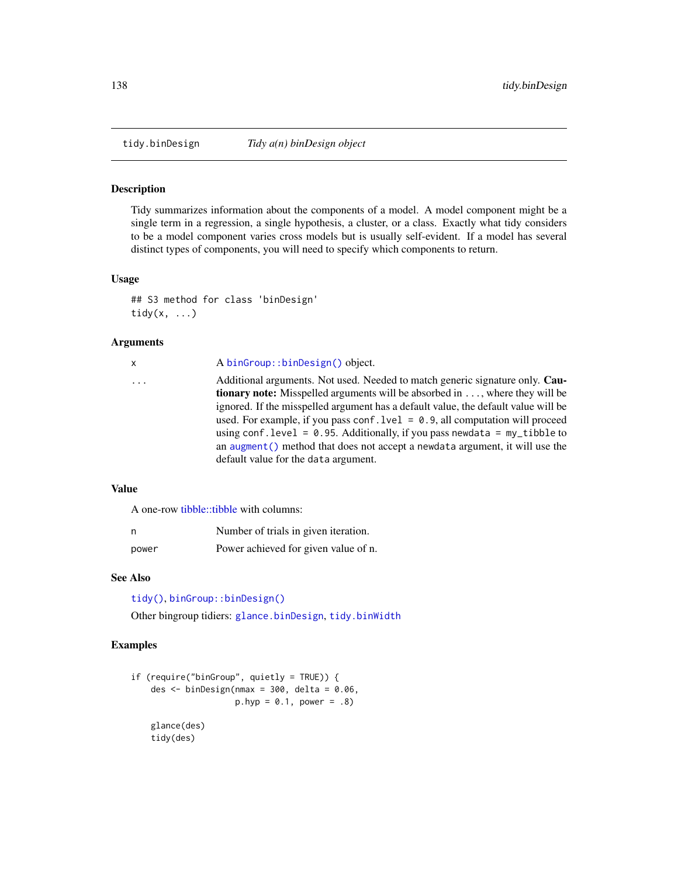<span id="page-137-0"></span>

# Description

Tidy summarizes information about the components of a model. A model component might be a single term in a regression, a single hypothesis, a cluster, or a class. Exactly what tidy considers to be a model component varies cross models but is usually self-evident. If a model has several distinct types of components, you will need to specify which components to return.

## Usage

```
## S3 method for class 'binDesign'
tidy(x, \ldots)
```
# Arguments

| x | A binGroup::binDesign() object.                                                                                                                                                                                                                                                                                                                                                                                                                                                                                                                                     |
|---|---------------------------------------------------------------------------------------------------------------------------------------------------------------------------------------------------------------------------------------------------------------------------------------------------------------------------------------------------------------------------------------------------------------------------------------------------------------------------------------------------------------------------------------------------------------------|
| . | Additional arguments. Not used. Needed to match generic signature only. Cau-<br><b>tionary note:</b> Misspelled arguments will be absorbed in , where they will be<br>ignored. If the misspelled argument has a default value, the default value will be<br>used. For example, if you pass conf. $1$ ve $1 = 0.9$ , all computation will proceed<br>using conf. level = $\theta$ . 95. Additionally, if you pass newdata = $my$ -tibble to<br>an augment () method that does not accept a newdata argument, it will use the<br>default value for the data argument. |
|   |                                                                                                                                                                                                                                                                                                                                                                                                                                                                                                                                                                     |

# Value

A one-row [tibble::tibble](#page-0-0) with columns:

| n     | Number of trials in given iteration. |
|-------|--------------------------------------|
| power | Power achieved for given value of n. |

# See Also

[tidy\(\)](#page-0-0), [binGroup::binDesign\(\)](#page-0-0)

Other bingroup tidiers: [glance.binDesign](#page-64-0), [tidy.binWidth](#page-138-0)

# Examples

```
if (require("binGroup", quietly = TRUE)) {
    des \le binDesign(nmax = 300, delta = 0.06,
                     p. hyp = 0.1, power = .8)
    glance(des)
    tidy(des)
```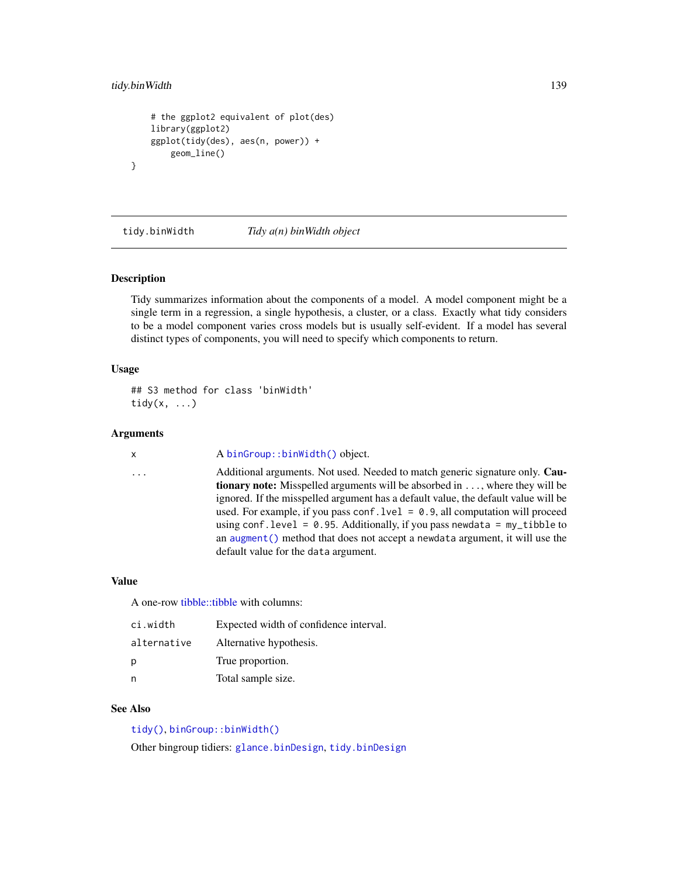# tidy.binWidth 139

}

```
# the ggplot2 equivalent of plot(des)
library(ggplot2)
ggplot(tidy(des), aes(n, power)) +
    geom_line()
```
<span id="page-138-0"></span>tidy.binWidth *Tidy a(n) binWidth object*

#### Description

Tidy summarizes information about the components of a model. A model component might be a single term in a regression, a single hypothesis, a cluster, or a class. Exactly what tidy considers to be a model component varies cross models but is usually self-evident. If a model has several distinct types of components, you will need to specify which components to return.

## Usage

## S3 method for class 'binWidth' tidy $(x, \ldots)$ 

## Arguments

x A [binGroup::binWidth\(\)](#page-0-0) object.

... Additional arguments. Not used. Needed to match generic signature only. Cautionary note: Misspelled arguments will be absorbed in ..., where they will be ignored. If the misspelled argument has a default value, the default value will be used. For example, if you pass conf.  $level = 0.9$ , all computation will proceed using conf.level =  $0.95$ . Additionally, if you pass newdata = my\_tibble to an [augment\(\)](#page-0-0) method that does not accept a newdata argument, it will use the default value for the data argument.

#### Value

A one-row [tibble::tibble](#page-0-0) with columns:

| ci.width    | Expected width of confidence interval. |
|-------------|----------------------------------------|
| alternative | Alternative hypothesis.                |
| р           | True proportion.                       |
| n           | Total sample size.                     |

## See Also

[tidy\(\)](#page-0-0), [binGroup::binWidth\(\)](#page-0-0)

Other bingroup tidiers: [glance.binDesign](#page-64-0), [tidy.binDesign](#page-137-0)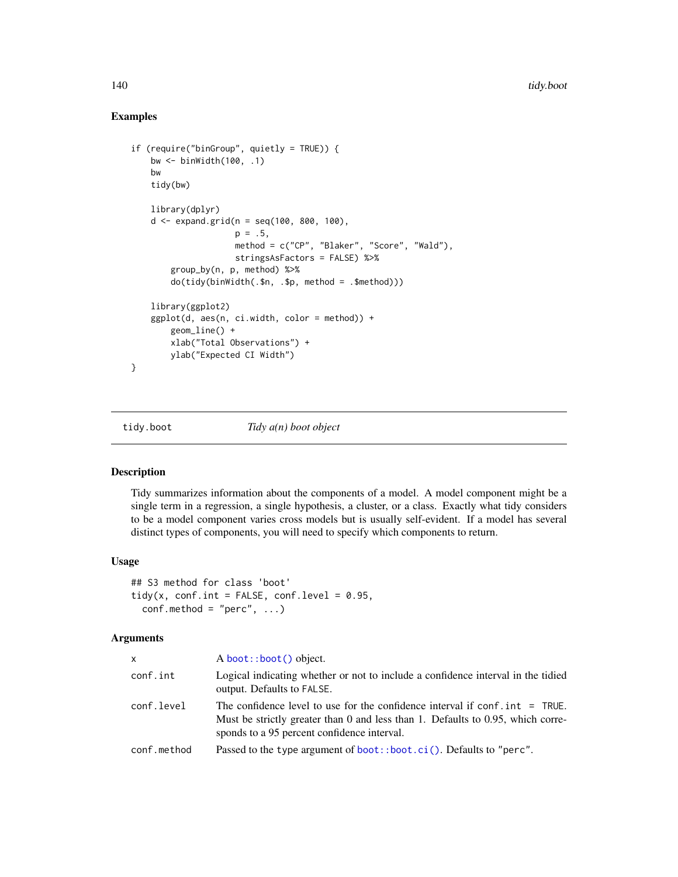# Examples

```
if (require("binGroup", quietly = TRUE)) {
   bw <- binWidth(100, .1)
   bw
   tidy(bw)
   library(dplyr)
   d \leq - expand.grid(n = seq(100, 800, 100),
                     p = .5,
                     method = c("CP", "Blaker", "Score", "Wald"),
                     stringsAsFactors = FALSE) %>%
        group_by(n, p, method) %>%
        do(tidy(binWidth(.$n, .$p, method = .$method)))
   library(ggplot2)
    ggplot(d, aes(n, ci<u>width, color = method)) +</u>
       geom_line() +
       xlab("Total Observations") +
       ylab("Expected CI Width")
}
```
tidy.boot *Tidy a(n) boot object*

## Description

Tidy summarizes information about the components of a model. A model component might be a single term in a regression, a single hypothesis, a cluster, or a class. Exactly what tidy considers to be a model component varies cross models but is usually self-evident. If a model has several distinct types of components, you will need to specify which components to return.

#### Usage

```
## S3 method for class 'boot'
tidy(x, conf.int = FALSE, conf.level = 0.95,
 conf.method = "perc", ...)
```
# Arguments

| x           | A boot::boot() object.                                                                                                                                                                                                         |
|-------------|--------------------------------------------------------------------------------------------------------------------------------------------------------------------------------------------------------------------------------|
| conf.int    | Logical indicating whether or not to include a confidence interval in the tidied<br>output. Defaults to FALSE.                                                                                                                 |
| conf.level  | The confidence level to use for the confidence interval if $\text{conf.int} = \text{TRUE}$ .<br>Must be strictly greater than 0 and less than 1. Defaults to 0.95, which corre-<br>sponds to a 95 percent confidence interval. |
| conf.method | Passed to the type argument of boot::boot.ci(). Defaults to "perc".                                                                                                                                                            |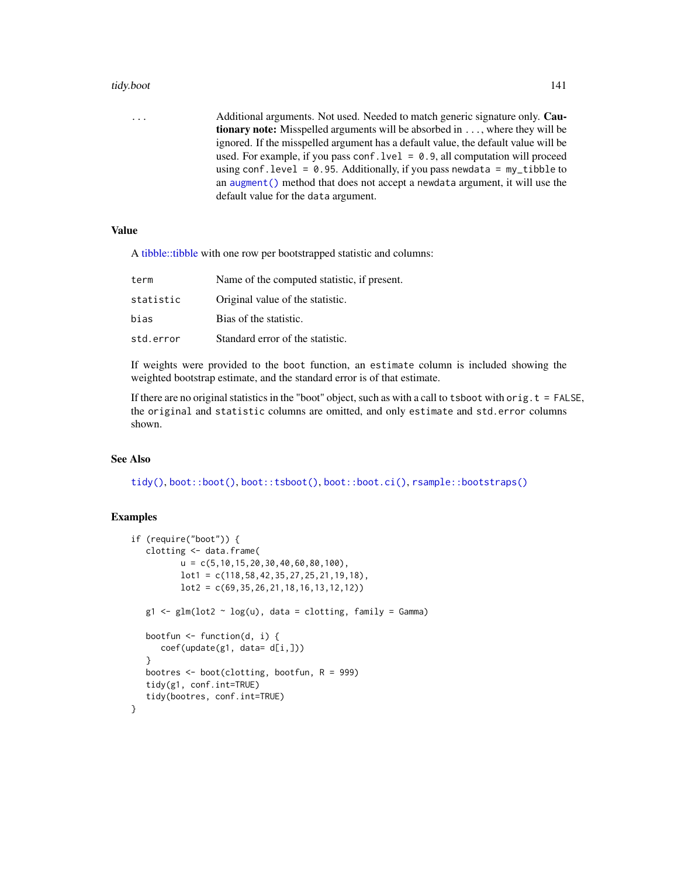#### tidy.boot 141

... Additional arguments. Not used. Needed to match generic signature only. **Cau**tionary note: Misspelled arguments will be absorbed in ..., where they will be ignored. If the misspelled argument has a default value, the default value will be used. For example, if you pass conf.  $level = 0.9$ , all computation will proceed using conf.level =  $0.95$ . Additionally, if you pass newdata =  $my\_tibble$  to an [augment\(\)](#page-0-0) method that does not accept a newdata argument, it will use the default value for the data argument.

## Value

A [tibble::tibble](#page-0-0) with one row per bootstrapped statistic and columns:

| term      | Name of the computed statistic, if present. |
|-----------|---------------------------------------------|
| statistic | Original value of the statistic.            |
| bias      | Bias of the statistic.                      |
| std.error | Standard error of the statistic.            |

If weights were provided to the boot function, an estimate column is included showing the weighted bootstrap estimate, and the standard error is of that estimate.

If there are no original statistics in the "boot" object, such as with a call to tsboot with orig.t = FALSE, the original and statistic columns are omitted, and only estimate and std.error columns shown.

#### See Also

[tidy\(\)](#page-0-0), [boot::boot\(\)](#page-0-0), [boot::tsboot\(\)](#page-0-0), [boot::boot.ci\(\)](#page-0-0), [rsample::bootstraps\(\)](#page-0-0)

## Examples

```
if (require("boot")) {
   clotting <- data.frame(
          u = c(5, 10, 15, 20, 30, 40, 60, 80, 100),
          lot1 = c(118, 58, 42, 35, 27, 25, 21, 19, 18),lot2 = c(69,35,26,21,18,16,13,12,12))
   g1 \leq-g \text{Im}(\text{lot2} \sim \text{log}(u)), data = clotting, family = Gamma)
   bootfun <- function(d, i) {
      coef(update(g1, data= d[i,]))
   }
   bootres <- boot(clotting, bootfun, R = 999)
   tidy(g1, conf.int=TRUE)
   tidy(bootres, conf.int=TRUE)
}
```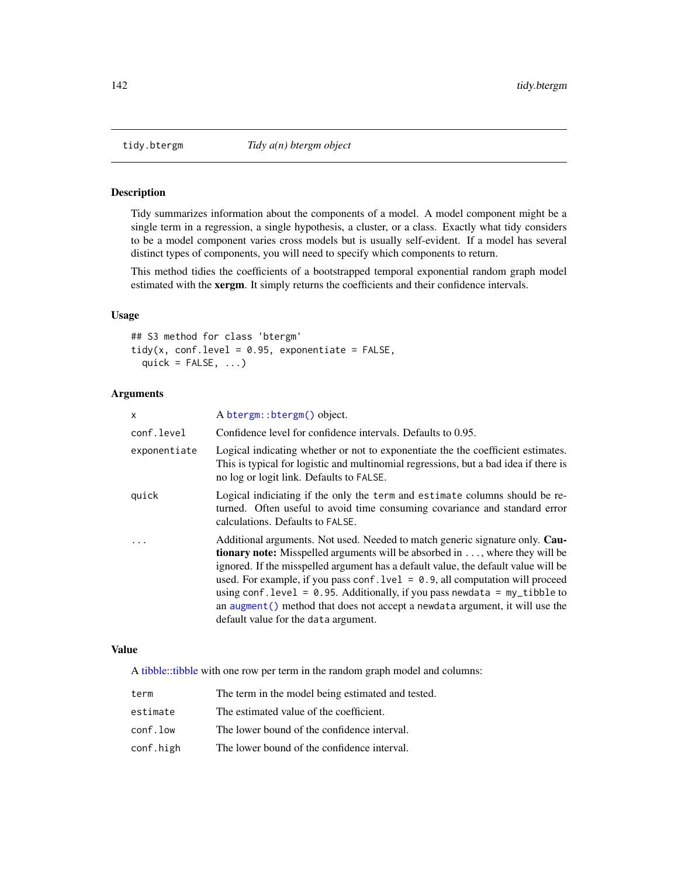## Description

Tidy summarizes information about the components of a model. A model component might be a single term in a regression, a single hypothesis, a cluster, or a class. Exactly what tidy considers to be a model component varies cross models but is usually self-evident. If a model has several distinct types of components, you will need to specify which components to return.

This method tidies the coefficients of a bootstrapped temporal exponential random graph model estimated with the xergm. It simply returns the coefficients and their confidence intervals.

## Usage

```
## S3 method for class 'btergm'
tidy(x, conf.level = 0.95, exponentiate = FALSE,
  quick = FALSE, ...
```
# Arguments

| X            | A btergm::btergm() object.                                                                                                                                                                                                                                                                                                                                                                                                                                                                                                                                 |
|--------------|------------------------------------------------------------------------------------------------------------------------------------------------------------------------------------------------------------------------------------------------------------------------------------------------------------------------------------------------------------------------------------------------------------------------------------------------------------------------------------------------------------------------------------------------------------|
| conf.level   | Confidence level for confidence intervals. Defaults to 0.95.                                                                                                                                                                                                                                                                                                                                                                                                                                                                                               |
| exponentiate | Logical indicating whether or not to exponentiate the the coefficient estimates.<br>This is typical for logistic and multinomial regressions, but a bad idea if there is<br>no log or logit link. Defaults to FALSE.                                                                                                                                                                                                                                                                                                                                       |
| quick        | Logical indiciating if the only the term and estimate columns should be re-<br>turned. Often useful to avoid time consuming covariance and standard error<br>calculations. Defaults to FALSE.                                                                                                                                                                                                                                                                                                                                                              |
| $\cdot$      | Additional arguments. Not used. Needed to match generic signature only. Cau-<br><b>tionary note:</b> Misspelled arguments will be absorbed in , where they will be<br>ignored. If the misspelled argument has a default value, the default value will be<br>used. For example, if you pass conf. $1$ ve $1 = 0.9$ , all computation will proceed<br>using conf. level = $0.95$ . Additionally, if you pass newdata = my_tibble to<br>an augment () method that does not accept a newdata argument, it will use the<br>default value for the data argument. |

## Value

A [tibble::tibble](#page-0-0) with one row per term in the random graph model and columns:

| term      | The term in the model being estimated and tested. |
|-----------|---------------------------------------------------|
| estimate  | The estimated value of the coefficient.           |
| conf.low  | The lower bound of the confidence interval.       |
| conf.high | The lower bound of the confidence interval.       |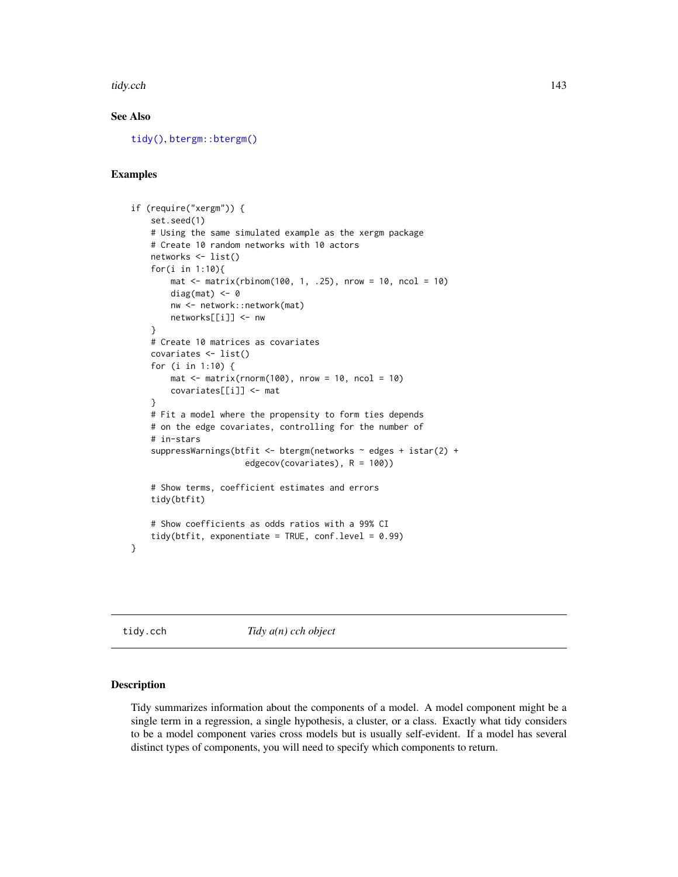tidy.cch 143

# See Also

[tidy\(\)](#page-0-0), [btergm::btergm\(\)](#page-0-0)

#### Examples

```
if (require("xergm")) {
   set.seed(1)
   # Using the same simulated example as the xergm package
   # Create 10 random networks with 10 actors
   networks <- list()
   for(i in 1:10){
       mat \le matrix(rbinom(100, 1, .25), nrow = 10, ncol = 10)
       diag(mat) <-0nw <- network::network(mat)
       networks[[i]] <- nw
   }
   # Create 10 matrices as covariates
   covariates <- list()
   for (i in 1:10) {
       mat < - matrix(rnorm(100), nrow = 10, ncol = 10)covariates[[i]] <- mat
   }
   # Fit a model where the propensity to form ties depends
   # on the edge covariates, controlling for the number of
   # in-stars
   suppressWarnings(btfit <- btergm(networks ~ edges + istar(2) +
                      edgecov(covariates), R = 100))
   # Show terms, coefficient estimates and errors
   tidy(btfit)
   # Show coefficients as odds ratios with a 99% CI
   tidy(btfit, exponentiate = TRUE, conf.level = 0.99)
```
}

<span id="page-142-0"></span>tidy.cch *Tidy a(n) cch object*

#### Description

Tidy summarizes information about the components of a model. A model component might be a single term in a regression, a single hypothesis, a cluster, or a class. Exactly what tidy considers to be a model component varies cross models but is usually self-evident. If a model has several distinct types of components, you will need to specify which components to return.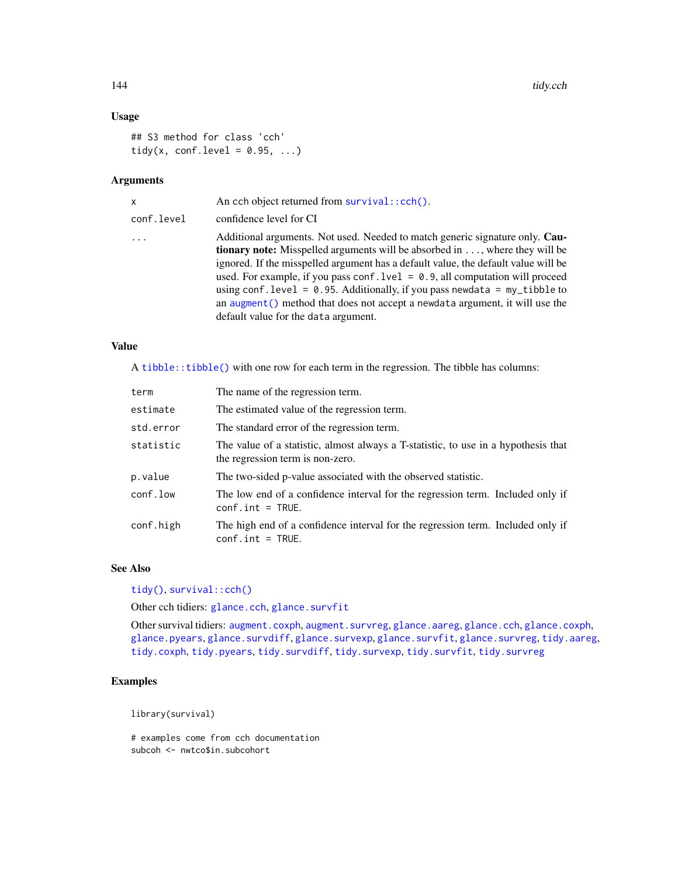# Usage

```
## S3 method for class 'cch'
tidy(x, conf.level = 0.95, ...)
```
# Arguments

| x          | An cch object returned from survival::cch().                                                                                                                                                                                                                                                                                                                                                                                                                                                                                                                  |
|------------|---------------------------------------------------------------------------------------------------------------------------------------------------------------------------------------------------------------------------------------------------------------------------------------------------------------------------------------------------------------------------------------------------------------------------------------------------------------------------------------------------------------------------------------------------------------|
| conf.level | confidence level for CI                                                                                                                                                                                                                                                                                                                                                                                                                                                                                                                                       |
| $\cdots$   | Additional arguments. Not used. Needed to match generic signature only. Cau-<br><b>tionary note:</b> Misspelled arguments will be absorbed in , where they will be<br>ignored. If the misspelled argument has a default value, the default value will be<br>used. For example, if you pass conf. $1$ ve $1 = 0.9$ , all computation will proceed<br>using conf. level = $0.95$ . Additionally, if you pass newdata = $my$ _tibble to<br>an augment () method that does not accept a newdata argument, it will use the<br>default value for the data argument. |

## Value

A [tibble::tibble\(\)](#page-0-0) with one row for each term in the regression. The tibble has columns:

| term      | The name of the regression term.                                                                                       |
|-----------|------------------------------------------------------------------------------------------------------------------------|
| estimate  | The estimated value of the regression term.                                                                            |
| std.error | The standard error of the regression term.                                                                             |
| statistic | The value of a statistic, almost always a T-statistic, to use in a hypothesis that<br>the regression term is non-zero. |
| p.value   | The two-sided p-value associated with the observed statistic.                                                          |
| conf.low  | The low end of a confidence interval for the regression term. Included only if<br>$conf.int = TRUE.$                   |
| conf.high | The high end of a confidence interval for the regression term. Included only if<br>$conf.int = TRUE.$                  |

# See Also

[tidy\(\)](#page-0-0), [survival::cch\(\)](#page-0-0)

Other cch tidiers: [glance.cch](#page-65-0), [glance.survfit](#page-106-0)

Other survival tidiers: [augment.coxph](#page-7-0), [augment.survreg](#page-46-0), [glance.aareg](#page-59-0), [glance.cch](#page-65-0), [glance.coxph](#page-66-0), [glance.pyears](#page-97-0), [glance.survdiff](#page-104-0), [glance.survexp](#page-105-0), [glance.survfit](#page-106-0), [glance.survreg](#page-107-0), [tidy.aareg](#page-126-0), [tidy.coxph](#page-148-0), [tidy.pyears](#page-216-0), [tidy.survdiff](#page-229-0), [tidy.survexp](#page-230-0), [tidy.survfit](#page-231-0), [tidy.survreg](#page-233-0)

# Examples

library(survival)

# examples come from cch documentation subcoh <- nwtco\$in.subcohort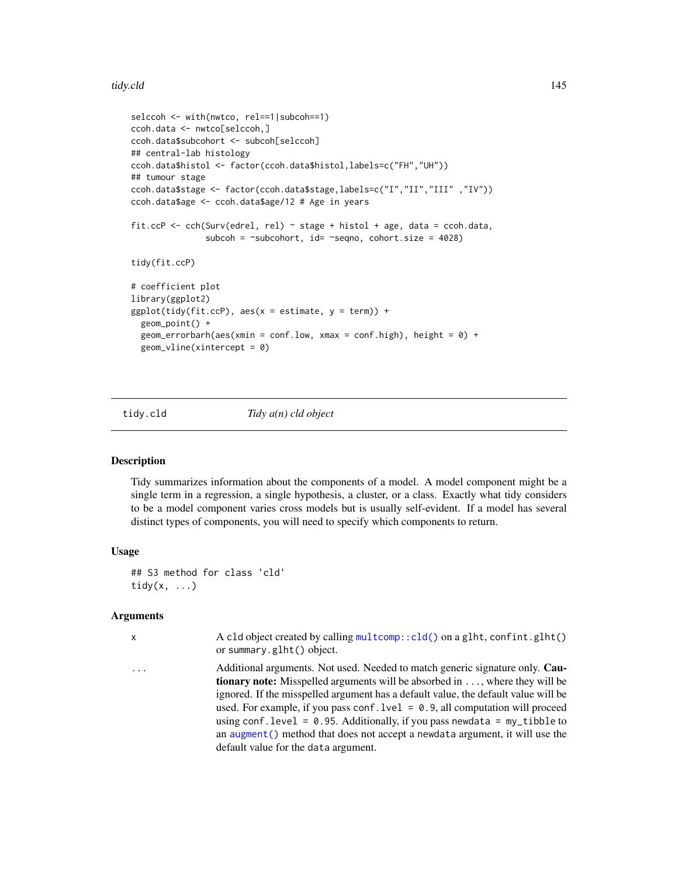#### tidy.cld 145

```
selccoh <- with(nwtco, rel==1|subcoh==1)
ccoh.data <- nwtco[selccoh,]
ccoh.data$subcohort <- subcoh[selccoh]
## central-lab histology
ccoh.data$histol <- factor(ccoh.data$histol,labels=c("FH","UH"))
## tumour stage
ccoh.data$stage <- factor(ccoh.data$stage,labels=c("I","II","III" ,"IV"))
ccoh.data$age <- ccoh.data$age/12 # Age in years
fit.ccP <- cch(Surv(edrel, rel) ~ stage + histol + age, data = ccoh.data,
               subcoh = \simsubcohort, id= \simseqno, cohort.size = 4028)
tidy(fit.ccP)
# coefficient plot
library(ggplot2)
ggplot(tidy(fit.ccP), aes(x = estimate, y = term)) +geom_point() +
 geom_errorbarh(aes(xmin = conf.low, xmax = conf.high), height = \theta) +
 geom_vline(xintercept = 0)
```
<span id="page-144-0"></span>

tidy.cld *Tidy a(n) cld object*

#### Description

Tidy summarizes information about the components of a model. A model component might be a single term in a regression, a single hypothesis, a cluster, or a class. Exactly what tidy considers to be a model component varies cross models but is usually self-evident. If a model has several distinct types of components, you will need to specify which components to return.

#### Usage

## S3 method for class 'cld' tidy $(x, \ldots)$ 

#### Arguments

x A cld object created by calling [multcomp::cld\(\)](#page-0-0) on a glht, confint.glht() or summary.glht() object.

... Additional arguments. Not used. Needed to match generic signature only. Cautionary note: Misspelled arguments will be absorbed in ..., where they will be ignored. If the misspelled argument has a default value, the default value will be used. For example, if you pass conf.  $level = 0.9$ , all computation will proceed using conf.level =  $0.95$ . Additionally, if you pass newdata = my\_tibble to an [augment\(\)](#page-0-0) method that does not accept a newdata argument, it will use the default value for the data argument.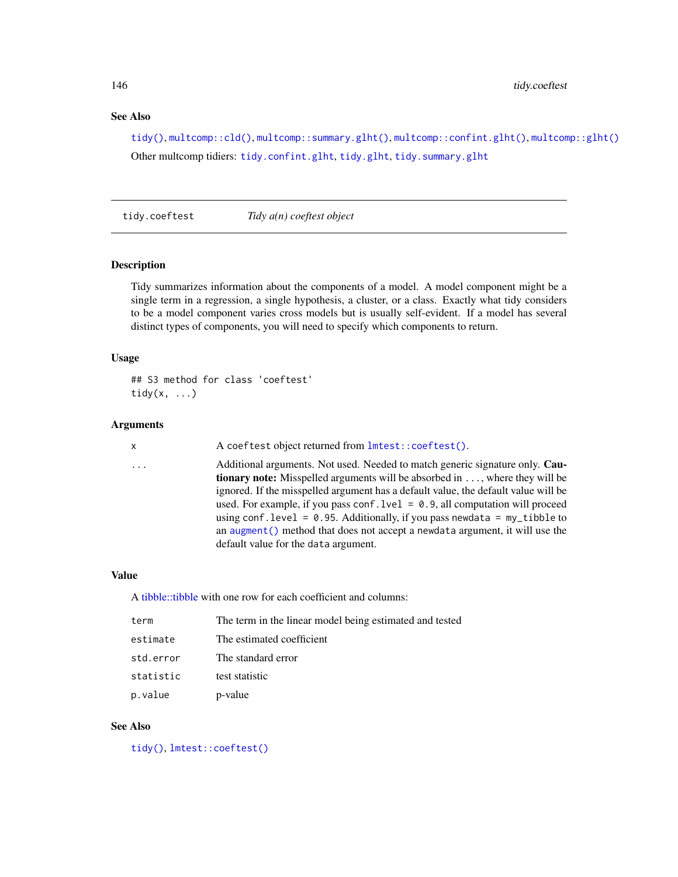# See Also

[tidy\(\)](#page-0-0), [multcomp::cld\(\)](#page-0-0), [multcomp::summary.glht\(\)](#page-0-0), [multcomp::confint.glht\(\)](#page-0-0), [multcomp::glht\(\)](#page-0-0) Other multcomp tidiers: [tidy.confint.glht](#page-146-0), [tidy.glht](#page-167-0), [tidy.summary.glht](#page-228-0)

tidy.coeftest *Tidy a(n) coeftest object*

#### Description

Tidy summarizes information about the components of a model. A model component might be a single term in a regression, a single hypothesis, a cluster, or a class. Exactly what tidy considers to be a model component varies cross models but is usually self-evident. If a model has several distinct types of components, you will need to specify which components to return.

#### Usage

## S3 method for class 'coeftest' tidy $(x, \ldots)$ 

#### Arguments

A coeftest object returned from [lmtest::coeftest\(\)](#page-0-0).

... Additional arguments. Not used. Needed to match generic signature only. Cautionary note: Misspelled arguments will be absorbed in ..., where they will be ignored. If the misspelled argument has a default value, the default value will be used. For example, if you pass conf.  $level = 0.9$ , all computation will proceed using conf.level =  $0.95$ . Additionally, if you pass newdata = my\_tibble to an [augment\(\)](#page-0-0) method that does not accept a newdata argument, it will use the default value for the data argument.

#### Value

A [tibble::tibble](#page-0-0) with one row for each coefficient and columns:

| term      | The term in the linear model being estimated and tested |
|-----------|---------------------------------------------------------|
| estimate  | The estimated coefficient                               |
| std.error | The standard error                                      |
| statistic | test statistic                                          |
| p.value   | p-value                                                 |

# See Also

[tidy\(\)](#page-0-0), [lmtest::coeftest\(\)](#page-0-0)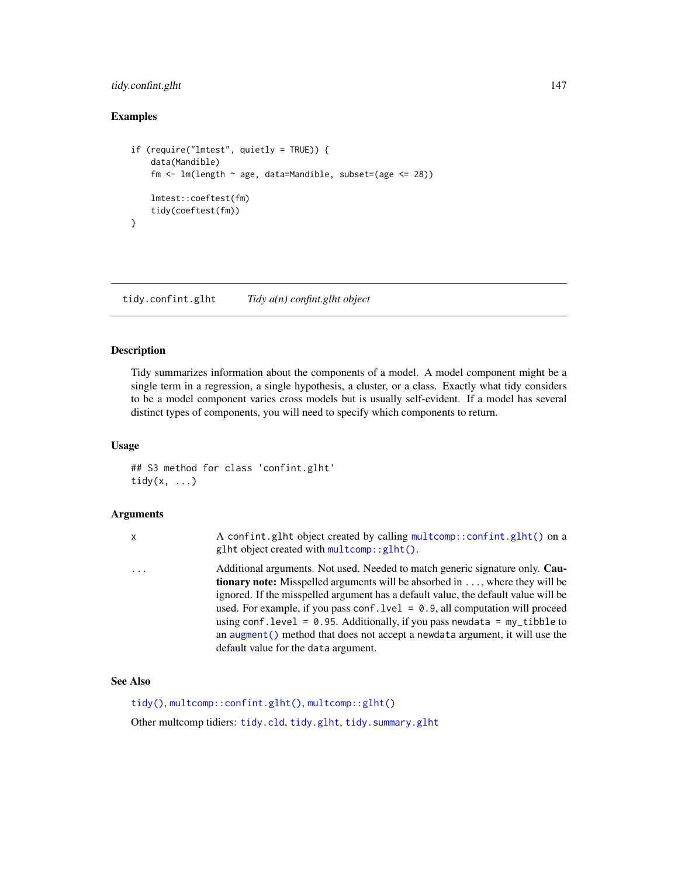# tidy.confint.glht 147

# Examples

```
if (require("lmtest", quietly = TRUE)) {
    data(Mandible)
    fm \leq lm(length \sim age, data=Mandible, subset=(age \leq 28))
    lmtest::coeftest(fm)
    tidy(coeftest(fm))
}
```
<span id="page-146-0"></span>tidy.confint.glht *Tidy a(n) confint.glht object*

## Description

Tidy summarizes information about the components of a model. A model component might be a single term in a regression, a single hypothesis, a cluster, or a class. Exactly what tidy considers to be a model component varies cross models but is usually self-evident. If a model has several distinct types of components, you will need to specify which components to return.

# Usage

## S3 method for class 'confint.glht' tidy $(x, \ldots)$ 

### Arguments

| x        | A confint.glht object created by calling multcomp::confint.glht() on a<br>$g$ ht object created with multcomp:: $g$ lht().                                               |
|----------|--------------------------------------------------------------------------------------------------------------------------------------------------------------------------|
| $\cdots$ | Additional arguments. Not used. Needed to match generic signature only. Cau-<br><b>tionary note:</b> Misspelled arguments will be absorbed in , where they will be       |
|          | ignored. If the misspelled argument has a default value, the default value will be                                                                                       |
|          | used. For example, if you pass conf. $1$ ve $1 = 0.9$ , all computation will proceed<br>using conf. level = $0.95$ . Additionally, if you pass newdata = $my$ _tibble to |
|          | an augment () method that does not accept a newdata argument, it will use the                                                                                            |

#### See Also

[tidy\(\)](#page-0-0), [multcomp::confint.glht\(\)](#page-0-0), [multcomp::glht\(\)](#page-0-0) Other multcomp tidiers: [tidy.cld](#page-144-0), [tidy.glht](#page-167-0), [tidy.summary.glht](#page-228-0)

default value for the data argument.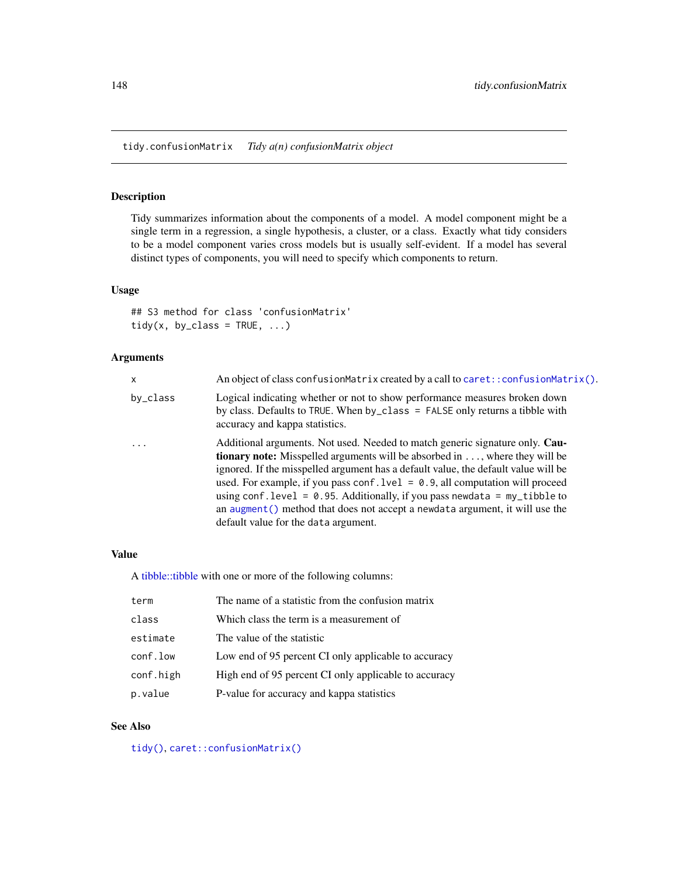tidy.confusionMatrix *Tidy a(n) confusionMatrix object*

## Description

Tidy summarizes information about the components of a model. A model component might be a single term in a regression, a single hypothesis, a cluster, or a class. Exactly what tidy considers to be a model component varies cross models but is usually self-evident. If a model has several distinct types of components, you will need to specify which components to return.

## Usage

## S3 method for class 'confusionMatrix'  $tidy(x, by_{class} = TRUE, ...)$ 

# Arguments

| x                 | An object of class confusion Matrix created by a call to caret: : confusion Matrix().                                                                                                                                                                                                                                                                                                                                                                                                                                                                     |
|-------------------|-----------------------------------------------------------------------------------------------------------------------------------------------------------------------------------------------------------------------------------------------------------------------------------------------------------------------------------------------------------------------------------------------------------------------------------------------------------------------------------------------------------------------------------------------------------|
| by_class          | Logical indicating whether or not to show performance measures broken down<br>by class. Defaults to TRUE. When $by_c$ class = FALSE only returns a tibble with<br>accuracy and kappa statistics.                                                                                                                                                                                                                                                                                                                                                          |
| $\cdot\cdot\cdot$ | Additional arguments. Not used. Needed to match generic signature only. Cau-<br><b>tionary note:</b> Misspelled arguments will be absorbed in , where they will be<br>ignored. If the misspelled argument has a default value, the default value will be<br>used. For example, if you pass conf. $1$ vel = 0.9, all computation will proceed<br>using conf.level = $0.95$ . Additionally, if you pass newdata = $my_t$ tibble to<br>an augment () method that does not accept a newdata argument, it will use the<br>default value for the data argument. |

## Value

A [tibble::tibble](#page-0-0) with one or more of the following columns:

| term      | The name of a statistic from the confusion matrix     |
|-----------|-------------------------------------------------------|
| class     | Which class the term is a measurement of              |
| estimate  | The value of the statistic                            |
| conf.low  | Low end of 95 percent CI only applicable to accuracy  |
| conf.high | High end of 95 percent CI only applicable to accuracy |
| p.value   | P-value for accuracy and kappa statistics             |

# See Also

[tidy\(\)](#page-0-0), [caret::confusionMatrix\(\)](#page-0-0)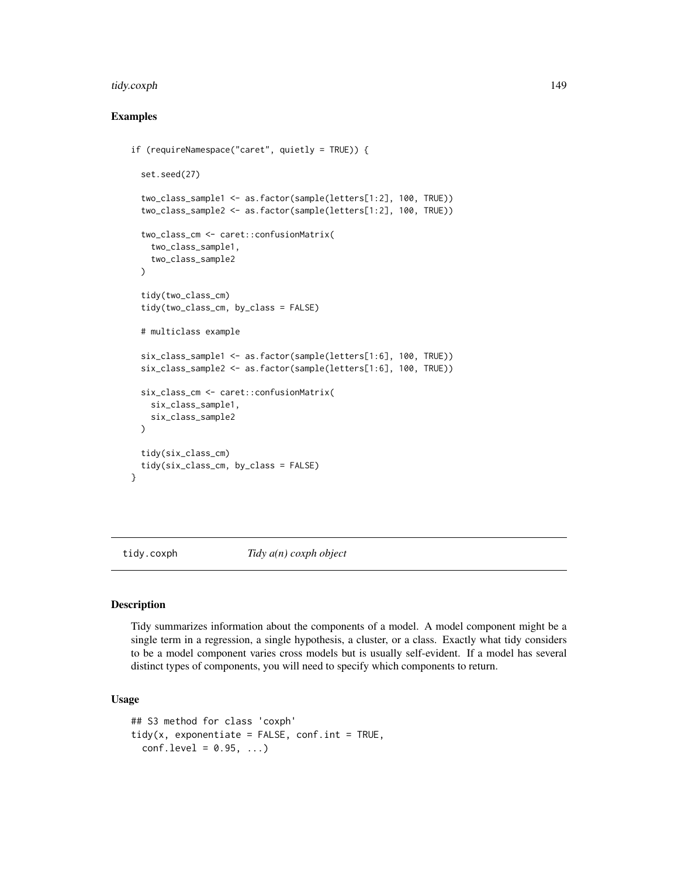#### tidy.coxph 149

# Examples

```
if (requireNamespace("caret", quietly = TRUE)) {
 set.seed(27)
 two_class_sample1 <- as.factor(sample(letters[1:2], 100, TRUE))
 two_class_sample2 <- as.factor(sample(letters[1:2], 100, TRUE))
 two_class_cm <- caret::confusionMatrix(
   two_class_sample1,
   two_class_sample2
 \lambdatidy(two_class_cm)
 tidy(two_class_cm, by_class = FALSE)
 # multiclass example
 six_class_sample1 <- as.factor(sample(letters[1:6], 100, TRUE))
 six_class_sample2 <- as.factor(sample(letters[1:6], 100, TRUE))
 six_class_cm <- caret::confusionMatrix(
   six_class_sample1,
   six_class_sample2
 )
 tidy(six_class_cm)
 tidy(six_class_cm, by_class = FALSE)
}
```
tidy.coxph *Tidy a(n) coxph object*

#### Description

Tidy summarizes information about the components of a model. A model component might be a single term in a regression, a single hypothesis, a cluster, or a class. Exactly what tidy considers to be a model component varies cross models but is usually self-evident. If a model has several distinct types of components, you will need to specify which components to return.

# Usage

```
## S3 method for class 'coxph'
tidy(x, exponentiate = FALSE, conf.int = TRUE,conf. level = 0.95, ...
```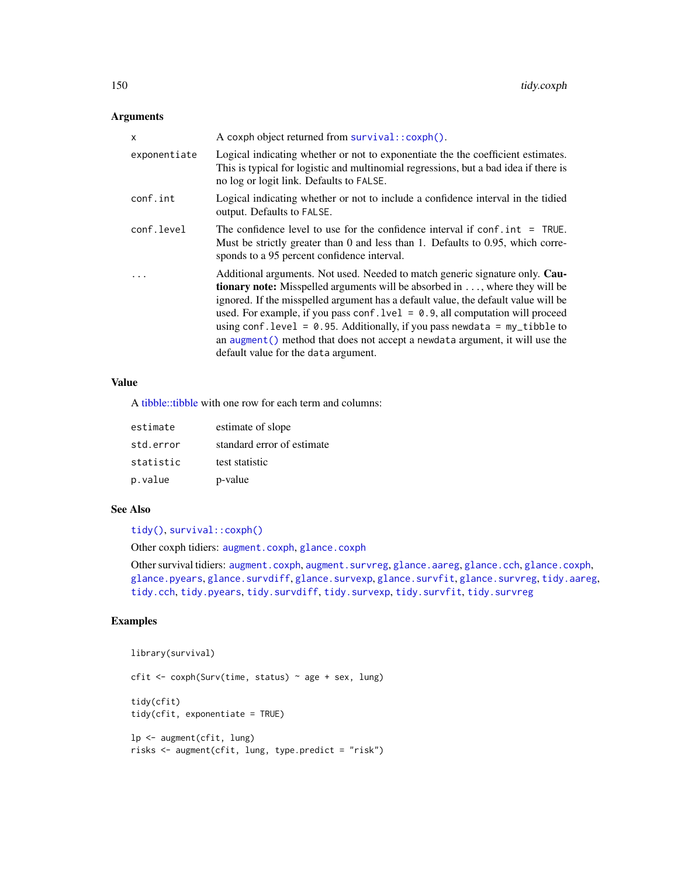# Arguments

| x            | A coxph object returned from $survival$ : $coxph()$ .                                                                                                                                                                                                                                                                                                                                                                                                                                                                                                          |
|--------------|----------------------------------------------------------------------------------------------------------------------------------------------------------------------------------------------------------------------------------------------------------------------------------------------------------------------------------------------------------------------------------------------------------------------------------------------------------------------------------------------------------------------------------------------------------------|
| exponentiate | Logical indicating whether or not to exponentiate the the coefficient estimates.<br>This is typical for logistic and multinomial regressions, but a bad idea if there is<br>no log or logit link. Defaults to FALSE.                                                                                                                                                                                                                                                                                                                                           |
| conf.int     | Logical indicating whether or not to include a confidence interval in the tidied<br>output. Defaults to FALSE.                                                                                                                                                                                                                                                                                                                                                                                                                                                 |
| conf.level   | The confidence level to use for the confidence interval if $\text{conf.int} = \text{TRUE}$ .<br>Must be strictly greater than 0 and less than 1. Defaults to 0.95, which corre-<br>sponds to a 95 percent confidence interval.                                                                                                                                                                                                                                                                                                                                 |
| .            | Additional arguments. Not used. Needed to match generic signature only. Cau-<br><b>tionary note:</b> Misspelled arguments will be absorbed in , where they will be<br>ignored. If the misspelled argument has a default value, the default value will be<br>used. For example, if you pass conf. $1$ ve $1 = 0.9$ , all computation will proceed<br>using conf. level = $0.95$ . Additionally, if you pass newdata = $my_t$ tibble to<br>an augment () method that does not accept a newdata argument, it will use the<br>default value for the data argument. |

## Value

A [tibble::tibble](#page-0-0) with one row for each term and columns:

| estimate  | estimate of slope          |
|-----------|----------------------------|
| std.error | standard error of estimate |
| statistic | test statistic             |
| p.value   | p-value                    |

## See Also

[tidy\(\)](#page-0-0), [survival::coxph\(\)](#page-0-0)

Other coxph tidiers: [augment.coxph](#page-7-0), [glance.coxph](#page-66-0)

Other survival tidiers: [augment.coxph](#page-7-0), [augment.survreg](#page-46-0), [glance.aareg](#page-59-0), [glance.cch](#page-65-0), [glance.coxph](#page-66-0), [glance.pyears](#page-97-0), [glance.survdiff](#page-104-0), [glance.survexp](#page-105-0), [glance.survfit](#page-106-0), [glance.survreg](#page-107-0), [tidy.aareg](#page-126-0), [tidy.cch](#page-142-0), [tidy.pyears](#page-216-0), [tidy.survdiff](#page-229-0), [tidy.survexp](#page-230-0), [tidy.survfit](#page-231-0), [tidy.survreg](#page-233-0)

```
library(survival)
cfit \leq coxph(Surv(time, status) \sim age + sex, lung)
tidy(cfit)
tidy(cfit, exponentiate = TRUE)
lp <- augment(cfit, lung)
risks <- augment(cfit, lung, type.predict = "risk")
```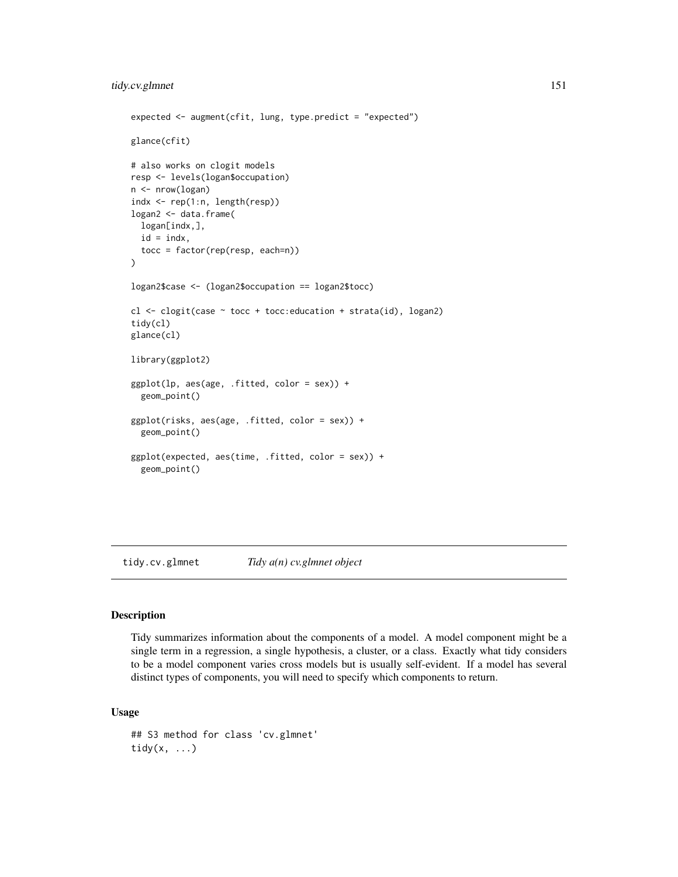# tidy.cv.glmnet 151

```
expected <- augment(cfit, lung, type.predict = "expected")
glance(cfit)
# also works on clogit models
resp <- levels(logan$occupation)
n <- nrow(logan)
indx <- rep(1:n, length(resp))
logan2 <- data.frame(
  logan[indx,],
  id = indx,tocc = factor(rep(resp, each=n))
)
logan2$case <- (logan2$occupation == logan2$tocc)
cl <- clogit(case ~ tocc + tocc:education + strata(id), logan2)
tidy(cl)
glance(cl)
library(ggplot2)
ggplot(lp, aes(age, .fitted, color = sex)) +
  geom_point()
ggplot(risks, aes(age, .fitted, color = sex)) +
  geom_point()
ggplot(expected, aes(time, .fitted, color = sex)) +
  geom_point()
```
<span id="page-150-0"></span>tidy.cv.glmnet *Tidy a(n) cv.glmnet object*

# Description

Tidy summarizes information about the components of a model. A model component might be a single term in a regression, a single hypothesis, a cluster, or a class. Exactly what tidy considers to be a model component varies cross models but is usually self-evident. If a model has several distinct types of components, you will need to specify which components to return.

## Usage

```
## S3 method for class 'cv.glmnet'
tidy(x, \ldots)
```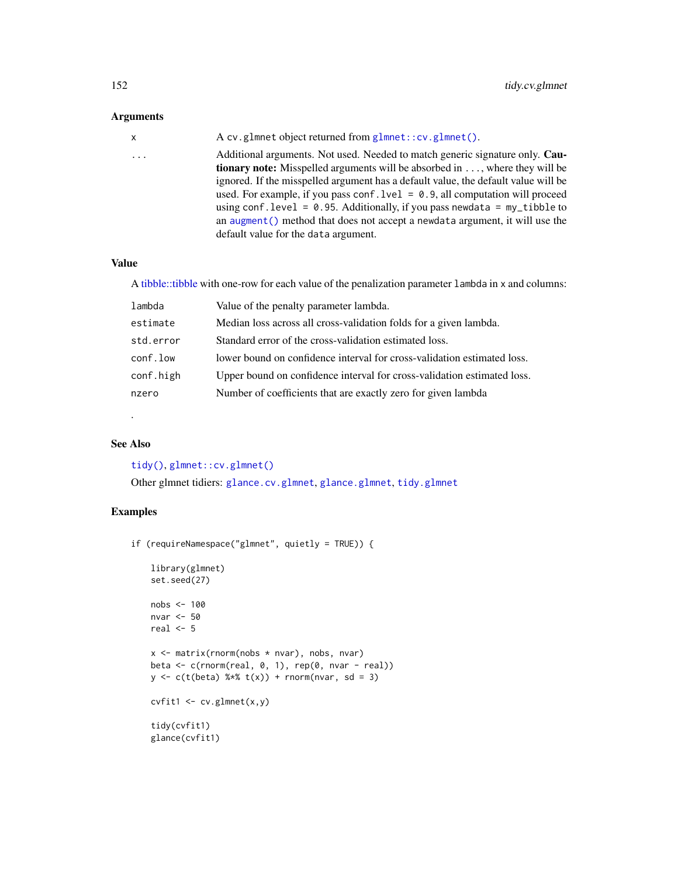# Arguments

| x | A cv.glmnet object returned from glmnet::cv.glmnet().                                  |
|---|----------------------------------------------------------------------------------------|
| . | Additional arguments. Not used. Needed to match generic signature only. Cau-           |
|   | <b>tionary note:</b> Misspelled arguments will be absorbed in , where they will be     |
|   | ignored. If the misspelled argument has a default value, the default value will be     |
|   | used. For example, if you pass conf. $1$ ve $1 = 0.9$ , all computation will proceed   |
|   | using conf. level = $\theta$ . 95. Additionally, if you pass newdata = $my$ _tibble to |
|   | an augment () method that does not accept a newdata argument, it will use the          |
|   | default value for the data argument.                                                   |
|   |                                                                                        |

## Value

A [tibble::tibble](#page-0-0) with one-row for each value of the penalization parameter lambda in x and columns:

| lambda    | Value of the penalty parameter lambda.                                  |
|-----------|-------------------------------------------------------------------------|
| estimate  | Median loss across all cross-validation folds for a given lambda.       |
| std.error | Standard error of the cross-validation estimated loss.                  |
| conf.low  | lower bound on confidence interval for cross-validation estimated loss. |
| conf.high | Upper bound on confidence interval for cross-validation estimated loss. |
| nzero     | Number of coefficients that are exactly zero for given lambda           |
|           |                                                                         |

# See Also

.

[tidy\(\)](#page-0-0), [glmnet::cv.glmnet\(\)](#page-0-0)

Other glmnet tidiers: [glance.cv.glmnet](#page-67-0), [glance.glmnet](#page-77-0), [tidy.glmnet](#page-169-0)

```
if (requireNamespace("glmnet", quietly = TRUE)) {
```

```
library(glmnet)
set.seed(27)
nobs <- 100
nvar <- 50
real <-5x <- matrix(rnorm(nobs * nvar), nobs, nvar)
beta \leq c(rnorm(real, 0, 1), rep(0, nvar - real))
y \leftarrow c(t(beta) %*% t(x)) + rnorm(nvar, sd = 3)
cvfit1 <- cv.glmnet(x,y)
tidy(cvfit1)
glance(cvfit1)
```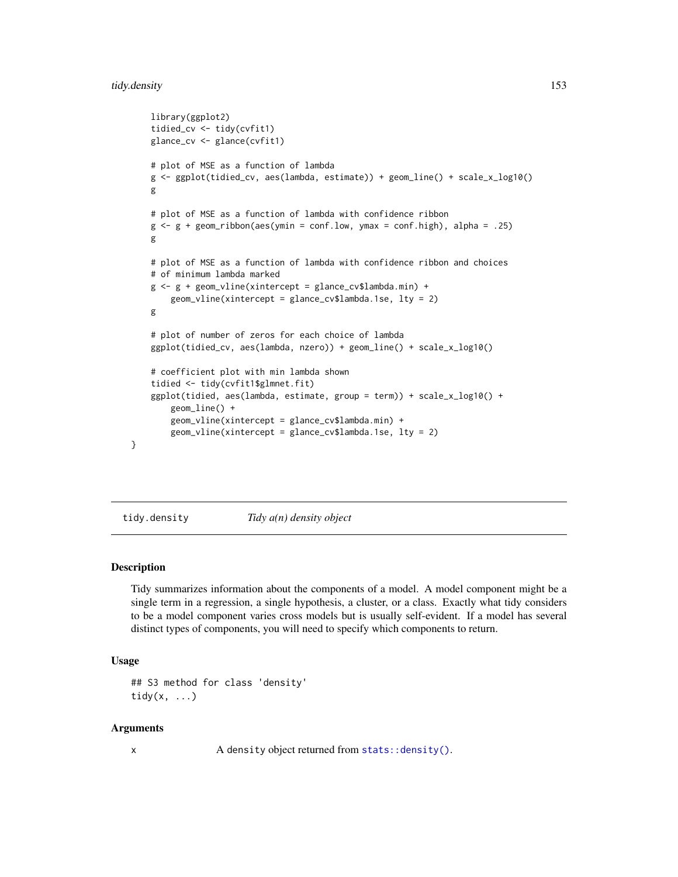#### tidy.density 153

```
library(ggplot2)
tidied_cv <- tidy(cvfit1)
glance_cv <- glance(cvfit1)
# plot of MSE as a function of lambda
g <- ggplot(tidied_cv, aes(lambda, estimate)) + geom_line() + scale_x_log10()
g
# plot of MSE as a function of lambda with confidence ribbon
g \leftarrow g + geom\_ribbon(aes(ymin = conf.lower) wmax = conf.high), alpha = .25)
g
# plot of MSE as a function of lambda with confidence ribbon and choices
# of minimum lambda marked
g \leftarrow g + geom\_vline(xintercept = glance_c v$lambda.min) +geom_vline(xintercept = glance_cv$lambda.1se, lty = 2)
g
# plot of number of zeros for each choice of lambda
ggplot(tidied_cv, aes(lambda, nzero)) + geom_line() + scale_x_log10()
# coefficient plot with min lambda shown
tidied <- tidy(cvfit1$glmnet.fit)
ggplot(tidied, aes(lambda, estimate, group = term)) + scale_x_log10() +
    geom_line() +
    geom_vline(xintercept = glance_cv$lambda.min) +
    geom_vline(xintercept = glance_cv$lambda.1se, lty = 2)
```
<span id="page-152-0"></span>tidy.density *Tidy a(n) density object*

## Description

}

Tidy summarizes information about the components of a model. A model component might be a single term in a regression, a single hypothesis, a cluster, or a class. Exactly what tidy considers to be a model component varies cross models but is usually self-evident. If a model has several distinct types of components, you will need to specify which components to return.

#### Usage

```
## S3 method for class 'density'
tidy(x, \ldots)
```
#### Arguments

x A density object returned from [stats::density\(\)](#page-0-0).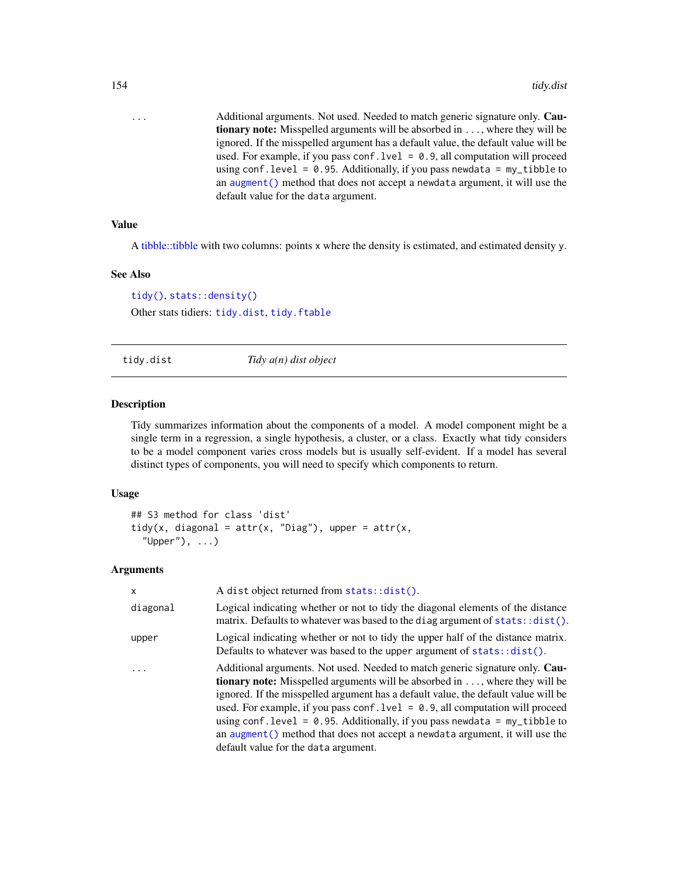... Additional arguments. Not used. Needed to match generic signature only. **Cau**tionary note: Misspelled arguments will be absorbed in ..., where they will be ignored. If the misspelled argument has a default value, the default value will be used. For example, if you pass conf.  $level = 0.9$ , all computation will proceed using conf.level =  $0.95$ . Additionally, if you pass newdata = my\_tibble to an [augment\(\)](#page-0-0) method that does not accept a newdata argument, it will use the default value for the data argument.

# Value

A [tibble::tibble](#page-0-0) with two columns: points x where the density is estimated, and estimated density y.

#### See Also

[tidy\(\)](#page-0-0), [stats::density\(\)](#page-0-0) Other stats tidiers: [tidy.dist](#page-153-0), [tidy.ftable](#page-160-0)

<span id="page-153-0"></span>tidy.dist *Tidy a(n) dist object*

## **Description**

Tidy summarizes information about the components of a model. A model component might be a single term in a regression, a single hypothesis, a cluster, or a class. Exactly what tidy considers to be a model component varies cross models but is usually self-evident. If a model has several distinct types of components, you will need to specify which components to return.

#### Usage

```
## S3 method for class 'dist'
tidy(x, diagonal = attr(x, "Diag"), upper = attr(x,
  "Upper"), \ldots)
```
#### Arguments

| x        | A dist object returned from stats::dist().                                                                                                                                                                                                                                                                                                                                                                                                                                                                                                                 |
|----------|------------------------------------------------------------------------------------------------------------------------------------------------------------------------------------------------------------------------------------------------------------------------------------------------------------------------------------------------------------------------------------------------------------------------------------------------------------------------------------------------------------------------------------------------------------|
| diagonal | Logical indicating whether or not to tidy the diagonal elements of the distance<br>matrix. Defaults to whatever was based to the diag argument of $stats:dist()$ .                                                                                                                                                                                                                                                                                                                                                                                         |
| upper    | Logical indicating whether or not to tidy the upper half of the distance matrix.<br>Defaults to whatever was based to the upper argument of $stats$ : : $dist()$ .                                                                                                                                                                                                                                                                                                                                                                                         |
| .        | Additional arguments. Not used. Needed to match generic signature only. Cau-<br><b>tionary note:</b> Misspelled arguments will be absorbed in , where they will be<br>ignored. If the misspelled argument has a default value, the default value will be<br>used. For example, if you pass conf. $1$ vel = 0.9, all computation will proceed<br>using conf. level = $0.95$ . Additionally, if you pass newdata = $my_t$ tibble to<br>an augment () method that does not accept a newdata argument, it will use the<br>default value for the data argument. |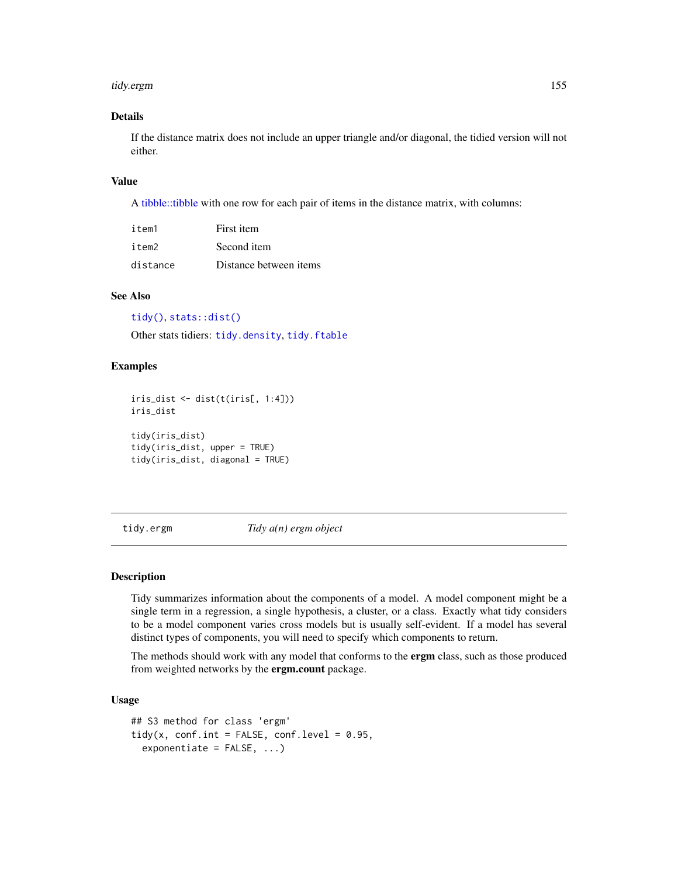#### tidy.ergm 155

# Details

If the distance matrix does not include an upper triangle and/or diagonal, the tidied version will not either.

# Value

A [tibble::tibble](#page-0-0) with one row for each pair of items in the distance matrix, with columns:

| item1    | First item             |
|----------|------------------------|
| item2    | Second item            |
| distance | Distance between items |

## See Also

[tidy\(\)](#page-0-0), [stats::dist\(\)](#page-0-0)

Other stats tidiers: [tidy.density](#page-152-0), [tidy.ftable](#page-160-0)

# Examples

```
iris_dist <- dist(t(iris[, 1:4]))
iris_dist
tidy(iris_dist)
tidy(iris_dist, upper = TRUE)
tidy(iris_dist, diagonal = TRUE)
```
tidy.ergm *Tidy a(n) ergm object*

#### Description

Tidy summarizes information about the components of a model. A model component might be a single term in a regression, a single hypothesis, a cluster, or a class. Exactly what tidy considers to be a model component varies cross models but is usually self-evident. If a model has several distinct types of components, you will need to specify which components to return.

The methods should work with any model that conforms to the **ergm** class, such as those produced from weighted networks by the ergm.count package.

# Usage

```
## S3 method for class 'ergm'
tidy(x, conf.int = FALSE, conf.level = 0.95,
 exponentiate = FALSE, ...)
```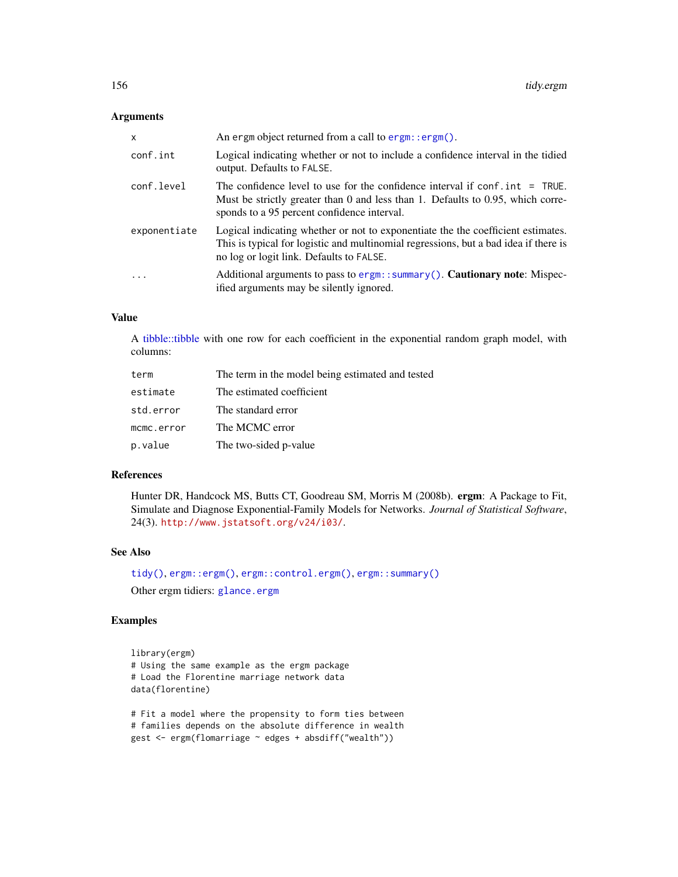# Arguments

| $\mathsf{x}$ | An ergm object returned from a call to $\epsilon$ rgm: : $\epsilon$ rgm().                                                                                                                                                     |
|--------------|--------------------------------------------------------------------------------------------------------------------------------------------------------------------------------------------------------------------------------|
| conf.int     | Logical indicating whether or not to include a confidence interval in the tidied<br>output. Defaults to FALSE.                                                                                                                 |
| conf.level   | The confidence level to use for the confidence interval if $\text{conf.int} = \text{TRUE}$ .<br>Must be strictly greater than 0 and less than 1. Defaults to 0.95, which corre-<br>sponds to a 95 percent confidence interval. |
| exponentiate | Logical indicating whether or not to exponentiate the the coefficient estimates.<br>This is typical for logistic and multinomial regressions, but a bad idea if there is<br>no log or logit link. Defaults to FALSE.           |
| $\ddots$     | Additional arguments to pass to $\epsilon$ rgm: : summary(). <b>Cautionary note</b> : Mispec-<br>ified arguments may be silently ignored.                                                                                      |

# Value

A [tibble::tibble](#page-0-0) with one row for each coefficient in the exponential random graph model, with columns:

| term       | The term in the model being estimated and tested |
|------------|--------------------------------------------------|
| estimate   | The estimated coefficient                        |
| std.error  | The standard error                               |
| mcmc.error | The MCMC error                                   |
| p.value    | The two-sided p-value                            |

# References

Hunter DR, Handcock MS, Butts CT, Goodreau SM, Morris M (2008b). ergm: A Package to Fit, Simulate and Diagnose Exponential-Family Models for Networks. *Journal of Statistical Software*, 24(3). <http://www.jstatsoft.org/v24/i03/>.

#### See Also

[tidy\(\)](#page-0-0), [ergm::ergm\(\)](#page-0-0), [ergm::control.ergm\(\)](#page-0-0), [ergm::summary\(\)](#page-0-0)

Other ergm tidiers: [glance.ergm](#page-68-0)

```
library(ergm)
# Using the same example as the ergm package
# Load the Florentine marriage network data
data(florentine)
# Fit a model where the propensity to form ties between
# families depends on the absolute difference in wealth
gest <- ergm(flomarriage ~ edges + absdiff("wealth"))
```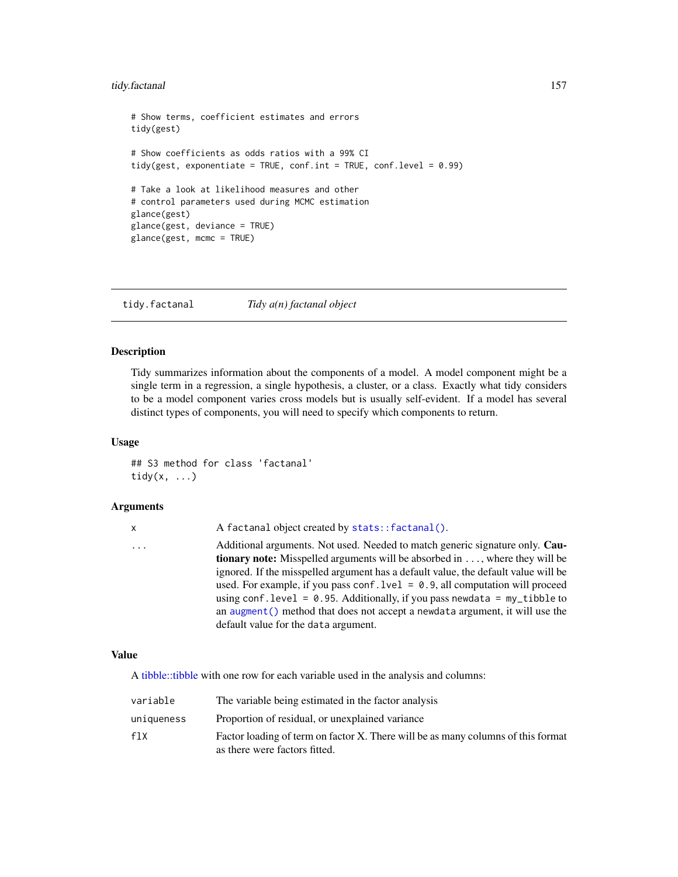# tidy.factanal 157

```
# Show terms, coefficient estimates and errors
tidy(gest)
# Show coefficients as odds ratios with a 99% CI
tidy(gest, exponentiate = TRUE, conf.int = TRUE, conf.level = 0.99)
# Take a look at likelihood measures and other
# control parameters used during MCMC estimation
glance(gest)
glance(gest, deviance = TRUE)
glance(gest, mcmc = TRUE)
```
tidy.factanal *Tidy a(n) factanal object*

## Description

Tidy summarizes information about the components of a model. A model component might be a single term in a regression, a single hypothesis, a cluster, or a class. Exactly what tidy considers to be a model component varies cross models but is usually self-evident. If a model has several distinct types of components, you will need to specify which components to return.

## Usage

## S3 method for class 'factanal' tidy $(x, \ldots)$ 

# Arguments

| x | A factanal object created by stats:: factanal().                                     |
|---|--------------------------------------------------------------------------------------|
| . | Additional arguments. Not used. Needed to match generic signature only. Cau-         |
|   | <b>tionary note:</b> Misspelled arguments will be absorbed in , where they will be   |
|   | ignored. If the misspelled argument has a default value, the default value will be   |
|   | used. For example, if you pass conf. $1$ ve $1 = 0.9$ , all computation will proceed |
|   | using conf. level = $0.95$ . Additionally, if you pass newdata = $my$ _tibble to     |
|   | an augment () method that does not accept a newdata argument, it will use the        |
|   | default value for the data argument.                                                 |

#### Value

A [tibble::tibble](#page-0-0) with one row for each variable used in the analysis and columns:

| variable   | The variable being estimated in the factor analysis                              |
|------------|----------------------------------------------------------------------------------|
| uniqueness | Proportion of residual, or unexplained variance                                  |
| f1X        | Factor loading of term on factor X. There will be as many columns of this format |
|            | as there were factors fitted.                                                    |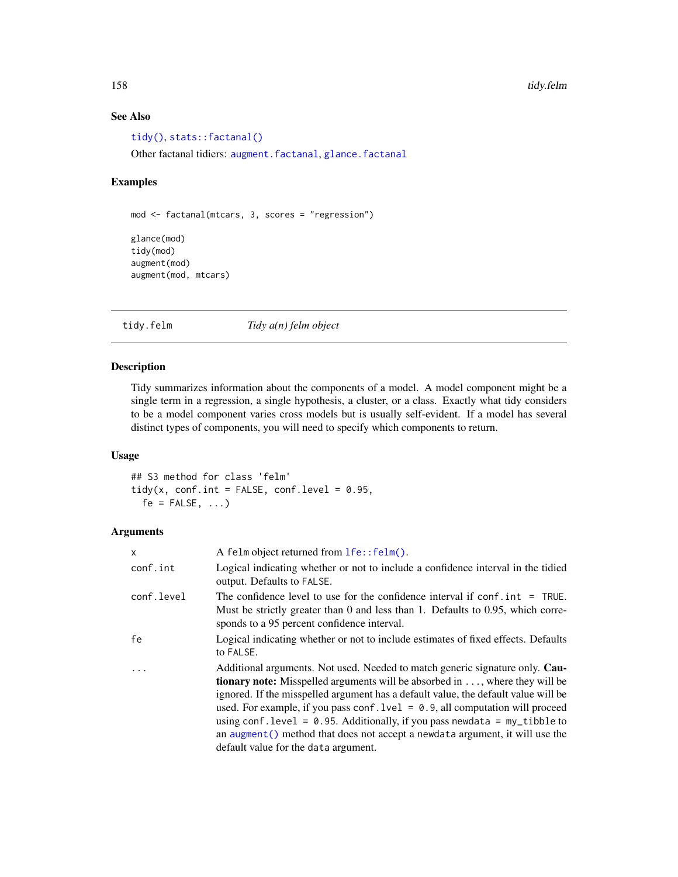# See Also

[tidy\(\)](#page-0-0), [stats::factanal\(\)](#page-0-0) Other factanal tidiers: [augment.factanal](#page-11-0), [glance.factanal](#page-69-0)

# Examples

```
mod <- factanal(mtcars, 3, scores = "regression")
glance(mod)
tidy(mod)
augment(mod)
augment(mod, mtcars)
```
tidy.felm *Tidy a(n) felm object*

## Description

Tidy summarizes information about the components of a model. A model component might be a single term in a regression, a single hypothesis, a cluster, or a class. Exactly what tidy considers to be a model component varies cross models but is usually self-evident. If a model has several distinct types of components, you will need to specify which components to return.

## Usage

## S3 method for class 'felm' tidy(x, conf.int = FALSE, conf.level =  $0.95$ ,  $fe = FALSE, ...)$ 

## Arguments

| X          | A felm object returned from $lfe::felm()$ .                                                                                                                                                                                                                                                                                                                                                                                                                                                                                                                   |
|------------|---------------------------------------------------------------------------------------------------------------------------------------------------------------------------------------------------------------------------------------------------------------------------------------------------------------------------------------------------------------------------------------------------------------------------------------------------------------------------------------------------------------------------------------------------------------|
| conf.int   | Logical indicating whether or not to include a confidence interval in the tidied<br>output. Defaults to FALSE.                                                                                                                                                                                                                                                                                                                                                                                                                                                |
| conf.level | The confidence level to use for the confidence interval if $\text{conf.int} = \text{TRUE}$ .<br>Must be strictly greater than 0 and less than 1. Defaults to 0.95, which corre-<br>sponds to a 95 percent confidence interval.                                                                                                                                                                                                                                                                                                                                |
| fe         | Logical indicating whether or not to include estimates of fixed effects. Defaults<br>to FALSE.                                                                                                                                                                                                                                                                                                                                                                                                                                                                |
| $\ddots$   | Additional arguments. Not used. Needed to match generic signature only. Cau-<br><b>tionary note:</b> Misspelled arguments will be absorbed in , where they will be<br>ignored. If the misspelled argument has a default value, the default value will be<br>used. For example, if you pass conf. $1$ ve $1 = 0.9$ , all computation will proceed<br>using conf. level = $0.95$ . Additionally, if you pass newdata = $my$ _tibble to<br>an augment () method that does not accept a newdata argument, it will use the<br>default value for the data argument. |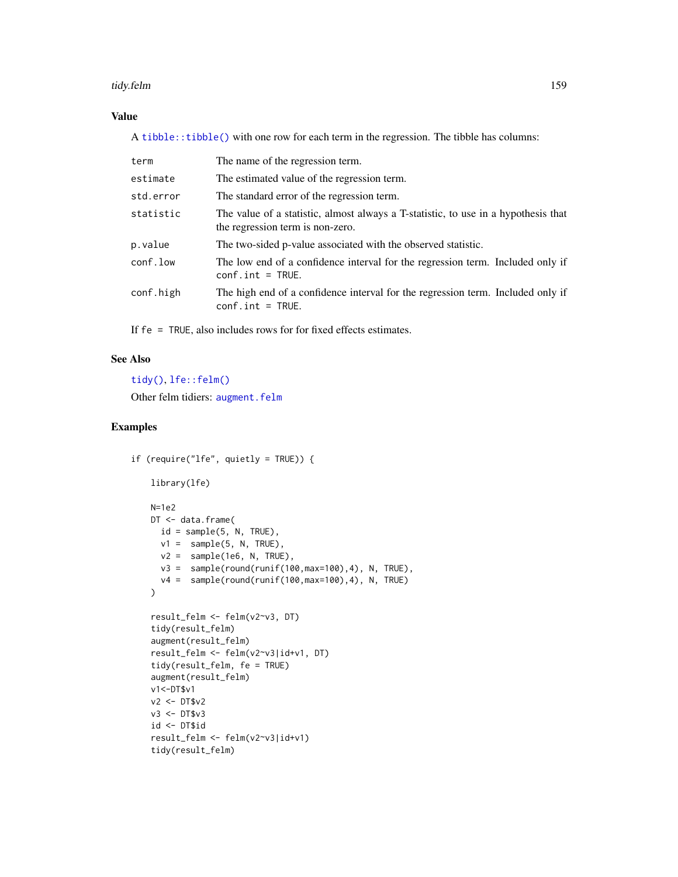#### tidy.felm 159

# Value

A [tibble::tibble\(\)](#page-0-0) with one row for each term in the regression. The tibble has columns:

| term      | The name of the regression term.                                                                                       |
|-----------|------------------------------------------------------------------------------------------------------------------------|
| estimate  | The estimated value of the regression term.                                                                            |
| std.error | The standard error of the regression term.                                                                             |
| statistic | The value of a statistic, almost always a T-statistic, to use in a hypothesis that<br>the regression term is non-zero. |
| p.value   | The two-sided p-value associated with the observed statistic.                                                          |
| conf.low  | The low end of a confidence interval for the regression term. Included only if<br>$conf.int = TRUE.$                   |
| conf.high | The high end of a confidence interval for the regression term. Included only if<br>$conf.int = TRUE.$                  |

If fe = TRUE, also includes rows for for fixed effects estimates.

# See Also

[tidy\(\)](#page-0-0), [lfe::felm\(\)](#page-0-0)

Other felm tidiers: [augment.felm](#page-13-0)

```
if (require("lfe", quietly = TRUE)) {
   library(lfe)
   N=1e2
   DT <- data.frame(
     id = sample(5, N, TRUE),
     v1 = sample(5, N, TRUE),
     v2 = sample(1e6, N, TRUE),v3 = sample(round(runif(100,max=100),4), N, TRUE),
     v4 = sample(round(runif(100,max=100),4), N, TRUE)
   )
   result_felm <- felm(v2~v3, DT)
   tidy(result_felm)
   augment(result_felm)
   result_felm <- felm(v2~v3|id+v1, DT)
   tidy(result_felm, fe = TRUE)
   augment(result_felm)
   v1<-DT$v1
   v2 <- DT$v2
   v3 <- DT$v3
   id <- DT$id
   result_felm <- felm(v2~v3|id+v1)
   tidy(result_felm)
```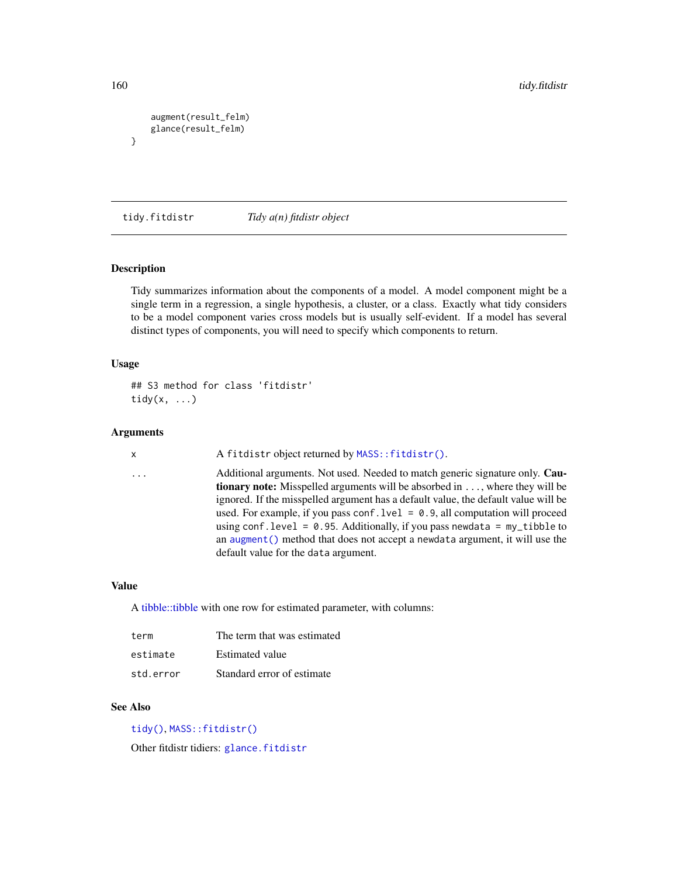```
augment(result_felm)
    glance(result_felm)
}
```
tidy.fitdistr *Tidy a(n) fitdistr object*

## **Description**

Tidy summarizes information about the components of a model. A model component might be a single term in a regression, a single hypothesis, a cluster, or a class. Exactly what tidy considers to be a model component varies cross models but is usually self-evident. If a model has several distinct types of components, you will need to specify which components to return.

#### Usage

## S3 method for class 'fitdistr' tidy $(x, \ldots)$ 

#### Arguments

x A fitdistr object returned by [MASS::fitdistr\(\)](#page-0-0).

... Additional arguments. Not used. Needed to match generic signature only. Cautionary note: Misspelled arguments will be absorbed in ..., where they will be ignored. If the misspelled argument has a default value, the default value will be used. For example, if you pass conf.  $level = 0.9$ , all computation will proceed using conf.level =  $0.95$ . Additionally, if you pass newdata = my\_tibble to an [augment\(\)](#page-0-0) method that does not accept a newdata argument, it will use the default value for the data argument.

## Value

A [tibble::tibble](#page-0-0) with one row for estimated parameter, with columns:

| term      | The term that was estimated |
|-----------|-----------------------------|
| estimate  | Estimated value             |
| std.error | Standard error of estimate  |

## See Also

[tidy\(\)](#page-0-0), [MASS::fitdistr\(\)](#page-0-0)

Other fitdistr tidiers: [glance.fitdistr](#page-72-0)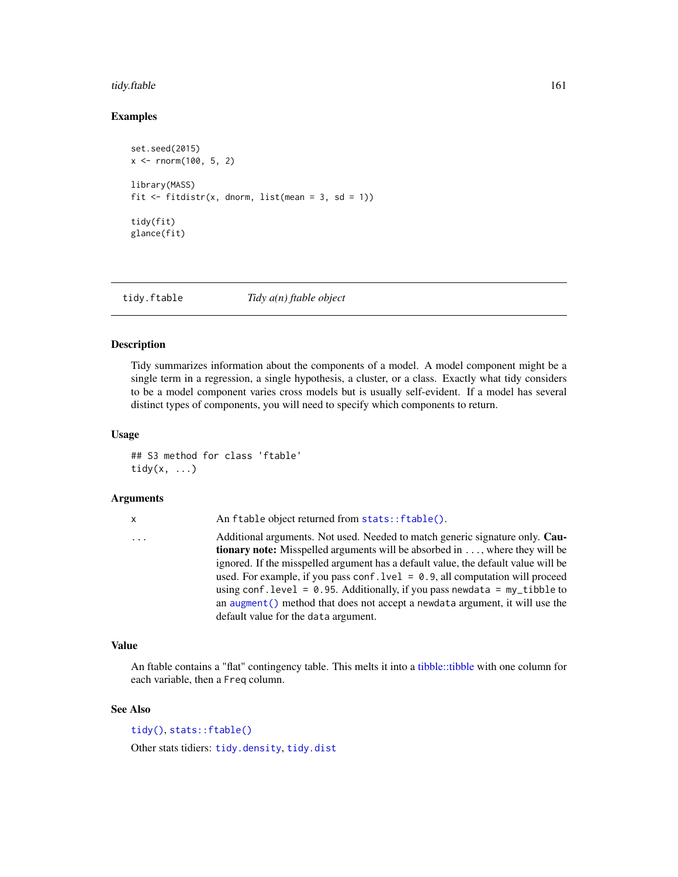#### tidy.ftable 161 and 161 and 161 and 161 and 161 and 161 and 161 and 161 and 161 and 161 and 161 and 161 and 161 and 161 and 161 and 161 and 161 and 161 and 161 and 161 and 161 and 161 and 161 and 161 and 161 and 161 and 16

# Examples

```
set.seed(2015)
x \le - rnorm(100, 5, 2)
library(MASS)
fit \le fitdistr(x, dnorm, list(mean = 3, sd = 1))
tidy(fit)
glance(fit)
```
<span id="page-160-0"></span>tidy.ftable *Tidy a(n) ftable object*

## Description

Tidy summarizes information about the components of a model. A model component might be a single term in a regression, a single hypothesis, a cluster, or a class. Exactly what tidy considers to be a model component varies cross models but is usually self-evident. If a model has several distinct types of components, you will need to specify which components to return.

#### Usage

## S3 method for class 'ftable' tidy(x, ...)

## Arguments

| X        | An ftable object returned from stats::ftable().                                                                                                                                                                                                                                                         |
|----------|---------------------------------------------------------------------------------------------------------------------------------------------------------------------------------------------------------------------------------------------------------------------------------------------------------|
| $\cdots$ | Additional arguments. Not used. Needed to match generic signature only. Cau-<br><b>tionary note:</b> Misspelled arguments will be absorbed in , where they will be<br>ignored. If the misspelled argument has a default value, the default value will be                                                |
|          | used. For example, if you pass conf. $1$ ve $1 = 0.9$ , all computation will proceed<br>using conf. level = $\theta$ . 95. Additionally, if you pass newdata = $my$ -tibble to<br>an augment () method that does not accept a newdata argument, it will use the<br>default value for the data argument. |

#### Value

An ftable contains a "flat" contingency table. This melts it into a [tibble::tibble](#page-0-0) with one column for each variable, then a Freq column.

# See Also

[tidy\(\)](#page-0-0), [stats::ftable\(\)](#page-0-0)

Other stats tidiers: [tidy.density](#page-152-0), [tidy.dist](#page-153-0)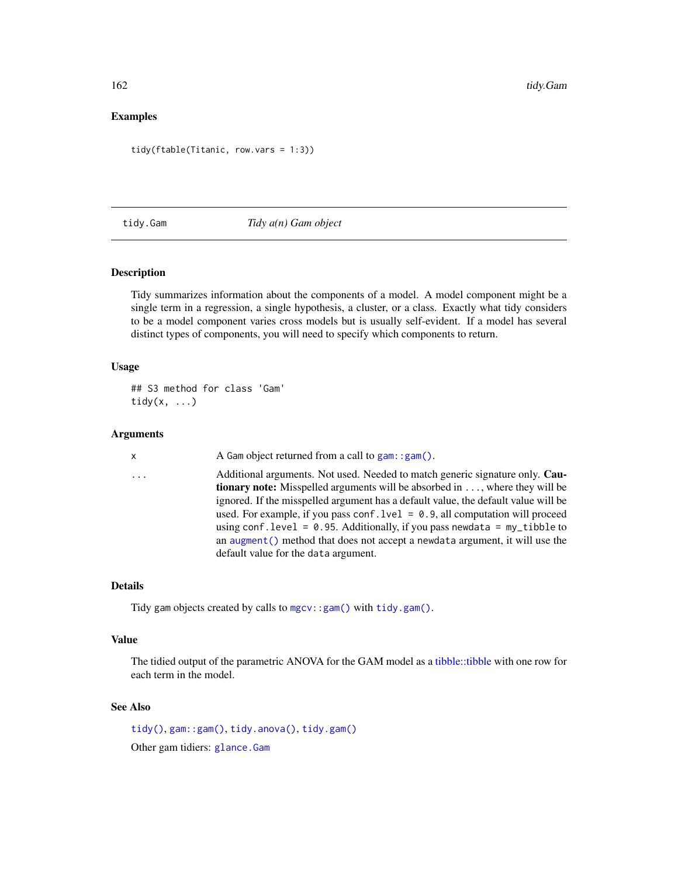# Examples

```
tidy(ftable(Titanic, row.vars = 1:3))
```
## <span id="page-161-0"></span>tidy.Gam *Tidy a(n) Gam object*

# Description

Tidy summarizes information about the components of a model. A model component might be a single term in a regression, a single hypothesis, a cluster, or a class. Exactly what tidy considers to be a model component varies cross models but is usually self-evident. If a model has several distinct types of components, you will need to specify which components to return.

# Usage

## S3 method for class 'Gam' tidy(x, ...)

## Arguments

| x        | A Gam object returned from a call to $gam$ : : $gam$ .                                                                                                             |
|----------|--------------------------------------------------------------------------------------------------------------------------------------------------------------------|
| $\cdots$ | Additional arguments. Not used. Needed to match generic signature only. Cau-<br><b>tionary note:</b> Misspelled arguments will be absorbed in , where they will be |
|          | ignored. If the misspelled argument has a default value, the default value will be                                                                                 |
|          | used. For example, if you pass conf. $1$ ve $1 = 0.9$ , all computation will proceed                                                                               |
|          | using conf. level = $0.95$ . Additionally, if you pass newdata = $my$ _tibble to                                                                                   |
|          | an augment () method that does not accept a newdata argument, it will use the                                                                                      |
|          | default value for the data argument.                                                                                                                               |

#### Details

Tidy gam objects created by calls to [mgcv::gam\(\)](#page-0-0) with [tidy.gam\(\)](#page-162-0).

## Value

The tidied output of the parametric ANOVA for the GAM model as a [tibble::tibble](#page-0-0) with one row for each term in the model.

## See Also

[tidy\(\)](#page-0-0), [gam::gam\(\)](#page-0-0), [tidy.anova\(\)](#page-128-0), [tidy.gam\(\)](#page-162-0) Other gam tidiers: [glance.Gam](#page-73-0)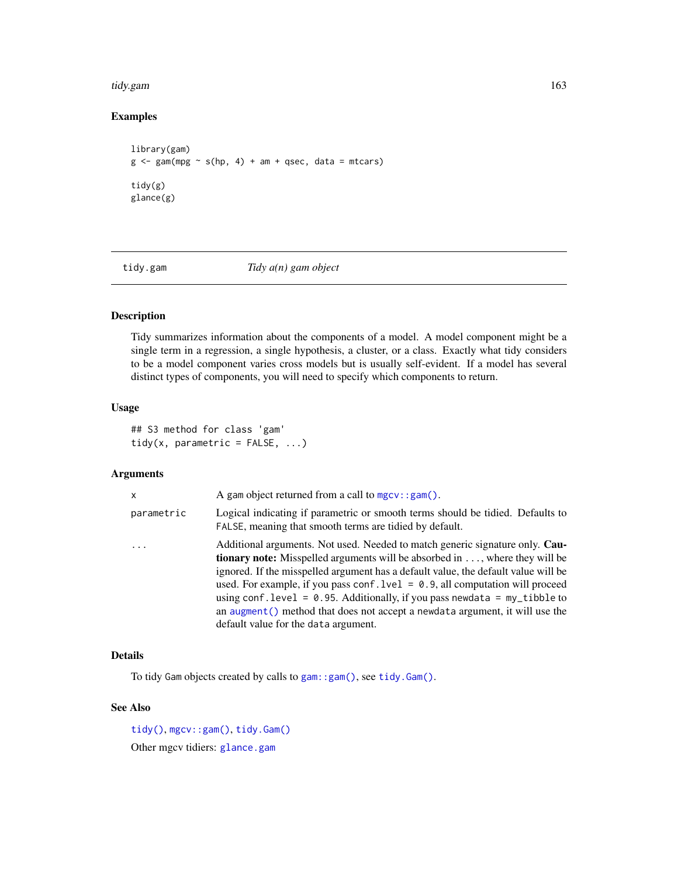#### tidy.gam 163

# Examples

```
library(gam)
g \leq-gam(mpg \sim s(hp, 4) + am + qsec, data = mtcars)tidy(g)
glance(g)
```
<span id="page-162-0"></span>tidy.gam *Tidy a(n) gam object*

# Description

Tidy summarizes information about the components of a model. A model component might be a single term in a regression, a single hypothesis, a cluster, or a class. Exactly what tidy considers to be a model component varies cross models but is usually self-evident. If a model has several distinct types of components, you will need to specify which components to return.

# Usage

## S3 method for class 'gam' tidy(x, parametric =  $FALSE, ...)$ 

# Arguments

| x          | A gam object returned from a call to $mgcv$ : : $gam()$ .                                                                                                                                                                                                                                                                                                                                                                                                                                                                                                    |
|------------|--------------------------------------------------------------------------------------------------------------------------------------------------------------------------------------------------------------------------------------------------------------------------------------------------------------------------------------------------------------------------------------------------------------------------------------------------------------------------------------------------------------------------------------------------------------|
| parametric | Logical indicating if parametric or smooth terms should be tidied. Defaults to<br>FALSE, meaning that smooth terms are tidied by default.                                                                                                                                                                                                                                                                                                                                                                                                                    |
| $\ddotsc$  | Additional arguments. Not used. Needed to match generic signature only. Cau-<br><b>tionary note:</b> Misspelled arguments will be absorbed in , where they will be<br>ignored. If the misspelled argument has a default value, the default value will be<br>used. For example, if you pass conf. $1$ ve $1 = 0.9$ , all computation will proceed<br>using conf.level = $0.95$ . Additionally, if you pass newdata = $my$ _tibble to<br>an augment () method that does not accept a newdata argument, it will use the<br>default value for the data argument. |

#### Details

To tidy Gam objects created by calls to [gam::gam\(\)](#page-0-0), see [tidy.Gam\(\)](#page-161-0).

# See Also

[tidy\(\)](#page-0-0), [mgcv::gam\(\)](#page-0-0), [tidy.Gam\(\)](#page-161-0) Other mgcv tidiers: [glance.gam](#page-74-0)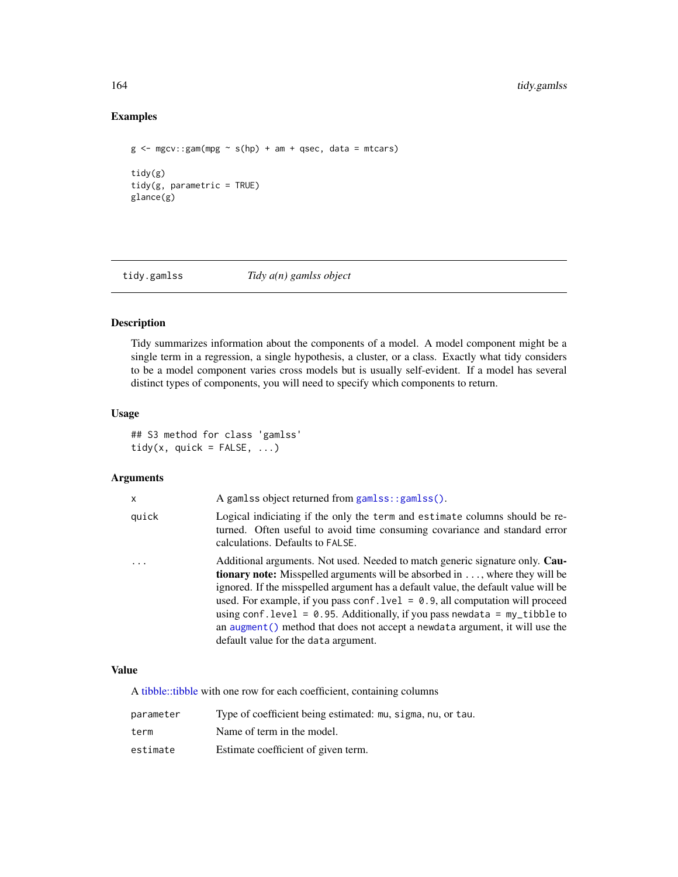# Examples

```
g \le -mgcv: :gam(mpg ~ s(hp) + am + qsec, data = mtcars)
tidy(g)
tidy(g, parametric = TRUE)
glance(g)
```
tidy.gamlss *Tidy a(n) gamlss object*

# Description

Tidy summarizes information about the components of a model. A model component might be a single term in a regression, a single hypothesis, a cluster, or a class. Exactly what tidy considers to be a model component varies cross models but is usually self-evident. If a model has several distinct types of components, you will need to specify which components to return.

## Usage

## S3 method for class 'gamlss' tidy(x, quick =  $FALSE, ...$ )

# Arguments

| x        | A gamlss object returned from gamlss::gamlss().                                                                                                                                                                                                                                                                                                                                                                                                                                                                                                               |
|----------|---------------------------------------------------------------------------------------------------------------------------------------------------------------------------------------------------------------------------------------------------------------------------------------------------------------------------------------------------------------------------------------------------------------------------------------------------------------------------------------------------------------------------------------------------------------|
| quick    | Logical indiciating if the only the term and estimate columns should be re-<br>turned. Often useful to avoid time consuming covariance and standard error<br>calculations. Defaults to FALSE.                                                                                                                                                                                                                                                                                                                                                                 |
| $\ddots$ | Additional arguments. Not used. Needed to match generic signature only. Cau-<br><b>tionary note:</b> Misspelled arguments will be absorbed in , where they will be<br>ignored. If the misspelled argument has a default value, the default value will be<br>used. For example, if you pass conf. $1$ ve $1 = 0.9$ , all computation will proceed<br>using conf. level = $0.95$ . Additionally, if you pass newdata = $my$ _tibble to<br>an augment () method that does not accept a newdata argument, it will use the<br>default value for the data argument. |

# Value

A [tibble::tibble](#page-0-0) with one row for each coefficient, containing columns

| parameter | Type of coefficient being estimated: mu, sigma, nu, or tau. |
|-----------|-------------------------------------------------------------|
| term      | Name of term in the model.                                  |
| estimate  | Estimate coefficient of given term.                         |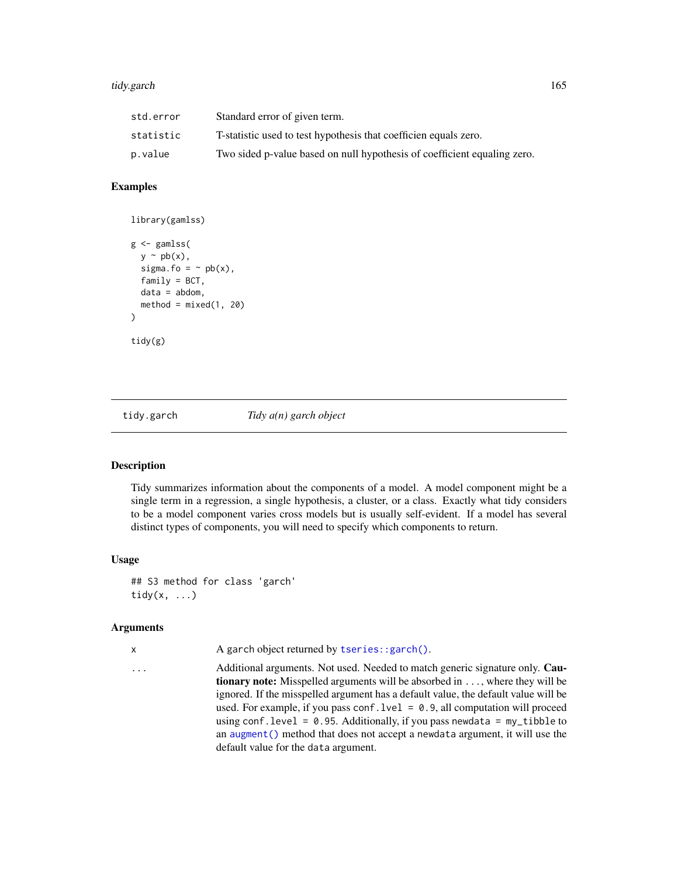#### tidy.garch 165

| std.error | Standard error of given term.                                            |
|-----------|--------------------------------------------------------------------------|
| statistic | T-statistic used to test hypothesis that coefficien equals zero.         |
| p.value   | Two sided p-value based on null hypothesis of coefficient equaling zero. |

## Examples

```
library(gamlss)
g <- gamlss(
 y \sim pb(x),
 sigma.fo = ~ pb(x),
 family = BCT,
 data = abdom,
 method = mixed(1, 20))
tidy(g)
```
tidy.garch *Tidy a(n) garch object*

#### Description

Tidy summarizes information about the components of a model. A model component might be a single term in a regression, a single hypothesis, a cluster, or a class. Exactly what tidy considers to be a model component varies cross models but is usually self-evident. If a model has several distinct types of components, you will need to specify which components to return.

## Usage

```
## S3 method for class 'garch'
tidy(x, \ldots)
```
#### Arguments

x A garch object returned by [tseries::garch\(\)](#page-0-0).

... Additional arguments. Not used. Needed to match generic signature only. Cautionary note: Misspelled arguments will be absorbed in ..., where they will be ignored. If the misspelled argument has a default value, the default value will be used. For example, if you pass conf.  $level = 0.9$ , all computation will proceed using conf.level =  $0.95$ . Additionally, if you pass newdata = my\_tibble to an [augment\(\)](#page-0-0) method that does not accept a newdata argument, it will use the default value for the data argument.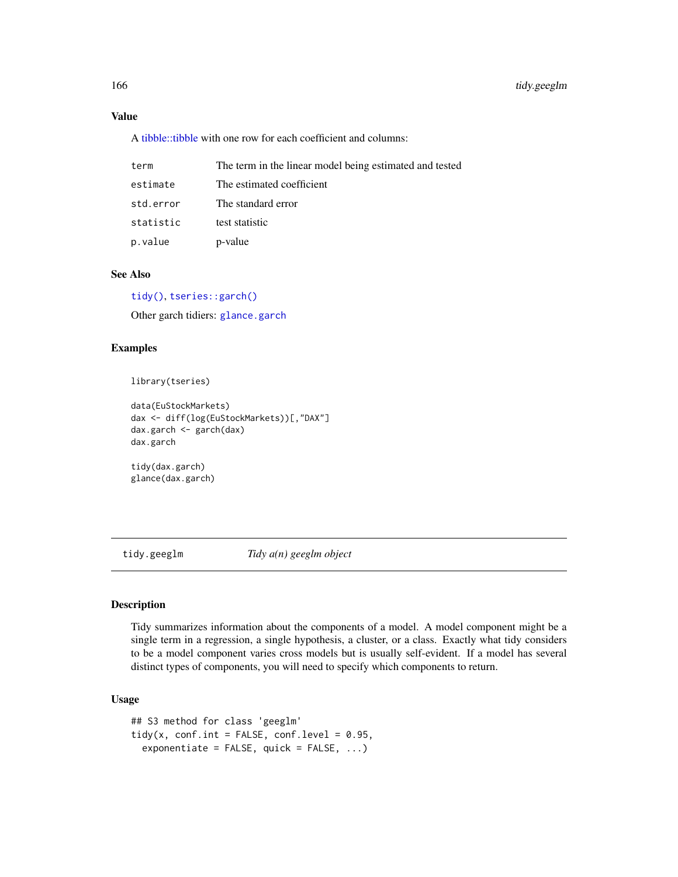## Value

A [tibble::tibble](#page-0-0) with one row for each coefficient and columns:

| term      | The term in the linear model being estimated and tested |
|-----------|---------------------------------------------------------|
| estimate  | The estimated coefficient                               |
| std.error | The standard error                                      |
| statistic | test statistic                                          |
| p.value   | p-value                                                 |

# See Also

[tidy\(\)](#page-0-0), [tseries::garch\(\)](#page-0-0)

Other garch tidiers: [glance.garch](#page-75-0)

# Examples

library(tseries)

```
data(EuStockMarkets)
dax <- diff(log(EuStockMarkets))[,"DAX"]
dax.garch <- garch(dax)
dax.garch
```

```
tidy(dax.garch)
glance(dax.garch)
```
tidy.geeglm *Tidy a(n) geeglm object*

## Description

Tidy summarizes information about the components of a model. A model component might be a single term in a regression, a single hypothesis, a cluster, or a class. Exactly what tidy considers to be a model component varies cross models but is usually self-evident. If a model has several distinct types of components, you will need to specify which components to return.

# Usage

```
## S3 method for class 'geeglm'
tidy(x, conf.int = FALSE, conf.level = 0.95,
  exponentiate = FALSE, quick = FALSE, ...)
```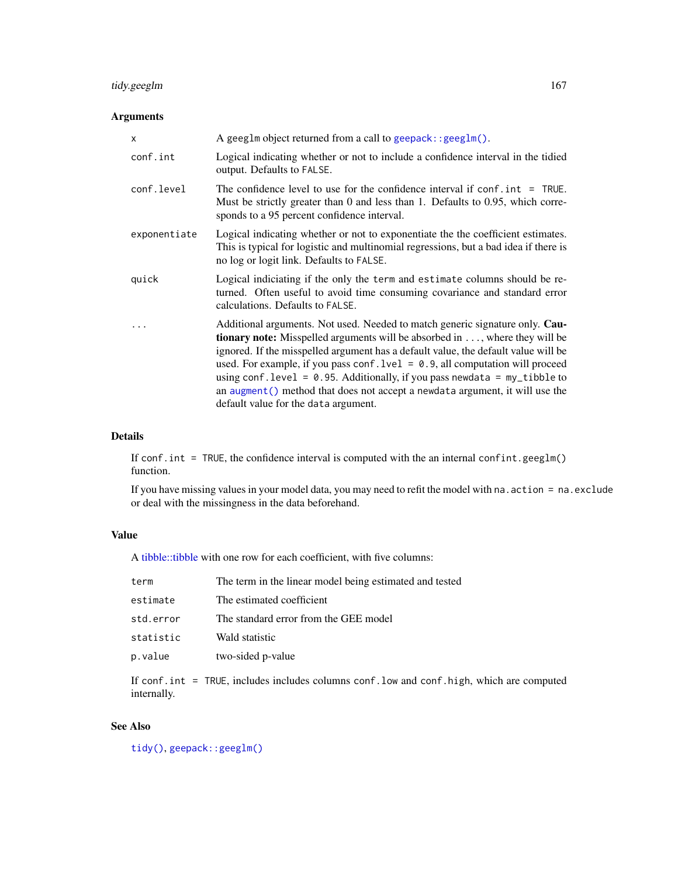# tidy.geeglm 167

# Arguments

| $\mathsf{x}$ | A geeglm object returned from a call to geepack: : $geeglm()$ .                                                                                                                                                                                                                                                                                                                                                                                                                                                                                               |
|--------------|---------------------------------------------------------------------------------------------------------------------------------------------------------------------------------------------------------------------------------------------------------------------------------------------------------------------------------------------------------------------------------------------------------------------------------------------------------------------------------------------------------------------------------------------------------------|
| conf.int     | Logical indicating whether or not to include a confidence interval in the tidied<br>output. Defaults to FALSE.                                                                                                                                                                                                                                                                                                                                                                                                                                                |
| conf.level   | The confidence level to use for the confidence interval if $\text{conf.int} = \text{TRUE}$ .<br>Must be strictly greater than 0 and less than 1. Defaults to 0.95, which corre-<br>sponds to a 95 percent confidence interval.                                                                                                                                                                                                                                                                                                                                |
| exponentiate | Logical indicating whether or not to exponentiate the the coefficient estimates.<br>This is typical for logistic and multinomial regressions, but a bad idea if there is<br>no log or logit link. Defaults to FALSE.                                                                                                                                                                                                                                                                                                                                          |
| quick        | Logical indiciating if the only the term and estimate columns should be re-<br>turned. Often useful to avoid time consuming covariance and standard error<br>calculations. Defaults to FALSE.                                                                                                                                                                                                                                                                                                                                                                 |
|              | Additional arguments. Not used. Needed to match generic signature only. Cau-<br><b>tionary note:</b> Misspelled arguments will be absorbed in , where they will be<br>ignored. If the misspelled argument has a default value, the default value will be<br>used. For example, if you pass conf. $1$ ve $1 = 0.9$ , all computation will proceed<br>using conf. level = $0.95$ . Additionally, if you pass newdata = $my$ _tibble to<br>an augment () method that does not accept a newdata argument, it will use the<br>default value for the data argument. |

## Details

If conf.int = TRUE, the confidence interval is computed with the an internal confint.geeglm() function.

If you have missing values in your model data, you may need to refit the model with na.action = na.exclude or deal with the missingness in the data beforehand.

# Value

A [tibble::tibble](#page-0-0) with one row for each coefficient, with five columns:

| term      | The term in the linear model being estimated and tested |
|-----------|---------------------------------------------------------|
| estimate  | The estimated coefficient                               |
| std.error | The standard error from the GEE model                   |
| statistic | Wald statistic                                          |
| p.value   | two-sided p-value                                       |

If conf.int = TRUE, includes includes columns conf.low and conf.high, which are computed internally.

# See Also

[tidy\(\)](#page-0-0), [geepack::geeglm\(\)](#page-0-0)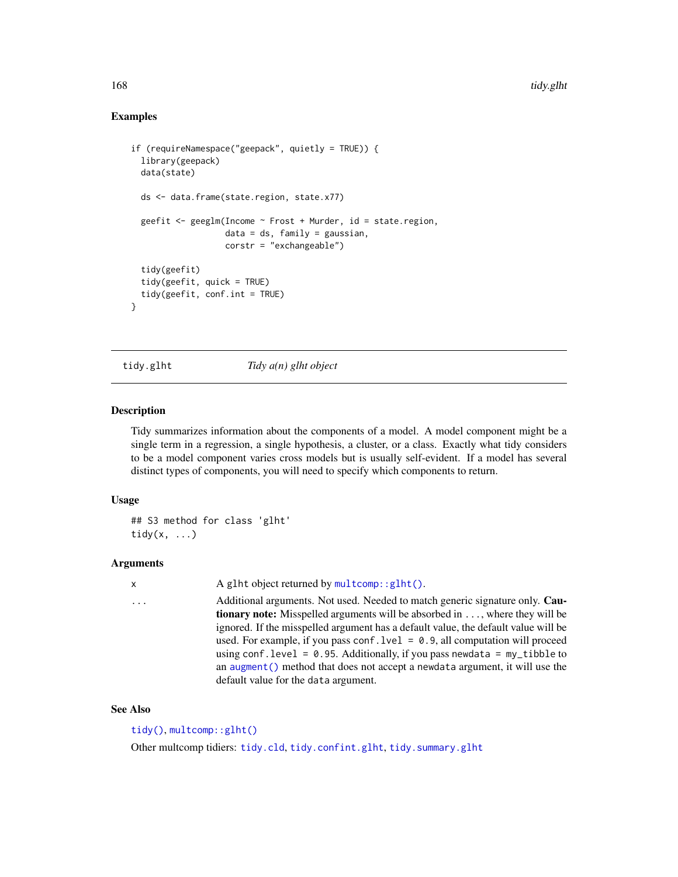## Examples

```
if (requireNamespace("geepack", quietly = TRUE)) {
 library(geepack)
 data(state)
 ds <- data.frame(state.region, state.x77)
 geefit <- geeglm(Income ~ Frost + Murder, id = state.region,
                   data = ds, family = gaussian,
                   corstr = "exchangeable")
 tidy(geefit)
 tidy(geefit, quick = TRUE)
 tidy(geefit, conf.int = TRUE)
}
```
<span id="page-167-0"></span>tidy.glht *Tidy a(n) glht object*

#### Description

Tidy summarizes information about the components of a model. A model component might be a single term in a regression, a single hypothesis, a cluster, or a class. Exactly what tidy considers to be a model component varies cross models but is usually self-evident. If a model has several distinct types of components, you will need to specify which components to return.

#### Usage

```
## S3 method for class 'glht'
tidy(x, \ldots)
```
#### Arguments

x A glht object returned by [multcomp::glht\(\)](#page-0-0).

... Additional arguments. Not used. Needed to match generic signature only. Cautionary note: Misspelled arguments will be absorbed in ..., where they will be ignored. If the misspelled argument has a default value, the default value will be used. For example, if you pass conf.  $level = 0.9$ , all computation will proceed using conf.level =  $0.95$ . Additionally, if you pass newdata = my\_tibble to an [augment\(\)](#page-0-0) method that does not accept a newdata argument, it will use the default value for the data argument.

# See Also

[tidy\(\)](#page-0-0), [multcomp::glht\(\)](#page-0-0)

Other multcomp tidiers: [tidy.cld](#page-144-0), [tidy.confint.glht](#page-146-0), [tidy.summary.glht](#page-228-0)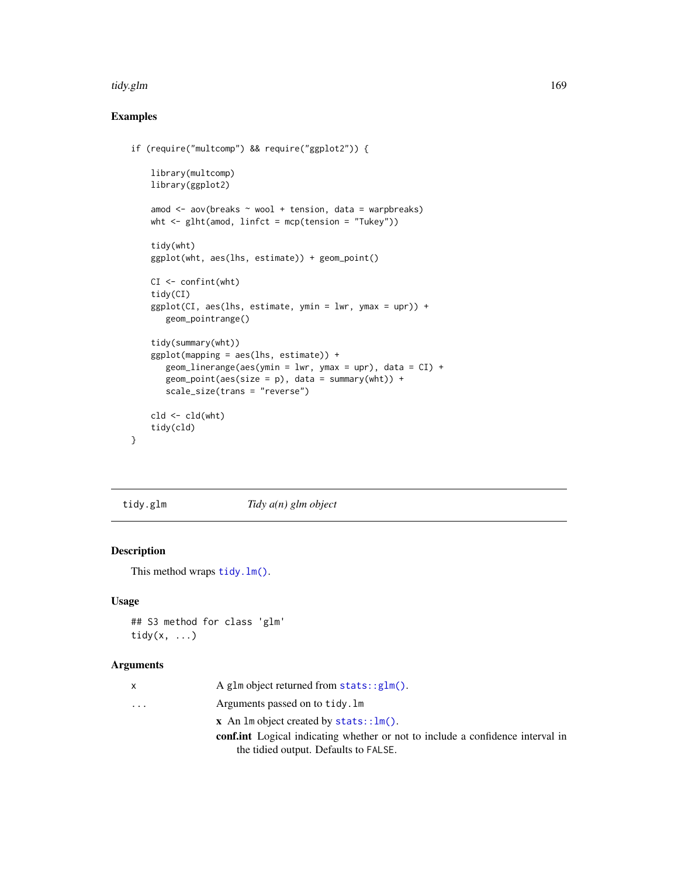#### tidy.glm 169

# Examples

```
if (require("multcomp") && require("ggplot2")) {
```

```
library(multcomp)
library(ggplot2)
amod \leq aov(breaks \sim wool + tension, data = warpbreaks)
wht \leq glht(amod, linfct = mcp(tension = "Tukey"))
tidy(wht)
ggplot(wht, aes(lhs, estimate)) + geom_point()
CI \leftarrow \text{confint}(\text{wht})tidy(CI)
ggplot(CI, aes(lhs, estimate, ymin = lwr, ymax = upr)) +
   geom_pointrange()
tidy(summary(wht))
ggplot(mapping = aes(lhs, estimate)) +
   geom_linerange(aes(ymin = lwr, ymax = upr), data = CI) +
   geom\_point(aes(size = p), data = summary(wht)) +scale_size(trans = "reverse")
cld < cld(\text{wht})tidy(cld)
```
}

tidy.glm *Tidy a(n) glm object*

# Description

This method wraps [tidy.lm\(\)](#page-185-0).

#### Usage

```
## S3 method for class 'glm'
tidy(x, \ldots)
```
## Arguments

| $\mathsf{x}$            | A glm object returned from $stats::glm()$ .                                           |
|-------------------------|---------------------------------------------------------------------------------------|
| $\cdot$ $\cdot$ $\cdot$ | Arguments passed on to tidy. Im                                                       |
|                         | $\bf{x}$ An 1m object created by stats::1m().                                         |
|                         | <b>conf.int</b> Logical indicating whether or not to include a confidence interval in |
|                         | the tidied output. Defaults to FALSE.                                                 |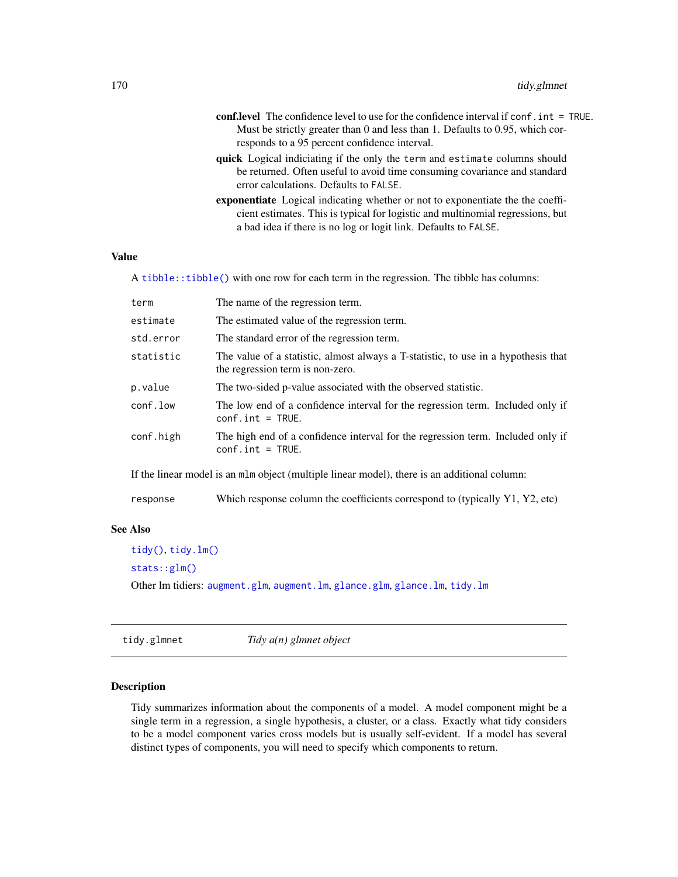- conf.level The confidence level to use for the confidence interval if conf.int = TRUE. Must be strictly greater than 0 and less than 1. Defaults to 0.95, which corresponds to a 95 percent confidence interval.
- quick Logical indiciating if the only the term and estimate columns should be returned. Often useful to avoid time consuming covariance and standard error calculations. Defaults to FALSE.
- exponentiate Logical indicating whether or not to exponentiate the the coefficient estimates. This is typical for logistic and multinomial regressions, but a bad idea if there is no log or logit link. Defaults to FALSE.

#### Value

A [tibble::tibble\(\)](#page-0-0) with one row for each term in the regression. The tibble has columns:

| term      | The name of the regression term.                                                                                       |
|-----------|------------------------------------------------------------------------------------------------------------------------|
| estimate  | The estimated value of the regression term.                                                                            |
| std.error | The standard error of the regression term.                                                                             |
| statistic | The value of a statistic, almost always a T-statistic, to use in a hypothesis that<br>the regression term is non-zero. |
| p.value   | The two-sided p-value associated with the observed statistic.                                                          |
| conf.low  | The low end of a confidence interval for the regression term. Included only if<br>$conf.int = TRUE.$                   |
| conf.high | The high end of a confidence interval for the regression term. Included only if<br>$conf.int = TRUE.$                  |
|           | If the linear model is an mlm object (multiple linear model), there is an additional column:                           |

#### response Which response column the coefficients correspond to (typically Y1, Y2, etc)

## See Also

```
tidy(), tidy.lm()
stats::glm()
Other lm tidiers: augment.glm, augment.lm, glance.glm, glance.lm, tidy.lm
```
<span id="page-169-0"></span>tidy.glmnet *Tidy a(n) glmnet object*

#### Description

Tidy summarizes information about the components of a model. A model component might be a single term in a regression, a single hypothesis, a cluster, or a class. Exactly what tidy considers to be a model component varies cross models but is usually self-evident. If a model has several distinct types of components, you will need to specify which components to return.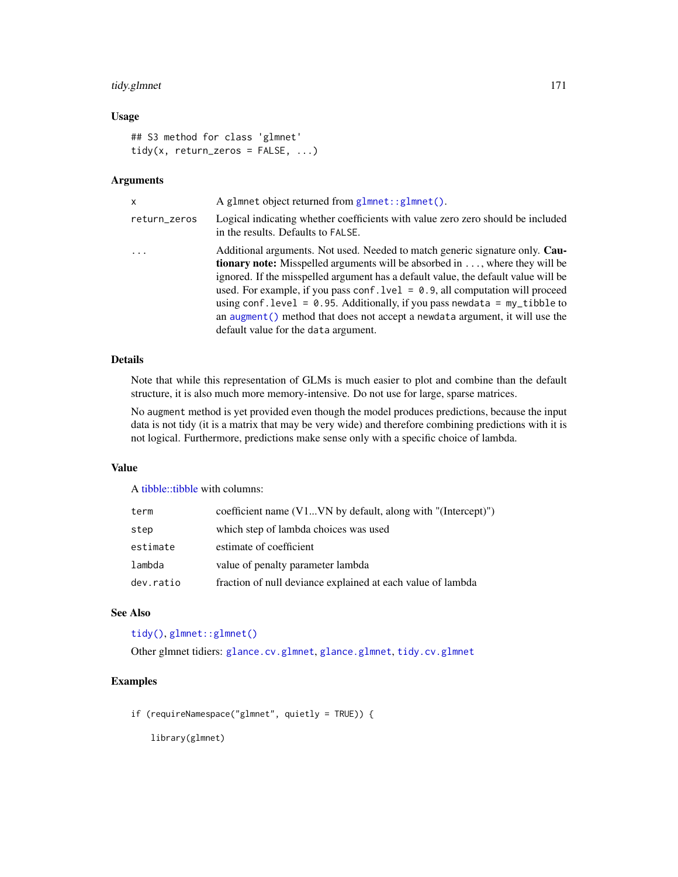# tidy.glmnet 171

## Usage

```
## S3 method for class 'glmnet'
tidy(x, return_zeros = FALSE, ...)
```
#### Arguments

| x            | A glmnet object returned from glmnet::glmnet().                                                                                                                                                                                                                                                                                                                                                                                                                                                                                                           |
|--------------|-----------------------------------------------------------------------------------------------------------------------------------------------------------------------------------------------------------------------------------------------------------------------------------------------------------------------------------------------------------------------------------------------------------------------------------------------------------------------------------------------------------------------------------------------------------|
| return_zeros | Logical indicating whether coefficients with value zero zero should be included<br>in the results. Defaults to FALSE.                                                                                                                                                                                                                                                                                                                                                                                                                                     |
| $\ddots$     | Additional arguments. Not used. Needed to match generic signature only. Cau-<br><b>tionary note:</b> Misspelled arguments will be absorbed in , where they will be<br>ignored. If the misspelled argument has a default value, the default value will be<br>used. For example, if you pass conf. $1$ vel = 0.9, all computation will proceed<br>using conf.level = $0.95$ . Additionally, if you pass newdata = $my_t$ tibble to<br>an augment () method that does not accept a newdata argument, it will use the<br>default value for the data argument. |

# Details

Note that while this representation of GLMs is much easier to plot and combine than the default structure, it is also much more memory-intensive. Do not use for large, sparse matrices.

No augment method is yet provided even though the model produces predictions, because the input data is not tidy (it is a matrix that may be very wide) and therefore combining predictions with it is not logical. Furthermore, predictions make sense only with a specific choice of lambda.

## Value

A [tibble::tibble](#page-0-0) with columns:

| term      | coefficient name (V1VN by default, along with "(Intercept)") |
|-----------|--------------------------------------------------------------|
| step      | which step of lambda choices was used                        |
| estimate  | estimate of coefficient                                      |
| lambda    | value of penalty parameter lambda                            |
| dev.ratio | fraction of null deviance explained at each value of lambda  |

# See Also

[tidy\(\)](#page-0-0), [glmnet::glmnet\(\)](#page-0-0)

Other glmnet tidiers: [glance.cv.glmnet](#page-67-0), [glance.glmnet](#page-77-0), [tidy.cv.glmnet](#page-150-0)

# Examples

if (requireNamespace("glmnet", quietly = TRUE)) {

library(glmnet)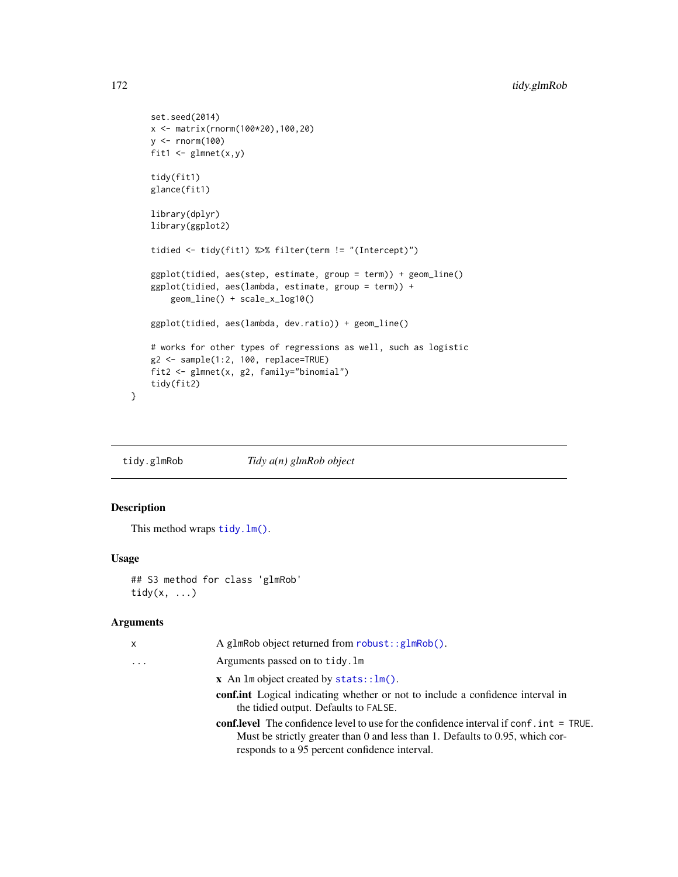```
set.seed(2014)
x <- matrix(rnorm(100*20),100,20)
y <- rnorm(100)
fit1 \leq glmnet(x,y)
tidy(fit1)
glance(fit1)
library(dplyr)
library(ggplot2)
tidied <- tidy(fit1) %>% filter(term != "(Intercept)")
ggplot(tidied, aes(step, estimate, group = term)) + geom_line()
ggplot(tidied, aes(lambda, estimate, group = term)) +
    geom_line() + scale_x_log10()
ggplot(tidied, aes(lambda, dev.ratio)) + geom_line()
# works for other types of regressions as well, such as logistic
g2 <- sample(1:2, 100, replace=TRUE)
fit2 <- glmnet(x, g2, family="binomial")
tidy(fit2)
```
tidy.glmRob *Tidy a(n) glmRob object*

# Description

}

This method wraps [tidy.lm\(\)](#page-185-0).

#### Usage

## S3 method for class 'glmRob' tidy $(x, \ldots)$ 

# Arguments

| X         | A glmRob object returned from $robust$ :: $glmRob()$ .                                                                  |
|-----------|-------------------------------------------------------------------------------------------------------------------------|
| $\ddotsc$ | Arguments passed on to tidy. Im                                                                                         |
|           | $x$ An lm object created by stats:: $lm()$ .                                                                            |
|           | conf.int Logical indicating whether or not to include a confidence interval in<br>the tidied output. Defaults to FALSE. |
|           | <b>conf.level</b> The confidence level to use for the confidence interval if conf. int = TRUE.                          |
|           | Must be strictly greater than 0 and less than 1. Defaults to 0.95, which cor-                                           |
|           | responds to a 95 percent confidence interval.                                                                           |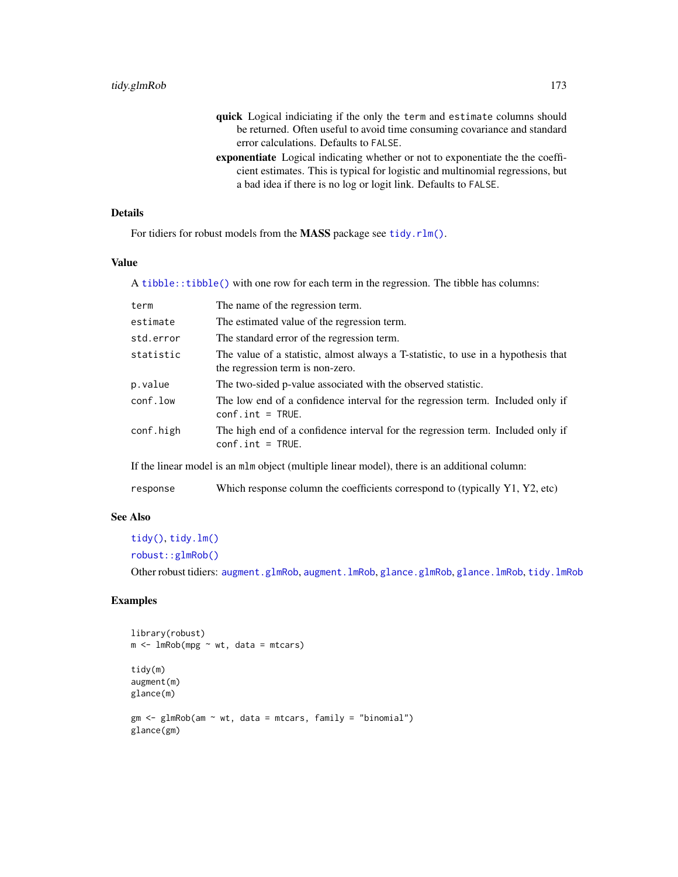- quick Logical indiciating if the only the term and estimate columns should be returned. Often useful to avoid time consuming covariance and standard error calculations. Defaults to FALSE.
- exponentiate Logical indicating whether or not to exponentiate the the coefficient estimates. This is typical for logistic and multinomial regressions, but a bad idea if there is no log or logit link. Defaults to FALSE.

# Details

For tidiers for robust models from the **MASS** package see [tidy.rlm\(\)](#page-220-0).

## Value

A [tibble::tibble\(\)](#page-0-0) with one row for each term in the regression. The tibble has columns:

| term                                                                                         | The name of the regression term.                                                                                       |
|----------------------------------------------------------------------------------------------|------------------------------------------------------------------------------------------------------------------------|
| estimate                                                                                     | The estimated value of the regression term.                                                                            |
| std.error                                                                                    | The standard error of the regression term.                                                                             |
| statistic                                                                                    | The value of a statistic, almost always a T-statistic, to use in a hypothesis that<br>the regression term is non-zero. |
| p.value                                                                                      | The two-sided p-value associated with the observed statistic.                                                          |
| conf.low                                                                                     | The low end of a confidence interval for the regression term. Included only if<br>$conf.int = TRUE.$                   |
| conf.high                                                                                    | The high end of a confidence interval for the regression term. Included only if<br>$conf.int = TRUE.$                  |
| If the linear model is an mlm object (multiple linear model), there is an additional column: |                                                                                                                        |

response Which response column the coefficients correspond to (typically Y1, Y2, etc)

# See Also

[tidy\(\)](#page-0-0), [tidy.lm\(\)](#page-185-0)

```
robust::glmRob()
```
Other robust tidiers: [augment.glmRob](#page-16-0), [augment.lmRob](#page-24-0), [glance.glmRob](#page-78-0), [glance.lmRob](#page-87-0), [tidy.lmRob](#page-189-0)

```
library(robust)
m <- lmRob(mpg \sim wt, data = mtcars)
tidy(m)
augment(m)
glance(m)
gm \leq glmRob(am \sim wt, data = mtcars, family = "binomial")glance(gm)
```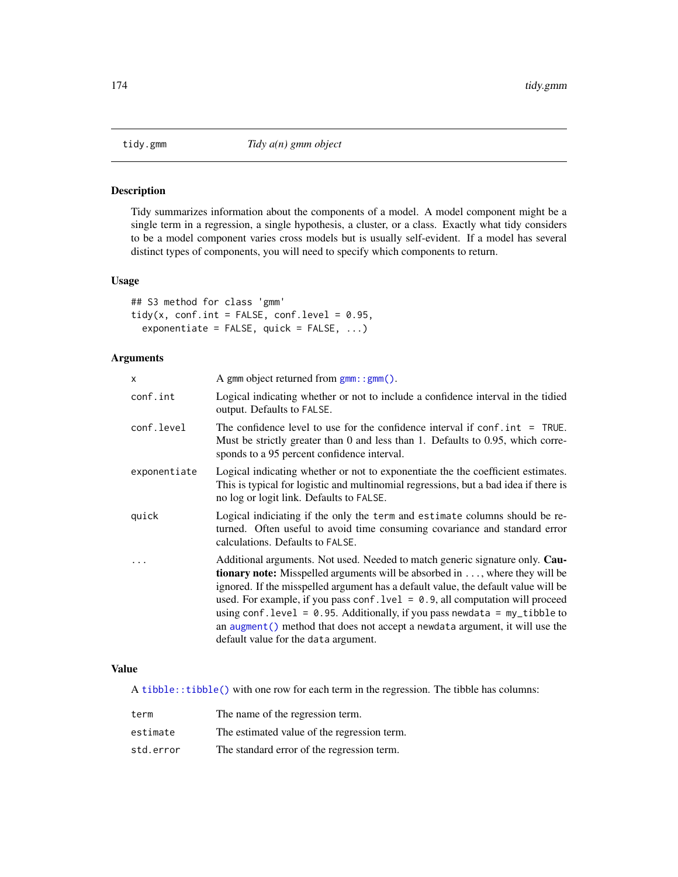# Description

Tidy summarizes information about the components of a model. A model component might be a single term in a regression, a single hypothesis, a cluster, or a class. Exactly what tidy considers to be a model component varies cross models but is usually self-evident. If a model has several distinct types of components, you will need to specify which components to return.

## Usage

```
## S3 method for class 'gmm'
tidy(x, conf.int = FALSE, conf.level = 0.95,
 exponentiate = FALSE, quick = FALSE, ...)
```
# Arguments

| X            | A gmm object returned from $g_{mm}$ : : $g_{mm}$ ().                                                                                                                                                                                                                                                                                                                                                                                                                                                                                                          |
|--------------|---------------------------------------------------------------------------------------------------------------------------------------------------------------------------------------------------------------------------------------------------------------------------------------------------------------------------------------------------------------------------------------------------------------------------------------------------------------------------------------------------------------------------------------------------------------|
| conf.int     | Logical indicating whether or not to include a confidence interval in the tidied<br>output. Defaults to FALSE.                                                                                                                                                                                                                                                                                                                                                                                                                                                |
| conf.level   | The confidence level to use for the confidence interval if $\text{conf. int} = \text{TRUE}$ .<br>Must be strictly greater than 0 and less than 1. Defaults to 0.95, which corre-<br>sponds to a 95 percent confidence interval.                                                                                                                                                                                                                                                                                                                               |
| exponentiate | Logical indicating whether or not to exponentiate the the coefficient estimates.<br>This is typical for logistic and multinomial regressions, but a bad idea if there is<br>no log or logit link. Defaults to FALSE.                                                                                                                                                                                                                                                                                                                                          |
| quick        | Logical indiciating if the only the term and estimate columns should be re-<br>turned. Often useful to avoid time consuming covariance and standard error<br>calculations. Defaults to FALSE.                                                                                                                                                                                                                                                                                                                                                                 |
|              | Additional arguments. Not used. Needed to match generic signature only. Cau-<br><b>tionary note:</b> Misspelled arguments will be absorbed in , where they will be<br>ignored. If the misspelled argument has a default value, the default value will be<br>used. For example, if you pass conf. $1$ ve $1 = 0.9$ , all computation will proceed<br>using conf.level = $0.95$ . Additionally, if you pass newdata = $my_t$ tibble to<br>an augment () method that does not accept a newdata argument, it will use the<br>default value for the data argument. |

## Value

A [tibble::tibble\(\)](#page-0-0) with one row for each term in the regression. The tibble has columns:

| term      | The name of the regression term.            |
|-----------|---------------------------------------------|
| estimate  | The estimated value of the regression term. |
| std.error | The standard error of the regression term.  |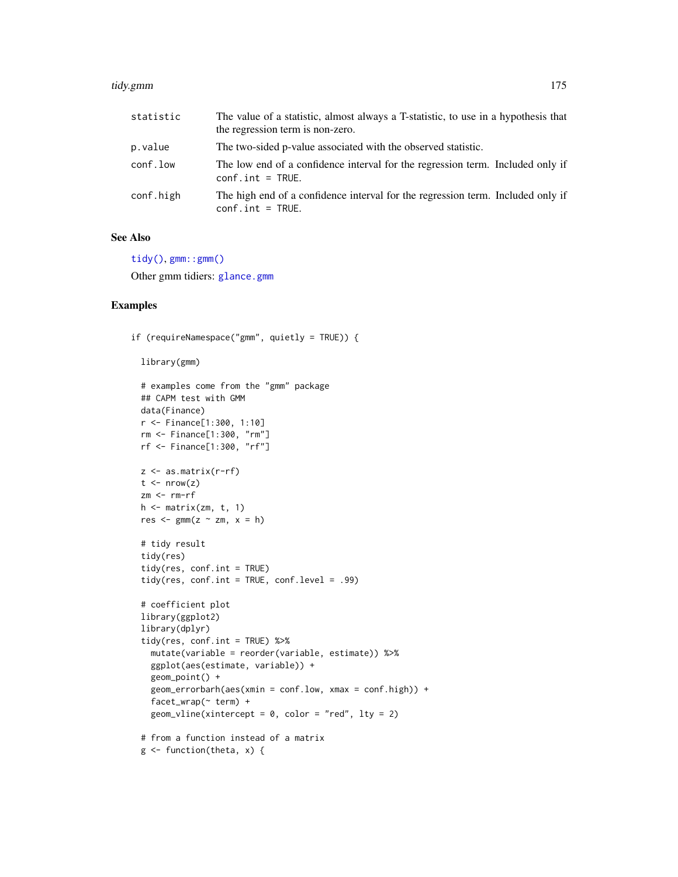#### tidy.gmm 175

| statistic | The value of a statistic, almost always a T-statistic, to use in a hypothesis that<br>the regression term is non-zero. |
|-----------|------------------------------------------------------------------------------------------------------------------------|
| p.value   | The two-sided p-value associated with the observed statistic.                                                          |
| conf.low  | The low end of a confidence interval for the regression term. Included only if<br>$conf.int = TRUE.$                   |
| conf.high | The high end of a confidence interval for the regression term. Included only if<br>$conf.int = TRUE.$                  |

## See Also

[tidy\(\)](#page-0-0), [gmm::gmm\(\)](#page-0-0)

Other gmm tidiers: [glance.gmm](#page-79-0)

```
if (requireNamespace("gmm", quietly = TRUE)) {
```

```
library(gmm)
```

```
# examples come from the "gmm" package
## CAPM test with GMM
data(Finance)
r <- Finance[1:300, 1:10]
rm <- Finance[1:300, "rm"]
rf <- Finance[1:300, "rf"]
z <- as.matrix(r-rf)
t < -nrow(z)zm <- rm-rf
h \leftarrow matrix(zm, t, 1)
res \leq \leq \text{mm}(z \sim z\text{m}, x = h)# tidy result
tidy(res)
tidy(res, conf.int = TRUE)
tidy(res, conf.int = TRUE, conf.level = .99)
# coefficient plot
library(ggplot2)
library(dplyr)
tidy(res, conf.int = TRUE) %>%
  mutate(variable = reorder(variable, estimate)) %>%
  ggplot(aes(estimate, variable)) +
  geom_point() +
  geom_errorbarh(aes(xmin = conf.low, xmax = conf.high)) +
  facet_wrap(~ term) +
  geom_vline(xintercept = 0, color = "red", lty = 2)
# from a function instead of a matrix
g \leftarrow function(theta, x) {
```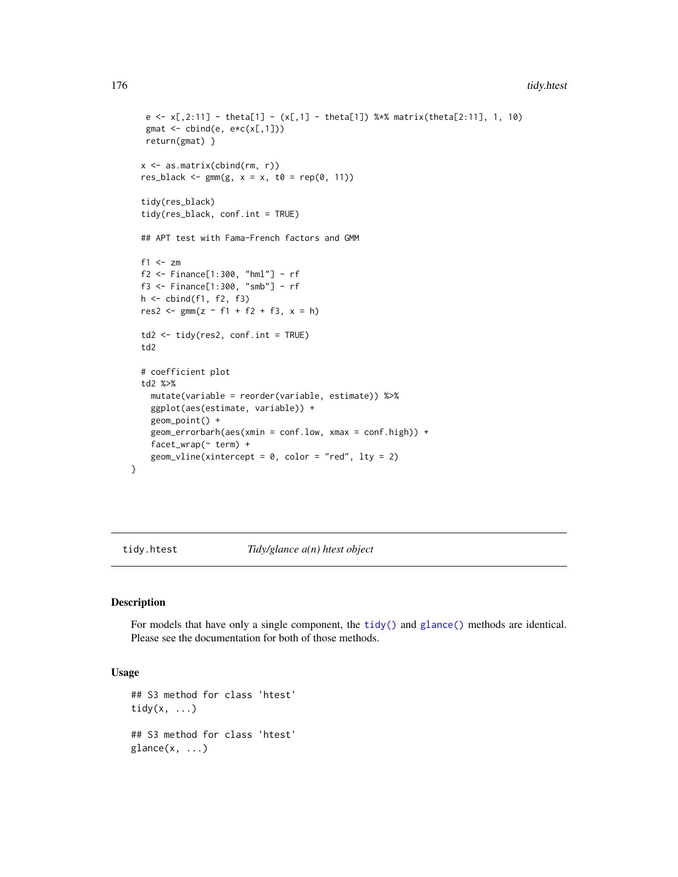```
e <- x[,2:11] - theta[1] - (x[,1] - theta[1]) %*% matrix(theta[2:11], 1, 10)
  gmat \leq cbind(e, e*c(x[,1]))
  return(gmat) }
 x <- as.matrix(cbind(rm, r))
 res_black <- gmm(g, x = x, t0 = rep(0, 11))tidy(res_black)
 tidy(res_black, conf.int = TRUE)
 ## APT test with Fama-French factors and GMM
 f1 <- zm
 f2 <- Finance[1:300, "hml"] - rf
 f3 <- Finance[1:300, "smb"] - rf
 h <- cbind(f1, f2, f3)
 res2 <- gmm(z - f1 + f2 + f3, x = h)td2 <- tidy(res2, conf.int = TRUE)
 td2
 # coefficient plot
 td2 %>%
   mutate(variable = reorder(variable, estimate)) %>%
   ggplot(aes(estimate, variable)) +
   geom_point() +
   geom\_errorbarh(aes(xmin = conf.low, xmax = conf.high)) +facet_wrap(~ term) +
   geom\_vline(xintercept = 0, color = "red", lty = 2)}
```
tidy.htest *Tidy/glance a(n) htest object*

# Description

For models that have only a single component, the [tidy\(\)](#page-0-0) and [glance\(\)](#page-0-0) methods are identical. Please see the documentation for both of those methods.

## Usage

```
## S3 method for class 'htest'
tidy(x, \ldots)## S3 method for class 'htest'
\text{glance}(x, \ldots)
```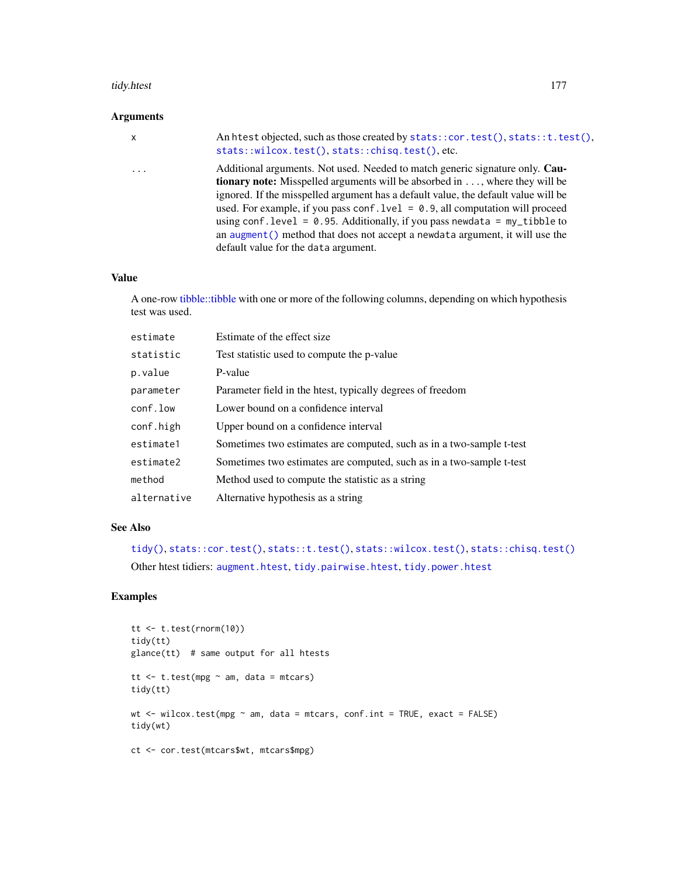#### tidy.htest 177

# Arguments

| $\mathsf{X}$ | An htest objected, such as those created by stats::cor.test(), stats::t.test(),<br>stats::wilcox.test(), stats::chisq.test(), etc.                                                                                                                                                                                                                                                                                                                                                                                                                        |
|--------------|-----------------------------------------------------------------------------------------------------------------------------------------------------------------------------------------------------------------------------------------------------------------------------------------------------------------------------------------------------------------------------------------------------------------------------------------------------------------------------------------------------------------------------------------------------------|
| $\ddotsc$    | Additional arguments. Not used. Needed to match generic signature only. Cau-<br><b>tionary note:</b> Misspelled arguments will be absorbed in , where they will be<br>ignored. If the misspelled argument has a default value, the default value will be<br>used. For example, if you pass conf. $1$ vel = 0.9, all computation will proceed<br>using conf. level = $0.95$ . Additionally, if you pass newdata = $my$ _tibble to<br>an augment () method that does not accept a newdata argument, it will use the<br>default value for the data argument. |

## Value

A one-row [tibble::tibble](#page-0-0) with one or more of the following columns, depending on which hypothesis test was used.

| estimate    | Estimate of the effect size.                                         |
|-------------|----------------------------------------------------------------------|
| statistic   | Test statistic used to compute the p-value                           |
| p.value     | P-value                                                              |
| parameter   | Parameter field in the htest, typically degrees of freedom           |
| conf.low    | Lower bound on a confidence interval                                 |
| conf.high   | Upper bound on a confidence interval                                 |
| estimate1   | Sometimes two estimates are computed, such as in a two-sample t-test |
| estimate2   | Sometimes two estimates are computed, such as in a two-sample t-test |
| method      | Method used to compute the statistic as a string                     |
| alternative | Alternative hypothesis as a string                                   |

## See Also

[tidy\(\)](#page-0-0), [stats::cor.test\(\)](#page-0-0), [stats::t.test\(\)](#page-0-0), [stats::wilcox.test\(\)](#page-0-0), [stats::chisq.test\(\)](#page-0-0) Other htest tidiers: [augment.htest](#page-17-0), [tidy.pairwise.htest](#page-205-0), [tidy.power.htest](#page-213-0)

```
tt <- t.test(rnorm(10))
tidy(tt)
glance(tt) # same output for all htests
tt \leq t.test(mpg \sim am, data = mtcars)
tidy(tt)
wt <- wilcox.test(mpg ~ am, data = mtcars, conf.int = TRUE, exact = FALSE)
tidy(wt)
ct <- cor.test(mtcars$wt, mtcars$mpg)
```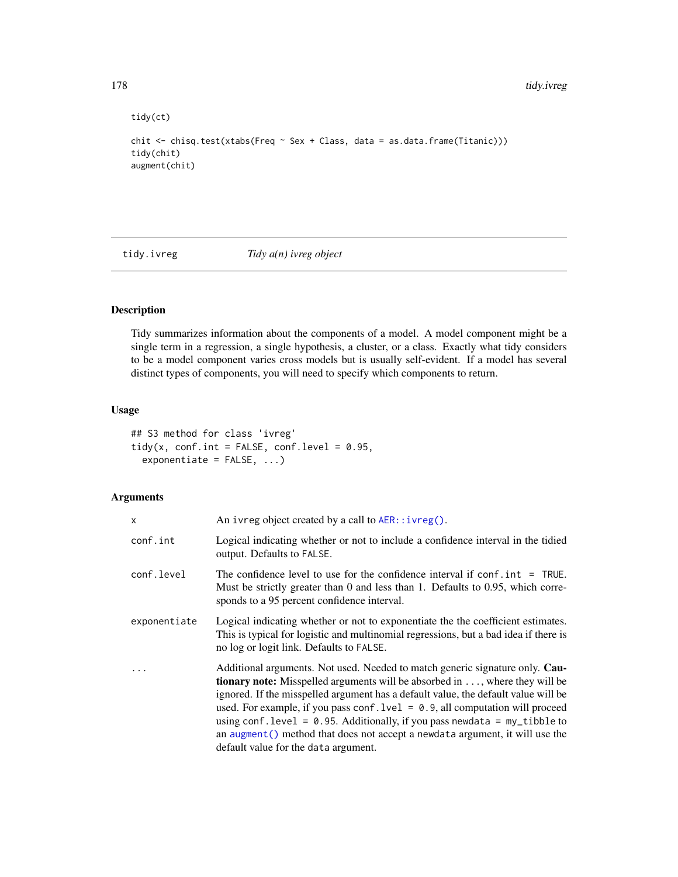```
tidy(ct)
```

```
chit <- chisq.test(xtabs(Freq ~ Sex + Class, data = as.data.frame(Titanic)))
tidy(chit)
augment(chit)
```
tidy.ivreg *Tidy a(n) ivreg object*

# Description

Tidy summarizes information about the components of a model. A model component might be a single term in a regression, a single hypothesis, a cluster, or a class. Exactly what tidy considers to be a model component varies cross models but is usually self-evident. If a model has several distinct types of components, you will need to specify which components to return.

## Usage

```
## S3 method for class 'ivreg'
tidy(x, conf.int = FALSE, conf.level = 0.95,
 exponentiate = FALSE, ...)
```
# Arguments

| x            | An ivreg object created by a call to AER:: ivreg().                                                                                                                                                                                                                                                                                                                                                                                                                                                                                                            |
|--------------|----------------------------------------------------------------------------------------------------------------------------------------------------------------------------------------------------------------------------------------------------------------------------------------------------------------------------------------------------------------------------------------------------------------------------------------------------------------------------------------------------------------------------------------------------------------|
| conf.int     | Logical indicating whether or not to include a confidence interval in the tidied<br>output. Defaults to FALSE.                                                                                                                                                                                                                                                                                                                                                                                                                                                 |
| conf.level   | The confidence level to use for the confidence interval if $\text{conf.int} = \text{TRUE}$ .<br>Must be strictly greater than 0 and less than 1. Defaults to 0.95, which corre-<br>sponds to a 95 percent confidence interval.                                                                                                                                                                                                                                                                                                                                 |
| exponentiate | Logical indicating whether or not to exponentiate the the coefficient estimates.<br>This is typical for logistic and multinomial regressions, but a bad idea if there is<br>no log or logit link. Defaults to FALSE.                                                                                                                                                                                                                                                                                                                                           |
|              | Additional arguments. Not used. Needed to match generic signature only. Cau-<br><b>tionary note:</b> Misspelled arguments will be absorbed in , where they will be<br>ignored. If the misspelled argument has a default value, the default value will be<br>used. For example, if you pass conf. $1$ ve $1 = 0.9$ , all computation will proceed<br>using conf. level = $0.95$ . Additionally, if you pass newdata = $my_t$ tibble to<br>an augment () method that does not accept a newdata argument, it will use the<br>default value for the data argument. |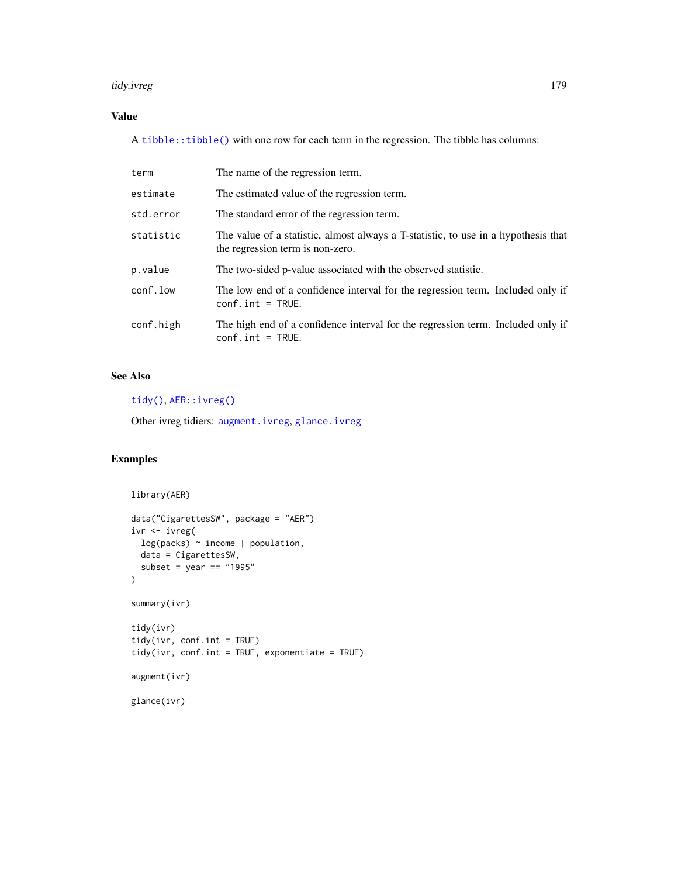#### tidy.ivreg 179

# Value

A [tibble::tibble\(\)](#page-0-0) with one row for each term in the regression. The tibble has columns:

| term      | The name of the regression term.                                                                                       |
|-----------|------------------------------------------------------------------------------------------------------------------------|
| estimate  | The estimated value of the regression term.                                                                            |
| std.error | The standard error of the regression term.                                                                             |
| statistic | The value of a statistic, almost always a T-statistic, to use in a hypothesis that<br>the regression term is non-zero. |
| p.value   | The two-sided p-value associated with the observed statistic.                                                          |
| conf.low  | The low end of a confidence interval for the regression term. Included only if<br>$conf.int = TRUE.$                   |
| conf.high | The high end of a confidence interval for the regression term. Included only if<br>$conf.int = TRUE.$                  |

# See Also

[tidy\(\)](#page-0-0), [AER::ivreg\(\)](#page-0-0)

Other ivreg tidiers: [augment.ivreg](#page-19-0), [glance.ivreg](#page-80-0)

```
library(AER)
data("CigarettesSW", package = "AER")
ivr <- ivreg(
  log(packs) ~ income | population,
  data = CigarettesSW,
  subset = year == "1995")
summary(ivr)
tidy(ivr)
tidy(ivr, conf.int = TRUE)
tidy(ivr, conf.int = TRUE, exponentiate = TRUE)
augment(ivr)
glance(ivr)
```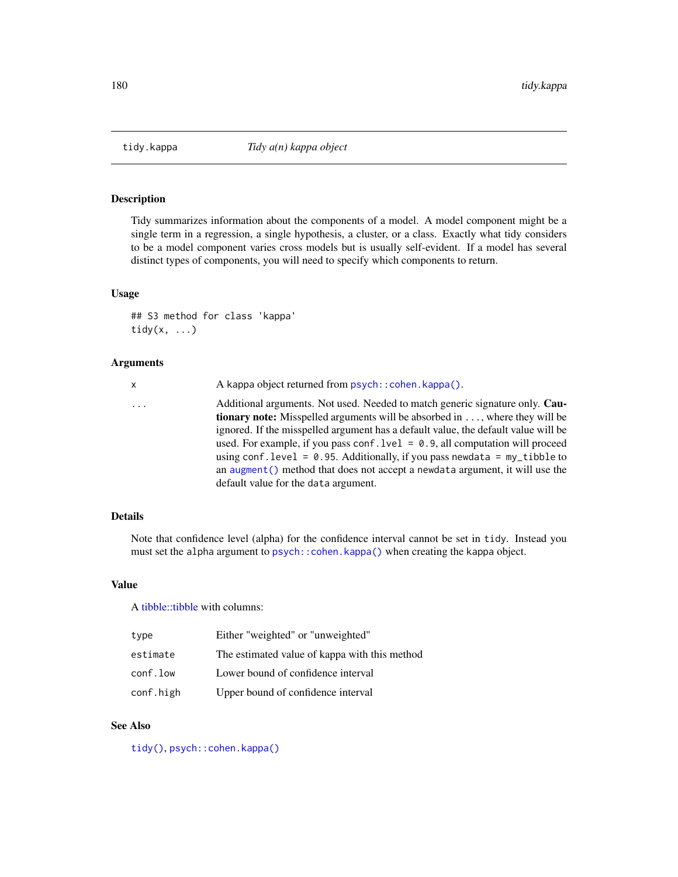## Description

Tidy summarizes information about the components of a model. A model component might be a single term in a regression, a single hypothesis, a cluster, or a class. Exactly what tidy considers to be a model component varies cross models but is usually self-evident. If a model has several distinct types of components, you will need to specify which components to return.

## Usage

```
## S3 method for class 'kappa'
tidy(x, ...)
```
#### Arguments

| x | A kappa object returned from psych:: cohen.kappa().                                                                                                                                                                                                                                                                                                                                                                                                                                                                   |
|---|-----------------------------------------------------------------------------------------------------------------------------------------------------------------------------------------------------------------------------------------------------------------------------------------------------------------------------------------------------------------------------------------------------------------------------------------------------------------------------------------------------------------------|
| . | Additional arguments. Not used. Needed to match generic signature only. Cau-<br><b>tionary note:</b> Misspelled arguments will be absorbed in , where they will be<br>ignored. If the misspelled argument has a default value, the default value will be<br>used. For example, if you pass conf. $1$ ve $1 = 0.9$ , all computation will proceed<br>using conf. level = $0.95$ . Additionally, if you pass newdata = $my$ _tibble to<br>an augment () method that does not accept a newdata argument, it will use the |
|   | default value for the data argument.                                                                                                                                                                                                                                                                                                                                                                                                                                                                                  |

## Details

Note that confidence level (alpha) for the confidence interval cannot be set in tidy. Instead you must set the alpha argument to psych:: cohen.kappa() when creating the kappa object.

## Value

A [tibble::tibble](#page-0-0) with columns:

| type      | Either "weighted" or "unweighted"             |
|-----------|-----------------------------------------------|
| estimate  | The estimated value of kappa with this method |
| conf.low  | Lower bound of confidence interval            |
| conf.high | Upper bound of confidence interval            |

# See Also

[tidy\(\)](#page-0-0), [psych::cohen.kappa\(\)](#page-0-0)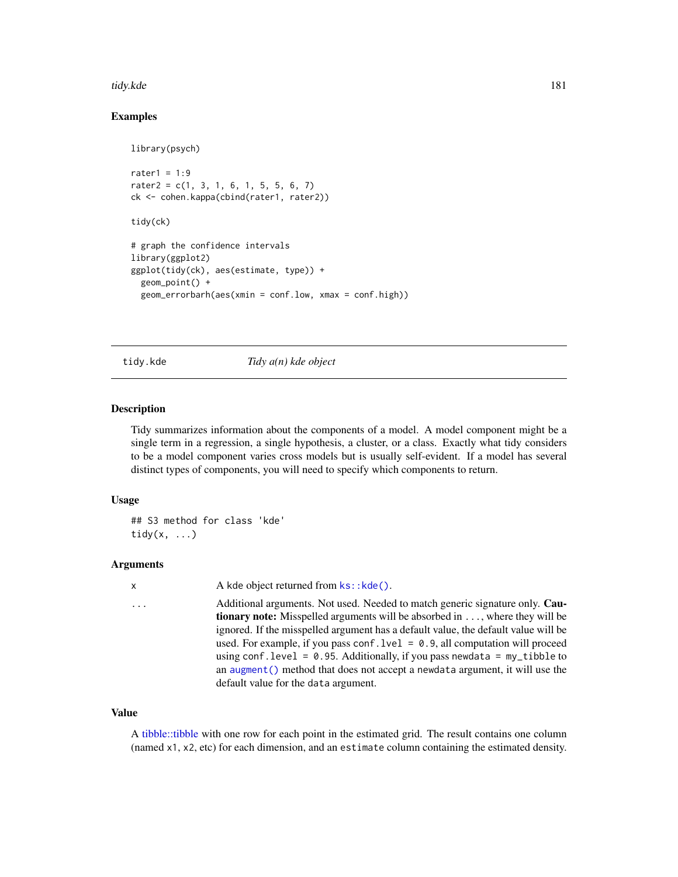#### tidy.kde 181

# Examples

```
library(psych)
rater1 = 1:9rater2 = c(1, 3, 1, 6, 1, 5, 5, 6, 7)ck <- cohen.kappa(cbind(rater1, rater2))
tidy(ck)
# graph the confidence intervals
library(ggplot2)
ggplot(tidy(ck), aes(estimate, type)) +
 geom_point() +
 geom_errorbarh(aes(xmin = conf.low, xmax = conf.high))
```
tidy.kde *Tidy a(n) kde object*

## Description

Tidy summarizes information about the components of a model. A model component might be a single term in a regression, a single hypothesis, a cluster, or a class. Exactly what tidy considers to be a model component varies cross models but is usually self-evident. If a model has several distinct types of components, you will need to specify which components to return.

#### Usage

```
## S3 method for class 'kde'
tidy(x, \ldots)
```
# Arguments

x A kde object returned from [ks::kde\(\)](#page-0-0).

... Additional arguments. Not used. Needed to match generic signature only. Cautionary note: Misspelled arguments will be absorbed in ..., where they will be ignored. If the misspelled argument has a default value, the default value will be used. For example, if you pass conf.  $level = 0.9$ , all computation will proceed using conf.level =  $0.95$ . Additionally, if you pass newdata = my\_tibble to an [augment\(\)](#page-0-0) method that does not accept a newdata argument, it will use the default value for the data argument.

## Value

A [tibble::tibble](#page-0-0) with one row for each point in the estimated grid. The result contains one column (named x1, x2, etc) for each dimension, and an estimate column containing the estimated density.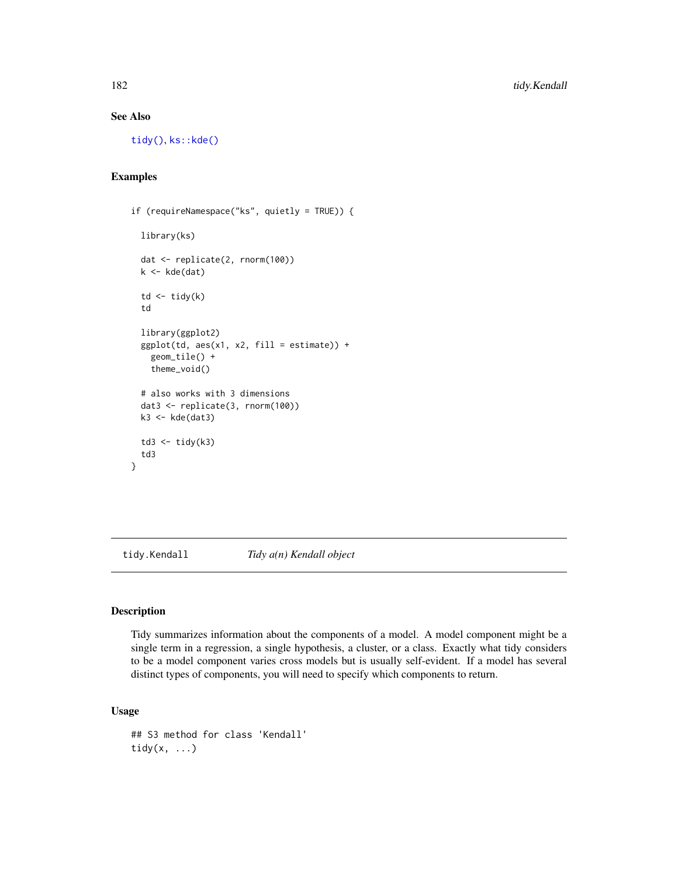182 tidy.Kendall

# See Also

[tidy\(\)](#page-0-0), [ks::kde\(\)](#page-0-0)

# Examples

```
if (requireNamespace("ks", quietly = TRUE)) {
 library(ks)
 dat <- replicate(2, rnorm(100))
 k \leq k kde(dat)
 td \leftarrow tidy(k)td
 library(ggplot2)
 ggplot(td, aes(x1, x2, fill = estimate)) +geom_tile() +
    theme_void()
 # also works with 3 dimensions
 dat3 <- replicate(3, rnorm(100))
 k3 \leq k kde(dat3)
 td3 < - tidy(k3)td3
}
```
tidy.Kendall *Tidy a(n) Kendall object*

# Description

Tidy summarizes information about the components of a model. A model component might be a single term in a regression, a single hypothesis, a cluster, or a class. Exactly what tidy considers to be a model component varies cross models but is usually self-evident. If a model has several distinct types of components, you will need to specify which components to return.

# Usage

```
## S3 method for class 'Kendall'
tidy(x, ...)
```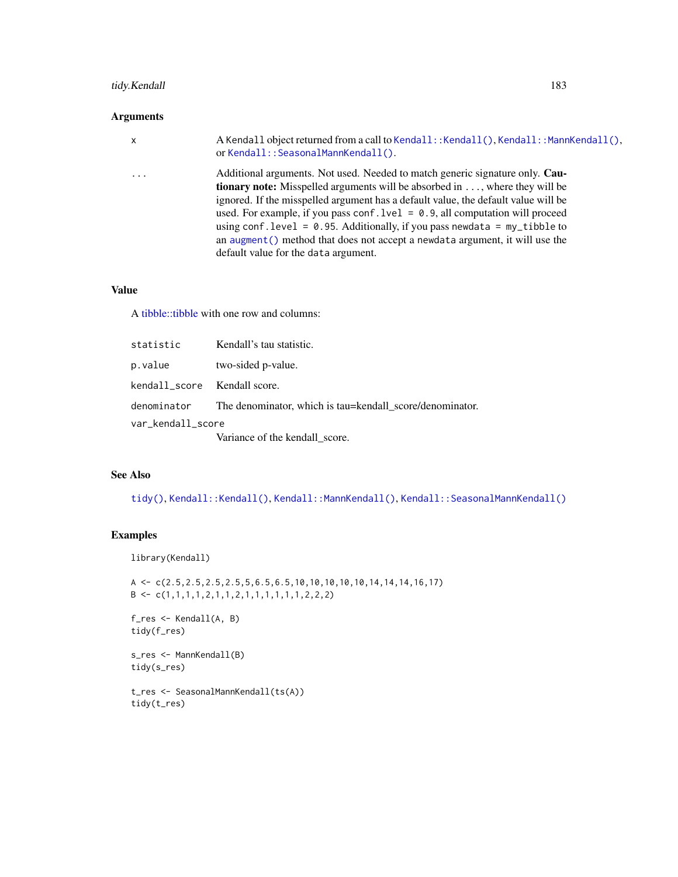# tidy.Kendall 183

# Arguments

| $\mathsf{X}$ | A Kendall object returned from a call to Kendall: : Kendall (), Kendall: : MannKendall (),<br>or Kendall:: SeasonalMannKendall(). |
|--------------|-----------------------------------------------------------------------------------------------------------------------------------|
| $\ddotsc$    | Additional arguments. Not used. Needed to match generic signature only. Cau-                                                      |
|              | <b>tionary note:</b> Misspelled arguments will be absorbed in , where they will be                                                |
|              | ignored. If the misspelled argument has a default value, the default value will be                                                |
|              | used. For example, if you pass conf. $1$ ve $1 = 0.9$ , all computation will proceed                                              |
|              | using conf. level = $0.95$ . Additionally, if you pass newdata = $my_t$ tibble to                                                 |
|              | an augment () method that does not accept a newdata argument, it will use the                                                     |
|              | default value for the data argument.                                                                                              |

## Value

A [tibble::tibble](#page-0-0) with one row and columns:

| statistic                    | Kendall's tau statistic.                                 |
|------------------------------|----------------------------------------------------------|
| p.value                      | two-sided p-value.                                       |
| kendall_score Kendall score. |                                                          |
| denominator                  | The denominator, which is tau=kendall score/denominator. |
| var_kendall_score            |                                                          |
|                              | Variance of the kendall_score.                           |

# See Also

[tidy\(\)](#page-0-0), [Kendall::Kendall\(\)](#page-0-0), [Kendall::MannKendall\(\)](#page-0-0), [Kendall::SeasonalMannKendall\(\)](#page-0-0)

```
library(Kendall)
```

```
A \leftarrow c(2.5, 2.5, 2.5, 2.5, 5, 6.5, 6.5, 10, 10, 10, 10, 10, 14, 14, 14, 16, 17)
B \leftarrow c(1,1,1,1,2,1,1,2,1,1,1,1,1,1,2,2,2)
```

```
f_res <- Kendall(A, B)
tidy(f_res)
```

```
s_res <- MannKendall(B)
tidy(s_res)
```

```
t_res <- SeasonalMannKendall(ts(A))
tidy(t_res)
```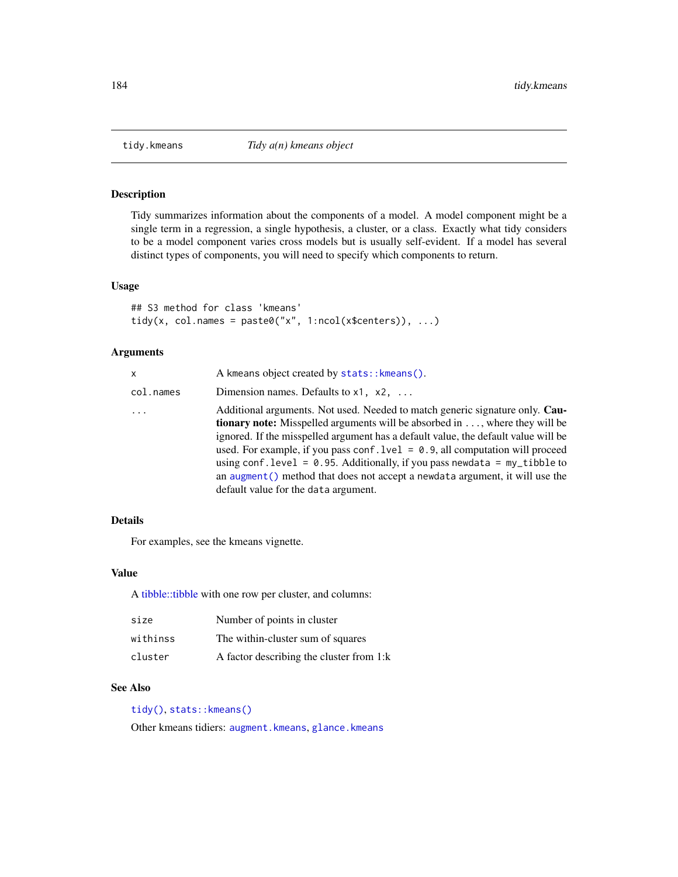# Description

Tidy summarizes information about the components of a model. A model component might be a single term in a regression, a single hypothesis, a cluster, or a class. Exactly what tidy considers to be a model component varies cross models but is usually self-evident. If a model has several distinct types of components, you will need to specify which components to return.

## Usage

```
## S3 method for class 'kmeans'
\text{tidy}(x, \text{ col.name s = paste0("x", 1:ncol(x$centers)), ...})
```
## Arguments

| x         | A kmeans object created by stats:: kmeans().                                                                                                                                                                                                                                                                                                                                                                                                                                                                                                                  |
|-----------|---------------------------------------------------------------------------------------------------------------------------------------------------------------------------------------------------------------------------------------------------------------------------------------------------------------------------------------------------------------------------------------------------------------------------------------------------------------------------------------------------------------------------------------------------------------|
| col.names | Dimension names. Defaults to $x1$ , $x2$ ,                                                                                                                                                                                                                                                                                                                                                                                                                                                                                                                    |
| .         | Additional arguments. Not used. Needed to match generic signature only. Cau-<br><b>tionary note:</b> Misspelled arguments will be absorbed in , where they will be<br>ignored. If the misspelled argument has a default value, the default value will be<br>used. For example, if you pass conf. $1$ ve $1 = 0.9$ , all computation will proceed<br>using conf. level = $0.95$ . Additionally, if you pass newdata = $my$ _tibble to<br>an augment () method that does not accept a newdata argument, it will use the<br>default value for the data argument. |

## Details

For examples, see the kmeans vignette.

# Value

A [tibble::tibble](#page-0-0) with one row per cluster, and columns:

| size     | Number of points in cluster              |
|----------|------------------------------------------|
| withinss | The within-cluster sum of squares        |
| cluster  | A factor describing the cluster from 1:k |

# See Also

[tidy\(\)](#page-0-0), [stats::kmeans\(\)](#page-0-0)

Other kmeans tidiers: [augment.kmeans](#page-21-0), [glance.kmeans](#page-81-0)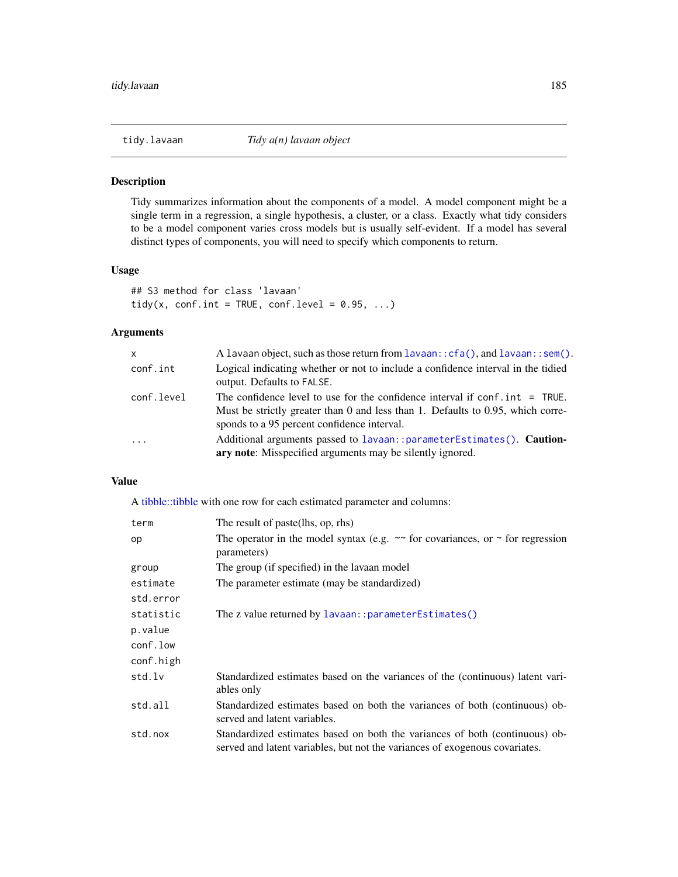## Description

Tidy summarizes information about the components of a model. A model component might be a single term in a regression, a single hypothesis, a cluster, or a class. Exactly what tidy considers to be a model component varies cross models but is usually self-evident. If a model has several distinct types of components, you will need to specify which components to return.

# Usage

## S3 method for class 'lavaan' tidy(x, conf.int = TRUE, conf.level =  $0.95, ...$ )

# Arguments

| X          | A lavaan object, such as those return from lavaan:: cfa(), and lavaan:: sem().                                                                                                                                                 |
|------------|--------------------------------------------------------------------------------------------------------------------------------------------------------------------------------------------------------------------------------|
| conf.int   | Logical indicating whether or not to include a confidence interval in the tidied<br>output. Defaults to FALSE.                                                                                                                 |
| conf.level | The confidence level to use for the confidence interval if $\text{conf.int} = \text{TRUE}$ .<br>Must be strictly greater than 0 and less than 1. Defaults to 0.95, which corre-<br>sponds to a 95 percent confidence interval. |
| $\cdots$   | Additional arguments passed to lavaan:: parameter Estimates (). Caution-<br>ary note: Misspecified arguments may be silently ignored.                                                                                          |

# Value

A [tibble::tibble](#page-0-0) with one row for each estimated parameter and columns:

| term      | The result of paste(lhs, op, rhs)                                                                                                                          |
|-----------|------------------------------------------------------------------------------------------------------------------------------------------------------------|
| op        | The operator in the model syntax (e.g. $\sim$ for covariances, or $\sim$ for regression<br>parameters)                                                     |
| group     | The group (if specified) in the lavaan model                                                                                                               |
| estimate  | The parameter estimate (may be standardized)                                                                                                               |
| std.error |                                                                                                                                                            |
| statistic | The z value returned by lavaan::parameterEstimates()                                                                                                       |
| p.value   |                                                                                                                                                            |
| conf.low  |                                                                                                                                                            |
| conf.high |                                                                                                                                                            |
| std.lv    | Standardized estimates based on the variances of the (continuous) latent vari-<br>ables only                                                               |
| std.all   | Standardized estimates based on both the variances of both (continuous) ob-<br>served and latent variables.                                                |
| std.nox   | Standardized estimates based on both the variances of both (continuous) ob-<br>served and latent variables, but not the variances of exogenous covariates. |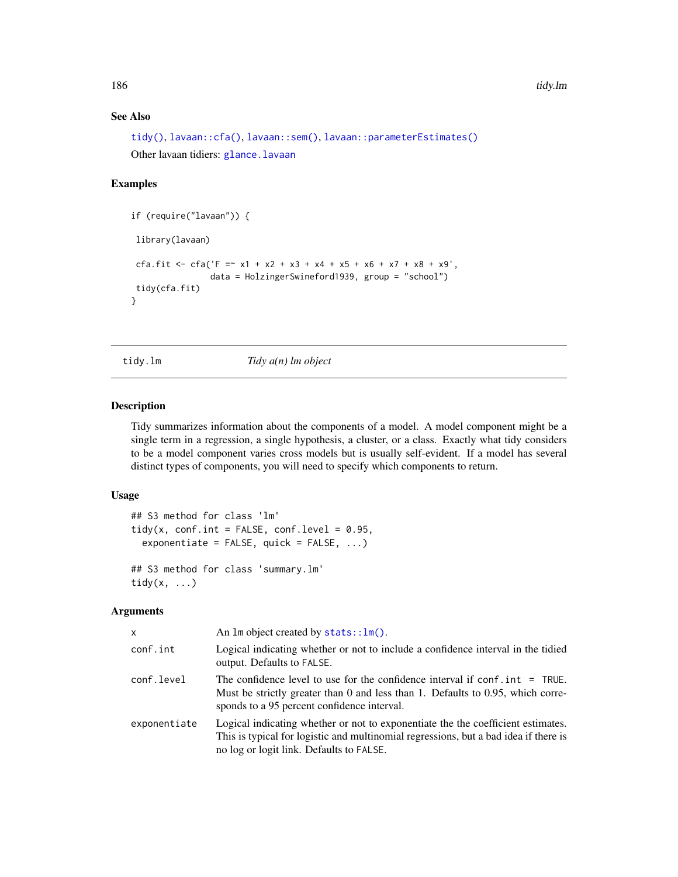# See Also

```
tidy(), lavaan::cfa(), lavaan::sem(), lavaan::parameterEstimates()
Other lavaan tidiers: glance.lavaan
```
## Examples

```
if (require("lavaan")) {
library(lavaan)
cfa.fit <- cfa('F = x1 + x2 + x3 + x4 + x5 + x6 + x7 + x8 + x9',
                data = HolzingerSwineford1939, group = "school")
tidy(cfa.fit)
}
```
<span id="page-185-0"></span>tidy.lm *Tidy a(n) lm object*

## Description

Tidy summarizes information about the components of a model. A model component might be a single term in a regression, a single hypothesis, a cluster, or a class. Exactly what tidy considers to be a model component varies cross models but is usually self-evident. If a model has several distinct types of components, you will need to specify which components to return.

## Usage

```
## S3 method for class 'lm'
tidy(x, conf.int = FALSE, conf.level = 0.95,
 exponentiate = FALSE, quick = FALSE, ...)## S3 method for class 'summary.lm'
tidy(x, ...)
```
#### Arguments

| $\mathsf{x}$ | An $lm$ object created by stats:: $lm()$ .                                                                                                                                                                                     |
|--------------|--------------------------------------------------------------------------------------------------------------------------------------------------------------------------------------------------------------------------------|
| conf.int     | Logical indicating whether or not to include a confidence interval in the tidied<br>output. Defaults to FALSE.                                                                                                                 |
| conf.level   | The confidence level to use for the confidence interval if $\text{conf.int} = \text{TRUE}$ .<br>Must be strictly greater than 0 and less than 1. Defaults to 0.95, which corre-<br>sponds to a 95 percent confidence interval. |
| exponentiate | Logical indicating whether or not to exponentiate the the coefficient estimates.<br>This is typical for logistic and multinomial regressions, but a bad idea if there is<br>no log or logit link. Defaults to FALSE.           |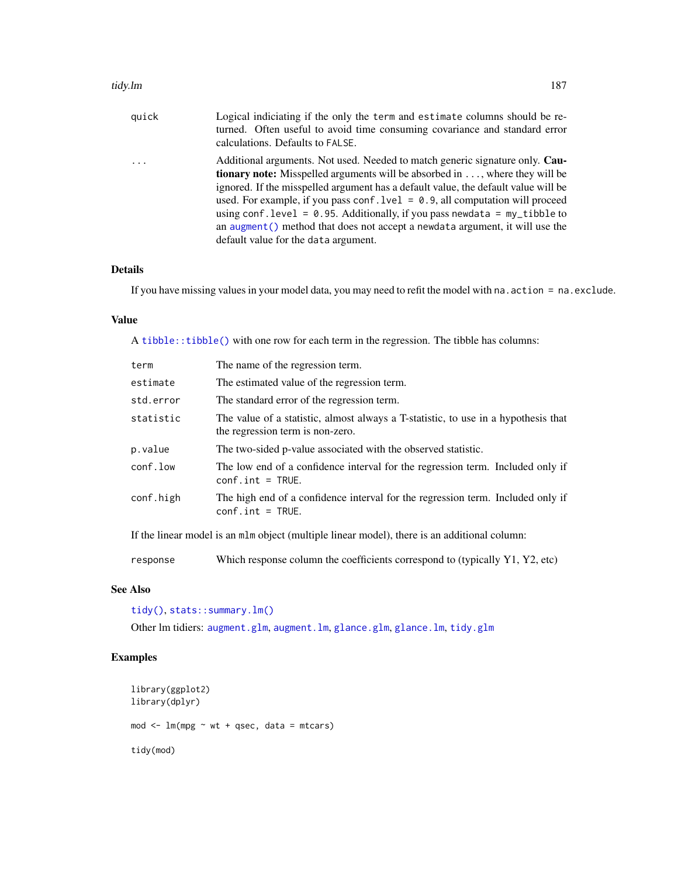| quick   | Logical indiciating if the only the term and estimate columns should be re-<br>turned. Often useful to avoid time consuming covariance and standard error<br>calculations. Defaults to FALSE.                                                                                                                                                                                                                                                                                                                                                              |
|---------|------------------------------------------------------------------------------------------------------------------------------------------------------------------------------------------------------------------------------------------------------------------------------------------------------------------------------------------------------------------------------------------------------------------------------------------------------------------------------------------------------------------------------------------------------------|
| $\cdot$ | Additional arguments. Not used. Needed to match generic signature only. Cau-<br><b>tionary note:</b> Misspelled arguments will be absorbed in , where they will be<br>ignored. If the misspelled argument has a default value, the default value will be<br>used. For example, if you pass conf. $1$ ve $1 = 0.9$ , all computation will proceed<br>using conf. level = $0.95$ . Additionally, if you pass newdata = my_tibble to<br>an augment () method that does not accept a newdata argument, it will use the<br>default value for the data argument. |

# Details

If you have missing values in your model data, you may need to refit the model with na.action = na.exclude.

## Value

A [tibble::tibble\(\)](#page-0-0) with one row for each term in the regression. The tibble has columns:

| term                                                                                         | The name of the regression term.                                                                                       |
|----------------------------------------------------------------------------------------------|------------------------------------------------------------------------------------------------------------------------|
| estimate                                                                                     | The estimated value of the regression term.                                                                            |
| std.error                                                                                    | The standard error of the regression term.                                                                             |
| statistic                                                                                    | The value of a statistic, almost always a T-statistic, to use in a hypothesis that<br>the regression term is non-zero. |
| p.value                                                                                      | The two-sided p-value associated with the observed statistic.                                                          |
| conf.low                                                                                     | The low end of a confidence interval for the regression term. Included only if<br>$conf.int = TRUE.$                   |
| conf.high                                                                                    | The high end of a confidence interval for the regression term. Included only if<br>$conf.int = TRUE.$                  |
| If the linear model is an mlm object (multiple linear model), there is an additional column: |                                                                                                                        |

response Which response column the coefficients correspond to (typically Y1, Y2, etc)

# See Also

```
tidy(), stats::summary.lm()
```
Other Im tidiers: [augment.glm](#page-14-0), [augment.lm](#page-22-0), [glance.glm](#page-76-0), [glance.lm](#page-84-0), [tidy.glm](#page-168-0)

```
library(ggplot2)
library(dplyr)
mod <- lm(mpg ~ wt + qsec, data = mtcars)
tidy(mod)
```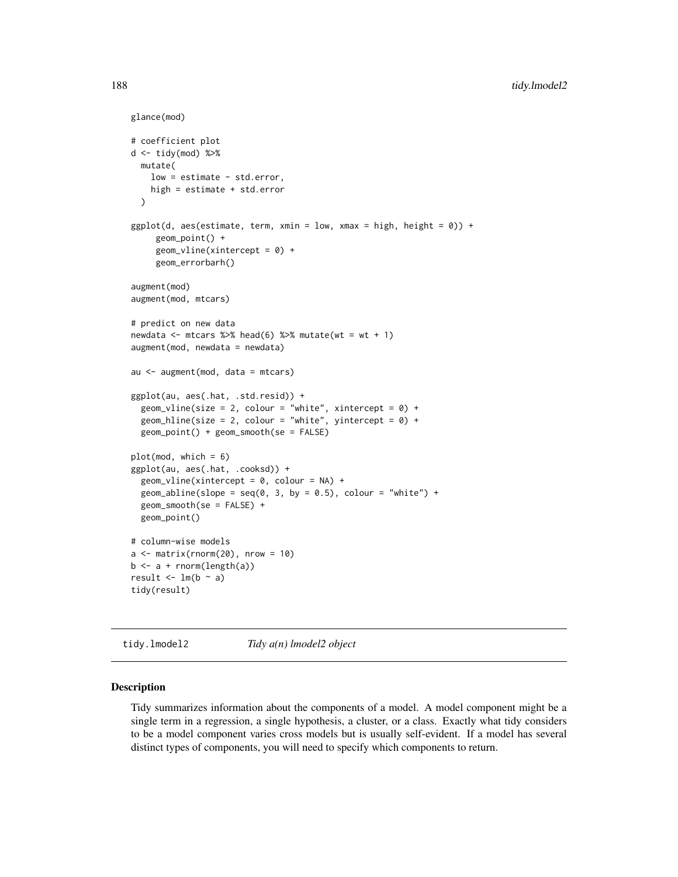```
glance(mod)
# coefficient plot
d \leftarrow \text{tidy(mod)} %>%
 mutate(
   low = estimate - std.error,
   high = estimate + std.error
 \lambdaggplot(d, aes(estimate, term, xmin = low, xmax = high, height = 0)) +geom_point() +
     geom_vline(xintercept = 0) +
     geom_errorbarh()
augment(mod)
augment(mod, mtcars)
# predict on new data
newdata \leq mtcars %>% head(6) %>% mutate(wt = wt + 1)
augment(mod, newdata = newdata)
au <- augment(mod, data = mtcars)
ggplot(au, aes(.hat, .std.resid)) +
 geom_vline(size = 2, colour = "white", xintercept = \emptyset) +
 geom_hline(size = 2, colour = "white", yintercept = \theta) +
 geom_point() + geom_smooth(se = FALSE)
plot(mod, which = 6)
ggplot(au, aes(.hat, .cooksd)) +
 geom_vline(xintercept = 0, colour = NA) +
 geom_abline(slope = seq(0, 3, by = 0.5), colour = "white") +
 geom_smooth(se = FALSE) +
 geom_point()
# column-wise models
a \leq - matrix(rnorm(20), nrow = 10)
b \leq a + \text{norm}(\text{length}(a))result \leq lm(b \sim a)
tidy(result)
```
tidy.lmodel2 *Tidy a(n) lmodel2 object*

## Description

Tidy summarizes information about the components of a model. A model component might be a single term in a regression, a single hypothesis, a cluster, or a class. Exactly what tidy considers to be a model component varies cross models but is usually self-evident. If a model has several distinct types of components, you will need to specify which components to return.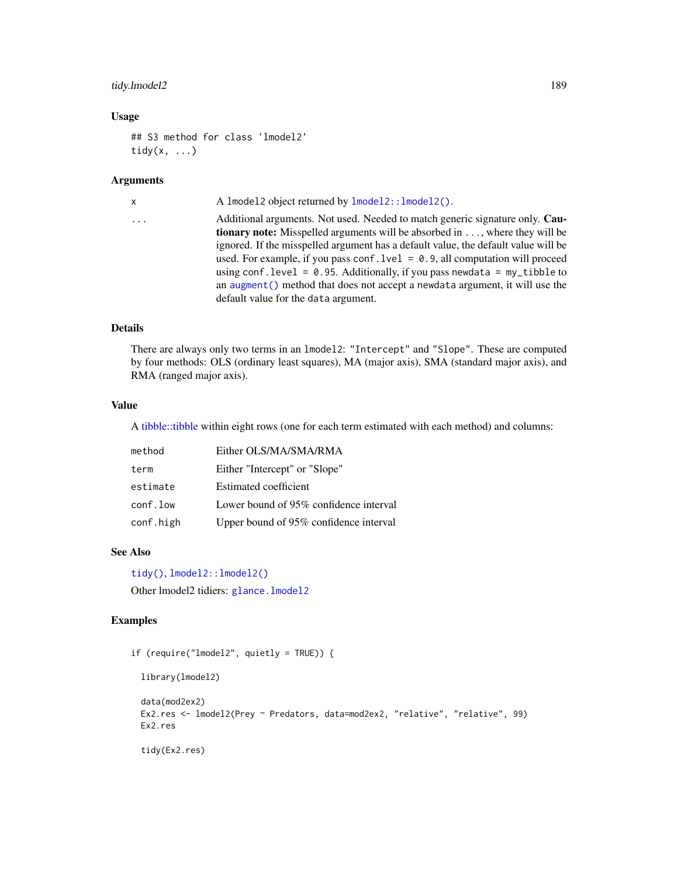# tidy.lmodel2 189

# Usage

```
## S3 method for class 'lmodel2'
tidy(x, \ldots)
```
# Arguments

| x | A lmodel2 object returned by lmodel2:: lmodel2().                                                                                                                                                                                                                                                                                                                                                                                                                                                                                                             |
|---|---------------------------------------------------------------------------------------------------------------------------------------------------------------------------------------------------------------------------------------------------------------------------------------------------------------------------------------------------------------------------------------------------------------------------------------------------------------------------------------------------------------------------------------------------------------|
| . | Additional arguments. Not used. Needed to match generic signature only. Cau-<br><b>tionary note:</b> Misspelled arguments will be absorbed in , where they will be<br>ignored. If the misspelled argument has a default value, the default value will be<br>used. For example, if you pass conf. $1$ ve $1 = 0.9$ , all computation will proceed<br>using conf. level = $0.95$ . Additionally, if you pass newdata = $my$ _tibble to<br>an augment () method that does not accept a newdata argument, it will use the<br>default value for the data argument. |
|   |                                                                                                                                                                                                                                                                                                                                                                                                                                                                                                                                                               |

# Details

There are always only two terms in an lmodel2: "Intercept" and "Slope". These are computed by four methods: OLS (ordinary least squares), MA (major axis), SMA (standard major axis), and RMA (ranged major axis).

# Value

A [tibble::tibble](#page-0-0) within eight rows (one for each term estimated with each method) and columns:

| method    | Either OLS/MA/SMA/RMA                  |
|-----------|----------------------------------------|
| term      | Either "Intercept" or "Slope"          |
| estimate  | <b>Estimated coefficient</b>           |
| conf.low  | Lower bound of 95% confidence interval |
| conf.high | Upper bound of 95% confidence interval |

#### See Also

[tidy\(\)](#page-0-0), [lmodel2::lmodel2\(\)](#page-0-0)

Other lmodel2 tidiers: [glance.lmodel2](#page-86-0)

```
if (require("lmodel2", quietly = TRUE)) {
 library(lmodel2)
 data(mod2ex2)
 Ex2.res <- lmodel2(Prey ~ Predators, data=mod2ex2, "relative", "relative", 99)
 Ex2.res
 tidy(Ex2.res)
```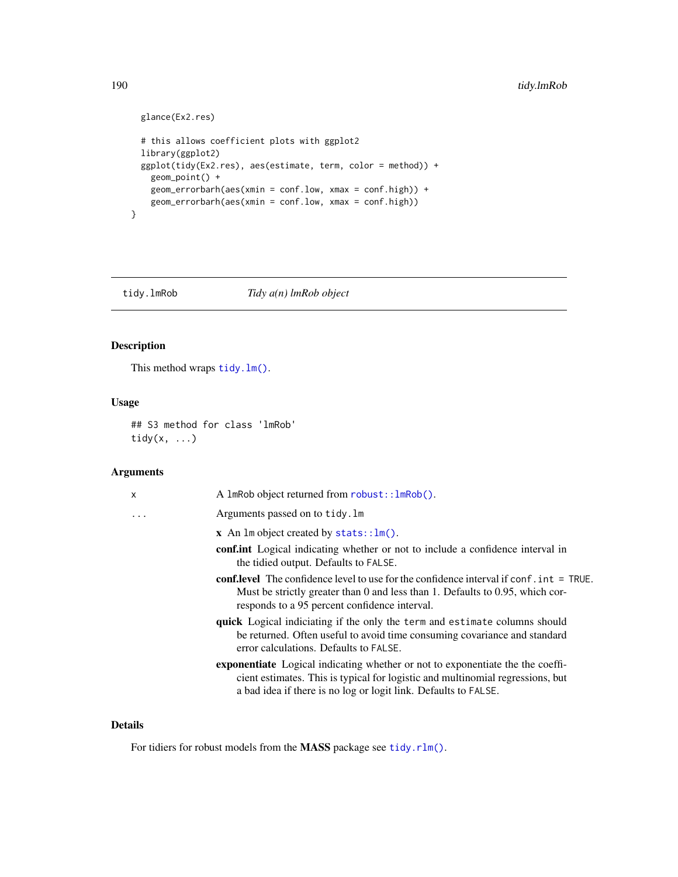```
glance(Ex2.res)
 # this allows coefficient plots with ggplot2
 library(ggplot2)
 ggplot(tidy(Ex2.res), aes(estimate, term, color = method)) +
   geom_point() +
   geom_errorbarh(aes(xmin = conf.low, xmax = conf.high)) +
   geom_errorbarh(aes(xmin = conf.low, xmax = conf.high))
}
```
# tidy.lmRob *Tidy a(n) lmRob object*

# Description

This method wraps [tidy.lm\(\)](#page-185-0).

# Usage

## S3 method for class 'lmRob' tidy $(x, \ldots)$ 

# Arguments

| x        | A lmRob object returned from robust:: lmRob().                                                                                                                                                                                      |
|----------|-------------------------------------------------------------------------------------------------------------------------------------------------------------------------------------------------------------------------------------|
| $\ddots$ | Arguments passed on to tidy. Im                                                                                                                                                                                                     |
|          | $x$ An lm object created by stats:: $lm()$ .                                                                                                                                                                                        |
|          | <b>confinit</b> Logical indicating whether or not to include a confidence interval in<br>the tidied output. Defaults to FALSE.                                                                                                      |
|          | <b>conf.level</b> The confidence level to use for the confidence interval if conf. int = TRUE.<br>Must be strictly greater than 0 and less than 1. Defaults to 0.95, which cor-<br>responds to a 95 percent confidence interval.    |
|          | quick Logical indiciating if the only the term and estimate columns should<br>be returned. Often useful to avoid time consuming covariance and standard<br>error calculations. Defaults to FALSE.                                   |
|          | exponentiate Logical indicating whether or not to exponentiate the the coeffi-<br>cient estimates. This is typical for logistic and multinomial regressions, but<br>a bad idea if there is no log or logit link. Defaults to FALSE. |
|          |                                                                                                                                                                                                                                     |

# Details

For tidiers for robust models from the MASS package see [tidy.rlm\(\)](#page-220-0).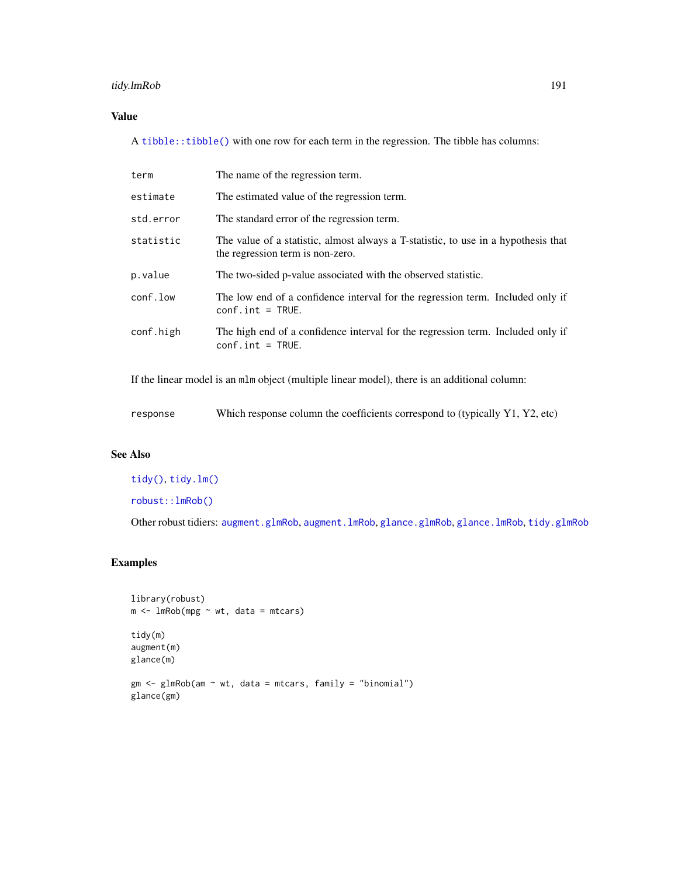# tidy.lmRob 191

# Value

A [tibble::tibble\(\)](#page-0-0) with one row for each term in the regression. The tibble has columns:

| term      | The name of the regression term.                                                                                       |
|-----------|------------------------------------------------------------------------------------------------------------------------|
| estimate  | The estimated value of the regression term.                                                                            |
| std.error | The standard error of the regression term.                                                                             |
| statistic | The value of a statistic, almost always a T-statistic, to use in a hypothesis that<br>the regression term is non-zero. |
| p.value   | The two-sided p-value associated with the observed statistic.                                                          |
| conf.low  | The low end of a confidence interval for the regression term. Included only if<br>$conf.int = TRUE.$                   |
| conf.high | The high end of a confidence interval for the regression term. Included only if<br>$conf.int = TRUE.$                  |

If the linear model is an mlm object (multiple linear model), there is an additional column:

| response |  | Which response column the coefficients correspond to (typically Y1, Y2, etc) |  |
|----------|--|------------------------------------------------------------------------------|--|
|----------|--|------------------------------------------------------------------------------|--|

# See Also

[tidy\(\)](#page-0-0), [tidy.lm\(\)](#page-185-0)

[robust::lmRob\(\)](#page-0-0)

Other robust tidiers: [augment.glmRob](#page-16-0), [augment.lmRob](#page-24-0), [glance.glmRob](#page-78-0), [glance.lmRob](#page-87-0), [tidy.glmRob](#page-171-0)

```
library(robust)
m \le - \ln \text{Rob(mpg} \sim \text{wt}, \text{data} = \text{mtcars})tidy(m)
augment(m)
glance(m)
gm < - glmRob(am \sim wt, data = mtcars, family = "binomial")glance(gm)
```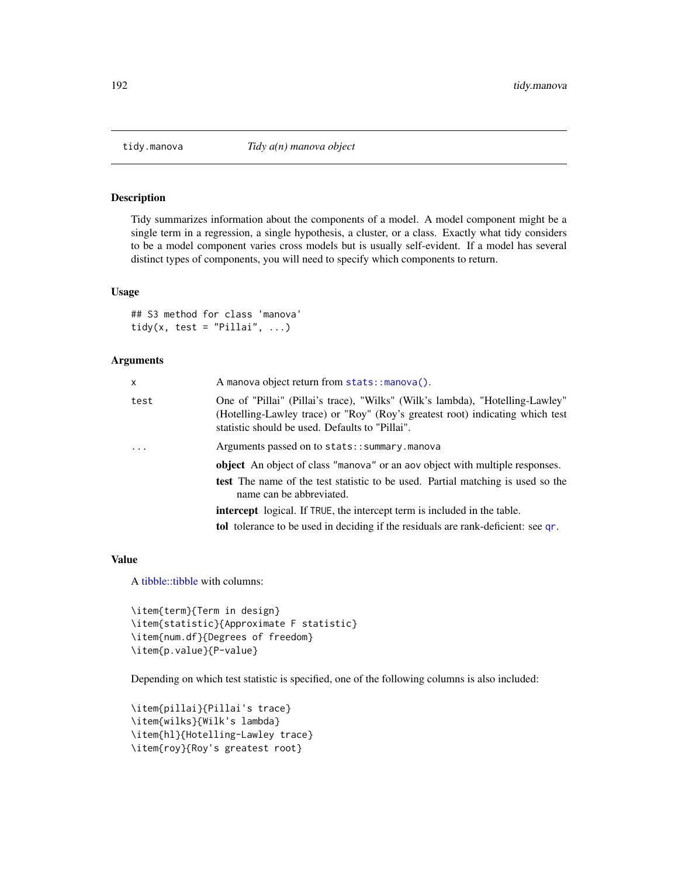## Description

Tidy summarizes information about the components of a model. A model component might be a single term in a regression, a single hypothesis, a cluster, or a class. Exactly what tidy considers to be a model component varies cross models but is usually self-evident. If a model has several distinct types of components, you will need to specify which components to return.

# Usage

```
## S3 method for class 'manova'
tidy(x, test = "Pillai", \ldots)
```
## Arguments

| x        | A manova object return from stats::manova().                                                                                                                                                                      |
|----------|-------------------------------------------------------------------------------------------------------------------------------------------------------------------------------------------------------------------|
| test     | One of "Pillai" (Pillai's trace), "Wilks" (Wilk's lambda), "Hotelling-Lawley"<br>(Hotelling-Lawley trace) or "Roy" (Roy's greatest root) indicating which test<br>statistic should be used. Defaults to "Pillai". |
| $\ddots$ | Arguments passed on to stats::summary.manova                                                                                                                                                                      |
|          | <b>object</b> An object of class "manova" or an aov object with multiple responses.                                                                                                                               |
|          | <b>test</b> The name of the test statistic to be used. Partial matching is used so the<br>name can be abbreviated.                                                                                                |
|          | <b>intercept</b> logical. If TRUE, the intercept term is included in the table.                                                                                                                                   |
|          | tol tolerance to be used in deciding if the residuals are rank-deficient: see qr.                                                                                                                                 |

## Value

A [tibble::tibble](#page-0-0) with columns:

```
\item{term}{Term in design}
\item{statistic}{Approximate F statistic}
\item{num.df}{Degrees of freedom}
\item{p.value}{P-value}
```
Depending on which test statistic is specified, one of the following columns is also included:

```
\item{pillai}{Pillai's trace}
\item{wilks}{Wilk's lambda}
\item{hl}{Hotelling-Lawley trace}
\item{roy}{Roy's greatest root}
```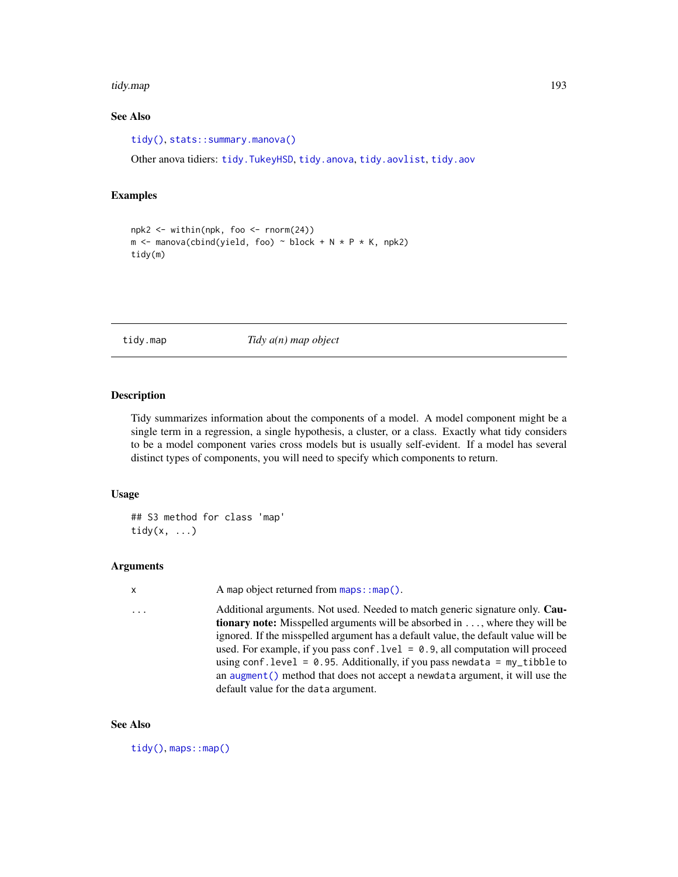#### tidy.map 193

# See Also

[tidy\(\)](#page-0-0), [stats::summary.manova\(\)](#page-0-0)

Other anova tidiers: [tidy.TukeyHSD](#page-236-0), [tidy.anova](#page-128-0), [tidy.aovlist](#page-131-0), [tidy.aov](#page-130-0)

## Examples

```
npk2 <- within(npk, foo <- rnorm(24))
m \le - manova(cbind(yield, foo) \sim block + N * P * K, npk2)
tidy(m)
```
tidy.map *Tidy a(n) map object*

# Description

Tidy summarizes information about the components of a model. A model component might be a single term in a regression, a single hypothesis, a cluster, or a class. Exactly what tidy considers to be a model component varies cross models but is usually self-evident. If a model has several distinct types of components, you will need to specify which components to return.

## Usage

```
## S3 method for class 'map'
tidy(x, \ldots)
```
## Arguments

x A map object returned from [maps::map\(\)](#page-0-0).

... Additional arguments. Not used. Needed to match generic signature only. Cautionary note: Misspelled arguments will be absorbed in ..., where they will be ignored. If the misspelled argument has a default value, the default value will be used. For example, if you pass conf.  $level = 0.9$ , all computation will proceed using conf.level =  $0.95$ . Additionally, if you pass newdata = my\_tibble to an [augment\(\)](#page-0-0) method that does not accept a newdata argument, it will use the default value for the data argument.

#### See Also

[tidy\(\)](#page-0-0), [maps::map\(\)](#page-0-0)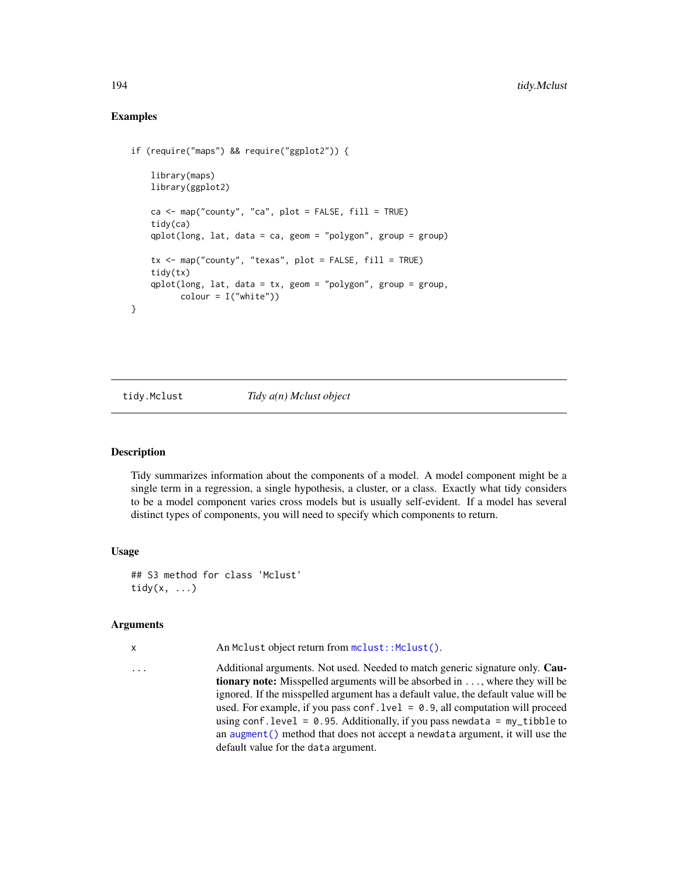# Examples

```
if (require("maps") && require("ggplot2")) {
    library(maps)
    library(ggplot2)
    ca \leq map("county", "ca", plot = FALSE, fill = TRUE)tidy(ca)
    qplot(long, lat, data = ca, geom = "polygon", group = group)
    tx < - map("county", "texas", plot = FALSE, fill = TRUE)
    tidy(tx)
    qplot(long, lat, data = tx, geom = "polygon", group = group,color = I("white")}
```

```
tidy.Mclust Tidy a(n) Mclust object
```
## Description

Tidy summarizes information about the components of a model. A model component might be a single term in a regression, a single hypothesis, a cluster, or a class. Exactly what tidy considers to be a model component varies cross models but is usually self-evident. If a model has several distinct types of components, you will need to specify which components to return.

#### Usage

## S3 method for class 'Mclust'  $\text{tidy}(x, \ldots)$ 

#### Arguments

x An Mclust object return from [mclust::Mclust\(\)](#page-0-0).

... Additional arguments. Not used. Needed to match generic signature only. Cautionary note: Misspelled arguments will be absorbed in ..., where they will be ignored. If the misspelled argument has a default value, the default value will be used. For example, if you pass conf.  $level = 0.9$ , all computation will proceed using conf.level =  $0.95$ . Additionally, if you pass newdata = my\_tibble to an [augment\(\)](#page-0-0) method that does not accept a newdata argument, it will use the default value for the data argument.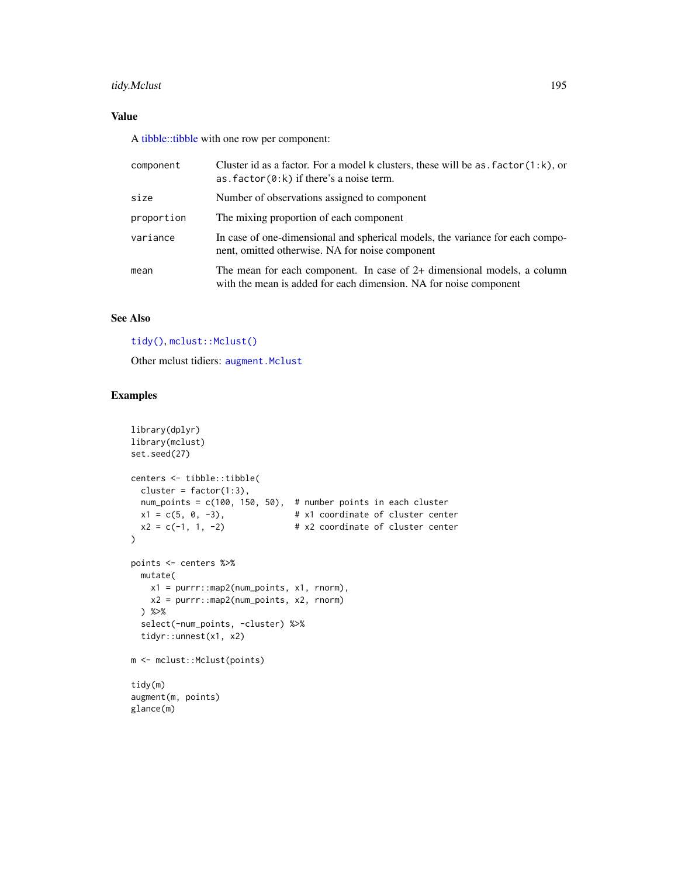# tidy.Mclust 195

# Value

A [tibble::tibble](#page-0-0) with one row per component:

| component  | Cluster id as a factor. For a model k clusters, these will be as $factor(1:k)$ , or<br>as. $factor(0:k)$ if there's a noise term.            |
|------------|----------------------------------------------------------------------------------------------------------------------------------------------|
| size       | Number of observations assigned to component                                                                                                 |
| proportion | The mixing proportion of each component                                                                                                      |
| variance   | In case of one-dimensional and spherical models, the variance for each compo-<br>nent, omitted otherwise. NA for noise component             |
| mean       | The mean for each component. In case of 2+ dimensional models, a column<br>with the mean is added for each dimension. NA for noise component |

# See Also

[tidy\(\)](#page-0-0), [mclust::Mclust\(\)](#page-0-0)

Other mclust tidiers: [augment.Mclust](#page-27-0)

```
library(dplyr)
library(mclust)
set.seed(27)
centers <- tibble::tibble(
 cluster = factor(1:3),
 num_points = c(100, 150, 50), # number points in each cluster
 x1 = c(5, 0, -3), # x1 coordinate of cluster center
  x2 = c(-1, 1, -2) # x2 coordinate of cluster center
)
points <- centers %>%
 mutate(
   x1 = purrr::map2(num_points, x1, rnorm),
   x2 = purrr::map2(num_points, x2, rnorm)
  ) %>%
  select(-num_points, -cluster) %>%
  tidyr::unnest(x1, x2)
m <- mclust::Mclust(points)
tidy(m)
augment(m, points)
glance(m)
```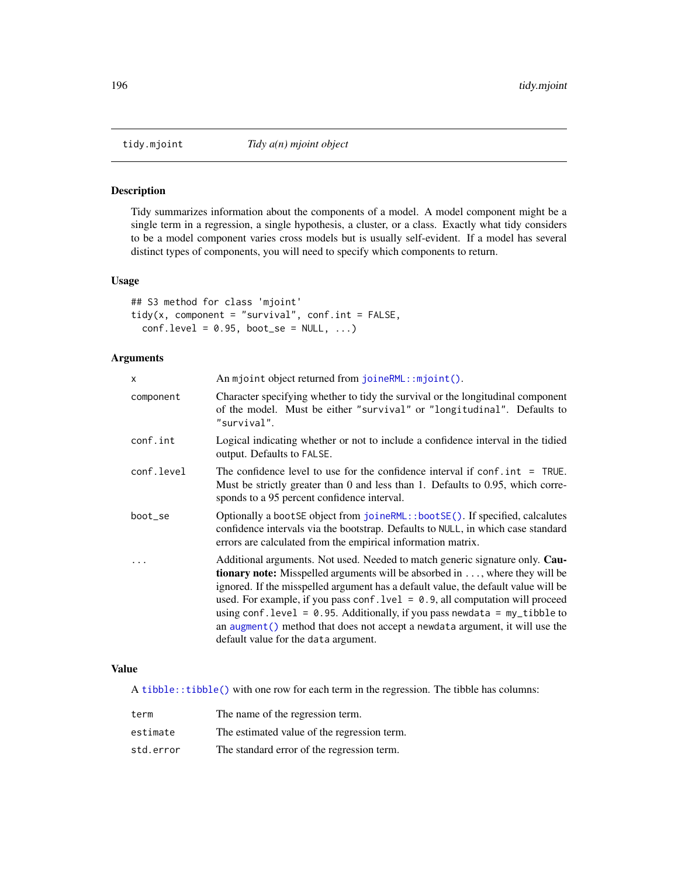# Description

Tidy summarizes information about the components of a model. A model component might be a single term in a regression, a single hypothesis, a cluster, or a class. Exactly what tidy considers to be a model component varies cross models but is usually self-evident. If a model has several distinct types of components, you will need to specify which components to return.

## Usage

```
## S3 method for class 'mjoint'
tidy(x, component = "survival", conf.int = FALSE,conf. level = 0.95, boot_se = NULL, ...)
```
# Arguments

| $\mathsf{x}$ | An mjoint object returned from joineRML:: mjoint().                                                                                                                                                                                                                                                                                                                                                                                                                                                                                                           |
|--------------|---------------------------------------------------------------------------------------------------------------------------------------------------------------------------------------------------------------------------------------------------------------------------------------------------------------------------------------------------------------------------------------------------------------------------------------------------------------------------------------------------------------------------------------------------------------|
| component    | Character specifying whether to tidy the survival or the longitudinal component<br>of the model. Must be either "survival" or "longitudinal". Defaults to<br>"survival".                                                                                                                                                                                                                                                                                                                                                                                      |
| conf.int     | Logical indicating whether or not to include a confidence interval in the tidied<br>output. Defaults to FALSE.                                                                                                                                                                                                                                                                                                                                                                                                                                                |
| conf.level   | The confidence level to use for the confidence interval if $\text{conf.int} = \text{TRUE}$ .<br>Must be strictly greater than 0 and less than 1. Defaults to 0.95, which corre-<br>sponds to a 95 percent confidence interval.                                                                                                                                                                                                                                                                                                                                |
| boot_se      | Optionally a bootSE object from joineRML::bootSE(). If specified, calcalutes<br>confidence intervals via the bootstrap. Defaults to NULL, in which case standard<br>errors are calculated from the empirical information matrix.                                                                                                                                                                                                                                                                                                                              |
|              | Additional arguments. Not used. Needed to match generic signature only. Cau-<br><b>tionary note:</b> Misspelled arguments will be absorbed in , where they will be<br>ignored. If the misspelled argument has a default value, the default value will be<br>used. For example, if you pass conf. $1$ ve $1 = 0.9$ , all computation will proceed<br>using conf.level = $0.95$ . Additionally, if you pass newdata = $my_t$ tibble to<br>an augment () method that does not accept a newdata argument, it will use the<br>default value for the data argument. |

## Value

A [tibble::tibble\(\)](#page-0-0) with one row for each term in the regression. The tibble has columns:

| term      | The name of the regression term.            |
|-----------|---------------------------------------------|
| estimate  | The estimated value of the regression term. |
| std.error | The standard error of the regression term.  |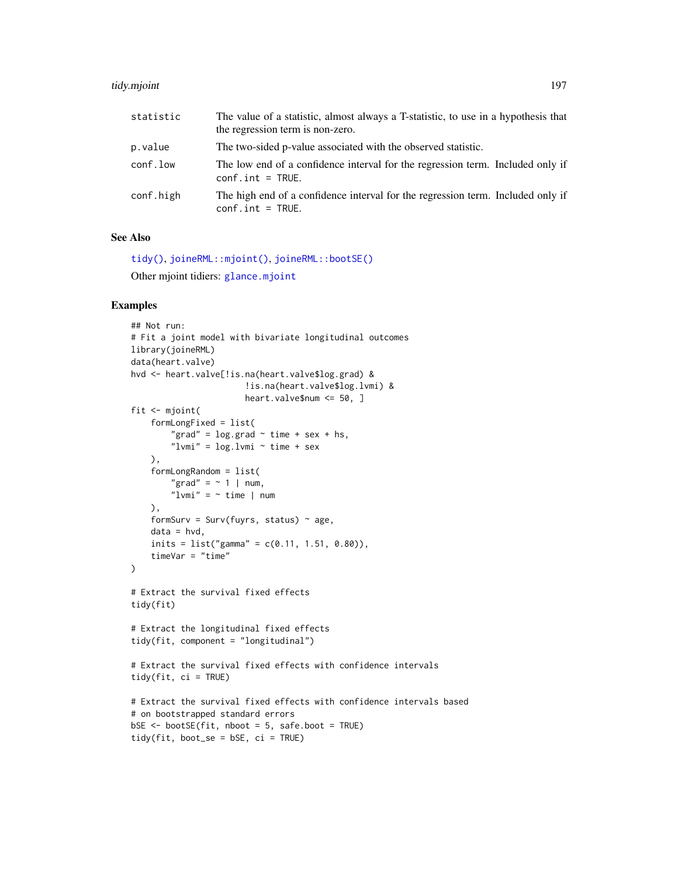#### tidy.mjoint 197

| statistic | The value of a statistic, almost always a T-statistic, to use in a hypothesis that<br>the regression term is non-zero. |
|-----------|------------------------------------------------------------------------------------------------------------------------|
| p.value   | The two-sided p-value associated with the observed statistic.                                                          |
| conf.low  | The low end of a confidence interval for the regression term. Included only if<br>$conf.int = TRUE.$                   |
| conf.high | The high end of a confidence interval for the regression term. Included only if<br>$conf.int = TRUE.$                  |

# See Also

[tidy\(\)](#page-0-0), [joineRML::mjoint\(\)](#page-0-0), [joineRML::bootSE\(\)](#page-0-0) Other mjoint tidiers: [glance.mjoint](#page-89-0)

```
## Not run:
# Fit a joint model with bivariate longitudinal outcomes
library(joineRML)
data(heart.valve)
hvd <- heart.valve[!is.na(heart.valve$log.grad) &
                       !is.na(heart.valve$log.lvmi) &
                       heart.valve$num <= 50, ]
fit <- mjoint(
    formLongFixed = list(
        "grad" = \log_{1}grad ~ time + sex + hs,
        "lvmi" = log.lvmi ~ time + sex
    ),
    formLongRandom = list(
        "grad" = \sim 1 | num,
        "lvmi" = ~ time | num),
    formSurv = Surv(fuyrs, status) \sim age,
    data = hvd,
    inits = list("gamma" = c(0.11, 1.51, 0.80)),timeVar = "time"
)
# Extract the survival fixed effects
tidy(fit)
# Extract the longitudinal fixed effects
tidy(fit, component = "longitudinal")
# Extract the survival fixed effects with confidence intervals
tidy(fit, ci = TRUE)# Extract the survival fixed effects with confidence intervals based
# on bootstrapped standard errors
bSE \leq -bootSE(fit, nboot = 5, safe.boot = TRUE)tidy(fit, boot_se = bSE, ci = TRUE)
```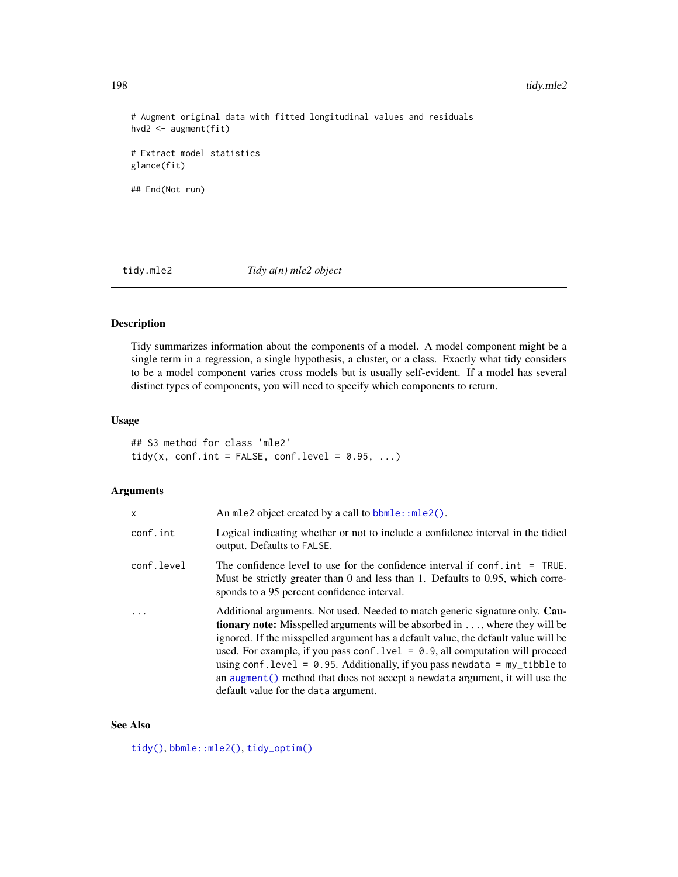#### 198 tidy.mle2

# Augment original data with fitted longitudinal values and residuals hvd2 <- augment(fit) # Extract model statistics glance(fit) ## End(Not run)

tidy.mle2 *Tidy a(n) mle2 object*

# Description

Tidy summarizes information about the components of a model. A model component might be a single term in a regression, a single hypothesis, a cluster, or a class. Exactly what tidy considers to be a model component varies cross models but is usually self-evident. If a model has several distinct types of components, you will need to specify which components to return.

# Usage

```
## S3 method for class 'mle2'
tidy(x, conf.int = FALSE, conf.level = 0.95, ...)
```
## Arguments

| X          | An mle2 object created by a call to $bbmle::mle2()$ .                                                                                                                                                                                                                                                                                                                                                                                                                                                                                                     |
|------------|-----------------------------------------------------------------------------------------------------------------------------------------------------------------------------------------------------------------------------------------------------------------------------------------------------------------------------------------------------------------------------------------------------------------------------------------------------------------------------------------------------------------------------------------------------------|
| conf.int   | Logical indicating whether or not to include a confidence interval in the tidied<br>output. Defaults to FALSE.                                                                                                                                                                                                                                                                                                                                                                                                                                            |
| conf.level | The confidence level to use for the confidence interval if $\text{conf.int} = \text{TRUE}$ .<br>Must be strictly greater than 0 and less than 1. Defaults to 0.95, which corre-<br>sponds to a 95 percent confidence interval.                                                                                                                                                                                                                                                                                                                            |
|            | Additional arguments. Not used. Needed to match generic signature only. Cau-<br><b>tionary note:</b> Misspelled arguments will be absorbed in , where they will be<br>ignored. If the misspelled argument has a default value, the default value will be<br>used. For example, if you pass conf. $1$ vel = 0.9, all computation will proceed<br>using conf. level = $0.95$ . Additionally, if you pass newdata = $my$ _tibble to<br>an augment () method that does not accept a newdata argument, it will use the<br>default value for the data argument. |

# See Also

[tidy\(\)](#page-0-0), [bbmle::mle2\(\)](#page-0-0), [tidy\\_optim\(\)](#page-241-0)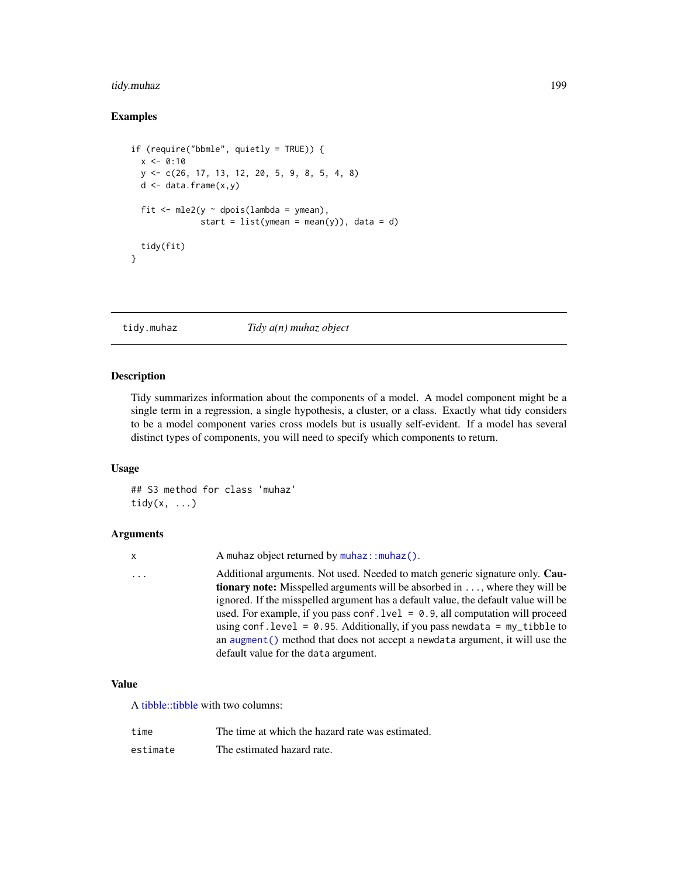#### tidy.muhaz 199

# Examples

```
if (require("bbmle", quietly = TRUE)) {
 x < -0.10y <- c(26, 17, 13, 12, 20, 5, 9, 8, 5, 4, 8)
 d \leq data.frame(x, y)fit \leq mle2(y \sim dpois(lambda = ymean),
              start = list(ymean = mean(y)), data = d)
 tidy(fit)
}
```
tidy.muhaz *Tidy a(n) muhaz object*

#### Description

Tidy summarizes information about the components of a model. A model component might be a single term in a regression, a single hypothesis, a cluster, or a class. Exactly what tidy considers to be a model component varies cross models but is usually self-evident. If a model has several distinct types of components, you will need to specify which components to return.

# Usage

## S3 method for class 'muhaz' tidy $(x, \ldots)$ 

# **Arguments**

|  |  | A muhaz object returned by muhaz:: muhaz(). |  |  |
|--|--|---------------------------------------------|--|--|
|--|--|---------------------------------------------|--|--|

... Additional arguments. Not used. Needed to match generic signature only. Cautionary note: Misspelled arguments will be absorbed in ..., where they will be ignored. If the misspelled argument has a default value, the default value will be used. For example, if you pass conf.  $level = 0.9$ , all computation will proceed using conf.level = 0.95. Additionally, if you pass newdata = my\_tibble to an [augment\(\)](#page-0-0) method that does not accept a newdata argument, it will use the default value for the data argument.

#### Value

A [tibble::tibble](#page-0-0) with two columns:

| time     | The time at which the hazard rate was estimated. |
|----------|--------------------------------------------------|
| estimate | The estimated hazard rate.                       |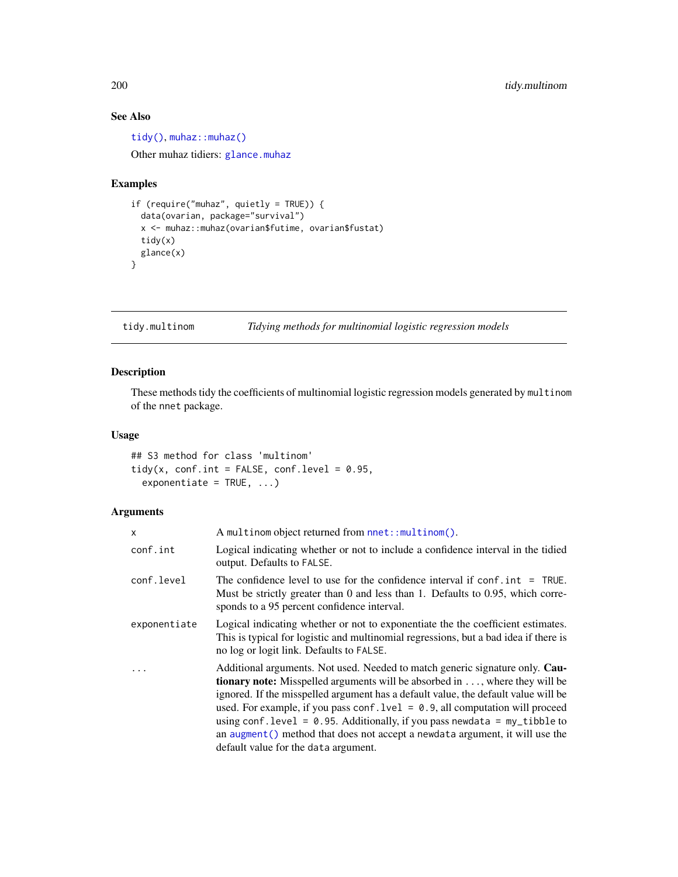# See Also

[tidy\(\)](#page-0-0), [muhaz::muhaz\(\)](#page-0-0) Other muhaz tidiers: [glance.muhaz](#page-90-0)

# Examples

```
if (require("muhaz", quietly = TRUE)) {
 data(ovarian, package="survival")
 x <- muhaz::muhaz(ovarian$futime, ovarian$fustat)
 tidy(x)
 glance(x)
}
```
tidy.multinom *Tidying methods for multinomial logistic regression models*

# Description

These methods tidy the coefficients of multinomial logistic regression models generated by multinom of the nnet package.

#### Usage

## S3 method for class 'multinom' tidy(x, conf.int = FALSE, conf.level =  $0.95$ , exponentiate =  $TRUE$ , ...)

# Arguments

| x            | A multinom object returned from nnet::multinom().                                                                                                                                                                                                                                                                                                                                                                                                                                                                                                             |
|--------------|---------------------------------------------------------------------------------------------------------------------------------------------------------------------------------------------------------------------------------------------------------------------------------------------------------------------------------------------------------------------------------------------------------------------------------------------------------------------------------------------------------------------------------------------------------------|
| conf.int     | Logical indicating whether or not to include a confidence interval in the tidied<br>output. Defaults to FALSE.                                                                                                                                                                                                                                                                                                                                                                                                                                                |
| conf.level   | The confidence level to use for the confidence interval if $\text{conf.int} = \text{TRUE}$ .<br>Must be strictly greater than 0 and less than 1. Defaults to 0.95, which corre-<br>sponds to a 95 percent confidence interval.                                                                                                                                                                                                                                                                                                                                |
| exponentiate | Logical indicating whether or not to exponentiate the the coefficient estimates.<br>This is typical for logistic and multinomial regressions, but a bad idea if there is<br>no log or logit link. Defaults to FALSE.                                                                                                                                                                                                                                                                                                                                          |
| $\ddots$     | Additional arguments. Not used. Needed to match generic signature only. Cau-<br><b>tionary note:</b> Misspelled arguments will be absorbed in , where they will be<br>ignored. If the misspelled argument has a default value, the default value will be<br>used. For example, if you pass conf. $1$ ve $1 = 0.9$ , all computation will proceed<br>using conf.level = $0.95$ . Additionally, if you pass newdata = $my_t$ tibble to<br>an augment () method that does not accept a newdata argument, it will use the<br>default value for the data argument. |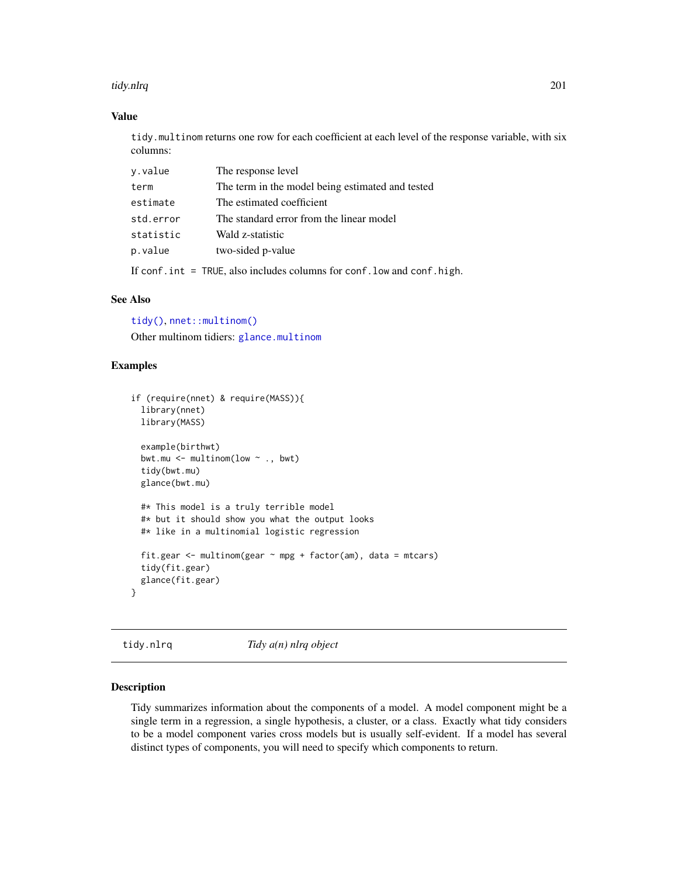#### tidy.nlrq 201

## Value

tidy.multinom returns one row for each coefficient at each level of the response variable, with six columns:

| y.value   | The response level                                                         |
|-----------|----------------------------------------------------------------------------|
| term      | The term in the model being estimated and tested                           |
| estimate  | The estimated coefficient                                                  |
| std.error | The standard error from the linear model                                   |
| statistic | Wald z-statistic                                                           |
| p.value   | two-sided p-value                                                          |
|           | If conf. int $=$ TRUE, also includes columns for conf. low and conf. high. |

# See Also

[tidy\(\)](#page-0-0), [nnet::multinom\(\)](#page-0-0) Other multinom tidiers: [glance.multinom](#page-91-0)

# Examples

```
if (require(nnet) & require(MASS)){
 library(nnet)
 library(MASS)
 example(birthwt)
 bwt.mu \leq multinom(low \sim ., bwt)
 tidy(bwt.mu)
 glance(bwt.mu)
 #* This model is a truly terrible model
 #* but it should show you what the output looks
 #* like in a multinomial logistic regression
 fit.gear \leq multinom(gear \sim mpg + factor(am), data = mtcars)
 tidy(fit.gear)
 glance(fit.gear)
}
```
tidy.nlrq *Tidy a(n) nlrq object*

#### Description

Tidy summarizes information about the components of a model. A model component might be a single term in a regression, a single hypothesis, a cluster, or a class. Exactly what tidy considers to be a model component varies cross models but is usually self-evident. If a model has several distinct types of components, you will need to specify which components to return.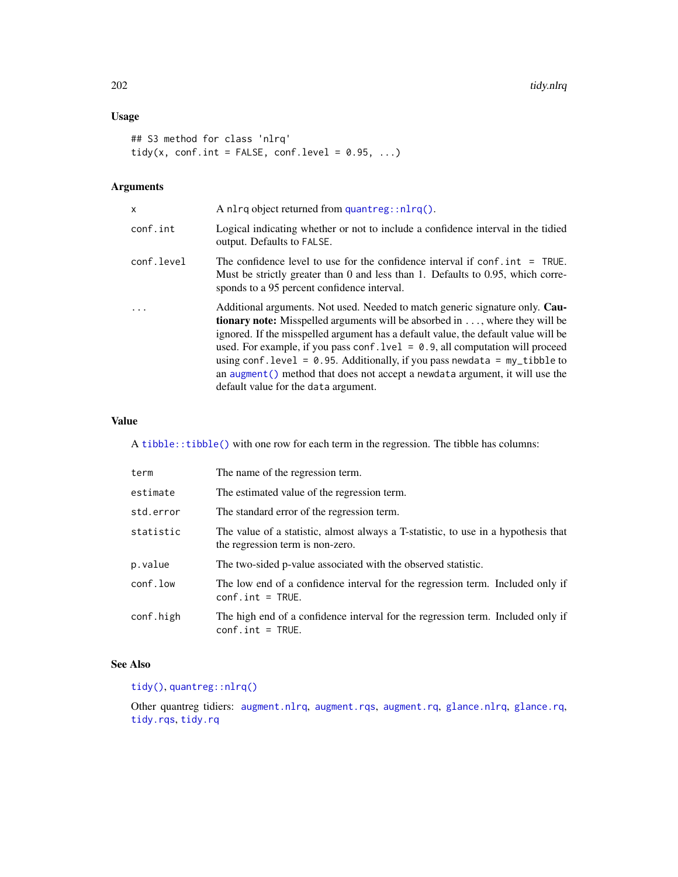# Usage

```
## S3 method for class 'nlrq'
tidy(x, conf.int = FALSE, conf.level = 0.95, ...)
```
# Arguments

| X          | A nl rq object returned from quantreg: : $nlrq()$ .                                                                                                                                                                                                                                                                                                                                                                                                                                                                                                           |
|------------|---------------------------------------------------------------------------------------------------------------------------------------------------------------------------------------------------------------------------------------------------------------------------------------------------------------------------------------------------------------------------------------------------------------------------------------------------------------------------------------------------------------------------------------------------------------|
| conf.int   | Logical indicating whether or not to include a confidence interval in the tidied<br>output. Defaults to FALSE.                                                                                                                                                                                                                                                                                                                                                                                                                                                |
| conf.level | The confidence level to use for the confidence interval if $\text{conf.int} = \text{TRUE}$ .<br>Must be strictly greater than 0 and less than 1. Defaults to 0.95, which corre-<br>sponds to a 95 percent confidence interval.                                                                                                                                                                                                                                                                                                                                |
| $\ddots$ . | Additional arguments. Not used. Needed to match generic signature only. Cau-<br><b>tionary note:</b> Misspelled arguments will be absorbed in , where they will be<br>ignored. If the misspelled argument has a default value, the default value will be<br>used. For example, if you pass conf. $1$ ve $1 = 0.9$ , all computation will proceed<br>using conf. level = $0.95$ . Additionally, if you pass newdata = $my$ _tibble to<br>an augment () method that does not accept a newdata argument, it will use the<br>default value for the data argument. |

# Value

A [tibble::tibble\(\)](#page-0-0) with one row for each term in the regression. The tibble has columns:

| The name of the regression term.                                                                                       |
|------------------------------------------------------------------------------------------------------------------------|
| The estimated value of the regression term.                                                                            |
| The standard error of the regression term.                                                                             |
| The value of a statistic, almost always a T-statistic, to use in a hypothesis that<br>the regression term is non-zero. |
| The two-sided p-value associated with the observed statistic.                                                          |
| The low end of a confidence interval for the regression term. Included only if<br>$conf.int = TRUE.$                   |
| The high end of a confidence interval for the regression term. Included only if<br>$conf.int = TRUE.$                  |
|                                                                                                                        |

# See Also

[tidy\(\)](#page-0-0), [quantreg::nlrq\(\)](#page-0-0)

Other quantreg tidiers: [augment.nlrq](#page-30-0), [augment.rqs](#page-40-0), [augment.rq](#page-38-0), [glance.nlrq](#page-92-0), [glance.rq](#page-101-0), [tidy.rqs](#page-224-0), [tidy.rq](#page-223-0)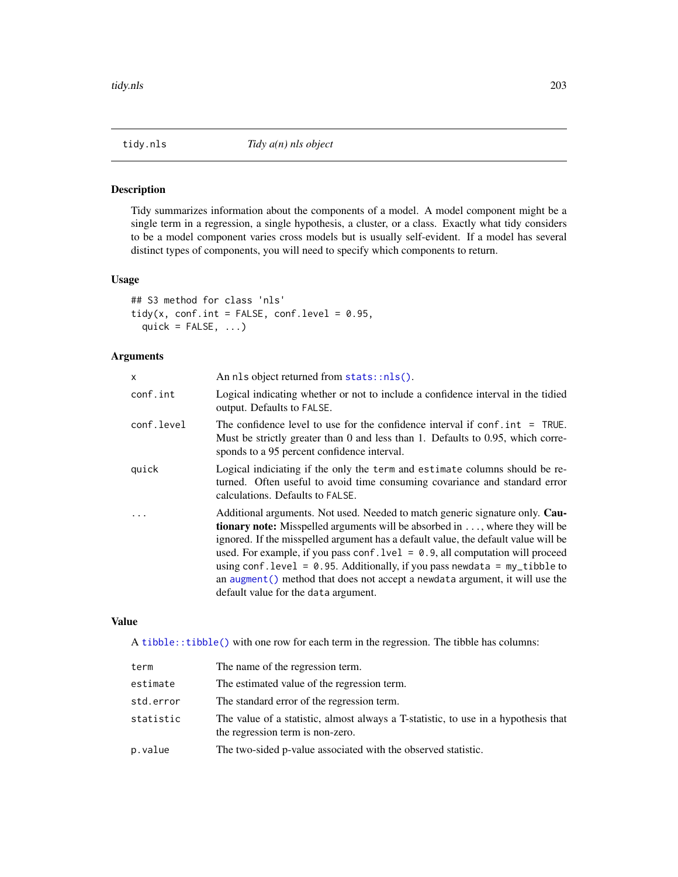# Description

Tidy summarizes information about the components of a model. A model component might be a single term in a regression, a single hypothesis, a cluster, or a class. Exactly what tidy considers to be a model component varies cross models but is usually self-evident. If a model has several distinct types of components, you will need to specify which components to return.

## Usage

```
## S3 method for class 'nls'
tidy(x, conf.int = FALSE, conf.level = 0.95,
 quick = FALSE, ...)
```
## Arguments

| x          | An nls object returned from stats::nls().                                                                                                                                                                                                                                                                                                                                                                                                                                                                                                                      |
|------------|----------------------------------------------------------------------------------------------------------------------------------------------------------------------------------------------------------------------------------------------------------------------------------------------------------------------------------------------------------------------------------------------------------------------------------------------------------------------------------------------------------------------------------------------------------------|
| conf.int   | Logical indicating whether or not to include a confidence interval in the tidied<br>output. Defaults to FALSE.                                                                                                                                                                                                                                                                                                                                                                                                                                                 |
| conf.level | The confidence level to use for the confidence interval if $\text{conf.int} = \text{TRUE}$ .<br>Must be strictly greater than 0 and less than 1. Defaults to 0.95, which corre-<br>sponds to a 95 percent confidence interval.                                                                                                                                                                                                                                                                                                                                 |
| quick      | Logical indiciating if the only the term and estimate columns should be re-<br>turned. Often useful to avoid time consuming covariance and standard error<br>calculations. Defaults to FALSE.                                                                                                                                                                                                                                                                                                                                                                  |
| .          | Additional arguments. Not used. Needed to match generic signature only. Cau-<br><b>tionary note:</b> Misspelled arguments will be absorbed in , where they will be<br>ignored. If the misspelled argument has a default value, the default value will be<br>used. For example, if you pass conf. $1$ ve $1 = 0.9$ , all computation will proceed<br>using conf. level = $0.95$ . Additionally, if you pass newdata = $my_t$ tibble to<br>an augment () method that does not accept a newdata argument, it will use the<br>default value for the data argument. |

# Value

A [tibble::tibble\(\)](#page-0-0) with one row for each term in the regression. The tibble has columns:

| term      | The name of the regression term.                                                                                       |
|-----------|------------------------------------------------------------------------------------------------------------------------|
| estimate  | The estimated value of the regression term.                                                                            |
| std.error | The standard error of the regression term.                                                                             |
| statistic | The value of a statistic, almost always a T-statistic, to use in a hypothesis that<br>the regression term is non-zero. |
| p.value   | The two-sided p-value associated with the observed statistic.                                                          |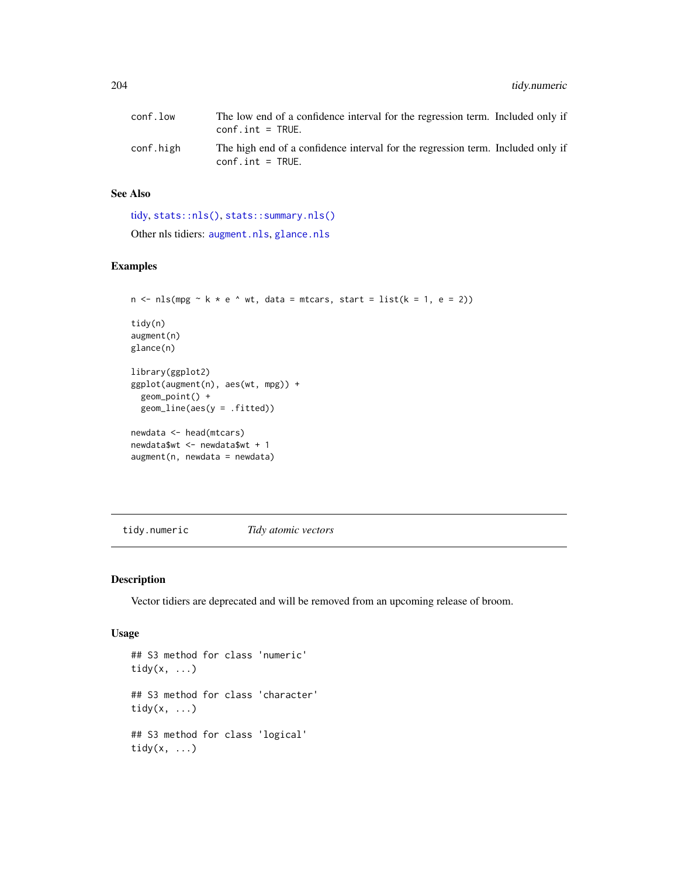| conf.low  | The low end of a confidence interval for the regression term. Included only if<br>$conf.int = TRUE.$  |  |
|-----------|-------------------------------------------------------------------------------------------------------|--|
| conf.high | The high end of a confidence interval for the regression term. Included only if<br>$conf.int = TRUE.$ |  |

## See Also

[tidy,](#page-0-0) [stats::nls\(\)](#page-0-0), [stats::summary.nls\(\)](#page-0-0) Other nls tidiers: [augment.nls](#page-31-0), [glance.nls](#page-93-0)

## Examples

```
n \leq n \leq m \leq m \leq n \leq k * e ^ wt, data = mtcars, start = list(k = 1, e = 2))
tidy(n)
augment(n)
glance(n)
library(ggplot2)
ggplot(augment(n), aes(wt, mpg)) +
  geom_point() +
  geom_line(aes(y = .fitted))
newdata <- head(mtcars)
newdata$wt <- newdata$wt + 1
augment(n, newdata = newdata)
```
tidy.numeric *Tidy atomic vectors*

## Description

Vector tidiers are deprecated and will be removed from an upcoming release of broom.

## Usage

```
## S3 method for class 'numeric'
tidy(x, \ldots)## S3 method for class 'character'
tidy(x, ...)
## S3 method for class 'logical'
tidy(x, ...)
```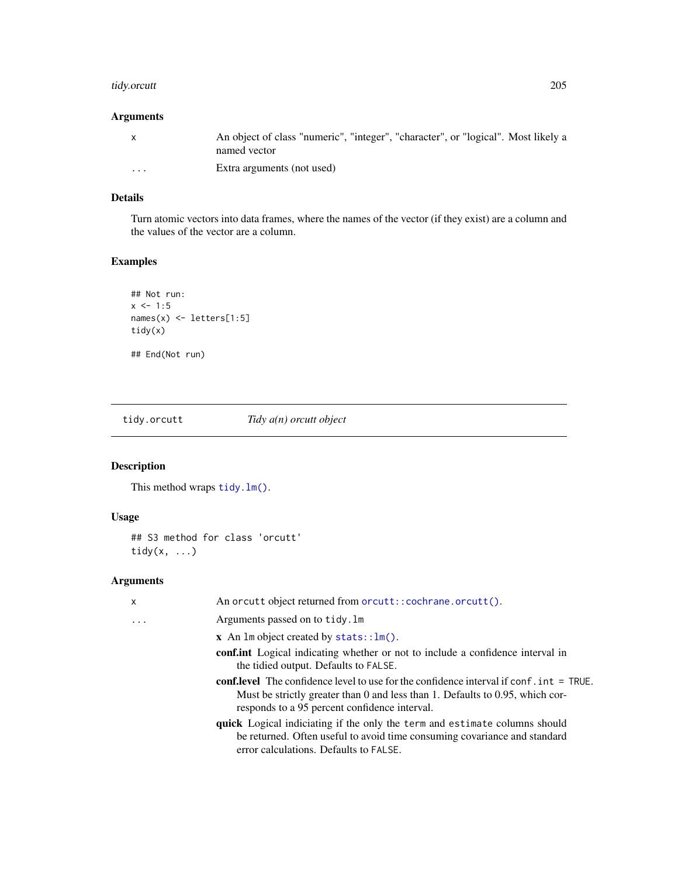# tidy.orcutt 205

# Arguments

|                         | An object of class "numeric", "integer", "character", or "logical". Most likely a<br>named vector |
|-------------------------|---------------------------------------------------------------------------------------------------|
| $\cdot$ $\cdot$ $\cdot$ | Extra arguments (not used)                                                                        |

# Details

Turn atomic vectors into data frames, where the names of the vector (if they exist) are a column and the values of the vector are a column.

# Examples

```
## Not run:
x \le -1:5names(x) <- letters[1:5]
tidy(x)
## End(Not run)
```
tidy.orcutt *Tidy a(n) orcutt object*

# Description

This method wraps [tidy.lm\(\)](#page-185-0).

# Usage

```
## S3 method for class 'orcutt'
tidy(x, ...)
```
# Arguments

| $\mathsf{x}$            | An orcutt object returned from orcutt:: cochrane.orcutt().                                                                                                                                                                       |
|-------------------------|----------------------------------------------------------------------------------------------------------------------------------------------------------------------------------------------------------------------------------|
| $\cdot$ $\cdot$ $\cdot$ | Arguments passed on to tidy. Im                                                                                                                                                                                                  |
|                         | $x$ An 1m object created by stats:: $lm()$ .                                                                                                                                                                                     |
|                         | <b>confinit</b> Logical indicating whether or not to include a confidence interval in<br>the tidied output. Defaults to FALSE.                                                                                                   |
|                         | <b>conf.level</b> The confidence level to use for the confidence interval if conf. int = TRUE.<br>Must be strictly greater than 0 and less than 1. Defaults to 0.95, which cor-<br>responds to a 95 percent confidence interval. |
|                         | quick Logical indiciating if the only the term and estimate columns should<br>be returned. Often useful to avoid time consuming covariance and standard<br>error calculations. Defaults to FALSE.                                |
|                         |                                                                                                                                                                                                                                  |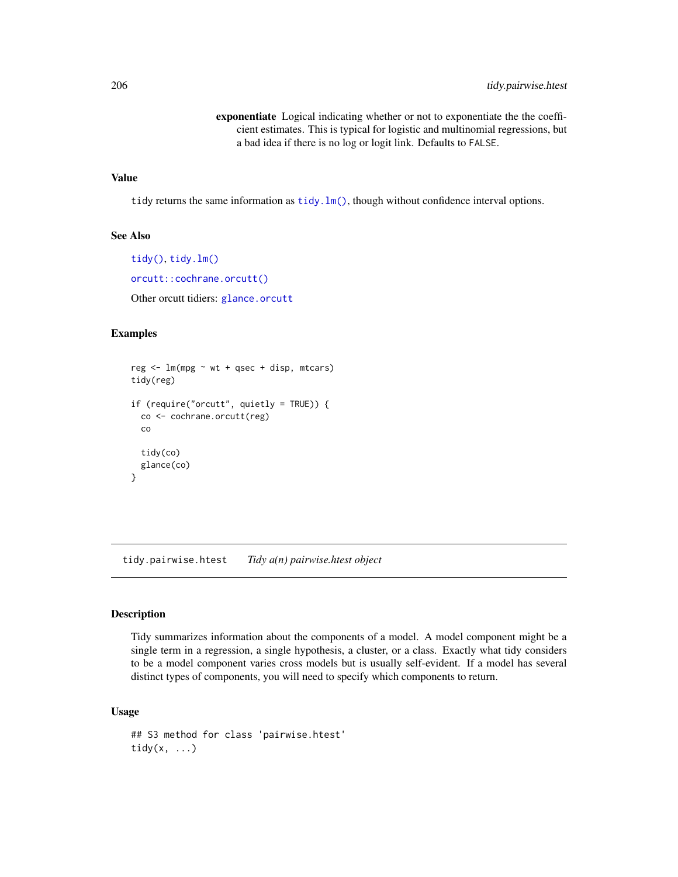exponentiate Logical indicating whether or not to exponentiate the the coefficient estimates. This is typical for logistic and multinomial regressions, but a bad idea if there is no log or logit link. Defaults to FALSE.

#### Value

tidy returns the same information as tidy.  $lm()$ , though without confidence interval options.

#### See Also

[tidy\(\)](#page-0-0), [tidy.lm\(\)](#page-185-0) [orcutt::cochrane.orcutt\(\)](#page-0-0) Other orcutt tidiers: [glance.orcutt](#page-94-0)

## Examples

```
reg \leq 1m(mpg \sim wt + qsec + disp, mtcars)
tidy(reg)
if (require("orcutt", quietly = TRUE)) {
 co <- cochrane.orcutt(reg)
 co
 tidy(co)
 glance(co)
}
```
<span id="page-205-0"></span>tidy.pairwise.htest *Tidy a(n) pairwise.htest object*

# Description

Tidy summarizes information about the components of a model. A model component might be a single term in a regression, a single hypothesis, a cluster, or a class. Exactly what tidy considers to be a model component varies cross models but is usually self-evident. If a model has several distinct types of components, you will need to specify which components to return.

# Usage

```
## S3 method for class 'pairwise.htest'
tidy(x, \ldots)
```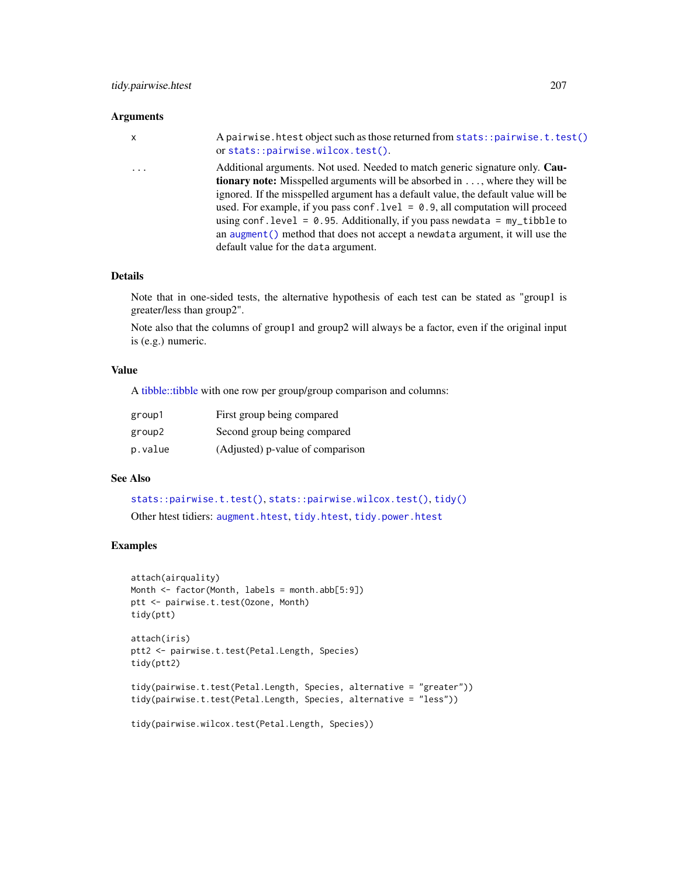## Arguments

| $\mathsf{x}$        | A pairwise. htest object such as those returned from stats:: pairwise. t. test()<br>or stats::pairwise.wilcox.test().                                                                                                                                                                                                                                                                                                                                                                                                                                         |
|---------------------|---------------------------------------------------------------------------------------------------------------------------------------------------------------------------------------------------------------------------------------------------------------------------------------------------------------------------------------------------------------------------------------------------------------------------------------------------------------------------------------------------------------------------------------------------------------|
| $\cdot \cdot \cdot$ | Additional arguments. Not used. Needed to match generic signature only. Cau-<br><b>tionary note:</b> Misspelled arguments will be absorbed in , where they will be<br>ignored. If the misspelled argument has a default value, the default value will be<br>used. For example, if you pass conf. $1$ ve $1 = 0.9$ , all computation will proceed<br>using conf.level = $0.95$ . Additionally, if you pass newdata = $my_t$ tibble to<br>an augment () method that does not accept a newdata argument, it will use the<br>default value for the data argument. |

## Details

Note that in one-sided tests, the alternative hypothesis of each test can be stated as "group1 is greater/less than group2".

Note also that the columns of group1 and group2 will always be a factor, even if the original input is (e.g.) numeric.

## Value

A [tibble::tibble](#page-0-0) with one row per group/group comparison and columns:

| group1  | First group being compared       |
|---------|----------------------------------|
| group2  | Second group being compared      |
| p.value | (Adjusted) p-value of comparison |

# See Also

[stats::pairwise.t.test\(\)](#page-0-0), [stats::pairwise.wilcox.test\(\)](#page-0-0), [tidy\(\)](#page-0-0) Other htest tidiers: [augment.htest](#page-17-0), [tidy.htest](#page-175-0), [tidy.power.htest](#page-213-0)

```
attach(airquality)
Month <- factor(Month, labels = month.abb[5:9])
ptt <- pairwise.t.test(Ozone, Month)
tidy(ptt)
attach(iris)
ptt2 <- pairwise.t.test(Petal.Length, Species)
tidy(ptt2)
tidy(pairwise.t.test(Petal.Length, Species, alternative = "greater"))
tidy(pairwise.t.test(Petal.Length, Species, alternative = "less"))
tidy(pairwise.wilcox.test(Petal.Length, Species))
```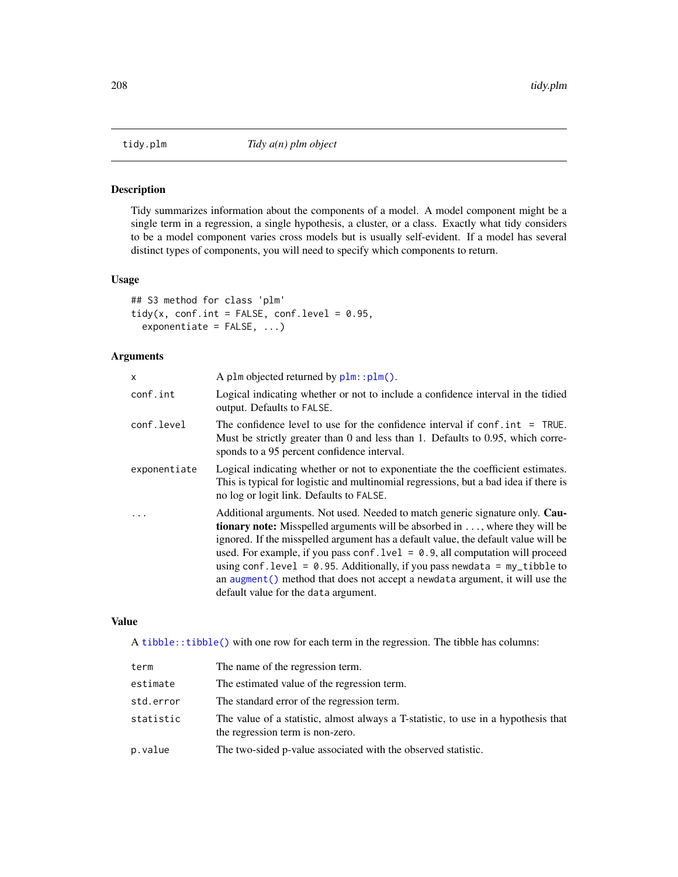# Description

Tidy summarizes information about the components of a model. A model component might be a single term in a regression, a single hypothesis, a cluster, or a class. Exactly what tidy considers to be a model component varies cross models but is usually self-evident. If a model has several distinct types of components, you will need to specify which components to return.

# Usage

```
## S3 method for class 'plm'
tidy(x, conf.int = FALSE, conf.level = 0.95,
 exponentiate = FALSE, ...)
```
## Arguments

| X            | A plm objected returned by $plm$ : : $plm()$ .                                                                                                                                                                                                                                                                                                                                                                                                                                                                                                                |
|--------------|---------------------------------------------------------------------------------------------------------------------------------------------------------------------------------------------------------------------------------------------------------------------------------------------------------------------------------------------------------------------------------------------------------------------------------------------------------------------------------------------------------------------------------------------------------------|
| conf.int     | Logical indicating whether or not to include a confidence interval in the tidied<br>output. Defaults to FALSE.                                                                                                                                                                                                                                                                                                                                                                                                                                                |
| conf.level   | The confidence level to use for the confidence interval if $\text{conf.int} = \text{TRUE}$ .<br>Must be strictly greater than 0 and less than 1. Defaults to 0.95, which corre-<br>sponds to a 95 percent confidence interval.                                                                                                                                                                                                                                                                                                                                |
| exponentiate | Logical indicating whether or not to exponentiate the the coefficient estimates.<br>This is typical for logistic and multinomial regressions, but a bad idea if there is<br>no log or logit link. Defaults to FALSE.                                                                                                                                                                                                                                                                                                                                          |
|              | Additional arguments. Not used. Needed to match generic signature only. Cau-<br><b>tionary note:</b> Misspelled arguments will be absorbed in , where they will be<br>ignored. If the misspelled argument has a default value, the default value will be<br>used. For example, if you pass conf. $1$ ve $1 = 0.9$ , all computation will proceed<br>using conf.level = $0.95$ . Additionally, if you pass newdata = $my_t$ tibble to<br>an augment () method that does not accept a newdata argument, it will use the<br>default value for the data argument. |

## Value

A [tibble::tibble\(\)](#page-0-0) with one row for each term in the regression. The tibble has columns:

| term      | The name of the regression term.                                                                                       |
|-----------|------------------------------------------------------------------------------------------------------------------------|
| estimate  | The estimated value of the regression term.                                                                            |
| std.error | The standard error of the regression term.                                                                             |
| statistic | The value of a statistic, almost always a T-statistic, to use in a hypothesis that<br>the regression term is non-zero. |
| p.value   | The two-sided p-value associated with the observed statistic.                                                          |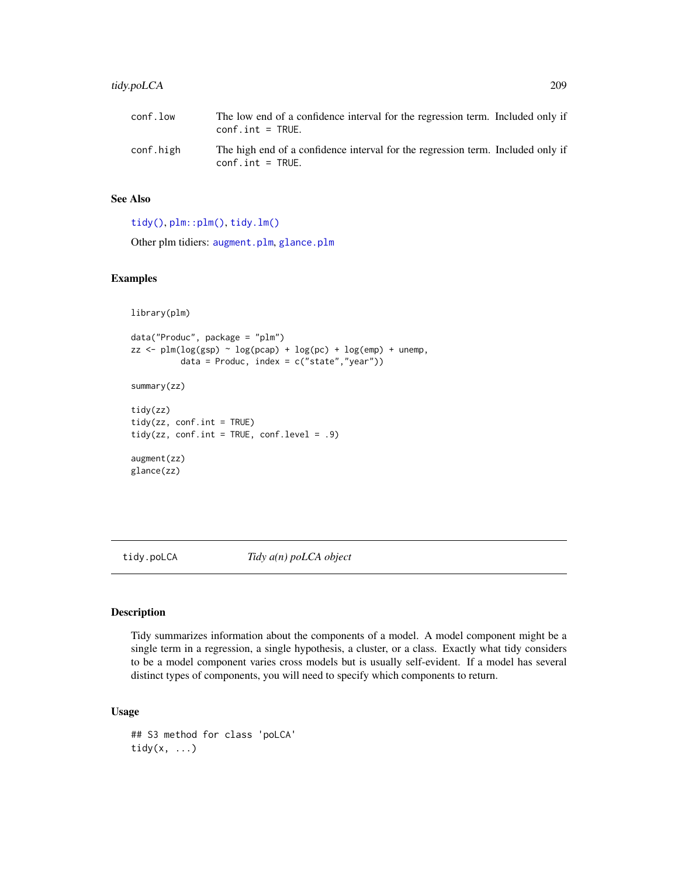# tidy.poLCA 209

| conf.low  | The low end of a confidence interval for the regression term. Included only if<br>$conf.int = TRUE.$  |  |
|-----------|-------------------------------------------------------------------------------------------------------|--|
| conf.high | The high end of a confidence interval for the regression term. Included only if<br>$conf.int = TRUE.$ |  |

## See Also

[tidy\(\)](#page-0-0), [plm::plm\(\)](#page-0-0), [tidy.lm\(\)](#page-185-0)

Other plm tidiers: [augment.plm](#page-33-0), [glance.plm](#page-95-0)

## Examples

```
library(plm)
data("Produc", package = "plm")
zz \le plm(log(gsp) \sim log(pcap) + log(pc) + log(emp) + unemp,
          data = Produc, index = c("state", "year"))summary(zz)
tidy(zz)
tidy(zz, conf.int = TRUE)
tidy(zz, conf.int = TRUE, conf.level = .9)
augment(zz)
glance(zz)
```
tidy.poLCA *Tidy a(n) poLCA object*

# Description

Tidy summarizes information about the components of a model. A model component might be a single term in a regression, a single hypothesis, a cluster, or a class. Exactly what tidy considers to be a model component varies cross models but is usually self-evident. If a model has several distinct types of components, you will need to specify which components to return.

# Usage

```
## S3 method for class 'poLCA'
tidy(x, ...)
```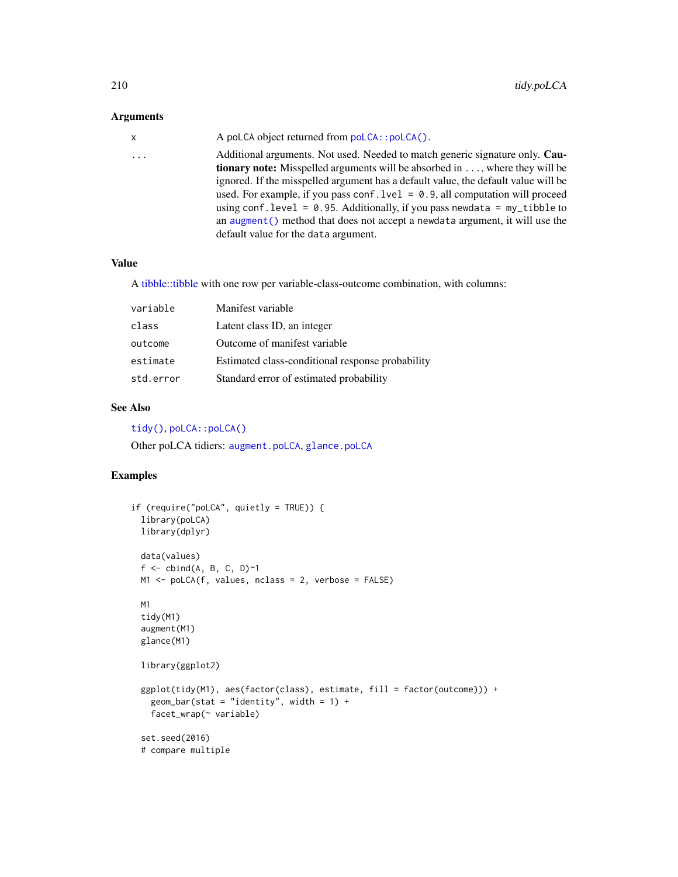# Arguments

| x | A polch object returned from $polCA$ : : $polCA()$ .                                   |
|---|----------------------------------------------------------------------------------------|
| . | Additional arguments. Not used. Needed to match generic signature only. Cau-           |
|   | <b>tionary note:</b> Misspelled arguments will be absorbed in , where they will be     |
|   | ignored. If the misspelled argument has a default value, the default value will be     |
|   | used. For example, if you pass conf. $1$ ve $1 = 0.9$ , all computation will proceed   |
|   | using conf. level = $\theta$ . 95. Additionally, if you pass newdata = $my$ _tibble to |
|   | an augment () method that does not accept a newdata argument, it will use the          |
|   | default value for the data argument.                                                   |
|   |                                                                                        |

# Value

A [tibble::tibble](#page-0-0) with one row per variable-class-outcome combination, with columns:

| Manifest variable                                |
|--------------------------------------------------|
| Latent class ID, an integer                      |
| Outcome of manifest variable                     |
| Estimated class-conditional response probability |
| Standard error of estimated probability          |
|                                                  |

# See Also

[tidy\(\)](#page-0-0), [poLCA::poLCA\(\)](#page-0-0) Other poLCA tidiers: [augment.poLCA](#page-34-0), [glance.poLCA](#page-96-0)

```
if (require("poLCA", quietly = TRUE)) {
 library(poLCA)
 library(dplyr)
 data(values)
 f \leftarrow \text{cbind}(A, B, C, D)~1
 M1 <- poLCA(f, values, nclass = 2, verbose = FALSE)
 M1
 tidy(M1)
 augment(M1)
 glance(M1)
 library(ggplot2)
 ggplot(tidy(M1), aes(factor(class), estimate, fill = factor(outcome))) +
    geom\_bar(stat = "identity", width = 1) +facet_wrap(~ variable)
 set.seed(2016)
 # compare multiple
```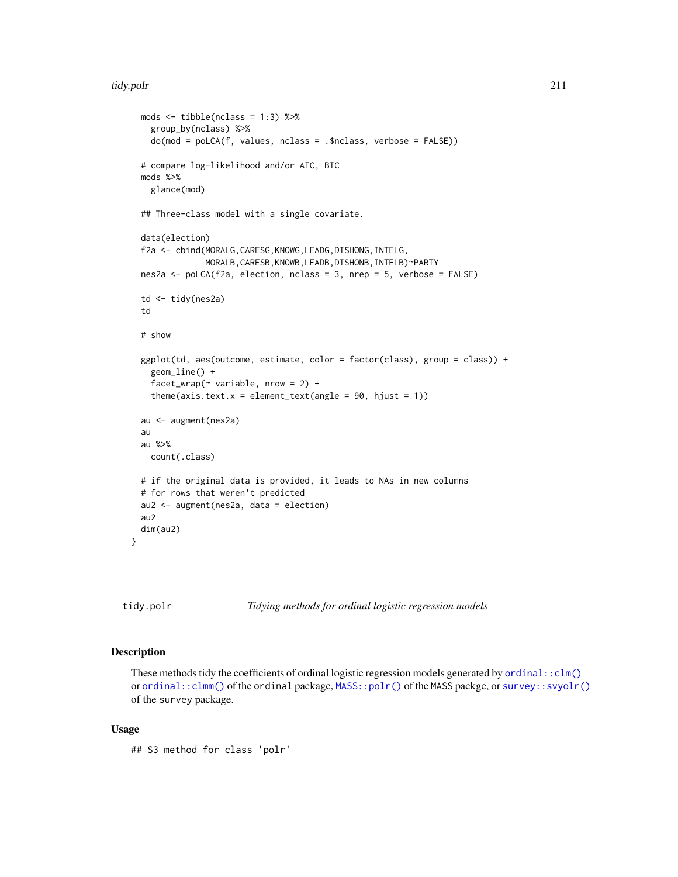#### tidy.polr 211

```
mods \le tibble(nclass = 1:3) %>%
  group_by(nclass) %>%
  do(mod = poLCA(f, values, nclass = .$nclass, verbose = FALSE))
# compare log-likelihood and/or AIC, BIC
mods %>%
  glance(mod)
## Three-class model with a single covariate.
data(election)
f2a <- cbind(MORALG,CARESG,KNOWG,LEADG,DISHONG,INTELG,
             MORALB,CARESB,KNOWB,LEADB,DISHONB,INTELB)~PARTY
nes2a <- poLCA(f2a, election, nclass = 3, nrep = 5, verbose = FALSE)
td <- tidy(nes2a)
td
# show
ggplot(td, aes(outcome, estimate, color = factor(class), group = class)) +
 geom_line() +
  facet_wrap(\sim variable, nrow = 2) +
  theme(axis.text.x = element_text(angle = 90, hjust = 1))
au <- augment(nes2a)
au
au %>%
 count(.class)
# if the original data is provided, it leads to NAs in new columns
# for rows that weren't predicted
au2 <- augment(nes2a, data = election)
au2
dim(au2)
```
tidy.polr *Tidying methods for ordinal logistic regression models*

#### Description

}

These methods tidy the coefficients of ordinal logistic regression models generated by [ordinal::clm\(\)](#page-0-0) or [ordinal::clmm\(\)](#page-0-0) of the ordinal package, [MASS::polr\(\)](#page-0-0) of the MASS packge, or [survey::svyolr\(\)](#page-0-0) of the survey package.

## Usage

## S3 method for class 'polr'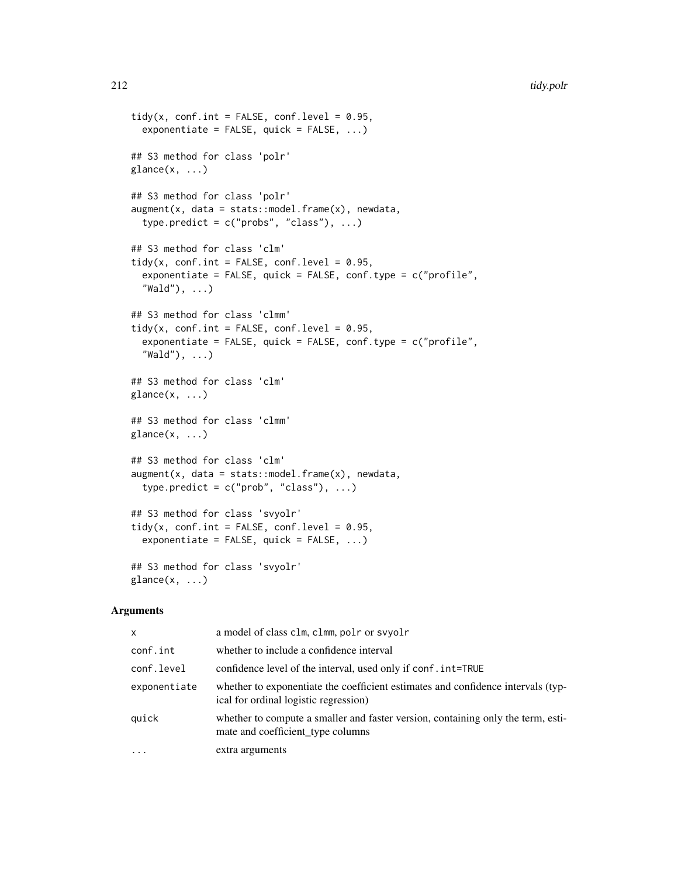```
tidy(x, conf.int = FALSE, conf.level = 0.95,
  exponentiate = FALSE, quick = FALSE, ...)## S3 method for class 'polr'
\text{glance}(x, \ldots)## S3 method for class 'polr'
augment(x, data = stats::model-frame(x), newdata,type.predict = c("probs", "class"), ...)
## S3 method for class 'clm'
tidy(x, conf.int = FALSE, conf.level = 0.95,
  exponentiate = FALSE, quick = FALSE, conf.type = c("profile",
  "Wald"), \ldots)
## S3 method for class 'clmm'
tidy(x, conf.int = FALSE, conf.level = 0.95,
  exponentiate = FALSE, quick = FALSE, conf.type = c("profile",
  "Wald"), ...)
## S3 method for class 'clm'
\text{glance}(x, \ldots)## S3 method for class 'clmm'
\text{glance}(x, \ldots)## S3 method for class 'clm'
augment(x, data = stats::model-frame(x), newdata,type.predict = c("prob", "class"), ...)
## S3 method for class 'svyolr'
tidy(x, conf.int = FALSE, conf.level = 0.95,
  exponentiate = FALSE, quick = FALSE, ...)## S3 method for class 'svyolr'
\text{glance}(x, \ldots)
```
#### Arguments

| x            | a model of class clm, clmm, polr or svyolr                                                                                |
|--------------|---------------------------------------------------------------------------------------------------------------------------|
| conf.int     | whether to include a confidence interval                                                                                  |
| conf.level   | confidence level of the interval, used only if conf. int=TRUE                                                             |
| exponentiate | whether to exponentiate the coefficient estimates and confidence intervals (typ-<br>ical for ordinal logistic regression) |
| quick        | whether to compute a smaller and faster version, containing only the term, esti-<br>mate and coefficient_type columns     |
| $\ddots$ .   | extra arguments                                                                                                           |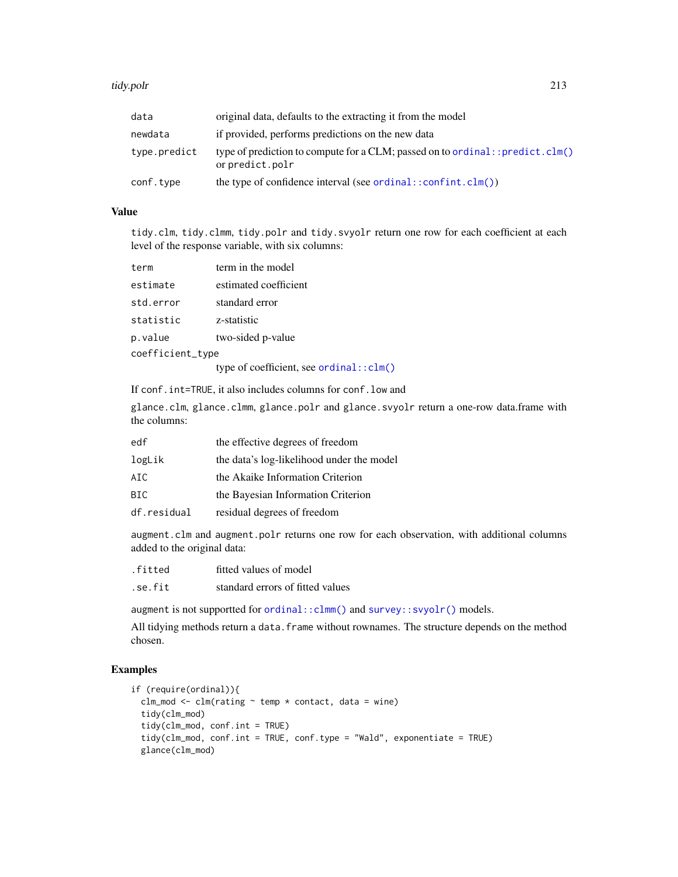#### tidy.polr 213

| data         | original data, defaults to the extracting it from the model                                      |
|--------------|--------------------------------------------------------------------------------------------------|
| newdata      | if provided, performs predictions on the new data                                                |
| type.predict | type of prediction to compute for a CLM; passed on to ordinal:: predict.clm()<br>or predict.polr |
| conf.type    | the type of confidence interval (see ordinal:: $confint.clm()$ )                                 |

## Value

tidy.clm, tidy.clmm, tidy.polr and tidy.svyolr return one row for each coefficient at each level of the response variable, with six columns:

| term             | term in the model                        |
|------------------|------------------------------------------|
| estimate         | estimated coefficient                    |
| std.error        | standard error                           |
| statistic        | z-statistic                              |
| p.value          | two-sided p-value                        |
| coefficient_type |                                          |
|                  | type of coefficient, see ordinal:: clm() |

If conf.int=TRUE, it also includes columns for conf.low and

glance.clm, glance.clmm, glance.polr and glance.svyolr return a one-row data.frame with the columns:

| edf         | the effective degrees of freedom          |
|-------------|-------------------------------------------|
| logLik      | the data's log-likelihood under the model |
| AIC         | the Akaike Information Criterion          |
| BIC         | the Bayesian Information Criterion        |
| df.residual | residual degrees of freedom               |
|             |                                           |

augment.clm and augment.polr returns one row for each observation, with additional columns added to the original data:

| .fitted | fitted values of model           |
|---------|----------------------------------|
| .se.fit | standard errors of fitted values |

augment is not supportted for ordinal:: clmm() and survey:: svyolr() models.

All tidying methods return a data. frame without rownames. The structure depends on the method chosen.

```
if (require(ordinal)){
 clm_mod <- clm(rating \sim temp * contact, data = wine)
 tidy(clm_mod)
 tidy(clm_mod, conf.int = TRUE)
 tidy(clm_mod, conf.int = TRUE, conf.type = "Wald", exponentiate = TRUE)
 glance(clm_mod)
```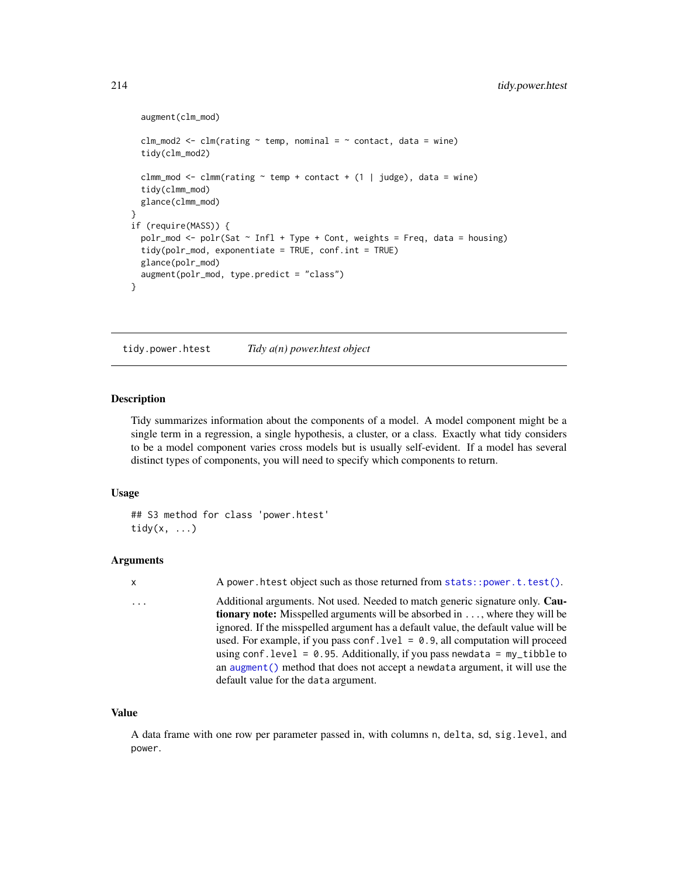```
augment(clm_mod)
 clm_mod2 <- clm(rating \sim temp, nominal = \sim contact, data = wine)
 tidy(clm_mod2)
 clmm_mod <- clmm(rating \sim temp + contact + (1 | judge), data = wine)
 tidy(clmm_mod)
 glance(clmm_mod)
}
if (require(MASS)) {
 polr_mod <- polr(Sat ~ Infl + Type + Cont, weights = Freq, data = housing)
 tidy(polr_mod, exponentiate = TRUE, conf.int = TRUE)
 glance(polr_mod)
 augment(polr_mod, type.predict = "class")
}
```
<span id="page-213-0"></span>tidy.power.htest *Tidy a(n) power.htest object*

## Description

Tidy summarizes information about the components of a model. A model component might be a single term in a regression, a single hypothesis, a cluster, or a class. Exactly what tidy considers to be a model component varies cross models but is usually self-evident. If a model has several distinct types of components, you will need to specify which components to return.

## Usage

```
## S3 method for class 'power.htest'
tidy(x, \ldots)
```
## Arguments

x A power.htest object such as those returned from [stats::power.t.test\(\)](#page-0-0).

... Additional arguments. Not used. Needed to match generic signature only. Cautionary note: Misspelled arguments will be absorbed in ..., where they will be ignored. If the misspelled argument has a default value, the default value will be used. For example, if you pass conf.  $level = 0.9$ , all computation will proceed using conf.level =  $0.95$ . Additionally, if you pass newdata = my\_tibble to an [augment\(\)](#page-0-0) method that does not accept a newdata argument, it will use the default value for the data argument.

## Value

A data frame with one row per parameter passed in, with columns n, delta, sd, sig.level, and power.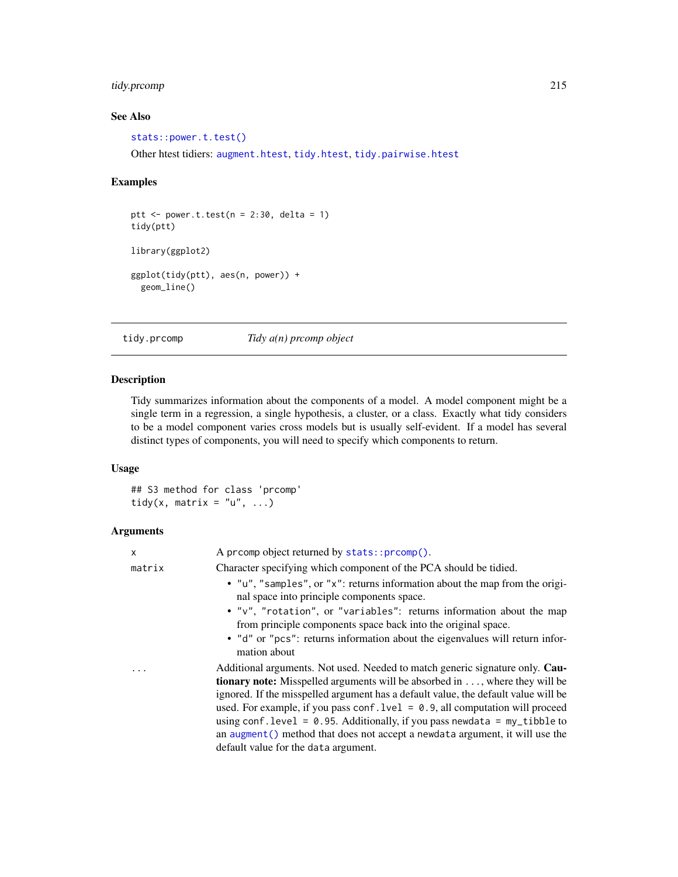# tidy.prcomp 215

# See Also

[stats::power.t.test\(\)](#page-0-0) Other htest tidiers: [augment.htest](#page-17-0), [tidy.htest](#page-175-0), [tidy.pairwise.htest](#page-205-0)

# Examples

```
ptt \leq power.t.test(n = 2:30, delta = 1)
tidy(ptt)
library(ggplot2)
ggplot(tidy(ptt), aes(n, power)) +
  geom_line()
```
tidy.prcomp *Tidy a(n) prcomp object*

## Description

Tidy summarizes information about the components of a model. A model component might be a single term in a regression, a single hypothesis, a cluster, or a class. Exactly what tidy considers to be a model component varies cross models but is usually self-evident. If a model has several distinct types of components, you will need to specify which components to return.

# Usage

## S3 method for class 'prcomp' tidy(x, matrix =  $"u", ...$ )

# Arguments

| X      | A preomp object returned by stats::preomp().                                                                                                                                                                                                                                                                                                                                                                                                                                                                                                                 |
|--------|--------------------------------------------------------------------------------------------------------------------------------------------------------------------------------------------------------------------------------------------------------------------------------------------------------------------------------------------------------------------------------------------------------------------------------------------------------------------------------------------------------------------------------------------------------------|
| matrix | Character specifying which component of the PCA should be tidied.                                                                                                                                                                                                                                                                                                                                                                                                                                                                                            |
|        | • "u", "samples", or "x": returns information about the map from the origi-<br>nal space into principle components space.<br>• "v", "rotation", or "variables": returns information about the map<br>from principle components space back into the original space.                                                                                                                                                                                                                                                                                           |
|        | • "d" or "pcs": returns information about the eigenvalues will return infor-<br>mation about                                                                                                                                                                                                                                                                                                                                                                                                                                                                 |
| .      | Additional arguments. Not used. Needed to match generic signature only. Cau-<br><b>tionary note:</b> Misspelled arguments will be absorbed in , where they will be<br>ignored. If the misspelled argument has a default value, the default value will be<br>used. For example, if you pass conf. $1$ ve $1 = 0.9$ , all computation will proceed<br>using conf.level = $0.95$ . Additionally, if you pass newdata = $my$ _tibble to<br>an augment () method that does not accept a newdata argument, it will use the<br>default value for the data argument. |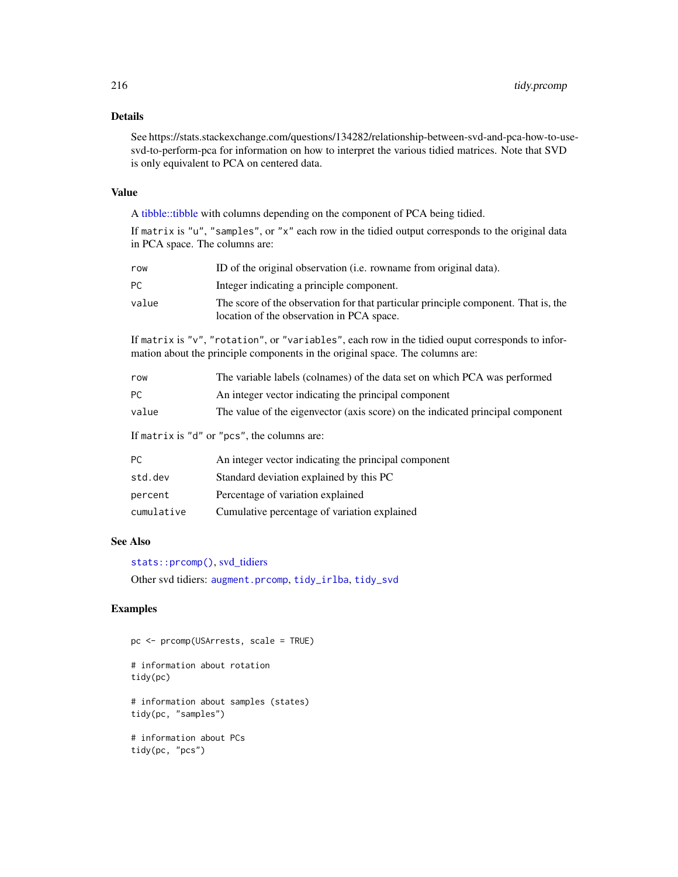## Details

See https://stats.stackexchange.com/questions/134282/relationship-between-svd-and-pca-how-to-usesvd-to-perform-pca for information on how to interpret the various tidied matrices. Note that SVD is only equivalent to PCA on centered data.

# Value

A [tibble::tibble](#page-0-0) with columns depending on the component of PCA being tidied.

If matrix is "u", "samples", or " $x$ " each row in the tidied output corresponds to the original data in PCA space. The columns are:

| row   | ID of the original observation ( <i>i.e.</i> rowname from original data).                                                       |
|-------|---------------------------------------------------------------------------------------------------------------------------------|
| PC.   | Integer indicating a principle component.                                                                                       |
| value | The score of the observation for that particular principle component. That is, the<br>location of the observation in PCA space. |

If matrix is "v", "rotation", or "variables", each row in the tidied ouput corresponds to information about the principle components in the original space. The columns are:

| row   | The variable labels (colnames) of the data set on which PCA was performed      |
|-------|--------------------------------------------------------------------------------|
| PC.   | An integer vector indicating the principal component                           |
| value | The value of the eigenvector (axis score) on the indicated principal component |

If matrix is "d" or "pcs", the columns are:

| РC         | An integer vector indicating the principal component |
|------------|------------------------------------------------------|
| std.dev    | Standard deviation explained by this PC              |
| percent    | Percentage of variation explained                    |
| cumulative | Cumulative percentage of variation explained         |

## See Also

[stats::prcomp\(\)](#page-0-0), [svd\\_tidiers](#page-242-0)

Other svd tidiers: [augment.prcomp](#page-35-0), [tidy\\_irlba](#page-239-0), [tidy\\_svd](#page-242-1)

```
pc <- prcomp(USArrests, scale = TRUE)
# information about rotation
tidy(pc)
# information about samples (states)
tidy(pc, "samples")
# information about PCs
tidy(pc, "pcs")
```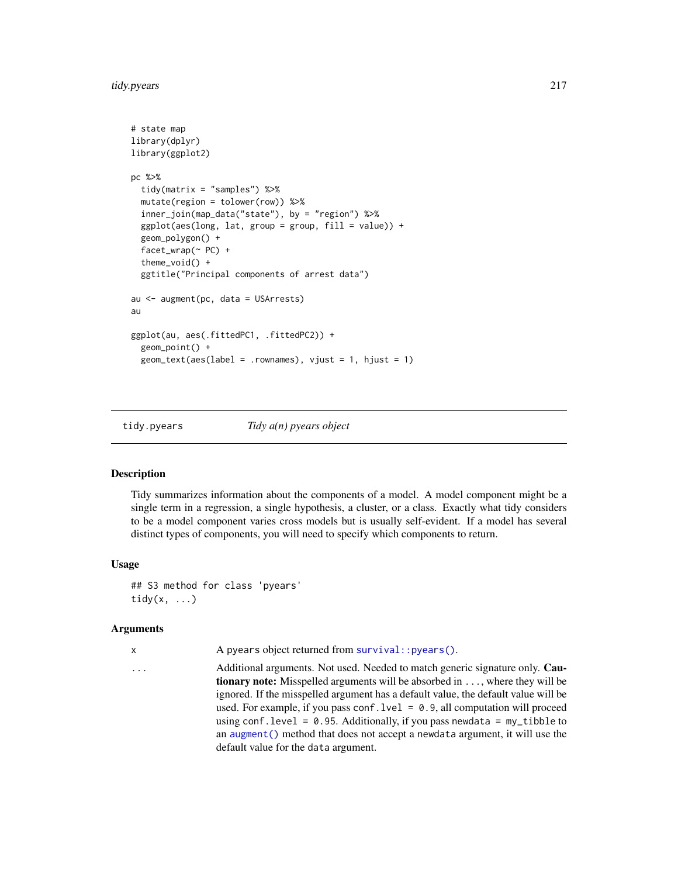```
# state map
library(dplyr)
library(ggplot2)
pc %>%
  tidy(matrix = "samples") %>%
  mutate(region = tolower(row)) %>%
  inner_join(map_data("state"), by = "region") %>%
  ggplot(aes(long, lat, group = group, fill = value)) +geom_polygon() +
  facet_wrap(~ PC) +
  theme_void() +
  ggtitle("Principal components of arrest data")
au <- augment(pc, data = USArrests)
au
ggplot(au, aes(.fittedPC1, .fittedPC2)) +
  geom_point() +
  geom_text(aes(label = .rownames), vjust = 1, hjust = 1)
```
<span id="page-216-0"></span>tidy.pyears *Tidy a(n) pyears object*

#### Description

Tidy summarizes information about the components of a model. A model component might be a single term in a regression, a single hypothesis, a cluster, or a class. Exactly what tidy considers to be a model component varies cross models but is usually self-evident. If a model has several distinct types of components, you will need to specify which components to return.

#### Usage

```
## S3 method for class 'pyears'
tidy(x, \ldots)
```
#### Arguments

x A pyears object returned from survival:: pyears().

... Additional arguments. Not used. Needed to match generic signature only. Cautionary note: Misspelled arguments will be absorbed in ..., where they will be ignored. If the misspelled argument has a default value, the default value will be used. For example, if you pass conf.  $level = 0.9$ , all computation will proceed using conf.level =  $0.95$ . Additionally, if you pass newdata = my\_tibble to an [augment\(\)](#page-0-0) method that does not accept a newdata argument, it will use the default value for the data argument.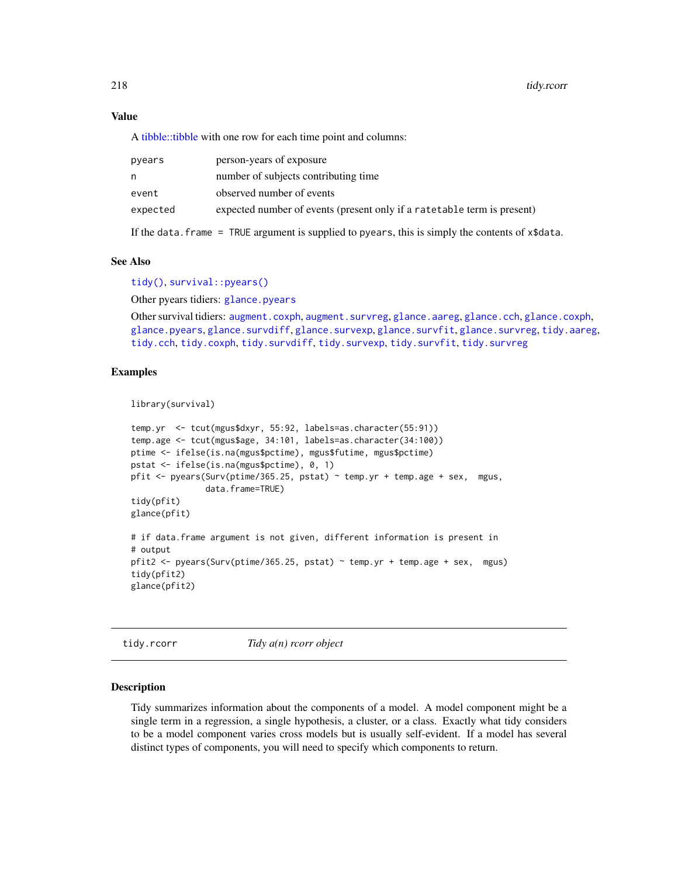# Value

A [tibble::tibble](#page-0-0) with one row for each time point and columns:

| pyears   | person-years of exposure                                                                          |
|----------|---------------------------------------------------------------------------------------------------|
| n        | number of subjects contributing time                                                              |
| event    | observed number of events                                                                         |
| expected | expected number of events (present only if a rate table term is present)                          |
|          | If the data. frame = TRUE argument is supplied to pyears, this is simply the contents of x\$data. |

# See Also

[tidy\(\)](#page-0-0), [survival::pyears\(\)](#page-0-0)

Other pyears tidiers: [glance.pyears](#page-97-0)

```
augment.coxphaugment.survregglance.aaregglance.cchglance.coxph,
glance.pyearsglance.survdiffglance.survexpglance.survfitglance.survregtidy.aareg,
tidy.cch, tidy.coxph, tidy.survdiff, tidy.survexp, tidy.survfit, tidy.survreg
```
### Examples

```
library(survival)
```

```
temp.yr <- tcut(mgus$dxyr, 55:92, labels=as.character(55:91))
temp.age <- tcut(mgus$age, 34:101, labels=as.character(34:100))
ptime <- ifelse(is.na(mgus$pctime), mgus$futime, mgus$pctime)
pstat <- ifelse(is.na(mgus$pctime), 0, 1)
pfit <- pyears(Surv(ptime/365.25, pstat) ~ temp.yr + temp.age + sex, mgus,
               data.frame=TRUE)
tidy(pfit)
glance(pfit)
# if data.frame argument is not given, different information is present in
# output
pfit2 <- pyears(Surv(ptime/365.25, pstat) ~ temp.yr + temp.age + sex, mgus)
tidy(pfit2)
glance(pfit2)
```
tidy.rcorr *Tidy a(n) rcorr object*

# Description

Tidy summarizes information about the components of a model. A model component might be a single term in a regression, a single hypothesis, a cluster, or a class. Exactly what tidy considers to be a model component varies cross models but is usually self-evident. If a model has several distinct types of components, you will need to specify which components to return.

<span id="page-217-0"></span>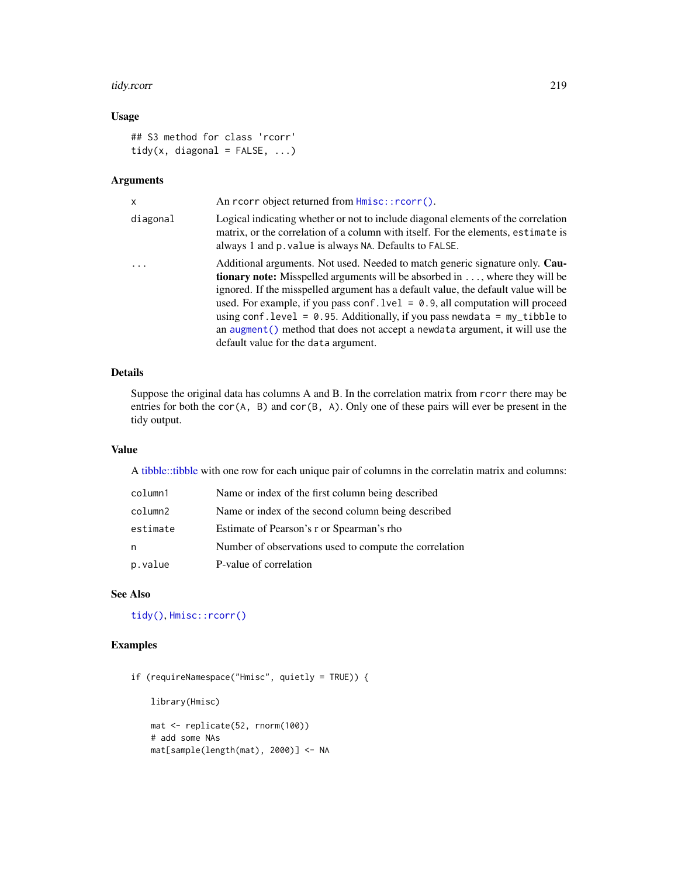#### <span id="page-218-0"></span>tidy.rcorr 219

# Usage

```
## S3 method for class 'rcorr'
tidy(x, diagonal = FALSE, ...)
```
# Arguments

| x        | An reorr object returned from Hmisc:: reorr().                                                                                                                                                                                                                                                                                                                                                                                                                                                                                                              |
|----------|-------------------------------------------------------------------------------------------------------------------------------------------------------------------------------------------------------------------------------------------------------------------------------------------------------------------------------------------------------------------------------------------------------------------------------------------------------------------------------------------------------------------------------------------------------------|
| diagonal | Logical indicating whether or not to include diagonal elements of the correlation<br>matrix, or the correlation of a column with itself. For the elements, estimate is<br>always 1 and p. value is always NA. Defaults to FALSE.                                                                                                                                                                                                                                                                                                                            |
| .        | Additional arguments. Not used. Needed to match generic signature only. Cau-<br><b>tionary note:</b> Misspelled arguments will be absorbed in , where they will be<br>ignored. If the misspelled argument has a default value, the default value will be<br>used. For example, if you pass conf. $level = 0.9$ , all computation will proceed<br>using conf. level = $0.95$ . Additionally, if you pass newdata = $my_t$ tibble to<br>an augment () method that does not accept a newdata argument, it will use the<br>default value for the data argument. |

# Details

Suppose the original data has columns A and B. In the correlation matrix from rcorr there may be entries for both the cor( $(A, B)$  and cor( $B, A$ ). Only one of these pairs will ever be present in the tidy output.

#### Value

A [tibble::tibble](#page-0-0) with one row for each unique pair of columns in the correlatin matrix and columns:

| column1  | Name or index of the first column being described      |
|----------|--------------------------------------------------------|
| column2  | Name or index of the second column being described     |
| estimate | Estimate of Pearson's r or Spearman's rho              |
| n        | Number of observations used to compute the correlation |
| p.value  | P-value of correlation                                 |

# See Also

[tidy\(\)](#page-0-0), [Hmisc::rcorr\(\)](#page-0-0)

# Examples

```
if (requireNamespace("Hmisc", quietly = TRUE)) {
   library(Hmisc)
   mat <- replicate(52, rnorm(100))
   # add some NAs
   mat[sample(length(mat), 2000)] <- NA
```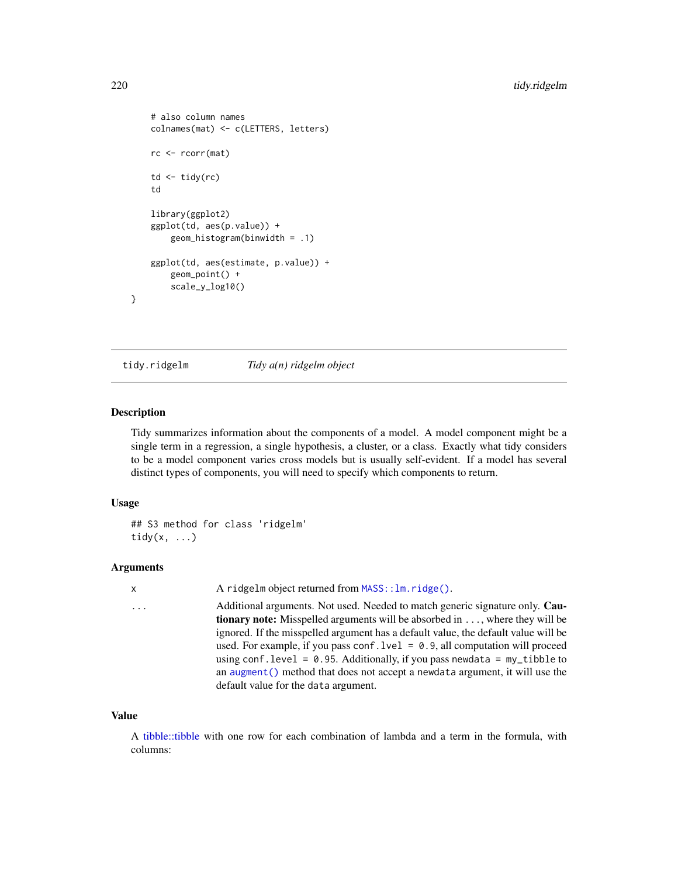```
# also column names
colnames(mat) <- c(LETTERS, letters)
rc <- rcorr(mat)
td \leftarrow tidy(rc)td
library(ggplot2)
ggplot(td, aes(p.value)) +
    geom_histogram(binwidth = .1)
ggplot(td, aes(estimate, p.value)) +
    geom_point() +
    scale_y_log10()
```
tidy.ridgelm *Tidy a(n) ridgelm object*

#### Description

}

Tidy summarizes information about the components of a model. A model component might be a single term in a regression, a single hypothesis, a cluster, or a class. Exactly what tidy considers to be a model component varies cross models but is usually self-evident. If a model has several distinct types of components, you will need to specify which components to return.

#### Usage

```
## S3 method for class 'ridgelm'
tidy(x, \ldots)
```
#### Arguments

| . . |  |  |  |  |
|-----|--|--|--|--|
|     |  |  |  |  |
|     |  |  |  |  |
|     |  |  |  |  |
|     |  |  |  |  |
|     |  |  |  |  |
|     |  |  |  |  |

x A ridgelm object returned from [MASS::lm.ridge\(\)](#page-0-0).

Additional arguments. Not used. Needed to match generic signature only. Cautionary note: Misspelled arguments will be absorbed in ..., where they will be ignored. If the misspelled argument has a default value, the default value will be used. For example, if you pass conf.  $level = 0.9$ , all computation will proceed using conf.level = 0.95. Additionally, if you pass newdata = my\_tibble to an [augment\(\)](#page-0-0) method that does not accept a newdata argument, it will use the default value for the data argument.

#### Value

A [tibble::tibble](#page-0-0) with one row for each combination of lambda and a term in the formula, with columns:

<span id="page-219-0"></span>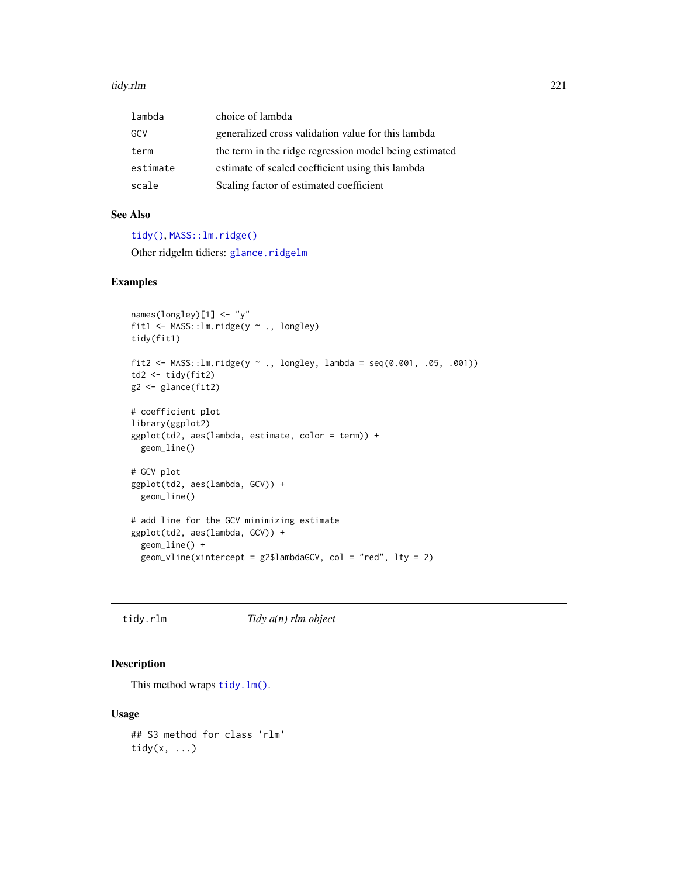#### <span id="page-220-0"></span>tidy.rlm 221

| lambda   | choice of lambda                                       |
|----------|--------------------------------------------------------|
| GCV      | generalized cross validation value for this lambda     |
| term     | the term in the ridge regression model being estimated |
| estimate | estimate of scaled coefficient using this lambda       |
| scale    | Scaling factor of estimated coefficient                |

# See Also

[tidy\(\)](#page-0-0), [MASS::lm.ridge\(\)](#page-0-0)

Other ridgelm tidiers: [glance.ridgelm](#page-98-0)

# Examples

```
names(longley)[1] <- "y"
fit1 <- MASS::lm.ridge(y ~ ., longley)
tidy(fit1)
fit2 <- MASS::lm.ridge(y ~ ~ ., longley, lambda = seq(0.001, .05, .001))td2 <- tidy(fit2)
g2 <- glance(fit2)
# coefficient plot
library(ggplot2)
ggplot(td2, aes(lambda, estimate, color = term)) +
  geom_line()
# GCV plot
ggplot(td2, aes(lambda, GCV)) +
  geom_line()
# add line for the GCV minimizing estimate
ggplot(td2, aes(lambda, GCV)) +
  geom_line() +
  geom_vline(xintercept = g2$lambdaGCV, col = "red", lty = 2)
```
# tidy.rlm *Tidy a(n) rlm object*

# Description

This method wraps [tidy.lm\(\)](#page-185-0).

# Usage

## S3 method for class 'rlm' tidy(x, ...)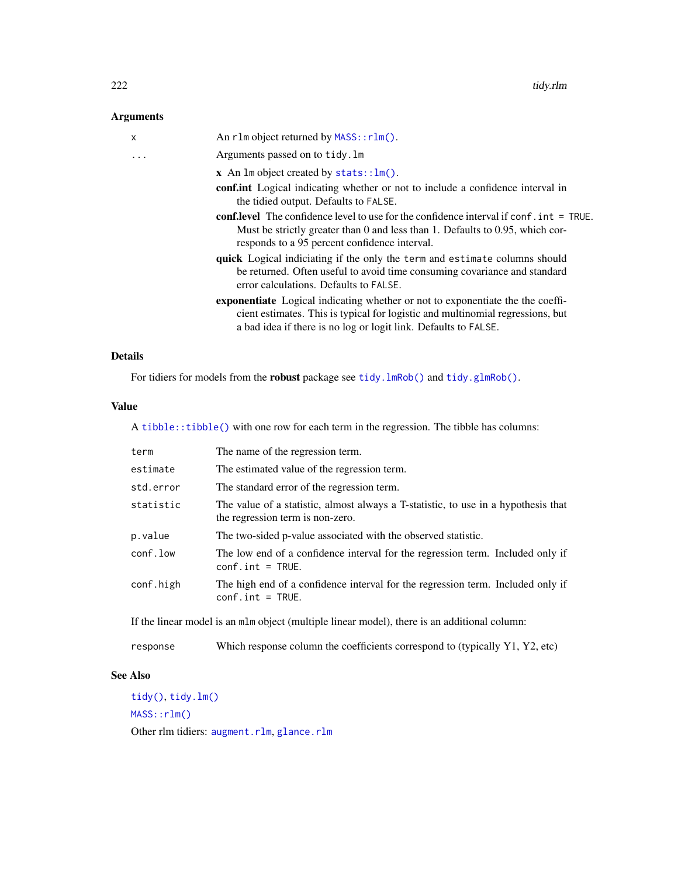# <span id="page-221-0"></span>Arguments

| $\mathsf{x}$ | An rlm object returned by MASS:: rlm().                                                                                                                                                                                                    |
|--------------|--------------------------------------------------------------------------------------------------------------------------------------------------------------------------------------------------------------------------------------------|
| $\cdot$      | Arguments passed on to tidy. Im                                                                                                                                                                                                            |
|              | $x$ An lm object created by stats:: $lm()$ .                                                                                                                                                                                               |
|              | <b>confinit</b> Logical indicating whether or not to include a confidence interval in<br>the tidied output. Defaults to FALSE.                                                                                                             |
|              | <b>conf.level</b> The confidence level to use for the confidence interval if conf. $int = TRUE$ .<br>Must be strictly greater than 0 and less than 1. Defaults to 0.95, which cor-<br>responds to a 95 percent confidence interval.        |
|              | quick Logical indiciating if the only the term and estimate columns should<br>be returned. Often useful to avoid time consuming covariance and standard<br>error calculations. Defaults to FALSE.                                          |
|              | <b>exponentiate</b> Logical indicating whether or not to exponentiate the the coeffi-<br>cient estimates. This is typical for logistic and multinomial regressions, but<br>a bad idea if there is no log or logit link. Defaults to FALSE. |
|              |                                                                                                                                                                                                                                            |

# Details

For tidiers for models from the **robust** package see tidy.  $lmRob()$  and tidy.  $glmRob()$ .

# Value

A [tibble::tibble\(\)](#page-0-0) with one row for each term in the regression. The tibble has columns:

| term      | The name of the regression term.                                                                                       |
|-----------|------------------------------------------------------------------------------------------------------------------------|
| estimate  | The estimated value of the regression term.                                                                            |
| std.error | The standard error of the regression term.                                                                             |
| statistic | The value of a statistic, almost always a T-statistic, to use in a hypothesis that<br>the regression term is non-zero. |
| p.value   | The two-sided p-value associated with the observed statistic.                                                          |
| conf.low  | The low end of a confidence interval for the regression term. Included only if<br>$conf.int = TRUE.$                   |
| conf.high | The high end of a confidence interval for the regression term. Included only if<br>$conf.int = TRUE.$                  |
|           | If the linear model is an mlm object (multiple linear model), there is an additional column:                           |

# response Which response column the coefficients correspond to (typically Y1, Y2, etc)

# See Also

[tidy\(\)](#page-0-0), [tidy.lm\(\)](#page-185-0)

[MASS::rlm\(\)](#page-0-0)

Other rlm tidiers: [augment.rlm](#page-37-0), [glance.rlm](#page-99-0)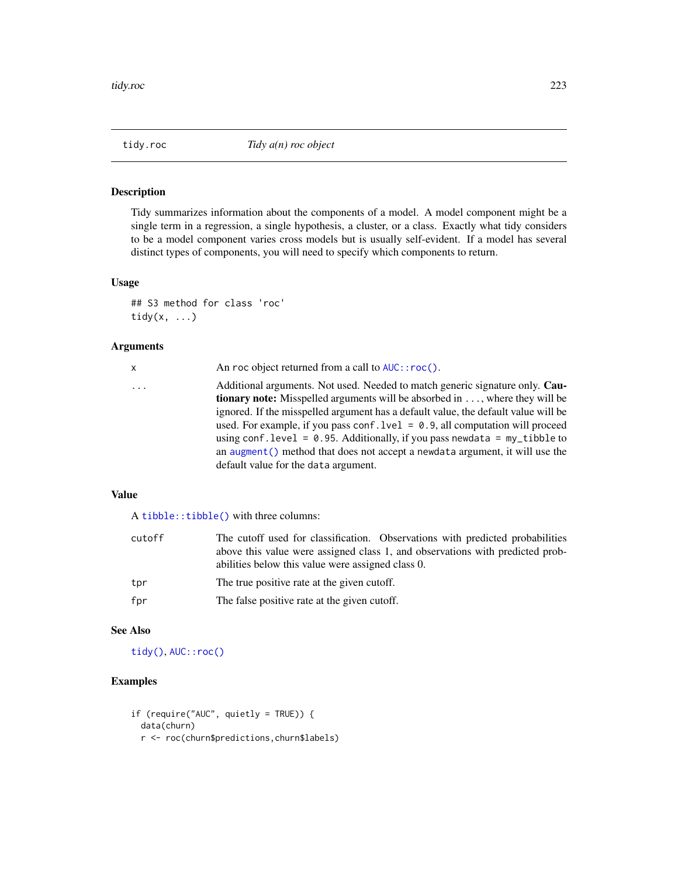<span id="page-222-0"></span>

# Description

Tidy summarizes information about the components of a model. A model component might be a single term in a regression, a single hypothesis, a cluster, or a class. Exactly what tidy considers to be a model component varies cross models but is usually self-evident. If a model has several distinct types of components, you will need to specify which components to return.

#### Usage

```
## S3 method for class 'roc'
tidy(x, \ldots)
```
# Arguments

| x        | An roc object returned from a call to $AUC$ : : roc().                                                                                                                                                                                                                                                                                                                                                                                                                                                                                                              |
|----------|---------------------------------------------------------------------------------------------------------------------------------------------------------------------------------------------------------------------------------------------------------------------------------------------------------------------------------------------------------------------------------------------------------------------------------------------------------------------------------------------------------------------------------------------------------------------|
| $\cdots$ | Additional arguments. Not used. Needed to match generic signature only. Cau-<br><b>tionary note:</b> Misspelled arguments will be absorbed in , where they will be<br>ignored. If the misspelled argument has a default value, the default value will be<br>used. For example, if you pass conf. $1$ ve $1 = 0.9$ , all computation will proceed<br>using conf. level = $\theta$ . 95. Additionally, if you pass newdata = $my$ _tibble to<br>an augment () method that does not accept a newdata argument, it will use the<br>default value for the data argument. |
|          |                                                                                                                                                                                                                                                                                                                                                                                                                                                                                                                                                                     |

# Value

A [tibble::tibble\(\)](#page-0-0) with three columns:

| cutoff | The cutoff used for classification. Observations with predicted probabilities<br>above this value were assigned class 1, and observations with predicted prob-<br>abilities below this value were assigned class 0. |
|--------|---------------------------------------------------------------------------------------------------------------------------------------------------------------------------------------------------------------------|
| tpr    | The true positive rate at the given cutoff.                                                                                                                                                                         |
| fpr    | The false positive rate at the given cutoff.                                                                                                                                                                        |

# See Also

[tidy\(\)](#page-0-0), [AUC::roc\(\)](#page-0-0)

# Examples

```
if (require("AUC", quietly = TRUE)) {
 data(churn)
 r <- roc(churn$predictions,churn$labels)
```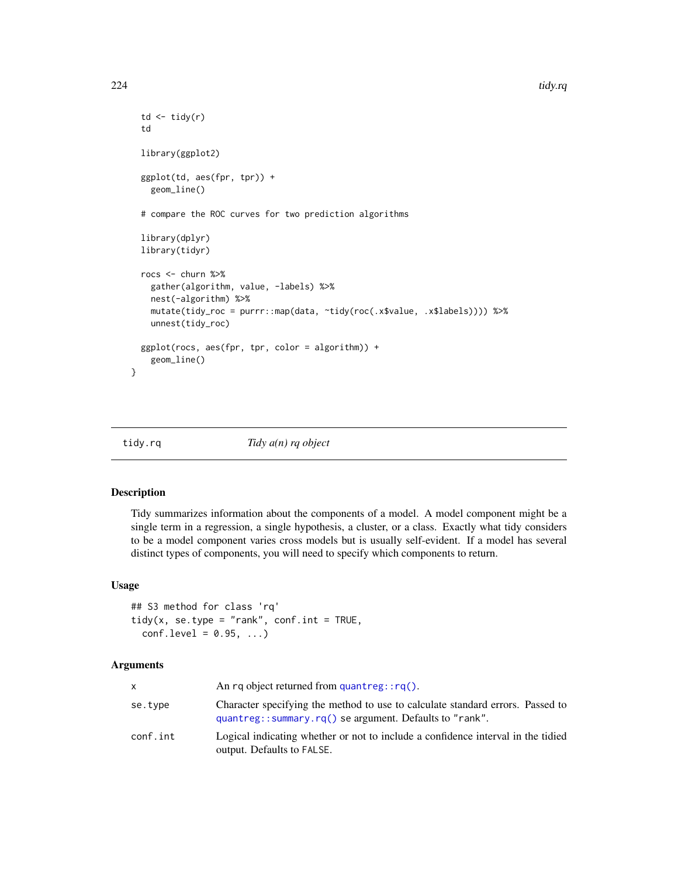```
td \leftarrow tidy(r)td
 library(ggplot2)
 ggplot(td, aes(fpr, tpr)) +
   geom_line()
 # compare the ROC curves for two prediction algorithms
 library(dplyr)
 library(tidyr)
 rocs <- churn %>%
   gather(algorithm, value, -labels) %>%
   nest(-algorithm) %>%
   mutate(tidy_roc = purrr::map(data, ~tidy(roc(.x$value, .x$labels)))) %>%
   unnest(tidy_roc)
 ggplot(rocs, aes(fpr, tpr, color = algorithm)) +
   geom_line()
}
```
<span id="page-223-0"></span>tidy.rq *Tidy a(n) rq object*

# Description

Tidy summarizes information about the components of a model. A model component might be a single term in a regression, a single hypothesis, a cluster, or a class. Exactly what tidy considers to be a model component varies cross models but is usually self-evident. If a model has several distinct types of components, you will need to specify which components to return.

# Usage

```
## S3 method for class 'rq'
tidy(x, se.type = "rank", conf.int = TRUE,conf. level = 0.95, ...
```
# Arguments

| x        | An rg object returned from quantreg: $\text{rq}()$ .                                                                                      |
|----------|-------------------------------------------------------------------------------------------------------------------------------------------|
| se.type  | Character specifying the method to use to calculate standard errors. Passed to<br>quantreg::summary.rq() se argument. Defaults to "rank". |
| conf.int | Logical indicating whether or not to include a confidence interval in the tidied<br>output. Defaults to FALSE.                            |

<span id="page-223-1"></span>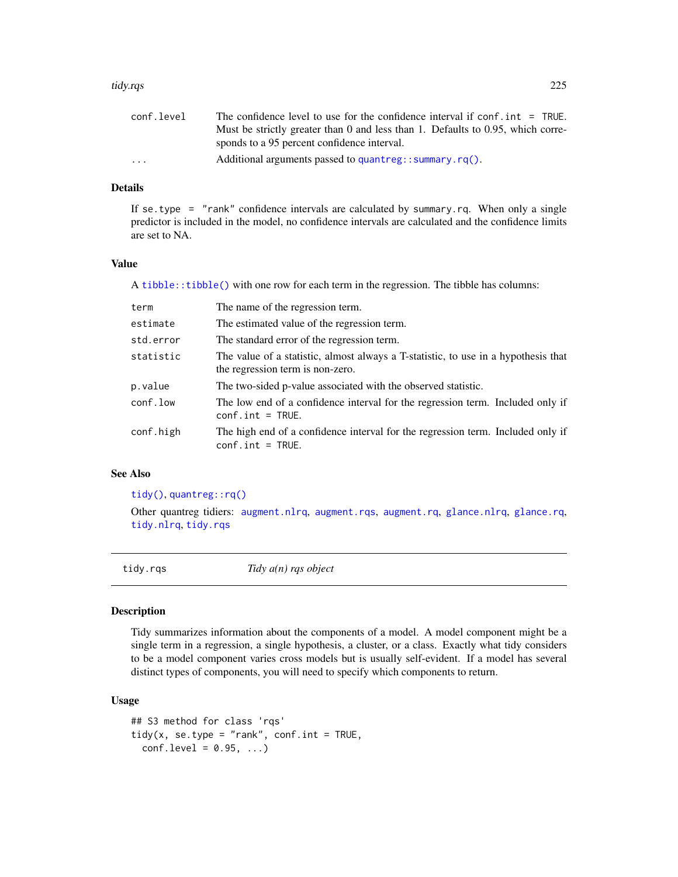#### <span id="page-224-1"></span>tidy.rqs 225

| conf.level              | The confidence level to use for the confidence interval if $\text{conf. int} = \text{TRUE}$ . |
|-------------------------|-----------------------------------------------------------------------------------------------|
|                         | Must be strictly greater than 0 and less than 1. Defaults to 0.95, which corre-               |
|                         | sponds to a 95 percent confidence interval.                                                   |
| $\cdot$ $\cdot$ $\cdot$ | Additional arguments passed to quantreg:: $summary.rq()$ .                                    |
|                         |                                                                                               |

# Details

If se.type = "rank" confidence intervals are calculated by summary.rq. When only a single predictor is included in the model, no confidence intervals are calculated and the confidence limits are set to NA.

# Value

A [tibble::tibble\(\)](#page-0-0) with one row for each term in the regression. The tibble has columns:

| term      | The name of the regression term.                                                                                       |
|-----------|------------------------------------------------------------------------------------------------------------------------|
| estimate  | The estimated value of the regression term.                                                                            |
| std.error | The standard error of the regression term.                                                                             |
| statistic | The value of a statistic, almost always a T-statistic, to use in a hypothesis that<br>the regression term is non-zero. |
| p.value   | The two-sided p-value associated with the observed statistic.                                                          |
| conf.low  | The low end of a confidence interval for the regression term. Included only if<br>$conf.int = TRUE.$                   |
| conf.high | The high end of a confidence interval for the regression term. Included only if<br>$conf.int = TRUE.$                  |

# See Also

[tidy\(\)](#page-0-0), [quantreg::rq\(\)](#page-0-0)

Other quantreg tidiers: [augment.nlrq](#page-30-0), [augment.rqs](#page-40-0), [augment.rq](#page-38-0), [glance.nlrq](#page-92-0), [glance.rq](#page-101-0), [tidy.nlrq](#page-200-0), [tidy.rqs](#page-224-0)

```
tidy.rqs Tidy a(n) rqs object
```
#### Description

Tidy summarizes information about the components of a model. A model component might be a single term in a regression, a single hypothesis, a cluster, or a class. Exactly what tidy considers to be a model component varies cross models but is usually self-evident. If a model has several distinct types of components, you will need to specify which components to return.

### Usage

```
## S3 method for class 'rqs'
tidy(x, se.type = "rank", conf.int = TRUE,conf. level = 0.95, ...
```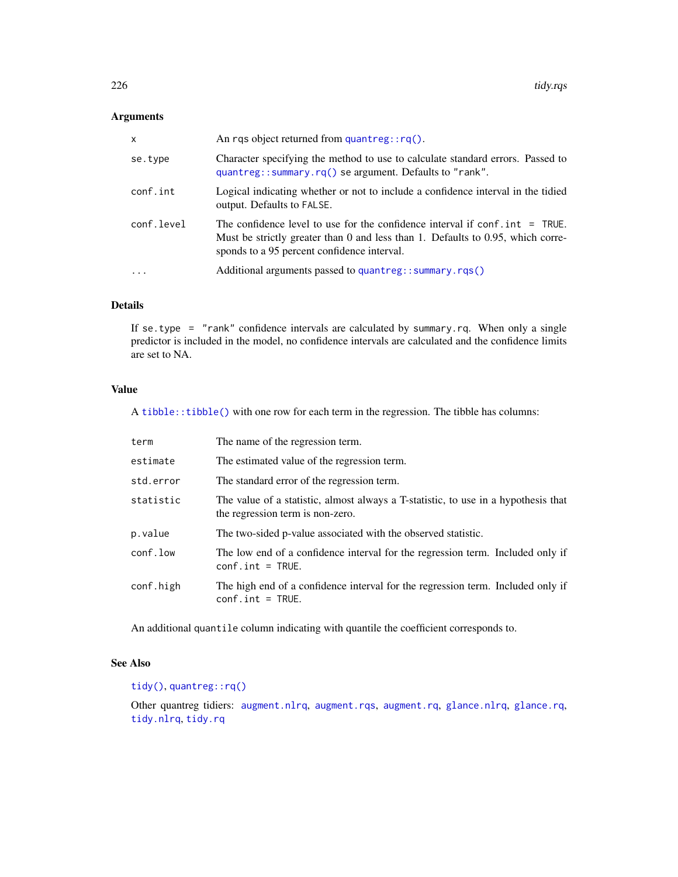# <span id="page-225-0"></span>Arguments

| $\mathsf{x}$ | An rqs object returned from quantreg::rq().                                                                                                                                                                       |
|--------------|-------------------------------------------------------------------------------------------------------------------------------------------------------------------------------------------------------------------|
| se.type      | Character specifying the method to use to calculate standard errors. Passed to<br>quantreg::summary.rq() se argument. Defaults to "rank".                                                                         |
| conf.int     | Logical indicating whether or not to include a confidence interval in the tidied<br>output. Defaults to FALSE.                                                                                                    |
| conf.level   | The confidence level to use for the confidence interval if conf. $int = TRUE$ .<br>Must be strictly greater than 0 and less than 1. Defaults to 0.95, which corre-<br>sponds to a 95 percent confidence interval. |
|              | Additional arguments passed to quantreg::summary.rgs()                                                                                                                                                            |

# Details

If se.type = "rank" confidence intervals are calculated by summary.rq. When only a single predictor is included in the model, no confidence intervals are calculated and the confidence limits are set to NA.

### Value

A [tibble::tibble\(\)](#page-0-0) with one row for each term in the regression. The tibble has columns:

| term      | The name of the regression term.                                                                                       |
|-----------|------------------------------------------------------------------------------------------------------------------------|
| estimate  | The estimated value of the regression term.                                                                            |
| std.error | The standard error of the regression term.                                                                             |
| statistic | The value of a statistic, almost always a T-statistic, to use in a hypothesis that<br>the regression term is non-zero. |
| p.value   | The two-sided p-value associated with the observed statistic.                                                          |
| conf.low  | The low end of a confidence interval for the regression term. Included only if<br>$conf.int = TRUE.$                   |
| conf.high | The high end of a confidence interval for the regression term. Included only if<br>$conf.int = TRUE.$                  |

An additional quantile column indicating with quantile the coefficient corresponds to.

### See Also

# [tidy\(\)](#page-0-0), [quantreg::rq\(\)](#page-0-0)

Other quantreg tidiers: [augment.nlrq](#page-30-0), [augment.rqs](#page-40-0), [augment.rq](#page-38-0), [glance.nlrq](#page-92-0), [glance.rq](#page-101-0), [tidy.nlrq](#page-200-0), [tidy.rq](#page-223-0)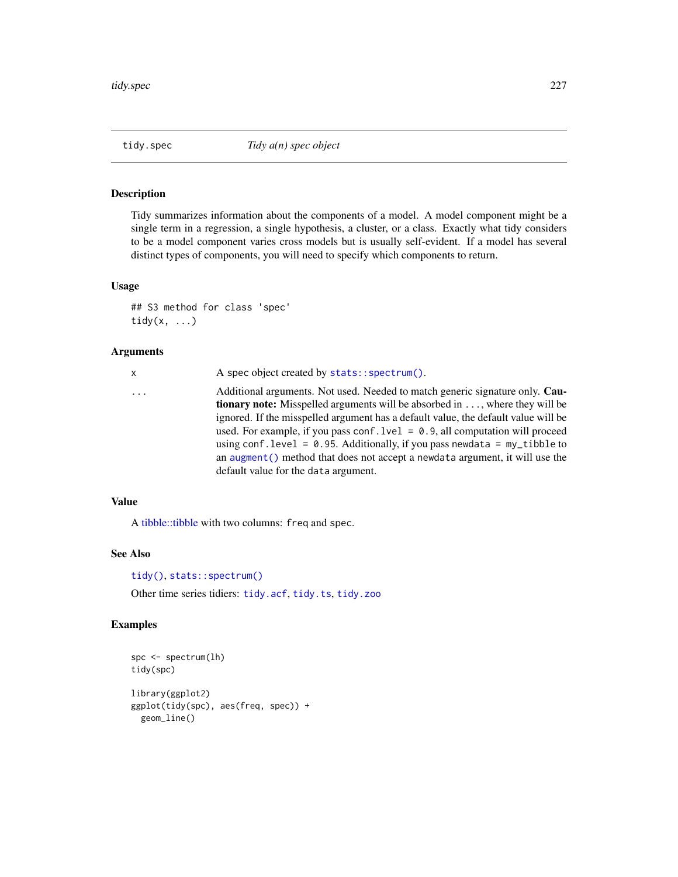<span id="page-226-1"></span><span id="page-226-0"></span>

# Description

Tidy summarizes information about the components of a model. A model component might be a single term in a regression, a single hypothesis, a cluster, or a class. Exactly what tidy considers to be a model component varies cross models but is usually self-evident. If a model has several distinct types of components, you will need to specify which components to return.

#### Usage

## S3 method for class 'spec' tidy $(x, \ldots)$ 

#### Arguments

| x | A spec object created by stats::spectrum().                                                                                                                                                                                                                                                                                                                                                                                                                                                                                                                         |
|---|---------------------------------------------------------------------------------------------------------------------------------------------------------------------------------------------------------------------------------------------------------------------------------------------------------------------------------------------------------------------------------------------------------------------------------------------------------------------------------------------------------------------------------------------------------------------|
| . | Additional arguments. Not used. Needed to match generic signature only. Cau-<br><b>tionary note:</b> Misspelled arguments will be absorbed in , where they will be<br>ignored. If the misspelled argument has a default value, the default value will be<br>used. For example, if you pass conf. $1$ ve $1 = 0.9$ , all computation will proceed<br>using conf. level = $\theta$ . 95. Additionally, if you pass newdata = $my$ -tibble to<br>an augment () method that does not accept a newdata argument, it will use the<br>default value for the data argument. |
|   |                                                                                                                                                                                                                                                                                                                                                                                                                                                                                                                                                                     |

# Value

A [tibble::tibble](#page-0-0) with two columns: freq and spec.

### See Also

[tidy\(\)](#page-0-0), [stats::spectrum\(\)](#page-0-0)

Other time series tidiers: [tidy.acf](#page-127-0), [tidy.ts](#page-235-0), [tidy.zoo](#page-238-0)

# Examples

```
spc <- spectrum(lh)
tidy(spc)
library(ggplot2)
ggplot(tidy(spc), aes(freq, spec)) +
 geom_line()
```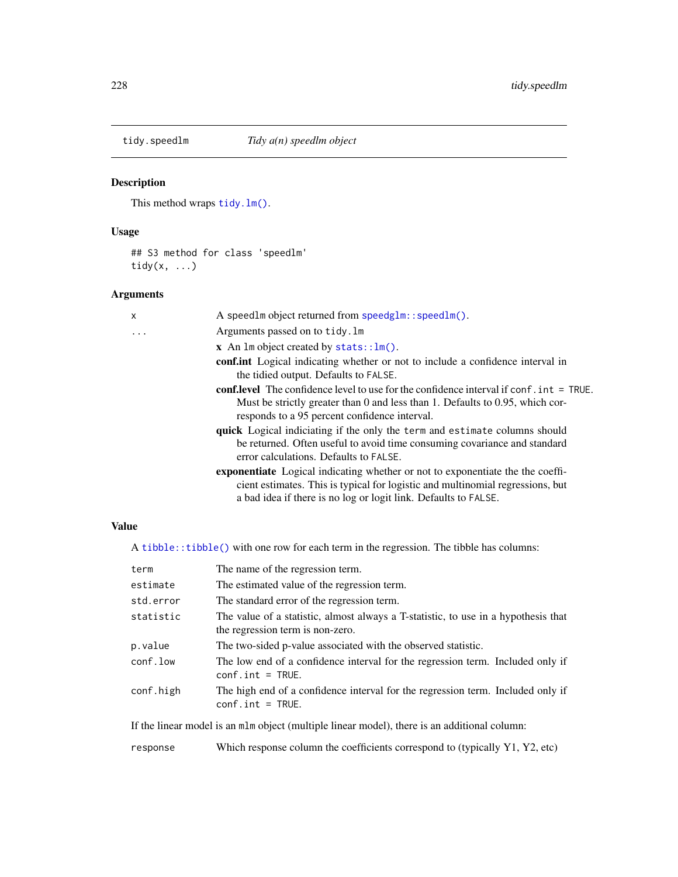<span id="page-227-0"></span>

# Description

This method wraps [tidy.lm\(\)](#page-185-0).

# Usage

## S3 method for class 'speedlm' tidy $(x, \ldots)$ 

# Arguments

| x | A speedlm object returned from speedglm: : speedlm().                                                                                                                                                                                      |
|---|--------------------------------------------------------------------------------------------------------------------------------------------------------------------------------------------------------------------------------------------|
| . | Arguments passed on to tidy. Im                                                                                                                                                                                                            |
|   | $x$ An lm object created by stats:: $lm()$ .                                                                                                                                                                                               |
|   | <b>confinit</b> Logical indicating whether or not to include a confidence interval in<br>the tidied output. Defaults to FALSE.                                                                                                             |
|   | <b>conflevel</b> The confidence level to use for the confidence interval if $\text{conf.}$ int = TRUE.<br>Must be strictly greater than 0 and less than 1. Defaults to 0.95, which cor-<br>responds to a 95 percent confidence interval.   |
|   | quick Logical indiciating if the only the term and estimate columns should<br>be returned. Often useful to avoid time consuming covariance and standard<br>error calculations. Defaults to FALSE.                                          |
|   | <b>exponentiate</b> Logical indicating whether or not to exponentiate the the coeffi-<br>cient estimates. This is typical for logistic and multinomial regressions, but<br>a bad idea if there is no log or logit link. Defaults to FALSE. |
|   |                                                                                                                                                                                                                                            |

# Value

A [tibble::tibble\(\)](#page-0-0) with one row for each term in the regression. The tibble has columns:

| term      | The name of the regression term.                                                                                       |
|-----------|------------------------------------------------------------------------------------------------------------------------|
| estimate  | The estimated value of the regression term.                                                                            |
| std.error | The standard error of the regression term.                                                                             |
| statistic | The value of a statistic, almost always a T-statistic, to use in a hypothesis that<br>the regression term is non-zero. |
| p.value   | The two-sided p-value associated with the observed statistic.                                                          |
| conf.low  | The low end of a confidence interval for the regression term. Included only if<br>$conf.int = TRUE.$                   |
| conf.high | The high end of a confidence interval for the regression term. Included only if<br>$conf.int = TRUE.$                  |
|           | If the linear model is an mlm object (multiple linear model), there is an additional column:                           |
| response  | Which response column the coefficients correspond to (typically $Y1, Y2$ , etc)                                        |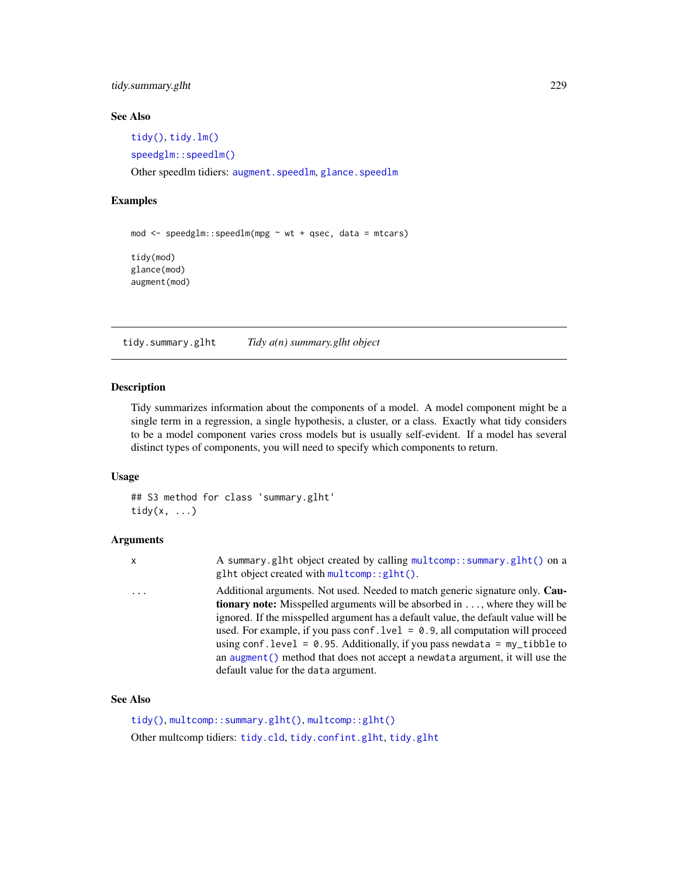<span id="page-228-0"></span>tidy.summary.glht 229

# See Also

[tidy\(\)](#page-0-0), [tidy.lm\(\)](#page-185-0)

[speedglm::speedlm\(\)](#page-0-0)

Other speedlm tidiers: [augment.speedlm](#page-44-0), [glance.speedlm](#page-103-0)

# Examples

```
mod \leq speedglm::speedlm(mpg \sim wt + qsec, data = mtcars)
tidy(mod)
glance(mod)
augment(mod)
```
tidy.summary.glht *Tidy a(n) summary.glht object*

#### Description

Tidy summarizes information about the components of a model. A model component might be a single term in a regression, a single hypothesis, a cluster, or a class. Exactly what tidy considers to be a model component varies cross models but is usually self-evident. If a model has several distinct types of components, you will need to specify which components to return.

#### Usage

```
## S3 method for class 'summary.glht'
tidy(x, \ldots)
```
#### Arguments

| I<br>٦ |  |
|--------|--|
|        |  |
|        |  |
|        |  |

A summary.glht object created by calling [multcomp::summary.glht\(\)](#page-0-0) on a glht object created with [multcomp::glht\(\)](#page-0-0).

... Additional arguments. Not used. Needed to match generic signature only. Cautionary note: Misspelled arguments will be absorbed in ..., where they will be ignored. If the misspelled argument has a default value, the default value will be used. For example, if you pass conf.  $level = 0.9$ , all computation will proceed using conf.level =  $0.95$ . Additionally, if you pass newdata = my\_tibble to an [augment\(\)](#page-0-0) method that does not accept a newdata argument, it will use the default value for the data argument.

# See Also

[tidy\(\)](#page-0-0), [multcomp::summary.glht\(\)](#page-0-0), [multcomp::glht\(\)](#page-0-0) Other multcomp tidiers: [tidy.cld](#page-144-0), [tidy.confint.glht](#page-146-0), [tidy.glht](#page-167-0)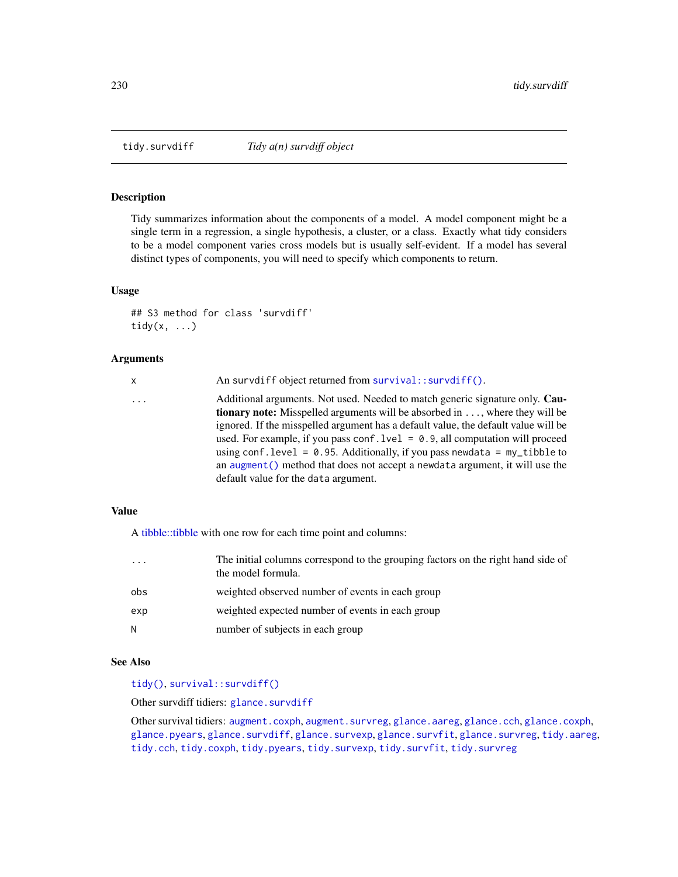<span id="page-229-1"></span><span id="page-229-0"></span>

#### Description

Tidy summarizes information about the components of a model. A model component might be a single term in a regression, a single hypothesis, a cluster, or a class. Exactly what tidy considers to be a model component varies cross models but is usually self-evident. If a model has several distinct types of components, you will need to specify which components to return.

### Usage

```
## S3 method for class 'survdiff'
tidy(x, \ldots)
```
#### Arguments

| x        | An survdiff object returned from survival::survdiff().                                                                                                                                                                                                                                                                                           |
|----------|--------------------------------------------------------------------------------------------------------------------------------------------------------------------------------------------------------------------------------------------------------------------------------------------------------------------------------------------------|
| $\cdots$ | Additional arguments. Not used. Needed to match generic signature only. Cau-<br><b>tionary note:</b> Misspelled arguments will be absorbed in , where they will be<br>ignored. If the misspelled argument has a default value, the default value will be<br>used. For example, if you pass conf. $1$ ve $1 = 0.9$ , all computation will proceed |
|          | using conf. level = $\theta$ . 95. Additionally, if you pass newdata = $my$ -tibble to<br>an augment () method that does not accept a newdata argument, it will use the<br>default value for the data argument.                                                                                                                                  |

# Value

A [tibble::tibble](#page-0-0) with one row for each time point and columns:

| $\cdot\cdot\cdot$ | The initial columns correspond to the grouping factors on the right hand side of<br>the model formula. |
|-------------------|--------------------------------------------------------------------------------------------------------|
| obs               | weighted observed number of events in each group                                                       |
| exp               | weighted expected number of events in each group                                                       |
| N                 | number of subjects in each group                                                                       |

### See Also

[tidy\(\)](#page-0-0), [survival::survdiff\(\)](#page-0-0)

Other survdiff tidiers: [glance.survdiff](#page-104-0)

Other survival tidiers: [augment.coxph](#page-7-0), [augment.survreg](#page-46-0), [glance.aareg](#page-59-0), [glance.cch](#page-65-0), [glance.coxph](#page-66-0), [glance.pyears](#page-97-0), [glance.survdiff](#page-104-0), [glance.survexp](#page-105-0), [glance.survfit](#page-106-0), [glance.survreg](#page-107-0), [tidy.aareg](#page-126-0), [tidy.cch](#page-142-0), [tidy.coxph](#page-148-0), [tidy.pyears](#page-216-0), [tidy.survexp](#page-230-0), [tidy.survfit](#page-231-0), [tidy.survreg](#page-233-0)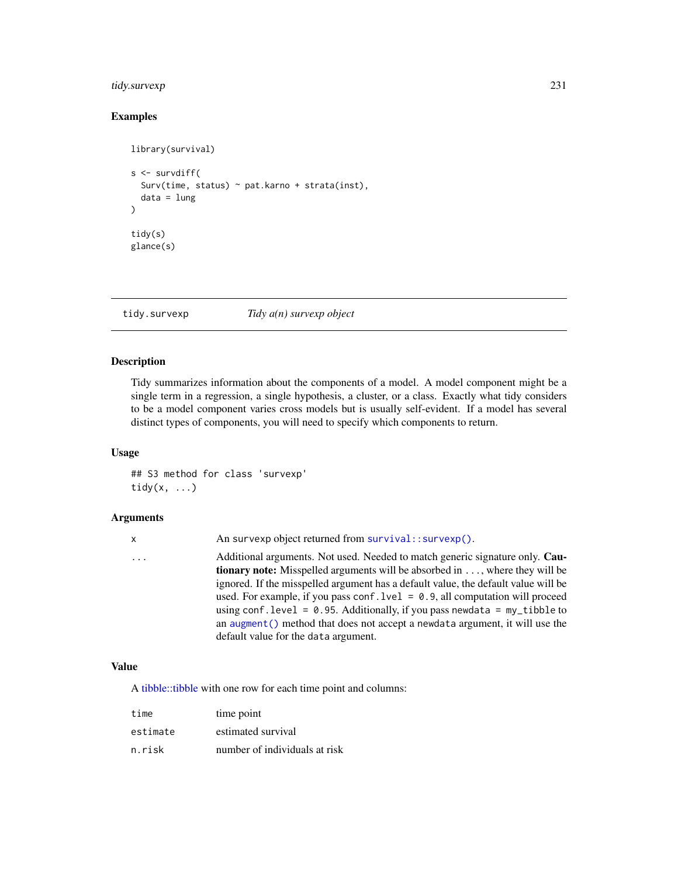# <span id="page-230-1"></span>tidy.survexp 231

# Examples

```
library(survival)
s < - survdiff(
  Surv(time, status) ~ pat.karno + strata(inst),
  data = lung\mathcal{L}tidy(s)
glance(s)
```
<span id="page-230-0"></span>tidy.survexp *Tidy a(n) survexp object*

#### Description

Tidy summarizes information about the components of a model. A model component might be a single term in a regression, a single hypothesis, a cluster, or a class. Exactly what tidy considers to be a model component varies cross models but is usually self-evident. If a model has several distinct types of components, you will need to specify which components to return.

#### Usage

## S3 method for class 'survexp' tidy $(x, \ldots)$ 

# Arguments

x An survexp object returned from [survival::survexp\(\)](#page-0-0).

... Additional arguments. Not used. Needed to match generic signature only. Cautionary note: Misspelled arguments will be absorbed in ..., where they will be ignored. If the misspelled argument has a default value, the default value will be used. For example, if you pass conf.lvel = 0.9, all computation will proceed using conf.level =  $0.95$ . Additionally, if you pass newdata =  $my_t$  tibble to an [augment\(\)](#page-0-0) method that does not accept a newdata argument, it will use the default value for the data argument.

# Value

A [tibble::tibble](#page-0-0) with one row for each time point and columns:

| time     | time point                    |
|----------|-------------------------------|
| estimate | estimated survival            |
| n.risk   | number of individuals at risk |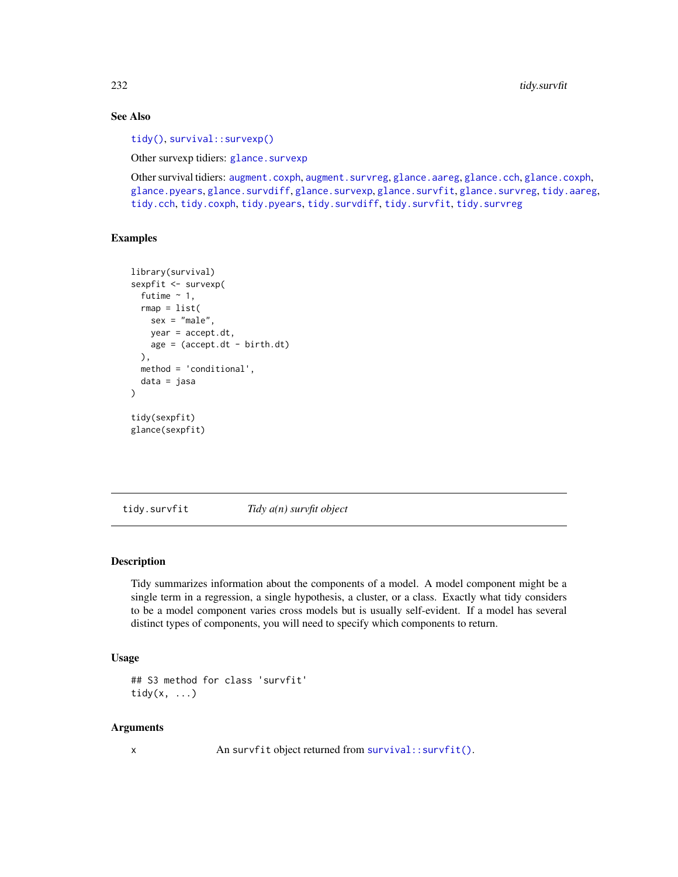<span id="page-231-1"></span>232 tidy.survfit

# See Also

[tidy\(\)](#page-0-0), [survival::survexp\(\)](#page-0-0)

Other survexp tidiers: [glance.survexp](#page-105-0)

Other survival tidiers: [augment.coxph](#page-7-0), [augment.survreg](#page-46-0), [glance.aareg](#page-59-0), [glance.cch](#page-65-0), [glance.coxph](#page-66-0), [glance.pyears](#page-97-0), [glance.survdiff](#page-104-0), [glance.survexp](#page-105-0), [glance.survfit](#page-106-0), [glance.survreg](#page-107-0), [tidy.aareg](#page-126-0), [tidy.cch](#page-142-0), [tidy.coxph](#page-148-0), [tidy.pyears](#page-216-0), [tidy.survdiff](#page-229-0), [tidy.survfit](#page-231-0), [tidy.survreg](#page-233-0)

# Examples

```
library(survival)
sexpfit <- survexp(
  futime ~1,
  rmap = list(sex = "male",
    year = accept.dt,
    age = (\text{accept}.\text{dt} - \text{birth}.\text{dt})),
  method = 'conditional',
  data = jasa
)
tidy(sexpfit)
glance(sexpfit)
```
<span id="page-231-0"></span>tidy.survfit *Tidy a(n) survfit object*

# Description

Tidy summarizes information about the components of a model. A model component might be a single term in a regression, a single hypothesis, a cluster, or a class. Exactly what tidy considers to be a model component varies cross models but is usually self-evident. If a model has several distinct types of components, you will need to specify which components to return.

#### Usage

```
## S3 method for class 'survfit'
tidy(x, \ldots)
```
#### Arguments

x An survfit object returned from [survival::survfit\(\)](#page-0-0).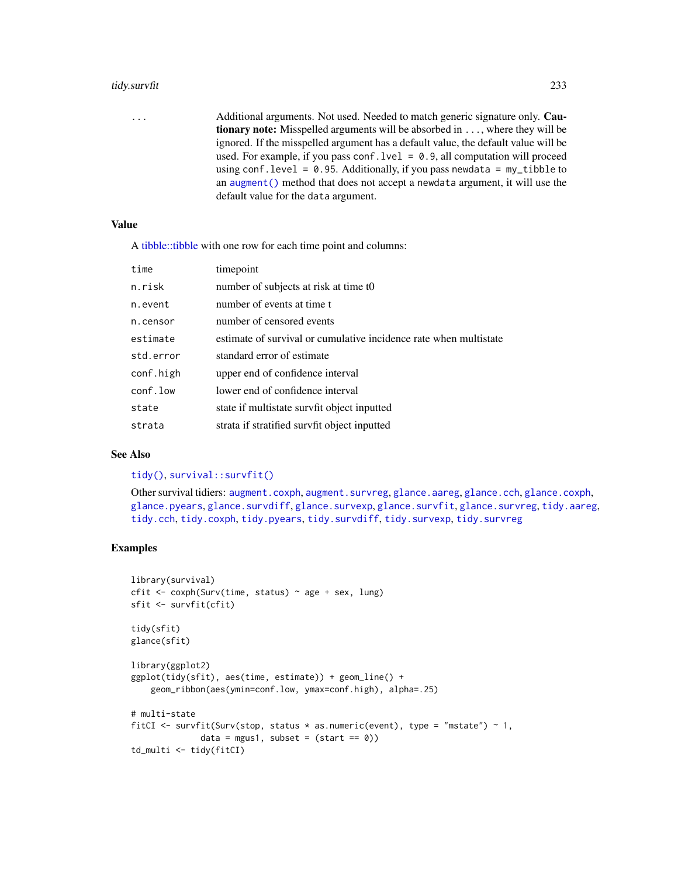#### <span id="page-232-0"></span>tidy.survfit 233

... Additional arguments. Not used. Needed to match generic signature only. **Cau**tionary note: Misspelled arguments will be absorbed in ..., where they will be ignored. If the misspelled argument has a default value, the default value will be used. For example, if you pass conf.  $level = 0.9$ , all computation will proceed using conf.level =  $0.95$ . Additionally, if you pass newdata = my\_tibble to an [augment\(\)](#page-0-0) method that does not accept a newdata argument, it will use the default value for the data argument.

# Value

A [tibble::tibble](#page-0-0) with one row for each time point and columns:

| time      | timepoint                                                         |
|-----------|-------------------------------------------------------------------|
| n.risk    | number of subjects at risk at time to                             |
| n.event   | number of events at time t                                        |
| n.censor  | number of censored events                                         |
| estimate  | estimate of survival or cumulative incidence rate when multistate |
| std.error | standard error of estimate                                        |
| conf.high | upper end of confidence interval                                  |
| conf.low  | lower end of confidence interval                                  |
| state     | state if multistate survfit object inputted                       |
| strata    | strata if stratified survfit object inputted                      |
|           |                                                                   |

# See Also

[tidy\(\)](#page-0-0), [survival::survfit\(\)](#page-0-0)

Other survival tidiers: [augment.coxph](#page-7-0), [augment.survreg](#page-46-0), [glance.aareg](#page-59-0), [glance.cch](#page-65-0), [glance.coxph](#page-66-0), [glance.pyears](#page-97-0), [glance.survdiff](#page-104-0), [glance.survexp](#page-105-0), [glance.survfit](#page-106-0), [glance.survreg](#page-107-0), [tidy.aareg](#page-126-0), [tidy.cch](#page-142-0), [tidy.coxph](#page-148-0), [tidy.pyears](#page-216-0), [tidy.survdiff](#page-229-0), [tidy.survexp](#page-230-0), [tidy.survreg](#page-233-0)

# Examples

```
library(survival)
cfit \le coxph(Surv(time, status) \sim age + sex, lung)
sfit <- survfit(cfit)
tidy(sfit)
glance(sfit)
library(ggplot2)
ggplot(tidy(sfit), aes(time, estimate)) + geom_line() +
    geom_ribbon(aes(ymin=conf.low, ymax=conf.high), alpha=.25)
# multi-state
fitCI <- survfit(Surv(stop, status * as.numeric(event), type = "mstate") ~ 1,
              data = mgus1, subset = (\text{start} == 0))td_multi <- tidy(fitCI)
```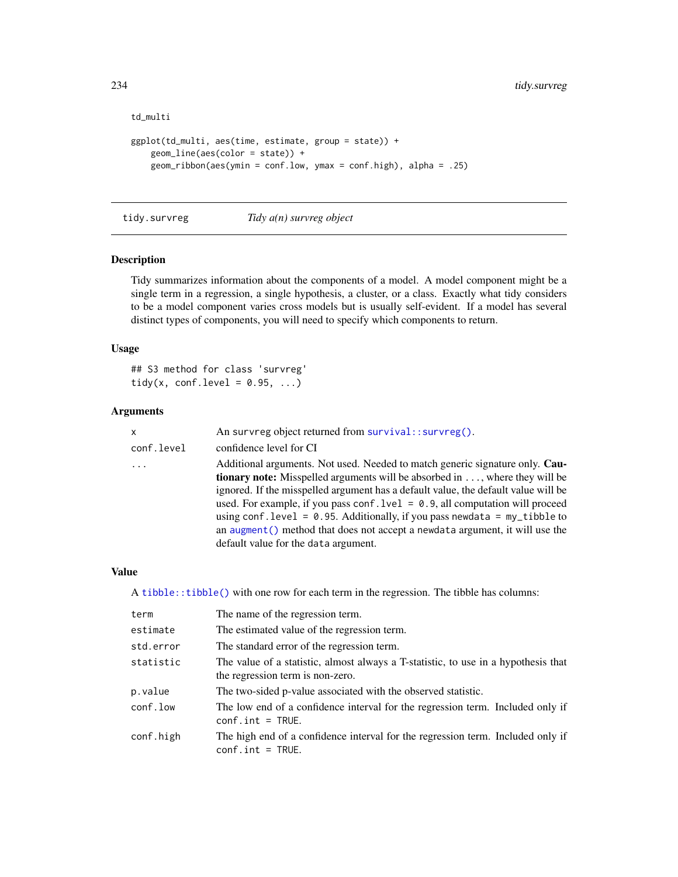```
td_multi
ggplot(td_multi, aes(time, estimate, group = state)) +
   geom_line(aes(color = state)) +
   geom_ribbon(aes(ymin = conf.low, ymax = conf.high), alpha = .25)
```
<span id="page-233-0"></span>tidy.survreg *Tidy a(n) survreg object*

#### Description

Tidy summarizes information about the components of a model. A model component might be a single term in a regression, a single hypothesis, a cluster, or a class. Exactly what tidy considers to be a model component varies cross models but is usually self-evident. If a model has several distinct types of components, you will need to specify which components to return.

# Usage

## S3 method for class 'survreg' tidy(x, conf.level =  $0.95, ...$ )

# Arguments

| $\boldsymbol{\mathsf{x}}$ | An survreg object returned from survival::survreg().                                                                                                                                                                                                                                                                                                                                                                                                                                                                                                          |
|---------------------------|---------------------------------------------------------------------------------------------------------------------------------------------------------------------------------------------------------------------------------------------------------------------------------------------------------------------------------------------------------------------------------------------------------------------------------------------------------------------------------------------------------------------------------------------------------------|
| conf.level                | confidence level for CI                                                                                                                                                                                                                                                                                                                                                                                                                                                                                                                                       |
| .                         | Additional arguments. Not used. Needed to match generic signature only. Cau-<br><b>tionary note:</b> Misspelled arguments will be absorbed in , where they will be<br>ignored. If the misspelled argument has a default value, the default value will be<br>used. For example, if you pass conf. $1$ ve $1 = 0.9$ , all computation will proceed<br>using conf. level = $0.95$ . Additionally, if you pass newdata = $my$ _tibble to<br>an augment () method that does not accept a newdata argument, it will use the<br>default value for the data argument. |

#### Value

A [tibble::tibble\(\)](#page-0-0) with one row for each term in the regression. The tibble has columns:

| term      | The name of the regression term.                                                                                       |
|-----------|------------------------------------------------------------------------------------------------------------------------|
| estimate  | The estimated value of the regression term.                                                                            |
| std.error | The standard error of the regression term.                                                                             |
| statistic | The value of a statistic, almost always a T-statistic, to use in a hypothesis that<br>the regression term is non-zero. |
| p.value   | The two-sided p-value associated with the observed statistic.                                                          |
| conf.low  | The low end of a confidence interval for the regression term. Included only if<br>$conf.int = TRUE.$                   |
| conf.high | The high end of a confidence interval for the regression term. Included only if<br>$conf.int = TRUE.$                  |

<span id="page-233-1"></span>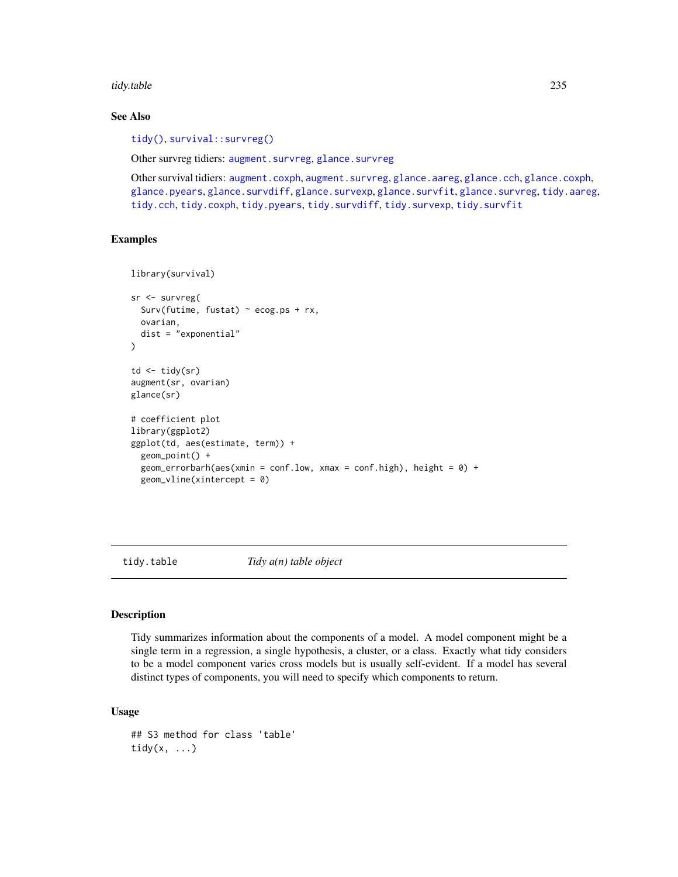<span id="page-234-0"></span>tidy.table 235

# See Also

[tidy\(\)](#page-0-0), [survival::survreg\(\)](#page-0-0)

Other survreg tidiers: [augment.survreg](#page-46-0), [glance.survreg](#page-107-0)

Other survival tidiers: [augment.coxph](#page-7-0), [augment.survreg](#page-46-0), [glance.aareg](#page-59-0), [glance.cch](#page-65-0), [glance.coxph](#page-66-0), [glance.pyears](#page-97-0), [glance.survdiff](#page-104-0), [glance.survexp](#page-105-0), [glance.survfit](#page-106-0), [glance.survreg](#page-107-0), [tidy.aareg](#page-126-0), [tidy.cch](#page-142-0), [tidy.coxph](#page-148-0), [tidy.pyears](#page-216-0), [tidy.survdiff](#page-229-0), [tidy.survexp](#page-230-0), [tidy.survfit](#page-231-0)

#### Examples

```
library(survival)
```

```
sr <- survreg(
 Surv(futime, fustat) \sim ecog.ps + rx,
 ovarian,
 dist = "exponential"
)
td \leftarrow tidy(sr)augment(sr, ovarian)
glance(sr)
# coefficient plot
library(ggplot2)
ggplot(td, aes(estimate, term)) +
 geom_point() +
 geom_errorbarh(aes(xmin = conf.low, xmax = conf.high), height = 0) +
 geom_vline(xintercept = 0)
```
tidy.table *Tidy a(n) table object*

# Description

Tidy summarizes information about the components of a model. A model component might be a single term in a regression, a single hypothesis, a cluster, or a class. Exactly what tidy considers to be a model component varies cross models but is usually self-evident. If a model has several distinct types of components, you will need to specify which components to return.

# Usage

```
## S3 method for class 'table'
tidy(x, \ldots)
```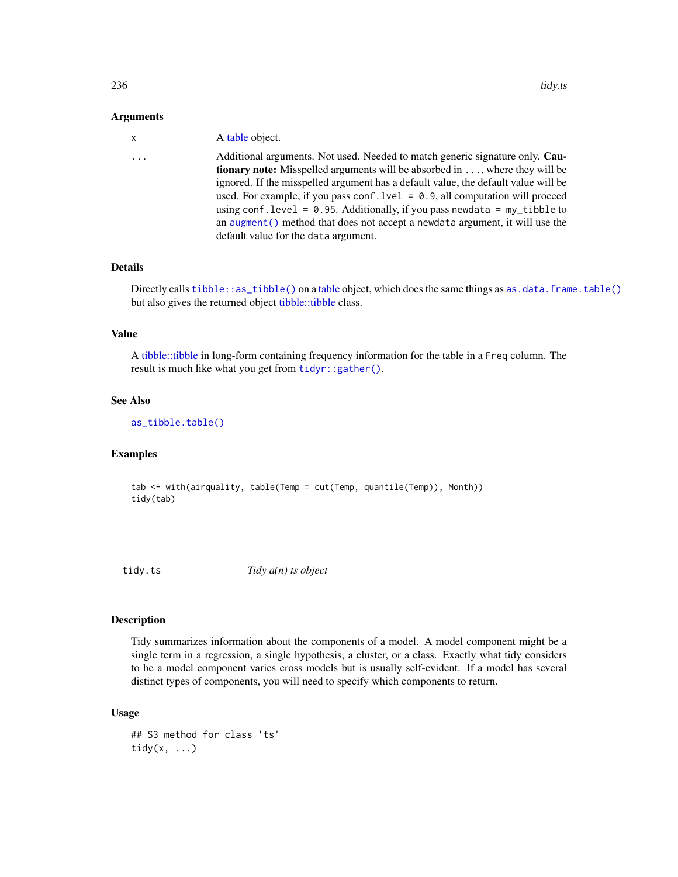#### <span id="page-235-1"></span>Arguments

| $\mathsf{x}$ | A table object.                                                                                                                                                                                                                                                                                                                                                                                                                                                                                                                                               |
|--------------|---------------------------------------------------------------------------------------------------------------------------------------------------------------------------------------------------------------------------------------------------------------------------------------------------------------------------------------------------------------------------------------------------------------------------------------------------------------------------------------------------------------------------------------------------------------|
| $\cdots$     | Additional arguments. Not used. Needed to match generic signature only. Cau-<br><b>tionary note:</b> Misspelled arguments will be absorbed in , where they will be<br>ignored. If the misspelled argument has a default value, the default value will be<br>used. For example, if you pass conf. $1$ ve $1 = 0.9$ , all computation will proceed<br>using conf. level = $0.95$ . Additionally, if you pass newdata = $my$ _tibble to<br>an augment () method that does not accept a newdata argument, it will use the<br>default value for the data argument. |
|              |                                                                                                                                                                                                                                                                                                                                                                                                                                                                                                                                                               |

# Details

Directly calls [tibble::as\\_tibble\(\)](#page-0-0) on a [table](#page-0-0) object, which does the same things as [as.data.frame.table\(\)](#page-0-0) but also gives the returned object [tibble::tibble](#page-0-0) class.

#### Value

A [tibble::tibble](#page-0-0) in long-form containing frequency information for the table in a Freq column. The result is much like what you get from tidyr:: gather().

# See Also

[as\\_tibble.table\(\)](#page-0-0)

# Examples

```
tab <- with(airquality, table(Temp = cut(Temp, quantile(Temp)), Month))
tidy(tab)
```
<span id="page-235-0"></span>

tidy.ts *Tidy a(n) ts object*

# Description

Tidy summarizes information about the components of a model. A model component might be a single term in a regression, a single hypothesis, a cluster, or a class. Exactly what tidy considers to be a model component varies cross models but is usually self-evident. If a model has several distinct types of components, you will need to specify which components to return.

# Usage

```
## S3 method for class 'ts'
tidy(x, \ldots)
```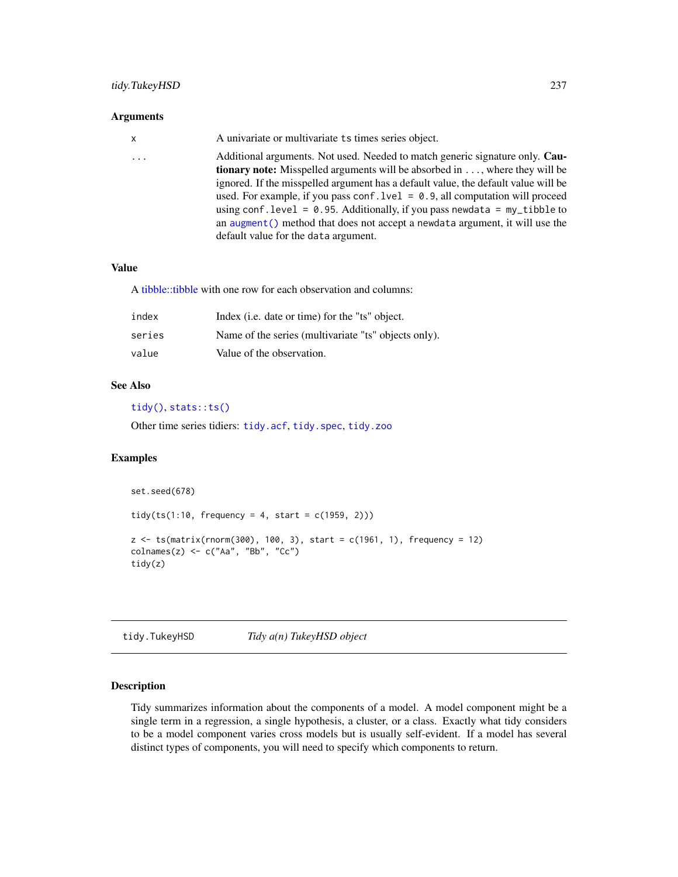# <span id="page-236-0"></span>Arguments

| x        | A univariate or multivariate ts times series object.                                 |
|----------|--------------------------------------------------------------------------------------|
| $\cdots$ | Additional arguments. Not used. Needed to match generic signature only. Cau-         |
|          | <b>tionary note:</b> Misspelled arguments will be absorbed in , where they will be   |
|          | ignored. If the misspelled argument has a default value, the default value will be   |
|          | used. For example, if you pass conf. $1$ ve $1 = 0.9$ , all computation will proceed |
|          | using conf. level = $0.95$ . Additionally, if you pass newdata = $my$ _tibble to     |
|          | an augment () method that does not accept a newdata argument, it will use the        |
|          | default value for the data argument.                                                 |

# Value

A [tibble::tibble](#page-0-0) with one row for each observation and columns:

| index  | Index (i.e. date or time) for the "ts" object.       |
|--------|------------------------------------------------------|
| series | Name of the series (multivariate "ts" objects only). |
| value  | Value of the observation.                            |

#### See Also

[tidy\(\)](#page-0-0), [stats::ts\(\)](#page-0-0)

Other time series tidiers: [tidy.acf](#page-127-0), [tidy.spec](#page-226-0), [tidy.zoo](#page-238-0)

# Examples

```
set.seed(678)
tidy(ts(1:10, frequency = 4, start = c(1959, 2)))z \leq ts(matrix(rnorm(300), 100, 3), start = c(1961, 1), frequency = 12)
colnames(z) \leq c("Aa", "Bb", "Cc")
tidy(z)
```
tidy.TukeyHSD *Tidy a(n) TukeyHSD object*

# Description

Tidy summarizes information about the components of a model. A model component might be a single term in a regression, a single hypothesis, a cluster, or a class. Exactly what tidy considers to be a model component varies cross models but is usually self-evident. If a model has several distinct types of components, you will need to specify which components to return.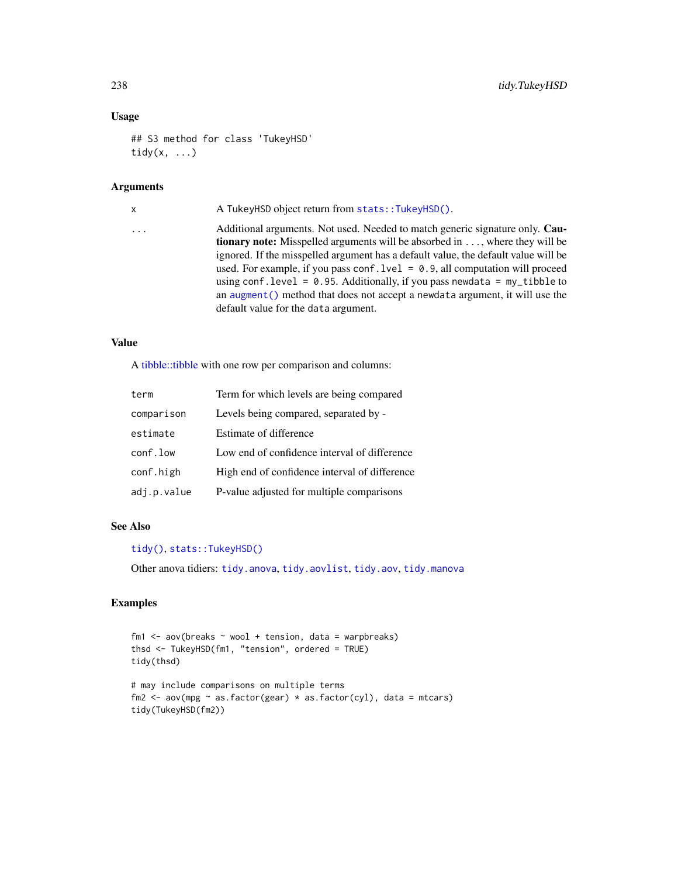# Usage

```
## S3 method for class 'TukeyHSD'
tidy(x, \ldots)
```
#### Arguments

| $\mathsf{x}$        | A TukeyHSD object return from stats:: TukeyHSD().                                                                                                                                                                                                                                                                                                                                                                                                                                                                                                             |
|---------------------|---------------------------------------------------------------------------------------------------------------------------------------------------------------------------------------------------------------------------------------------------------------------------------------------------------------------------------------------------------------------------------------------------------------------------------------------------------------------------------------------------------------------------------------------------------------|
| $\cdot \cdot \cdot$ | Additional arguments. Not used. Needed to match generic signature only. Cau-<br><b>tionary note:</b> Misspelled arguments will be absorbed in , where they will be<br>ignored. If the misspelled argument has a default value, the default value will be<br>used. For example, if you pass conf. $1$ ve $1 = 0.9$ , all computation will proceed<br>using conf. level = $0.95$ . Additionally, if you pass newdata = $my$ _tibble to<br>an augment () method that does not accept a newdata argument, it will use the<br>default value for the data argument. |
|                     |                                                                                                                                                                                                                                                                                                                                                                                                                                                                                                                                                               |

#### Value

A [tibble::tibble](#page-0-0) with one row per comparison and columns:

| term        | Term for which levels are being compared      |
|-------------|-----------------------------------------------|
| comparison  | Levels being compared, separated by -         |
| estimate    | Estimate of difference                        |
| conf.low    | Low end of confidence interval of difference  |
| conf.high   | High end of confidence interval of difference |
| adj.p.value | P-value adjusted for multiple comparisons     |

### See Also

#### [tidy\(\)](#page-0-0), [stats::TukeyHSD\(\)](#page-0-0)

Other anova tidiers: [tidy.anova](#page-128-0), [tidy.aovlist](#page-131-0), [tidy.aov](#page-130-0), [tidy.manova](#page-191-0)

# Examples

```
fm1 \leq -aov(breaks \sim wool + tension, data = warphreaks)thsd <- TukeyHSD(fm1, "tension", ordered = TRUE)
tidy(thsd)
```

```
# may include comparisons on multiple terms
fm2 <- aov(mpg ~ as.factor(gear) * as.factor(cyl), data = mtcars)
tidy(TukeyHSD(fm2))
```
<span id="page-237-0"></span>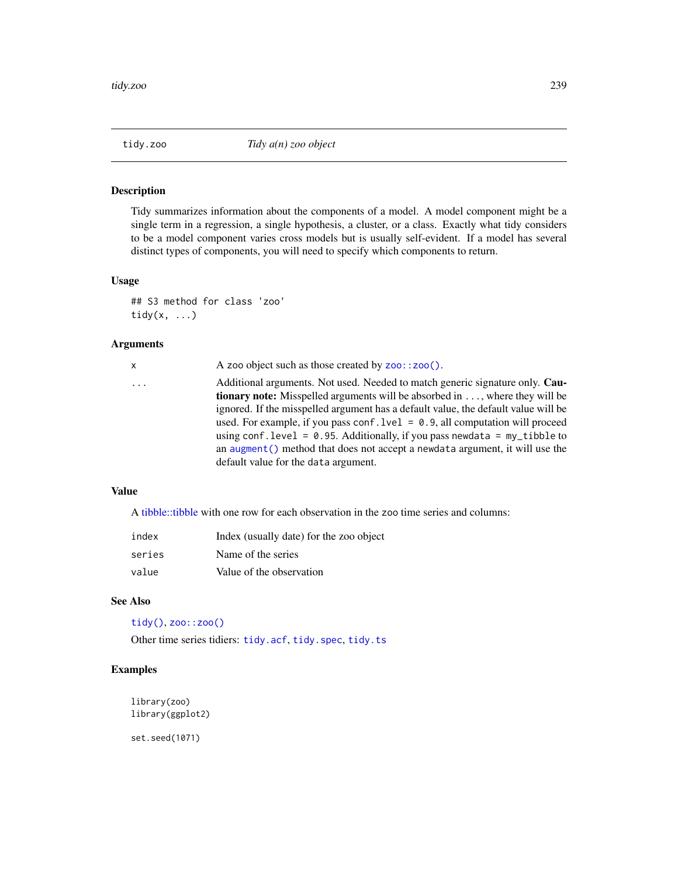<span id="page-238-1"></span><span id="page-238-0"></span>

#### Description

Tidy summarizes information about the components of a model. A model component might be a single term in a regression, a single hypothesis, a cluster, or a class. Exactly what tidy considers to be a model component varies cross models but is usually self-evident. If a model has several distinct types of components, you will need to specify which components to return.

# Usage

## S3 method for class 'zoo' tidy $(x, \ldots)$ 

#### Arguments

| x | A zoo object such as those created by zoo::zoo().                                                                                                                                                                                                                                                                                                                                                                                                                                                                                                                   |
|---|---------------------------------------------------------------------------------------------------------------------------------------------------------------------------------------------------------------------------------------------------------------------------------------------------------------------------------------------------------------------------------------------------------------------------------------------------------------------------------------------------------------------------------------------------------------------|
| . | Additional arguments. Not used. Needed to match generic signature only. Cau-<br><b>tionary note:</b> Misspelled arguments will be absorbed in , where they will be<br>ignored. If the misspelled argument has a default value, the default value will be<br>used. For example, if you pass conf. $1$ ve $1 = 0.9$ , all computation will proceed<br>using conf. level = $\theta$ . 95. Additionally, if you pass newdata = $my$ _tibble to<br>an augment () method that does not accept a newdata argument, it will use the<br>default value for the data argument. |
|   |                                                                                                                                                                                                                                                                                                                                                                                                                                                                                                                                                                     |

#### Value

A [tibble::tibble](#page-0-0) with one row for each observation in the zoo time series and columns:

| index  | Index (usually date) for the zoo object |
|--------|-----------------------------------------|
| series | Name of the series                      |
| value  | Value of the observation                |

#### See Also

[tidy\(\)](#page-0-0), [zoo::zoo\(\)](#page-0-0)

Other time series tidiers: [tidy.acf](#page-127-0), [tidy.spec](#page-226-0), [tidy.ts](#page-235-0)

# Examples

```
library(zoo)
library(ggplot2)
```
set.seed(1071)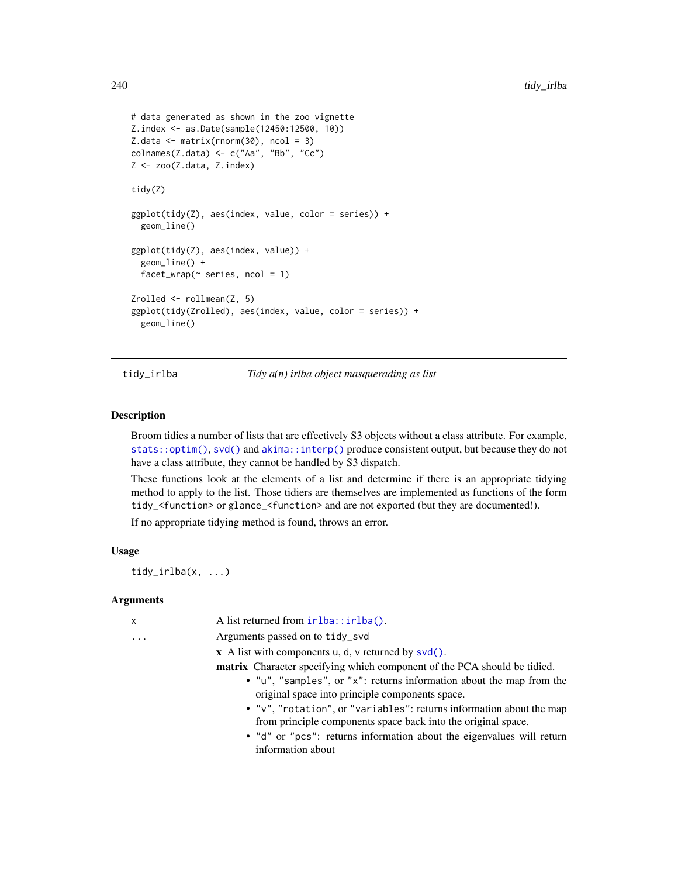```
# data generated as shown in the zoo vignette
Z.index <- as.Date(sample(12450:12500, 10))
Z.data \leftarrow matrix(rnorm(30), ncol = 3)colnames(Z.data) <- c("Aa", "Bb", "Cc")
Z <- zoo(Z.data, Z.index)
tidy(Z)
ggplot(tidy(Z), aes(index, value, color = series)) +
  geom_line()
ggplot(tidy(Z), aes(index, value)) +
  geom_line() +
  facet_wrap(\sim series, ncol = 1)
Zrolled <- rollmean(Z, 5)
ggplot(tidy(Zrolled), aes(index, value, color = series)) +
  geom_line()
```
<span id="page-239-0"></span>tidy\_irlba *Tidy a(n) irlba object masquerading as list*

#### Description

Broom tidies a number of lists that are effectively S3 objects without a class attribute. For example, [stats::optim\(\)](#page-0-0), [svd\(\)](#page-0-0) and [akima::interp\(\)](#page-0-0) produce consistent output, but because they do not have a class attribute, they cannot be handled by S3 dispatch.

These functions look at the elements of a list and determine if there is an appropriate tidying method to apply to the list. Those tidiers are themselves are implemented as functions of the form tidy\_<function> or glance\_<function> and are not exported (but they are documented!).

If no appropriate tidying method is found, throws an error.

#### Usage

tidy\_irlba(x, ...)

#### Arguments

| A list returned from $irlba::irlba()$ .                                         |  |  |  |
|---------------------------------------------------------------------------------|--|--|--|
| Arguments passed on to tidy_svd                                                 |  |  |  |
| $\bf{x}$ A list with components u, d, v returned by svd().                      |  |  |  |
| <b>matrix</b> Character specifying which component of the PCA should be tidied. |  |  |  |
| • " $u$ ", "samples", or " $x$ ": returns information about the map from the    |  |  |  |
| original space into principle components space.                                 |  |  |  |
| • $"v"$ , "rotation", or "variables": returns information about the map         |  |  |  |
| from principle components space back into the original space.                   |  |  |  |
| • "d" or "pcs": returns information about the eigenvalues will return           |  |  |  |
| information about                                                               |  |  |  |
|                                                                                 |  |  |  |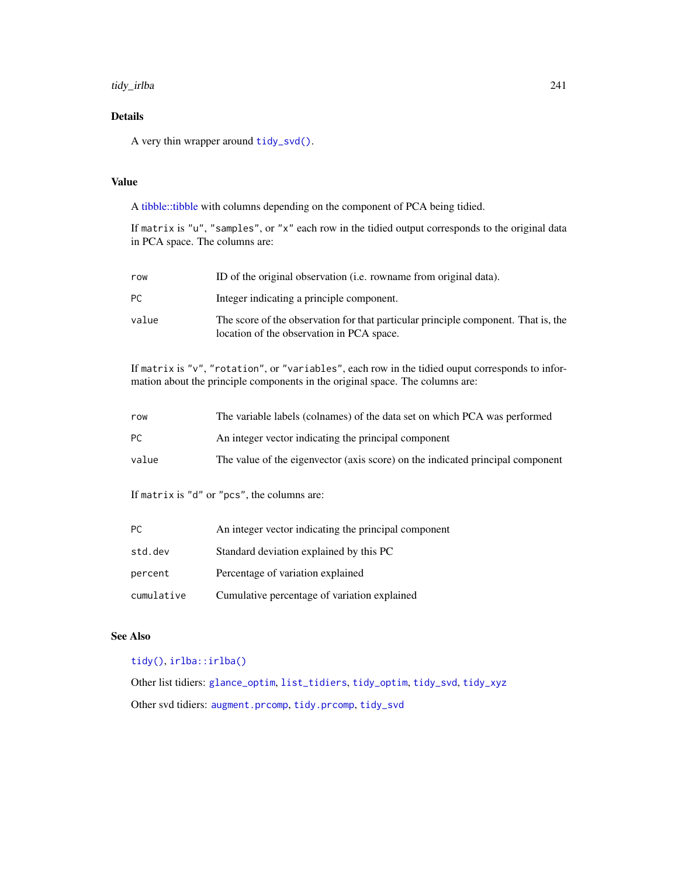#### <span id="page-240-0"></span>tidy\_irlba 241

# Details

A very thin wrapper around [tidy\\_svd\(\)](#page-242-0).

# Value

A [tibble::tibble](#page-0-0) with columns depending on the component of PCA being tidied.

If matrix is "u", "samples", or "x" each row in the tidied output corresponds to the original data in PCA space. The columns are:

| row   | ID of the original observation ( <i>i.e.</i> rowname from original data).                                                       |
|-------|---------------------------------------------------------------------------------------------------------------------------------|
| PC.   | Integer indicating a principle component.                                                                                       |
| value | The score of the observation for that particular principle component. That is, the<br>location of the observation in PCA space. |

If matrix is "v", "rotation", or "variables", each row in the tidied ouput corresponds to information about the principle components in the original space. The columns are:

| row   | The variable labels (colnames) of the data set on which PCA was performed      |
|-------|--------------------------------------------------------------------------------|
| PC.   | An integer vector indicating the principal component                           |
| value | The value of the eigenvector (axis score) on the indicated principal component |

If matrix is "d" or "pcs", the columns are:

| РC         | An integer vector indicating the principal component |
|------------|------------------------------------------------------|
| std.dev    | Standard deviation explained by this PC              |
| percent    | Percentage of variation explained                    |
| cumulative | Cumulative percentage of variation explained         |

# See Also

#### [tidy\(\)](#page-0-0), [irlba::irlba\(\)](#page-0-0)

Other list tidiers: [glance\\_optim](#page-108-0), [list\\_tidiers](#page-110-0), [tidy\\_optim](#page-241-0), [tidy\\_svd](#page-242-0), [tidy\\_xyz](#page-244-0) Other svd tidiers: [augment.prcomp](#page-35-0), [tidy.prcomp](#page-214-0), [tidy\\_svd](#page-242-0)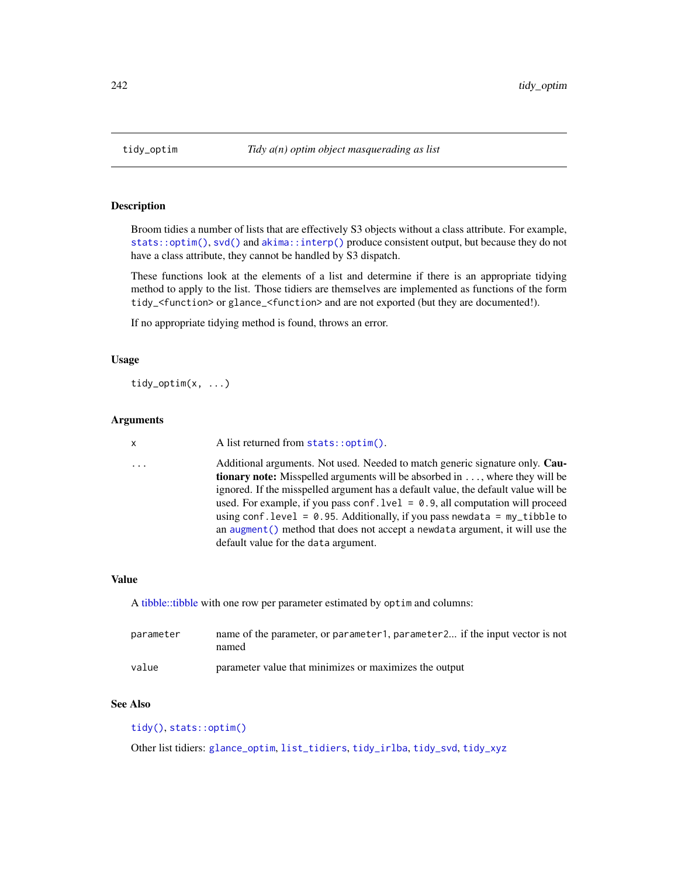<span id="page-241-1"></span><span id="page-241-0"></span>

#### Description

Broom tidies a number of lists that are effectively S3 objects without a class attribute. For example, [stats::optim\(\)](#page-0-0), [svd\(\)](#page-0-0) and [akima::interp\(\)](#page-0-0) produce consistent output, but because they do not have a class attribute, they cannot be handled by S3 dispatch.

These functions look at the elements of a list and determine if there is an appropriate tidying method to apply to the list. Those tidiers are themselves are implemented as functions of the form tidy\_<function> or glance\_<function> and are not exported (but they are documented!).

If no appropriate tidying method is found, throws an error.

#### Usage

tidy\_optim(x, ...)

#### Arguments

A list returned from [stats::optim\(\)](#page-0-0).

... Additional arguments. Not used. Needed to match generic signature only. Cautionary note: Misspelled arguments will be absorbed in ..., where they will be ignored. If the misspelled argument has a default value, the default value will be used. For example, if you pass conf.  $level = 0.9$ , all computation will proceed using conf.level =  $0.95$ . Additionally, if you pass newdata = my\_tibble to an [augment\(\)](#page-0-0) method that does not accept a newdata argument, it will use the default value for the data argument.

#### Value

A [tibble::tibble](#page-0-0) with one row per parameter estimated by optim and columns:

| parameter | name of the parameter, or parameter1, parameter2 if the input vector is not<br>named |
|-----------|--------------------------------------------------------------------------------------|
| value     | parameter value that minimizes or maximizes the output                               |

#### See Also

#### [tidy\(\)](#page-0-0), [stats::optim\(\)](#page-0-0)

Other list tidiers: [glance\\_optim](#page-108-0), [list\\_tidiers](#page-110-0), [tidy\\_irlba](#page-239-0), [tidy\\_svd](#page-242-0), [tidy\\_xyz](#page-244-0)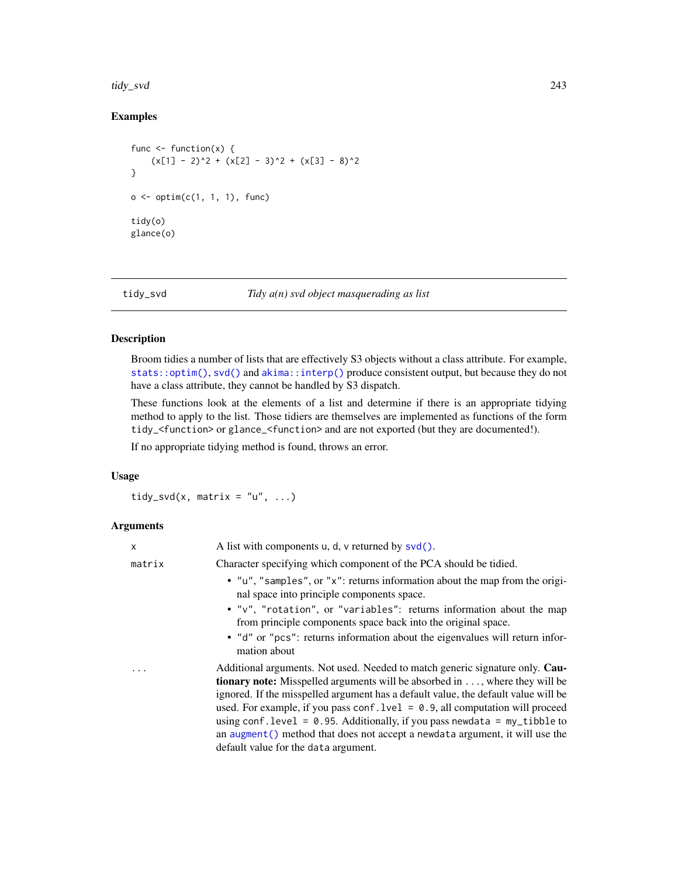#### <span id="page-242-1"></span>tidy\_svd 243

# Examples

```
func \le function(x) {
     (x[1] - 2)^2 + (x[2] - 3)^2 + (x[3] - 8)^2}
o \leftarrow \text{optim}(c(1, 1, 1), \text{func})tidy(o)
glance(o)
```
<span id="page-242-0"></span>tidy\_svd *Tidy a(n) svd object masquerading as list*

#### Description

Broom tidies a number of lists that are effectively S3 objects without a class attribute. For example, [stats::optim\(\)](#page-0-0), [svd\(\)](#page-0-0) and [akima::interp\(\)](#page-0-0) produce consistent output, but because they do not have a class attribute, they cannot be handled by S3 dispatch.

These functions look at the elements of a list and determine if there is an appropriate tidying method to apply to the list. Those tidiers are themselves are implemented as functions of the form tidy\_<function> or glance\_<function> and are not exported (but they are documented!).

If no appropriate tidying method is found, throws an error.

# Usage

tidy\_svd(x, matrix =  $"u", ...$ )

#### Arguments

| x      | A list with components $u$ , $d$ , $v$ returned by $svd()$ .                                                                                                                                                                                                                                                                                                                                                                                                                                                                                              |
|--------|-----------------------------------------------------------------------------------------------------------------------------------------------------------------------------------------------------------------------------------------------------------------------------------------------------------------------------------------------------------------------------------------------------------------------------------------------------------------------------------------------------------------------------------------------------------|
|        |                                                                                                                                                                                                                                                                                                                                                                                                                                                                                                                                                           |
| matrix | Character specifying which component of the PCA should be tidied.                                                                                                                                                                                                                                                                                                                                                                                                                                                                                         |
|        | • "u", "samples", or "x": returns information about the map from the origi-<br>nal space into principle components space.                                                                                                                                                                                                                                                                                                                                                                                                                                 |
|        | • "v", "rotation", or "variables": returns information about the map<br>from principle components space back into the original space.                                                                                                                                                                                                                                                                                                                                                                                                                     |
|        | • "d" or "pcs": returns information about the eigenvalues will return infor-<br>mation about                                                                                                                                                                                                                                                                                                                                                                                                                                                              |
|        | Additional arguments. Not used. Needed to match generic signature only. Cau-<br><b>tionary note:</b> Misspelled arguments will be absorbed in , where they will be<br>ignored. If the misspelled argument has a default value, the default value will be<br>used. For example, if you pass conf. $1$ ve $1 = 0.9$ , all computation will proceed<br>using conf.level = $0.95$ . Additionally, if you pass newdata = my_tibble to<br>an augment () method that does not accept a newdata argument, it will use the<br>default value for the data argument. |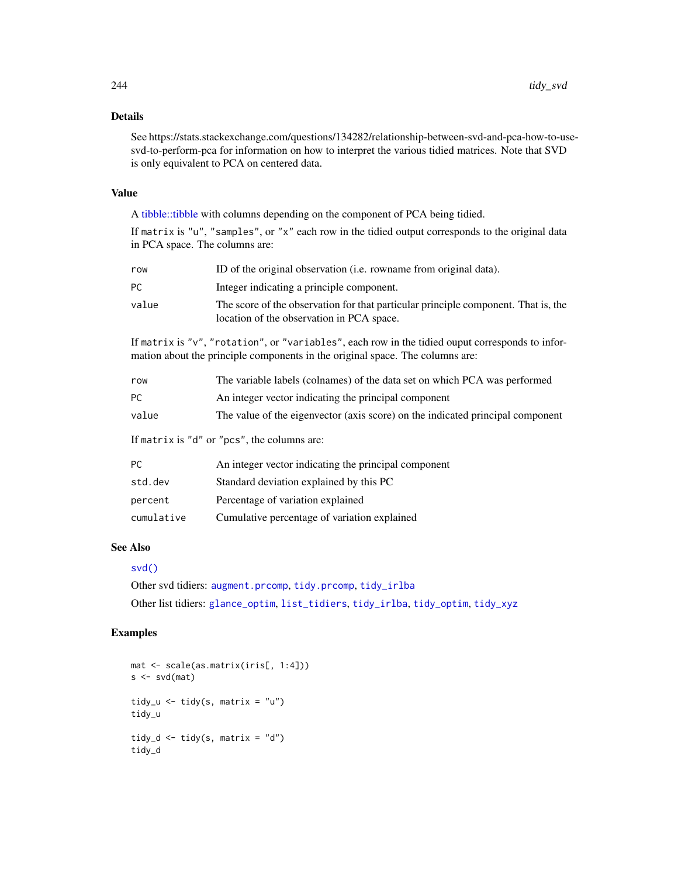# <span id="page-243-0"></span>Details

See https://stats.stackexchange.com/questions/134282/relationship-between-svd-and-pca-how-to-usesvd-to-perform-pca for information on how to interpret the various tidied matrices. Note that SVD is only equivalent to PCA on centered data.

#### Value

A [tibble::tibble](#page-0-0) with columns depending on the component of PCA being tidied.

If matrix is "u", "samples", or "x" each row in the tidied output corresponds to the original data in PCA space. The columns are:

| row   | ID of the original observation (i.e. rowname from original data).                                                                                                                     |
|-------|---------------------------------------------------------------------------------------------------------------------------------------------------------------------------------------|
| PC.   | Integer indicating a principle component.                                                                                                                                             |
| value | The score of the observation for that particular principle component. That is, the<br>location of the observation in PCA space.                                                       |
|       | If matrix is " $v$ ", "rotation", or "variables", each row in the tidied ouput corresponds to infor-<br>mation about the principle components in the original space. The columns are: |

| row   | The variable labels (colnames) of the data set on which PCA was performed      |
|-------|--------------------------------------------------------------------------------|
| PC.   | An integer vector indicating the principal component                           |
| value | The value of the eigenvector (axis score) on the indicated principal component |

If matrix is "d" or "pcs", the columns are:

| PC.        | An integer vector indicating the principal component |
|------------|------------------------------------------------------|
| std.dev    | Standard deviation explained by this PC              |
| percent    | Percentage of variation explained                    |
| cumulative | Cumulative percentage of variation explained         |

# See Also

# [svd\(\)](#page-0-0)

Other svd tidiers: [augment.prcomp](#page-35-0), [tidy.prcomp](#page-214-0), [tidy\\_irlba](#page-239-0) Other list tidiers: [glance\\_optim](#page-108-0), [list\\_tidiers](#page-110-0), [tidy\\_irlba](#page-239-0), [tidy\\_optim](#page-241-0), [tidy\\_xyz](#page-244-0)

#### Examples

```
mat <- scale(as.matrix(iris[, 1:4]))
s \leftarrow \text{svd}(\text{mat})tidy_u <- tidy(s, matrix = "u")
tidy_u
tidy_d <- tidy(s, matrix = "d")
tidy_d
```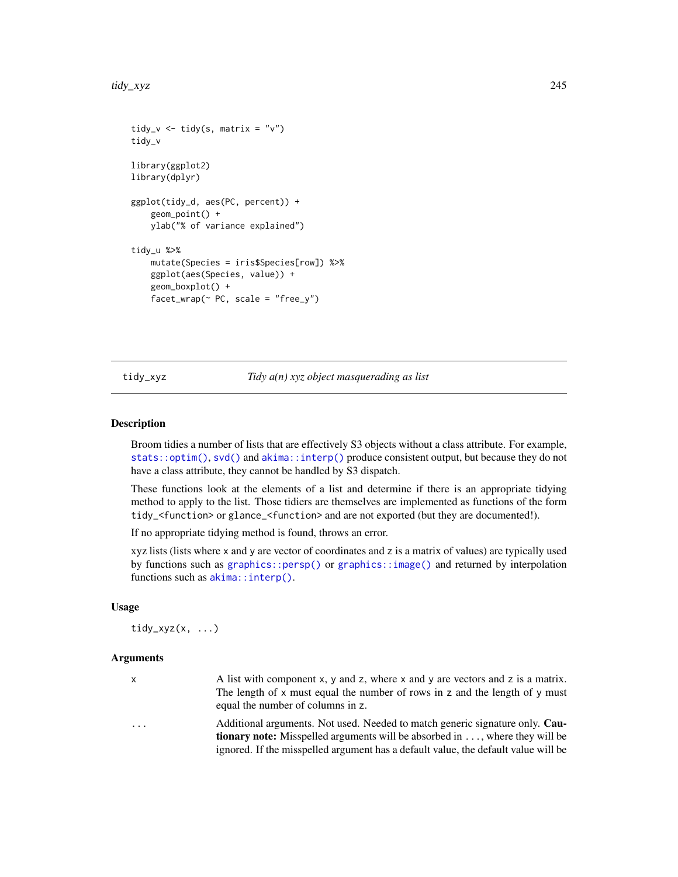```
tidy_v \leq -tidy(s, matrix = "v")
tidy_v
library(ggplot2)
library(dplyr)
ggplot(tidy_d, aes(PC, percent)) +
    geom_point() +
   ylab("% of variance explained")
tidy_u %>%
    mutate(Species = iris$Species[row]) %>%
    ggplot(aes(Species, value)) +
    geom_boxplot() +
    factor_{wrap}(\sim PC, scale = "free_{y''})
```
<span id="page-244-0"></span>tidy\_xyz *Tidy a(n) xyz object masquerading as list*

#### Description

Broom tidies a number of lists that are effectively S3 objects without a class attribute. For example, [stats::optim\(\)](#page-0-0), [svd\(\)](#page-0-0) and [akima::interp\(\)](#page-0-0) produce consistent output, but because they do not have a class attribute, they cannot be handled by S3 dispatch.

These functions look at the elements of a list and determine if there is an appropriate tidying method to apply to the list. Those tidiers are themselves are implemented as functions of the form tidy\_<function> or glance\_<function> and are not exported (but they are documented!).

If no appropriate tidying method is found, throws an error.

xyz lists (lists where x and y are vector of coordinates and z is a matrix of values) are typically used by functions such as [graphics::persp\(\)](#page-0-0) or [graphics::image\(\)](#page-0-0) and returned by interpolation functions such as [akima::interp\(\)](#page-0-0).

#### Usage

tidy\_xyz(x, ...)

#### Arguments

| X       | A list with component x, y and z, where x and y are vectors and z is a matrix.<br>The length of x must equal the number of rows in z and the length of y must<br>equal the number of columns in z. |
|---------|----------------------------------------------------------------------------------------------------------------------------------------------------------------------------------------------------|
| $\cdot$ | Additional arguments. Not used. Needed to match generic signature only. Cau-<br><b>tionary note:</b> Misspelled arguments will be absorbed in , where they will be                                 |
|         | ignored. If the misspelled argument has a default value, the default value will be                                                                                                                 |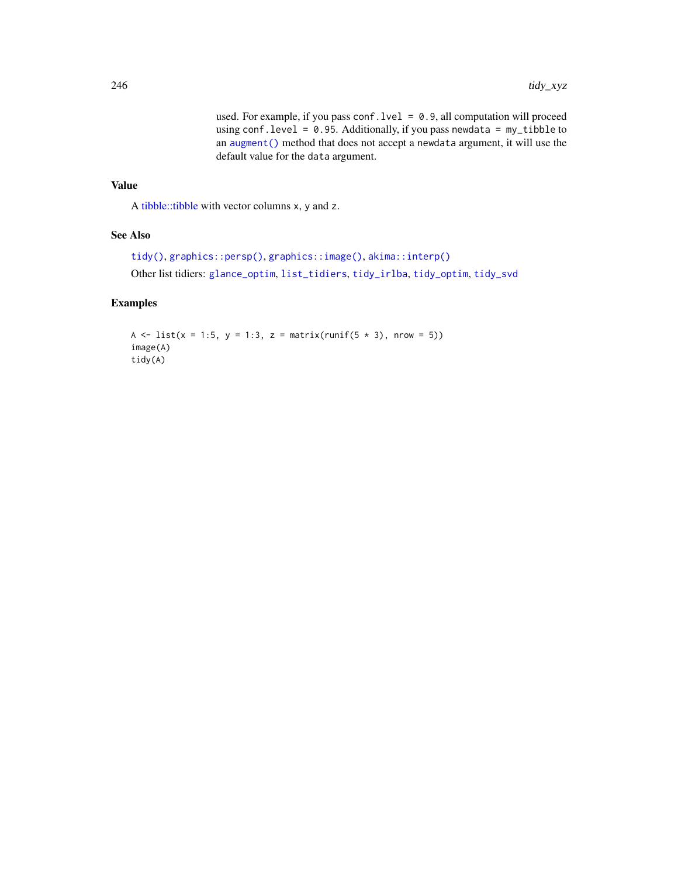used. For example, if you pass conf.  $level = 0.9$ , all computation will proceed using conf.level = 0.95. Additionally, if you pass newdata = my\_tibble to an [augment\(\)](#page-0-0) method that does not accept a newdata argument, it will use the default value for the data argument.

# <span id="page-245-0"></span>Value

A [tibble::tibble](#page-0-0) with vector columns x, y and z.

# See Also

```
tidy(), graphics::persp(), graphics::image(), akima::interp()
Other list tidiers: glance_optim, list_tidiers, tidy_irlba, tidy_optim, tidy_svd
```
# Examples

A  $\leftarrow$  list(x = 1:5, y = 1:3, z = matrix(runif(5  $\star$  3), nrow = 5)) image(A) tidy(A)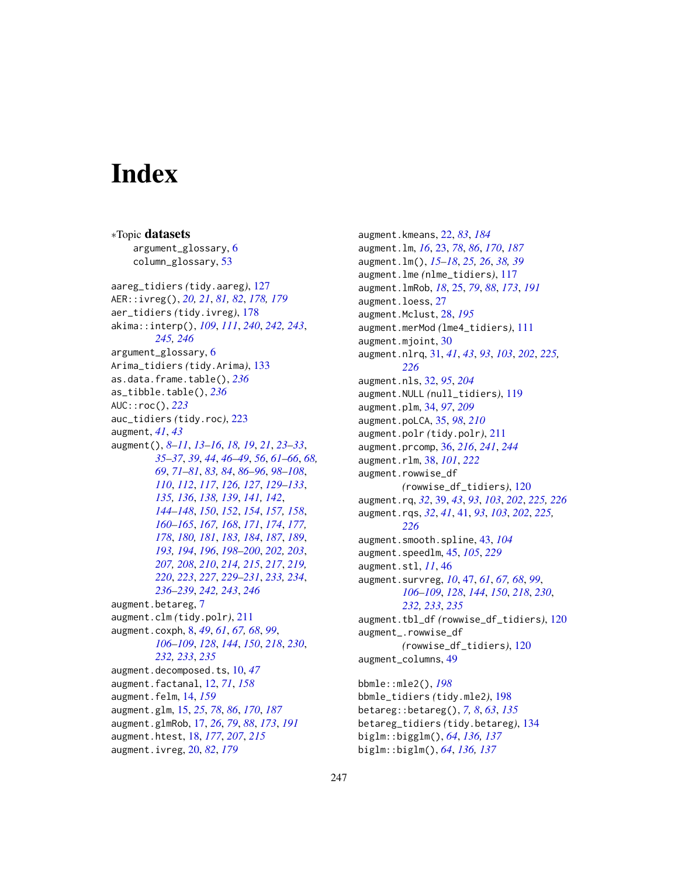# **Index**

∗Topic datasets argument\_glossary, [6](#page-5-0) column\_glossary, [53](#page-52-0) aareg\_tidiers *(*tidy.aareg*)*, [127](#page-126-1) AER::ivreg(), *[20,](#page-19-0) [21](#page-20-0)*, *[81,](#page-80-0) [82](#page-81-0)*, *[178,](#page-177-0) [179](#page-178-0)* aer\_tidiers *(*tidy.ivreg*)*, [178](#page-177-0) akima::interp(), *[109](#page-108-1)*, *[111](#page-110-1)*, *[240](#page-239-1)*, *[242,](#page-241-1) [243](#page-242-1)*, *[245,](#page-244-1) [246](#page-245-0)* argument\_glossary, [6](#page-5-0) Arima\_tidiers *(*tidy.Arima*)*, [133](#page-132-0) as.data.frame.table(), *[236](#page-235-1)* as\_tibble.table(), *[236](#page-235-1)* AUC::roc(), *[223](#page-222-0)* auc\_tidiers *(*tidy.roc*)*, [223](#page-222-0) augment, *[41](#page-40-1)*, *[43](#page-42-0)* augment(), *[8](#page-7-1)[–11](#page-10-0)*, *[13](#page-12-0)[–16](#page-15-0)*, *[18,](#page-17-0) [19](#page-18-0)*, *[21](#page-20-0)*, *[23–](#page-22-0)[33](#page-32-0)*, *[35](#page-34-0)[–37](#page-36-0)*, *[39](#page-38-1)*, *[44](#page-43-0)*, *[46–](#page-45-0)[49](#page-48-0)*, *[56](#page-55-0)*, *[61–](#page-60-0)[66](#page-65-1)*, *[68,](#page-67-0) [69](#page-68-0)*, *[71](#page-70-0)[–81](#page-80-0)*, *[83,](#page-82-0) [84](#page-83-0)*, *[86–](#page-85-0)[96](#page-95-0)*, *[98–](#page-97-1)[108](#page-107-1)*, *[110](#page-109-0)*, *[112](#page-111-0)*, *[117](#page-116-0)*, *[126,](#page-125-0) [127](#page-126-1)*, *[129–](#page-128-1)[133](#page-132-0)*, *[135,](#page-134-0) [136](#page-135-0)*, *[138,](#page-137-0) [139](#page-138-0)*, *[141,](#page-140-0) [142](#page-141-0)*, *[144](#page-143-0)[–148](#page-147-0)*, *[150](#page-149-0)*, *[152](#page-151-0)*, *[154](#page-153-0)*, *[157,](#page-156-0) [158](#page-157-0)*, *[160](#page-159-0)[–165](#page-164-0)*, *[167,](#page-166-0) [168](#page-167-1)*, *[171](#page-170-0)*, *[174](#page-173-0)*, *[177,](#page-176-0) [178](#page-177-0)*, *[180,](#page-179-0) [181](#page-180-0)*, *[183,](#page-182-0) [184](#page-183-0)*, *[187](#page-186-0)*, *[189](#page-188-0)*, *[193,](#page-192-0) [194](#page-193-0)*, *[196](#page-195-0)*, *[198–](#page-197-0)[200](#page-199-0)*, *[202,](#page-201-0) [203](#page-202-0)*, *[207,](#page-206-0) [208](#page-207-0)*, *[210](#page-209-0)*, *[214,](#page-213-0) [215](#page-214-1)*, *[217](#page-216-1)*, *[219,](#page-218-0) [220](#page-219-0)*, *[223](#page-222-0)*, *[227](#page-226-1)*, *[229–](#page-228-0)[231](#page-230-1)*, *[233,](#page-232-0) [234](#page-233-1)*, *[236](#page-235-1)[–239](#page-238-1)*, *[242,](#page-241-1) [243](#page-242-1)*, *[246](#page-245-0)* augment.betareg, [7](#page-6-0) augment.clm *(*tidy.polr*)*, [211](#page-210-0) augment.coxph, [8,](#page-7-1) *[49](#page-48-0)*, *[61](#page-60-0)*, *[67,](#page-66-1) [68](#page-67-0)*, *[99](#page-98-1)*, *[106](#page-105-1)[–109](#page-108-1)*, *[128](#page-127-1)*, *[144](#page-143-0)*, *[150](#page-149-0)*, *[218](#page-217-0)*, *[230](#page-229-1)*, *[232,](#page-231-1) [233](#page-232-0)*, *[235](#page-234-0)* augment.decomposed.ts, [10,](#page-9-0) *[47](#page-46-1)* augment.factanal, [12,](#page-11-0) *[71](#page-70-0)*, *[158](#page-157-0)* augment.felm, [14,](#page-13-0) *[159](#page-158-0)* augment.glm, [15,](#page-14-0) *[25](#page-24-0)*, *[78](#page-77-0)*, *[86](#page-85-0)*, *[170](#page-169-0)*, *[187](#page-186-0)* augment.glmRob, [17,](#page-16-0) *[26](#page-25-0)*, *[79](#page-78-0)*, *[88](#page-87-0)*, *[173](#page-172-0)*, *[191](#page-190-0)* augment.htest, [18,](#page-17-0) *[177](#page-176-0)*, *[207](#page-206-0)*, *[215](#page-214-1)* augment.ivreg, [20,](#page-19-0) *[82](#page-81-0)*, *[179](#page-178-0)*

augment.kmeans, [22,](#page-21-0) *[83](#page-82-0)*, *[184](#page-183-0)* augment.lm, *[16](#page-15-0)*, [23,](#page-22-0) *[78](#page-77-0)*, *[86](#page-85-0)*, *[170](#page-169-0)*, *[187](#page-186-0)* augment.lm(), *[15](#page-14-0)[–18](#page-17-0)*, *[25,](#page-24-0) [26](#page-25-0)*, *[38,](#page-37-1) [39](#page-38-1)* augment.lme *(*nlme\_tidiers*)*, [117](#page-116-0) augment.lmRob, *[18](#page-17-0)*, [25,](#page-24-0) *[79](#page-78-0)*, *[88](#page-87-0)*, *[173](#page-172-0)*, *[191](#page-190-0)* augment.loess, [27](#page-26-0) augment.Mclust, [28,](#page-27-0) *[195](#page-194-0)* augment.merMod *(*lme4\_tidiers*)*, [111](#page-110-1) augment.mjoint, [30](#page-29-0) augment.nlrq, [31,](#page-30-1) *[41](#page-40-1)*, *[43](#page-42-0)*, *[93](#page-92-1)*, *[103](#page-102-0)*, *[202](#page-201-0)*, *[225,](#page-224-1) [226](#page-225-0)* augment.nls, [32,](#page-31-0) *[95](#page-94-0)*, *[204](#page-203-0)* augment.NULL *(*null\_tidiers*)*, [119](#page-118-0) augment.plm, [34,](#page-33-0) *[97](#page-96-0)*, *[209](#page-208-0)* augment.poLCA, [35,](#page-34-0) *[98](#page-97-1)*, *[210](#page-209-0)* augment.polr *(*tidy.polr*)*, [211](#page-210-0) augment.prcomp, [36,](#page-35-1) *[216](#page-215-0)*, *[241](#page-240-0)*, *[244](#page-243-0)* augment.rlm, [38,](#page-37-1) *[101](#page-100-0)*, *[222](#page-221-0)* augment.rowwise\_df *(*rowwise\_df\_tidiers*)*, [120](#page-119-0) augment.rq, *[32](#page-31-0)*, [39,](#page-38-1) *[43](#page-42-0)*, *[93](#page-92-1)*, *[103](#page-102-0)*, *[202](#page-201-0)*, *[225,](#page-224-1) [226](#page-225-0)* augment.rqs, *[32](#page-31-0)*, *[41](#page-40-1)*, [41,](#page-40-1) *[93](#page-92-1)*, *[103](#page-102-0)*, *[202](#page-201-0)*, *[225,](#page-224-1) [226](#page-225-0)* augment.smooth.spline, [43,](#page-42-0) *[104](#page-103-1)* augment.speedlm, [45,](#page-44-1) *[105](#page-104-1)*, *[229](#page-228-0)* augment.stl, *[11](#page-10-0)*, [46](#page-45-0) augment.survreg, *[10](#page-9-0)*, [47,](#page-46-1) *[61](#page-60-0)*, *[67,](#page-66-1) [68](#page-67-0)*, *[99](#page-98-1)*, *[106](#page-105-1)[–109](#page-108-1)*, *[128](#page-127-1)*, *[144](#page-143-0)*, *[150](#page-149-0)*, *[218](#page-217-0)*, *[230](#page-229-1)*, *[232,](#page-231-1) [233](#page-232-0)*, *[235](#page-234-0)* augment.tbl\_df *(*rowwise\_df\_tidiers*)*, [120](#page-119-0) augment\_.rowwise\_df *(*rowwise\_df\_tidiers*)*, [120](#page-119-0) augment\_columns, [49](#page-48-0) bbmle::mle2(), *[198](#page-197-0)* bbmle\_tidiers *(*tidy.mle2*)*, [198](#page-197-0) betareg::betareg(), *[7,](#page-6-0) [8](#page-7-1)*, *[63](#page-62-0)*, *[135](#page-134-0)* betareg\_tidiers *(*tidy.betareg*)*, [134](#page-133-0) biglm::bigglm(), *[64](#page-63-0)*, *[136,](#page-135-0) [137](#page-136-0)*

biglm::biglm(), *[64](#page-63-0)*, *[136,](#page-135-0) [137](#page-136-0)*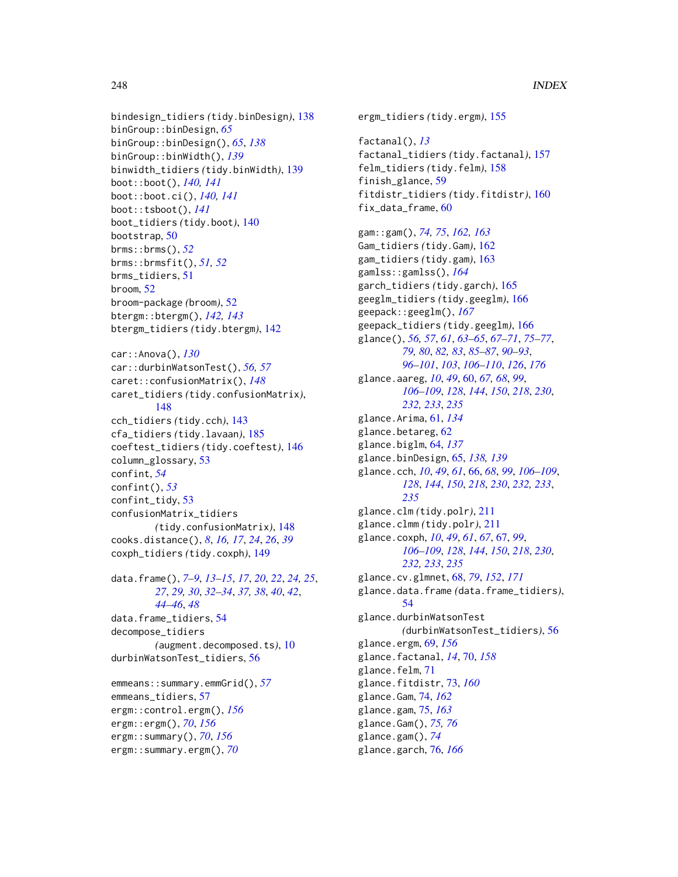bindesign\_tidiers *(*tidy.binDesign*)*, [138](#page-137-0) binGroup::binDesign, *[65](#page-64-0)* binGroup::binDesign(), *[65](#page-64-0)*, *[138](#page-137-0)* binGroup::binWidth(), *[139](#page-138-0)* binwidth\_tidiers *(*tidy.binWidth*)*, [139](#page-138-0) boot::boot(), *[140,](#page-139-0) [141](#page-140-0)* boot::boot.ci(), *[140,](#page-139-0) [141](#page-140-0)* boot::tsboot(), *[141](#page-140-0)* boot\_tidiers *(*tidy.boot*)*, [140](#page-139-0) bootstrap, [50](#page-49-0) brms::brms(), *[52](#page-51-0)* brms::brmsfit(), *[51,](#page-50-0) [52](#page-51-0)* brms\_tidiers, [51](#page-50-0) broom, [52](#page-51-0) broom-package *(*broom*)*, [52](#page-51-0) btergm::btergm(), *[142,](#page-141-0) [143](#page-142-1)* btergm\_tidiers *(*tidy.btergm*)*, [142](#page-141-0) car::Anova(), *[130](#page-129-0)* car::durbinWatsonTest(), *[56,](#page-55-0) [57](#page-56-0)* caret::confusionMatrix(), *[148](#page-147-0)* caret\_tidiers *(*tidy.confusionMatrix*)*, [148](#page-147-0) cch\_tidiers *(*tidy.cch*)*, [143](#page-142-1) cfa\_tidiers *(*tidy.lavaan*)*, [185](#page-184-0) coeftest\_tidiers *(*tidy.coeftest*)*, [146](#page-145-0) column\_glossary, [53](#page-52-0) confint, *[54](#page-53-0)* confint(), *[53](#page-52-0)* confint\_tidy, [53](#page-52-0) confusionMatrix\_tidiers *(*tidy.confusionMatrix*)*, [148](#page-147-0) cooks.distance(), *[8](#page-7-1)*, *[16,](#page-15-0) [17](#page-16-0)*, *[24](#page-23-0)*, *[26](#page-25-0)*, *[39](#page-38-1)* coxph\_tidiers *(*tidy.coxph*)*, [149](#page-148-1) data.frame(), *[7](#page-6-0)[–9](#page-8-0)*, *[13–](#page-12-0)[15](#page-14-0)*, *[17](#page-16-0)*, *[20](#page-19-0)*, *[22](#page-21-0)*, *[24,](#page-23-0) [25](#page-24-0)*, *[27](#page-26-0)*, *[29,](#page-28-0) [30](#page-29-0)*, *[32–](#page-31-0)[34](#page-33-0)*, *[37,](#page-36-0) [38](#page-37-1)*, *[40](#page-39-0)*, *[42](#page-41-0)*, *[44](#page-43-0)[–46](#page-45-0)*, *[48](#page-47-0)* data.frame\_tidiers, [54](#page-53-0) decompose\_tidiers *(*augment.decomposed.ts*)*, [10](#page-9-0) durbinWatsonTest\_tidiers, [56](#page-55-0)

```
emmeans::summary.emmGrid(), 57
emmeans_tidiers, 57
ergm::control.ergm(), 156
ergm::ergm(), 70, 156
ergm::summary(), 70, 156
ergm::summary.ergm(), 70
```
ergm\_tidiers *(*tidy.ergm*)*, [155](#page-154-0) factanal(), *[13](#page-12-0)* factanal\_tidiers *(*tidy.factanal*)*, [157](#page-156-0) felm\_tidiers *(*tidy.felm*)*, [158](#page-157-0) finish\_glance, [59](#page-58-0) fitdistr\_tidiers *(*tidy.fitdistr*)*, [160](#page-159-0) fix\_data\_frame, [60](#page-59-1) gam::gam(), *[74,](#page-73-0) [75](#page-74-0)*, *[162,](#page-161-0) [163](#page-162-0)* Gam\_tidiers *(*tidy.Gam*)*, [162](#page-161-0) gam\_tidiers *(*tidy.gam*)*, [163](#page-162-0) gamlss::gamlss(), *[164](#page-163-0)*

garch\_tidiers *(*tidy.garch*)*, [165](#page-164-0) geeglm\_tidiers *(*tidy.geeglm*)*, [166](#page-165-0) geepack::geeglm(), *[167](#page-166-0)* geepack\_tidiers *(*tidy.geeglm*)*, [166](#page-165-0) glance(), *[56,](#page-55-0) [57](#page-56-0)*, *[61](#page-60-0)*, *[63](#page-62-0)[–65](#page-64-0)*, *[67](#page-66-1)[–71](#page-70-0)*, *[75](#page-74-0)[–77](#page-76-0)*, *[79,](#page-78-0) [80](#page-79-0)*, *[82,](#page-81-0) [83](#page-82-0)*, *[85](#page-84-0)[–87](#page-86-0)*, *[90](#page-89-0)[–93](#page-92-1)*, *[96](#page-95-0)[–101](#page-100-0)*, *[103](#page-102-0)*, *[106](#page-105-1)[–110](#page-109-0)*, *[126](#page-125-0)*, *[176](#page-175-0)* glance.aareg, *[10](#page-9-0)*, *[49](#page-48-0)*, [60,](#page-59-1) *[67,](#page-66-1) [68](#page-67-0)*, *[99](#page-98-1)*, *[106](#page-105-1)[–109](#page-108-1)*, *[128](#page-127-1)*, *[144](#page-143-0)*, *[150](#page-149-0)*, *[218](#page-217-0)*, *[230](#page-229-1)*, *[232,](#page-231-1) [233](#page-232-0)*, *[235](#page-234-0)* glance.Arima, [61,](#page-60-0) *[134](#page-133-0)* glance.betareg, [62](#page-61-0) glance.biglm, [64,](#page-63-0) *[137](#page-136-0)* glance.binDesign, [65,](#page-64-0) *[138,](#page-137-0) [139](#page-138-0)* glance.cch, *[10](#page-9-0)*, *[49](#page-48-0)*, *[61](#page-60-0)*, [66,](#page-65-1) *[68](#page-67-0)*, *[99](#page-98-1)*, *[106](#page-105-1)[–109](#page-108-1)*, *[128](#page-127-1)*, *[144](#page-143-0)*, *[150](#page-149-0)*, *[218](#page-217-0)*, *[230](#page-229-1)*, *[232,](#page-231-1) [233](#page-232-0)*, *[235](#page-234-0)* glance.clm *(*tidy.polr*)*, [211](#page-210-0) glance.clmm *(*tidy.polr*)*, [211](#page-210-0) glance.coxph, *[10](#page-9-0)*, *[49](#page-48-0)*, *[61](#page-60-0)*, *[67](#page-66-1)*, [67,](#page-66-1) *[99](#page-98-1)*, *[106](#page-105-1)[–109](#page-108-1)*, *[128](#page-127-1)*, *[144](#page-143-0)*, *[150](#page-149-0)*, *[218](#page-217-0)*, *[230](#page-229-1)*, *[232,](#page-231-1) [233](#page-232-0)*, *[235](#page-234-0)* glance.cv.glmnet, [68,](#page-67-0) *[79](#page-78-0)*, *[152](#page-151-0)*, *[171](#page-170-0)* glance.data.frame *(*data.frame\_tidiers*)*, [54](#page-53-0) glance.durbinWatsonTest *(*durbinWatsonTest\_tidiers*)*, [56](#page-55-0) glance.ergm, [69,](#page-68-0) *[156](#page-155-0)* glance.factanal, *[14](#page-13-0)*, [70,](#page-69-0) *[158](#page-157-0)* glance.felm, [71](#page-70-0) glance.fitdistr, [73,](#page-72-0) *[160](#page-159-0)* glance.Gam, [74,](#page-73-0) *[162](#page-161-0)* glance.gam, [75,](#page-74-0) *[163](#page-162-0)* glance.Gam(), *[75,](#page-74-0) [76](#page-75-0)* glance.gam(), *[74](#page-73-0)*

glance.garch, [76,](#page-75-0) *[166](#page-165-0)*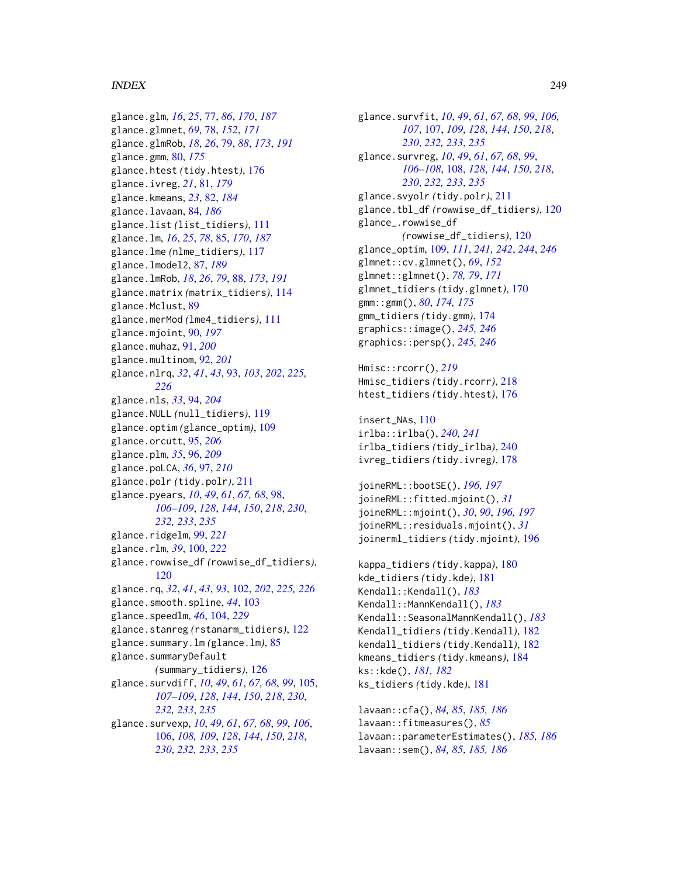#### INDEX 249

glance.glm, *[16](#page-15-0)*, *[25](#page-24-0)*, [77,](#page-76-0) *[86](#page-85-0)*, *[170](#page-169-0)*, *[187](#page-186-0)* glance.glmnet, *[69](#page-68-0)*, [78,](#page-77-0) *[152](#page-151-0)*, *[171](#page-170-0)* glance.glmRob, *[18](#page-17-0)*, *[26](#page-25-0)*, [79,](#page-78-0) *[88](#page-87-0)*, *[173](#page-172-0)*, *[191](#page-190-0)* glance.gmm, [80,](#page-79-0) *[175](#page-174-0)* glance.htest *(*tidy.htest*)*, [176](#page-175-0) glance.ivreg, *[21](#page-20-0)*, [81,](#page-80-0) *[179](#page-178-0)* glance.kmeans, *[23](#page-22-0)*, [82,](#page-81-0) *[184](#page-183-0)* glance.lavaan, [84,](#page-83-0) *[186](#page-185-1)* glance.list *(*list\_tidiers*)*, [111](#page-110-1) glance.lm, *[16](#page-15-0)*, *[25](#page-24-0)*, *[78](#page-77-0)*, [85,](#page-84-0) *[170](#page-169-0)*, *[187](#page-186-0)* glance.lme *(*nlme\_tidiers*)*, [117](#page-116-0) glance.lmodel2, [87,](#page-86-0) *[189](#page-188-0)* glance.lmRob, *[18](#page-17-0)*, *[26](#page-25-0)*, *[79](#page-78-0)*, [88,](#page-87-0) *[173](#page-172-0)*, *[191](#page-190-0)* glance.matrix *(*matrix\_tidiers*)*, [114](#page-113-0) glance.Mclust, [89](#page-88-0) glance.merMod *(*lme4\_tidiers*)*, [111](#page-110-1) glance.mjoint, [90,](#page-89-0) *[197](#page-196-0)* glance.muhaz, [91,](#page-90-0) *[200](#page-199-0)* glance.multinom, [92,](#page-91-0) *[201](#page-200-1)* glance.nlrq, *[32](#page-31-0)*, *[41](#page-40-1)*, *[43](#page-42-0)*, [93,](#page-92-1) *[103](#page-102-0)*, *[202](#page-201-0)*, *[225,](#page-224-1) [226](#page-225-0)* glance.nls, *[33](#page-32-0)*, [94,](#page-93-0) *[204](#page-203-0)* glance.NULL *(*null\_tidiers*)*, [119](#page-118-0) glance.optim *(*glance\_optim*)*, [109](#page-108-1) glance.orcutt, [95,](#page-94-0) *[206](#page-205-0)* glance.plm, *[35](#page-34-0)*, [96,](#page-95-0) *[209](#page-208-0)* glance.poLCA, *[36](#page-35-1)*, [97,](#page-96-0) *[210](#page-209-0)* glance.polr *(*tidy.polr*)*, [211](#page-210-0) glance.pyears, *[10](#page-9-0)*, *[49](#page-48-0)*, *[61](#page-60-0)*, *[67,](#page-66-1) [68](#page-67-0)*, [98,](#page-97-1) *[106](#page-105-1)[–109](#page-108-1)*, *[128](#page-127-1)*, *[144](#page-143-0)*, *[150](#page-149-0)*, *[218](#page-217-0)*, *[230](#page-229-1)*, *[232,](#page-231-1) [233](#page-232-0)*, *[235](#page-234-0)* glance.ridgelm, [99,](#page-98-1) *[221](#page-220-0)* glance.rlm, *[39](#page-38-1)*, [100,](#page-99-1) *[222](#page-221-0)* glance.rowwise\_df *(*rowwise\_df\_tidiers*)*, [120](#page-119-0) glance.rq, *[32](#page-31-0)*, *[41](#page-40-1)*, *[43](#page-42-0)*, *[93](#page-92-1)*, [102,](#page-101-1) *[202](#page-201-0)*, *[225,](#page-224-1) [226](#page-225-0)* glance.smooth.spline, *[44](#page-43-0)*, [103](#page-102-0) glance.speedlm, *[46](#page-45-0)*, [104,](#page-103-1) *[229](#page-228-0)* glance.stanreg *(*rstanarm\_tidiers*)*, [122](#page-121-0) glance.summary.lm *(*glance.lm*)*, [85](#page-84-0) glance.summaryDefault *(*summary\_tidiers*)*, [126](#page-125-0) glance.survdiff, *[10](#page-9-0)*, *[49](#page-48-0)*, *[61](#page-60-0)*, *[67,](#page-66-1) [68](#page-67-0)*, *[99](#page-98-1)*, [105,](#page-104-1) *[107](#page-106-1)[–109](#page-108-1)*, *[128](#page-127-1)*, *[144](#page-143-0)*, *[150](#page-149-0)*, *[218](#page-217-0)*, *[230](#page-229-1)*, *[232,](#page-231-1) [233](#page-232-0)*, *[235](#page-234-0)* glance.survexp, *[10](#page-9-0)*, *[49](#page-48-0)*, *[61](#page-60-0)*, *[67,](#page-66-1) [68](#page-67-0)*, *[99](#page-98-1)*, *[106](#page-105-1)*, [106,](#page-105-1) *[108,](#page-107-1) [109](#page-108-1)*, *[128](#page-127-1)*, *[144](#page-143-0)*, *[150](#page-149-0)*, *[218](#page-217-0)*, *[230](#page-229-1)*, *[232,](#page-231-1) [233](#page-232-0)*, *[235](#page-234-0)*

glance.survfit, *[10](#page-9-0)*, *[49](#page-48-0)*, *[61](#page-60-0)*, *[67,](#page-66-1) [68](#page-67-0)*, *[99](#page-98-1)*, *[106,](#page-105-1) [107](#page-106-1)*, [107,](#page-106-1) *[109](#page-108-1)*, *[128](#page-127-1)*, *[144](#page-143-0)*, *[150](#page-149-0)*, *[218](#page-217-0)*, *[230](#page-229-1)*, *[232,](#page-231-1) [233](#page-232-0)*, *[235](#page-234-0)* glance.survreg, *[10](#page-9-0)*, *[49](#page-48-0)*, *[61](#page-60-0)*, *[67,](#page-66-1) [68](#page-67-0)*, *[99](#page-98-1)*, *[106](#page-105-1)[–108](#page-107-1)*, [108,](#page-107-1) *[128](#page-127-1)*, *[144](#page-143-0)*, *[150](#page-149-0)*, *[218](#page-217-0)*, *[230](#page-229-1)*, *[232,](#page-231-1) [233](#page-232-0)*, *[235](#page-234-0)* glance.svyolr *(*tidy.polr*)*, [211](#page-210-0) glance.tbl\_df *(*rowwise\_df\_tidiers*)*, [120](#page-119-0) glance\_.rowwise\_df *(*rowwise\_df\_tidiers*)*, [120](#page-119-0) glance\_optim, [109,](#page-108-1) *[111](#page-110-1)*, *[241,](#page-240-0) [242](#page-241-1)*, *[244](#page-243-0)*, *[246](#page-245-0)* glmnet::cv.glmnet(), *[69](#page-68-0)*, *[152](#page-151-0)* glmnet::glmnet(), *[78,](#page-77-0) [79](#page-78-0)*, *[171](#page-170-0)* glmnet\_tidiers *(*tidy.glmnet*)*, [170](#page-169-0) gmm::gmm(), *[80](#page-79-0)*, *[174,](#page-173-0) [175](#page-174-0)* gmm\_tidiers *(*tidy.gmm*)*, [174](#page-173-0) graphics::image(), *[245,](#page-244-1) [246](#page-245-0)* graphics::persp(), *[245,](#page-244-1) [246](#page-245-0)* Hmisc::rcorr(), *[219](#page-218-0)* Hmisc\_tidiers *(*tidy.rcorr*)*, [218](#page-217-0) htest\_tidiers *(*tidy.htest*)*, [176](#page-175-0) insert\_NAs, [110](#page-109-0) irlba::irlba(), *[240,](#page-239-1) [241](#page-240-0)* irlba\_tidiers *(*tidy\_irlba*)*, [240](#page-239-1) ivreg\_tidiers *(*tidy.ivreg*)*, [178](#page-177-0) joineRML::bootSE(), *[196,](#page-195-0) [197](#page-196-0)* joineRML::fitted.mjoint(), *[31](#page-30-1)* joineRML::mjoint(), *[30](#page-29-0)*, *[90](#page-89-0)*, *[196,](#page-195-0) [197](#page-196-0)* joineRML::residuals.mjoint(), *[31](#page-30-1)* joinerml\_tidiers *(*tidy.mjoint*)*, [196](#page-195-0) kappa\_tidiers *(*tidy.kappa*)*, [180](#page-179-0) kde\_tidiers *(*tidy.kde*)*, [181](#page-180-0) Kendall::Kendall(), *[183](#page-182-0)* Kendall::MannKendall(), *[183](#page-182-0)* Kendall::SeasonalMannKendall(), *[183](#page-182-0)* Kendall\_tidiers *(*tidy.Kendall*)*, [182](#page-181-0) kendall\_tidiers *(*tidy.Kendall*)*, [182](#page-181-0)

kmeans\_tidiers *(*tidy.kmeans*)*, [184](#page-183-0) ks::kde(), *[181,](#page-180-0) [182](#page-181-0)* ks\_tidiers *(*tidy.kde*)*, [181](#page-180-0)

lavaan::cfa(), *[84,](#page-83-0) [85](#page-84-0)*, *[185,](#page-184-0) [186](#page-185-1)* lavaan::fitmeasures(), *[85](#page-84-0)* lavaan::parameterEstimates(), *[185,](#page-184-0) [186](#page-185-1)* lavaan::sem(), *[84,](#page-83-0) [85](#page-84-0)*, *[185,](#page-184-0) [186](#page-185-1)*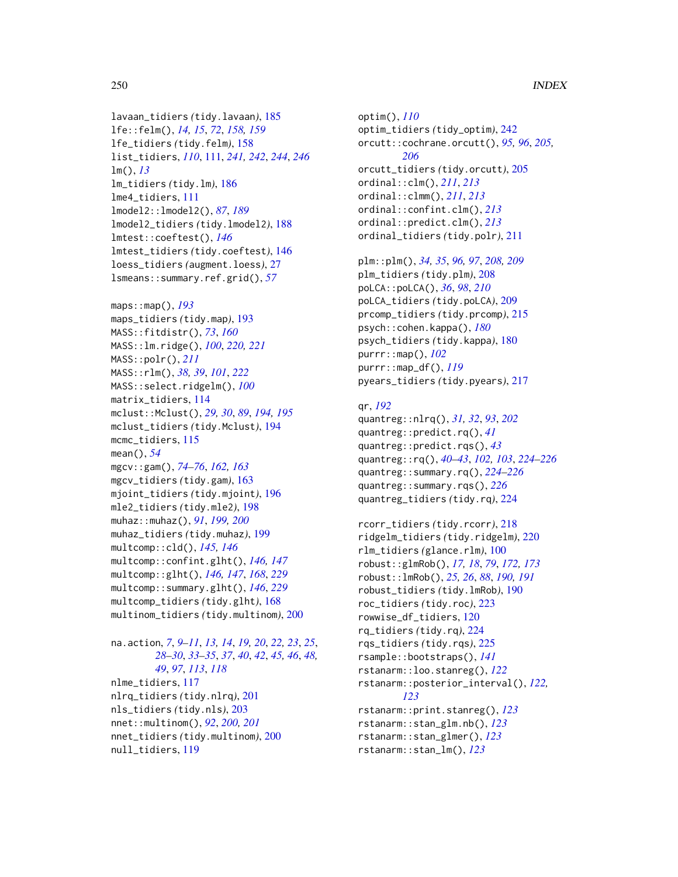# 250 INDEX

lavaan\_tidiers *(*tidy.lavaan*)*, [185](#page-184-0) lfe::felm(), *[14,](#page-13-0) [15](#page-14-0)*, *[72](#page-71-0)*, *[158,](#page-157-0) [159](#page-158-0)* lfe\_tidiers *(*tidy.felm*)*, [158](#page-157-0) list\_tidiers, *[110](#page-109-0)*, [111,](#page-110-1) *[241,](#page-240-0) [242](#page-241-1)*, *[244](#page-243-0)*, *[246](#page-245-0)* lm(), *[13](#page-12-0)* lm\_tidiers *(*tidy.lm*)*, [186](#page-185-1) lme4\_tidiers, [111](#page-110-1) lmodel2::lmodel2(), *[87](#page-86-0)*, *[189](#page-188-0)* lmodel2\_tidiers *(*tidy.lmodel2*)*, [188](#page-187-0) lmtest::coeftest(), *[146](#page-145-0)* lmtest\_tidiers *(*tidy.coeftest*)*, [146](#page-145-0) loess\_tidiers *(*augment.loess*)*, [27](#page-26-0) lsmeans::summary.ref.grid(), *[57](#page-56-0)*

maps::map(), *[193](#page-192-0)* maps\_tidiers *(*tidy.map*)*, [193](#page-192-0) MASS::fitdistr(), *[73](#page-72-0)*, *[160](#page-159-0)* MASS::lm.ridge(), *[100](#page-99-1)*, *[220,](#page-219-0) [221](#page-220-0)* MASS::polr(), *[211](#page-210-0)* MASS::rlm(), *[38,](#page-37-1) [39](#page-38-1)*, *[101](#page-100-0)*, *[222](#page-221-0)* MASS::select.ridgelm(), *[100](#page-99-1)* matrix\_tidiers, [114](#page-113-0) mclust::Mclust(), *[29,](#page-28-0) [30](#page-29-0)*, *[89](#page-88-0)*, *[194,](#page-193-0) [195](#page-194-0)* mclust\_tidiers *(*tidy.Mclust*)*, [194](#page-193-0) mcmc\_tidiers, [115](#page-114-0) mean(), *[54](#page-53-0)* mgcv::gam(), *[74](#page-73-0)[–76](#page-75-0)*, *[162,](#page-161-0) [163](#page-162-0)* mgcv\_tidiers *(*tidy.gam*)*, [163](#page-162-0) mjoint\_tidiers *(*tidy.mjoint*)*, [196](#page-195-0) mle2\_tidiers *(*tidy.mle2*)*, [198](#page-197-0) muhaz::muhaz(), *[91](#page-90-0)*, *[199,](#page-198-0) [200](#page-199-0)* muhaz\_tidiers *(*tidy.muhaz*)*, [199](#page-198-0) multcomp::cld(), *[145,](#page-144-1) [146](#page-145-0)* multcomp::confint.glht(), *[146,](#page-145-0) [147](#page-146-1)* multcomp::glht(), *[146,](#page-145-0) [147](#page-146-1)*, *[168](#page-167-1)*, *[229](#page-228-0)* multcomp::summary.glht(), *[146](#page-145-0)*, *[229](#page-228-0)* multcomp\_tidiers *(*tidy.glht*)*, [168](#page-167-1) multinom\_tidiers *(*tidy.multinom*)*, [200](#page-199-0)

```
na.action, 7, 9–11, 13, 14, 19, 20, 22, 23, 25,
         28–30, 33–35, 37, 40, 42, 45, 46, 48,
         49, 97, 113, 118
nlme_tidiers, 117
nlrq_tidiers (tidy.nlrq), 201
nls_tidiers (tidy.nls), 203
nnet::multinom(), 92, 200, 201
nnet_tidiers (tidy.multinom), 200
null_tidiers, 119
```
optim(), *[110](#page-109-0)* optim\_tidiers *(*tidy\_optim*)*, [242](#page-241-1) orcutt::cochrane.orcutt(), *[95,](#page-94-0) [96](#page-95-0)*, *[205,](#page-204-0) [206](#page-205-0)* orcutt\_tidiers *(*tidy.orcutt*)*, [205](#page-204-0) ordinal::clm(), *[211](#page-210-0)*, *[213](#page-212-0)* ordinal::clmm(), *[211](#page-210-0)*, *[213](#page-212-0)* ordinal::confint.clm(), *[213](#page-212-0)* ordinal::predict.clm(), *[213](#page-212-0)* ordinal\_tidiers *(*tidy.polr*)*, [211](#page-210-0)

plm::plm(), *[34,](#page-33-0) [35](#page-34-0)*, *[96,](#page-95-0) [97](#page-96-0)*, *[208,](#page-207-0) [209](#page-208-0)* plm\_tidiers *(*tidy.plm*)*, [208](#page-207-0) poLCA::poLCA(), *[36](#page-35-1)*, *[98](#page-97-1)*, *[210](#page-209-0)* poLCA\_tidiers *(*tidy.poLCA*)*, [209](#page-208-0) prcomp\_tidiers *(*tidy.prcomp*)*, [215](#page-214-1) psych::cohen.kappa(), *[180](#page-179-0)* psych\_tidiers *(*tidy.kappa*)*, [180](#page-179-0) purrr::map(), *[102](#page-101-1)* purrr::map\_df(), *[119](#page-118-0)* pyears\_tidiers *(*tidy.pyears*)*, [217](#page-216-1)

#### qr, *[192](#page-191-1)*

quantreg::nlrq(), *[31,](#page-30-1) [32](#page-31-0)*, *[93](#page-92-1)*, *[202](#page-201-0)* quantreg::predict.rq(), *[41](#page-40-1)* quantreg::predict.rqs(), *[43](#page-42-0)* quantreg::rq(), *[40](#page-39-0)[–43](#page-42-0)*, *[102,](#page-101-1) [103](#page-102-0)*, *[224](#page-223-1)[–226](#page-225-0)* quantreg::summary.rq(), *[224](#page-223-1)[–226](#page-225-0)* quantreg::summary.rqs(), *[226](#page-225-0)* quantreg\_tidiers *(*tidy.rq*)*, [224](#page-223-1)

rcorr\_tidiers *(*tidy.rcorr*)*, [218](#page-217-0) ridgelm\_tidiers *(*tidy.ridgelm*)*, [220](#page-219-0) rlm\_tidiers *(*glance.rlm*)*, [100](#page-99-1) robust::glmRob(), *[17,](#page-16-0) [18](#page-17-0)*, *[79](#page-78-0)*, *[172,](#page-171-1) [173](#page-172-0)* robust::lmRob(), *[25,](#page-24-0) [26](#page-25-0)*, *[88](#page-87-0)*, *[190,](#page-189-1) [191](#page-190-0)* robust\_tidiers *(*tidy.lmRob*)*, [190](#page-189-1) roc\_tidiers *(*tidy.roc*)*, [223](#page-222-0) rowwise\_df\_tidiers, [120](#page-119-0) rq\_tidiers *(*tidy.rq*)*, [224](#page-223-1) rqs\_tidiers *(*tidy.rqs*)*, [225](#page-224-1) rsample::bootstraps(), *[141](#page-140-0)* rstanarm::loo.stanreg(), *[122](#page-121-0)* rstanarm::posterior\_interval(), *[122,](#page-121-0) [123](#page-122-0)* rstanarm::print.stanreg(), *[123](#page-122-0)* rstanarm::stan\_glm.nb(), *[123](#page-122-0)* rstanarm::stan\_glmer(), *[123](#page-122-0)* rstanarm::stan\_lm(), *[123](#page-122-0)*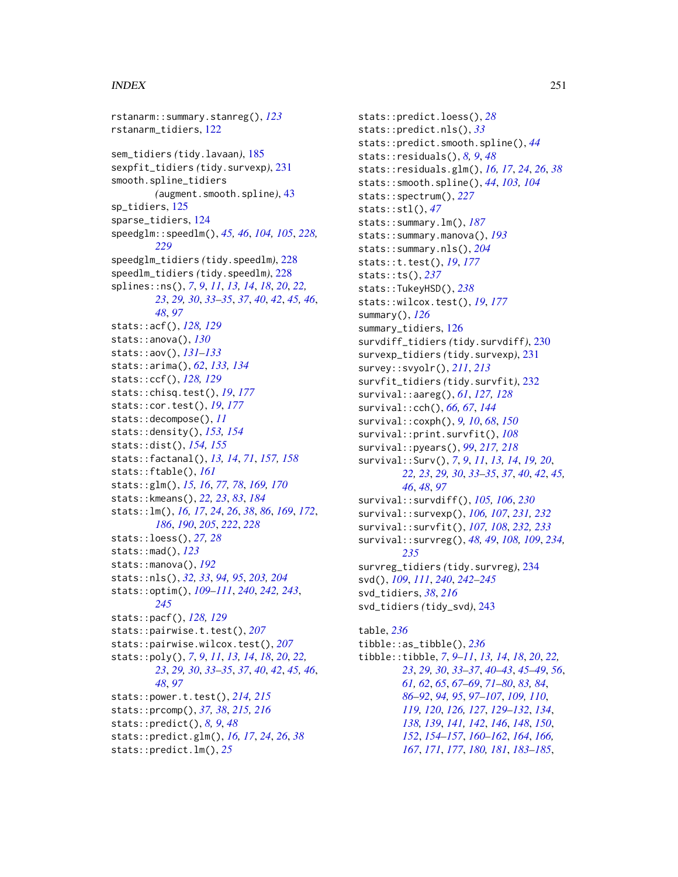#### INDEX  $251$

rstanarm::summary.stanreg(), *[123](#page-122-0)* rstanarm\_tidiers, [122](#page-121-0) sem\_tidiers *(*tidy.lavaan*)*, [185](#page-184-0) sexpfit\_tidiers *(*tidy.survexp*)*, [231](#page-230-1) smooth.spline\_tidiers *(*augment.smooth.spline*)*, [43](#page-42-0) sp\_tidiers, [125](#page-124-0) sparse\_tidiers, [124](#page-123-0) speedglm::speedlm(), *[45,](#page-44-1) [46](#page-45-0)*, *[104,](#page-103-1) [105](#page-104-1)*, *[228,](#page-227-0) [229](#page-228-0)* speedglm\_tidiers *(*tidy.speedlm*)*, [228](#page-227-0) speedlm\_tidiers *(*tidy.speedlm*)*, [228](#page-227-0) splines::ns(), *[7](#page-6-0)*, *[9](#page-8-0)*, *[11](#page-10-0)*, *[13,](#page-12-0) [14](#page-13-0)*, *[18](#page-17-0)*, *[20](#page-19-0)*, *[22,](#page-21-0) [23](#page-22-0)*, *[29,](#page-28-0) [30](#page-29-0)*, *[33–](#page-32-0)[35](#page-34-0)*, *[37](#page-36-0)*, *[40](#page-39-0)*, *[42](#page-41-0)*, *[45,](#page-44-1) [46](#page-45-0)*, *[48](#page-47-0)*, *[97](#page-96-0)* stats::acf(), *[128,](#page-127-1) [129](#page-128-1)* stats::anova(), *[130](#page-129-0)* stats::aov(), *[131](#page-130-1)[–133](#page-132-0)* stats::arima(), *[62](#page-61-0)*, *[133,](#page-132-0) [134](#page-133-0)* stats::ccf(), *[128,](#page-127-1) [129](#page-128-1)* stats::chisq.test(), *[19](#page-18-0)*, *[177](#page-176-0)* stats::cor.test(), *[19](#page-18-0)*, *[177](#page-176-0)* stats::decompose(), *[11](#page-10-0)* stats::density(), *[153,](#page-152-0) [154](#page-153-0)* stats::dist(), *[154,](#page-153-0) [155](#page-154-0)* stats::factanal(), *[13,](#page-12-0) [14](#page-13-0)*, *[71](#page-70-0)*, *[157,](#page-156-0) [158](#page-157-0)* stats::ftable(), *[161](#page-160-0)* stats::glm(), *[15,](#page-14-0) [16](#page-15-0)*, *[77,](#page-76-0) [78](#page-77-0)*, *[169,](#page-168-0) [170](#page-169-0)* stats::kmeans(), *[22,](#page-21-0) [23](#page-22-0)*, *[83](#page-82-0)*, *[184](#page-183-0)* stats::lm(), *[16,](#page-15-0) [17](#page-16-0)*, *[24](#page-23-0)*, *[26](#page-25-0)*, *[38](#page-37-1)*, *[86](#page-85-0)*, *[169](#page-168-0)*, *[172](#page-171-1)*, *[186](#page-185-1)*, *[190](#page-189-1)*, *[205](#page-204-0)*, *[222](#page-221-0)*, *[228](#page-227-0)* stats::loess(), *[27,](#page-26-0) [28](#page-27-0)* stats::mad(), *[123](#page-122-0)* stats::manova(), *[192](#page-191-1)* stats::nls(), *[32,](#page-31-0) [33](#page-32-0)*, *[94,](#page-93-0) [95](#page-94-0)*, *[203,](#page-202-0) [204](#page-203-0)* stats::optim(), *[109](#page-108-1)[–111](#page-110-1)*, *[240](#page-239-1)*, *[242,](#page-241-1) [243](#page-242-1)*, *[245](#page-244-1)* stats::pacf(), *[128,](#page-127-1) [129](#page-128-1)* stats::pairwise.t.test(), *[207](#page-206-0)* stats::pairwise.wilcox.test(), *[207](#page-206-0)* stats::poly(), *[7](#page-6-0)*, *[9](#page-8-0)*, *[11](#page-10-0)*, *[13,](#page-12-0) [14](#page-13-0)*, *[18](#page-17-0)*, *[20](#page-19-0)*, *[22,](#page-21-0) [23](#page-22-0)*, *[29,](#page-28-0) [30](#page-29-0)*, *[33–](#page-32-0)[35](#page-34-0)*, *[37](#page-36-0)*, *[40](#page-39-0)*, *[42](#page-41-0)*, *[45,](#page-44-1) [46](#page-45-0)*, *[48](#page-47-0)*, *[97](#page-96-0)* stats::power.t.test(), *[214,](#page-213-0) [215](#page-214-1)* stats::prcomp(), *[37,](#page-36-0) [38](#page-37-1)*, *[215,](#page-214-1) [216](#page-215-0)* stats::predict(), *[8,](#page-7-1) [9](#page-8-0)*, *[48](#page-47-0)* stats::predict.glm(), *[16,](#page-15-0) [17](#page-16-0)*, *[24](#page-23-0)*, *[26](#page-25-0)*, *[38](#page-37-1)* stats::predict.lm(), *[25](#page-24-0)*

stats::predict.loess(), *[28](#page-27-0)* stats::predict.nls(), *[33](#page-32-0)* stats::predict.smooth.spline(), *[44](#page-43-0)* stats::residuals(), *[8,](#page-7-1) [9](#page-8-0)*, *[48](#page-47-0)* stats::residuals.glm(), *[16,](#page-15-0) [17](#page-16-0)*, *[24](#page-23-0)*, *[26](#page-25-0)*, *[38](#page-37-1)* stats::smooth.spline(), *[44](#page-43-0)*, *[103,](#page-102-0) [104](#page-103-1)* stats::spectrum(), *[227](#page-226-1)* stats::stl(), *[47](#page-46-1)* stats::summary.lm(), *[187](#page-186-0)* stats::summary.manova(), *[193](#page-192-0)* stats::summary.nls(), *[204](#page-203-0)* stats::t.test(), *[19](#page-18-0)*, *[177](#page-176-0)* stats::ts(), *[237](#page-236-0)* stats::TukeyHSD(), *[238](#page-237-0)* stats::wilcox.test(), *[19](#page-18-0)*, *[177](#page-176-0)* summary(), *[126](#page-125-0)* summary\_tidiers, [126](#page-125-0) survdiff\_tidiers *(*tidy.survdiff*)*, [230](#page-229-1) survexp\_tidiers *(*tidy.survexp*)*, [231](#page-230-1) survey::svyolr(), *[211](#page-210-0)*, *[213](#page-212-0)* survfit\_tidiers *(*tidy.survfit*)*, [232](#page-231-1) survival::aareg(), *[61](#page-60-0)*, *[127,](#page-126-1) [128](#page-127-1)* survival::cch(), *[66,](#page-65-1) [67](#page-66-1)*, *[144](#page-143-0)* survival::coxph(), *[9,](#page-8-0) [10](#page-9-0)*, *[68](#page-67-0)*, *[150](#page-149-0)* survival::print.survfit(), *[108](#page-107-1)* survival::pyears(), *[99](#page-98-1)*, *[217,](#page-216-1) [218](#page-217-0)* survival::Surv(), *[7](#page-6-0)*, *[9](#page-8-0)*, *[11](#page-10-0)*, *[13,](#page-12-0) [14](#page-13-0)*, *[19,](#page-18-0) [20](#page-19-0)*, *[22,](#page-21-0) [23](#page-22-0)*, *[29,](#page-28-0) [30](#page-29-0)*, *[33](#page-32-0)[–35](#page-34-0)*, *[37](#page-36-0)*, *[40](#page-39-0)*, *[42](#page-41-0)*, *[45,](#page-44-1) [46](#page-45-0)*, *[48](#page-47-0)*, *[97](#page-96-0)* survival::survdiff(), *[105,](#page-104-1) [106](#page-105-1)*, *[230](#page-229-1)* survival::survexp(), *[106,](#page-105-1) [107](#page-106-1)*, *[231,](#page-230-1) [232](#page-231-1)* survival::survfit(), *[107,](#page-106-1) [108](#page-107-1)*, *[232,](#page-231-1) [233](#page-232-0)* survival::survreg(), *[48,](#page-47-0) [49](#page-48-0)*, *[108,](#page-107-1) [109](#page-108-1)*, *[234,](#page-233-1) [235](#page-234-0)* survreg\_tidiers *(*tidy.survreg*)*, [234](#page-233-1) svd(), *[109](#page-108-1)*, *[111](#page-110-1)*, *[240](#page-239-1)*, *[242](#page-241-1)[–245](#page-244-1)* svd\_tidiers, *[38](#page-37-1)*, *[216](#page-215-0)* svd\_tidiers *(*tidy\_svd*)*, [243](#page-242-1)

# table, *[236](#page-235-1)* tibble::as\_tibble(), *[236](#page-235-1)* tibble::tibble, *[7](#page-6-0)*, *[9](#page-8-0)[–11](#page-10-0)*, *[13,](#page-12-0) [14](#page-13-0)*, *[18](#page-17-0)*, *[20](#page-19-0)*, *[22,](#page-21-0) [23](#page-22-0)*, *[29,](#page-28-0) [30](#page-29-0)*, *[33](#page-32-0)[–37](#page-36-0)*, *[40](#page-39-0)[–43](#page-42-0)*, *[45](#page-44-1)[–49](#page-48-0)*, *[56](#page-55-0)*, *[61,](#page-60-0) [62](#page-61-0)*, *[65](#page-64-0)*, *[67](#page-66-1)[–69](#page-68-0)*, *[71](#page-70-0)[–80](#page-79-0)*, *[83,](#page-82-0) [84](#page-83-0)*, *[86](#page-85-0)[–92](#page-91-0)*, *[94,](#page-93-0) [95](#page-94-0)*, *[97](#page-96-0)[–107](#page-106-1)*, *[109,](#page-108-1) [110](#page-109-0)*, *[119,](#page-118-0) [120](#page-119-0)*, *[126,](#page-125-0) [127](#page-126-1)*, *[129](#page-128-1)[–132](#page-131-1)*, *[134](#page-133-0)*, *[138,](#page-137-0) [139](#page-138-0)*, *[141,](#page-140-0) [142](#page-141-0)*, *[146](#page-145-0)*, *[148](#page-147-0)*, *[150](#page-149-0)*, *[152](#page-151-0)*, *[154](#page-153-0)[–157](#page-156-0)*, *[160](#page-159-0)[–162](#page-161-0)*, *[164](#page-163-0)*, *[166,](#page-165-0) [167](#page-166-0)*, *[171](#page-170-0)*, *[177](#page-176-0)*, *[180,](#page-179-0) [181](#page-180-0)*, *[183](#page-182-0)[–185](#page-184-0)*,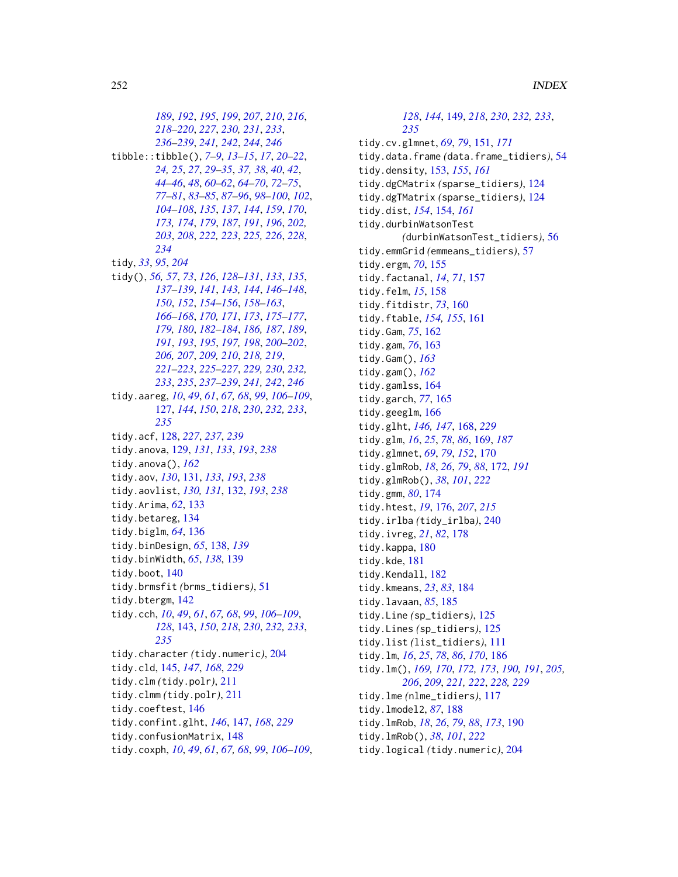*[189](#page-188-0)*, *[192](#page-191-1)*, *[195](#page-194-0)*, *[199](#page-198-0)*, *[207](#page-206-0)*, *[210](#page-209-0)*, *[216](#page-215-0)*, *[218](#page-217-0)[–220](#page-219-0)*, *[227](#page-226-1)*, *[230,](#page-229-1) [231](#page-230-1)*, *[233](#page-232-0)*, *[236](#page-235-1)[–239](#page-238-1)*, *[241,](#page-240-0) [242](#page-241-1)*, *[244](#page-243-0)*, *[246](#page-245-0)* tibble::tibble(), *[7](#page-6-0)[–9](#page-8-0)*, *[13–](#page-12-0)[15](#page-14-0)*, *[17](#page-16-0)*, *[20–](#page-19-0)[22](#page-21-0)*, *[24,](#page-23-0) [25](#page-24-0)*, *[27](#page-26-0)*, *[29–](#page-28-0)[35](#page-34-0)*, *[37,](#page-36-0) [38](#page-37-1)*, *[40](#page-39-0)*, *[42](#page-41-0)*, *[44](#page-43-0)[–46](#page-45-0)*, *[48](#page-47-0)*, *[60–](#page-59-1)[62](#page-61-0)*, *[64–](#page-63-0)[70](#page-69-0)*, *[72–](#page-71-0)[75](#page-74-0)*, *[77](#page-76-0)[–81](#page-80-0)*, *[83](#page-82-0)[–85](#page-84-0)*, *[87–](#page-86-0)[96](#page-95-0)*, *[98–](#page-97-1)[100](#page-99-1)*, *[102](#page-101-1)*, *[104](#page-103-1)[–108](#page-107-1)*, *[135](#page-134-0)*, *[137](#page-136-0)*, *[144](#page-143-0)*, *[159](#page-158-0)*, *[170](#page-169-0)*, *[173,](#page-172-0) [174](#page-173-0)*, *[179](#page-178-0)*, *[187](#page-186-0)*, *[191](#page-190-0)*, *[196](#page-195-0)*, *[202,](#page-201-0) [203](#page-202-0)*, *[208](#page-207-0)*, *[222,](#page-221-0) [223](#page-222-0)*, *[225,](#page-224-1) [226](#page-225-0)*, *[228](#page-227-0)*, *[234](#page-233-1)* tidy, *[33](#page-32-0)*, *[95](#page-94-0)*, *[204](#page-203-0)* tidy(), *[56,](#page-55-0) [57](#page-56-0)*, *[73](#page-72-0)*, *[126](#page-125-0)*, *[128–](#page-127-1)[131](#page-130-1)*, *[133](#page-132-0)*, *[135](#page-134-0)*, *[137](#page-136-0)[–139](#page-138-0)*, *[141](#page-140-0)*, *[143,](#page-142-1) [144](#page-143-0)*, *[146–](#page-145-0)[148](#page-147-0)*, *[150](#page-149-0)*, *[152](#page-151-0)*, *[154–](#page-153-0)[156](#page-155-0)*, *[158–](#page-157-0)[163](#page-162-0)*, *[166](#page-165-0)[–168](#page-167-1)*, *[170,](#page-169-0) [171](#page-170-0)*, *[173](#page-172-0)*, *[175–](#page-174-0)[177](#page-176-0)*, *[179,](#page-178-0) [180](#page-179-0)*, *[182–](#page-181-0)[184](#page-183-0)*, *[186,](#page-185-1) [187](#page-186-0)*, *[189](#page-188-0)*, *[191](#page-190-0)*, *[193](#page-192-0)*, *[195](#page-194-0)*, *[197,](#page-196-0) [198](#page-197-0)*, *[200–](#page-199-0)[202](#page-201-0)*, *[206,](#page-205-0) [207](#page-206-0)*, *[209,](#page-208-0) [210](#page-209-0)*, *[218,](#page-217-0) [219](#page-218-0)*, *[221](#page-220-0)[–223](#page-222-0)*, *[225–](#page-224-1)[227](#page-226-1)*, *[229,](#page-228-0) [230](#page-229-1)*, *[232,](#page-231-1) [233](#page-232-0)*, *[235](#page-234-0)*, *[237–](#page-236-0)[239](#page-238-1)*, *[241,](#page-240-0) [242](#page-241-1)*, *[246](#page-245-0)* tidy.aareg, *[10](#page-9-0)*, *[49](#page-48-0)*, *[61](#page-60-0)*, *[67,](#page-66-1) [68](#page-67-0)*, *[99](#page-98-1)*, *[106–](#page-105-1)[109](#page-108-1)*, [127,](#page-126-1) *[144](#page-143-0)*, *[150](#page-149-0)*, *[218](#page-217-0)*, *[230](#page-229-1)*, *[232,](#page-231-1) [233](#page-232-0)*, *[235](#page-234-0)* tidy.acf, [128,](#page-127-1) *[227](#page-226-1)*, *[237](#page-236-0)*, *[239](#page-238-1)* tidy.anova, [129,](#page-128-1) *[131](#page-130-1)*, *[133](#page-132-0)*, *[193](#page-192-0)*, *[238](#page-237-0)* tidy.anova(), *[162](#page-161-0)* tidy.aov, *[130](#page-129-0)*, [131,](#page-130-1) *[133](#page-132-0)*, *[193](#page-192-0)*, *[238](#page-237-0)* tidy.aovlist, *[130,](#page-129-0) [131](#page-130-1)*, [132,](#page-131-1) *[193](#page-192-0)*, *[238](#page-237-0)* tidy.Arima, *[62](#page-61-0)*, [133](#page-132-0) tidy.betareg, [134](#page-133-0) tidy.biglm, *[64](#page-63-0)*, [136](#page-135-0) tidy.binDesign, *[65](#page-64-0)*, [138,](#page-137-0) *[139](#page-138-0)* tidy.binWidth, *[65](#page-64-0)*, *[138](#page-137-0)*, [139](#page-138-0) tidy.boot, [140](#page-139-0) tidy.brmsfit *(*brms\_tidiers*)*, [51](#page-50-0) tidy.btergm, [142](#page-141-0) tidy.cch, *[10](#page-9-0)*, *[49](#page-48-0)*, *[61](#page-60-0)*, *[67,](#page-66-1) [68](#page-67-0)*, *[99](#page-98-1)*, *[106–](#page-105-1)[109](#page-108-1)*, *[128](#page-127-1)*, [143,](#page-142-1) *[150](#page-149-0)*, *[218](#page-217-0)*, *[230](#page-229-1)*, *[232,](#page-231-1) [233](#page-232-0)*, *[235](#page-234-0)* tidy.character *(*tidy.numeric*)*, [204](#page-203-0) tidy.cld, [145,](#page-144-1) *[147](#page-146-1)*, *[168](#page-167-1)*, *[229](#page-228-0)* tidy.clm *(*tidy.polr*)*, [211](#page-210-0) tidy.clmm *(*tidy.polr*)*, [211](#page-210-0) tidy.coeftest, [146](#page-145-0) tidy.confint.glht, *[146](#page-145-0)*, [147,](#page-146-1) *[168](#page-167-1)*, *[229](#page-228-0)* tidy.confusionMatrix, [148](#page-147-0) tidy.coxph, *[10](#page-9-0)*, *[49](#page-48-0)*, *[61](#page-60-0)*, *[67,](#page-66-1) [68](#page-67-0)*, *[99](#page-98-1)*, *[106–](#page-105-1)[109](#page-108-1)*,

*[128](#page-127-1)*, *[144](#page-143-0)*, [149,](#page-148-1) *[218](#page-217-0)*, *[230](#page-229-1)*, *[232,](#page-231-1) [233](#page-232-0)*, *[235](#page-234-0)* tidy.cv.glmnet, *[69](#page-68-0)*, *[79](#page-78-0)*, [151,](#page-150-0) *[171](#page-170-0)* tidy.data.frame *(*data.frame\_tidiers*)*, [54](#page-53-0) tidy.density, [153,](#page-152-0) *[155](#page-154-0)*, *[161](#page-160-0)* tidy.dgCMatrix *(*sparse\_tidiers*)*, [124](#page-123-0) tidy.dgTMatrix *(*sparse\_tidiers*)*, [124](#page-123-0) tidy.dist, *[154](#page-153-0)*, [154,](#page-153-0) *[161](#page-160-0)* tidy.durbinWatsonTest *(*durbinWatsonTest\_tidiers*)*, [56](#page-55-0) tidy.emmGrid *(*emmeans\_tidiers*)*, [57](#page-56-0) tidy.ergm, *[70](#page-69-0)*, [155](#page-154-0) tidy.factanal, *[14](#page-13-0)*, *[71](#page-70-0)*, [157](#page-156-0) tidy.felm, *[15](#page-14-0)*, [158](#page-157-0) tidy.fitdistr, *[73](#page-72-0)*, [160](#page-159-0) tidy.ftable, *[154,](#page-153-0) [155](#page-154-0)*, [161](#page-160-0) tidy.Gam, *[75](#page-74-0)*, [162](#page-161-0) tidy.gam, *[76](#page-75-0)*, [163](#page-162-0) tidy.Gam(), *[163](#page-162-0)* tidy.gam(), *[162](#page-161-0)* tidy.gamlss, [164](#page-163-0) tidy.garch, *[77](#page-76-0)*, [165](#page-164-0) tidy.geeglm, [166](#page-165-0) tidy.glht, *[146,](#page-145-0) [147](#page-146-1)*, [168,](#page-167-1) *[229](#page-228-0)* tidy.glm, *[16](#page-15-0)*, *[25](#page-24-0)*, *[78](#page-77-0)*, *[86](#page-85-0)*, [169,](#page-168-0) *[187](#page-186-0)* tidy.glmnet, *[69](#page-68-0)*, *[79](#page-78-0)*, *[152](#page-151-0)*, [170](#page-169-0) tidy.glmRob, *[18](#page-17-0)*, *[26](#page-25-0)*, *[79](#page-78-0)*, *[88](#page-87-0)*, [172,](#page-171-1) *[191](#page-190-0)* tidy.glmRob(), *[38](#page-37-1)*, *[101](#page-100-0)*, *[222](#page-221-0)* tidy.gmm, *[80](#page-79-0)*, [174](#page-173-0) tidy.htest, *[19](#page-18-0)*, [176,](#page-175-0) *[207](#page-206-0)*, *[215](#page-214-1)* tidy.irlba *(*tidy\_irlba*)*, [240](#page-239-1) tidy.ivreg, *[21](#page-20-0)*, *[82](#page-81-0)*, [178](#page-177-0) tidy.kappa, [180](#page-179-0) tidy.kde, [181](#page-180-0) tidy.Kendall, [182](#page-181-0) tidy.kmeans, *[23](#page-22-0)*, *[83](#page-82-0)*, [184](#page-183-0) tidy.lavaan, *[85](#page-84-0)*, [185](#page-184-0) tidy.Line *(*sp\_tidiers*)*, [125](#page-124-0) tidy.Lines *(*sp\_tidiers*)*, [125](#page-124-0) tidy.list *(*list\_tidiers*)*, [111](#page-110-1) tidy.lm, *[16](#page-15-0)*, *[25](#page-24-0)*, *[78](#page-77-0)*, *[86](#page-85-0)*, *[170](#page-169-0)*, [186](#page-185-1) tidy.lm(), *[169,](#page-168-0) [170](#page-169-0)*, *[172,](#page-171-1) [173](#page-172-0)*, *[190,](#page-189-1) [191](#page-190-0)*, *[205,](#page-204-0) [206](#page-205-0)*, *[209](#page-208-0)*, *[221,](#page-220-0) [222](#page-221-0)*, *[228,](#page-227-0) [229](#page-228-0)* tidy.lme *(*nlme\_tidiers*)*, [117](#page-116-0) tidy.lmodel2, *[87](#page-86-0)*, [188](#page-187-0) tidy.lmRob, *[18](#page-17-0)*, *[26](#page-25-0)*, *[79](#page-78-0)*, *[88](#page-87-0)*, *[173](#page-172-0)*, [190](#page-189-1) tidy.lmRob(), *[38](#page-37-1)*, *[101](#page-100-0)*, *[222](#page-221-0)* tidy.logical *(*tidy.numeric*)*, [204](#page-203-0)